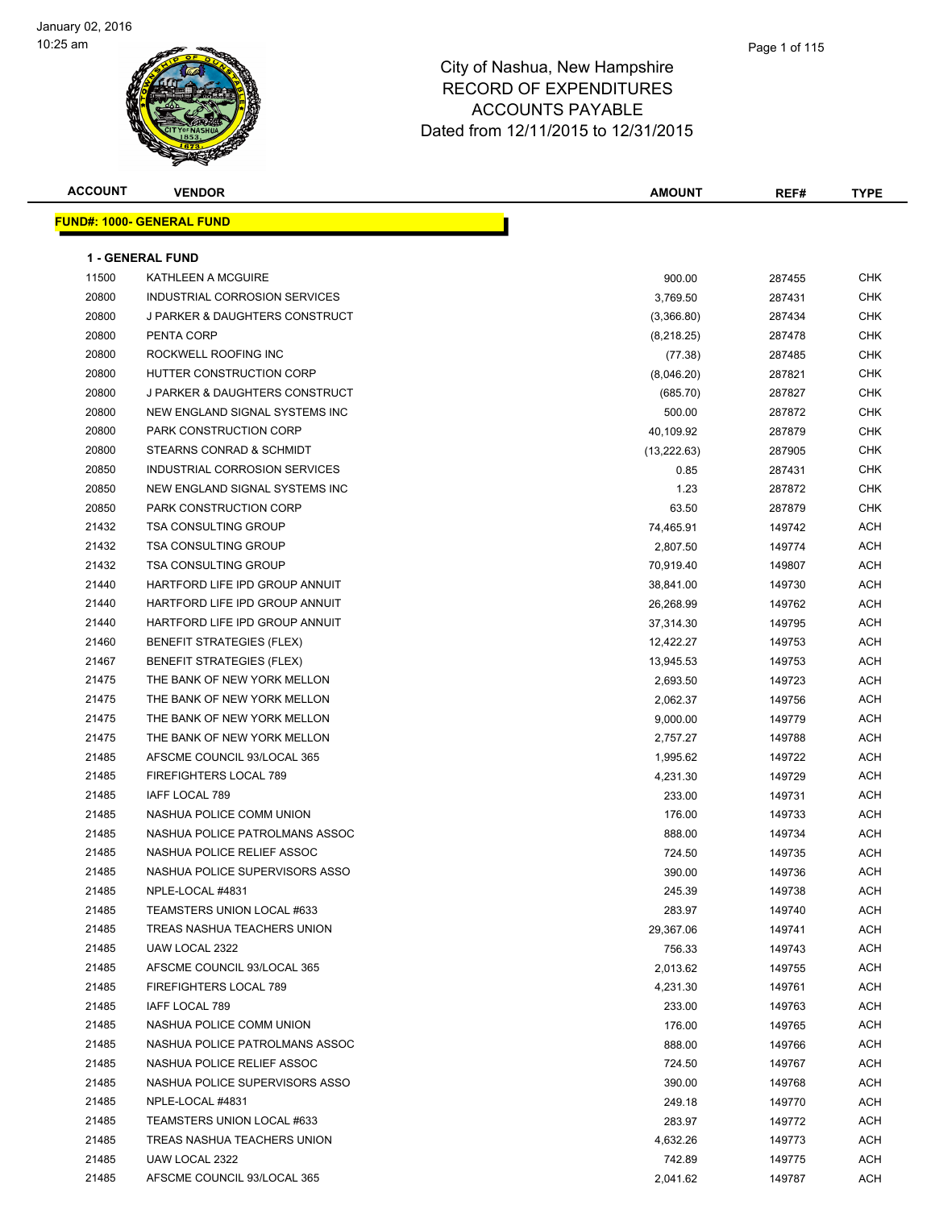

| <b>ACCOUNT</b> | <b>VENDOR</b>                     | <b>AMOUNT</b> | REF#   | <b>TYPE</b> |
|----------------|-----------------------------------|---------------|--------|-------------|
|                | <u> FUND#: 1000- GENERAL FUND</u> |               |        |             |
|                |                                   |               |        |             |
|                | <b>1 - GENERAL FUND</b>           |               |        |             |
| 11500          | KATHLEEN A MCGUIRE                | 900.00        | 287455 | CHK         |
| 20800          | INDUSTRIAL CORROSION SERVICES     | 3,769.50      | 287431 | <b>CHK</b>  |
| 20800          | J PARKER & DAUGHTERS CONSTRUCT    | (3,366.80)    | 287434 | CHK         |
| 20800          | PENTA CORP                        | (8,218.25)    | 287478 | CHK         |
| 20800          | ROCKWELL ROOFING INC              | (77.38)       | 287485 | CHK         |
| 20800          | HUTTER CONSTRUCTION CORP          | (8,046.20)    | 287821 | CHK         |
| 20800          | J PARKER & DAUGHTERS CONSTRUCT    | (685.70)      | 287827 | CHK         |
| 20800          | NEW ENGLAND SIGNAL SYSTEMS INC    | 500.00        | 287872 | CHK         |
| 20800          | PARK CONSTRUCTION CORP            | 40,109.92     | 287879 | CHK         |
| 20800          | STEARNS CONRAD & SCHMIDT          | (13, 222.63)  | 287905 | CHK         |
| 20850          | INDUSTRIAL CORROSION SERVICES     | 0.85          | 287431 | CHK         |
| 20850          | NEW ENGLAND SIGNAL SYSTEMS INC    | 1.23          | 287872 | CHK         |
| 20850          | PARK CONSTRUCTION CORP            | 63.50         | 287879 | CHK         |
| 21432          | <b>TSA CONSULTING GROUP</b>       | 74,465.91     | 149742 | ACH         |
| 21432          | <b>TSA CONSULTING GROUP</b>       | 2,807.50      | 149774 | ACH         |
| 21432          | <b>TSA CONSULTING GROUP</b>       | 70,919.40     | 149807 | ACH         |
| 21440          | HARTFORD LIFE IPD GROUP ANNUIT    | 38,841.00     | 149730 | ACH         |
| 21440          | HARTFORD LIFE IPD GROUP ANNUIT    | 26,268.99     | 149762 | ACH         |
| 21440          | HARTFORD LIFE IPD GROUP ANNUIT    | 37,314.30     | 149795 | ACH         |
| 21460          | <b>BENEFIT STRATEGIES (FLEX)</b>  | 12,422.27     | 149753 | ACH         |
| 21467          | <b>BENEFIT STRATEGIES (FLEX)</b>  | 13,945.53     | 149753 | ACH         |
| 21475          | THE BANK OF NEW YORK MELLON       | 2,693.50      | 149723 | ACH         |
| 21475          | THE BANK OF NEW YORK MELLON       | 2,062.37      | 149756 | ACH         |
| 21475          | THE BANK OF NEW YORK MELLON       | 9,000.00      | 149779 | <b>ACH</b>  |
| 21475          | THE BANK OF NEW YORK MELLON       | 2,757.27      | 149788 | ACH         |
| 21485          | AFSCME COUNCIL 93/LOCAL 365       | 1,995.62      | 149722 | ACH         |
| 21485          | FIREFIGHTERS LOCAL 789            | 4,231.30      | 149729 | ACH         |
| 21485          | IAFF LOCAL 789                    | 233.00        | 149731 | ACH         |
| 21485          | NASHUA POLICE COMM UNION          | 176.00        | 149733 | ACH         |
| 21485          | NASHUA POLICE PATROLMANS ASSOC    | 888.00        | 149734 | ACH         |
| 21485          | NASHUA POLICE RELIEF ASSOC        | 724.50        | 149735 | ACH         |
| 21485          | NASHUA POLICE SUPERVISORS ASSO    | 390.00        | 149736 | ACH         |
| 21485          | NPLE-LOCAL #4831                  | 245.39        | 149738 | ACH         |
| 21485          | TEAMSTERS UNION LOCAL #633        | 283.97        | 149740 | ACH         |
| 21485          | TREAS NASHUA TEACHERS UNION       | 29,367.06     | 149741 | ACH         |
| 21485          | UAW LOCAL 2322                    | 756.33        | 149743 | ACH         |
| 21485          | AFSCME COUNCIL 93/LOCAL 365       | 2,013.62      | 149755 | ACH         |
| 21485          | FIREFIGHTERS LOCAL 789            | 4,231.30      | 149761 | ACH         |
| 21485          | IAFF LOCAL 789                    | 233.00        | 149763 | ACH         |
| 21485          | NASHUA POLICE COMM UNION          | 176.00        | 149765 | ACH         |
| 21485          | NASHUA POLICE PATROLMANS ASSOC    | 888.00        | 149766 | ACH         |
| 21485          | NASHUA POLICE RELIEF ASSOC        | 724.50        | 149767 | ACH         |
| 21485          | NASHUA POLICE SUPERVISORS ASSO    | 390.00        | 149768 | ACH         |
| 21485          | NPLE-LOCAL #4831                  | 249.18        | 149770 | ACH         |
| 21485          | TEAMSTERS UNION LOCAL #633        | 283.97        | 149772 | ACH         |
| 21485          | TREAS NASHUA TEACHERS UNION       | 4,632.26      | 149773 | ACH         |
| 21485          | UAW LOCAL 2322                    | 742.89        | 149775 | ACH         |
| 21485          | AFSCME COUNCIL 93/LOCAL 365       | 2,041.62      | 149787 | ACH         |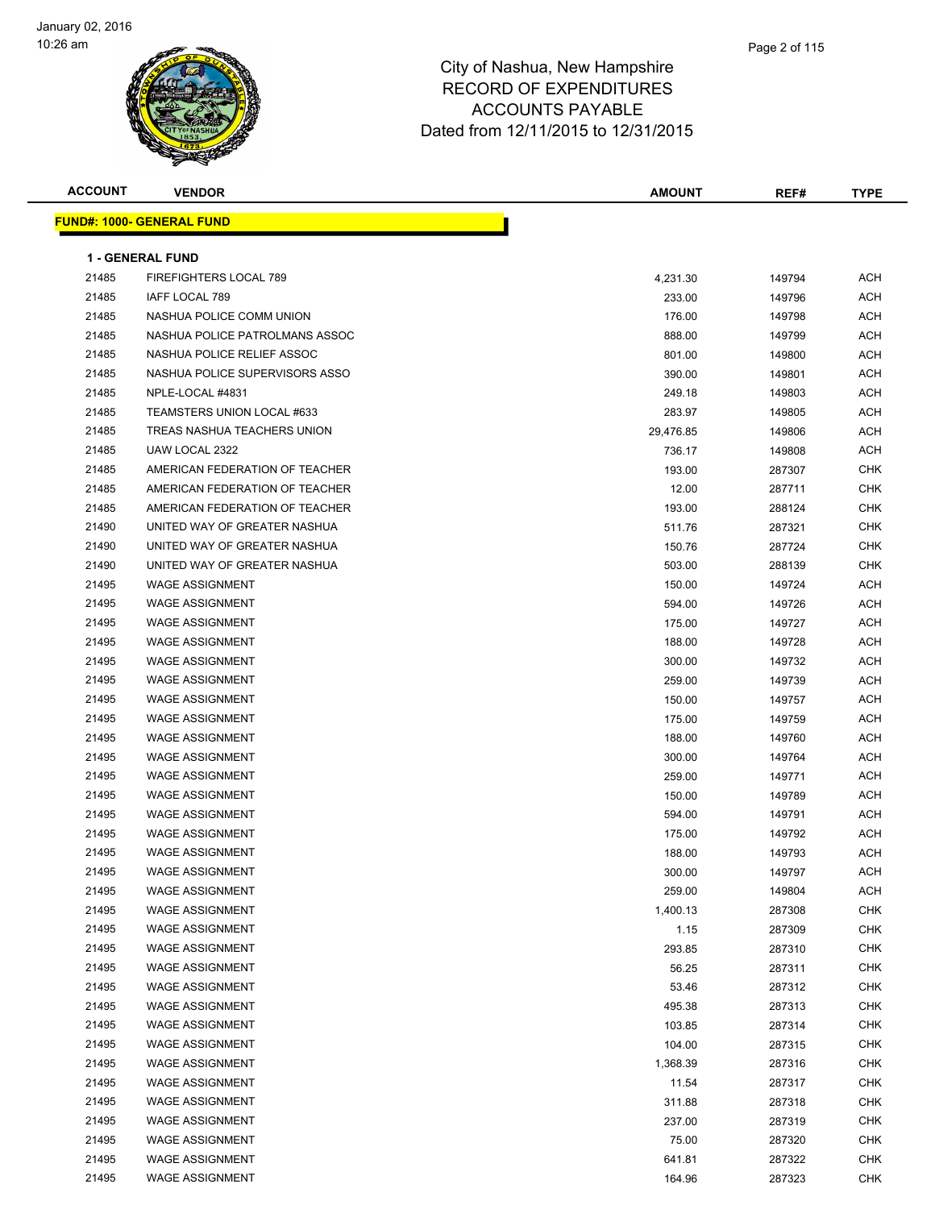

| <b>FUND#: 1000- GENERAL FUND</b><br><b>1 - GENERAL FUND</b><br>21485<br>FIREFIGHTERS LOCAL 789<br>4,231.30<br>149794<br>ACH<br>21485<br>IAFF LOCAL 789<br>ACH<br>233.00<br>149796<br>21485<br>NASHUA POLICE COMM UNION<br>176.00<br>149798<br>ACH<br>21485<br>NASHUA POLICE PATROLMANS ASSOC<br><b>ACH</b><br>888.00<br>149799<br>21485<br>NASHUA POLICE RELIEF ASSOC<br>801.00<br>149800<br>ACH<br>21485<br>NASHUA POLICE SUPERVISORS ASSO<br>ACH<br>390.00<br>149801<br>21485<br>NPLE-LOCAL #4831<br>249.18<br><b>ACH</b><br>149803<br>21485<br>TEAMSTERS UNION LOCAL #633<br><b>ACH</b><br>283.97<br>149805<br>21485<br>TREAS NASHUA TEACHERS UNION<br>29,476.85<br>149806<br><b>ACH</b><br>21485<br>UAW LOCAL 2322<br>ACH<br>736.17<br>149808<br>21485<br>AMERICAN FEDERATION OF TEACHER<br><b>CHK</b><br>193.00<br>287307<br>21485<br>12.00<br><b>CHK</b><br>AMERICAN FEDERATION OF TEACHER<br>287711<br>21485<br>AMERICAN FEDERATION OF TEACHER<br>CHK<br>193.00<br>288124<br>21490<br>UNITED WAY OF GREATER NASHUA<br>511.76<br>287321<br>CHK<br>21490<br>UNITED WAY OF GREATER NASHUA<br>CHK<br>150.76<br>287724<br>21490<br>UNITED WAY OF GREATER NASHUA<br>503.00<br>288139<br>CHK<br>21495<br><b>WAGE ASSIGNMENT</b><br>ACH<br>150.00<br>149724<br>21495<br><b>WAGE ASSIGNMENT</b><br>594.00<br>149726<br>ACH<br>21495<br><b>WAGE ASSIGNMENT</b><br><b>ACH</b><br>175.00<br>149727<br>21495<br><b>WAGE ASSIGNMENT</b><br>188.00<br>149728<br><b>ACH</b><br>21495<br><b>WAGE ASSIGNMENT</b><br>ACH<br>300.00<br>149732<br>21495<br><b>WAGE ASSIGNMENT</b><br>259.00<br>149739<br>ACH<br>21495<br><b>WAGE ASSIGNMENT</b><br>ACH<br>150.00<br>149757<br>21495<br><b>WAGE ASSIGNMENT</b><br>175.00<br>149759<br><b>ACH</b><br>21495<br><b>WAGE ASSIGNMENT</b><br><b>ACH</b><br>188.00<br>149760<br>21495<br><b>WAGE ASSIGNMENT</b><br><b>ACH</b><br>300.00<br>149764<br>21495<br><b>WAGE ASSIGNMENT</b><br>259.00<br>149771<br>ACH<br>21495<br><b>WAGE ASSIGNMENT</b><br>ACH<br>150.00<br>149789<br>21495<br><b>WAGE ASSIGNMENT</b><br><b>ACH</b><br>594.00<br>149791<br>21495<br><b>WAGE ASSIGNMENT</b><br><b>ACH</b><br>175.00<br>149792<br>21495<br><b>WAGE ASSIGNMENT</b><br>188.00<br>149793<br>ACH<br>WAGE ASSIGNMENT<br>21495<br>300.00<br>149797<br>ACH<br>21495<br><b>WAGE ASSIGNMENT</b><br><b>ACH</b><br>259.00<br>149804<br>21495<br><b>WAGE ASSIGNMENT</b><br><b>CHK</b><br>1,400.13<br>287308<br>21495<br><b>WAGE ASSIGNMENT</b><br>1.15<br>287309<br>CHK<br>21495<br><b>CHK</b><br><b>WAGE ASSIGNMENT</b><br>293.85<br>287310<br>21495<br><b>WAGE ASSIGNMENT</b><br><b>CHK</b><br>56.25<br>287311<br>21495<br><b>WAGE ASSIGNMENT</b><br>53.46<br>CHK<br>287312<br>21495<br><b>WAGE ASSIGNMENT</b><br><b>CHK</b><br>495.38<br>287313<br>21495<br><b>WAGE ASSIGNMENT</b><br>CHK<br>103.85<br>287314<br>21495<br><b>WAGE ASSIGNMENT</b><br>104.00<br>CHK<br>287315<br>21495<br><b>WAGE ASSIGNMENT</b><br>1,368.39<br>287316<br>CHK<br>21495<br><b>WAGE ASSIGNMENT</b><br>11.54<br>CHK<br>287317<br>21495<br>311.88<br><b>CHK</b><br><b>WAGE ASSIGNMENT</b><br>287318<br>21495<br><b>WAGE ASSIGNMENT</b><br><b>CHK</b><br>237.00<br>287319<br>21495<br><b>WAGE ASSIGNMENT</b><br>75.00<br>287320<br>CHK<br>21495<br><b>WAGE ASSIGNMENT</b><br>641.81<br>CHK<br>287322<br>21495<br><b>WAGE ASSIGNMENT</b><br>164.96<br>287323<br><b>CHK</b> | <b>ACCOUNT</b> | <b>VENDOR</b> | <b>AMOUNT</b> | REF# | <b>TYPE</b> |
|--------------------------------------------------------------------------------------------------------------------------------------------------------------------------------------------------------------------------------------------------------------------------------------------------------------------------------------------------------------------------------------------------------------------------------------------------------------------------------------------------------------------------------------------------------------------------------------------------------------------------------------------------------------------------------------------------------------------------------------------------------------------------------------------------------------------------------------------------------------------------------------------------------------------------------------------------------------------------------------------------------------------------------------------------------------------------------------------------------------------------------------------------------------------------------------------------------------------------------------------------------------------------------------------------------------------------------------------------------------------------------------------------------------------------------------------------------------------------------------------------------------------------------------------------------------------------------------------------------------------------------------------------------------------------------------------------------------------------------------------------------------------------------------------------------------------------------------------------------------------------------------------------------------------------------------------------------------------------------------------------------------------------------------------------------------------------------------------------------------------------------------------------------------------------------------------------------------------------------------------------------------------------------------------------------------------------------------------------------------------------------------------------------------------------------------------------------------------------------------------------------------------------------------------------------------------------------------------------------------------------------------------------------------------------------------------------------------------------------------------------------------------------------------------------------------------------------------------------------------------------------------------------------------------------------------------------------------------------------------------------------------------------------------------------------------------------------------------------------------------------------------------------------------------------------------------------------------------------------------------------------------------------------------------------------------------------------------------------------------|----------------|---------------|---------------|------|-------------|
|                                                                                                                                                                                                                                                                                                                                                                                                                                                                                                                                                                                                                                                                                                                                                                                                                                                                                                                                                                                                                                                                                                                                                                                                                                                                                                                                                                                                                                                                                                                                                                                                                                                                                                                                                                                                                                                                                                                                                                                                                                                                                                                                                                                                                                                                                                                                                                                                                                                                                                                                                                                                                                                                                                                                                                                                                                                                                                                                                                                                                                                                                                                                                                                                                                                                                                                                                              |                |               |               |      |             |
|                                                                                                                                                                                                                                                                                                                                                                                                                                                                                                                                                                                                                                                                                                                                                                                                                                                                                                                                                                                                                                                                                                                                                                                                                                                                                                                                                                                                                                                                                                                                                                                                                                                                                                                                                                                                                                                                                                                                                                                                                                                                                                                                                                                                                                                                                                                                                                                                                                                                                                                                                                                                                                                                                                                                                                                                                                                                                                                                                                                                                                                                                                                                                                                                                                                                                                                                                              |                |               |               |      |             |
|                                                                                                                                                                                                                                                                                                                                                                                                                                                                                                                                                                                                                                                                                                                                                                                                                                                                                                                                                                                                                                                                                                                                                                                                                                                                                                                                                                                                                                                                                                                                                                                                                                                                                                                                                                                                                                                                                                                                                                                                                                                                                                                                                                                                                                                                                                                                                                                                                                                                                                                                                                                                                                                                                                                                                                                                                                                                                                                                                                                                                                                                                                                                                                                                                                                                                                                                                              |                |               |               |      |             |
|                                                                                                                                                                                                                                                                                                                                                                                                                                                                                                                                                                                                                                                                                                                                                                                                                                                                                                                                                                                                                                                                                                                                                                                                                                                                                                                                                                                                                                                                                                                                                                                                                                                                                                                                                                                                                                                                                                                                                                                                                                                                                                                                                                                                                                                                                                                                                                                                                                                                                                                                                                                                                                                                                                                                                                                                                                                                                                                                                                                                                                                                                                                                                                                                                                                                                                                                                              |                |               |               |      |             |
|                                                                                                                                                                                                                                                                                                                                                                                                                                                                                                                                                                                                                                                                                                                                                                                                                                                                                                                                                                                                                                                                                                                                                                                                                                                                                                                                                                                                                                                                                                                                                                                                                                                                                                                                                                                                                                                                                                                                                                                                                                                                                                                                                                                                                                                                                                                                                                                                                                                                                                                                                                                                                                                                                                                                                                                                                                                                                                                                                                                                                                                                                                                                                                                                                                                                                                                                                              |                |               |               |      |             |
|                                                                                                                                                                                                                                                                                                                                                                                                                                                                                                                                                                                                                                                                                                                                                                                                                                                                                                                                                                                                                                                                                                                                                                                                                                                                                                                                                                                                                                                                                                                                                                                                                                                                                                                                                                                                                                                                                                                                                                                                                                                                                                                                                                                                                                                                                                                                                                                                                                                                                                                                                                                                                                                                                                                                                                                                                                                                                                                                                                                                                                                                                                                                                                                                                                                                                                                                                              |                |               |               |      |             |
|                                                                                                                                                                                                                                                                                                                                                                                                                                                                                                                                                                                                                                                                                                                                                                                                                                                                                                                                                                                                                                                                                                                                                                                                                                                                                                                                                                                                                                                                                                                                                                                                                                                                                                                                                                                                                                                                                                                                                                                                                                                                                                                                                                                                                                                                                                                                                                                                                                                                                                                                                                                                                                                                                                                                                                                                                                                                                                                                                                                                                                                                                                                                                                                                                                                                                                                                                              |                |               |               |      |             |
|                                                                                                                                                                                                                                                                                                                                                                                                                                                                                                                                                                                                                                                                                                                                                                                                                                                                                                                                                                                                                                                                                                                                                                                                                                                                                                                                                                                                                                                                                                                                                                                                                                                                                                                                                                                                                                                                                                                                                                                                                                                                                                                                                                                                                                                                                                                                                                                                                                                                                                                                                                                                                                                                                                                                                                                                                                                                                                                                                                                                                                                                                                                                                                                                                                                                                                                                                              |                |               |               |      |             |
|                                                                                                                                                                                                                                                                                                                                                                                                                                                                                                                                                                                                                                                                                                                                                                                                                                                                                                                                                                                                                                                                                                                                                                                                                                                                                                                                                                                                                                                                                                                                                                                                                                                                                                                                                                                                                                                                                                                                                                                                                                                                                                                                                                                                                                                                                                                                                                                                                                                                                                                                                                                                                                                                                                                                                                                                                                                                                                                                                                                                                                                                                                                                                                                                                                                                                                                                                              |                |               |               |      |             |
|                                                                                                                                                                                                                                                                                                                                                                                                                                                                                                                                                                                                                                                                                                                                                                                                                                                                                                                                                                                                                                                                                                                                                                                                                                                                                                                                                                                                                                                                                                                                                                                                                                                                                                                                                                                                                                                                                                                                                                                                                                                                                                                                                                                                                                                                                                                                                                                                                                                                                                                                                                                                                                                                                                                                                                                                                                                                                                                                                                                                                                                                                                                                                                                                                                                                                                                                                              |                |               |               |      |             |
|                                                                                                                                                                                                                                                                                                                                                                                                                                                                                                                                                                                                                                                                                                                                                                                                                                                                                                                                                                                                                                                                                                                                                                                                                                                                                                                                                                                                                                                                                                                                                                                                                                                                                                                                                                                                                                                                                                                                                                                                                                                                                                                                                                                                                                                                                                                                                                                                                                                                                                                                                                                                                                                                                                                                                                                                                                                                                                                                                                                                                                                                                                                                                                                                                                                                                                                                                              |                |               |               |      |             |
|                                                                                                                                                                                                                                                                                                                                                                                                                                                                                                                                                                                                                                                                                                                                                                                                                                                                                                                                                                                                                                                                                                                                                                                                                                                                                                                                                                                                                                                                                                                                                                                                                                                                                                                                                                                                                                                                                                                                                                                                                                                                                                                                                                                                                                                                                                                                                                                                                                                                                                                                                                                                                                                                                                                                                                                                                                                                                                                                                                                                                                                                                                                                                                                                                                                                                                                                                              |                |               |               |      |             |
|                                                                                                                                                                                                                                                                                                                                                                                                                                                                                                                                                                                                                                                                                                                                                                                                                                                                                                                                                                                                                                                                                                                                                                                                                                                                                                                                                                                                                                                                                                                                                                                                                                                                                                                                                                                                                                                                                                                                                                                                                                                                                                                                                                                                                                                                                                                                                                                                                                                                                                                                                                                                                                                                                                                                                                                                                                                                                                                                                                                                                                                                                                                                                                                                                                                                                                                                                              |                |               |               |      |             |
|                                                                                                                                                                                                                                                                                                                                                                                                                                                                                                                                                                                                                                                                                                                                                                                                                                                                                                                                                                                                                                                                                                                                                                                                                                                                                                                                                                                                                                                                                                                                                                                                                                                                                                                                                                                                                                                                                                                                                                                                                                                                                                                                                                                                                                                                                                                                                                                                                                                                                                                                                                                                                                                                                                                                                                                                                                                                                                                                                                                                                                                                                                                                                                                                                                                                                                                                                              |                |               |               |      |             |
|                                                                                                                                                                                                                                                                                                                                                                                                                                                                                                                                                                                                                                                                                                                                                                                                                                                                                                                                                                                                                                                                                                                                                                                                                                                                                                                                                                                                                                                                                                                                                                                                                                                                                                                                                                                                                                                                                                                                                                                                                                                                                                                                                                                                                                                                                                                                                                                                                                                                                                                                                                                                                                                                                                                                                                                                                                                                                                                                                                                                                                                                                                                                                                                                                                                                                                                                                              |                |               |               |      |             |
|                                                                                                                                                                                                                                                                                                                                                                                                                                                                                                                                                                                                                                                                                                                                                                                                                                                                                                                                                                                                                                                                                                                                                                                                                                                                                                                                                                                                                                                                                                                                                                                                                                                                                                                                                                                                                                                                                                                                                                                                                                                                                                                                                                                                                                                                                                                                                                                                                                                                                                                                                                                                                                                                                                                                                                                                                                                                                                                                                                                                                                                                                                                                                                                                                                                                                                                                                              |                |               |               |      |             |
|                                                                                                                                                                                                                                                                                                                                                                                                                                                                                                                                                                                                                                                                                                                                                                                                                                                                                                                                                                                                                                                                                                                                                                                                                                                                                                                                                                                                                                                                                                                                                                                                                                                                                                                                                                                                                                                                                                                                                                                                                                                                                                                                                                                                                                                                                                                                                                                                                                                                                                                                                                                                                                                                                                                                                                                                                                                                                                                                                                                                                                                                                                                                                                                                                                                                                                                                                              |                |               |               |      |             |
|                                                                                                                                                                                                                                                                                                                                                                                                                                                                                                                                                                                                                                                                                                                                                                                                                                                                                                                                                                                                                                                                                                                                                                                                                                                                                                                                                                                                                                                                                                                                                                                                                                                                                                                                                                                                                                                                                                                                                                                                                                                                                                                                                                                                                                                                                                                                                                                                                                                                                                                                                                                                                                                                                                                                                                                                                                                                                                                                                                                                                                                                                                                                                                                                                                                                                                                                                              |                |               |               |      |             |
|                                                                                                                                                                                                                                                                                                                                                                                                                                                                                                                                                                                                                                                                                                                                                                                                                                                                                                                                                                                                                                                                                                                                                                                                                                                                                                                                                                                                                                                                                                                                                                                                                                                                                                                                                                                                                                                                                                                                                                                                                                                                                                                                                                                                                                                                                                                                                                                                                                                                                                                                                                                                                                                                                                                                                                                                                                                                                                                                                                                                                                                                                                                                                                                                                                                                                                                                                              |                |               |               |      |             |
|                                                                                                                                                                                                                                                                                                                                                                                                                                                                                                                                                                                                                                                                                                                                                                                                                                                                                                                                                                                                                                                                                                                                                                                                                                                                                                                                                                                                                                                                                                                                                                                                                                                                                                                                                                                                                                                                                                                                                                                                                                                                                                                                                                                                                                                                                                                                                                                                                                                                                                                                                                                                                                                                                                                                                                                                                                                                                                                                                                                                                                                                                                                                                                                                                                                                                                                                                              |                |               |               |      |             |
|                                                                                                                                                                                                                                                                                                                                                                                                                                                                                                                                                                                                                                                                                                                                                                                                                                                                                                                                                                                                                                                                                                                                                                                                                                                                                                                                                                                                                                                                                                                                                                                                                                                                                                                                                                                                                                                                                                                                                                                                                                                                                                                                                                                                                                                                                                                                                                                                                                                                                                                                                                                                                                                                                                                                                                                                                                                                                                                                                                                                                                                                                                                                                                                                                                                                                                                                                              |                |               |               |      |             |
|                                                                                                                                                                                                                                                                                                                                                                                                                                                                                                                                                                                                                                                                                                                                                                                                                                                                                                                                                                                                                                                                                                                                                                                                                                                                                                                                                                                                                                                                                                                                                                                                                                                                                                                                                                                                                                                                                                                                                                                                                                                                                                                                                                                                                                                                                                                                                                                                                                                                                                                                                                                                                                                                                                                                                                                                                                                                                                                                                                                                                                                                                                                                                                                                                                                                                                                                                              |                |               |               |      |             |
|                                                                                                                                                                                                                                                                                                                                                                                                                                                                                                                                                                                                                                                                                                                                                                                                                                                                                                                                                                                                                                                                                                                                                                                                                                                                                                                                                                                                                                                                                                                                                                                                                                                                                                                                                                                                                                                                                                                                                                                                                                                                                                                                                                                                                                                                                                                                                                                                                                                                                                                                                                                                                                                                                                                                                                                                                                                                                                                                                                                                                                                                                                                                                                                                                                                                                                                                                              |                |               |               |      |             |
|                                                                                                                                                                                                                                                                                                                                                                                                                                                                                                                                                                                                                                                                                                                                                                                                                                                                                                                                                                                                                                                                                                                                                                                                                                                                                                                                                                                                                                                                                                                                                                                                                                                                                                                                                                                                                                                                                                                                                                                                                                                                                                                                                                                                                                                                                                                                                                                                                                                                                                                                                                                                                                                                                                                                                                                                                                                                                                                                                                                                                                                                                                                                                                                                                                                                                                                                                              |                |               |               |      |             |
|                                                                                                                                                                                                                                                                                                                                                                                                                                                                                                                                                                                                                                                                                                                                                                                                                                                                                                                                                                                                                                                                                                                                                                                                                                                                                                                                                                                                                                                                                                                                                                                                                                                                                                                                                                                                                                                                                                                                                                                                                                                                                                                                                                                                                                                                                                                                                                                                                                                                                                                                                                                                                                                                                                                                                                                                                                                                                                                                                                                                                                                                                                                                                                                                                                                                                                                                                              |                |               |               |      |             |
|                                                                                                                                                                                                                                                                                                                                                                                                                                                                                                                                                                                                                                                                                                                                                                                                                                                                                                                                                                                                                                                                                                                                                                                                                                                                                                                                                                                                                                                                                                                                                                                                                                                                                                                                                                                                                                                                                                                                                                                                                                                                                                                                                                                                                                                                                                                                                                                                                                                                                                                                                                                                                                                                                                                                                                                                                                                                                                                                                                                                                                                                                                                                                                                                                                                                                                                                                              |                |               |               |      |             |
|                                                                                                                                                                                                                                                                                                                                                                                                                                                                                                                                                                                                                                                                                                                                                                                                                                                                                                                                                                                                                                                                                                                                                                                                                                                                                                                                                                                                                                                                                                                                                                                                                                                                                                                                                                                                                                                                                                                                                                                                                                                                                                                                                                                                                                                                                                                                                                                                                                                                                                                                                                                                                                                                                                                                                                                                                                                                                                                                                                                                                                                                                                                                                                                                                                                                                                                                                              |                |               |               |      |             |
|                                                                                                                                                                                                                                                                                                                                                                                                                                                                                                                                                                                                                                                                                                                                                                                                                                                                                                                                                                                                                                                                                                                                                                                                                                                                                                                                                                                                                                                                                                                                                                                                                                                                                                                                                                                                                                                                                                                                                                                                                                                                                                                                                                                                                                                                                                                                                                                                                                                                                                                                                                                                                                                                                                                                                                                                                                                                                                                                                                                                                                                                                                                                                                                                                                                                                                                                                              |                |               |               |      |             |
|                                                                                                                                                                                                                                                                                                                                                                                                                                                                                                                                                                                                                                                                                                                                                                                                                                                                                                                                                                                                                                                                                                                                                                                                                                                                                                                                                                                                                                                                                                                                                                                                                                                                                                                                                                                                                                                                                                                                                                                                                                                                                                                                                                                                                                                                                                                                                                                                                                                                                                                                                                                                                                                                                                                                                                                                                                                                                                                                                                                                                                                                                                                                                                                                                                                                                                                                                              |                |               |               |      |             |
|                                                                                                                                                                                                                                                                                                                                                                                                                                                                                                                                                                                                                                                                                                                                                                                                                                                                                                                                                                                                                                                                                                                                                                                                                                                                                                                                                                                                                                                                                                                                                                                                                                                                                                                                                                                                                                                                                                                                                                                                                                                                                                                                                                                                                                                                                                                                                                                                                                                                                                                                                                                                                                                                                                                                                                                                                                                                                                                                                                                                                                                                                                                                                                                                                                                                                                                                                              |                |               |               |      |             |
|                                                                                                                                                                                                                                                                                                                                                                                                                                                                                                                                                                                                                                                                                                                                                                                                                                                                                                                                                                                                                                                                                                                                                                                                                                                                                                                                                                                                                                                                                                                                                                                                                                                                                                                                                                                                                                                                                                                                                                                                                                                                                                                                                                                                                                                                                                                                                                                                                                                                                                                                                                                                                                                                                                                                                                                                                                                                                                                                                                                                                                                                                                                                                                                                                                                                                                                                                              |                |               |               |      |             |
|                                                                                                                                                                                                                                                                                                                                                                                                                                                                                                                                                                                                                                                                                                                                                                                                                                                                                                                                                                                                                                                                                                                                                                                                                                                                                                                                                                                                                                                                                                                                                                                                                                                                                                                                                                                                                                                                                                                                                                                                                                                                                                                                                                                                                                                                                                                                                                                                                                                                                                                                                                                                                                                                                                                                                                                                                                                                                                                                                                                                                                                                                                                                                                                                                                                                                                                                                              |                |               |               |      |             |
|                                                                                                                                                                                                                                                                                                                                                                                                                                                                                                                                                                                                                                                                                                                                                                                                                                                                                                                                                                                                                                                                                                                                                                                                                                                                                                                                                                                                                                                                                                                                                                                                                                                                                                                                                                                                                                                                                                                                                                                                                                                                                                                                                                                                                                                                                                                                                                                                                                                                                                                                                                                                                                                                                                                                                                                                                                                                                                                                                                                                                                                                                                                                                                                                                                                                                                                                                              |                |               |               |      |             |
|                                                                                                                                                                                                                                                                                                                                                                                                                                                                                                                                                                                                                                                                                                                                                                                                                                                                                                                                                                                                                                                                                                                                                                                                                                                                                                                                                                                                                                                                                                                                                                                                                                                                                                                                                                                                                                                                                                                                                                                                                                                                                                                                                                                                                                                                                                                                                                                                                                                                                                                                                                                                                                                                                                                                                                                                                                                                                                                                                                                                                                                                                                                                                                                                                                                                                                                                                              |                |               |               |      |             |
|                                                                                                                                                                                                                                                                                                                                                                                                                                                                                                                                                                                                                                                                                                                                                                                                                                                                                                                                                                                                                                                                                                                                                                                                                                                                                                                                                                                                                                                                                                                                                                                                                                                                                                                                                                                                                                                                                                                                                                                                                                                                                                                                                                                                                                                                                                                                                                                                                                                                                                                                                                                                                                                                                                                                                                                                                                                                                                                                                                                                                                                                                                                                                                                                                                                                                                                                                              |                |               |               |      |             |
|                                                                                                                                                                                                                                                                                                                                                                                                                                                                                                                                                                                                                                                                                                                                                                                                                                                                                                                                                                                                                                                                                                                                                                                                                                                                                                                                                                                                                                                                                                                                                                                                                                                                                                                                                                                                                                                                                                                                                                                                                                                                                                                                                                                                                                                                                                                                                                                                                                                                                                                                                                                                                                                                                                                                                                                                                                                                                                                                                                                                                                                                                                                                                                                                                                                                                                                                                              |                |               |               |      |             |
|                                                                                                                                                                                                                                                                                                                                                                                                                                                                                                                                                                                                                                                                                                                                                                                                                                                                                                                                                                                                                                                                                                                                                                                                                                                                                                                                                                                                                                                                                                                                                                                                                                                                                                                                                                                                                                                                                                                                                                                                                                                                                                                                                                                                                                                                                                                                                                                                                                                                                                                                                                                                                                                                                                                                                                                                                                                                                                                                                                                                                                                                                                                                                                                                                                                                                                                                                              |                |               |               |      |             |
|                                                                                                                                                                                                                                                                                                                                                                                                                                                                                                                                                                                                                                                                                                                                                                                                                                                                                                                                                                                                                                                                                                                                                                                                                                                                                                                                                                                                                                                                                                                                                                                                                                                                                                                                                                                                                                                                                                                                                                                                                                                                                                                                                                                                                                                                                                                                                                                                                                                                                                                                                                                                                                                                                                                                                                                                                                                                                                                                                                                                                                                                                                                                                                                                                                                                                                                                                              |                |               |               |      |             |
|                                                                                                                                                                                                                                                                                                                                                                                                                                                                                                                                                                                                                                                                                                                                                                                                                                                                                                                                                                                                                                                                                                                                                                                                                                                                                                                                                                                                                                                                                                                                                                                                                                                                                                                                                                                                                                                                                                                                                                                                                                                                                                                                                                                                                                                                                                                                                                                                                                                                                                                                                                                                                                                                                                                                                                                                                                                                                                                                                                                                                                                                                                                                                                                                                                                                                                                                                              |                |               |               |      |             |
|                                                                                                                                                                                                                                                                                                                                                                                                                                                                                                                                                                                                                                                                                                                                                                                                                                                                                                                                                                                                                                                                                                                                                                                                                                                                                                                                                                                                                                                                                                                                                                                                                                                                                                                                                                                                                                                                                                                                                                                                                                                                                                                                                                                                                                                                                                                                                                                                                                                                                                                                                                                                                                                                                                                                                                                                                                                                                                                                                                                                                                                                                                                                                                                                                                                                                                                                                              |                |               |               |      |             |
|                                                                                                                                                                                                                                                                                                                                                                                                                                                                                                                                                                                                                                                                                                                                                                                                                                                                                                                                                                                                                                                                                                                                                                                                                                                                                                                                                                                                                                                                                                                                                                                                                                                                                                                                                                                                                                                                                                                                                                                                                                                                                                                                                                                                                                                                                                                                                                                                                                                                                                                                                                                                                                                                                                                                                                                                                                                                                                                                                                                                                                                                                                                                                                                                                                                                                                                                                              |                |               |               |      |             |
|                                                                                                                                                                                                                                                                                                                                                                                                                                                                                                                                                                                                                                                                                                                                                                                                                                                                                                                                                                                                                                                                                                                                                                                                                                                                                                                                                                                                                                                                                                                                                                                                                                                                                                                                                                                                                                                                                                                                                                                                                                                                                                                                                                                                                                                                                                                                                                                                                                                                                                                                                                                                                                                                                                                                                                                                                                                                                                                                                                                                                                                                                                                                                                                                                                                                                                                                                              |                |               |               |      |             |
|                                                                                                                                                                                                                                                                                                                                                                                                                                                                                                                                                                                                                                                                                                                                                                                                                                                                                                                                                                                                                                                                                                                                                                                                                                                                                                                                                                                                                                                                                                                                                                                                                                                                                                                                                                                                                                                                                                                                                                                                                                                                                                                                                                                                                                                                                                                                                                                                                                                                                                                                                                                                                                                                                                                                                                                                                                                                                                                                                                                                                                                                                                                                                                                                                                                                                                                                                              |                |               |               |      |             |
|                                                                                                                                                                                                                                                                                                                                                                                                                                                                                                                                                                                                                                                                                                                                                                                                                                                                                                                                                                                                                                                                                                                                                                                                                                                                                                                                                                                                                                                                                                                                                                                                                                                                                                                                                                                                                                                                                                                                                                                                                                                                                                                                                                                                                                                                                                                                                                                                                                                                                                                                                                                                                                                                                                                                                                                                                                                                                                                                                                                                                                                                                                                                                                                                                                                                                                                                                              |                |               |               |      |             |
|                                                                                                                                                                                                                                                                                                                                                                                                                                                                                                                                                                                                                                                                                                                                                                                                                                                                                                                                                                                                                                                                                                                                                                                                                                                                                                                                                                                                                                                                                                                                                                                                                                                                                                                                                                                                                                                                                                                                                                                                                                                                                                                                                                                                                                                                                                                                                                                                                                                                                                                                                                                                                                                                                                                                                                                                                                                                                                                                                                                                                                                                                                                                                                                                                                                                                                                                                              |                |               |               |      |             |
|                                                                                                                                                                                                                                                                                                                                                                                                                                                                                                                                                                                                                                                                                                                                                                                                                                                                                                                                                                                                                                                                                                                                                                                                                                                                                                                                                                                                                                                                                                                                                                                                                                                                                                                                                                                                                                                                                                                                                                                                                                                                                                                                                                                                                                                                                                                                                                                                                                                                                                                                                                                                                                                                                                                                                                                                                                                                                                                                                                                                                                                                                                                                                                                                                                                                                                                                                              |                |               |               |      |             |
|                                                                                                                                                                                                                                                                                                                                                                                                                                                                                                                                                                                                                                                                                                                                                                                                                                                                                                                                                                                                                                                                                                                                                                                                                                                                                                                                                                                                                                                                                                                                                                                                                                                                                                                                                                                                                                                                                                                                                                                                                                                                                                                                                                                                                                                                                                                                                                                                                                                                                                                                                                                                                                                                                                                                                                                                                                                                                                                                                                                                                                                                                                                                                                                                                                                                                                                                                              |                |               |               |      |             |
|                                                                                                                                                                                                                                                                                                                                                                                                                                                                                                                                                                                                                                                                                                                                                                                                                                                                                                                                                                                                                                                                                                                                                                                                                                                                                                                                                                                                                                                                                                                                                                                                                                                                                                                                                                                                                                                                                                                                                                                                                                                                                                                                                                                                                                                                                                                                                                                                                                                                                                                                                                                                                                                                                                                                                                                                                                                                                                                                                                                                                                                                                                                                                                                                                                                                                                                                                              |                |               |               |      |             |
|                                                                                                                                                                                                                                                                                                                                                                                                                                                                                                                                                                                                                                                                                                                                                                                                                                                                                                                                                                                                                                                                                                                                                                                                                                                                                                                                                                                                                                                                                                                                                                                                                                                                                                                                                                                                                                                                                                                                                                                                                                                                                                                                                                                                                                                                                                                                                                                                                                                                                                                                                                                                                                                                                                                                                                                                                                                                                                                                                                                                                                                                                                                                                                                                                                                                                                                                                              |                |               |               |      |             |
|                                                                                                                                                                                                                                                                                                                                                                                                                                                                                                                                                                                                                                                                                                                                                                                                                                                                                                                                                                                                                                                                                                                                                                                                                                                                                                                                                                                                                                                                                                                                                                                                                                                                                                                                                                                                                                                                                                                                                                                                                                                                                                                                                                                                                                                                                                                                                                                                                                                                                                                                                                                                                                                                                                                                                                                                                                                                                                                                                                                                                                                                                                                                                                                                                                                                                                                                                              |                |               |               |      |             |
|                                                                                                                                                                                                                                                                                                                                                                                                                                                                                                                                                                                                                                                                                                                                                                                                                                                                                                                                                                                                                                                                                                                                                                                                                                                                                                                                                                                                                                                                                                                                                                                                                                                                                                                                                                                                                                                                                                                                                                                                                                                                                                                                                                                                                                                                                                                                                                                                                                                                                                                                                                                                                                                                                                                                                                                                                                                                                                                                                                                                                                                                                                                                                                                                                                                                                                                                                              |                |               |               |      |             |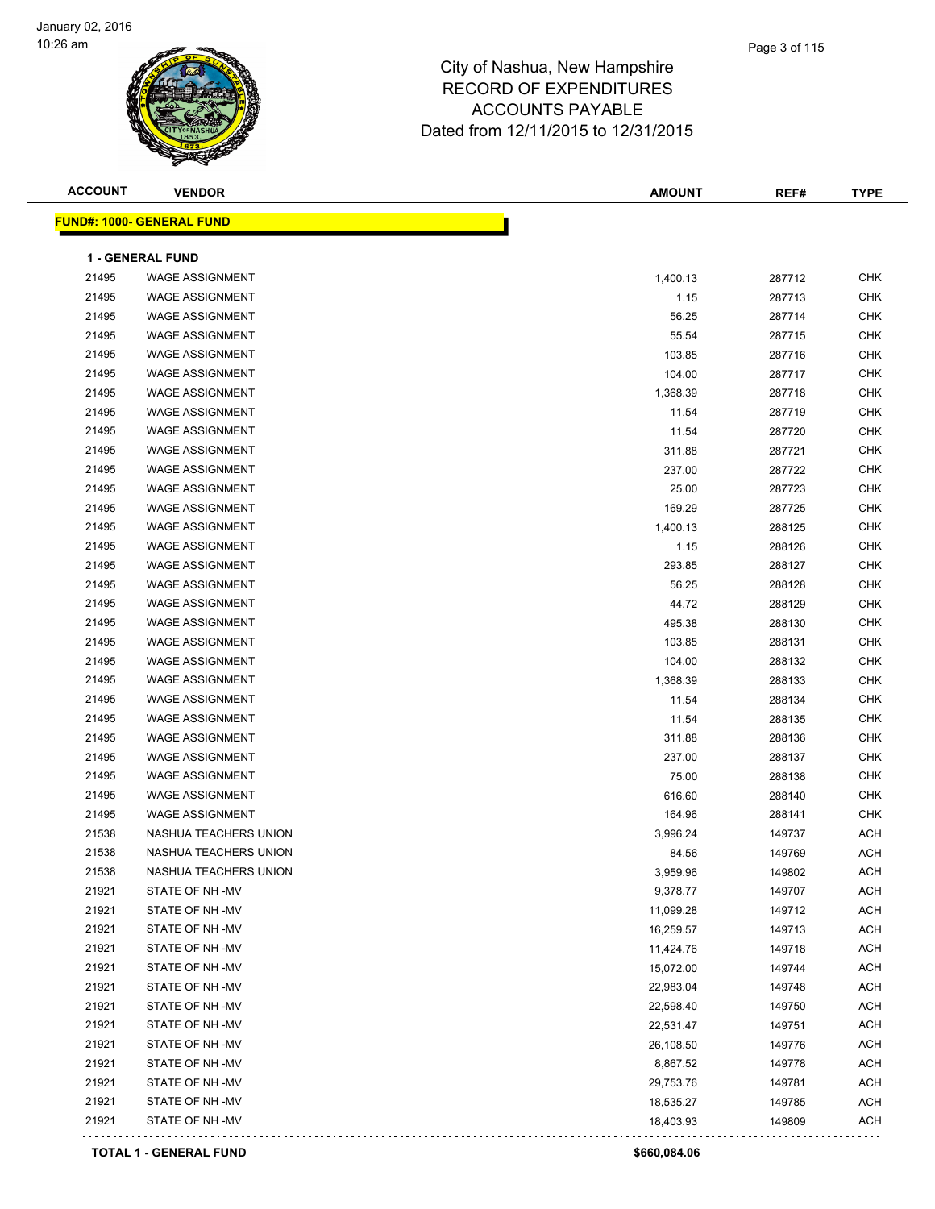

| <b>ACCOUNT</b> | <b>VENDOR</b>                     | <b>AMOUNT</b> | REF#   | <b>TYPE</b> |
|----------------|-----------------------------------|---------------|--------|-------------|
|                | <u> FUND#: 1000- GENERAL FUND</u> |               |        |             |
|                | <b>1 - GENERAL FUND</b>           |               |        |             |
| 21495          | <b>WAGE ASSIGNMENT</b>            | 1,400.13      | 287712 | <b>CHK</b>  |
| 21495          | <b>WAGE ASSIGNMENT</b>            | 1.15          | 287713 | <b>CHK</b>  |
| 21495          | <b>WAGE ASSIGNMENT</b>            | 56.25         | 287714 | <b>CHK</b>  |
| 21495          | <b>WAGE ASSIGNMENT</b>            | 55.54         | 287715 | <b>CHK</b>  |
| 21495          | <b>WAGE ASSIGNMENT</b>            | 103.85        | 287716 | <b>CHK</b>  |
| 21495          | <b>WAGE ASSIGNMENT</b>            | 104.00        | 287717 | <b>CHK</b>  |
| 21495          | <b>WAGE ASSIGNMENT</b>            | 1,368.39      | 287718 | <b>CHK</b>  |
| 21495          | <b>WAGE ASSIGNMENT</b>            | 11.54         | 287719 | <b>CHK</b>  |
| 21495          | <b>WAGE ASSIGNMENT</b>            | 11.54         | 287720 | <b>CHK</b>  |
| 21495          | <b>WAGE ASSIGNMENT</b>            | 311.88        | 287721 | <b>CHK</b>  |
| 21495          | <b>WAGE ASSIGNMENT</b>            | 237.00        | 287722 | <b>CHK</b>  |
| 21495          | <b>WAGE ASSIGNMENT</b>            | 25.00         | 287723 | <b>CHK</b>  |
| 21495          | <b>WAGE ASSIGNMENT</b>            | 169.29        | 287725 | <b>CHK</b>  |
| 21495          | <b>WAGE ASSIGNMENT</b>            | 1,400.13      | 288125 | <b>CHK</b>  |
| 21495          | <b>WAGE ASSIGNMENT</b>            | 1.15          | 288126 | <b>CHK</b>  |
| 21495          | <b>WAGE ASSIGNMENT</b>            | 293.85        | 288127 | <b>CHK</b>  |
| 21495          | <b>WAGE ASSIGNMENT</b>            | 56.25         | 288128 | <b>CHK</b>  |
| 21495          | <b>WAGE ASSIGNMENT</b>            | 44.72         | 288129 | <b>CHK</b>  |
| 21495          | <b>WAGE ASSIGNMENT</b>            | 495.38        | 288130 | <b>CHK</b>  |
| 21495          | <b>WAGE ASSIGNMENT</b>            | 103.85        | 288131 | <b>CHK</b>  |
| 21495          | <b>WAGE ASSIGNMENT</b>            | 104.00        | 288132 | CHK         |
| 21495          | <b>WAGE ASSIGNMENT</b>            | 1,368.39      | 288133 | <b>CHK</b>  |
| 21495          | <b>WAGE ASSIGNMENT</b>            | 11.54         | 288134 | <b>CHK</b>  |
| 21495          | <b>WAGE ASSIGNMENT</b>            | 11.54         | 288135 | <b>CHK</b>  |
| 21495          | <b>WAGE ASSIGNMENT</b>            | 311.88        | 288136 | <b>CHK</b>  |
| 21495          | <b>WAGE ASSIGNMENT</b>            | 237.00        | 288137 | <b>CHK</b>  |
| 21495          | <b>WAGE ASSIGNMENT</b>            | 75.00         | 288138 | <b>CHK</b>  |
| 21495          | <b>WAGE ASSIGNMENT</b>            | 616.60        | 288140 | <b>CHK</b>  |
| 21495          | <b>WAGE ASSIGNMENT</b>            | 164.96        | 288141 | <b>CHK</b>  |
| 21538          | NASHUA TEACHERS UNION             | 3,996.24      | 149737 | <b>ACH</b>  |
| 21538          | NASHUA TEACHERS UNION             | 84.56         | 149769 | <b>ACH</b>  |
| 21538          | NASHUA TEACHERS UNION             | 3,959.96      | 149802 | <b>ACH</b>  |
| 21921          | STATE OF NH-MV                    | 9,378.77      | 149707 | ACH         |
| 21921          | STATE OF NH-MV                    | 11,099.28     | 149712 | ACH         |
| 21921          | STATE OF NH-MV                    | 16,259.57     | 149713 | <b>ACH</b>  |
| 21921          | STATE OF NH-MV                    | 11,424.76     | 149718 | <b>ACH</b>  |
| 21921          | STATE OF NH-MV                    | 15,072.00     | 149744 | <b>ACH</b>  |
| 21921          | STATE OF NH-MV                    | 22,983.04     | 149748 | <b>ACH</b>  |
| 21921          | STATE OF NH-MV                    | 22,598.40     | 149750 | <b>ACH</b>  |
| 21921          | STATE OF NH-MV                    | 22,531.47     | 149751 | <b>ACH</b>  |
| 21921          | STATE OF NH-MV                    | 26,108.50     | 149776 | <b>ACH</b>  |
| 21921          | STATE OF NH-MV                    | 8,867.52      | 149778 | <b>ACH</b>  |
| 21921          | STATE OF NH -MV                   | 29,753.76     | 149781 | <b>ACH</b>  |
| 21921          | STATE OF NH -MV                   | 18,535.27     | 149785 | <b>ACH</b>  |
| 21921          | STATE OF NH-MV                    | 18,403.93     | 149809 | <b>ACH</b>  |
|                |                                   |               |        |             |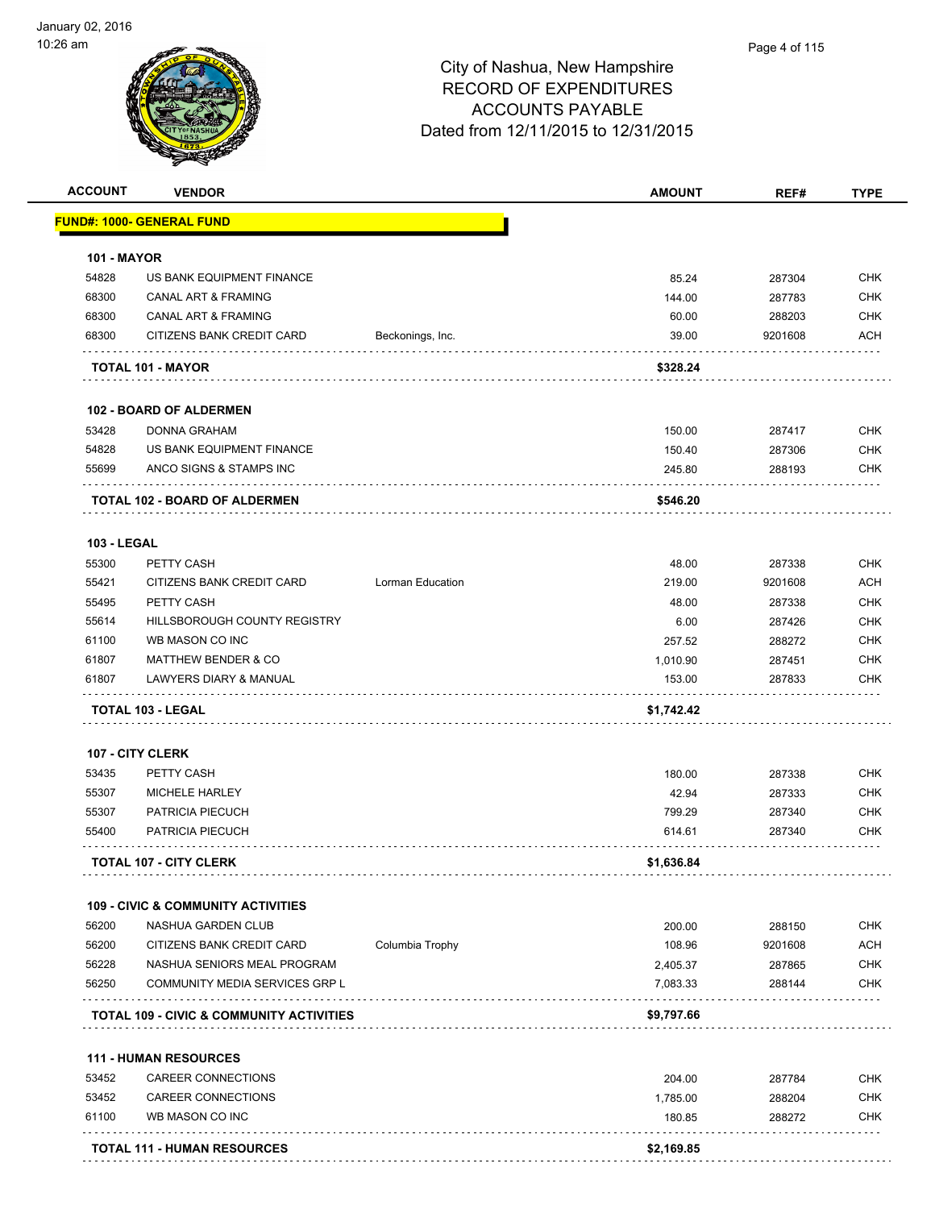| <b>ACCOUNT</b>     | <b>VENDOR</b>                                       |                         | <b>AMOUNT</b> | REF#    | <b>TYPE</b> |
|--------------------|-----------------------------------------------------|-------------------------|---------------|---------|-------------|
|                    | <u> FUND#: 1000- GENERAL FUND</u>                   |                         |               |         |             |
| <b>101 - MAYOR</b> |                                                     |                         |               |         |             |
| 54828              | US BANK EQUIPMENT FINANCE                           |                         | 85.24         | 287304  | <b>CHK</b>  |
| 68300              | <b>CANAL ART &amp; FRAMING</b>                      |                         | 144.00        | 287783  | <b>CHK</b>  |
| 68300              | <b>CANAL ART &amp; FRAMING</b>                      |                         | 60.00         | 288203  | <b>CHK</b>  |
| 68300              | CITIZENS BANK CREDIT CARD                           | Beckonings, Inc.        | 39.00         | 9201608 | ACH         |
|                    | TOTAL 101 - MAYOR                                   |                         | \$328.24      |         |             |
|                    | 102 - BOARD OF ALDERMEN                             |                         |               |         |             |
| 53428              | <b>DONNA GRAHAM</b>                                 |                         | 150.00        | 287417  | <b>CHK</b>  |
| 54828              | US BANK EQUIPMENT FINANCE                           |                         | 150.40        | 287306  | <b>CHK</b>  |
| 55699              | ANCO SIGNS & STAMPS INC                             |                         | 245.80        | 288193  | <b>CHK</b>  |
|                    | TOTAL 102 - BOARD OF ALDERMEN                       |                         | \$546.20      |         |             |
| <b>103 - LEGAL</b> |                                                     |                         |               |         |             |
| 55300              | PETTY CASH                                          |                         | 48.00         | 287338  | <b>CHK</b>  |
| 55421              | CITIZENS BANK CREDIT CARD                           | <b>Lorman Education</b> | 219.00        | 9201608 | <b>ACH</b>  |
| 55495              | PETTY CASH                                          |                         | 48.00         | 287338  | <b>CHK</b>  |
| 55614              | HILLSBOROUGH COUNTY REGISTRY                        |                         | 6.00          | 287426  | <b>CHK</b>  |
| 61100              | WB MASON CO INC                                     |                         | 257.52        | 288272  | <b>CHK</b>  |
| 61807              | <b>MATTHEW BENDER &amp; CO</b>                      |                         | 1,010.90      | 287451  | <b>CHK</b>  |
| 61807              | LAWYERS DIARY & MANUAL                              |                         | 153.00        | 287833  | CHK         |
|                    | TOTAL 103 - LEGAL                                   |                         | \$1,742.42    |         |             |
|                    | 107 - CITY CLERK                                    |                         |               |         |             |
| 53435              | PETTY CASH                                          |                         | 180.00        | 287338  | <b>CHK</b>  |
| 55307              | MICHELE HARLEY                                      |                         | 42.94         | 287333  | <b>CHK</b>  |
| 55307              | PATRICIA PIECUCH                                    |                         | 799.29        | 287340  | <b>CHK</b>  |
| 55400              | PATRICIA PIECUCH                                    |                         | 614.61        | 287340  | CHK         |
|                    | <b>TOTAL 107 - CITY CLERK</b>                       |                         | \$1,636.84    |         |             |
|                    | <b>109 - CIVIC &amp; COMMUNITY ACTIVITIES</b>       |                         |               |         |             |
| 56200              | NASHUA GARDEN CLUB                                  |                         | 200.00        | 288150  | <b>CHK</b>  |
| 56200              | CITIZENS BANK CREDIT CARD                           | Columbia Trophy         | 108.96        | 9201608 | <b>ACH</b>  |
| 56228              | NASHUA SENIORS MEAL PROGRAM                         |                         | 2,405.37      | 287865  | <b>CHK</b>  |
| 56250              | COMMUNITY MEDIA SERVICES GRP L                      |                         | 7,083.33      | 288144  | <b>CHK</b>  |
|                    | <b>TOTAL 109 - CIVIC &amp; COMMUNITY ACTIVITIES</b> |                         | \$9,797.66    |         |             |
|                    | <b>111 - HUMAN RESOURCES</b>                        |                         |               |         |             |
| 53452              | CAREER CONNECTIONS                                  |                         | 204.00        | 287784  | <b>CHK</b>  |
| 53452              | CAREER CONNECTIONS                                  |                         | 1,785.00      | 288204  | <b>CHK</b>  |
| 61100              | WB MASON CO INC                                     |                         | 180.85        | 288272  | <b>CHK</b>  |
|                    |                                                     |                         |               |         |             |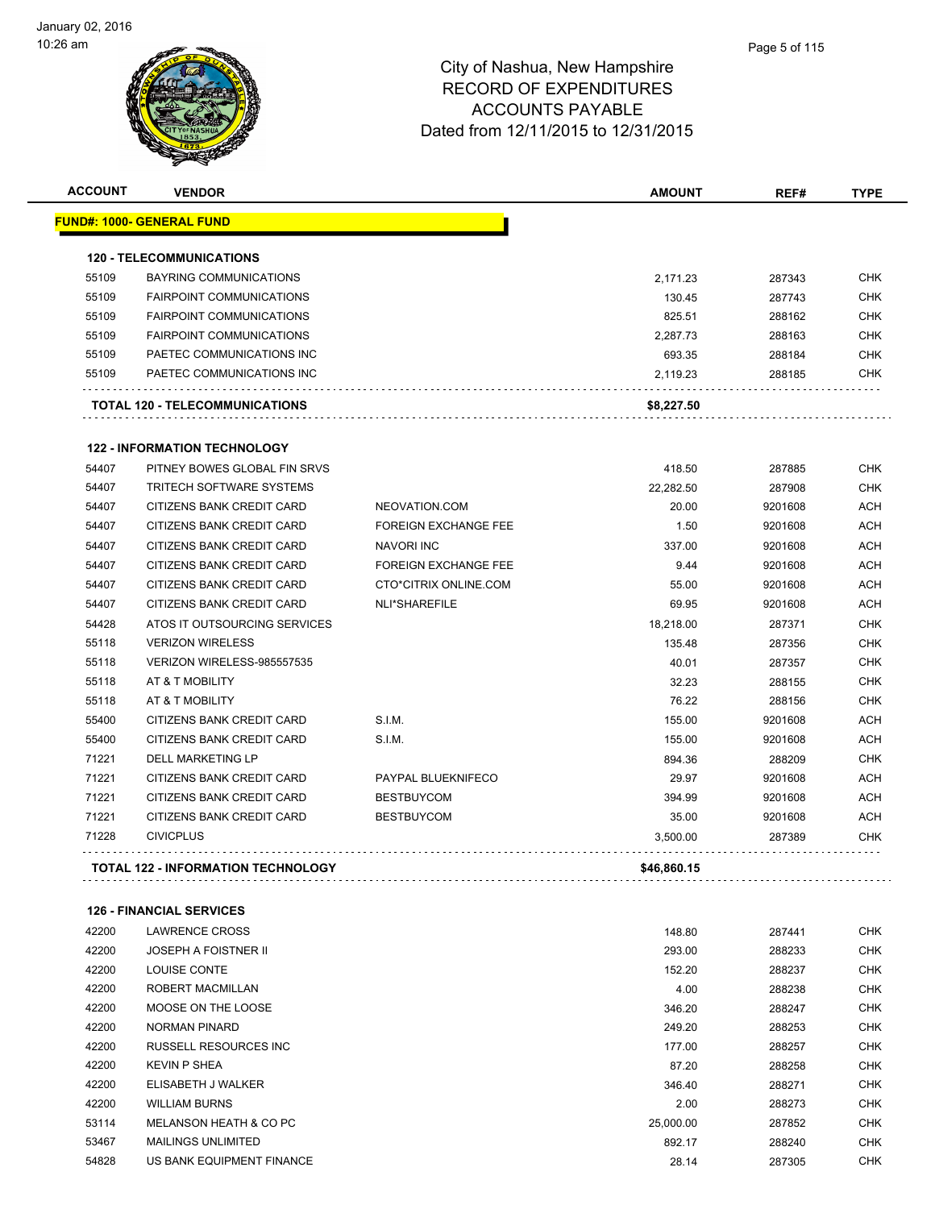| <b>ACCOUNT</b> | <b>VENDOR</b>                             |                             | <b>AMOUNT</b> | REF#    | <b>TYPE</b> |
|----------------|-------------------------------------------|-----------------------------|---------------|---------|-------------|
|                | <b>FUND#: 1000- GENERAL FUND</b>          |                             |               |         |             |
|                | <b>120 - TELECOMMUNICATIONS</b>           |                             |               |         |             |
| 55109          | <b>BAYRING COMMUNICATIONS</b>             |                             | 2,171.23      | 287343  | <b>CHK</b>  |
| 55109          | <b>FAIRPOINT COMMUNICATIONS</b>           |                             | 130.45        | 287743  | <b>CHK</b>  |
| 55109          | <b>FAIRPOINT COMMUNICATIONS</b>           |                             | 825.51        | 288162  | <b>CHK</b>  |
| 55109          | <b>FAIRPOINT COMMUNICATIONS</b>           |                             | 2.287.73      | 288163  | <b>CHK</b>  |
| 55109          | PAETEC COMMUNICATIONS INC                 |                             | 693.35        | 288184  | <b>CHK</b>  |
| 55109          | PAETEC COMMUNICATIONS INC                 |                             | 2,119.23      | 288185  | <b>CHK</b>  |
|                | TOTAL 120 - TELECOMMUNICATIONS            |                             | \$8,227.50    |         |             |
|                | <b>122 - INFORMATION TECHNOLOGY</b>       |                             |               |         |             |
| 54407          | PITNEY BOWES GLOBAL FIN SRVS              |                             | 418.50        | 287885  | <b>CHK</b>  |
| 54407          | <b>TRITECH SOFTWARE SYSTEMS</b>           |                             | 22,282.50     | 287908  | <b>CHK</b>  |
| 54407          | CITIZENS BANK CREDIT CARD                 | NEOVATION.COM               | 20.00         | 9201608 | <b>ACH</b>  |
| 54407          | CITIZENS BANK CREDIT CARD                 | <b>FOREIGN EXCHANGE FEE</b> | 1.50          | 9201608 | <b>ACH</b>  |
| 54407          | <b>CITIZENS BANK CREDIT CARD</b>          | NAVORI INC                  | 337.00        | 9201608 | <b>ACH</b>  |
| 54407          | <b>CITIZENS BANK CREDIT CARD</b>          | <b>FOREIGN EXCHANGE FEE</b> | 9.44          | 9201608 | <b>ACH</b>  |
| 54407          | <b>CITIZENS BANK CREDIT CARD</b>          | CTO*CITRIX ONLINE.COM       | 55.00         | 9201608 | <b>ACH</b>  |
| 54407          | CITIZENS BANK CREDIT CARD                 | NLI*SHAREFILE               | 69.95         | 9201608 | <b>ACH</b>  |
| 54428          | ATOS IT OUTSOURCING SERVICES              |                             | 18,218.00     | 287371  | <b>CHK</b>  |
| 55118          | <b>VERIZON WIRELESS</b>                   |                             | 135.48        | 287356  | <b>CHK</b>  |
| 55118          | VERIZON WIRELESS-985557535                |                             | 40.01         | 287357  | <b>CHK</b>  |
| 55118          | AT & T MOBILITY                           |                             | 32.23         | 288155  | <b>CHK</b>  |
| 55118          | AT & T MOBILITY                           |                             | 76.22         | 288156  | <b>CHK</b>  |
| 55400          | CITIZENS BANK CREDIT CARD                 | S.I.M.                      | 155.00        | 9201608 | <b>ACH</b>  |
| 55400          | <b>CITIZENS BANK CREDIT CARD</b>          | S.I.M.                      | 155.00        | 9201608 | <b>ACH</b>  |
| 71221          | <b>DELL MARKETING LP</b>                  |                             | 894.36        | 288209  | <b>CHK</b>  |
| 71221          | CITIZENS BANK CREDIT CARD                 | PAYPAL BLUEKNIFECO          | 29.97         | 9201608 | <b>ACH</b>  |
| 71221          | CITIZENS BANK CREDIT CARD                 | <b>BESTBUYCOM</b>           | 394.99        | 9201608 | <b>ACH</b>  |
| 71221          | CITIZENS BANK CREDIT CARD                 | <b>BESTBUYCOM</b>           | 35.00         | 9201608 | <b>ACH</b>  |
| 71228          | <b>CIVICPLUS</b>                          |                             | 3,500.00      | 287389  | <b>CHK</b>  |
|                | <b>TOTAL 122 - INFORMATION TECHNOLOGY</b> |                             | \$46,860.15   |         |             |

### **126 - FINANCIAL SERVICES**

| 42200 | LAWRENCE CROSS              | 148.80    | 287441 | <b>CHK</b> |
|-------|-----------------------------|-----------|--------|------------|
| 42200 | <b>JOSEPH A FOISTNER II</b> | 293.00    | 288233 | <b>CHK</b> |
| 42200 | <b>LOUISE CONTE</b>         | 152.20    | 288237 | <b>CHK</b> |
| 42200 | ROBERT MACMILLAN            | 4.00      | 288238 | <b>CHK</b> |
| 42200 | MOOSE ON THE LOOSE          | 346.20    | 288247 | <b>CHK</b> |
| 42200 | NORMAN PINARD               | 249.20    | 288253 | <b>CHK</b> |
| 42200 | RUSSELL RESOURCES INC.      | 177.00    | 288257 | <b>CHK</b> |
| 42200 | <b>KEVIN P SHEA</b>         | 87.20     | 288258 | <b>CHK</b> |
| 42200 | ELISABETH J WALKER          | 346.40    | 288271 | <b>CHK</b> |
| 42200 | <b>WILLIAM BURNS</b>        | 2.00      | 288273 | <b>CHK</b> |
| 53114 | MELANSON HEATH & CO PC      | 25,000.00 | 287852 | <b>CHK</b> |
| 53467 | <b>MAILINGS UNLIMITED</b>   | 892.17    | 288240 | <b>CHK</b> |
| 54828 | US BANK EQUIPMENT FINANCE   | 28.14     | 287305 | <b>CHK</b> |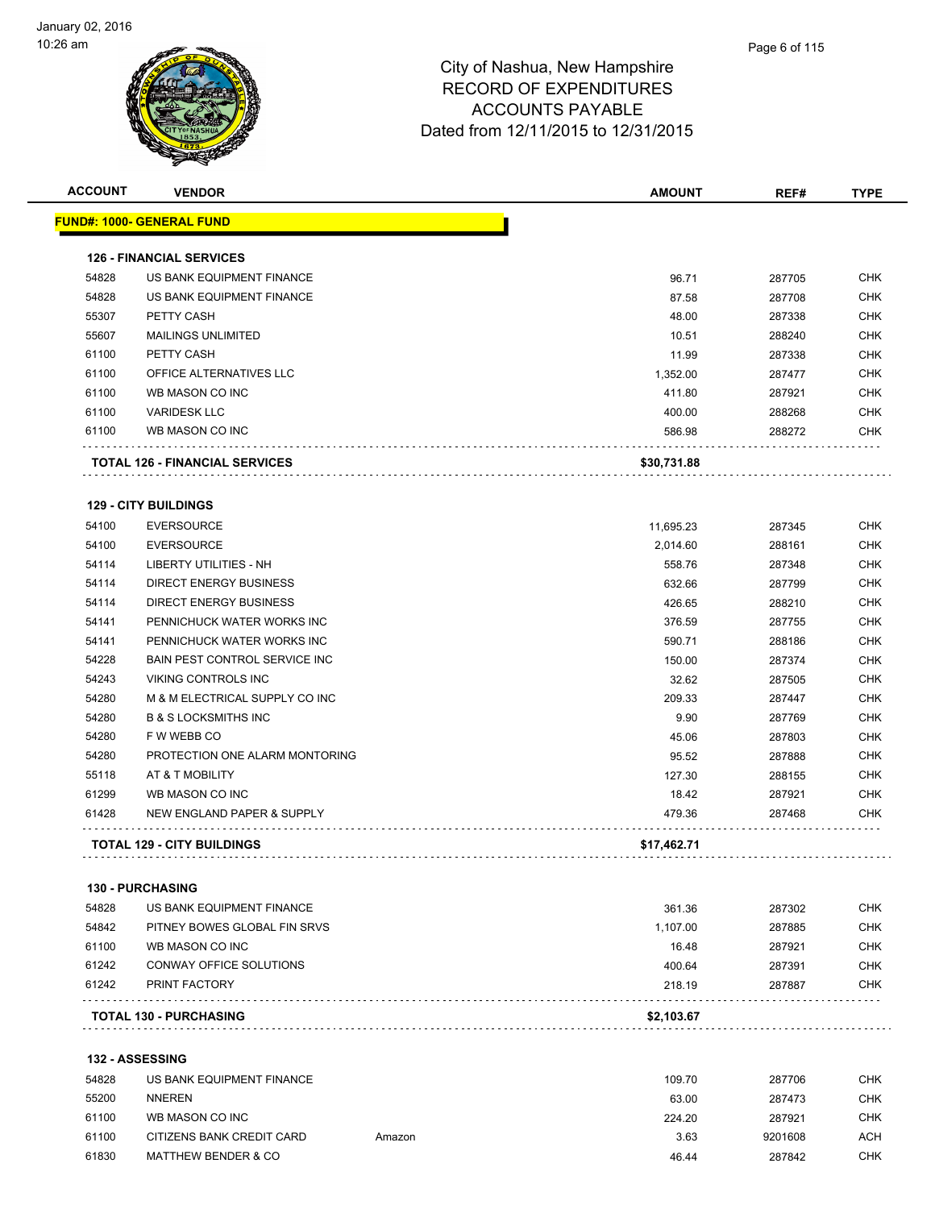

| <b>TYPE</b><br>REF# |                   |  | <b>AMOUNT</b>                      |        | <b>VENDOR</b>                         | <b>ACCOUNT</b> |
|---------------------|-------------------|--|------------------------------------|--------|---------------------------------------|----------------|
|                     |                   |  |                                    |        | <u> FUND#: 1000- GENERAL FUND</u>     |                |
|                     |                   |  |                                    |        | <b>126 - FINANCIAL SERVICES</b>       |                |
| 287705              |                   |  | 96.71                              |        | US BANK EQUIPMENT FINANCE             | 54828          |
| 287708              |                   |  | 87.58                              |        | US BANK EQUIPMENT FINANCE             | 54828          |
| 287338              |                   |  | 48.00                              |        | PETTY CASH                            | 55307          |
| 288240              |                   |  | 10.51                              |        | <b>MAILINGS UNLIMITED</b>             | 55607          |
| 287338              |                   |  | 11.99                              |        | PETTY CASH                            | 61100          |
| 287477              |                   |  | 1,352.00                           |        | OFFICE ALTERNATIVES LLC               | 61100          |
| 287921              |                   |  | 411.80                             |        | WB MASON CO INC                       | 61100          |
| 288268              |                   |  | 400.00                             |        | <b>VARIDESK LLC</b>                   | 61100          |
| 288272              |                   |  | 586.98                             |        | WB MASON CO INC                       | 61100          |
|                     |                   |  | \$30,731.88                        |        | <b>TOTAL 126 - FINANCIAL SERVICES</b> |                |
|                     |                   |  |                                    |        | <b>129 - CITY BUILDINGS</b>           |                |
| 287345              |                   |  | 11,695.23                          |        | <b>EVERSOURCE</b>                     | 54100          |
| 288161              |                   |  | 2,014.60                           |        | <b>EVERSOURCE</b>                     | 54100          |
| 287348              |                   |  | 558.76                             |        | LIBERTY UTILITIES - NH                | 54114          |
| 287799              |                   |  | 632.66                             |        | <b>DIRECT ENERGY BUSINESS</b>         | 54114          |
| 288210              |                   |  | 426.65                             |        | <b>DIRECT ENERGY BUSINESS</b>         | 54114          |
|                     | 287755            |  | 376.59                             |        | PENNICHUCK WATER WORKS INC            | 54141          |
| 288186              |                   |  | 590.71                             |        | PENNICHUCK WATER WORKS INC            | 54141          |
| 287374              |                   |  | 150.00                             |        | BAIN PEST CONTROL SERVICE INC         | 54228          |
| 287505              |                   |  | 32.62                              |        | VIKING CONTROLS INC                   | 54243          |
| 287447              |                   |  | 209.33                             |        | M & M ELECTRICAL SUPPLY CO INC        | 54280          |
| 287769              |                   |  | 9.90                               |        | <b>B &amp; S LOCKSMITHS INC</b>       | 54280          |
| 287803              |                   |  | 45.06                              |        | F W WEBB CO                           | 54280          |
| 287888              |                   |  | 95.52                              |        | PROTECTION ONE ALARM MONTORING        | 54280          |
| 288155              |                   |  |                                    |        | AT & T MOBILITY                       | 55118          |
| 287921              |                   |  |                                    |        | WB MASON CO INC                       | 61299          |
|                     | 287468            |  | 479.36                             |        | NEW ENGLAND PAPER & SUPPLY            | 61428          |
|                     |                   |  | \$17,462.71                        |        | <b>TOTAL 129 - CITY BUILDINGS</b>     |                |
|                     |                   |  |                                    |        | 130 - PURCHASING                      |                |
| 287302              |                   |  | 361.36                             |        | US BANK EQUIPMENT FINANCE             | 54828          |
| 287885              |                   |  | 1,107.00                           |        | PITNEY BOWES GLOBAL FIN SRVS          | 54842          |
| 287921              |                   |  | 16.48                              |        | WB MASON CO INC                       | 61100          |
| 287391              |                   |  | 400.64                             |        | CONWAY OFFICE SOLUTIONS               | 61242          |
| 287887              |                   |  | 218.19                             |        | PRINT FACTORY                         | 61242          |
|                     |                   |  | \$2,103.67                         |        | <b>TOTAL 130 - PURCHASING</b>         |                |
|                     |                   |  |                                    |        | <b>132 - ASSESSING</b>                |                |
| 287706              |                   |  | 109.70                             |        | US BANK EQUIPMENT FINANCE             | 54828          |
| 287473              |                   |  |                                    |        | <b>NNEREN</b>                         |                |
|                     |                   |  |                                    |        | WB MASON CO INC                       |                |
|                     |                   |  |                                    |        |                                       |                |
|                     | 287921<br>9201608 |  | 3.63                               | Amazon | CITIZENS BANK CREDIT CARD             | 61100          |
|                     |                   |  | 127.30<br>18.42<br>63.00<br>224.20 |        |                                       | 55200<br>61100 |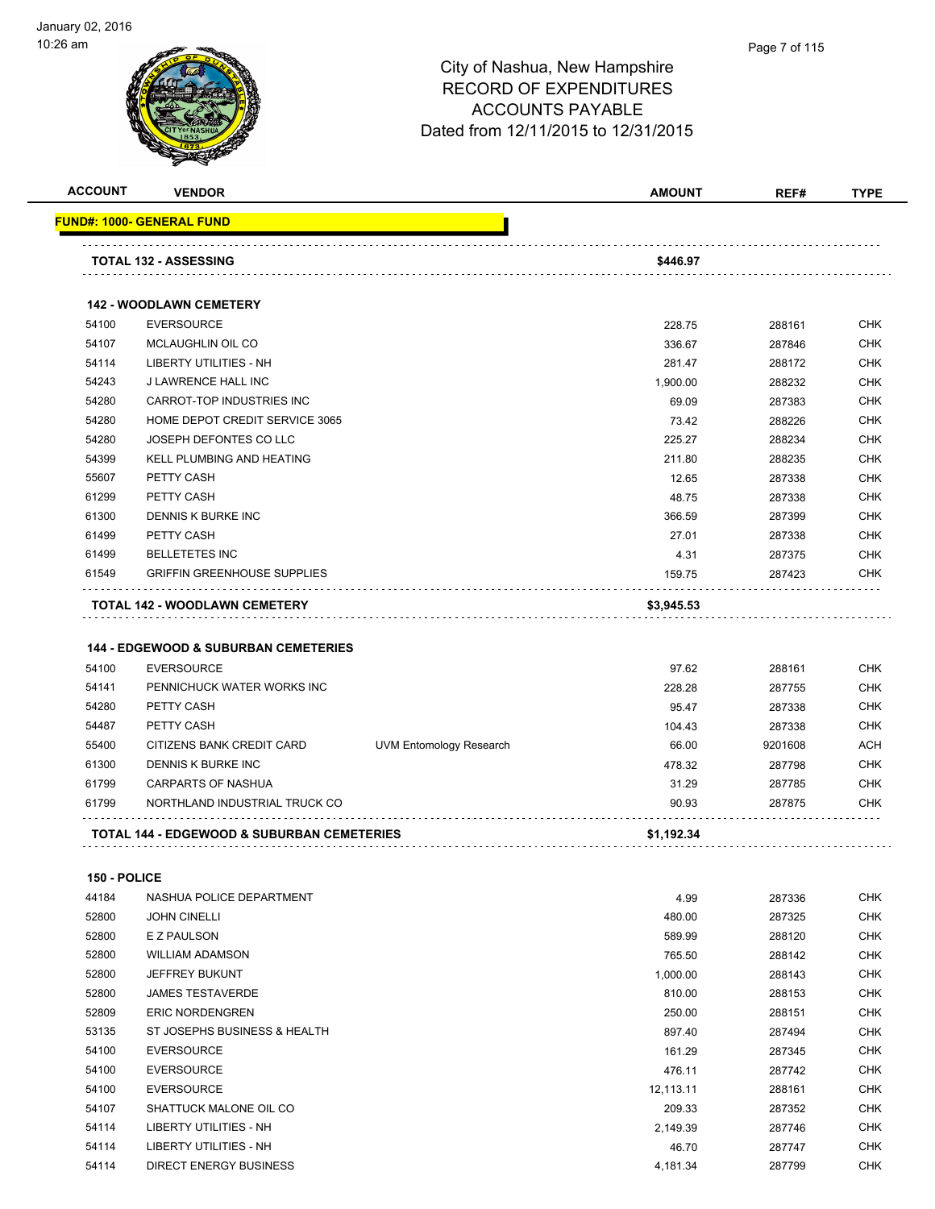

| <b>ACCOUNT</b> | <b>VENDOR</b>                                         |                                | <b>AMOUNT</b> | REF#    | <b>TYPE</b> |
|----------------|-------------------------------------------------------|--------------------------------|---------------|---------|-------------|
|                | FUND#: 1000- GENERAL FUND                             |                                |               |         |             |
|                | <b>TOTAL 132 - ASSESSING</b>                          |                                | \$446.97      |         |             |
|                | <b>142 - WOODLAWN CEMETERY</b>                        |                                |               |         |             |
| 54100          | <b>EVERSOURCE</b>                                     |                                | 228.75        | 288161  | <b>CHK</b>  |
| 54107          | MCLAUGHLIN OIL CO                                     |                                | 336.67        | 287846  | <b>CHK</b>  |
| 54114          | <b>LIBERTY UTILITIES - NH</b>                         |                                | 281.47        | 288172  | <b>CHK</b>  |
| 54243          | J LAWRENCE HALL INC                                   |                                | 1,900.00      | 288232  | <b>CHK</b>  |
| 54280          | CARROT-TOP INDUSTRIES INC                             |                                | 69.09         | 287383  | <b>CHK</b>  |
| 54280          | HOME DEPOT CREDIT SERVICE 3065                        |                                | 73.42         | 288226  | <b>CHK</b>  |
| 54280          | JOSEPH DEFONTES CO LLC                                |                                | 225.27        | 288234  | <b>CHK</b>  |
| 54399          | KELL PLUMBING AND HEATING                             |                                | 211.80        | 288235  | <b>CHK</b>  |
| 55607          | PETTY CASH                                            |                                | 12.65         | 287338  | <b>CHK</b>  |
| 61299          | PETTY CASH                                            |                                | 48.75         | 287338  | <b>CHK</b>  |
| 61300          | DENNIS K BURKE INC                                    |                                | 366.59        | 287399  | <b>CHK</b>  |
| 61499          | PETTY CASH                                            |                                | 27.01         | 287338  | <b>CHK</b>  |
| 61499          | <b>BELLETETES INC</b>                                 |                                | 4.31          | 287375  | <b>CHK</b>  |
| 61549          | <b>GRIFFIN GREENHOUSE SUPPLIES</b>                    |                                | 159.75        | 287423  | <b>CHK</b>  |
|                | TOTAL 142 - WOODLAWN CEMETERY                         |                                | \$3,945.53    |         |             |
|                |                                                       |                                |               |         |             |
|                | <b>144 - EDGEWOOD &amp; SUBURBAN CEMETERIES</b>       |                                |               |         |             |
| 54100          | <b>EVERSOURCE</b>                                     |                                | 97.62         | 288161  | <b>CHK</b>  |
| 54141          | PENNICHUCK WATER WORKS INC                            |                                | 228.28        | 287755  | <b>CHK</b>  |
| 54280          | PETTY CASH                                            |                                | 95.47         | 287338  | <b>CHK</b>  |
| 54487          | PETTY CASH                                            |                                | 104.43        | 287338  | <b>CHK</b>  |
| 55400          | CITIZENS BANK CREDIT CARD                             | <b>UVM Entomology Research</b> | 66.00         | 9201608 | ACH         |
| 61300          | DENNIS K BURKE INC                                    |                                | 478.32        | 287798  | <b>CHK</b>  |
| 61799          | <b>CARPARTS OF NASHUA</b>                             |                                | 31.29         | 287785  | <b>CHK</b>  |
| 61799          | NORTHLAND INDUSTRIAL TRUCK CO                         |                                | 90.93         | 287875  | <b>CHK</b>  |
|                | <b>TOTAL 144 - EDGEWOOD &amp; SUBURBAN CEMETERIES</b> |                                | \$1,192.34    |         |             |
| 150 - POLICE   |                                                       |                                |               |         |             |
| 44184          | NASHUA POLICE DEPARTMENT                              |                                | 4.99          | 287336  | <b>CHK</b>  |
| 52800          | <b>JOHN CINELLI</b>                                   |                                | 480.00        | 287325  | <b>CHK</b>  |
| 52800          | E Z PAULSON                                           |                                | 589.99        | 288120  | <b>CHK</b>  |
| 52800          | <b>WILLIAM ADAMSON</b>                                |                                | 765.50        | 288142  | <b>CHK</b>  |
| 52800          | JEFFREY BUKUNT                                        |                                | 1,000.00      | 288143  | <b>CHK</b>  |
| 52800          | <b>JAMES TESTAVERDE</b>                               |                                | 810.00        | 288153  | CHK         |
| 52809          | <b>ERIC NORDENGREN</b>                                |                                | 250.00        | 288151  | CHK         |
| 53135          | ST JOSEPHS BUSINESS & HEALTH                          |                                | 897.40        | 287494  | CHK         |
| 54100          | <b>EVERSOURCE</b>                                     |                                | 161.29        | 287345  | CHK         |
| 54100          | <b>EVERSOURCE</b>                                     |                                | 476.11        | 287742  | <b>CHK</b>  |
| 54100          | <b>EVERSOURCE</b>                                     |                                | 12,113.11     | 288161  | <b>CHK</b>  |
| 54107          | SHATTUCK MALONE OIL CO                                |                                | 209.33        | 287352  | CHK         |
| 54114          | LIBERTY UTILITIES - NH                                |                                | 2,149.39      | 287746  | CHK         |
| 54114          | LIBERTY UTILITIES - NH                                |                                | 46.70         | 287747  | CHK         |
| 54114          | <b>DIRECT ENERGY BUSINESS</b>                         |                                | 4,181.34      | 287799  | CHK         |
|                |                                                       |                                |               |         |             |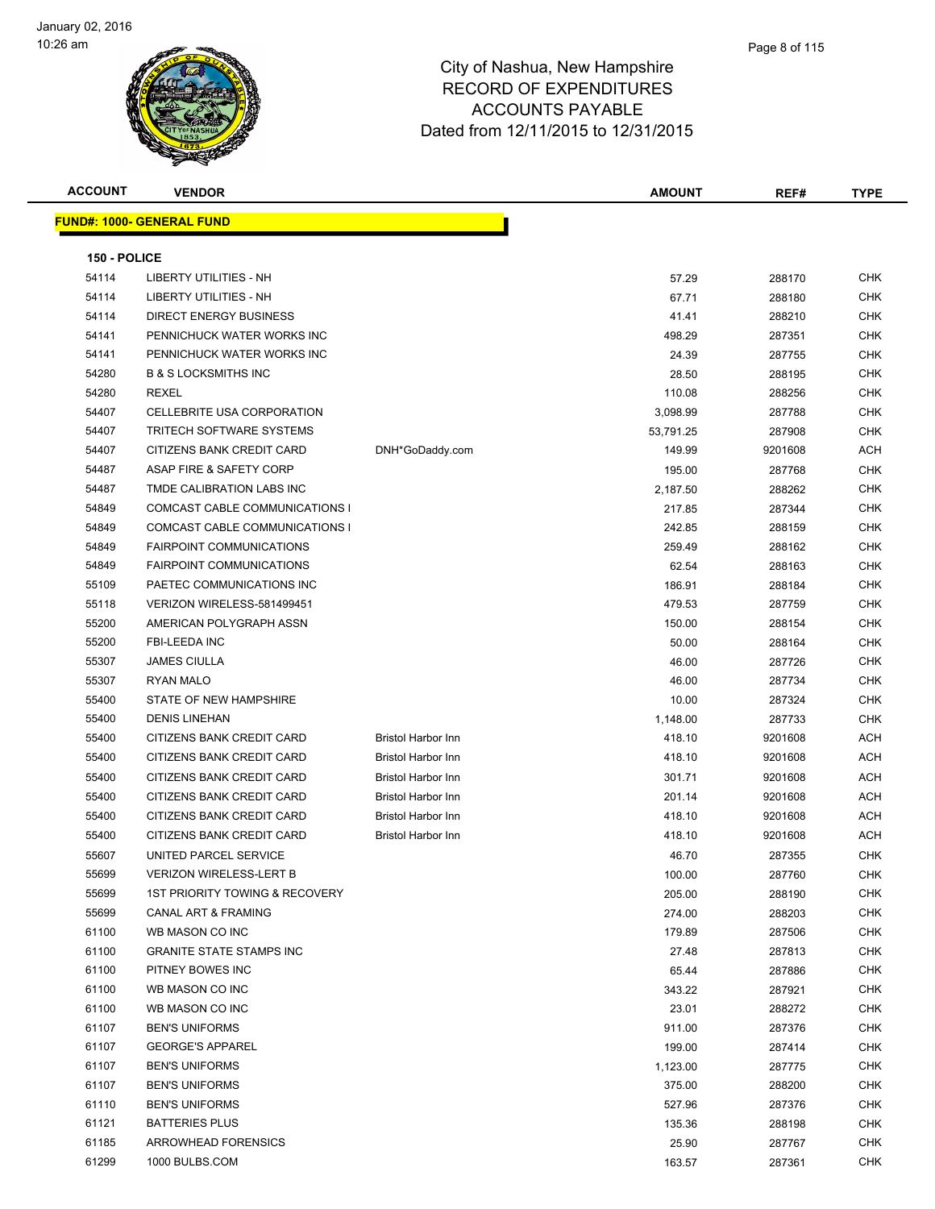

| <b>ACCOUNT</b> | <b>VENDOR</b>                    |                           | <b>AMOUNT</b> | REF#    | <b>TYPE</b> |
|----------------|----------------------------------|---------------------------|---------------|---------|-------------|
|                | <b>FUND#: 1000- GENERAL FUND</b> |                           |               |         |             |
|                |                                  |                           |               |         |             |
| 150 - POLICE   |                                  |                           |               |         |             |
| 54114          | <b>LIBERTY UTILITIES - NH</b>    |                           | 57.29         | 288170  | <b>CHK</b>  |
| 54114          | <b>LIBERTY UTILITIES - NH</b>    |                           | 67.71         | 288180  | <b>CHK</b>  |
| 54114          | <b>DIRECT ENERGY BUSINESS</b>    |                           | 41.41         | 288210  | <b>CHK</b>  |
| 54141          | PENNICHUCK WATER WORKS INC       |                           | 498.29        | 287351  | <b>CHK</b>  |
| 54141          | PENNICHUCK WATER WORKS INC       |                           | 24.39         | 287755  | CHK         |
| 54280          | <b>B &amp; S LOCKSMITHS INC</b>  |                           | 28.50         | 288195  | <b>CHK</b>  |
| 54280          | <b>REXEL</b>                     |                           | 110.08        | 288256  | <b>CHK</b>  |
| 54407          | CELLEBRITE USA CORPORATION       |                           | 3,098.99      | 287788  | <b>CHK</b>  |
| 54407          | <b>TRITECH SOFTWARE SYSTEMS</b>  |                           | 53,791.25     | 287908  | <b>CHK</b>  |
| 54407          | CITIZENS BANK CREDIT CARD        | DNH*GoDaddy.com           | 149.99        | 9201608 | ACH         |
| 54487          | ASAP FIRE & SAFETY CORP          |                           | 195.00        | 287768  | <b>CHK</b>  |
| 54487          | TMDE CALIBRATION LABS INC        |                           | 2,187.50      | 288262  | CHK         |
| 54849          | COMCAST CABLE COMMUNICATIONS I   |                           | 217.85        | 287344  | CHK         |
| 54849          | COMCAST CABLE COMMUNICATIONS I   |                           | 242.85        | 288159  | <b>CHK</b>  |
| 54849          | <b>FAIRPOINT COMMUNICATIONS</b>  |                           | 259.49        | 288162  | <b>CHK</b>  |
| 54849          | <b>FAIRPOINT COMMUNICATIONS</b>  |                           | 62.54         | 288163  | CHK         |
| 55109          | PAETEC COMMUNICATIONS INC        |                           | 186.91        | 288184  | <b>CHK</b>  |
| 55118          | VERIZON WIRELESS-581499451       |                           | 479.53        | 287759  | <b>CHK</b>  |
| 55200          | AMERICAN POLYGRAPH ASSN          |                           | 150.00        | 288154  | CHK         |
| 55200          | <b>FBI-LEEDA INC</b>             |                           | 50.00         | 288164  | <b>CHK</b>  |
| 55307          | <b>JAMES CIULLA</b>              |                           | 46.00         | 287726  | CHK         |
| 55307          | <b>RYAN MALO</b>                 |                           | 46.00         | 287734  | CHK         |
| 55400          | STATE OF NEW HAMPSHIRE           |                           | 10.00         | 287324  | CHK         |
| 55400          | <b>DENIS LINEHAN</b>             |                           | 1,148.00      | 287733  | CHK         |
| 55400          | CITIZENS BANK CREDIT CARD        | <b>Bristol Harbor Inn</b> | 418.10        | 9201608 | ACH         |
| 55400          | CITIZENS BANK CREDIT CARD        | <b>Bristol Harbor Inn</b> | 418.10        | 9201608 | ACH         |
| 55400          | <b>CITIZENS BANK CREDIT CARD</b> | Bristol Harbor Inn        | 301.71        | 9201608 | ACH         |
| 55400          | CITIZENS BANK CREDIT CARD        | <b>Bristol Harbor Inn</b> | 201.14        | 9201608 | ACH         |
| 55400          | CITIZENS BANK CREDIT CARD        | <b>Bristol Harbor Inn</b> | 418.10        | 9201608 | ACH         |
| 55400          | CITIZENS BANK CREDIT CARD        | <b>Bristol Harbor Inn</b> | 418.10        | 9201608 | ACH         |
| 55607          | UNITED PARCEL SERVICE            |                           | 46.70         | 287355  | <b>CHK</b>  |
| 55699          | <b>VERIZON WIRELESS-LERT B</b>   |                           | 100.00        | 287760  | <b>CHK</b>  |
| 55699          | 1ST PRIORITY TOWING & RECOVERY   |                           | 205.00        | 288190  | <b>CHK</b>  |
| 55699          | <b>CANAL ART &amp; FRAMING</b>   |                           | 274.00        | 288203  | <b>CHK</b>  |
| 61100          | WB MASON CO INC                  |                           | 179.89        | 287506  | CHK         |
| 61100          | <b>GRANITE STATE STAMPS INC</b>  |                           | 27.48         | 287813  | <b>CHK</b>  |
| 61100          | PITNEY BOWES INC                 |                           | 65.44         | 287886  | CHK         |
| 61100          | WB MASON CO INC                  |                           | 343.22        | 287921  | <b>CHK</b>  |
| 61100          | WB MASON CO INC                  |                           | 23.01         | 288272  | <b>CHK</b>  |
| 61107          | <b>BEN'S UNIFORMS</b>            |                           | 911.00        | 287376  | <b>CHK</b>  |
| 61107          | <b>GEORGE'S APPAREL</b>          |                           | 199.00        | 287414  | CHK         |
| 61107          | <b>BEN'S UNIFORMS</b>            |                           | 1,123.00      | 287775  | CHK         |
| 61107          | <b>BEN'S UNIFORMS</b>            |                           | 375.00        | 288200  | CHK         |
| 61110          | <b>BEN'S UNIFORMS</b>            |                           | 527.96        | 287376  | <b>CHK</b>  |
| 61121          | <b>BATTERIES PLUS</b>            |                           | 135.36        | 288198  | CHK         |
| 61185          | <b>ARROWHEAD FORENSICS</b>       |                           | 25.90         | 287767  | CHK         |
| 61299          | 1000 BULBS.COM                   |                           | 163.57        | 287361  | <b>CHK</b>  |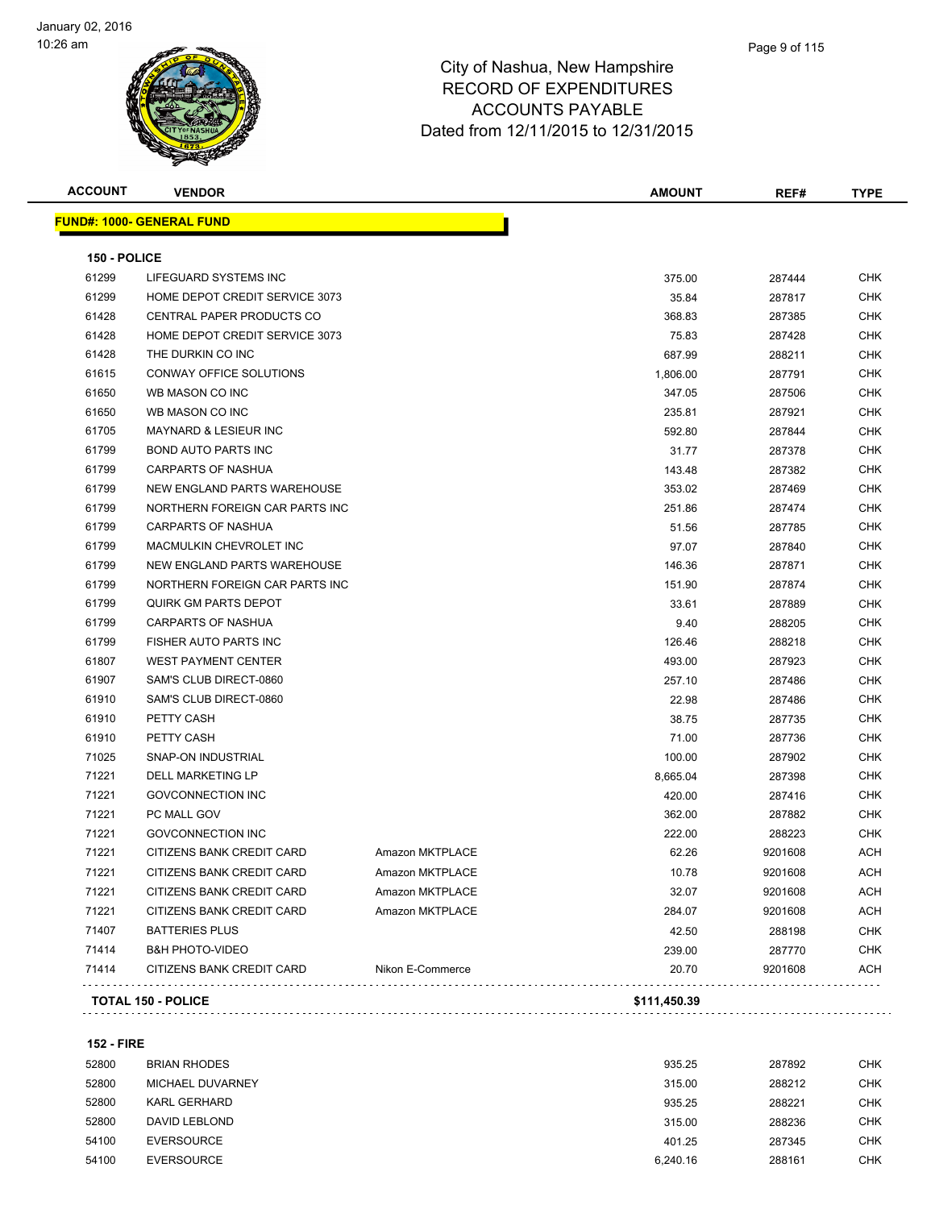

| <b>ACCOUNT</b> | <b>VENDOR</b>                     |                  | <b>AMOUNT</b> | REF#    | <b>TYPE</b> |
|----------------|-----------------------------------|------------------|---------------|---------|-------------|
|                | <u> FUND#: 1000- GENERAL FUND</u> |                  |               |         |             |
| 150 - POLICE   |                                   |                  |               |         |             |
| 61299          | LIFEGUARD SYSTEMS INC             |                  | 375.00        | 287444  | CHK         |
| 61299          | HOME DEPOT CREDIT SERVICE 3073    |                  | 35.84         | 287817  | <b>CHK</b>  |
| 61428          | CENTRAL PAPER PRODUCTS CO         |                  | 368.83        | 287385  | CHK         |
| 61428          | HOME DEPOT CREDIT SERVICE 3073    |                  | 75.83         | 287428  | <b>CHK</b>  |
| 61428          | THE DURKIN CO INC                 |                  | 687.99        | 288211  | CHK         |
| 61615          | CONWAY OFFICE SOLUTIONS           |                  | 1,806.00      | 287791  | <b>CHK</b>  |
| 61650          | WB MASON CO INC                   |                  | 347.05        | 287506  | CHK         |
| 61650          | WB MASON CO INC                   |                  | 235.81        | 287921  | CHK         |
| 61705          | <b>MAYNARD &amp; LESIEUR INC</b>  |                  | 592.80        | 287844  | <b>CHK</b>  |
| 61799          | <b>BOND AUTO PARTS INC</b>        |                  | 31.77         | 287378  | CHK         |
| 61799          | <b>CARPARTS OF NASHUA</b>         |                  | 143.48        | 287382  | CHK         |
| 61799          | NEW ENGLAND PARTS WAREHOUSE       |                  | 353.02        | 287469  | CHK         |
| 61799          | NORTHERN FOREIGN CAR PARTS INC    |                  | 251.86        | 287474  | <b>CHK</b>  |
| 61799          | <b>CARPARTS OF NASHUA</b>         |                  | 51.56         | 287785  | CHK         |
| 61799          | MACMULKIN CHEVROLET INC           |                  | 97.07         | 287840  | <b>CHK</b>  |
| 61799          | NEW ENGLAND PARTS WAREHOUSE       |                  | 146.36        | 287871  | CHK         |
| 61799          | NORTHERN FOREIGN CAR PARTS INC    |                  | 151.90        | 287874  | CHK         |
| 61799          | <b>QUIRK GM PARTS DEPOT</b>       |                  | 33.61         | 287889  | CHK         |
| 61799          | CARPARTS OF NASHUA                |                  | 9.40          | 288205  | CHK         |
| 61799          | FISHER AUTO PARTS INC             |                  | 126.46        | 288218  | CHK         |
| 61807          | <b>WEST PAYMENT CENTER</b>        |                  | 493.00        | 287923  | CHK         |
| 61907          | SAM'S CLUB DIRECT-0860            |                  | 257.10        | 287486  | CHK         |
| 61910          | SAM'S CLUB DIRECT-0860            |                  | 22.98         | 287486  | CHK         |
| 61910          | PETTY CASH                        |                  | 38.75         | 287735  | CHK         |
| 61910          | PETTY CASH                        |                  | 71.00         | 287736  | <b>CHK</b>  |
| 71025          | SNAP-ON INDUSTRIAL                |                  | 100.00        | 287902  | <b>CHK</b>  |
| 71221          | DELL MARKETING LP                 |                  | 8,665.04      | 287398  | CHK         |
| 71221          | <b>GOVCONNECTION INC</b>          |                  | 420.00        | 287416  | CHK         |
| 71221          | PC MALL GOV                       |                  | 362.00        | 287882  | CHK         |
| 71221          | <b>GOVCONNECTION INC</b>          |                  | 222.00        | 288223  | CHK         |
| 71221          | CITIZENS BANK CREDIT CARD         | Amazon MKTPLACE  | 62.26         | 9201608 | ACH         |
| 71221          | CITIZENS BANK CREDIT CARD         | Amazon MKTPLACE  | 10.78         | 9201608 | ACH         |
| 71221          | CITIZENS BANK CREDIT CARD         | Amazon MKTPLACE  | 32.07         | 9201608 | ACH         |
| 71221          | CITIZENS BANK CREDIT CARD         | Amazon MKTPLACE  | 284.07        | 9201608 | ACH         |
| 71407          | <b>BATTERIES PLUS</b>             |                  | 42.50         | 288198  | <b>CHK</b>  |
| 71414          | <b>B&amp;H PHOTO-VIDEO</b>        |                  | 239.00        | 287770  | <b>CHK</b>  |
| 71414          | CITIZENS BANK CREDIT CARD         | Nikon E-Commerce | 20.70         | 9201608 | <b>ACH</b>  |
|                | <b>TOTAL 150 - POLICE</b>         |                  | \$111,450.39  |         |             |
|                |                                   |                  |               |         |             |

**152 - FIRE**

| 52800 | BRIAN RHODES      | 935.25   | 287892 | CHK |
|-------|-------------------|----------|--------|-----|
| 52800 | MICHAEL DUVARNEY  | 315.00   | 288212 | CHK |
| 52800 | KARL GERHARD      | 935.25   | 288221 | CHK |
| 52800 | DAVID LEBLOND     | 315.00   | 288236 | CHK |
| 54100 | EVERSOURCE        | 401.25   | 287345 | CHK |
| 54100 | <b>EVERSOURCE</b> | 6.240.16 | 288161 | CHK |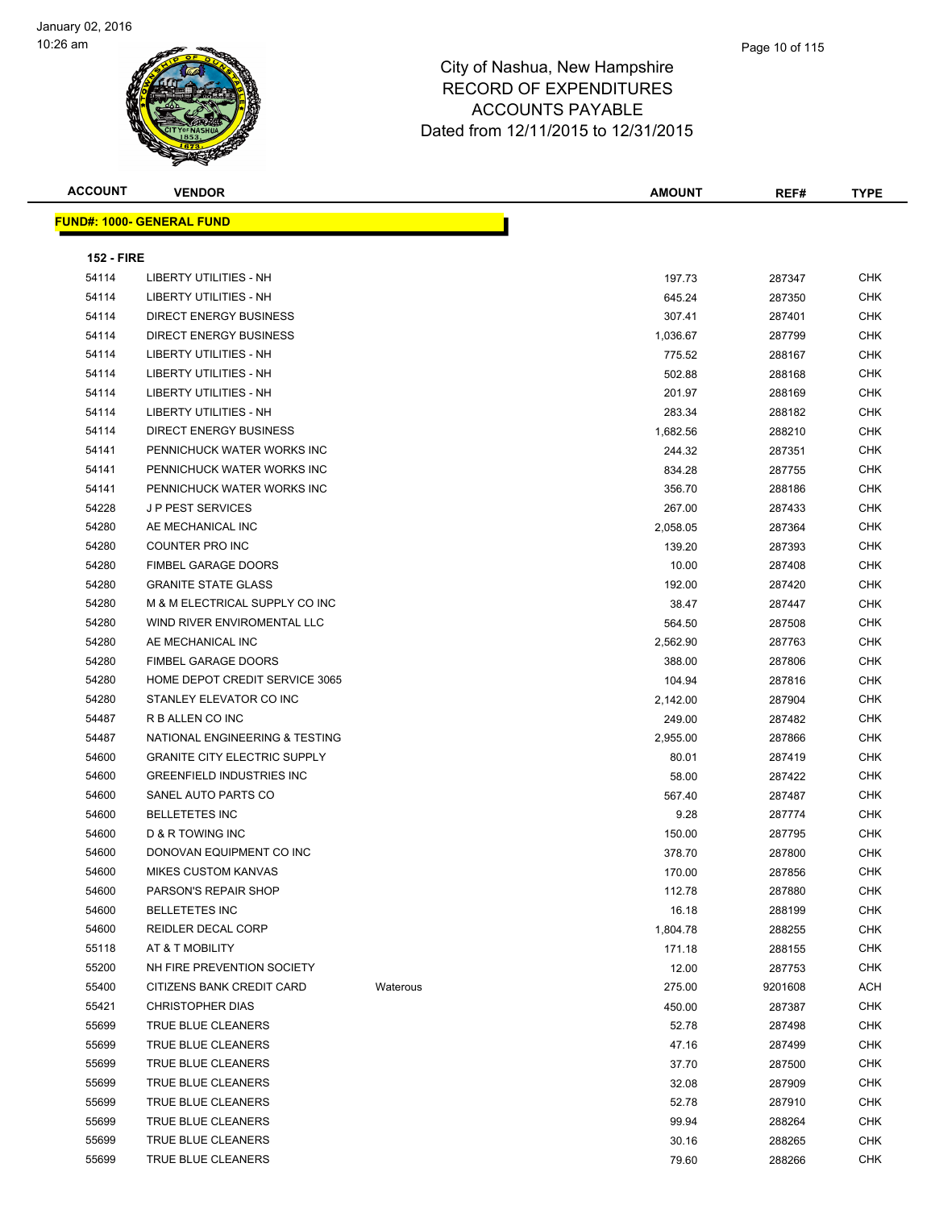| <b>ACCOUNT</b>    | <b>VENDOR</b>                       |          | <b>AMOUNT</b> | REF#    | <b>TYPE</b> |
|-------------------|-------------------------------------|----------|---------------|---------|-------------|
|                   | <b>FUND#: 1000- GENERAL FUND</b>    |          |               |         |             |
|                   |                                     |          |               |         |             |
| <b>152 - FIRE</b> |                                     |          |               |         |             |
| 54114             | <b>LIBERTY UTILITIES - NH</b>       |          | 197.73        | 287347  | <b>CHK</b>  |
| 54114             | <b>LIBERTY UTILITIES - NH</b>       |          | 645.24        | 287350  | <b>CHK</b>  |
| 54114             | <b>DIRECT ENERGY BUSINESS</b>       |          | 307.41        | 287401  | CHK         |
| 54114             | DIRECT ENERGY BUSINESS              |          | 1,036.67      | 287799  | CHK         |
| 54114             | LIBERTY UTILITIES - NH              |          | 775.52        | 288167  | CHK         |
| 54114             | LIBERTY UTILITIES - NH              |          | 502.88        | 288168  | CHK         |
| 54114             | <b>LIBERTY UTILITIES - NH</b>       |          | 201.97        | 288169  | <b>CHK</b>  |
| 54114             | <b>LIBERTY UTILITIES - NH</b>       |          | 283.34        | 288182  | CHK         |
| 54114             | DIRECT ENERGY BUSINESS              |          | 1,682.56      | 288210  | CHK         |
| 54141             | PENNICHUCK WATER WORKS INC          |          | 244.32        | 287351  | <b>CHK</b>  |
| 54141             | PENNICHUCK WATER WORKS INC          |          | 834.28        | 287755  | CHK         |
| 54141             | PENNICHUCK WATER WORKS INC          |          | 356.70        | 288186  | <b>CHK</b>  |
| 54228             | <b>JP PEST SERVICES</b>             |          | 267.00        | 287433  | <b>CHK</b>  |
| 54280             | AE MECHANICAL INC                   |          | 2,058.05      | 287364  | CHK         |
| 54280             | COUNTER PRO INC                     |          | 139.20        | 287393  | CHK         |
| 54280             | <b>FIMBEL GARAGE DOORS</b>          |          | 10.00         | 287408  | CHK         |
| 54280             | <b>GRANITE STATE GLASS</b>          |          | 192.00        | 287420  | CHK         |
| 54280             | M & M ELECTRICAL SUPPLY CO INC      |          | 38.47         | 287447  | CHK         |
| 54280             | WIND RIVER ENVIROMENTAL LLC         |          | 564.50        | 287508  | CHK         |
| 54280             | AE MECHANICAL INC                   |          | 2,562.90      | 287763  | <b>CHK</b>  |
| 54280             | FIMBEL GARAGE DOORS                 |          | 388.00        | 287806  | <b>CHK</b>  |
| 54280             | HOME DEPOT CREDIT SERVICE 3065      |          | 104.94        | 287816  | CHK         |
| 54280             | STANLEY ELEVATOR CO INC             |          | 2,142.00      | 287904  | <b>CHK</b>  |
| 54487             | R B ALLEN CO INC                    |          | 249.00        | 287482  | CHK         |
| 54487             | NATIONAL ENGINEERING & TESTING      |          | 2,955.00      | 287866  | CHK         |
| 54600             | <b>GRANITE CITY ELECTRIC SUPPLY</b> |          | 80.01         | 287419  | CHK         |
| 54600             | <b>GREENFIELD INDUSTRIES INC</b>    |          | 58.00         | 287422  | CHK         |
| 54600             | SANEL AUTO PARTS CO                 |          | 567.40        | 287487  | CHK         |
| 54600             | <b>BELLETETES INC</b>               |          | 9.28          | 287774  | CHK         |
| 54600             | D & R TOWING INC                    |          | 150.00        | 287795  | CHK         |
| 54600             | DONOVAN EQUIPMENT CO INC            |          | 378.70        | 287800  | CHK         |
| 54600             | MIKES CUSTOM KANVAS                 |          | 170.00        | 287856  | <b>CHK</b>  |
| 54600             | PARSON'S REPAIR SHOP                |          | 112.78        | 287880  | <b>CHK</b>  |
| 54600             | <b>BELLETETES INC</b>               |          | 16.18         | 288199  | <b>CHK</b>  |
| 54600             | <b>REIDLER DECAL CORP</b>           |          | 1,804.78      | 288255  | <b>CHK</b>  |
| 55118             | AT & T MOBILITY                     |          | 171.18        | 288155  | <b>CHK</b>  |
| 55200             | NH FIRE PREVENTION SOCIETY          |          | 12.00         | 287753  | <b>CHK</b>  |
| 55400             | CITIZENS BANK CREDIT CARD           | Waterous | 275.00        | 9201608 | ACH         |
| 55421             | <b>CHRISTOPHER DIAS</b>             |          | 450.00        | 287387  | CHK         |
| 55699             | TRUE BLUE CLEANERS                  |          | 52.78         | 287498  | CHK         |
| 55699             | TRUE BLUE CLEANERS                  |          | 47.16         | 287499  | <b>CHK</b>  |
| 55699             | TRUE BLUE CLEANERS                  |          | 37.70         | 287500  | <b>CHK</b>  |
| 55699             | TRUE BLUE CLEANERS                  |          | 32.08         | 287909  | <b>CHK</b>  |
| 55699             | TRUE BLUE CLEANERS                  |          | 52.78         | 287910  | <b>CHK</b>  |
| 55699             | TRUE BLUE CLEANERS                  |          | 99.94         | 288264  | <b>CHK</b>  |
| 55699             | TRUE BLUE CLEANERS                  |          | 30.16         | 288265  | CHK         |
| 55699             | TRUE BLUE CLEANERS                  |          | 79.60         | 288266  | <b>CHK</b>  |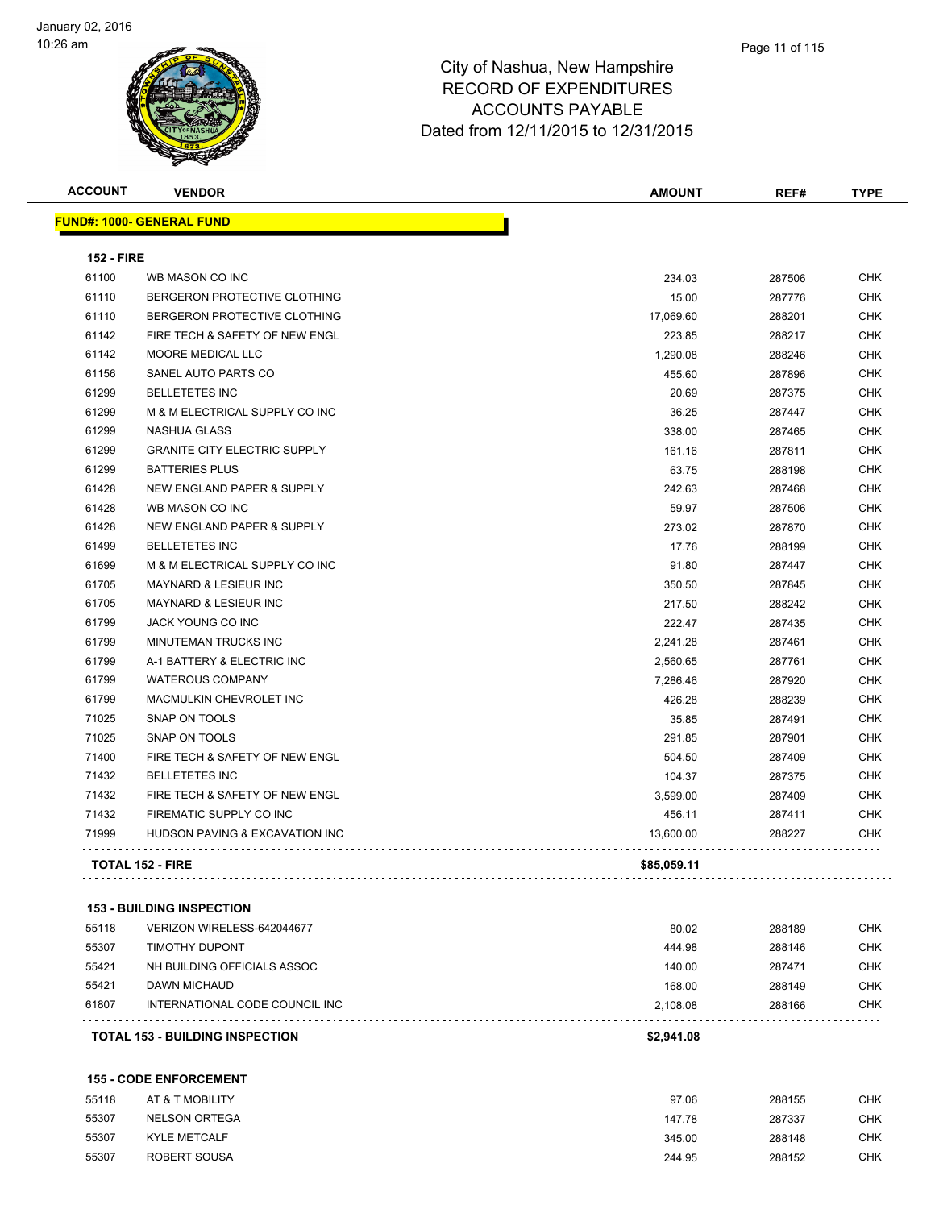

| <b>ACCOUNT</b>    | <b>VENDOR</b>                       | <b>AMOUNT</b> | REF#   | <b>TYPE</b> |
|-------------------|-------------------------------------|---------------|--------|-------------|
|                   | <b>FUND#: 1000- GENERAL FUND</b>    |               |        |             |
| <b>152 - FIRE</b> |                                     |               |        |             |
| 61100             | WB MASON CO INC                     | 234.03        | 287506 | <b>CHK</b>  |
| 61110             | BERGERON PROTECTIVE CLOTHING        | 15.00         | 287776 | CHK         |
| 61110             | BERGERON PROTECTIVE CLOTHING        | 17,069.60     | 288201 | <b>CHK</b>  |
| 61142             | FIRE TECH & SAFETY OF NEW ENGL      | 223.85        | 288217 | <b>CHK</b>  |
| 61142             | <b>MOORE MEDICAL LLC</b>            | 1,290.08      | 288246 | <b>CHK</b>  |
| 61156             | SANEL AUTO PARTS CO                 | 455.60        | 287896 | <b>CHK</b>  |
| 61299             | <b>BELLETETES INC</b>               | 20.69         | 287375 | <b>CHK</b>  |
| 61299             | M & M ELECTRICAL SUPPLY CO INC      | 36.25         | 287447 | <b>CHK</b>  |
| 61299             | <b>NASHUA GLASS</b>                 | 338.00        | 287465 | <b>CHK</b>  |
| 61299             | <b>GRANITE CITY ELECTRIC SUPPLY</b> | 161.16        | 287811 | <b>CHK</b>  |
| 61299             | <b>BATTERIES PLUS</b>               | 63.75         | 288198 | <b>CHK</b>  |
| 61428             | NEW ENGLAND PAPER & SUPPLY          | 242.63        | 287468 | <b>CHK</b>  |
| 61428             | WB MASON CO INC                     | 59.97         | 287506 | <b>CHK</b>  |
| 61428             | NEW ENGLAND PAPER & SUPPLY          | 273.02        | 287870 | <b>CHK</b>  |
| 61499             | <b>BELLETETES INC</b>               | 17.76         | 288199 | <b>CHK</b>  |
| 61699             | M & M ELECTRICAL SUPPLY CO INC      | 91.80         | 287447 | <b>CHK</b>  |
| 61705             | <b>MAYNARD &amp; LESIEUR INC</b>    | 350.50        | 287845 | <b>CHK</b>  |
| 61705             | <b>MAYNARD &amp; LESIEUR INC</b>    | 217.50        | 288242 | <b>CHK</b>  |
| 61799             | JACK YOUNG CO INC                   | 222.47        | 287435 | <b>CHK</b>  |
| 61799             | <b>MINUTEMAN TRUCKS INC</b>         | 2,241.28      | 287461 | <b>CHK</b>  |
| 61799             | A-1 BATTERY & ELECTRIC INC          | 2,560.65      | 287761 | <b>CHK</b>  |
| 61799             | <b>WATEROUS COMPANY</b>             | 7,286.46      | 287920 | <b>CHK</b>  |
| 61799             | MACMULKIN CHEVROLET INC             | 426.28        | 288239 | <b>CHK</b>  |
| 71025             | SNAP ON TOOLS                       | 35.85         | 287491 | <b>CHK</b>  |
| 71025             | <b>SNAP ON TOOLS</b>                | 291.85        | 287901 | <b>CHK</b>  |
| 71400             | FIRE TECH & SAFETY OF NEW ENGL      | 504.50        | 287409 | CHK         |
| 71432             | <b>BELLETETES INC</b>               | 104.37        | 287375 | <b>CHK</b>  |
| 71432             | FIRE TECH & SAFETY OF NEW ENGL      | 3,599.00      | 287409 | <b>CHK</b>  |
| 71432             | FIREMATIC SUPPLY CO INC             | 456.11        | 287411 | CHK         |
| 71999             | HUDSON PAVING & EXCAVATION INC      | 13,600.00     | 288227 | <b>CHK</b>  |
|                   | <b>TOTAL 152 - FIRE</b>             | \$85,059.11   |        |             |
|                   |                                     |               |        |             |

### **153 - BUILDING INSPECTION**

| DAWN MICHAUD<br>INTERNATIONAL CODE COUNCIL INC | 168.00<br>2.108.08                           | 288149<br>288166 | <b>CHK</b><br><b>CHK</b> |
|------------------------------------------------|----------------------------------------------|------------------|--------------------------|
|                                                |                                              |                  |                          |
|                                                |                                              |                  |                          |
| NH BUILDING OFFICIALS ASSOC                    | 140.00                                       | 287471           | <b>CHK</b>               |
|                                                | 444.98                                       | 288146           | <b>CHK</b>               |
|                                                | 80.02                                        | 288189           | CHK                      |
|                                                | VERIZON WIRELESS-642044677<br>TIMOTHY DUPONT |                  |                          |

#### **155 - CODE ENFORCEMENT**

| 55118 | AT & T MOBILITY      | 97.06  | 288155 | <b>CHK</b> |
|-------|----------------------|--------|--------|------------|
| 55307 | <b>NELSON ORTEGA</b> | 147.78 | 287337 | <b>CHK</b> |
| 55307 | <b>KYLE METCALF</b>  | 345.00 | 288148 | <b>CHK</b> |
| 55307 | ROBERT SOUSA         | 244.95 | 288152 | <b>CHK</b> |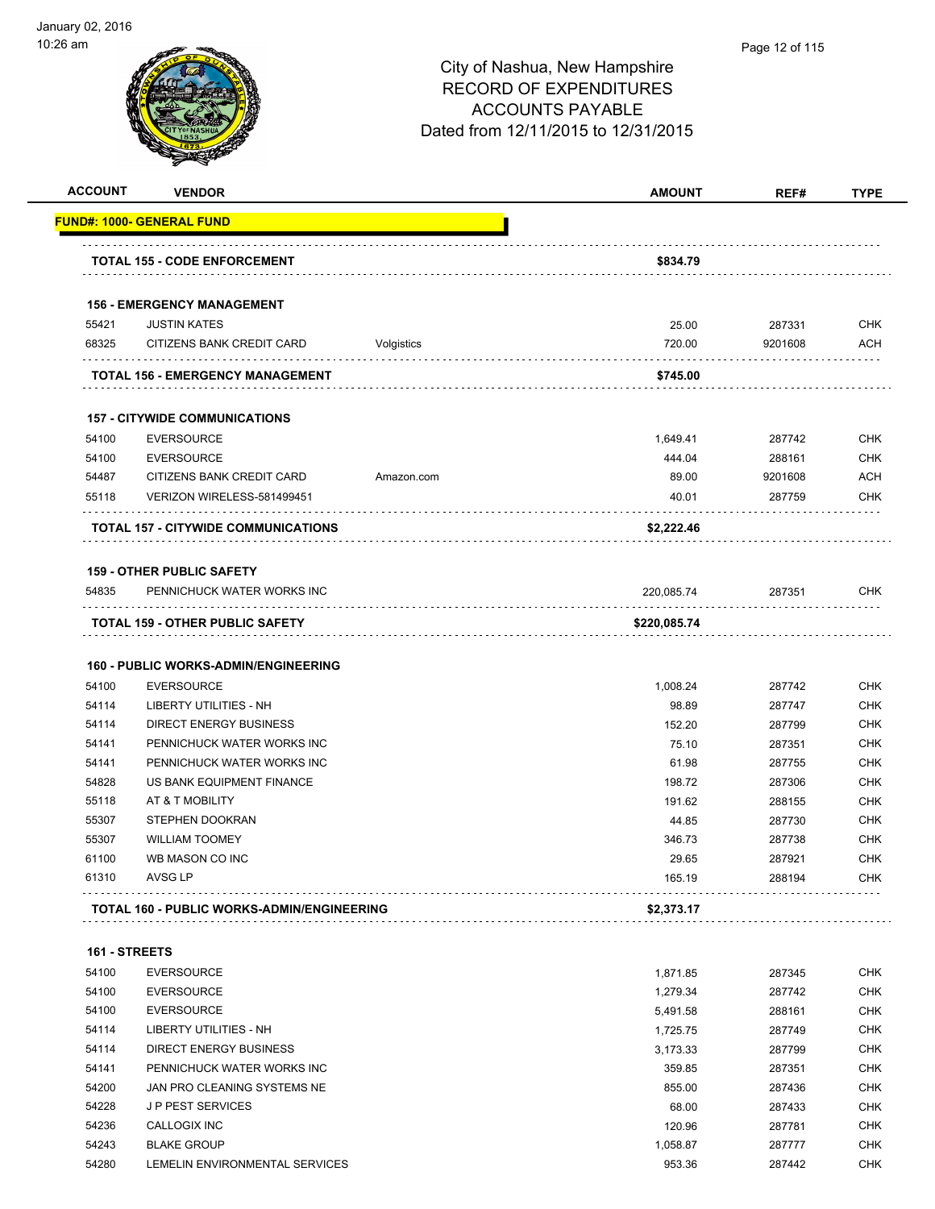

#### Page 12 of 115

| <b>ACCOUNT</b> | <b>VENDOR</b>                                     |            | <b>AMOUNT</b> | REF#    | <b>TYPE</b> |
|----------------|---------------------------------------------------|------------|---------------|---------|-------------|
|                | <u> FUND#: 1000- GENERAL FUND</u>                 |            |               |         |             |
|                | <b>TOTAL 155 - CODE ENFORCEMENT</b>               |            | \$834.79      |         |             |
|                | <b>156 - EMERGENCY MANAGEMENT</b>                 |            |               |         |             |
| 55421          | <b>JUSTIN KATES</b>                               |            | 25.00         | 287331  | <b>CHK</b>  |
| 68325          | CITIZENS BANK CREDIT CARD                         | Volgistics | 720.00        | 9201608 | <b>ACH</b>  |
|                | TOTAL 156 - EMERGENCY MANAGEMENT                  |            | \$745.00      |         |             |
|                | <b>157 - CITYWIDE COMMUNICATIONS</b>              |            |               |         |             |
| 54100          | <b>EVERSOURCE</b>                                 |            | 1,649.41      | 287742  | <b>CHK</b>  |
| 54100          | <b>EVERSOURCE</b>                                 |            | 444.04        | 288161  | <b>CHK</b>  |
| 54487          | CITIZENS BANK CREDIT CARD                         | Amazon.com | 89.00         | 9201608 | <b>ACH</b>  |
| 55118          | VERIZON WIRELESS-581499451                        |            | 40.01         | 287759  | <b>CHK</b>  |
|                | <b>TOTAL 157 - CITYWIDE COMMUNICATIONS</b>        |            | \$2,222.46    |         |             |
|                | <b>159 - OTHER PUBLIC SAFETY</b>                  |            |               |         |             |
| 54835          | PENNICHUCK WATER WORKS INC                        |            | 220.085.74    | 287351  | <b>CHK</b>  |
|                | <b>TOTAL 159 - OTHER PUBLIC SAFETY</b>            |            | \$220,085.74  |         |             |
|                | <b>160 - PUBLIC WORKS-ADMIN/ENGINEERING</b>       |            |               |         |             |
| 54100          | <b>EVERSOURCE</b>                                 |            | 1,008.24      | 287742  | <b>CHK</b>  |
| 54114          | LIBERTY UTILITIES - NH                            |            | 98.89         | 287747  | <b>CHK</b>  |
| 54114          | <b>DIRECT ENERGY BUSINESS</b>                     |            | 152.20        | 287799  | <b>CHK</b>  |
| 54141          | PENNICHUCK WATER WORKS INC                        |            | 75.10         | 287351  | <b>CHK</b>  |
| 54141          | PENNICHUCK WATER WORKS INC                        |            | 61.98         | 287755  | <b>CHK</b>  |
| 54828          | US BANK EQUIPMENT FINANCE                         |            | 198.72        | 287306  | <b>CHK</b>  |
| 55118          | AT & T MOBILITY                                   |            | 191.62        | 288155  | CHK         |
| 55307          | STEPHEN DOOKRAN                                   |            | 44.85         | 287730  | <b>CHK</b>  |
| 55307          | <b>WILLIAM TOOMEY</b>                             |            | 346.73        | 287738  | <b>CHK</b>  |
| 61100          | WB MASON CO INC                                   |            | 29.65         | 287921  | <b>CHK</b>  |
| 61310          | AVSG LP                                           |            | 165.19        | 288194  | CHK         |
|                | <b>TOTAL 160 - PUBLIC WORKS-ADMIN/ENGINEERING</b> |            | \$2,373.17    |         |             |
| 161 - STREETS  |                                                   |            |               |         |             |
| 54100          | <b>EVERSOURCE</b>                                 |            | 1,871.85      | 287345  | <b>CHK</b>  |
| 54100          | <b>EVERSOURCE</b>                                 |            | 1,279.34      | 287742  | <b>CHK</b>  |
| 54100          | <b>EVERSOURCE</b>                                 |            | 5,491.58      | 288161  | <b>CHK</b>  |
| 54114          | LIBERTY UTILITIES - NH                            |            | 1,725.75      | 287749  | <b>CHK</b>  |
| 54114          | DIRECT ENERGY BUSINESS                            |            | 3,173.33      | 287799  | <b>CHK</b>  |
| 54141          | PENNICHUCK WATER WORKS INC                        |            | 359.85        | 287351  | <b>CHK</b>  |
| 54200          | JAN PRO CLEANING SYSTEMS NE                       |            | 855.00        | 287436  | <b>CHK</b>  |
| 54228          | <b>JP PEST SERVICES</b>                           |            | 68.00         | 287433  | CHK         |
| 54236          | CALLOGIX INC                                      |            | 120.96        | 287781  | <b>CHK</b>  |
| 54243          | <b>BLAKE GROUP</b>                                |            | 1,058.87      | 287777  | <b>CHK</b>  |
| 54280          | LEMELIN ENVIRONMENTAL SERVICES                    |            | 953.36        | 287442  | <b>CHK</b>  |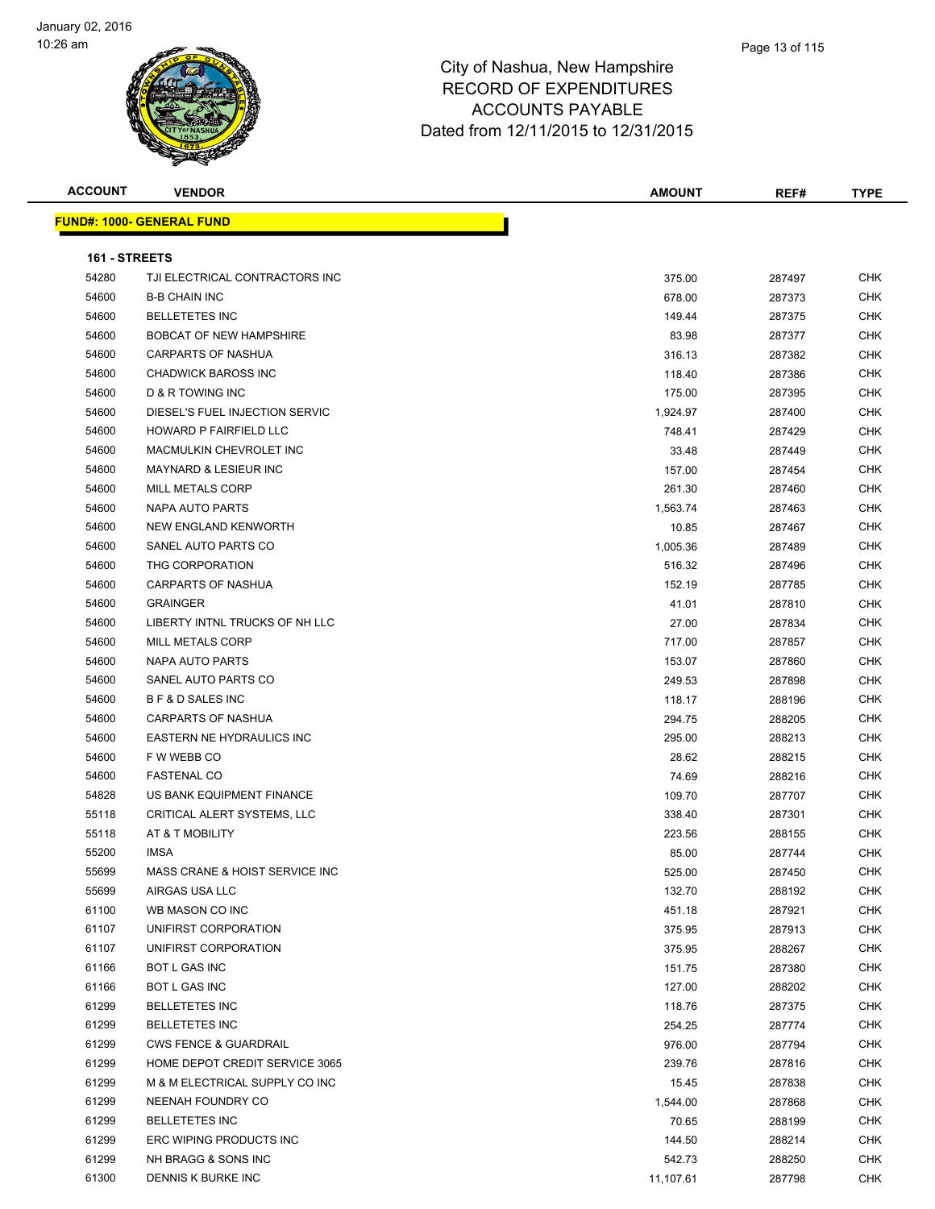

| <b>ACCOUNT</b> | <b>VENDOR</b>                     | <b>AMOUNT</b> | REF#   | <b>TYPE</b> |
|----------------|-----------------------------------|---------------|--------|-------------|
|                | <u> FUND#: 1000- GENERAL FUND</u> |               |        |             |
|                |                                   |               |        |             |
| 161 - STREETS  |                                   |               |        |             |
| 54280          | TJI ELECTRICAL CONTRACTORS INC    | 375.00        | 287497 | <b>CHK</b>  |
| 54600          | <b>B-B CHAIN INC</b>              | 678.00        | 287373 | <b>CHK</b>  |
| 54600          | <b>BELLETETES INC</b>             | 149.44        | 287375 | CHK         |
| 54600          | <b>BOBCAT OF NEW HAMPSHIRE</b>    | 83.98         | 287377 | CHK         |
| 54600          | <b>CARPARTS OF NASHUA</b>         | 316.13        | 287382 | CHK         |
| 54600          | <b>CHADWICK BAROSS INC</b>        | 118.40        | 287386 | CHK         |
| 54600          | <b>D &amp; R TOWING INC</b>       | 175.00        | 287395 | CHK         |
| 54600          | DIESEL'S FUEL INJECTION SERVIC    | 1,924.97      | 287400 | CHK         |
| 54600          | HOWARD P FAIRFIELD LLC            | 748.41        | 287429 | <b>CHK</b>  |
| 54600          | MACMULKIN CHEVROLET INC           | 33.48         | 287449 | <b>CHK</b>  |
| 54600          | <b>MAYNARD &amp; LESIEUR INC</b>  | 157.00        | 287454 | CHK         |
| 54600          | <b>MILL METALS CORP</b>           | 261.30        | 287460 | CHK         |
| 54600          | <b>NAPA AUTO PARTS</b>            | 1,563.74      | 287463 | CHK         |
| 54600          | NEW ENGLAND KENWORTH              | 10.85         | 287467 | CHK         |
| 54600          | SANEL AUTO PARTS CO               | 1,005.36      | 287489 | CHK         |
| 54600          | THG CORPORATION                   | 516.32        | 287496 | CHK         |
| 54600          | CARPARTS OF NASHUA                | 152.19        | 287785 | CHK         |
| 54600          | <b>GRAINGER</b>                   | 41.01         | 287810 | CHK         |
| 54600          | LIBERTY INTNL TRUCKS OF NH LLC    | 27.00         | 287834 | CHK         |
| 54600          | MILL METALS CORP                  | 717.00        | 287857 | <b>CHK</b>  |
| 54600          | NAPA AUTO PARTS                   | 153.07        | 287860 | <b>CHK</b>  |
| 54600          | SANEL AUTO PARTS CO               | 249.53        | 287898 | CHK         |
| 54600          | <b>B F &amp; D SALES INC</b>      | 118.17        | 288196 | CHK         |
| 54600          | <b>CARPARTS OF NASHUA</b>         | 294.75        | 288205 | CHK         |
| 54600          | EASTERN NE HYDRAULICS INC         | 295.00        | 288213 | <b>CHK</b>  |
| 54600          | F W WEBB CO                       | 28.62         | 288215 | CHK         |
| 54600          | <b>FASTENAL CO</b>                | 74.69         | 288216 | <b>CHK</b>  |
| 54828          | US BANK EQUIPMENT FINANCE         | 109.70        | 287707 | CHK         |
| 55118          | CRITICAL ALERT SYSTEMS, LLC       | 338.40        | 287301 | CHK         |
| 55118          | AT & T MOBILITY                   | 223.56        | 288155 | CHK         |
| 55200          | <b>IMSA</b>                       | 85.00         | 287744 | <b>CHK</b>  |
| 55699          | MASS CRANE & HOIST SERVICE INC    | 525.00        | 287450 | <b>CHK</b>  |
| 55699          | AIRGAS USA LLC                    | 132.70        | 288192 | CHK         |
| 61100          | WB MASON CO INC                   | 451.18        | 287921 | <b>CHK</b>  |
| 61107          | UNIFIRST CORPORATION              | 375.95        | 287913 | CHK         |
| 61107          | UNIFIRST CORPORATION              | 375.95        | 288267 | <b>CHK</b>  |
| 61166          | BOT L GAS INC                     | 151.75        | 287380 | <b>CHK</b>  |
| 61166          | BOT L GAS INC                     | 127.00        | 288202 | <b>CHK</b>  |
| 61299          | <b>BELLETETES INC</b>             | 118.76        | 287375 | <b>CHK</b>  |
| 61299          | <b>BELLETETES INC</b>             | 254.25        | 287774 | <b>CHK</b>  |
| 61299          | <b>CWS FENCE &amp; GUARDRAIL</b>  | 976.00        | 287794 | CHK         |
| 61299          | HOME DEPOT CREDIT SERVICE 3065    | 239.76        | 287816 | <b>CHK</b>  |
| 61299          | M & M ELECTRICAL SUPPLY CO INC    | 15.45         | 287838 | CHK         |
| 61299          | NEENAH FOUNDRY CO                 | 1,544.00      | 287868 | CHK         |
| 61299          | <b>BELLETETES INC</b>             | 70.65         | 288199 | CHK         |
| 61299          | ERC WIPING PRODUCTS INC           | 144.50        | 288214 | CHK         |
| 61299          | NH BRAGG & SONS INC               | 542.73        | 288250 | CHK         |
| 61300          | DENNIS K BURKE INC                | 11,107.61     | 287798 | <b>CHK</b>  |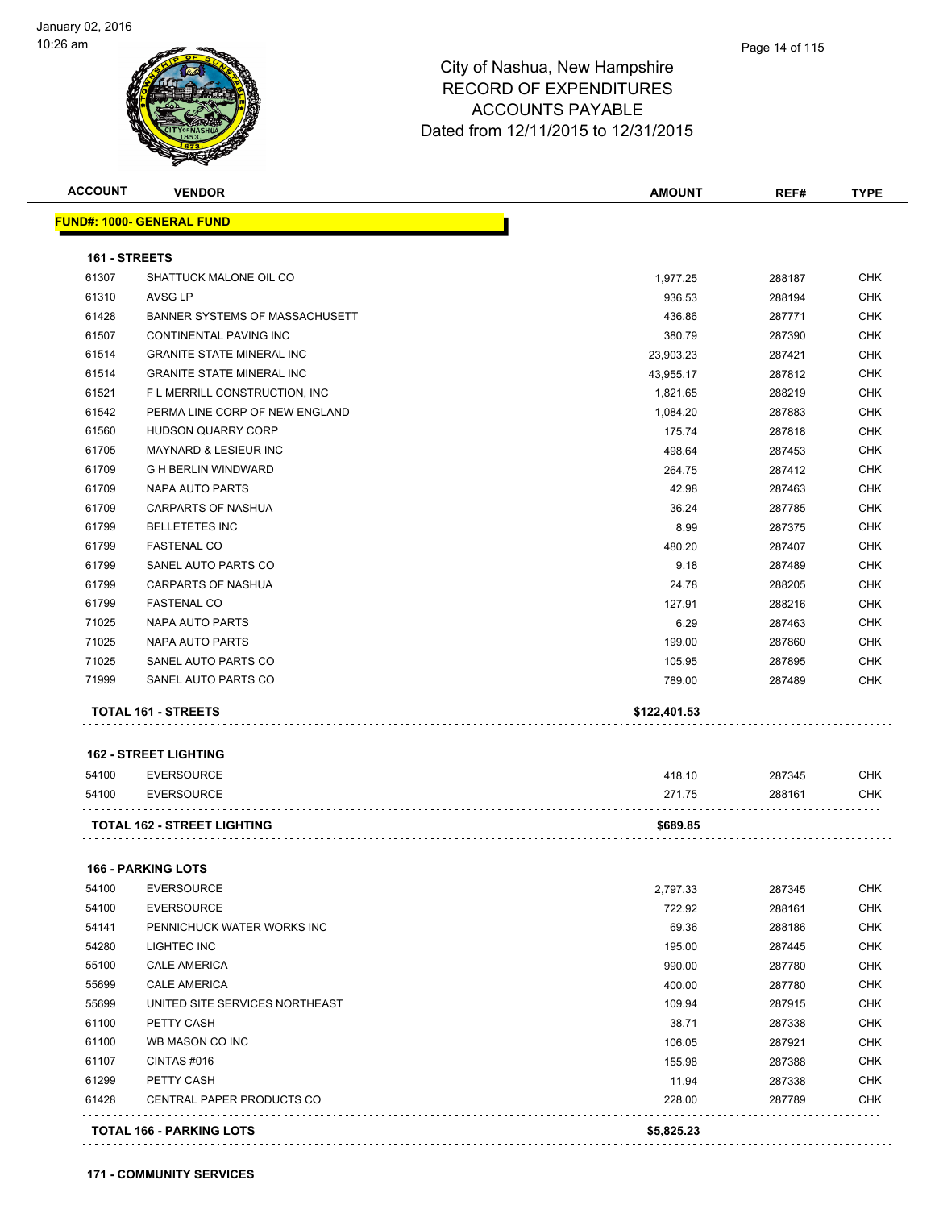

|                                                    | <b>VENDOR</b>                      | <b>AMOUNT</b>   | REF#             | <b>TYPE</b>                                                                                                                                                          |
|----------------------------------------------------|------------------------------------|-----------------|------------------|----------------------------------------------------------------------------------------------------------------------------------------------------------------------|
|                                                    | <u> FUND#: 1000- GENERAL FUND</u>  |                 |                  |                                                                                                                                                                      |
| 161 - STREETS                                      |                                    |                 |                  |                                                                                                                                                                      |
| 61307                                              | SHATTUCK MALONE OIL CO             | 1,977.25        | 288187           | CHK                                                                                                                                                                  |
| 61310                                              | AVSG LP                            | 936.53          | 288194           | <b>CHK</b>                                                                                                                                                           |
| 61428                                              | BANNER SYSTEMS OF MASSACHUSETT     | 436.86          | 287771           | <b>CHK</b>                                                                                                                                                           |
| 61507                                              | CONTINENTAL PAVING INC             | 380.79          | 287390           | <b>CHK</b>                                                                                                                                                           |
| 61514                                              | <b>GRANITE STATE MINERAL INC</b>   | 23,903.23       | 287421           | <b>CHK</b>                                                                                                                                                           |
| 61514                                              | <b>GRANITE STATE MINERAL INC</b>   | 43,955.17       | 287812           | <b>CHK</b>                                                                                                                                                           |
| 61521                                              | F L MERRILL CONSTRUCTION, INC      | 1,821.65        | 288219           | <b>CHK</b>                                                                                                                                                           |
| 61542                                              | PERMA LINE CORP OF NEW ENGLAND     | 1,084.20        | 287883           | <b>CHK</b>                                                                                                                                                           |
| 61560                                              | HUDSON QUARRY CORP                 | 175.74          | 287818           | <b>CHK</b>                                                                                                                                                           |
| 61705                                              | <b>MAYNARD &amp; LESIEUR INC</b>   | 498.64          | 287453           | <b>CHK</b>                                                                                                                                                           |
| 61709                                              | <b>G H BERLIN WINDWARD</b>         | 264.75          | 287412           | <b>CHK</b>                                                                                                                                                           |
| 61709                                              | NAPA AUTO PARTS                    | 42.98           | 287463           | <b>CHK</b>                                                                                                                                                           |
| 61709                                              | <b>CARPARTS OF NASHUA</b>          | 36.24           | 287785           | <b>CHK</b>                                                                                                                                                           |
| 61799                                              | <b>BELLETETES INC</b>              | 8.99            | 287375           | <b>CHK</b>                                                                                                                                                           |
| 61799                                              | <b>FASTENAL CO</b>                 | 480.20          | 287407           | <b>CHK</b>                                                                                                                                                           |
| 61799                                              | SANEL AUTO PARTS CO                | 9.18            | 287489           | <b>CHK</b>                                                                                                                                                           |
| 61799                                              | <b>CARPARTS OF NASHUA</b>          | 24.78           | 288205           | <b>CHK</b>                                                                                                                                                           |
| 61799                                              | <b>FASTENAL CO</b>                 | 127.91          | 288216           | <b>CHK</b>                                                                                                                                                           |
| 71025                                              | NAPA AUTO PARTS                    | 6.29            | 287463           | <b>CHK</b>                                                                                                                                                           |
| 71025                                              | NAPA AUTO PARTS                    | 199.00          | 287860           | <b>CHK</b>                                                                                                                                                           |
| 71025                                              | SANEL AUTO PARTS CO                | 105.95          | 287895           | <b>CHK</b>                                                                                                                                                           |
| 71999                                              | SANEL AUTO PARTS CO                | 789.00          | 287489           | <b>CHK</b>                                                                                                                                                           |
|                                                    |                                    |                 |                  |                                                                                                                                                                      |
|                                                    | TOTAL 161 - STREETS                | \$122,401.53    |                  |                                                                                                                                                                      |
|                                                    | <b>162 - STREET LIGHTING</b>       |                 |                  |                                                                                                                                                                      |
|                                                    |                                    |                 |                  |                                                                                                                                                                      |
| 54100                                              | <b>EVERSOURCE</b>                  | 418.10          | 287345           | <b>CHK</b>                                                                                                                                                           |
|                                                    | <b>EVERSOURCE</b>                  | 271.75          | 288161           |                                                                                                                                                                      |
| 54100                                              |                                    |                 |                  | <b>CHK</b>                                                                                                                                                           |
|                                                    | <b>TOTAL 162 - STREET LIGHTING</b> | \$689.85        |                  |                                                                                                                                                                      |
|                                                    | <b>166 - PARKING LOTS</b>          |                 |                  |                                                                                                                                                                      |
| 54100                                              | <b>EVERSOURCE</b>                  | 2,797.33        | 287345           |                                                                                                                                                                      |
| 54100                                              | <b>EVERSOURCE</b>                  | 722.92          | 288161           |                                                                                                                                                                      |
| 54141                                              | PENNICHUCK WATER WORKS INC         | 69.36           | 288186           |                                                                                                                                                                      |
|                                                    | LIGHTEC INC                        | 195.00          | 287445           |                                                                                                                                                                      |
|                                                    | <b>CALE AMERICA</b>                | 990.00          | 287780           |                                                                                                                                                                      |
| 55699                                              | <b>CALE AMERICA</b>                | 400.00          | 287780           |                                                                                                                                                                      |
|                                                    | UNITED SITE SERVICES NORTHEAST     | 109.94          | 287915           |                                                                                                                                                                      |
|                                                    | PETTY CASH                         | 38.71           | 287338           |                                                                                                                                                                      |
|                                                    | WB MASON CO INC                    | 106.05          | 287921           |                                                                                                                                                                      |
| 54280<br>55100<br>55699<br>61100<br>61100<br>61107 | CINTAS#016                         |                 |                  |                                                                                                                                                                      |
| 61299                                              | PETTY CASH                         | 155.98<br>11.94 | 287388<br>287338 |                                                                                                                                                                      |
| 61428                                              | CENTRAL PAPER PRODUCTS CO          | 228.00          | 287789           | <b>CHK</b><br><b>CHK</b><br><b>CHK</b><br><b>CHK</b><br><b>CHK</b><br><b>CHK</b><br><b>CHK</b><br><b>CHK</b><br><b>CHK</b><br><b>CHK</b><br><b>CHK</b><br><b>CHK</b> |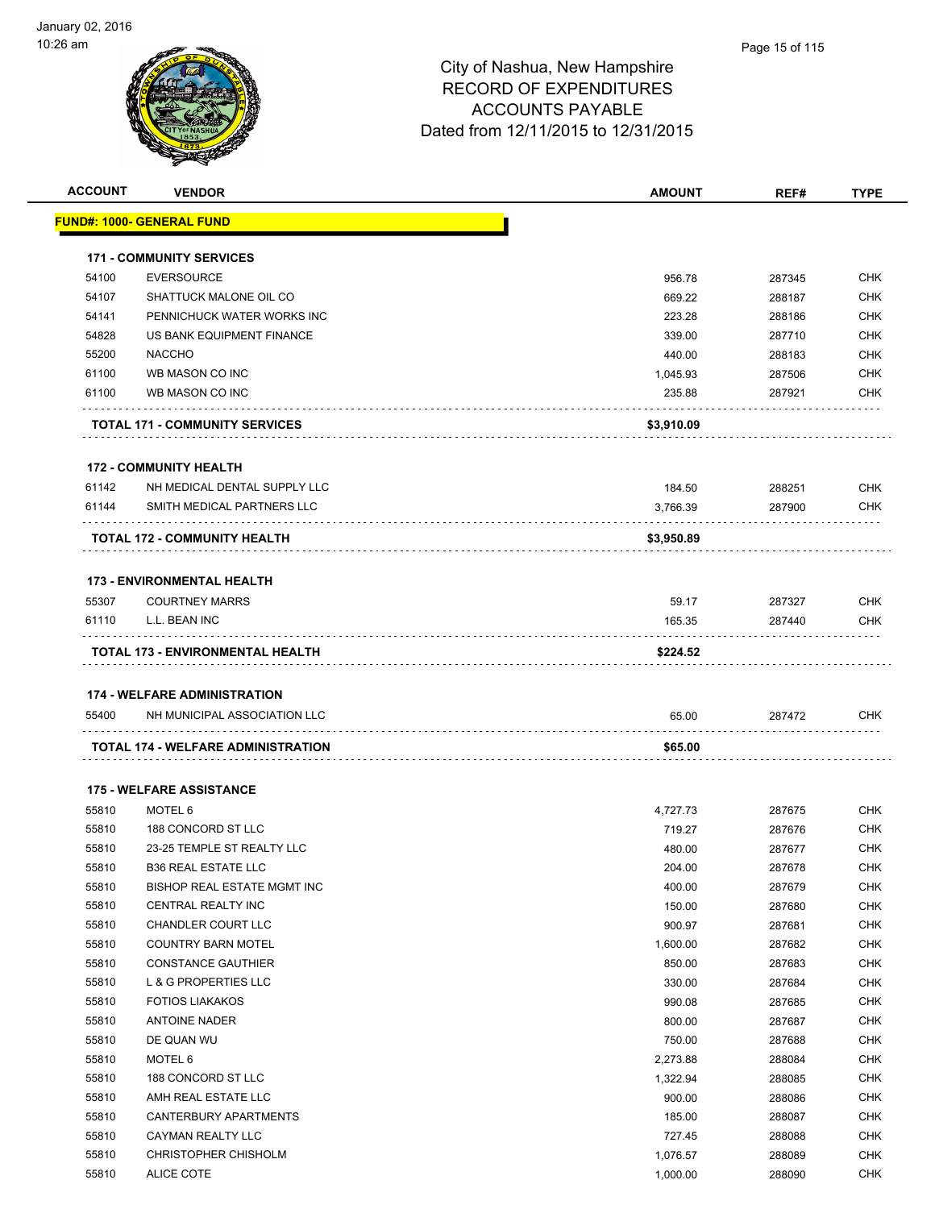

| <b>ACCOUNT</b> | <b>VENDOR</b>                         | <b>AMOUNT</b> | REF#   | <b>TYPE</b> |
|----------------|---------------------------------------|---------------|--------|-------------|
|                | <u> FUND#: 1000- GENERAL FUND</u>     |               |        |             |
|                | <b>171 - COMMUNITY SERVICES</b>       |               |        |             |
| 54100          | <b>EVERSOURCE</b>                     | 956.78        | 287345 | <b>CHK</b>  |
| 54107          | SHATTUCK MALONE OIL CO                | 669.22        | 288187 | <b>CHK</b>  |
| 54141          | PENNICHUCK WATER WORKS INC            | 223.28        | 288186 | <b>CHK</b>  |
| 54828          | US BANK EQUIPMENT FINANCE             | 339.00        | 287710 | <b>CHK</b>  |
| 55200          | <b>NACCHO</b>                         | 440.00        | 288183 | <b>CHK</b>  |
| 61100          | WB MASON CO INC                       | 1,045.93      | 287506 | <b>CHK</b>  |
| 61100          | WB MASON CO INC                       | 235.88        | 287921 | <b>CHK</b>  |
|                | <b>TOTAL 171 - COMMUNITY SERVICES</b> | \$3,910.09    |        |             |
|                | <b>172 - COMMUNITY HEALTH</b>         |               |        |             |
| 61142          | NH MEDICAL DENTAL SUPPLY LLC          | 184.50        | 288251 | <b>CHK</b>  |
| 61144          | SMITH MEDICAL PARTNERS LLC            | 3,766.39      | 287900 | <b>CHK</b>  |
|                | TOTAL 172 - COMMUNITY HEALTH          | \$3,950.89    |        |             |
|                | <b>173 - ENVIRONMENTAL HEALTH</b>     |               |        |             |
| 55307          | <b>COURTNEY MARRS</b>                 | 59.17         | 287327 | <b>CHK</b>  |
| 61110          | L.L. BEAN INC                         | 165.35        | 287440 | <b>CHK</b>  |
|                | TOTAL 173 - ENVIRONMENTAL HEALTH      | \$224.52      |        |             |
|                |                                       |               |        |             |
|                | <b>174 - WELFARE ADMINISTRATION</b>   |               |        |             |
| 55400          | NH MUNICIPAL ASSOCIATION LLC          | 65.00         | 287472 | <b>CHK</b>  |
|                | TOTAL 174 - WELFARE ADMINISTRATION    | \$65.00       |        |             |
|                | <b>175 - WELFARE ASSISTANCE</b>       |               |        |             |
| 55810          | MOTEL 6                               | 4,727.73      | 287675 | <b>CHK</b>  |
| 55810          | 188 CONCORD ST LLC                    | 719.27        | 287676 | <b>CHK</b>  |
| 55810          | 23-25 TEMPLE ST REALTY LLC            | 480.00        | 287677 | <b>CHK</b>  |
| 55810          | <b>B36 REAL ESTATE LLC</b>            | 204.00        | 287678 | CHK         |
| 55810          | BISHOP REAL ESTATE MGMT INC           | 400.00        | 287679 | <b>CHK</b>  |
| 55810          | CENTRAL REALTY INC                    | 150.00        | 287680 | <b>CHK</b>  |
| 55810          | CHANDLER COURT LLC                    | 900.97        | 287681 | <b>CHK</b>  |
| 55810          | <b>COUNTRY BARN MOTEL</b>             | 1,600.00      | 287682 | <b>CHK</b>  |
| 55810          | <b>CONSTANCE GAUTHIER</b>             | 850.00        | 287683 | CHK         |
| 55810          | <b>L &amp; G PROPERTIES LLC</b>       | 330.00        | 287684 | CHK         |
| 55810          | <b>FOTIOS LIAKAKOS</b>                | 990.08        | 287685 | CHK         |
| 55810          | <b>ANTOINE NADER</b>                  | 800.00        | 287687 | <b>CHK</b>  |
| 55810          | DE QUAN WU                            | 750.00        | 287688 | CHK         |
| 55810          | MOTEL 6                               | 2,273.88      | 288084 | CHK         |
| 55810          | 188 CONCORD ST LLC                    | 1,322.94      | 288085 | <b>CHK</b>  |
| 55810          | AMH REAL ESTATE LLC                   | 900.00        | 288086 | <b>CHK</b>  |
| 55810          | CANTERBURY APARTMENTS                 | 185.00        | 288087 | <b>CHK</b>  |
| 55810          | CAYMAN REALTY LLC                     | 727.45        | 288088 | <b>CHK</b>  |
| 55810          | CHRISTOPHER CHISHOLM                  | 1,076.57      | 288089 | <b>CHK</b>  |
| 55810          | ALICE COTE                            | 1,000.00      | 288090 | <b>CHK</b>  |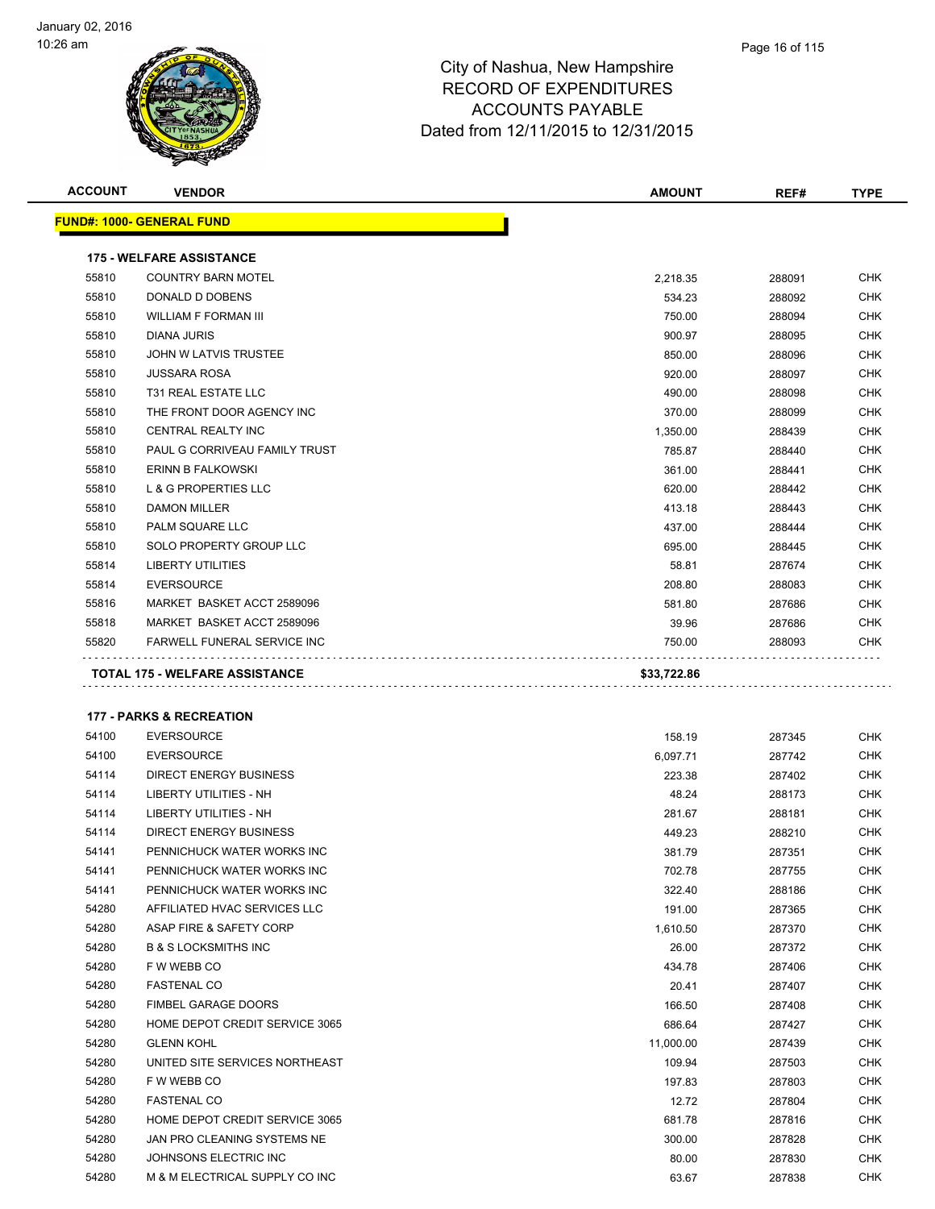

| <b>ACCOUNT</b> | <b>VENDOR</b>                       | <b>AMOUNT</b> | REF#   | <b>TYPE</b> |
|----------------|-------------------------------------|---------------|--------|-------------|
|                | <b>FUND#: 1000- GENERAL FUND</b>    |               |        |             |
|                | <b>175 - WELFARE ASSISTANCE</b>     |               |        |             |
| 55810          | <b>COUNTRY BARN MOTEL</b>           | 2,218.35      | 288091 | <b>CHK</b>  |
| 55810          | DONALD D DOBENS                     | 534.23        | 288092 | <b>CHK</b>  |
| 55810          | <b>WILLIAM F FORMAN III</b>         | 750.00        | 288094 | <b>CHK</b>  |
| 55810          | DIANA JURIS                         | 900.97        | 288095 | <b>CHK</b>  |
| 55810          | JOHN W LATVIS TRUSTEE               | 850.00        | 288096 | <b>CHK</b>  |
| 55810          | <b>JUSSARA ROSA</b>                 | 920.00        | 288097 | <b>CHK</b>  |
| 55810          | T31 REAL ESTATE LLC                 | 490.00        | 288098 | <b>CHK</b>  |
| 55810          | THE FRONT DOOR AGENCY INC           | 370.00        | 288099 | <b>CHK</b>  |
| 55810          | <b>CENTRAL REALTY INC</b>           | 1,350.00      | 288439 | <b>CHK</b>  |
| 55810          | PAUL G CORRIVEAU FAMILY TRUST       | 785.87        | 288440 | <b>CHK</b>  |
| 55810          | ERINN B FALKOWSKI                   | 361.00        | 288441 | <b>CHK</b>  |
| 55810          | L & G PROPERTIES LLC                | 620.00        | 288442 | <b>CHK</b>  |
| 55810          | <b>DAMON MILLER</b>                 | 413.18        | 288443 | <b>CHK</b>  |
| 55810          | PALM SQUARE LLC                     | 437.00        | 288444 | <b>CHK</b>  |
| 55810          | SOLO PROPERTY GROUP LLC             | 695.00        | 288445 | <b>CHK</b>  |
| 55814          | LIBERTY UTILITIES                   | 58.81         | 287674 | <b>CHK</b>  |
| 55814          | <b>EVERSOURCE</b>                   | 208.80        | 288083 | <b>CHK</b>  |
| 55816          | MARKET BASKET ACCT 2589096          | 581.80        | 287686 | <b>CHK</b>  |
| 55818          | MARKET BASKET ACCT 2589096          | 39.96         | 287686 | <b>CHK</b>  |
| 55820          | <b>FARWELL FUNERAL SERVICE INC</b>  | 750.00        | 288093 | <b>CHK</b>  |
|                | TOTAL 175 - WELFARE ASSISTANCE      | \$33,722.86   |        |             |
|                | <b>177 - PARKS &amp; RECREATION</b> |               |        |             |
| 54100          | <b>EVERSOURCE</b>                   | 158.19        | 287345 | <b>CHK</b>  |
| 54100          | <b>EVERSOURCE</b>                   | 6,097.71      | 287742 | <b>CHK</b>  |
| 54114          | <b>DIRECT ENERGY BUSINESS</b>       | 223.38        | 287402 | <b>CHK</b>  |
| 54114          | LIBERTY UTILITIES - NH              | 48 24         | 288173 | <b>CHK</b>  |

| 54114 | <b>DIRECT ENERGY BUSINESS</b>   | 223.38    | 287402 | <b>CHK</b> |
|-------|---------------------------------|-----------|--------|------------|
| 54114 | <b>LIBERTY UTILITIES - NH</b>   | 48.24     | 288173 | <b>CHK</b> |
| 54114 | <b>LIBERTY UTILITIES - NH</b>   | 281.67    | 288181 | <b>CHK</b> |
| 54114 | <b>DIRECT ENERGY BUSINESS</b>   | 449.23    | 288210 | CHK        |
| 54141 | PENNICHUCK WATER WORKS INC      | 381.79    | 287351 | <b>CHK</b> |
| 54141 | PENNICHUCK WATER WORKS INC      | 702.78    | 287755 | <b>CHK</b> |
| 54141 | PENNICHUCK WATER WORKS INC      | 322.40    | 288186 | <b>CHK</b> |
| 54280 | AFFILIATED HVAC SERVICES LLC    | 191.00    | 287365 | <b>CHK</b> |
| 54280 | ASAP FIRE & SAFETY CORP         | 1,610.50  | 287370 | <b>CHK</b> |
| 54280 | <b>B &amp; S LOCKSMITHS INC</b> | 26.00     | 287372 | <b>CHK</b> |
| 54280 | F W WEBB CO                     | 434.78    | 287406 | CHK        |
| 54280 | <b>FASTENAL CO</b>              | 20.41     | 287407 | <b>CHK</b> |
| 54280 | <b>FIMBEL GARAGE DOORS</b>      | 166.50    | 287408 | <b>CHK</b> |
| 54280 | HOME DEPOT CREDIT SERVICE 3065  | 686.64    | 287427 | <b>CHK</b> |
| 54280 | <b>GLENN KOHL</b>               | 11,000.00 | 287439 | <b>CHK</b> |
| 54280 | UNITED SITE SERVICES NORTHEAST  | 109.94    | 287503 | <b>CHK</b> |
| 54280 | F W WEBB CO                     | 197.83    | 287803 | <b>CHK</b> |
| 54280 | <b>FASTENAL CO</b>              | 12.72     | 287804 | <b>CHK</b> |
| 54280 | HOME DEPOT CREDIT SERVICE 3065  | 681.78    | 287816 | <b>CHK</b> |
| 54280 | JAN PRO CLEANING SYSTEMS NE     | 300.00    | 287828 | <b>CHK</b> |
| 54280 | JOHNSONS ELECTRIC INC           | 80.00     | 287830 | <b>CHK</b> |
| 54280 | M & M ELECTRICAL SUPPLY CO INC  | 63.67     | 287838 | <b>CHK</b> |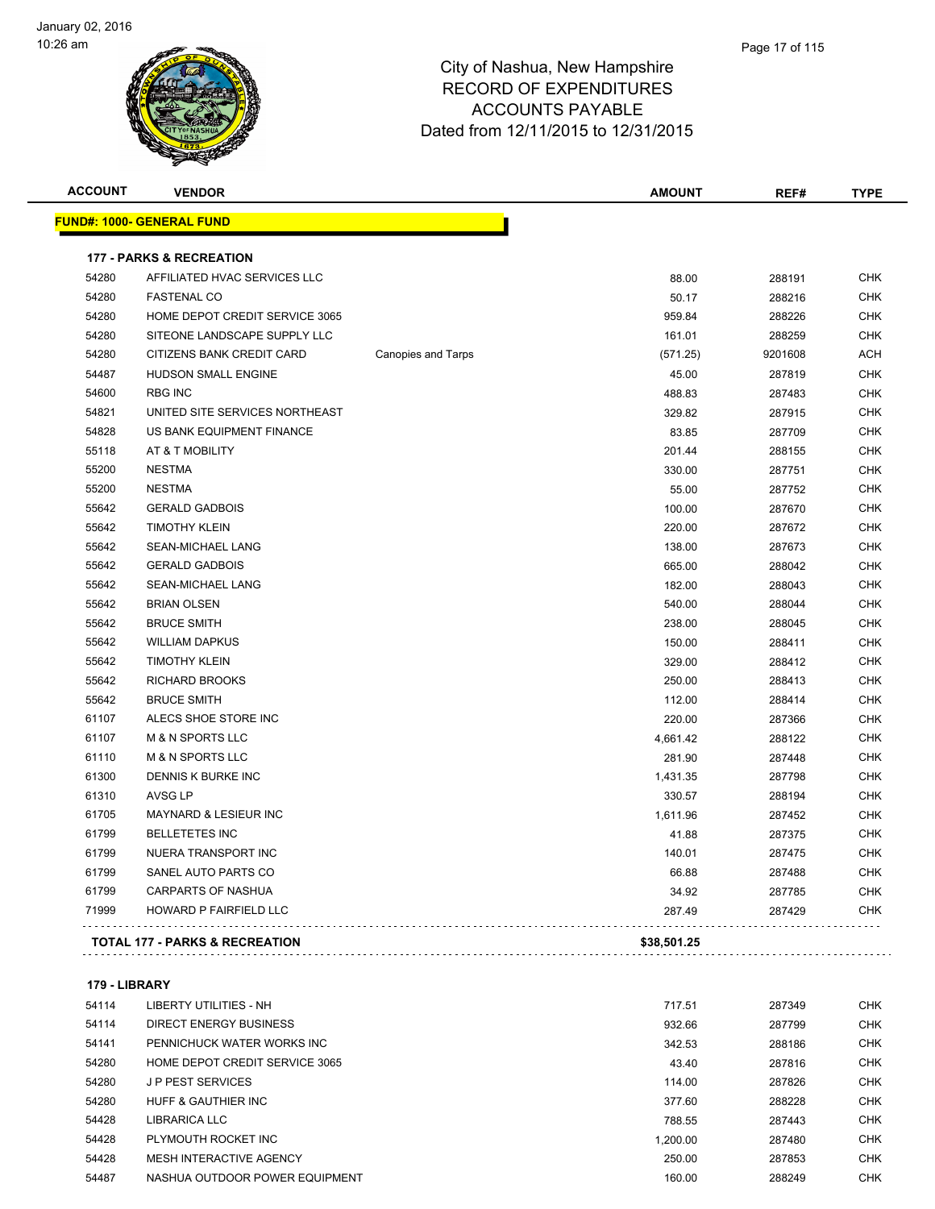

| <b>ACCOUNT</b> | <b>VENDOR</b>                             |                           | <b>AMOUNT</b> | REF#    | <b>TYPE</b> |
|----------------|-------------------------------------------|---------------------------|---------------|---------|-------------|
|                | <b>FUND#: 1000- GENERAL FUND</b>          |                           |               |         |             |
|                | <b>177 - PARKS &amp; RECREATION</b>       |                           |               |         |             |
| 54280          | AFFILIATED HVAC SERVICES LLC              |                           | 88.00         | 288191  | <b>CHK</b>  |
| 54280          | <b>FASTENAL CO</b>                        |                           | 50.17         | 288216  | <b>CHK</b>  |
| 54280          | HOME DEPOT CREDIT SERVICE 3065            |                           | 959.84        | 288226  | <b>CHK</b>  |
| 54280          | SITEONE LANDSCAPE SUPPLY LLC              |                           | 161.01        | 288259  | <b>CHK</b>  |
| 54280          | CITIZENS BANK CREDIT CARD                 | <b>Canopies and Tarps</b> | (571.25)      | 9201608 | <b>ACH</b>  |
| 54487          | HUDSON SMALL ENGINE                       |                           | 45.00         | 287819  | <b>CHK</b>  |
| 54600          | <b>RBG INC</b>                            |                           | 488.83        | 287483  | <b>CHK</b>  |
| 54821          | UNITED SITE SERVICES NORTHEAST            |                           | 329.82        | 287915  | <b>CHK</b>  |
| 54828          | US BANK EQUIPMENT FINANCE                 |                           | 83.85         | 287709  | <b>CHK</b>  |
| 55118          | AT & T MOBILITY                           |                           | 201.44        | 288155  | <b>CHK</b>  |
| 55200          | <b>NESTMA</b>                             |                           | 330.00        | 287751  | <b>CHK</b>  |
| 55200          | <b>NESTMA</b>                             |                           | 55.00         | 287752  | <b>CHK</b>  |
| 55642          | <b>GERALD GADBOIS</b>                     |                           | 100.00        | 287670  | <b>CHK</b>  |
| 55642          | <b>TIMOTHY KLEIN</b>                      |                           | 220.00        | 287672  | <b>CHK</b>  |
| 55642          | SEAN-MICHAEL LANG                         |                           | 138.00        | 287673  | <b>CHK</b>  |
| 55642          | <b>GERALD GADBOIS</b>                     |                           | 665.00        | 288042  | <b>CHK</b>  |
| 55642          | SEAN-MICHAEL LANG                         |                           | 182.00        | 288043  | <b>CHK</b>  |
| 55642          | <b>BRIAN OLSEN</b>                        |                           | 540.00        | 288044  | <b>CHK</b>  |
| 55642          | <b>BRUCE SMITH</b>                        |                           | 238.00        | 288045  | <b>CHK</b>  |
| 55642          | <b>WILLIAM DAPKUS</b>                     |                           | 150.00        | 288411  | <b>CHK</b>  |
| 55642          | <b>TIMOTHY KLEIN</b>                      |                           | 329.00        | 288412  | <b>CHK</b>  |
| 55642          | <b>RICHARD BROOKS</b>                     |                           | 250.00        | 288413  | <b>CHK</b>  |
| 55642          | <b>BRUCE SMITH</b>                        |                           | 112.00        | 288414  | <b>CHK</b>  |
| 61107          | ALECS SHOE STORE INC                      |                           | 220.00        | 287366  | <b>CHK</b>  |
| 61107          | <b>M &amp; N SPORTS LLC</b>               |                           | 4,661.42      | 288122  | <b>CHK</b>  |
| 61110          | <b>M &amp; N SPORTS LLC</b>               |                           | 281.90        | 287448  | <b>CHK</b>  |
| 61300          | DENNIS K BURKE INC                        |                           | 1,431.35      | 287798  | <b>CHK</b>  |
| 61310          | <b>AVSG LP</b>                            |                           | 330.57        | 288194  | <b>CHK</b>  |
| 61705          | MAYNARD & LESIEUR INC                     |                           | 1,611.96      | 287452  | <b>CHK</b>  |
| 61799          | <b>BELLETETES INC</b>                     |                           | 41.88         | 287375  | <b>CHK</b>  |
| 61799          | NUERA TRANSPORT INC                       |                           | 140.01        | 287475  | <b>CHK</b>  |
| 61799          | SANEL AUTO PARTS CO                       |                           | 66.88         | 287488  | <b>CHK</b>  |
| 61799          | <b>CARPARTS OF NASHUA</b>                 |                           | 34.92         | 287785  | <b>CHK</b>  |
| 71999          | HOWARD P FAIRFIELD LLC                    |                           | 287.49        | 287429  | <b>CHK</b>  |
|                | <b>TOTAL 177 - PARKS &amp; RECREATION</b> |                           | \$38,501.25   |         |             |
|                |                                           |                           |               |         |             |

|  | 179 - LIBRARY |
|--|---------------|
|--|---------------|

| 54114 | LIBERTY UTILITIES - NH         | 717.51   | 287349 | <b>CHK</b> |
|-------|--------------------------------|----------|--------|------------|
| 54114 | DIRECT ENERGY BUSINESS         | 932.66   | 287799 | <b>CHK</b> |
| 54141 | PENNICHUCK WATER WORKS INC     | 342.53   | 288186 | <b>CHK</b> |
| 54280 | HOME DEPOT CREDIT SERVICE 3065 | 43.40    | 287816 | <b>CHK</b> |
| 54280 | <b>JP PEST SERVICES</b>        | 114.00   | 287826 | <b>CHK</b> |
| 54280 | HUFF & GAUTHIER INC            | 377.60   | 288228 | <b>CHK</b> |
| 54428 | LIBRARICA LLC                  | 788.55   | 287443 | <b>CHK</b> |
| 54428 | PLYMOUTH ROCKET INC            | 1.200.00 | 287480 | <b>CHK</b> |
| 54428 | MESH INTERACTIVE AGENCY        | 250.00   | 287853 | <b>CHK</b> |
| 54487 | NASHUA OUTDOOR POWER EQUIPMENT | 160.00   | 288249 | <b>CHK</b> |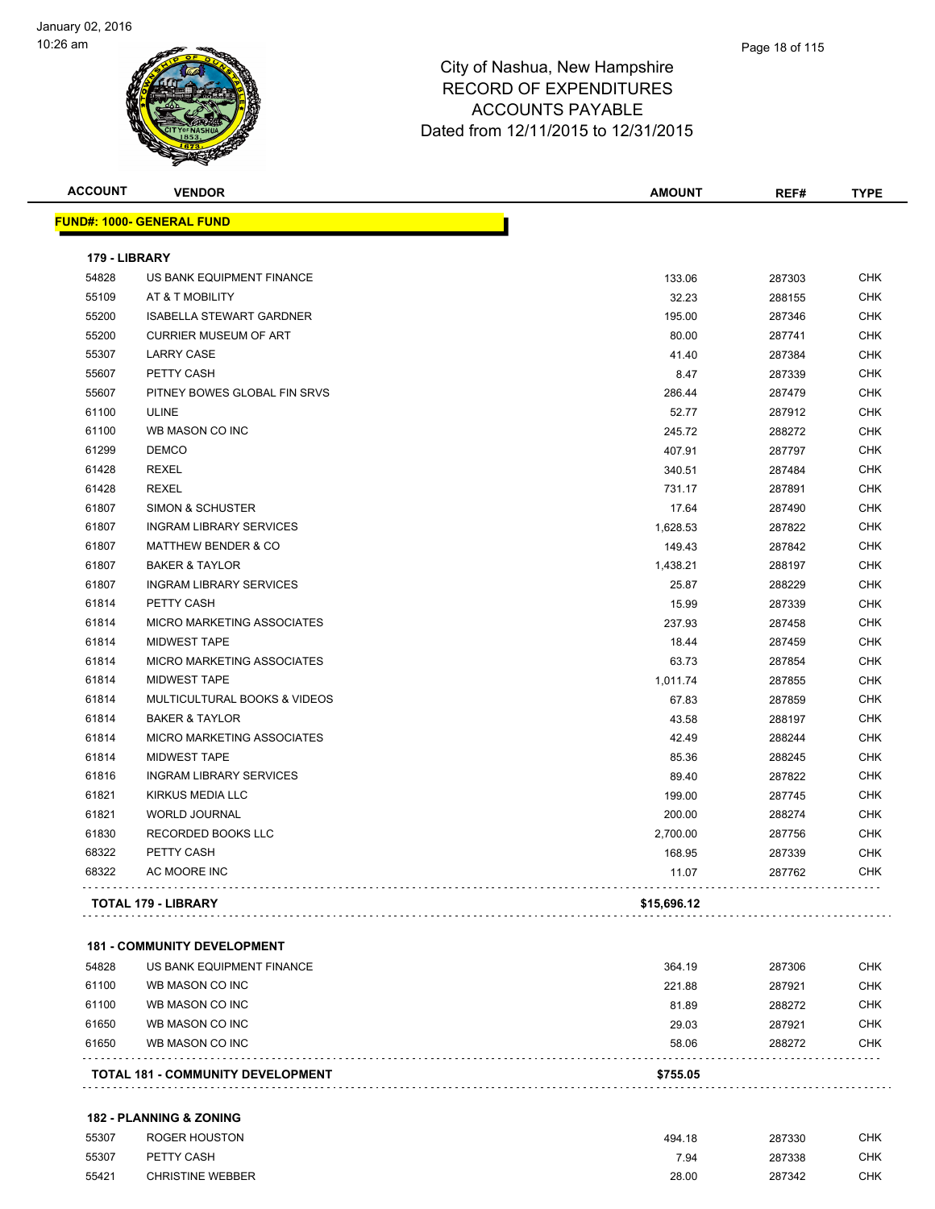

| <b>ACCOUNT</b> | <b>VENDOR</b>                           | <b>AMOUNT</b> | REF#   | <b>TYPE</b> |
|----------------|-----------------------------------------|---------------|--------|-------------|
|                | <b>FUND#: 1000- GENERAL FUND</b>        |               |        |             |
| 179 - LIBRARY  |                                         |               |        |             |
| 54828          | US BANK EQUIPMENT FINANCE               | 133.06        | 287303 | <b>CHK</b>  |
| 55109          | AT & T MOBILITY                         | 32.23         | 288155 | <b>CHK</b>  |
| 55200          | <b>ISABELLA STEWART GARDNER</b>         | 195.00        | 287346 | <b>CHK</b>  |
| 55200          | <b>CURRIER MUSEUM OF ART</b>            | 80.00         | 287741 | <b>CHK</b>  |
| 55307          | <b>LARRY CASE</b>                       | 41.40         | 287384 | <b>CHK</b>  |
| 55607          | PETTY CASH                              | 8.47          | 287339 | <b>CHK</b>  |
| 55607          | PITNEY BOWES GLOBAL FIN SRVS            | 286.44        | 287479 | <b>CHK</b>  |
| 61100          | <b>ULINE</b>                            | 52.77         | 287912 | <b>CHK</b>  |
| 61100          | WB MASON CO INC                         | 245.72        | 288272 | <b>CHK</b>  |
| 61299          | <b>DEMCO</b>                            | 407.91        | 287797 | <b>CHK</b>  |
| 61428          | <b>REXEL</b>                            | 340.51        | 287484 | <b>CHK</b>  |
| 61428          | <b>REXEL</b>                            | 731.17        | 287891 | <b>CHK</b>  |
| 61807          | <b>SIMON &amp; SCHUSTER</b>             | 17.64         | 287490 | <b>CHK</b>  |
| 61807          | <b>INGRAM LIBRARY SERVICES</b>          | 1,628.53      | 287822 | <b>CHK</b>  |
| 61807          | <b>MATTHEW BENDER &amp; CO</b>          | 149.43        | 287842 | <b>CHK</b>  |
| 61807          | <b>BAKER &amp; TAYLOR</b>               | 1,438.21      | 288197 | <b>CHK</b>  |
| 61807          | <b>INGRAM LIBRARY SERVICES</b>          | 25.87         | 288229 | <b>CHK</b>  |
| 61814          | PETTY CASH                              | 15.99         | 287339 | <b>CHK</b>  |
| 61814          | <b>MICRO MARKETING ASSOCIATES</b>       | 237.93        | 287458 | <b>CHK</b>  |
| 61814          | <b>MIDWEST TAPE</b>                     | 18.44         | 287459 | <b>CHK</b>  |
| 61814          | MICRO MARKETING ASSOCIATES              | 63.73         | 287854 | <b>CHK</b>  |
| 61814          | <b>MIDWEST TAPE</b>                     | 1,011.74      | 287855 | <b>CHK</b>  |
| 61814          | <b>MULTICULTURAL BOOKS &amp; VIDEOS</b> | 67.83         | 287859 | <b>CHK</b>  |
| 61814          | <b>BAKER &amp; TAYLOR</b>               | 43.58         | 288197 | <b>CHK</b>  |
| 61814          | <b>MICRO MARKETING ASSOCIATES</b>       | 42.49         | 288244 | <b>CHK</b>  |
| 61814          | <b>MIDWEST TAPE</b>                     | 85.36         | 288245 | <b>CHK</b>  |
| 61816          | <b>INGRAM LIBRARY SERVICES</b>          | 89.40         | 287822 | <b>CHK</b>  |
| 61821          | KIRKUS MEDIA LLC                        | 199.00        | 287745 | <b>CHK</b>  |
| 61821          | <b>WORLD JOURNAL</b>                    | 200.00        | 288274 | <b>CHK</b>  |
| 61830          | RECORDED BOOKS LLC                      | 2,700.00      | 287756 | <b>CHK</b>  |
| 68322          | PETTY CASH                              | 168.95        | 287339 | <b>CHK</b>  |
| 68322          | AC MOORE INC                            | 11.07         | 287762 | <b>CHK</b>  |
|                | <b>TOTAL 179 - LIBRARY</b>              | \$15,696.12   |        |             |

#### **181 - COMMUNITY DEVELOPMENT**

| 61100<br>61100 | WB MASON CO INC<br>WB MASON CO INC       | 221.88         | 287921           | CHK        |
|----------------|------------------------------------------|----------------|------------------|------------|
| 61650          | WB MASON CO INC                          | 81.89<br>29.03 | 288272<br>287921 | CHK<br>CHK |
| 61650          | WB MASON CO INC                          | 58.06          | 288272           | CHK        |
|                | <b>TOTAL 181 - COMMUNITY DEVELOPMENT</b> | \$755.05       |                  |            |

#### **182 - PLANNING & ZONING**

| 55307 | ROGER HOUSTON           | 494.18 | 287330 | CHK |
|-------|-------------------------|--------|--------|-----|
| 55307 | PETTY CASH              | 7.94   | 287338 | CHK |
| 55421 | <b>CHRISTINE WEBBER</b> | 28.00  | 287342 | CHK |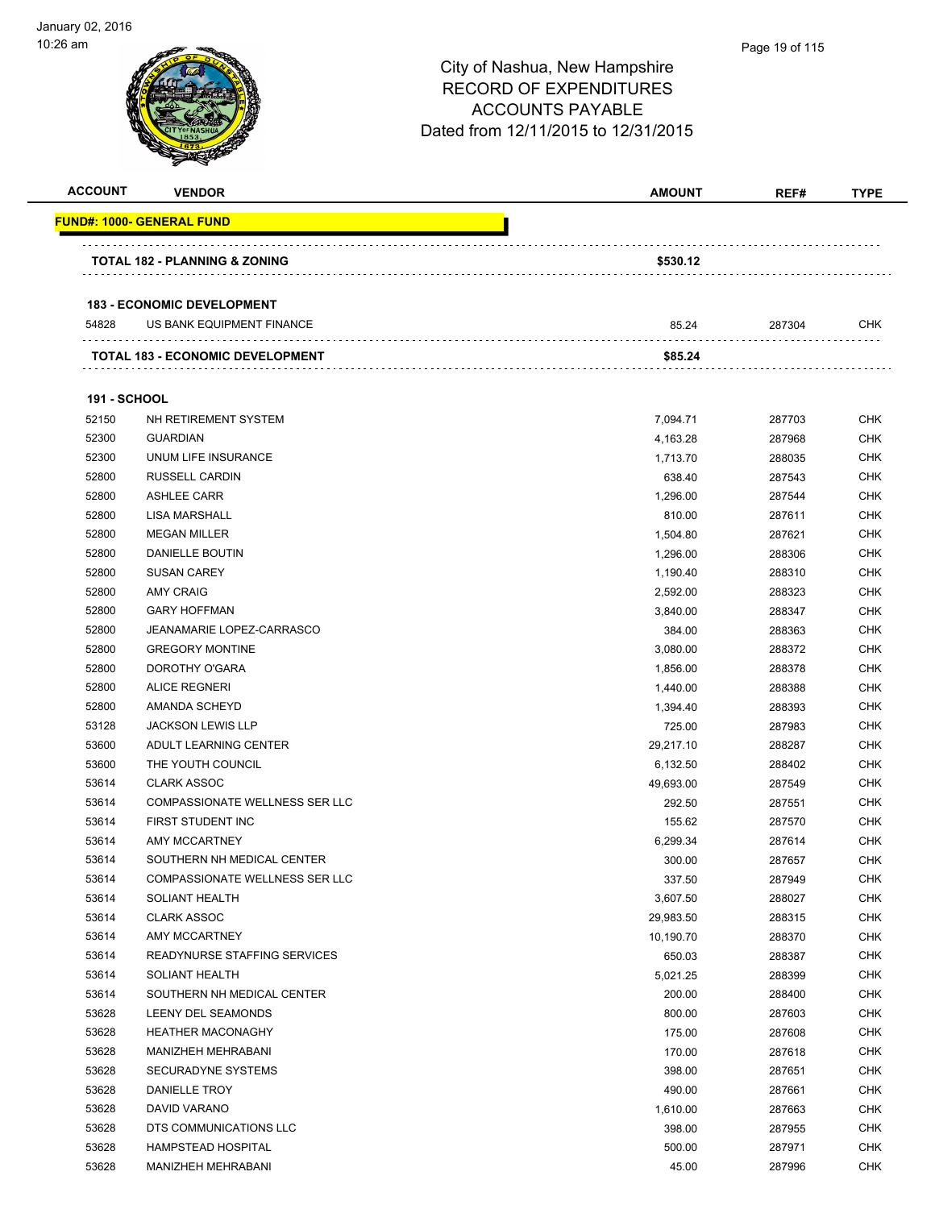| <b>ACCOUNT</b>      | <b>VENDOR</b>                                                  | <b>AMOUNT</b> | REF#   | <b>TYPE</b> |
|---------------------|----------------------------------------------------------------|---------------|--------|-------------|
|                     | <u> FUND#: 1000- GENERAL FUND</u>                              |               |        |             |
|                     | <b>TOTAL 182 - PLANNING &amp; ZONING</b>                       | \$530.12      |        |             |
|                     |                                                                |               |        |             |
| 54828               | <b>183 - ECONOMIC DEVELOPMENT</b><br>US BANK EQUIPMENT FINANCE | 85.24         | 287304 | CHK         |
|                     |                                                                |               |        |             |
|                     | <b>TOTAL 183 - ECONOMIC DEVELOPMENT</b>                        | \$85.24       |        |             |
| <b>191 - SCHOOL</b> |                                                                |               |        |             |
| 52150               | NH RETIREMENT SYSTEM                                           | 7,094.71      | 287703 | <b>CHK</b>  |
| 52300               | <b>GUARDIAN</b>                                                | 4,163.28      | 287968 | <b>CHK</b>  |
| 52300               | UNUM LIFE INSURANCE                                            | 1,713.70      | 288035 | <b>CHK</b>  |
| 52800               | <b>RUSSELL CARDIN</b>                                          | 638.40        | 287543 | <b>CHK</b>  |
| 52800               | <b>ASHLEE CARR</b>                                             | 1,296.00      | 287544 | CHK         |
| 52800               | <b>LISA MARSHALL</b>                                           | 810.00        | 287611 | <b>CHK</b>  |
| 52800               | <b>MEGAN MILLER</b>                                            | 1,504.80      | 287621 | <b>CHK</b>  |
| 52800               | DANIELLE BOUTIN                                                | 1,296.00      | 288306 | <b>CHK</b>  |
| 52800               | <b>SUSAN CAREY</b>                                             | 1,190.40      | 288310 | <b>CHK</b>  |
| 52800               | <b>AMY CRAIG</b>                                               | 2,592.00      | 288323 | <b>CHK</b>  |
| 52800               | <b>GARY HOFFMAN</b>                                            | 3,840.00      | 288347 | CHK         |
| 52800               | <b>JEANAMARIE LOPEZ-CARRASCO</b>                               | 384.00        | 288363 | <b>CHK</b>  |
| 52800               | <b>GREGORY MONTINE</b>                                         | 3,080.00      | 288372 | <b>CHK</b>  |
| 52800               | DOROTHY O'GARA                                                 | 1,856.00      | 288378 | <b>CHK</b>  |
| 52800               | <b>ALICE REGNERI</b>                                           | 1,440.00      | 288388 | <b>CHK</b>  |
| 52800               | AMANDA SCHEYD                                                  | 1,394.40      | 288393 | CHK         |
| 53128               | <b>JACKSON LEWIS LLP</b>                                       | 725.00        | 287983 | <b>CHK</b>  |
| 53600               | ADULT LEARNING CENTER                                          | 29,217.10     | 288287 | <b>CHK</b>  |
| 53600               | THE YOUTH COUNCIL                                              | 6,132.50      | 288402 | <b>CHK</b>  |
| 53614               | <b>CLARK ASSOC</b>                                             | 49,693.00     | 287549 | <b>CHK</b>  |
| 53614               | COMPASSIONATE WELLNESS SER LLC                                 | 292.50        | 287551 | <b>CHK</b>  |
| 53614               | FIRST STUDENT INC                                              | 155.62        | 287570 | <b>CHK</b>  |
| 53614               | <b>AMY MCCARTNEY</b>                                           | 6,299.34      | 287614 | <b>CHK</b>  |
| 53614               | SOUTHERN NH MEDICAL CENTER                                     | 300.00        | 287657 | <b>CHK</b>  |
| 53614               | COMPASSIONATE WELLNESS SER LLC                                 | 337.50        | 287949 | <b>CHK</b>  |
| 53614               | SOLIANT HEALTH                                                 | 3,607.50      | 288027 | <b>CHK</b>  |
| 53614               | <b>CLARK ASSOC</b>                                             | 29,983.50     | 288315 | CHK         |
| 53614               | AMY MCCARTNEY                                                  | 10,190.70     | 288370 | <b>CHK</b>  |
| 53614               | READYNURSE STAFFING SERVICES                                   | 650.03        | 288387 | <b>CHK</b>  |
| 53614               | SOLIANT HEALTH                                                 | 5,021.25      | 288399 | <b>CHK</b>  |
| 53614               | SOUTHERN NH MEDICAL CENTER                                     | 200.00        | 288400 | <b>CHK</b>  |
| 53628               | LEENY DEL SEAMONDS                                             | 800.00        | 287603 | <b>CHK</b>  |
| 53628               | <b>HEATHER MACONAGHY</b>                                       | 175.00        | 287608 | <b>CHK</b>  |
| 53628               | MANIZHEH MEHRABANI                                             | 170.00        | 287618 | <b>CHK</b>  |
| 53628               | SECURADYNE SYSTEMS                                             | 398.00        | 287651 | <b>CHK</b>  |
| 53628               | DANIELLE TROY                                                  | 490.00        | 287661 | <b>CHK</b>  |
| 53628               | DAVID VARANO                                                   | 1,610.00      | 287663 | <b>CHK</b>  |
| 53628               | DTS COMMUNICATIONS LLC                                         | 398.00        | 287955 | <b>CHK</b>  |
| 53628               | HAMPSTEAD HOSPITAL                                             | 500.00        | 287971 | <b>CHK</b>  |
| 53628               | MANIZHEH MEHRABANI                                             | 45.00         | 287996 | <b>CHK</b>  |
|                     |                                                                |               |        |             |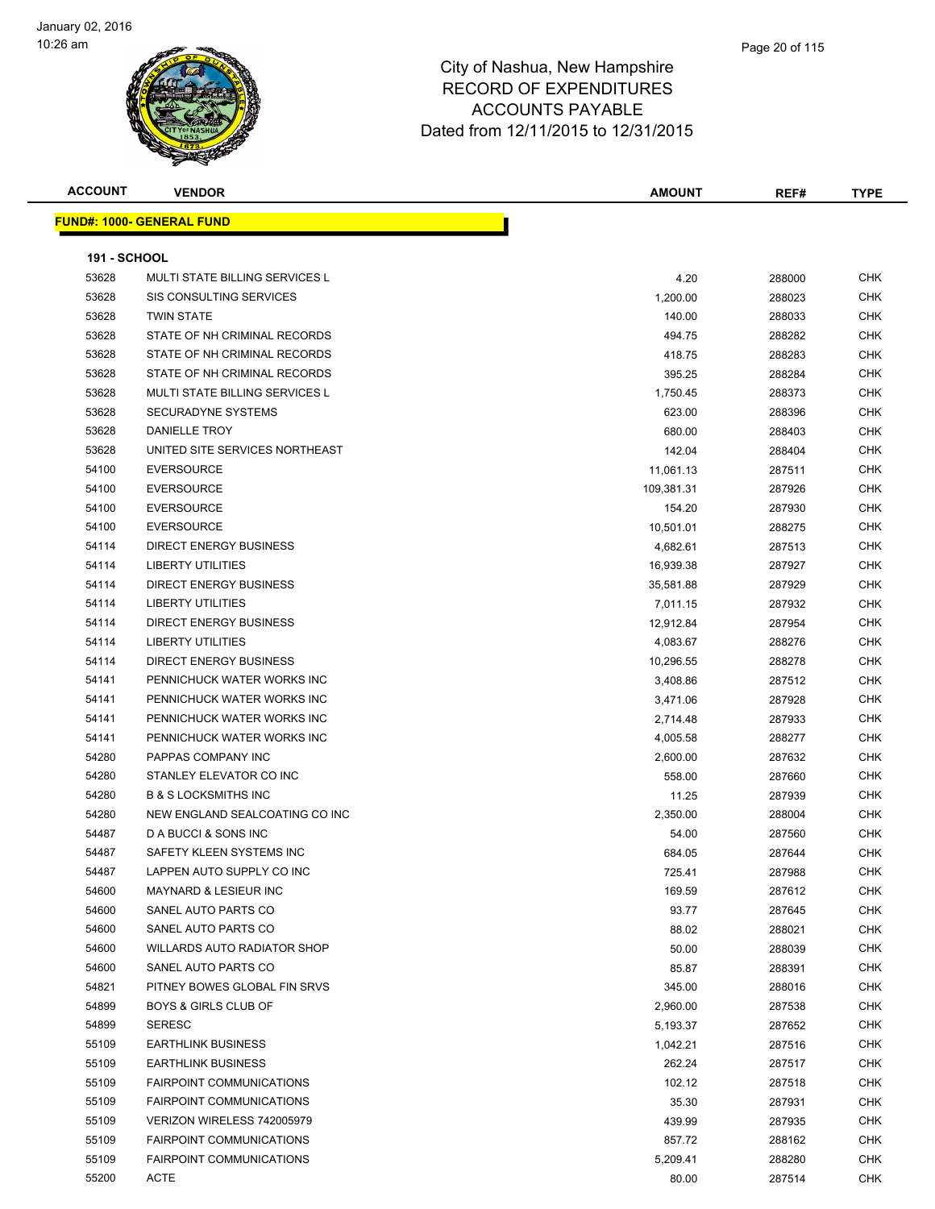

| <b>ACCOUNT</b> | <b>VENDOR</b>                         | <b>AMOUNT</b> | REF#   | <b>TYPE</b> |
|----------------|---------------------------------------|---------------|--------|-------------|
|                | <u> FUND#: 1000- GENERAL FUND</u>     |               |        |             |
|                |                                       |               |        |             |
| 191 - SCHOOL   |                                       |               |        |             |
| 53628          | <b>MULTI STATE BILLING SERVICES L</b> | 4.20          | 288000 | <b>CHK</b>  |
| 53628          | SIS CONSULTING SERVICES               | 1,200.00      | 288023 | <b>CHK</b>  |
| 53628          | <b>TWIN STATE</b>                     | 140.00        | 288033 | <b>CHK</b>  |
| 53628          | STATE OF NH CRIMINAL RECORDS          | 494.75        | 288282 | <b>CHK</b>  |
| 53628          | STATE OF NH CRIMINAL RECORDS          | 418.75        | 288283 | <b>CHK</b>  |
| 53628          | STATE OF NH CRIMINAL RECORDS          | 395.25        | 288284 | <b>CHK</b>  |
| 53628          | <b>MULTI STATE BILLING SERVICES L</b> | 1,750.45      | 288373 | <b>CHK</b>  |
| 53628          | <b>SECURADYNE SYSTEMS</b>             | 623.00        | 288396 | <b>CHK</b>  |
| 53628          | <b>DANIELLE TROY</b>                  | 680.00        | 288403 | <b>CHK</b>  |
| 53628          | UNITED SITE SERVICES NORTHEAST        | 142.04        | 288404 | <b>CHK</b>  |
| 54100          | <b>EVERSOURCE</b>                     | 11,061.13     | 287511 | <b>CHK</b>  |
| 54100          | <b>EVERSOURCE</b>                     | 109,381.31    | 287926 | CHK         |
| 54100          | <b>EVERSOURCE</b>                     | 154.20        | 287930 | CHK         |
| 54100          | <b>EVERSOURCE</b>                     | 10,501.01     | 288275 | CHK         |
| 54114          | <b>DIRECT ENERGY BUSINESS</b>         | 4,682.61      | 287513 | CHK         |
| 54114          | <b>LIBERTY UTILITIES</b>              | 16,939.38     | 287927 | <b>CHK</b>  |
| 54114          | <b>DIRECT ENERGY BUSINESS</b>         | 35,581.88     | 287929 | <b>CHK</b>  |
| 54114          | <b>LIBERTY UTILITIES</b>              | 7,011.15      | 287932 | CHK         |
| 54114          | <b>DIRECT ENERGY BUSINESS</b>         | 12,912.84     | 287954 | <b>CHK</b>  |
| 54114          | <b>LIBERTY UTILITIES</b>              | 4,083.67      | 288276 | <b>CHK</b>  |
| 54114          | <b>DIRECT ENERGY BUSINESS</b>         | 10,296.55     | 288278 | <b>CHK</b>  |
| 54141          | PENNICHUCK WATER WORKS INC            | 3,408.86      | 287512 | <b>CHK</b>  |
| 54141          | PENNICHUCK WATER WORKS INC            | 3,471.06      | 287928 | CHK         |
| 54141          | PENNICHUCK WATER WORKS INC            | 2,714.48      | 287933 | <b>CHK</b>  |
| 54141          | PENNICHUCK WATER WORKS INC            | 4,005.58      | 288277 | <b>CHK</b>  |
| 54280          | PAPPAS COMPANY INC                    | 2,600.00      | 287632 | <b>CHK</b>  |
| 54280          | STANLEY ELEVATOR CO INC               | 558.00        | 287660 | <b>CHK</b>  |
| 54280          | <b>B &amp; S LOCKSMITHS INC</b>       | 11.25         | 287939 | <b>CHK</b>  |
| 54280          | NEW ENGLAND SEALCOATING CO INC        | 2,350.00      | 288004 | <b>CHK</b>  |
| 54487          | D A BUCCI & SONS INC                  | 54.00         | 287560 | <b>CHK</b>  |
| 54487          | SAFETY KLEEN SYSTEMS INC              | 684.05        | 287644 | <b>CHK</b>  |
| 54487          | LAPPEN AUTO SUPPLY CO INC             | 725.41        | 287988 | CHK         |
| 54600          | <b>MAYNARD &amp; LESIEUR INC</b>      | 169.59        | 287612 | CHK         |
| 54600          | SANEL AUTO PARTS CO                   | 93.77         | 287645 | CHK         |
| 54600          | SANEL AUTO PARTS CO                   | 88.02         | 288021 | <b>CHK</b>  |
| 54600          | WILLARDS AUTO RADIATOR SHOP           | 50.00         | 288039 | <b>CHK</b>  |
| 54600          | SANEL AUTO PARTS CO                   | 85.87         | 288391 | CHK         |
| 54821          | PITNEY BOWES GLOBAL FIN SRVS          | 345.00        | 288016 | CHK         |
| 54899          | <b>BOYS &amp; GIRLS CLUB OF</b>       | 2,960.00      | 287538 | CHK         |
| 54899          | <b>SERESC</b>                         | 5,193.37      | 287652 | CHK         |
| 55109          | <b>EARTHLINK BUSINESS</b>             | 1,042.21      | 287516 | <b>CHK</b>  |
| 55109          | <b>EARTHLINK BUSINESS</b>             | 262.24        | 287517 | CHK         |
| 55109          | <b>FAIRPOINT COMMUNICATIONS</b>       | 102.12        | 287518 | <b>CHK</b>  |
| 55109          | <b>FAIRPOINT COMMUNICATIONS</b>       | 35.30         | 287931 | CHK         |
| 55109          | VERIZON WIRELESS 742005979            | 439.99        | 287935 | CHK         |
| 55109          | <b>FAIRPOINT COMMUNICATIONS</b>       | 857.72        | 288162 | <b>CHK</b>  |
| 55109          | <b>FAIRPOINT COMMUNICATIONS</b>       | 5,209.41      | 288280 | CHK         |
| 55200          | <b>ACTE</b>                           | 80.00         | 287514 | CHK         |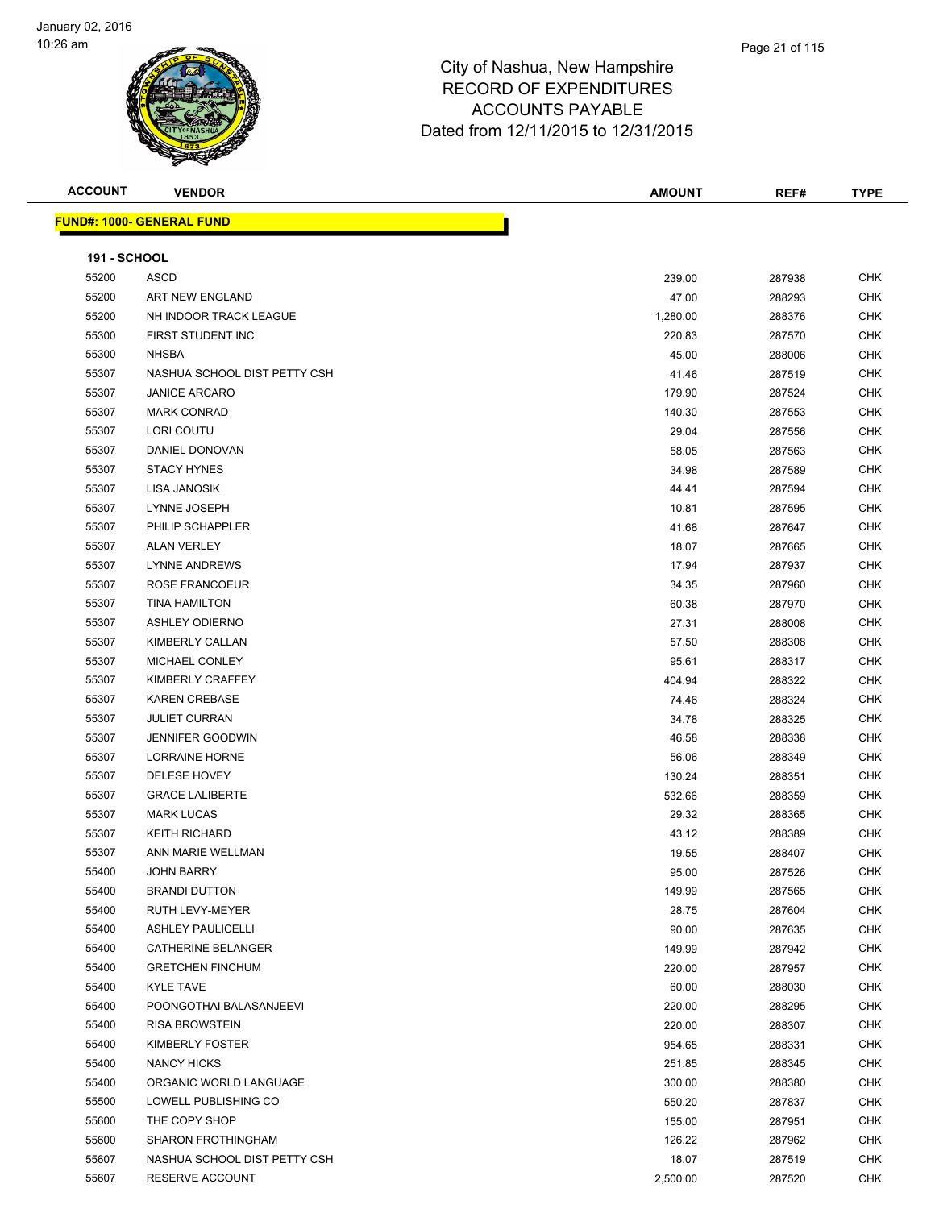

| <b>ACCOUNT</b>      | <b>VENDOR</b>                    | <b>AMOUNT</b> | REF#   | <b>TYPE</b> |
|---------------------|----------------------------------|---------------|--------|-------------|
|                     | <b>FUND#: 1000- GENERAL FUND</b> |               |        |             |
|                     |                                  |               |        |             |
| <b>191 - SCHOOL</b> |                                  |               |        |             |
| 55200               | ASCD                             | 239.00        | 287938 | <b>CHK</b>  |
| 55200               | ART NEW ENGLAND                  | 47.00         | 288293 | <b>CHK</b>  |
| 55200               | NH INDOOR TRACK LEAGUE           | 1,280.00      | 288376 | <b>CHK</b>  |
| 55300               | FIRST STUDENT INC                | 220.83        | 287570 | <b>CHK</b>  |
| 55300               | <b>NHSBA</b>                     | 45.00         | 288006 | <b>CHK</b>  |
| 55307               | NASHUA SCHOOL DIST PETTY CSH     | 41.46         | 287519 | <b>CHK</b>  |
| 55307               | <b>JANICE ARCARO</b>             | 179.90        | 287524 | CHK         |
| 55307               | <b>MARK CONRAD</b>               | 140.30        | 287553 | CHK         |
| 55307               | LORI COUTU                       | 29.04         | 287556 | <b>CHK</b>  |
| 55307               | DANIEL DONOVAN                   | 58.05         | 287563 | CHK         |
| 55307               | <b>STACY HYNES</b>               | 34.98         | 287589 | <b>CHK</b>  |
| 55307               | LISA JANOSIK                     | 44.41         | 287594 | <b>CHK</b>  |
| 55307               | LYNNE JOSEPH                     | 10.81         | 287595 | CHK         |
| 55307               | PHILIP SCHAPPLER                 | 41.68         | 287647 | <b>CHK</b>  |
| 55307               | <b>ALAN VERLEY</b>               | 18.07         | 287665 | CHK         |
| 55307               | <b>LYNNE ANDREWS</b>             | 17.94         | 287937 | <b>CHK</b>  |
| 55307               | ROSE FRANCOEUR                   | 34.35         | 287960 | CHK         |
| 55307               | <b>TINA HAMILTON</b>             | 60.38         | 287970 | CHK         |
| 55307               | <b>ASHLEY ODIERNO</b>            | 27.31         | 288008 | CHK         |
| 55307               | KIMBERLY CALLAN                  | 57.50         | 288308 | <b>CHK</b>  |
| 55307               | MICHAEL CONLEY                   | 95.61         | 288317 | <b>CHK</b>  |
| 55307               | KIMBERLY CRAFFEY                 | 404.94        | 288322 | <b>CHK</b>  |
| 55307               | <b>KAREN CREBASE</b>             | 74.46         | 288324 | <b>CHK</b>  |
| 55307               | <b>JULIET CURRAN</b>             | 34.78         | 288325 | <b>CHK</b>  |
| 55307               | <b>JENNIFER GOODWIN</b>          | 46.58         | 288338 | <b>CHK</b>  |
| 55307               | <b>LORRAINE HORNE</b>            | 56.06         | 288349 | CHK         |
| 55307               | DELESE HOVEY                     | 130.24        | 288351 | <b>CHK</b>  |
| 55307               | <b>GRACE LALIBERTE</b>           | 532.66        | 288359 | CHK         |
| 55307               | <b>MARK LUCAS</b>                | 29.32         | 288365 | CHK         |
| 55307               | <b>KEITH RICHARD</b>             | 43.12         | 288389 | CHK         |
| 55307               | ANN MARIE WELLMAN                | 19.55         | 288407 | <b>CHK</b>  |
| 55400               | <b>JOHN BARRY</b>                | 95.00         | 287526 | CHK         |
| 55400               | <b>BRANDI DUTTON</b>             | 149.99        | 287565 | <b>CHK</b>  |
| 55400               | RUTH LEVY-MEYER                  | 28.75         | 287604 | <b>CHK</b>  |
| 55400               | <b>ASHLEY PAULICELLI</b>         | 90.00         | 287635 | <b>CHK</b>  |
| 55400               | <b>CATHERINE BELANGER</b>        | 149.99        | 287942 | <b>CHK</b>  |
| 55400               | <b>GRETCHEN FINCHUM</b>          | 220.00        | 287957 | CHK         |
| 55400               | <b>KYLE TAVE</b>                 | 60.00         | 288030 | <b>CHK</b>  |
| 55400               | POONGOTHAI BALASANJEEVI          | 220.00        | 288295 | <b>CHK</b>  |
| 55400               | <b>RISA BROWSTEIN</b>            | 220.00        | 288307 | CHK         |
| 55400               | KIMBERLY FOSTER                  | 954.65        | 288331 | <b>CHK</b>  |
| 55400               | <b>NANCY HICKS</b>               | 251.85        | 288345 | <b>CHK</b>  |
| 55400               | ORGANIC WORLD LANGUAGE           | 300.00        | 288380 | <b>CHK</b>  |
| 55500               | LOWELL PUBLISHING CO             | 550.20        | 287837 | <b>CHK</b>  |
| 55600               | THE COPY SHOP                    | 155.00        | 287951 | <b>CHK</b>  |
| 55600               | <b>SHARON FROTHINGHAM</b>        | 126.22        | 287962 | <b>CHK</b>  |
| 55607               | NASHUA SCHOOL DIST PETTY CSH     | 18.07         | 287519 | <b>CHK</b>  |
| 55607               | RESERVE ACCOUNT                  | 2,500.00      | 287520 | <b>CHK</b>  |
|                     |                                  |               |        |             |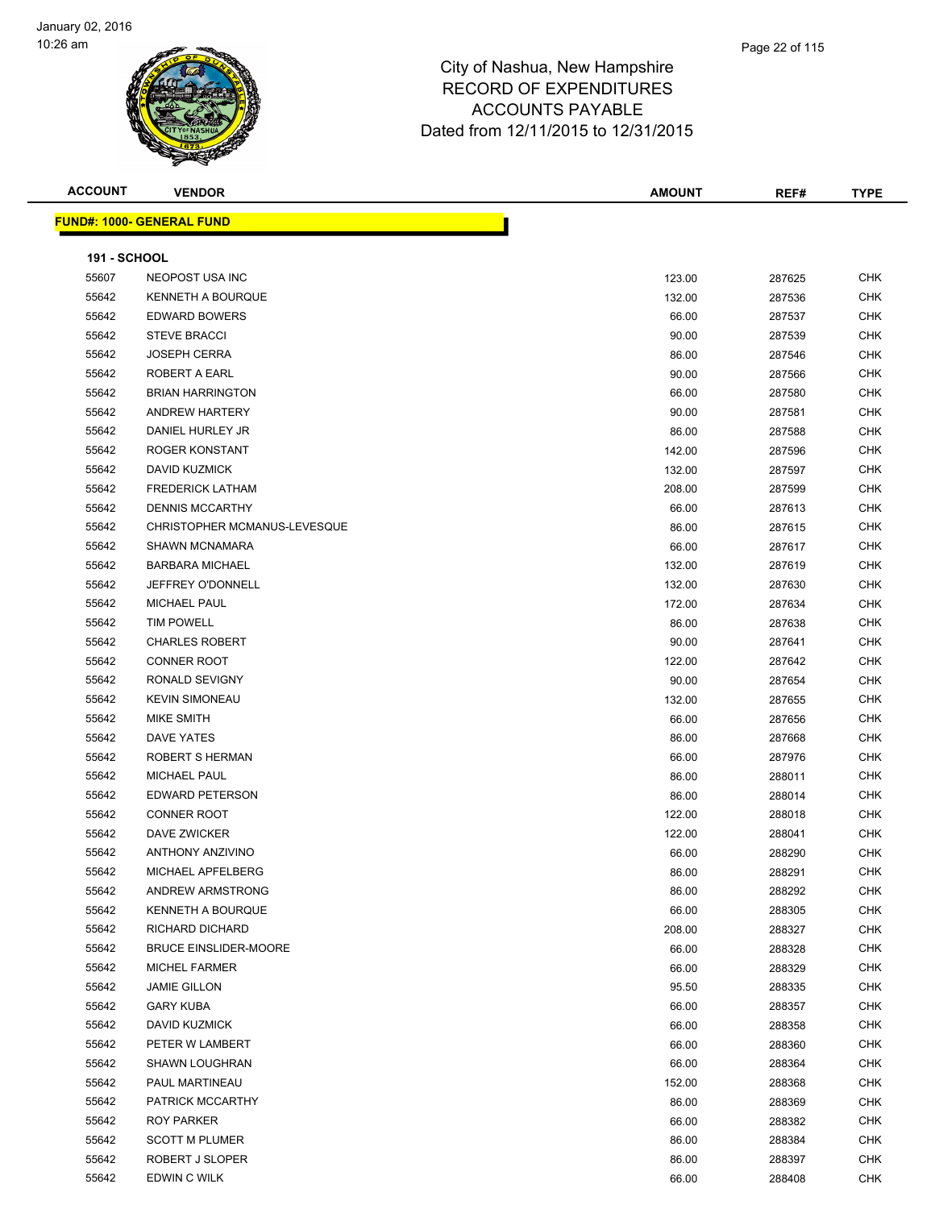

| <b>ACCOUNT</b>      | <b>VENDOR</b>                    | <b>AMOUNT</b> | REF#   | <b>TYPE</b> |
|---------------------|----------------------------------|---------------|--------|-------------|
|                     | <b>FUND#: 1000- GENERAL FUND</b> |               |        |             |
|                     |                                  |               |        |             |
| <b>191 - SCHOOL</b> |                                  |               |        |             |
| 55607               | NEOPOST USA INC                  | 123.00        | 287625 | CHK         |
| 55642               | <b>KENNETH A BOURQUE</b>         | 132.00        | 287536 | <b>CHK</b>  |
| 55642               | <b>EDWARD BOWERS</b>             | 66.00         | 287537 | <b>CHK</b>  |
| 55642               | <b>STEVE BRACCI</b>              | 90.00         | 287539 | CHK         |
| 55642               | <b>JOSEPH CERRA</b>              | 86.00         | 287546 | <b>CHK</b>  |
| 55642               | ROBERT A EARL                    | 90.00         | 287566 | CHK         |
| 55642               | <b>BRIAN HARRINGTON</b>          | 66.00         | 287580 | CHK         |
| 55642               | <b>ANDREW HARTERY</b>            | 90.00         | 287581 | <b>CHK</b>  |
| 55642               | DANIEL HURLEY JR                 | 86.00         | 287588 | <b>CHK</b>  |
| 55642               | ROGER KONSTANT                   | 142.00        | 287596 | <b>CHK</b>  |
| 55642               | <b>DAVID KUZMICK</b>             | 132.00        | 287597 | <b>CHK</b>  |
| 55642               | <b>FREDERICK LATHAM</b>          | 208.00        | 287599 | <b>CHK</b>  |
| 55642               | <b>DENNIS MCCARTHY</b>           | 66.00         | 287613 | CHK         |
| 55642               | CHRISTOPHER MCMANUS-LEVESQUE     | 86.00         | 287615 | CHK         |
| 55642               | <b>SHAWN MCNAMARA</b>            | 66.00         | 287617 | <b>CHK</b>  |
| 55642               | <b>BARBARA MICHAEL</b>           | 132.00        | 287619 | <b>CHK</b>  |
| 55642               | JEFFREY O'DONNELL                | 132.00        | 287630 | CHK         |
| 55642               | MICHAEL PAUL                     | 172.00        | 287634 | CHK         |
| 55642               | <b>TIM POWELL</b>                | 86.00         | 287638 | CHK         |
| 55642               | <b>CHARLES ROBERT</b>            | 90.00         | 287641 | <b>CHK</b>  |
| 55642               | <b>CONNER ROOT</b>               | 122.00        | 287642 | <b>CHK</b>  |
| 55642               | RONALD SEVIGNY                   | 90.00         | 287654 | CHK         |
| 55642               | <b>KEVIN SIMONEAU</b>            | 132.00        | 287655 | CHK         |
| 55642               | MIKE SMITH                       | 66.00         | 287656 | <b>CHK</b>  |
| 55642               | <b>DAVE YATES</b>                | 86.00         | 287668 | <b>CHK</b>  |
| 55642               | ROBERT S HERMAN                  | 66.00         | 287976 | CHK         |
| 55642               | <b>MICHAEL PAUL</b>              | 86.00         | 288011 | <b>CHK</b>  |
| 55642               | EDWARD PETERSON                  | 86.00         | 288014 | CHK         |
| 55642               | <b>CONNER ROOT</b>               | 122.00        | 288018 | CHK         |
| 55642               | DAVE ZWICKER                     | 122.00        | 288041 | CHK         |
| 55642               | <b>ANTHONY ANZIVINO</b>          | 66.00         | 288290 | CHK         |
| 55642               | MICHAEL APFELBERG                | 86.00         | 288291 | CHK         |
| 55642               | ANDREW ARMSTRONG                 | 86.00         | 288292 | <b>CHK</b>  |
| 55642               | <b>KENNETH A BOURQUE</b>         | 66.00         | 288305 | <b>CHK</b>  |
| 55642               | RICHARD DICHARD                  | 208.00        | 288327 | <b>CHK</b>  |
| 55642               | <b>BRUCE EINSLIDER-MOORE</b>     | 66.00         | 288328 | <b>CHK</b>  |
| 55642               | MICHEL FARMER                    | 66.00         | 288329 | <b>CHK</b>  |
| 55642               | <b>JAMIE GILLON</b>              | 95.50         | 288335 | <b>CHK</b>  |
| 55642               | <b>GARY KUBA</b>                 | 66.00         | 288357 | CHK         |
| 55642               | DAVID KUZMICK                    | 66.00         | 288358 | CHK         |
| 55642               | PETER W LAMBERT                  | 66.00         | 288360 | <b>CHK</b>  |
| 55642               | <b>SHAWN LOUGHRAN</b>            | 66.00         | 288364 | <b>CHK</b>  |
| 55642               | PAUL MARTINEAU                   | 152.00        | 288368 | <b>CHK</b>  |
| 55642               | PATRICK MCCARTHY                 | 86.00         | 288369 | <b>CHK</b>  |
| 55642               | ROY PARKER                       | 66.00         | 288382 | CHK         |
| 55642               | <b>SCOTT M PLUMER</b>            | 86.00         | 288384 | <b>CHK</b>  |
| 55642               | ROBERT J SLOPER                  | 86.00         | 288397 | <b>CHK</b>  |
| 55642               | EDWIN C WILK                     | 66.00         | 288408 | <b>CHK</b>  |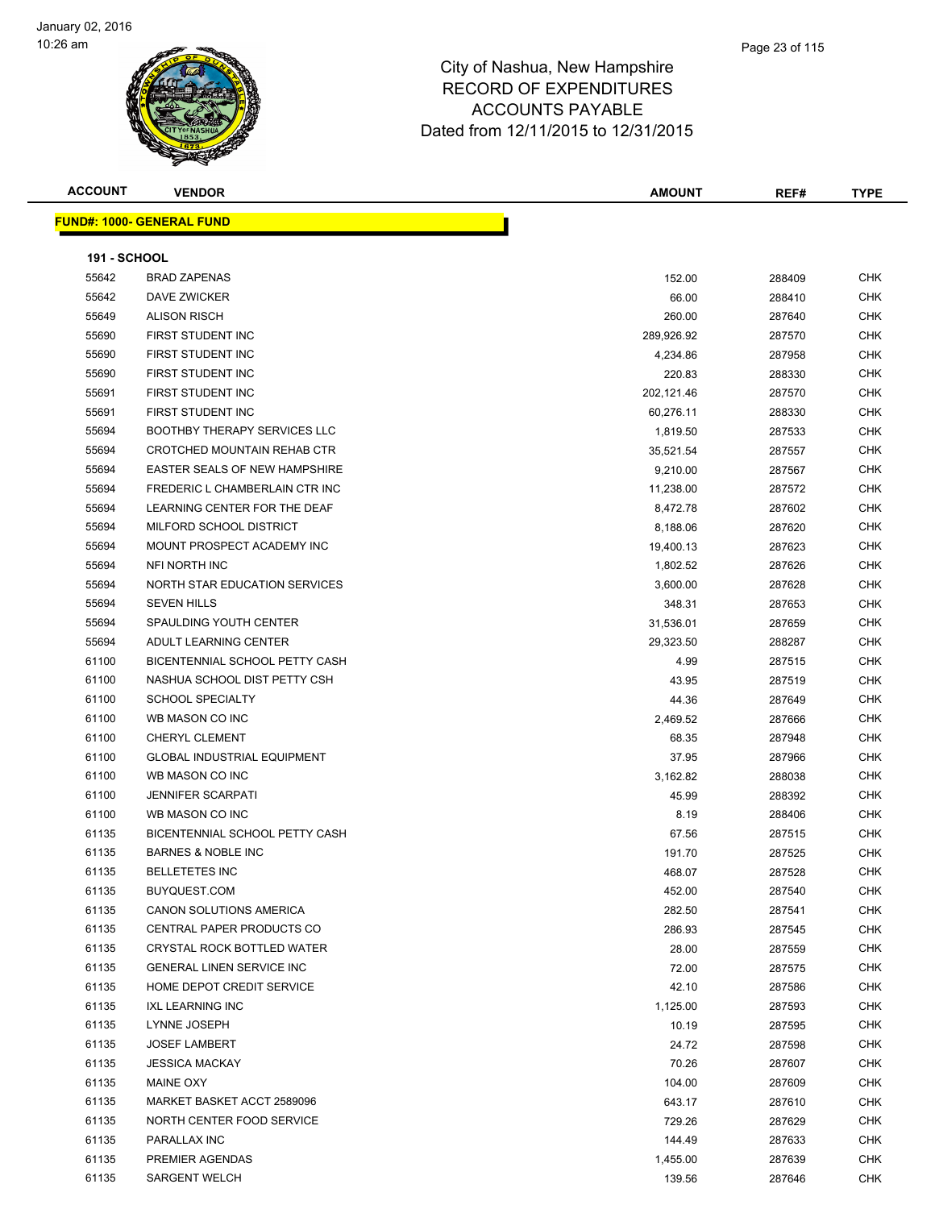

# Page 23 of 115

| <b>ACCOUNT</b>      | <b>VENDOR</b>                    | <b>AMOUNT</b> | REF#   | <b>TYPE</b> |
|---------------------|----------------------------------|---------------|--------|-------------|
|                     | <b>FUND#: 1000- GENERAL FUND</b> |               |        |             |
| <b>191 - SCHOOL</b> |                                  |               |        |             |
| 55642               | <b>BRAD ZAPENAS</b>              | 152.00        | 288409 | CHK         |
| 55642               | <b>DAVE ZWICKER</b>              | 66.00         | 288410 | CHK         |
| 55649               | <b>ALISON RISCH</b>              | 260.00        | 287640 | CHK         |
| -----               | ___ _ _ _ _ _ _ _ _ _ _ _ _      |               |        | -----       |

| 55642 | DAVE ZWICKER                       | 66.00      | 288410 | CHK        |
|-------|------------------------------------|------------|--------|------------|
| 55649 | <b>ALISON RISCH</b>                | 260.00     | 287640 | <b>CHK</b> |
| 55690 | FIRST STUDENT INC                  | 289,926.92 | 287570 | <b>CHK</b> |
| 55690 | FIRST STUDENT INC                  | 4,234.86   | 287958 | <b>CHK</b> |
| 55690 | FIRST STUDENT INC                  | 220.83     | 288330 | <b>CHK</b> |
| 55691 | FIRST STUDENT INC                  | 202,121.46 | 287570 | <b>CHK</b> |
| 55691 | FIRST STUDENT INC                  | 60,276.11  | 288330 | <b>CHK</b> |
| 55694 | BOOTHBY THERAPY SERVICES LLC       | 1,819.50   | 287533 | <b>CHK</b> |
| 55694 | <b>CROTCHED MOUNTAIN REHAB CTR</b> | 35,521.54  | 287557 | <b>CHK</b> |
| 55694 | EASTER SEALS OF NEW HAMPSHIRE      | 9,210.00   | 287567 | <b>CHK</b> |
| 55694 | FREDERIC L CHAMBERLAIN CTR INC     | 11,238.00  | 287572 | <b>CHK</b> |
| 55694 | LEARNING CENTER FOR THE DEAF       | 8,472.78   | 287602 | <b>CHK</b> |
| 55694 | MILFORD SCHOOL DISTRICT            | 8,188.06   | 287620 | <b>CHK</b> |
| 55694 | MOUNT PROSPECT ACADEMY INC         | 19,400.13  | 287623 | <b>CHK</b> |
| 55694 | NFI NORTH INC                      | 1,802.52   | 287626 | <b>CHK</b> |
| 55694 | NORTH STAR EDUCATION SERVICES      | 3,600.00   | 287628 | CHK        |
| 55694 | <b>SEVEN HILLS</b>                 | 348.31     | 287653 | CHK        |
| 55694 | SPAULDING YOUTH CENTER             | 31,536.01  | 287659 | CHK        |
| 55694 | ADULT LEARNING CENTER              | 29,323.50  | 288287 | <b>CHK</b> |
| 61100 | BICENTENNIAL SCHOOL PETTY CASH     | 4.99       | 287515 | CHK        |
| 61100 | NASHUA SCHOOL DIST PETTY CSH       | 43.95      | 287519 | CHK        |
| 61100 | <b>SCHOOL SPECIALTY</b>            | 44.36      | 287649 | CHK        |
| 61100 | WB MASON CO INC                    | 2,469.52   | 287666 | CHK        |
| 61100 | CHERYL CLEMENT                     | 68.35      | 287948 | CHK        |
| 61100 | <b>GLOBAL INDUSTRIAL EQUIPMENT</b> | 37.95      | 287966 | CHK        |
| 61100 | WB MASON CO INC                    | 3,162.82   | 288038 | CHK        |
| 61100 | <b>JENNIFER SCARPATI</b>           | 45.99      | 288392 | <b>CHK</b> |
| 61100 | WB MASON CO INC                    | 8.19       | 288406 | CHK        |
| 61135 | BICENTENNIAL SCHOOL PETTY CASH     | 67.56      | 287515 | CHK        |
| 61135 | <b>BARNES &amp; NOBLE INC</b>      | 191.70     | 287525 | CHK        |
| 61135 | <b>BELLETETES INC</b>              | 468.07     | 287528 | CHK        |
| 61135 | BUYQUEST.COM                       | 452.00     | 287540 | CHK        |
| 61135 | <b>CANON SOLUTIONS AMERICA</b>     | 282.50     | 287541 | CHK        |
| 61135 | CENTRAL PAPER PRODUCTS CO          | 286.93     | 287545 | CHK        |
| 61135 | CRYSTAL ROCK BOTTLED WATER         | 28.00      | 287559 | CHK        |
| 61135 | <b>GENERAL LINEN SERVICE INC</b>   | 72.00      | 287575 | <b>CHK</b> |
| 61135 | HOME DEPOT CREDIT SERVICE          | 42.10      | 287586 | CHK        |
| 61135 | <b>IXL LEARNING INC</b>            | 1,125.00   | 287593 | <b>CHK</b> |
| 61135 | LYNNE JOSEPH                       | 10.19      | 287595 | <b>CHK</b> |
| 61135 | <b>JOSEF LAMBERT</b>               | 24.72      | 287598 | CHK        |
| 61135 | <b>JESSICA MACKAY</b>              | 70.26      | 287607 | <b>CHK</b> |
| 61135 | <b>MAINE OXY</b>                   | 104.00     | 287609 | CHK        |
| 61135 | MARKET BASKET ACCT 2589096         | 643.17     | 287610 | CHK        |
| 61135 | NORTH CENTER FOOD SERVICE          | 729.26     | 287629 | CHK        |
| 61135 | PARALLAX INC                       | 144.49     | 287633 | CHK        |
| 61135 | PREMIER AGENDAS                    | 1,455.00   | 287639 | CHK        |
| 61135 | SARGENT WELCH                      | 139.56     | 287646 | CHK        |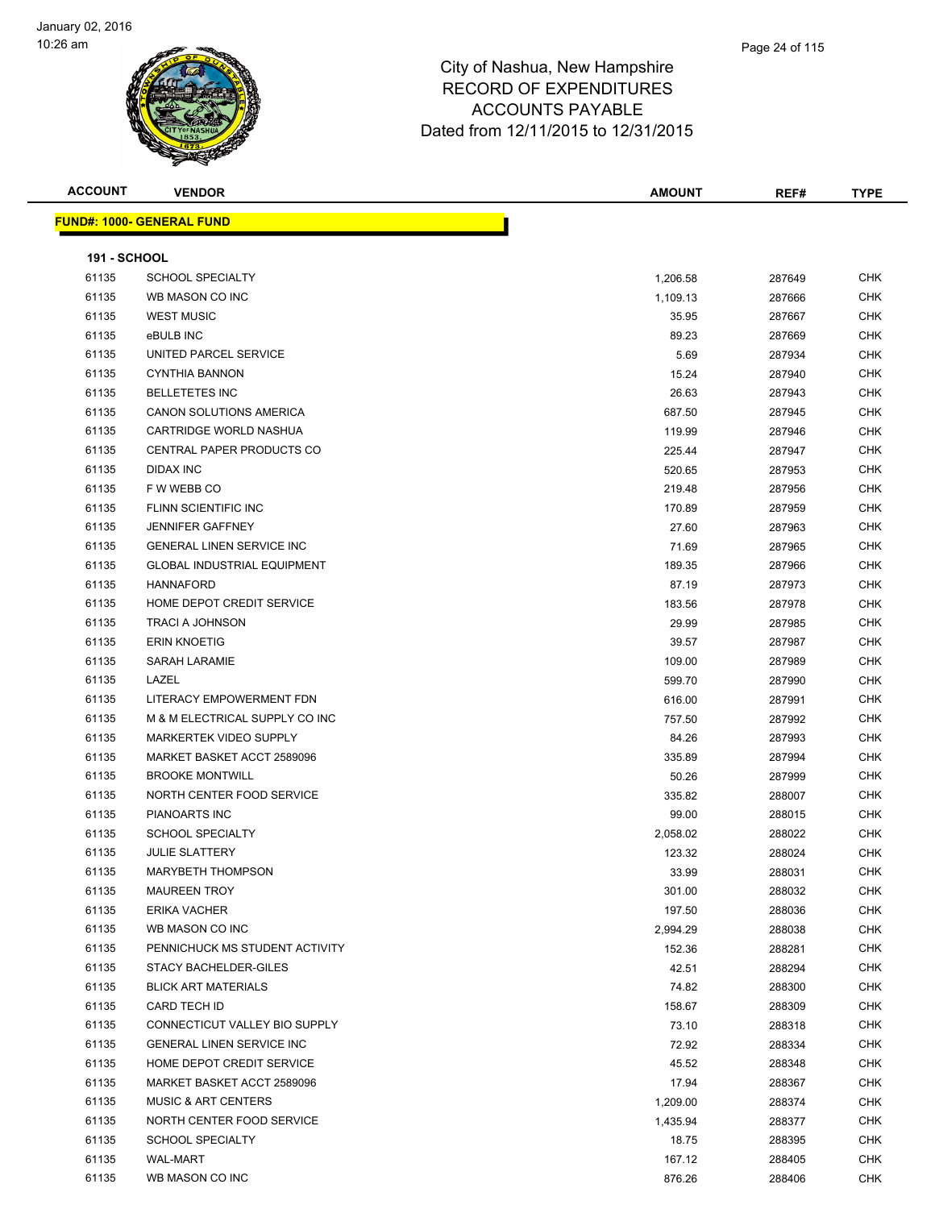

| <b>ACCOUNT</b>               | <b>VENDOR</b>                              | <b>AMOUNT</b> | REF#   | <b>TYPE</b> |
|------------------------------|--------------------------------------------|---------------|--------|-------------|
|                              | <u> FUND#: 1000- GENERAL FUND</u>          |               |        |             |
|                              |                                            |               |        |             |
| <b>191 - SCHOOL</b><br>61135 |                                            |               | 287649 | <b>CHK</b>  |
| 61135                        | <b>SCHOOL SPECIALTY</b><br>WB MASON CO INC | 1,206.58      |        | <b>CHK</b>  |
| 61135                        | <b>WEST MUSIC</b>                          | 1,109.13      | 287666 |             |
|                              |                                            | 35.95         | 287667 | <b>CHK</b>  |
| 61135                        | eBULB INC<br>UNITED PARCEL SERVICE         | 89.23         | 287669 | <b>CHK</b>  |
| 61135                        |                                            | 5.69          | 287934 | <b>CHK</b>  |
| 61135                        | <b>CYNTHIA BANNON</b>                      | 15.24         | 287940 | <b>CHK</b>  |
| 61135                        | <b>BELLETETES INC</b>                      | 26.63         | 287943 | <b>CHK</b>  |
| 61135                        | CANON SOLUTIONS AMERICA                    | 687.50        | 287945 | <b>CHK</b>  |
| 61135                        | CARTRIDGE WORLD NASHUA                     | 119.99        | 287946 | <b>CHK</b>  |
| 61135                        | CENTRAL PAPER PRODUCTS CO                  | 225.44        | 287947 | <b>CHK</b>  |
| 61135                        | <b>DIDAX INC</b>                           | 520.65        | 287953 | <b>CHK</b>  |
| 61135                        | F W WEBB CO                                | 219.48        | 287956 | <b>CHK</b>  |
| 61135                        | FLINN SCIENTIFIC INC                       | 170.89        | 287959 | <b>CHK</b>  |
| 61135                        | <b>JENNIFER GAFFNEY</b>                    | 27.60         | 287963 | <b>CHK</b>  |
| 61135                        | <b>GENERAL LINEN SERVICE INC</b>           | 71.69         | 287965 | <b>CHK</b>  |
| 61135                        | <b>GLOBAL INDUSTRIAL EQUIPMENT</b>         | 189.35        | 287966 | <b>CHK</b>  |
| 61135                        | <b>HANNAFORD</b>                           | 87.19         | 287973 | <b>CHK</b>  |
| 61135                        | HOME DEPOT CREDIT SERVICE                  | 183.56        | 287978 | <b>CHK</b>  |
| 61135                        | TRACI A JOHNSON                            | 29.99         | 287985 | <b>CHK</b>  |
| 61135                        | <b>ERIN KNOETIG</b>                        | 39.57         | 287987 | <b>CHK</b>  |
| 61135                        | <b>SARAH LARAMIE</b>                       | 109.00        | 287989 | <b>CHK</b>  |
| 61135                        | LAZEL                                      | 599.70        | 287990 | CHK         |
| 61135                        | LITERACY EMPOWERMENT FDN                   | 616.00        | 287991 | <b>CHK</b>  |
| 61135                        | M & M ELECTRICAL SUPPLY CO INC             | 757.50        | 287992 | <b>CHK</b>  |
| 61135                        | <b>MARKERTEK VIDEO SUPPLY</b>              | 84.26         | 287993 | <b>CHK</b>  |
| 61135                        | MARKET BASKET ACCT 2589096                 | 335.89        | 287994 | <b>CHK</b>  |
| 61135                        | <b>BROOKE MONTWILL</b>                     | 50.26         | 287999 | <b>CHK</b>  |
| 61135                        | NORTH CENTER FOOD SERVICE                  | 335.82        | 288007 | <b>CHK</b>  |
| 61135                        | PIANOARTS INC                              | 99.00         | 288015 | <b>CHK</b>  |
| 61135                        | <b>SCHOOL SPECIALTY</b>                    | 2,058.02      | 288022 | <b>CHK</b>  |
| 61135                        | <b>JULIE SLATTERY</b>                      | 123.32        | 288024 | <b>CHK</b>  |
| 61135                        | MARYBETH THOMPSON                          | 33.99         | 288031 | <b>CHK</b>  |
| 61135                        | <b>MAUREEN TROY</b>                        | 301.00        | 288032 | CHK         |
| 61135                        | <b>ERIKA VACHER</b>                        | 197.50        | 288036 | <b>CHK</b>  |
| 61135                        | WB MASON CO INC                            | 2,994.29      | 288038 | <b>CHK</b>  |
| 61135                        | PENNICHUCK MS STUDENT ACTIVITY             | 152.36        | 288281 | <b>CHK</b>  |
| 61135                        | STACY BACHELDER-GILES                      | 42.51         | 288294 | <b>CHK</b>  |
| 61135                        | <b>BLICK ART MATERIALS</b>                 | 74.82         | 288300 | <b>CHK</b>  |
| 61135                        | CARD TECH ID                               | 158.67        | 288309 | <b>CHK</b>  |
| 61135                        | CONNECTICUT VALLEY BIO SUPPLY              | 73.10         | 288318 | <b>CHK</b>  |
| 61135                        | <b>GENERAL LINEN SERVICE INC</b>           | 72.92         | 288334 | <b>CHK</b>  |
| 61135                        | HOME DEPOT CREDIT SERVICE                  | 45.52         | 288348 | <b>CHK</b>  |
| 61135                        | MARKET BASKET ACCT 2589096                 | 17.94         | 288367 | <b>CHK</b>  |
| 61135                        | <b>MUSIC &amp; ART CENTERS</b>             | 1,209.00      | 288374 | <b>CHK</b>  |
| 61135                        | NORTH CENTER FOOD SERVICE                  | 1,435.94      | 288377 | <b>CHK</b>  |
| 61135                        | <b>SCHOOL SPECIALTY</b>                    | 18.75         | 288395 | <b>CHK</b>  |
| 61135                        | WAL-MART                                   | 167.12        | 288405 | <b>CHK</b>  |
| 61135                        | WB MASON CO INC                            | 876.26        | 288406 | <b>CHK</b>  |
|                              |                                            |               |        |             |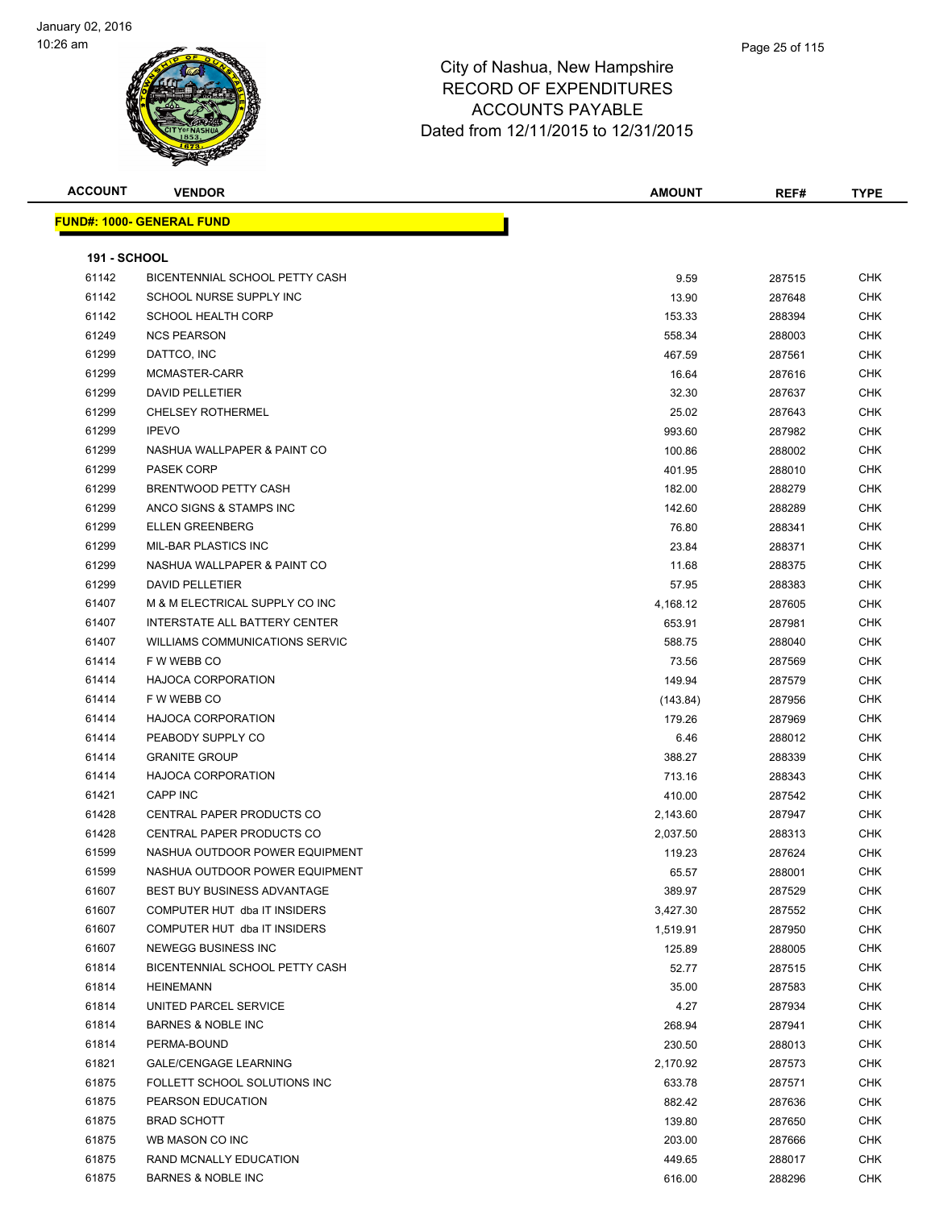

| <b>ACCOUNT</b>      | <b>VENDOR</b>                      | <b>AMOUNT</b> | REF#   | <b>TYPE</b> |
|---------------------|------------------------------------|---------------|--------|-------------|
|                     | <u> FUND#: 1000- GENERAL FUND</u>  |               |        |             |
|                     |                                    |               |        |             |
| <b>191 - SCHOOL</b> |                                    |               |        |             |
| 61142               | BICENTENNIAL SCHOOL PETTY CASH     | 9.59          | 287515 | <b>CHK</b>  |
| 61142               | SCHOOL NURSE SUPPLY INC            | 13.90         | 287648 | <b>CHK</b>  |
| 61142               | <b>SCHOOL HEALTH CORP</b>          | 153.33        | 288394 | CHK         |
| 61249               | <b>NCS PEARSON</b>                 | 558.34        | 288003 | CHK         |
| 61299               | DATTCO, INC                        | 467.59        | 287561 | CHK         |
| 61299               | MCMASTER-CARR                      | 16.64         | 287616 | CHK         |
| 61299               | DAVID PELLETIER                    | 32.30         | 287637 | <b>CHK</b>  |
| 61299               | <b>CHELSEY ROTHERMEL</b>           | 25.02         | 287643 | CHK         |
| 61299               | <b>IPEVO</b>                       | 993.60        | 287982 | CHK         |
| 61299               | NASHUA WALLPAPER & PAINT CO        | 100.86        | 288002 | <b>CHK</b>  |
| 61299               | <b>PASEK CORP</b>                  | 401.95        | 288010 | CHK         |
| 61299               | BRENTWOOD PETTY CASH               | 182.00        | 288279 | CHK         |
| 61299               | ANCO SIGNS & STAMPS INC            | 142.60        | 288289 | <b>CHK</b>  |
| 61299               | <b>ELLEN GREENBERG</b>             | 76.80         | 288341 | CHK         |
| 61299               | MIL-BAR PLASTICS INC               | 23.84         | 288371 | CHK         |
| 61299               | NASHUA WALLPAPER & PAINT CO        | 11.68         | 288375 | CHK         |
| 61299               | <b>DAVID PELLETIER</b>             | 57.95         | 288383 | CHK         |
| 61407               | M & M ELECTRICAL SUPPLY CO INC     | 4,168.12      | 287605 | <b>CHK</b>  |
| 61407               | INTERSTATE ALL BATTERY CENTER      | 653.91        | 287981 | CHK         |
| 61407               | WILLIAMS COMMUNICATIONS SERVIC     | 588.75        | 288040 | CHK         |
| 61414               | F W WEBB CO                        | 73.56         | 287569 | <b>CHK</b>  |
| 61414               | <b>HAJOCA CORPORATION</b>          | 149.94        | 287579 | CHK         |
| 61414               | F W WEBB CO                        | (143.84)      | 287956 | <b>CHK</b>  |
| 61414               | <b>HAJOCA CORPORATION</b>          | 179.26        | 287969 | <b>CHK</b>  |
| 61414               | PEABODY SUPPLY CO                  | 6.46          | 288012 | CHK         |
| 61414               | <b>GRANITE GROUP</b>               | 388.27        | 288339 | CHK         |
| 61414               | <b>HAJOCA CORPORATION</b>          | 713.16        | 288343 | CHK         |
| 61421               | <b>CAPP INC</b>                    | 410.00        | 287542 | CHK         |
| 61428               | CENTRAL PAPER PRODUCTS CO          | 2,143.60      | 287947 | <b>CHK</b>  |
| 61428               | CENTRAL PAPER PRODUCTS CO          | 2,037.50      | 288313 | CHK         |
| 61599               | NASHUA OUTDOOR POWER EQUIPMENT     | 119.23        | 287624 | <b>CHK</b>  |
| 61599               | NASHUA OUTDOOR POWER EQUIPMENT     | 65.57         | 288001 | <b>CHK</b>  |
| 61607               | <b>BEST BUY BUSINESS ADVANTAGE</b> | 389.97        | 287529 | <b>CHK</b>  |
| 61607               | COMPUTER HUT dba IT INSIDERS       | 3,427.30      | 287552 | <b>CHK</b>  |
| 61607               | COMPUTER HUT dba IT INSIDERS       | 1,519.91      | 287950 | <b>CHK</b>  |
| 61607               | NEWEGG BUSINESS INC                | 125.89        | 288005 | <b>CHK</b>  |
| 61814               | BICENTENNIAL SCHOOL PETTY CASH     | 52.77         | 287515 | <b>CHK</b>  |
| 61814               | <b>HEINEMANN</b>                   | 35.00         | 287583 | <b>CHK</b>  |
| 61814               | UNITED PARCEL SERVICE              | 4.27          | 287934 | CHK         |
| 61814               | <b>BARNES &amp; NOBLE INC</b>      | 268.94        | 287941 | <b>CHK</b>  |
| 61814               | PERMA-BOUND                        | 230.50        | 288013 | <b>CHK</b>  |
| 61821               | <b>GALE/CENGAGE LEARNING</b>       | 2,170.92      | 287573 | <b>CHK</b>  |
| 61875               | FOLLETT SCHOOL SOLUTIONS INC       | 633.78        | 287571 | <b>CHK</b>  |
| 61875               | PEARSON EDUCATION                  | 882.42        | 287636 | <b>CHK</b>  |
| 61875               | <b>BRAD SCHOTT</b>                 | 139.80        | 287650 | <b>CHK</b>  |
| 61875               | WB MASON CO INC                    | 203.00        | 287666 | <b>CHK</b>  |
| 61875               | RAND MCNALLY EDUCATION             | 449.65        | 288017 | CHK         |
| 61875               | <b>BARNES &amp; NOBLE INC</b>      | 616.00        | 288296 | <b>CHK</b>  |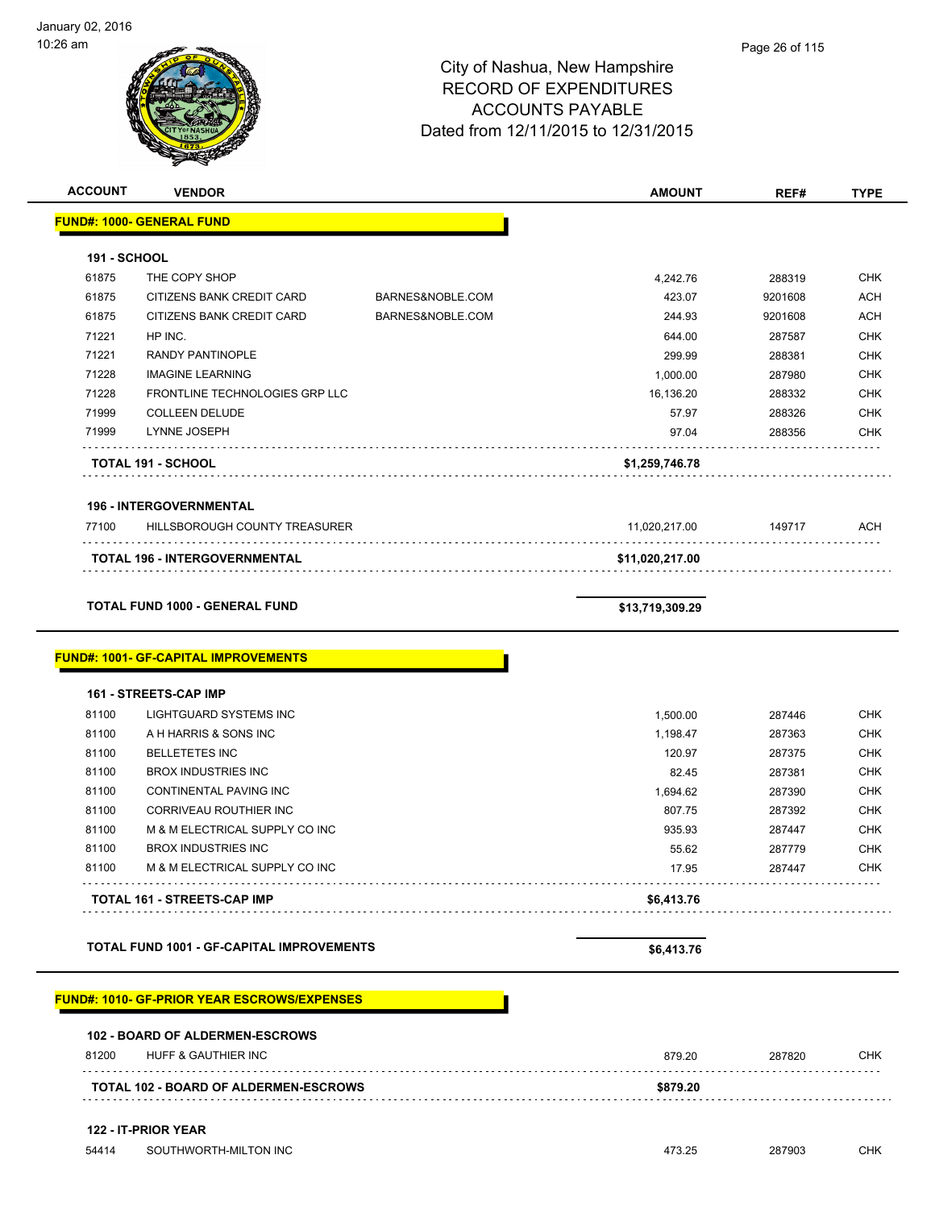| :zo am              |                                                                             | Page 26 of 115<br>City of Nashua, New Hampshire<br><b>RECORD OF EXPENDITURES</b><br><b>ACCOUNTS PAYABLE</b><br>Dated from 12/11/2015 to 12/31/2015 |                 |         |             |
|---------------------|-----------------------------------------------------------------------------|----------------------------------------------------------------------------------------------------------------------------------------------------|-----------------|---------|-------------|
| <b>ACCOUNT</b>      | <b>VENDOR</b>                                                               |                                                                                                                                                    | <b>AMOUNT</b>   | REF#    | <b>TYPE</b> |
|                     | <b>FUND#: 1000- GENERAL FUND</b>                                            |                                                                                                                                                    |                 |         |             |
| <b>191 - SCHOOL</b> |                                                                             |                                                                                                                                                    |                 |         |             |
| 61875               | THE COPY SHOP                                                               |                                                                                                                                                    | 4,242.76        | 288319  | <b>CHK</b>  |
| 61875               | CITIZENS BANK CREDIT CARD                                                   | BARNES&NOBLE.COM                                                                                                                                   | 423.07          | 9201608 | <b>ACH</b>  |
| 61875               | CITIZENS BANK CREDIT CARD                                                   | BARNES&NOBLE.COM                                                                                                                                   | 244.93          | 9201608 | <b>ACH</b>  |
| 71221               | HP INC.                                                                     |                                                                                                                                                    | 644.00          | 287587  | <b>CHK</b>  |
| 71221               | <b>RANDY PANTINOPLE</b>                                                     |                                                                                                                                                    | 299.99          | 288381  | <b>CHK</b>  |
| 71228               | <b>IMAGINE LEARNING</b>                                                     |                                                                                                                                                    | 1,000.00        | 287980  | <b>CHK</b>  |
| 71228               | FRONTLINE TECHNOLOGIES GRP LLC                                              |                                                                                                                                                    | 16,136.20       | 288332  | <b>CHK</b>  |
| 71999               | <b>COLLEEN DELUDE</b>                                                       |                                                                                                                                                    | 57.97           | 288326  | <b>CHK</b>  |
| 71999               | <b>LYNNE JOSEPH</b>                                                         |                                                                                                                                                    | 97.04           | 288356  | <b>CHK</b>  |
|                     | TOTAL 191 - SCHOOL                                                          |                                                                                                                                                    | \$1,259,746.78  |         |             |
|                     | <b>196 - INTERGOVERNMENTAL</b>                                              |                                                                                                                                                    |                 |         |             |
| 77100               | HILLSBOROUGH COUNTY TREASURER                                               |                                                                                                                                                    | 11,020,217.00   | 149717  | <b>ACH</b>  |
|                     | <b>TOTAL 196 - INTERGOVERNMENTAL</b>                                        |                                                                                                                                                    | \$11,020,217.00 |         |             |
|                     | <b>TOTAL FUND 1000 - GENERAL FUND</b>                                       |                                                                                                                                                    | \$13,719,309.29 |         |             |
|                     | <b>FUND#: 1001- GF-CAPITAL IMPROVEMENTS</b><br><b>161 - STREETS-CAP IMP</b> |                                                                                                                                                    |                 |         |             |
| 81100               | LIGHTGUARD SYSTEMS INC                                                      |                                                                                                                                                    | 1,500.00        | 287446  | <b>CHK</b>  |
| 81100               | A H HARRIS & SONS INC                                                       |                                                                                                                                                    | 1,198.47        | 287363  | <b>CHK</b>  |
| 81100               | <b>BELLETETES INC</b>                                                       |                                                                                                                                                    | 120.97          | 287375  | <b>CHK</b>  |
| 81100               | <b>BROX INDUSTRIES INC</b>                                                  |                                                                                                                                                    | 82.45           | 287381  | <b>CHK</b>  |
| 81100               | CONTINENTAL PAVING INC                                                      |                                                                                                                                                    | 1,694.62        | 287390  | <b>CHK</b>  |
| 81100               | CORRIVEAU ROUTHIER INC                                                      |                                                                                                                                                    | 807.75          | 287392  | <b>CHK</b>  |
| 81100               | M & M ELECTRICAL SUPPLY CO INC                                              |                                                                                                                                                    | 935.93          | 287447  | <b>CHK</b>  |
| 81100               | <b>BROX INDUSTRIES INC</b>                                                  |                                                                                                                                                    | 55.62           | 287779  | <b>CHK</b>  |
| 81100               | M & M ELECTRICAL SUPPLY CO INC                                              |                                                                                                                                                    | 17.95           | 287447  | <b>CHK</b>  |
|                     | TOTAL 161 - STREETS-CAP IMP                                                 |                                                                                                                                                    | \$6,413.76      |         |             |

TOTAL FUND 1001 - GF-CAPITAL IMPROVEMENTS **\$6,413.76** 

### **FUND#: 1010- GF-PRIOR YEAR ESCROWS/EXPENSES**

| \$879.20<br><b>TOTAL 102 - BOARD OF ALDERMEN-ESCROWS</b> |                                        |        |        |     |
|----------------------------------------------------------|----------------------------------------|--------|--------|-----|
| 81200                                                    | HUFF & GAUTHIER INC                    | 879.20 | 287820 | CHK |
|                                                          | <b>102 - BOARD OF ALDERMEN-ESCROWS</b> |        |        |     |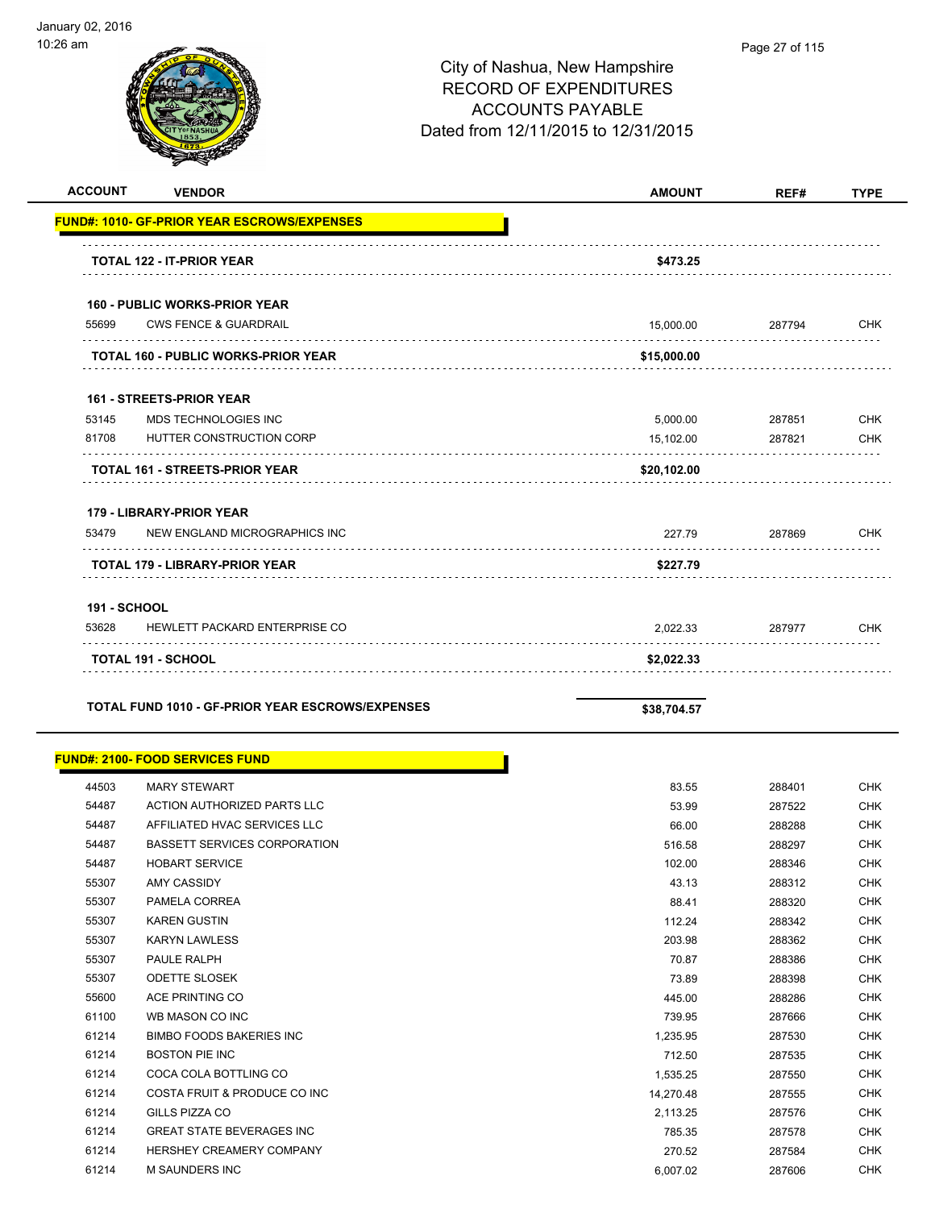|                     | $\tilde{\phantom{a}}$                              |               |        |             |
|---------------------|----------------------------------------------------|---------------|--------|-------------|
| <b>ACCOUNT</b>      | <b>VENDOR</b>                                      | <b>AMOUNT</b> | REF#   | <b>TYPE</b> |
|                     | <b>FUND#: 1010- GF-PRIOR YEAR ESCROWS/EXPENSES</b> |               |        |             |
|                     |                                                    |               |        |             |
|                     | <b>TOTAL 122 - IT-PRIOR YEAR</b>                   | \$473.25      |        |             |
|                     | <b>160 - PUBLIC WORKS-PRIOR YEAR</b>               |               |        |             |
| 55699               | <b>CWS FENCE &amp; GUARDRAIL</b>                   | 15,000.00     | 287794 | <b>CHK</b>  |
|                     | <b>TOTAL 160 - PUBLIC WORKS-PRIOR YEAR</b>         | \$15,000.00   |        |             |
|                     | <b>161 - STREETS-PRIOR YEAR</b>                    |               |        |             |
| 53145               | MDS TECHNOLOGIES INC                               | 5,000.00      | 287851 | <b>CHK</b>  |
| 81708               | HUTTER CONSTRUCTION CORP                           | 15,102.00     | 287821 | CHK         |
|                     | <b>TOTAL 161 - STREETS-PRIOR YEAR</b>              | \$20,102.00   |        |             |
|                     | 179 - LIBRARY-PRIOR YEAR                           |               |        |             |
| 53479               | NEW ENGLAND MICROGRAPHICS INC                      | 227.79        | 287869 | <b>CHK</b>  |
|                     | TOTAL 179 - LIBRARY-PRIOR YEAR                     | \$227.79      |        |             |
| <b>191 - SCHOOL</b> |                                                    |               |        |             |
| 53628               | HEWLETT PACKARD ENTERPRISE CO                      | 2,022.33      | 287977 | CHK         |
|                     | <b>TOTAL 191 - SCHOOL</b>                          | \$2,022.33    |        |             |
|                     | TOTAL FUND 1010 - GF-PRIOR YEAR ESCROWS/EXPENSES   | \$38,704.57   |        |             |
|                     | <u> FUND#: 2100- FOOD SERVICES FUND</u>            |               |        |             |
| 44503               | <b>MARY STEWART</b>                                | 83.55         | 288401 | <b>CHK</b>  |
| 54487               | ACTION AUTHORIZED PARTS LLC                        | 53.99         | 287522 | <b>CHK</b>  |
| 54487               | AFFILIATED HVAC SERVICES LLC                       | 66.00         | 288288 | <b>CHK</b>  |
| 54487               | BASSETT SERVICES CORPORATION                       | 516.58        | 288297 | <b>CHK</b>  |
| 54487               | HOBART SERVICE                                     | 102.00        | 288346 | <b>CHK</b>  |
| 55307               | AMY CASSIDY                                        | 43.13         | 288312 | <b>CHK</b>  |
| 55307               | PAMELA CORREA                                      | 88.41         | 288320 | <b>CHK</b>  |
| 55307               | <b>KAREN GUSTIN</b>                                | 112.24        | 288342 | CHK         |
| 55307               | <b>KARYN LAWLESS</b>                               | 203.98        | 288362 | CHK         |
| 55307               | PAULE RALPH                                        | 70.87         | 288386 | CHK         |

 ODETTE SLOSEK 73.89 288398 CHK ACE PRINTING CO 445.00 288286 CHK WB MASON CO INC 739.95 287666 CHK BIMBO FOODS BAKERIES INC 1,235.95 287530 CHK BOSTON PIE INC 712.50 287535 CHK etial coca cola bottling contracts to the contract of the contracts of the contracts of the contracts of the contracts of the contracts of the contracts of the contracts of the contracts of the contracts of the contracts o 61214 COSTA FRUIT & PRODUCE CO INC 14,270.48 287555 CHK GILLS PIZZA CO 2,113.25 287576 CHK GREAT STATE BEVERAGES INC 785.35 287578 CHK HERSHEY CREAMERY COMPANY 270.52 287584 CHK M SAUNDERS INC 6,007.02 287606 CHK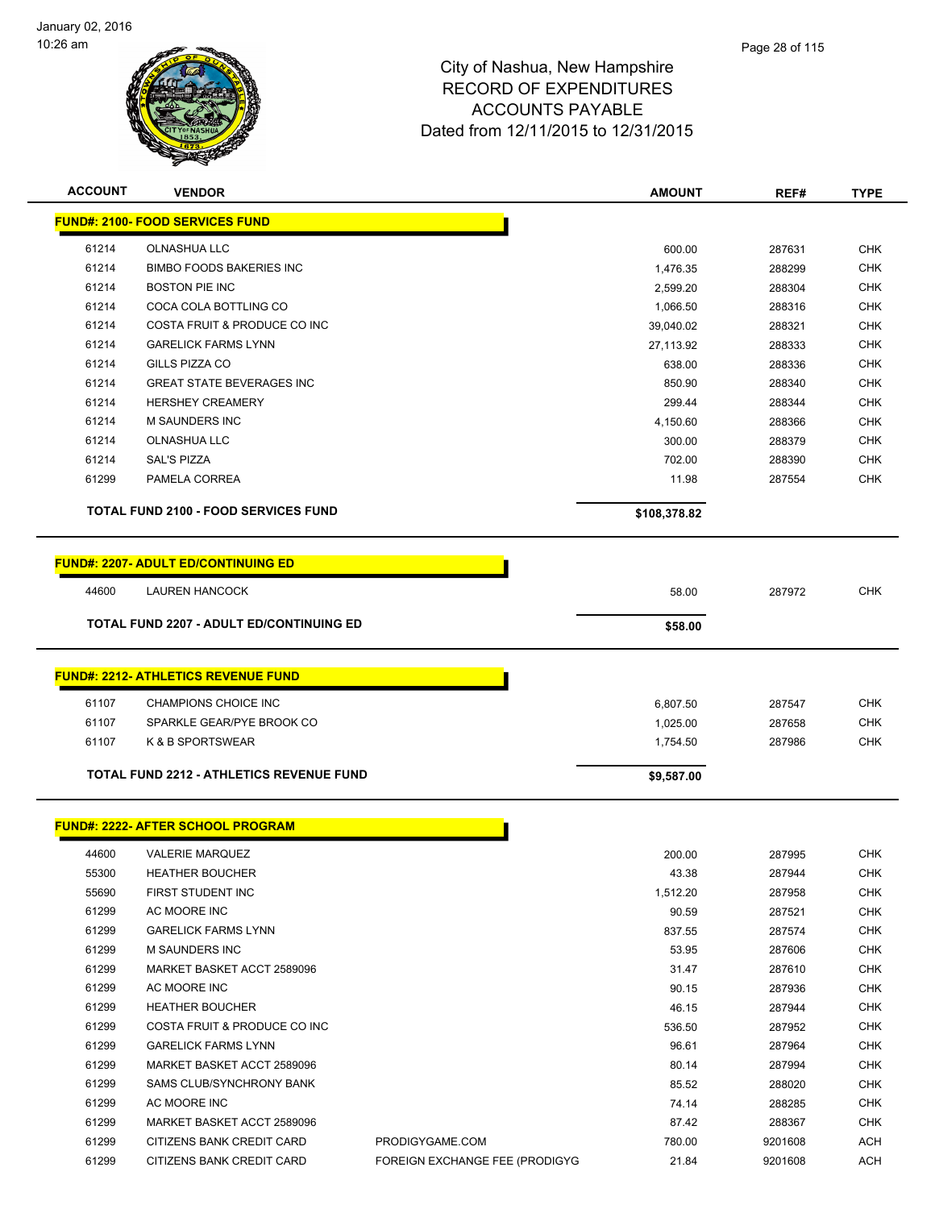

| <b>ACCOUNT</b> | <b>VENDOR</b>                                   |                                | <b>AMOUNT</b> | REF#    | <b>TYPE</b> |
|----------------|-------------------------------------------------|--------------------------------|---------------|---------|-------------|
|                | <b>FUND#: 2100- FOOD SERVICES FUND</b>          |                                |               |         |             |
| 61214          | OLNASHUA LLC                                    |                                | 600.00        | 287631  | <b>CHK</b>  |
| 61214          | <b>BIMBO FOODS BAKERIES INC</b>                 |                                | 1,476.35      | 288299  | <b>CHK</b>  |
| 61214          | <b>BOSTON PIE INC</b>                           |                                | 2,599.20      | 288304  | <b>CHK</b>  |
| 61214          | COCA COLA BOTTLING CO                           |                                | 1,066.50      | 288316  | <b>CHK</b>  |
| 61214          | COSTA FRUIT & PRODUCE CO INC                    |                                | 39,040.02     | 288321  | <b>CHK</b>  |
| 61214          | <b>GARELICK FARMS LYNN</b>                      |                                | 27,113.92     | 288333  | <b>CHK</b>  |
| 61214          | GILLS PIZZA CO                                  |                                | 638.00        | 288336  | <b>CHK</b>  |
| 61214          | <b>GREAT STATE BEVERAGES INC</b>                |                                | 850.90        | 288340  | <b>CHK</b>  |
| 61214          | <b>HERSHEY CREAMERY</b>                         |                                | 299.44        | 288344  | <b>CHK</b>  |
| 61214          | M SAUNDERS INC                                  |                                | 4,150.60      | 288366  | <b>CHK</b>  |
| 61214          | <b>OLNASHUA LLC</b>                             |                                | 300.00        | 288379  | <b>CHK</b>  |
| 61214          | <b>SAL'S PIZZA</b>                              |                                | 702.00        | 288390  | <b>CHK</b>  |
| 61299          | PAMELA CORREA                                   |                                | 11.98         | 287554  | <b>CHK</b>  |
|                | <b>TOTAL FUND 2100 - FOOD SERVICES FUND</b>     |                                | \$108,378.82  |         |             |
|                | <b>FUND#: 2207- ADULT ED/CONTINUING ED</b>      |                                |               |         |             |
|                |                                                 |                                |               |         | <b>CHK</b>  |
| 44600          | <b>LAUREN HANCOCK</b>                           |                                | 58.00         | 287972  |             |
|                | <b>TOTAL FUND 2207 - ADULT ED/CONTINUING ED</b> |                                | \$58.00       |         |             |
|                | <b>FUND#: 2212- ATHLETICS REVENUE FUND</b>      |                                |               |         |             |
| 61107          | CHAMPIONS CHOICE INC                            |                                | 6,807.50      | 287547  | <b>CHK</b>  |
| 61107          | SPARKLE GEAR/PYE BROOK CO                       |                                | 1,025.00      | 287658  | <b>CHK</b>  |
| 61107          | K & B SPORTSWEAR                                |                                | 1,754.50      | 287986  | <b>CHK</b>  |
|                |                                                 |                                |               |         |             |
|                | TOTAL FUND 2212 - ATHLETICS REVENUE FUND        |                                | \$9,587.00    |         |             |
|                | <b>FUND#: 2222- AFTER SCHOOL PROGRAM</b>        |                                |               |         |             |
| 44600          | <b>VALERIE MARQUEZ</b>                          |                                | 200.00        | 287995  | <b>CHK</b>  |
| 55300          | <b>HEATHER BOUCHER</b>                          |                                | 43.38         | 287944  | CHK         |
| 55690          | FIRST STUDENT INC                               |                                | 1,512.20      | 287958  | <b>CHK</b>  |
| 61299          | AC MOORE INC                                    |                                | 90.59         | 287521  | <b>CHK</b>  |
| 61299          | <b>GARELICK FARMS LYNN</b>                      |                                | 837.55        | 287574  | <b>CHK</b>  |
| 61299          | <b>M SAUNDERS INC</b>                           |                                | 53.95         | 287606  | <b>CHK</b>  |
| 61299          | MARKET BASKET ACCT 2589096                      |                                | 31.47         | 287610  | CHK         |
| 61299          | AC MOORE INC                                    |                                | 90.15         | 287936  | <b>CHK</b>  |
| 61299          | <b>HEATHER BOUCHER</b>                          |                                | 46.15         | 287944  | <b>CHK</b>  |
| 61299          | COSTA FRUIT & PRODUCE CO INC                    |                                | 536.50        | 287952  | <b>CHK</b>  |
| 61299          | <b>GARELICK FARMS LYNN</b>                      |                                | 96.61         | 287964  | <b>CHK</b>  |
| 61299          | MARKET BASKET ACCT 2589096                      |                                | 80.14         | 287994  | <b>CHK</b>  |
| 61299          | SAMS CLUB/SYNCHRONY BANK                        |                                | 85.52         | 288020  | <b>CHK</b>  |
| 61299          | AC MOORE INC                                    |                                | 74.14         | 288285  | <b>CHK</b>  |
| 61299          | MARKET BASKET ACCT 2589096                      |                                | 87.42         | 288367  | CHK         |
| 61299          | CITIZENS BANK CREDIT CARD                       | PRODIGYGAME.COM                | 780.00        | 9201608 | ACH         |
| 61299          | CITIZENS BANK CREDIT CARD                       | FOREIGN EXCHANGE FEE (PRODIGYG | 21.84         | 9201608 | ACH         |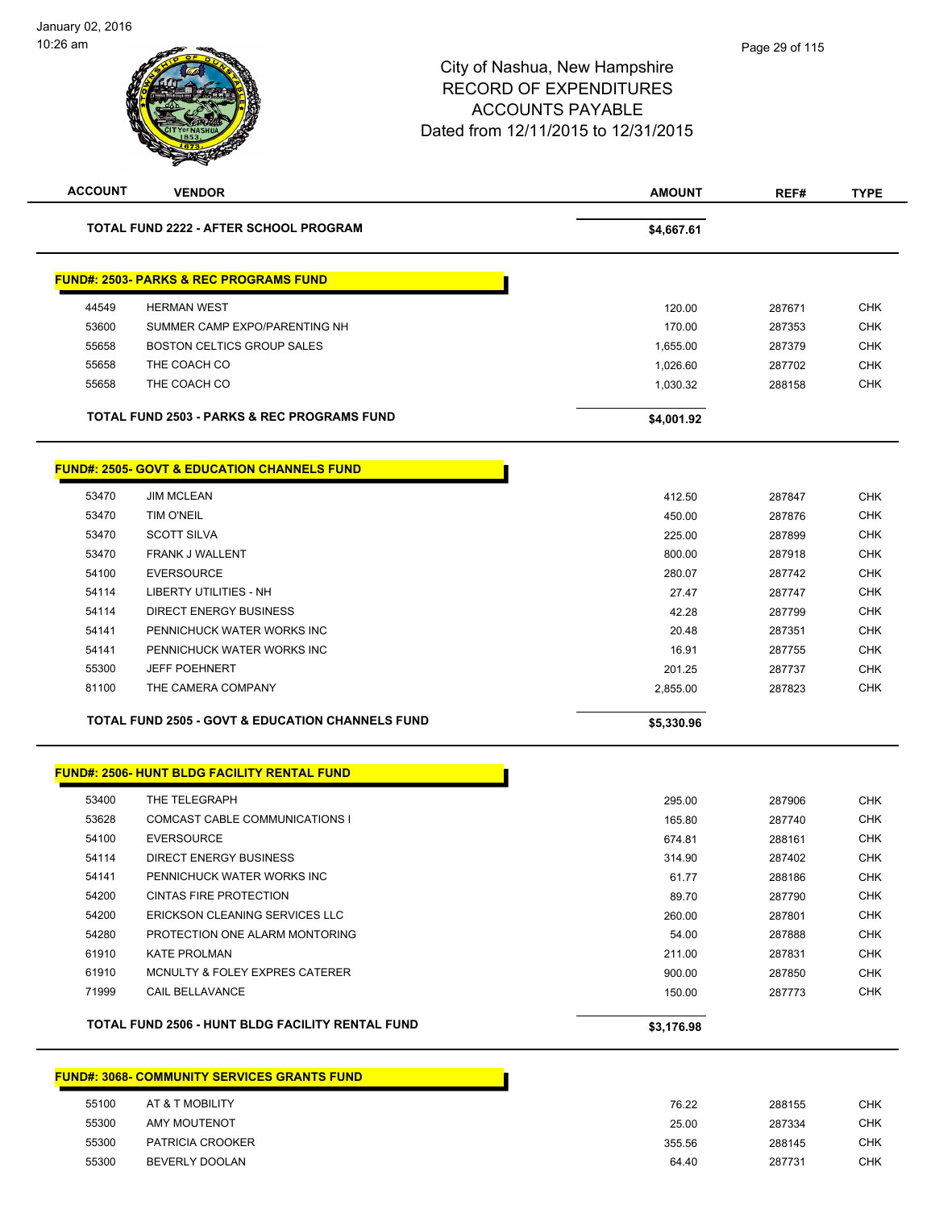| <b>ACCOUNT</b>                                         | <b>VENDOR</b>                                               | AMOUNT     | REF#   | <b>TYPE</b> |  |
|--------------------------------------------------------|-------------------------------------------------------------|------------|--------|-------------|--|
|                                                        | <b>TOTAL FUND 2222 - AFTER SCHOOL PROGRAM</b>               | \$4,667.61 |        |             |  |
|                                                        |                                                             |            |        |             |  |
|                                                        | <b>FUND#: 2503- PARKS &amp; REC PROGRAMS FUND</b>           |            |        |             |  |
| 44549                                                  | <b>HERMAN WEST</b>                                          | 120.00     | 287671 | <b>CHK</b>  |  |
| 53600                                                  | SUMMER CAMP EXPO/PARENTING NH                               | 170.00     | 287353 | <b>CHK</b>  |  |
| 55658                                                  | BOSTON CELTICS GROUP SALES                                  | 1,655.00   | 287379 | <b>CHK</b>  |  |
| 55658                                                  | THE COACH CO                                                | 1,026.60   | 287702 | <b>CHK</b>  |  |
| 55658                                                  | THE COACH CO                                                | 1,030.32   | 288158 | <b>CHK</b>  |  |
|                                                        | <b>TOTAL FUND 2503 - PARKS &amp; REC PROGRAMS FUND</b>      | \$4,001.92 |        |             |  |
| <b>FUND#: 2505- GOVT &amp; EDUCATION CHANNELS FUND</b> |                                                             |            |        |             |  |
| 53470                                                  | <b>JIM MCLEAN</b>                                           | 412.50     | 287847 | <b>CHK</b>  |  |
| 53470                                                  | <b>TIM O'NEIL</b>                                           | 450.00     | 287876 | <b>CHK</b>  |  |
| 53470                                                  | <b>SCOTT SILVA</b>                                          | 225.00     | 287899 | <b>CHK</b>  |  |
| 53470                                                  | <b>FRANK J WALLENT</b>                                      | 800.00     | 287918 | <b>CHK</b>  |  |
| 54100                                                  | <b>EVERSOURCE</b>                                           | 280.07     | 287742 | <b>CHK</b>  |  |
| 54114                                                  | <b>LIBERTY UTILITIES - NH</b>                               | 27.47      | 287747 | <b>CHK</b>  |  |
| 54114                                                  | <b>DIRECT ENERGY BUSINESS</b>                               | 42.28      | 287799 | <b>CHK</b>  |  |
| 54141                                                  | PENNICHUCK WATER WORKS INC                                  | 20.48      | 287351 | <b>CHK</b>  |  |
| 54141                                                  | PENNICHUCK WATER WORKS INC                                  | 16.91      | 287755 | <b>CHK</b>  |  |
| 55300                                                  | <b>JEFF POEHNERT</b>                                        | 201.25     | 287737 | <b>CHK</b>  |  |
| 81100                                                  | THE CAMERA COMPANY                                          | 2,855.00   | 287823 | <b>CHK</b>  |  |
|                                                        | <b>TOTAL FUND 2505 - GOVT &amp; EDUCATION CHANNELS FUND</b> | \$5,330.96 |        |             |  |
|                                                        |                                                             |            |        |             |  |
|                                                        | <b>FUND#: 2506- HUNT BLDG FACILITY RENTAL FUND</b>          |            |        |             |  |
| 53400                                                  | THE TELEGRAPH                                               | 295.00     | 287906 | <b>CHK</b>  |  |
| 53628                                                  | COMCAST CABLE COMMUNICATIONS I                              | 165.80     | 287740 | <b>CHK</b>  |  |
| 54100                                                  | <b>EVERSOURCE</b>                                           | 674.81     | 288161 | <b>CHK</b>  |  |
| 54114                                                  | <b>DIRECT ENERGY BUSINESS</b>                               | 314.90     | 287402 | <b>CHK</b>  |  |
| 54141                                                  | PENNICHUCK WATER WORKS INC                                  | 61.77      | 288186 | <b>CHK</b>  |  |
| 54200                                                  | <b>CINTAS FIRE PROTECTION</b>                               | 89.70      | 287790 | CHK         |  |
| 54200                                                  | ERICKSON CLEANING SERVICES LLC                              | 260.00     | 287801 | <b>CHK</b>  |  |
| 54280                                                  | PROTECTION ONE ALARM MONTORING                              | 54.00      | 287888 | <b>CHK</b>  |  |
| 61910                                                  | <b>KATE PROLMAN</b>                                         | 211.00     | 287831 | <b>CHK</b>  |  |
| 61910                                                  | MCNULTY & FOLEY EXPRES CATERER                              | 900.00     | 287850 | <b>CHK</b>  |  |
| 71999                                                  | CAIL BELLAVANCE                                             | 150.00     | 287773 | CHK         |  |
|                                                        | TOTAL FUND 2506 - HUNT BLDG FACILITY RENTAL FUND            | \$3,176.98 |        |             |  |
|                                                        |                                                             |            |        |             |  |

## **FUND#: 3068- COMMUNITY SERVICES GRANTS FUND**

| 55100 | AT & T MOBILITY  | 76.22  | 288155 | снк |
|-------|------------------|--------|--------|-----|
| 55300 | AMY MOUTENOT     | 25.00  | 287334 | СНК |
| 55300 | PATRICIA CROOKER | 355.56 | 288145 | CHK |
| 55300 | BEVERLY DOOLAN   | 64.40  | 287731 | CHK |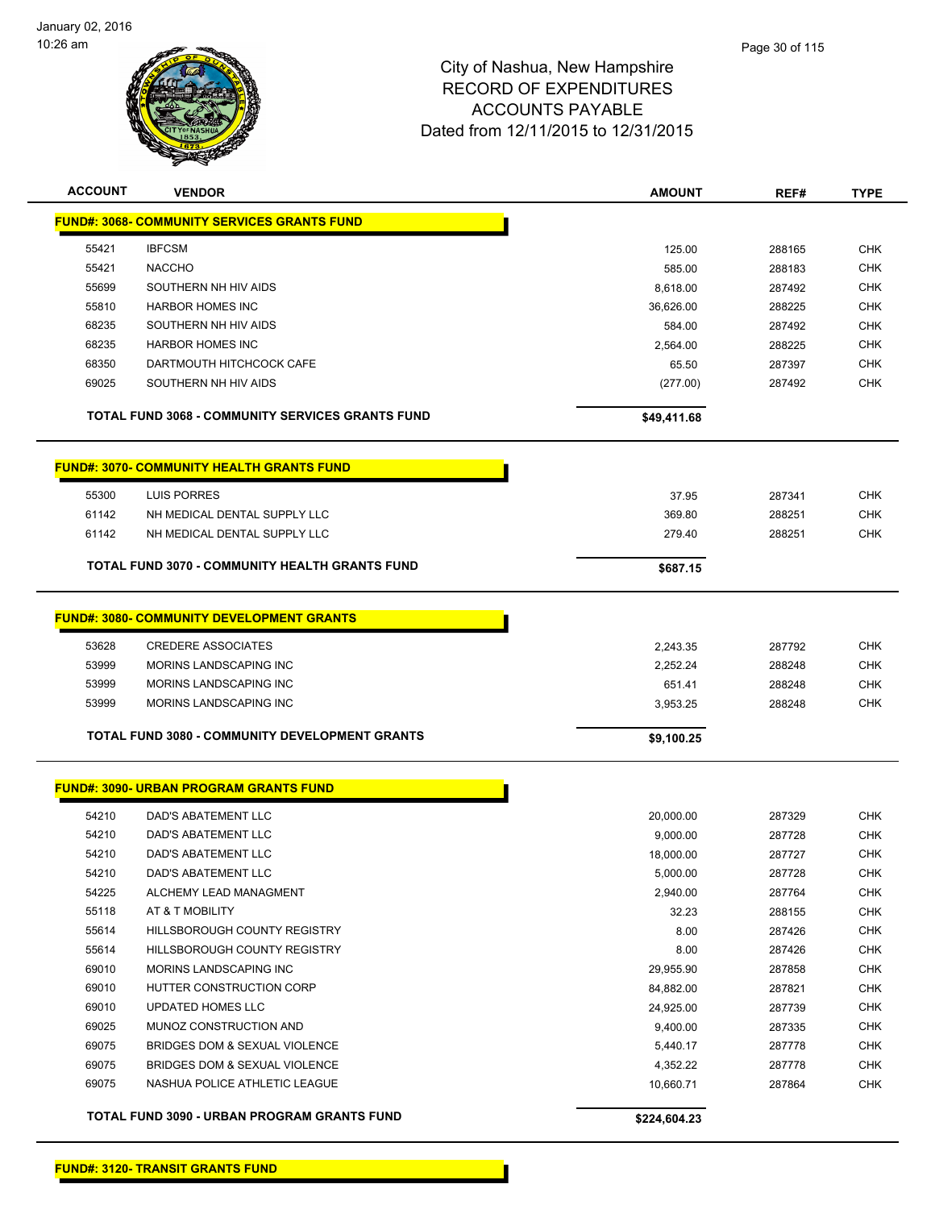

| <b>ACCOUNT</b> | <b>VENDOR</b>                                      | <b>AMOUNT</b> | REF#   | <b>TYPE</b> |  |  |  |
|----------------|----------------------------------------------------|---------------|--------|-------------|--|--|--|
|                | <b>FUND#: 3068- COMMUNITY SERVICES GRANTS FUND</b> |               |        |             |  |  |  |
| 55421          | <b>IBFCSM</b>                                      | 125.00        | 288165 | <b>CHK</b>  |  |  |  |
| 55421          | <b>NACCHO</b>                                      | 585.00        | 288183 | <b>CHK</b>  |  |  |  |
| 55699          | SOUTHERN NH HIV AIDS                               | 8.618.00      | 287492 | <b>CHK</b>  |  |  |  |
| 55810          | <b>HARBOR HOMES INC</b>                            | 36,626.00     | 288225 | <b>CHK</b>  |  |  |  |
| 68235          | SOUTHERN NH HIV AIDS                               | 584.00        | 287492 | <b>CHK</b>  |  |  |  |
| 68235          | <b>HARBOR HOMES INC</b>                            | 2.564.00      | 288225 | <b>CHK</b>  |  |  |  |
| 68350          | DARTMOUTH HITCHCOCK CAFE                           | 65.50         | 287397 | <b>CHK</b>  |  |  |  |
| 69025          | SOUTHERN NH HIV AIDS                               | (277.00)      | 287492 | <b>CHK</b>  |  |  |  |
|                |                                                    |               |        |             |  |  |  |
|                | TOTAL FUND 3068 - COMMUNITY SERVICES GRANTS FUND   | \$49,411.68   |        |             |  |  |  |
|                | <b>FUND#: 3070- COMMUNITY HEALTH GRANTS FUND</b>   |               |        |             |  |  |  |
| 55300          | LUIS PORRES                                        | 37.95         | 287341 | <b>CHK</b>  |  |  |  |
| 61142          | NH MEDICAL DENTAL SUPPLY LLC                       | 369.80        | 288251 | <b>CHK</b>  |  |  |  |
| 61142          | NH MEDICAL DENTAL SUPPLY LLC                       | 279.40        | 288251 | <b>CHK</b>  |  |  |  |
|                | TOTAL FUND 3070 - COMMUNITY HEALTH GRANTS FUND     | \$687.15      |        |             |  |  |  |
|                | <b>FUND#: 3080- COMMUNITY DEVELOPMENT GRANTS</b>   |               |        |             |  |  |  |
|                |                                                    |               |        |             |  |  |  |
| 53628          | <b>CREDERE ASSOCIATES</b>                          | 2,243.35      | 287792 | <b>CHK</b>  |  |  |  |
| 53999          | MORINS LANDSCAPING INC                             | 2,252.24      | 288248 | <b>CHK</b>  |  |  |  |
| 53999          | MORINS LANDSCAPING INC                             | 651.41        | 288248 | <b>CHK</b>  |  |  |  |
| 53999          | MORINS LANDSCAPING INC                             | 3,953.25      | 288248 | <b>CHK</b>  |  |  |  |
|                | TOTAL FUND 3080 - COMMUNITY DEVELOPMENT GRANTS     | \$9,100.25    |        |             |  |  |  |
|                | <b>FUND#: 3090- URBAN PROGRAM GRANTS FUND</b>      |               |        |             |  |  |  |
| 54210          | DAD'S ABATEMENT LLC                                | 20,000.00     | 287329 | <b>CHK</b>  |  |  |  |
| 54210          | DAD'S ABATEMENT LLC                                | 9,000.00      | 287728 | <b>CHK</b>  |  |  |  |
| 54210          | DAD'S ABATEMENT LLC                                | 18,000.00     | 287727 | CHK         |  |  |  |
| 54210          | DAD'S ABATEMENT LLC                                | 5,000.00      | 287728 | <b>CHK</b>  |  |  |  |
| 54225          | ALCHEMY LEAD MANAGMENT                             | 2,940.00      | 287764 | CHK         |  |  |  |
| 55118          | AT & T MOBILITY                                    | 32.23         | 288155 | <b>CHK</b>  |  |  |  |
| 55614          | HILLSBOROUGH COUNTY REGISTRY                       | 8.00          | 287426 | <b>CHK</b>  |  |  |  |
| 55614          | HILLSBOROUGH COUNTY REGISTRY                       | 8.00          | 287426 | <b>CHK</b>  |  |  |  |
| 69010          | MORINS LANDSCAPING INC                             | 29,955.90     | 287858 | <b>CHK</b>  |  |  |  |
| 69010          | HUTTER CONSTRUCTION CORP                           | 84,882.00     | 287821 | <b>CHK</b>  |  |  |  |
| 69010          | UPDATED HOMES LLC                                  | 24,925.00     | 287739 | <b>CHK</b>  |  |  |  |
| 69025          | MUNOZ CONSTRUCTION AND                             | 9,400.00      | 287335 | <b>CHK</b>  |  |  |  |
| 69075          | BRIDGES DOM & SEXUAL VIOLENCE                      | 5,440.17      | 287778 | <b>CHK</b>  |  |  |  |
| 69075          | BRIDGES DOM & SEXUAL VIOLENCE                      | 4,352.22      | 287778 | <b>CHK</b>  |  |  |  |
| 69075          | NASHUA POLICE ATHLETIC LEAGUE                      | 10,660.71     | 287864 | <b>CHK</b>  |  |  |  |
|                | TOTAL FUND 3090 - URBAN PROGRAM GRANTS FUND        | \$224,604.23  |        |             |  |  |  |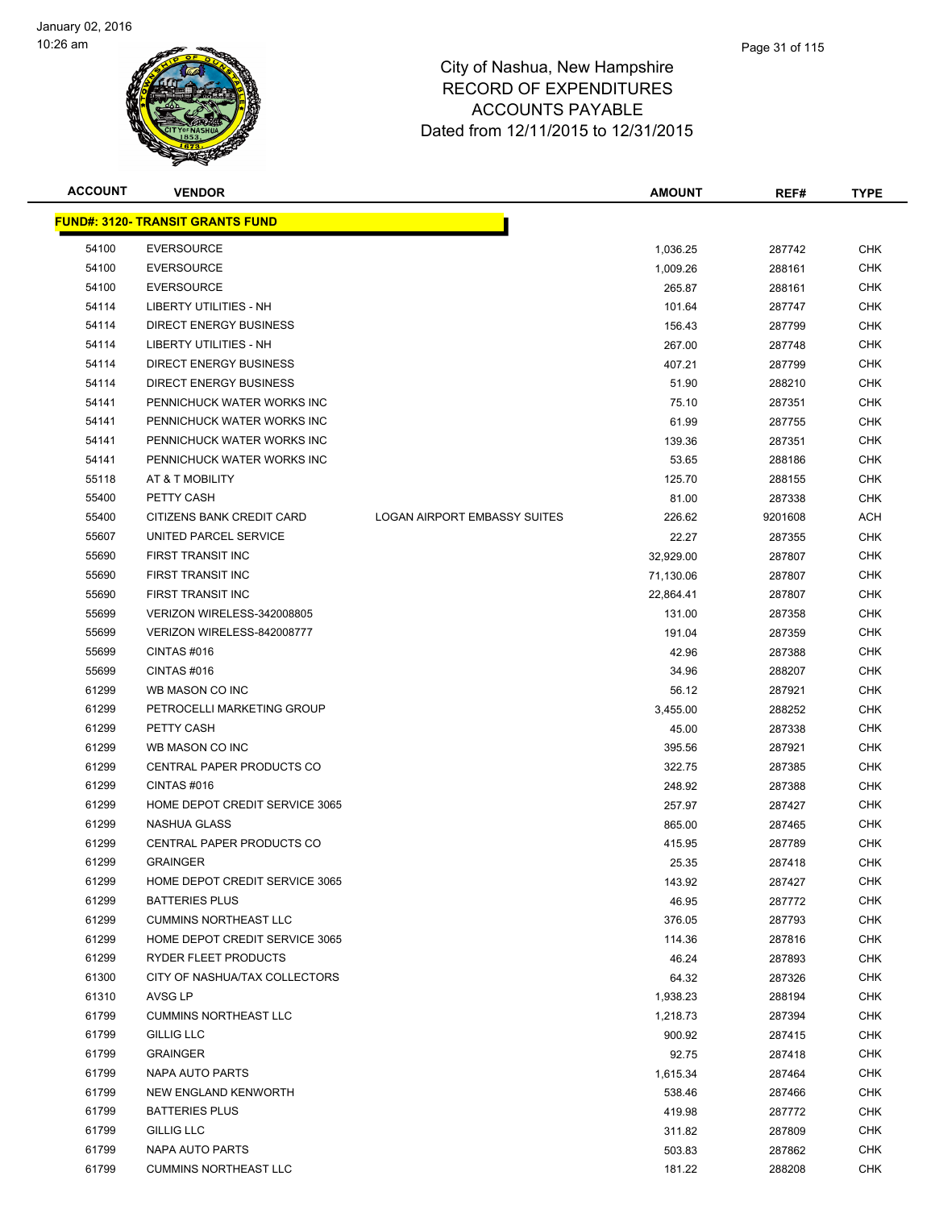

| <b>ACCOUNT</b> | <b>VENDOR</b>                            |                                     | <b>AMOUNT</b> | REF#    | <b>TYPE</b> |
|----------------|------------------------------------------|-------------------------------------|---------------|---------|-------------|
|                | <u> FUND#: 3120- TRANSIT GRANTS FUND</u> |                                     |               |         |             |
| 54100          | <b>EVERSOURCE</b>                        |                                     | 1,036.25      | 287742  | <b>CHK</b>  |
| 54100          | <b>EVERSOURCE</b>                        |                                     | 1,009.26      | 288161  | <b>CHK</b>  |
| 54100          | <b>EVERSOURCE</b>                        |                                     | 265.87        | 288161  | <b>CHK</b>  |
| 54114          | LIBERTY UTILITIES - NH                   |                                     | 101.64        | 287747  | <b>CHK</b>  |
| 54114          | <b>DIRECT ENERGY BUSINESS</b>            |                                     | 156.43        | 287799  | <b>CHK</b>  |
| 54114          | <b>LIBERTY UTILITIES - NH</b>            |                                     | 267.00        | 287748  | <b>CHK</b>  |
| 54114          | DIRECT ENERGY BUSINESS                   |                                     | 407.21        | 287799  | <b>CHK</b>  |
| 54114          | <b>DIRECT ENERGY BUSINESS</b>            |                                     | 51.90         | 288210  | <b>CHK</b>  |
| 54141          | PENNICHUCK WATER WORKS INC               |                                     | 75.10         | 287351  | <b>CHK</b>  |
| 54141          | PENNICHUCK WATER WORKS INC               |                                     | 61.99         | 287755  | CHK         |
| 54141          | PENNICHUCK WATER WORKS INC               |                                     | 139.36        | 287351  | <b>CHK</b>  |
| 54141          | PENNICHUCK WATER WORKS INC               |                                     | 53.65         | 288186  | <b>CHK</b>  |
| 55118          | AT & T MOBILITY                          |                                     | 125.70        | 288155  | <b>CHK</b>  |
| 55400          | PETTY CASH                               |                                     | 81.00         | 287338  | <b>CHK</b>  |
| 55400          | CITIZENS BANK CREDIT CARD                | <b>LOGAN AIRPORT EMBASSY SUITES</b> | 226.62        | 9201608 | ACH         |
| 55607          | UNITED PARCEL SERVICE                    |                                     | 22.27         | 287355  | <b>CHK</b>  |
| 55690          | FIRST TRANSIT INC                        |                                     | 32,929.00     | 287807  | <b>CHK</b>  |
| 55690          | FIRST TRANSIT INC                        |                                     | 71,130.06     | 287807  | <b>CHK</b>  |
| 55690          | <b>FIRST TRANSIT INC</b>                 |                                     | 22,864.41     | 287807  | <b>CHK</b>  |
| 55699          | VERIZON WIRELESS-342008805               |                                     | 131.00        | 287358  | <b>CHK</b>  |
| 55699          | VERIZON WIRELESS-842008777               |                                     | 191.04        | 287359  | <b>CHK</b>  |
| 55699          | CINTAS#016                               |                                     | 42.96         | 287388  | <b>CHK</b>  |
| 55699          | CINTAS#016                               |                                     | 34.96         | 288207  | <b>CHK</b>  |
| 61299          | WB MASON CO INC                          |                                     | 56.12         | 287921  | <b>CHK</b>  |
| 61299          | PETROCELLI MARKETING GROUP               |                                     | 3,455.00      | 288252  | <b>CHK</b>  |
| 61299          | PETTY CASH                               |                                     | 45.00         | 287338  | <b>CHK</b>  |
| 61299          | WB MASON CO INC                          |                                     | 395.56        | 287921  | <b>CHK</b>  |
| 61299          | CENTRAL PAPER PRODUCTS CO                |                                     | 322.75        | 287385  | <b>CHK</b>  |
| 61299          | CINTAS#016                               |                                     | 248.92        | 287388  | <b>CHK</b>  |
| 61299          | HOME DEPOT CREDIT SERVICE 3065           |                                     | 257.97        | 287427  | <b>CHK</b>  |
| 61299          | <b>NASHUA GLASS</b>                      |                                     | 865.00        | 287465  | CHK         |
| 61299          | CENTRAL PAPER PRODUCTS CO                |                                     | 415.95        | 287789  | <b>CHK</b>  |
| 61299          | <b>GRAINGER</b>                          |                                     | 25.35         | 287418  | <b>CHK</b>  |
| 61299          | HOME DEPOT CREDIT SERVICE 3065           |                                     | 143.92        | 287427  | <b>CHK</b>  |
| 61299          | <b>BATTERIES PLUS</b>                    |                                     | 46.95         | 287772  | <b>CHK</b>  |
| 61299          | <b>CUMMINS NORTHEAST LLC</b>             |                                     | 376.05        | 287793  | <b>CHK</b>  |
| 61299          | HOME DEPOT CREDIT SERVICE 3065           |                                     | 114.36        | 287816  | <b>CHK</b>  |
| 61299          | RYDER FLEET PRODUCTS                     |                                     | 46.24         | 287893  | <b>CHK</b>  |
| 61300          | CITY OF NASHUA/TAX COLLECTORS            |                                     | 64.32         | 287326  | <b>CHK</b>  |
| 61310          | AVSG LP                                  |                                     | 1,938.23      | 288194  | CHK         |
| 61799          | <b>CUMMINS NORTHEAST LLC</b>             |                                     | 1,218.73      | 287394  | <b>CHK</b>  |
| 61799          | <b>GILLIG LLC</b>                        |                                     | 900.92        | 287415  | CHK         |
| 61799          | <b>GRAINGER</b>                          |                                     | 92.75         | 287418  | CHK         |
| 61799          | NAPA AUTO PARTS                          |                                     | 1,615.34      | 287464  | <b>CHK</b>  |
| 61799          | NEW ENGLAND KENWORTH                     |                                     | 538.46        | 287466  | CHK         |
| 61799          | <b>BATTERIES PLUS</b>                    |                                     | 419.98        | 287772  | <b>CHK</b>  |
| 61799          | <b>GILLIG LLC</b>                        |                                     | 311.82        | 287809  | <b>CHK</b>  |
| 61799          | NAPA AUTO PARTS                          |                                     | 503.83        | 287862  | <b>CHK</b>  |
| 61799          | <b>CUMMINS NORTHEAST LLC</b>             |                                     | 181.22        | 288208  | <b>CHK</b>  |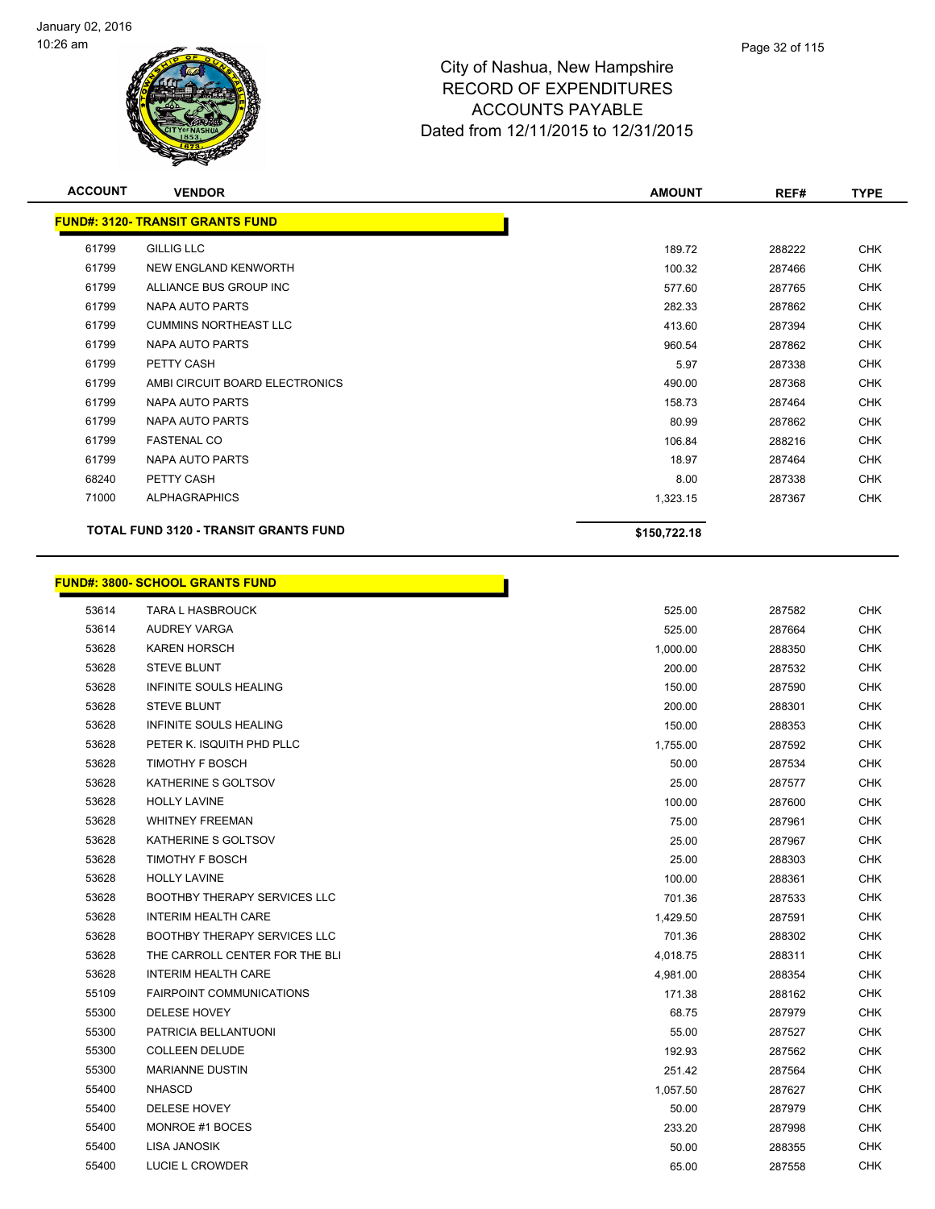

| <b>ACCOUNT</b> | <b>VENDOR</b>                                | <b>AMOUNT</b> | REF#   | <b>TYPE</b> |
|----------------|----------------------------------------------|---------------|--------|-------------|
|                | <b>FUND#: 3120- TRANSIT GRANTS FUND</b>      |               |        |             |
| 61799          | <b>GILLIG LLC</b>                            | 189.72        | 288222 | <b>CHK</b>  |
| 61799          | NEW ENGLAND KENWORTH                         | 100.32        | 287466 | <b>CHK</b>  |
| 61799          | ALLIANCE BUS GROUP INC                       | 577.60        | 287765 | CHK         |
| 61799          | <b>NAPA AUTO PARTS</b>                       | 282.33        | 287862 | <b>CHK</b>  |
| 61799          | <b>CUMMINS NORTHEAST LLC</b>                 | 413.60        | 287394 | <b>CHK</b>  |
| 61799          | NAPA AUTO PARTS                              | 960.54        | 287862 | CHK         |
| 61799          | PETTY CASH                                   | 5.97          | 287338 | <b>CHK</b>  |
| 61799          | AMBI CIRCUIT BOARD ELECTRONICS               | 490.00        | 287368 | CHK         |
| 61799          | NAPA AUTO PARTS                              | 158.73        | 287464 | CHK         |
| 61799          | <b>NAPA AUTO PARTS</b>                       | 80.99         | 287862 | <b>CHK</b>  |
| 61799          | <b>FASTENAL CO</b>                           | 106.84        | 288216 | CHK         |
| 61799          | NAPA AUTO PARTS                              | 18.97         | 287464 | CHK         |
| 68240          | PETTY CASH                                   | 8.00          | 287338 | CHK         |
| 71000          | <b>ALPHAGRAPHICS</b>                         | 1,323.15      | 287367 | CHK         |
|                | <b>TOTAL FUND 3120 - TRANSIT GRANTS FUND</b> | \$150,722.18  |        |             |

**Service** 

# **FUND#: 3800- SCHOOL GRANTS FUND**

| 53614 | <b>TARA L HASBROUCK</b>             | 525.00   | 287582 | <b>CHK</b> |
|-------|-------------------------------------|----------|--------|------------|
| 53614 | AUDREY VARGA                        | 525.00   | 287664 | <b>CHK</b> |
| 53628 | <b>KAREN HORSCH</b>                 | 1,000.00 | 288350 | <b>CHK</b> |
| 53628 | <b>STEVE BLUNT</b>                  | 200.00   | 287532 | <b>CHK</b> |
| 53628 | <b>INFINITE SOULS HEALING</b>       | 150.00   | 287590 | <b>CHK</b> |
| 53628 | <b>STEVE BLUNT</b>                  | 200.00   | 288301 | <b>CHK</b> |
| 53628 | INFINITE SOULS HEALING              | 150.00   | 288353 | <b>CHK</b> |
| 53628 | PETER K. ISQUITH PHD PLLC           | 1,755.00 | 287592 | <b>CHK</b> |
| 53628 | TIMOTHY F BOSCH                     | 50.00    | 287534 | <b>CHK</b> |
| 53628 | KATHERINE S GOLTSOV                 | 25.00    | 287577 | <b>CHK</b> |
| 53628 | <b>HOLLY LAVINE</b>                 | 100.00   | 287600 | <b>CHK</b> |
| 53628 | <b>WHITNEY FREEMAN</b>              | 75.00    | 287961 | <b>CHK</b> |
| 53628 | KATHERINE S GOLTSOV                 | 25.00    | 287967 | <b>CHK</b> |
| 53628 | <b>TIMOTHY F BOSCH</b>              | 25.00    | 288303 | <b>CHK</b> |
| 53628 | <b>HOLLY LAVINE</b>                 | 100.00   | 288361 | <b>CHK</b> |
| 53628 | <b>BOOTHBY THERAPY SERVICES LLC</b> | 701.36   | 287533 | <b>CHK</b> |
| 53628 | <b>INTERIM HEALTH CARE</b>          | 1,429.50 | 287591 | <b>CHK</b> |
| 53628 | <b>BOOTHBY THERAPY SERVICES LLC</b> | 701.36   | 288302 | <b>CHK</b> |
| 53628 | THE CARROLL CENTER FOR THE BLI      | 4,018.75 | 288311 | <b>CHK</b> |
| 53628 | <b>INTERIM HEALTH CARE</b>          | 4,981.00 | 288354 | <b>CHK</b> |
| 55109 | <b>FAIRPOINT COMMUNICATIONS</b>     | 171.38   | 288162 | <b>CHK</b> |
| 55300 | DELESE HOVEY                        | 68.75    | 287979 | <b>CHK</b> |
| 55300 | PATRICIA BELLANTUONI                | 55.00    | 287527 | <b>CHK</b> |
| 55300 | <b>COLLEEN DELUDE</b>               | 192.93   | 287562 | <b>CHK</b> |
| 55300 | <b>MARIANNE DUSTIN</b>              | 251.42   | 287564 | <b>CHK</b> |
| 55400 | <b>NHASCD</b>                       | 1,057.50 | 287627 | <b>CHK</b> |
| 55400 | DELESE HOVEY                        | 50.00    | 287979 | <b>CHK</b> |
| 55400 | MONROE #1 BOCES                     | 233.20   | 287998 | <b>CHK</b> |
| 55400 | LISA JANOSIK                        | 50.00    | 288355 | <b>CHK</b> |
| 55400 | LUCIE L CROWDER                     | 65.00    | 287558 | <b>CHK</b> |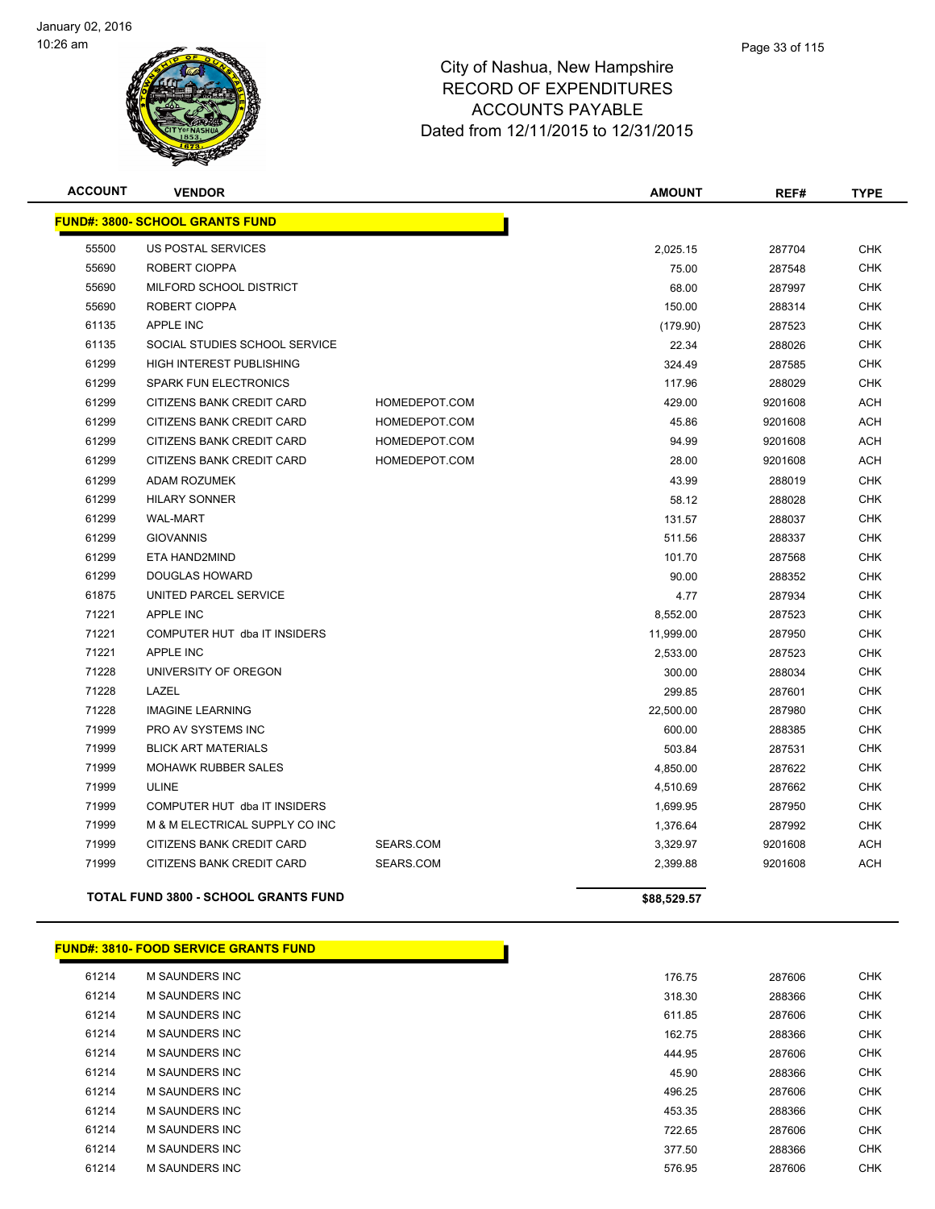

| <b>ACCOUNT</b> | <b>VENDOR</b>                          |               | <b>AMOUNT</b> | REF#    | <b>TYPE</b> |
|----------------|----------------------------------------|---------------|---------------|---------|-------------|
|                | <b>FUND#: 3800- SCHOOL GRANTS FUND</b> |               |               |         |             |
| 55500          | <b>US POSTAL SERVICES</b>              |               | 2,025.15      | 287704  | <b>CHK</b>  |
| 55690          | ROBERT CIOPPA                          |               | 75.00         | 287548  | <b>CHK</b>  |
| 55690          | MILFORD SCHOOL DISTRICT                |               | 68.00         | 287997  | <b>CHK</b>  |
| 55690          | ROBERT CIOPPA                          |               | 150.00        | 288314  | <b>CHK</b>  |
| 61135          | <b>APPLE INC</b>                       |               | (179.90)      | 287523  | <b>CHK</b>  |
| 61135          | SOCIAL STUDIES SCHOOL SERVICE          |               | 22.34         | 288026  | <b>CHK</b>  |
| 61299          | <b>HIGH INTEREST PUBLISHING</b>        |               | 324.49        | 287585  | <b>CHK</b>  |
| 61299          | <b>SPARK FUN ELECTRONICS</b>           |               | 117.96        | 288029  | <b>CHK</b>  |
| 61299          | CITIZENS BANK CREDIT CARD              | HOMEDEPOT.COM | 429.00        | 9201608 | <b>ACH</b>  |
| 61299          | <b>CITIZENS BANK CREDIT CARD</b>       | HOMEDEPOT.COM | 45.86         | 9201608 | <b>ACH</b>  |
| 61299          | <b>CITIZENS BANK CREDIT CARD</b>       | HOMEDEPOT.COM | 94.99         | 9201608 | <b>ACH</b>  |
| 61299          | CITIZENS BANK CREDIT CARD              | HOMEDEPOT.COM | 28.00         | 9201608 | <b>ACH</b>  |
| 61299          | <b>ADAM ROZUMEK</b>                    |               | 43.99         | 288019  | <b>CHK</b>  |
| 61299          | <b>HILARY SONNER</b>                   |               | 58.12         | 288028  | <b>CHK</b>  |
| 61299          | <b>WAL-MART</b>                        |               | 131.57        | 288037  | <b>CHK</b>  |
| 61299          | <b>GIOVANNIS</b>                       |               | 511.56        | 288337  | <b>CHK</b>  |
| 61299          | ETA HAND2MIND                          |               | 101.70        | 287568  | <b>CHK</b>  |
| 61299          | <b>DOUGLAS HOWARD</b>                  |               | 90.00         | 288352  | <b>CHK</b>  |
| 61875          | UNITED PARCEL SERVICE                  |               | 4.77          | 287934  | <b>CHK</b>  |
| 71221          | <b>APPLE INC</b>                       |               | 8,552.00      | 287523  | <b>CHK</b>  |
| 71221          | COMPUTER HUT dba IT INSIDERS           |               | 11,999.00     | 287950  | <b>CHK</b>  |
| 71221          | <b>APPLE INC</b>                       |               | 2,533.00      | 287523  | <b>CHK</b>  |
| 71228          | UNIVERSITY OF OREGON                   |               | 300.00        | 288034  | <b>CHK</b>  |
| 71228          | LAZEL                                  |               | 299.85        | 287601  | <b>CHK</b>  |
| 71228          | <b>IMAGINE LEARNING</b>                |               | 22,500.00     | 287980  | <b>CHK</b>  |
| 71999          | PRO AV SYSTEMS INC                     |               | 600.00        | 288385  | <b>CHK</b>  |
| 71999          | <b>BLICK ART MATERIALS</b>             |               | 503.84        | 287531  | <b>CHK</b>  |
| 71999          | <b>MOHAWK RUBBER SALES</b>             |               | 4,850.00      | 287622  | <b>CHK</b>  |
| 71999          | <b>ULINE</b>                           |               | 4,510.69      | 287662  | <b>CHK</b>  |
| 71999          | COMPUTER HUT dba IT INSIDERS           |               | 1,699.95      | 287950  | <b>CHK</b>  |
| 71999          | M & M ELECTRICAL SUPPLY CO INC         |               | 1,376.64      | 287992  | <b>CHK</b>  |
| 71999          | CITIZENS BANK CREDIT CARD              | SEARS.COM     | 3,329.97      | 9201608 | <b>ACH</b>  |
| 71999          | CITIZENS BANK CREDIT CARD              | SEARS.COM     | 2,399.88      | 9201608 | <b>ACH</b>  |

**TOTAL FUND 3800 - SCHOOL GRANTS FUND \$88,529.57** 

|       | <b>FUND#: 3810- FOOD SERVICE GRANTS FUND</b> |        |        |            |
|-------|----------------------------------------------|--------|--------|------------|
| 61214 | <b>M SAUNDERS INC</b>                        | 176.75 | 287606 | <b>CHK</b> |
| 61214 | <b>M SAUNDERS INC</b>                        | 318.30 | 288366 | <b>CHK</b> |
| 61214 | <b>M SAUNDERS INC</b>                        | 611.85 | 287606 | <b>CHK</b> |
| 61214 | M SAUNDERS INC                               | 162.75 | 288366 | <b>CHK</b> |
| 61214 | M SAUNDERS INC                               | 444.95 | 287606 | <b>CHK</b> |
| 61214 | M SAUNDERS INC                               | 45.90  | 288366 | <b>CHK</b> |
| 61214 | M SAUNDERS INC                               | 496.25 | 287606 | <b>CHK</b> |
| 61214 | <b>M SAUNDERS INC</b>                        | 453.35 | 288366 | <b>CHK</b> |
| 61214 | M SAUNDERS INC                               | 722.65 | 287606 | <b>CHK</b> |
| 61214 | M SAUNDERS INC                               | 377.50 | 288366 | <b>CHK</b> |
| 61214 | <b>M SAUNDERS INC</b>                        | 576.95 | 287606 | <b>CHK</b> |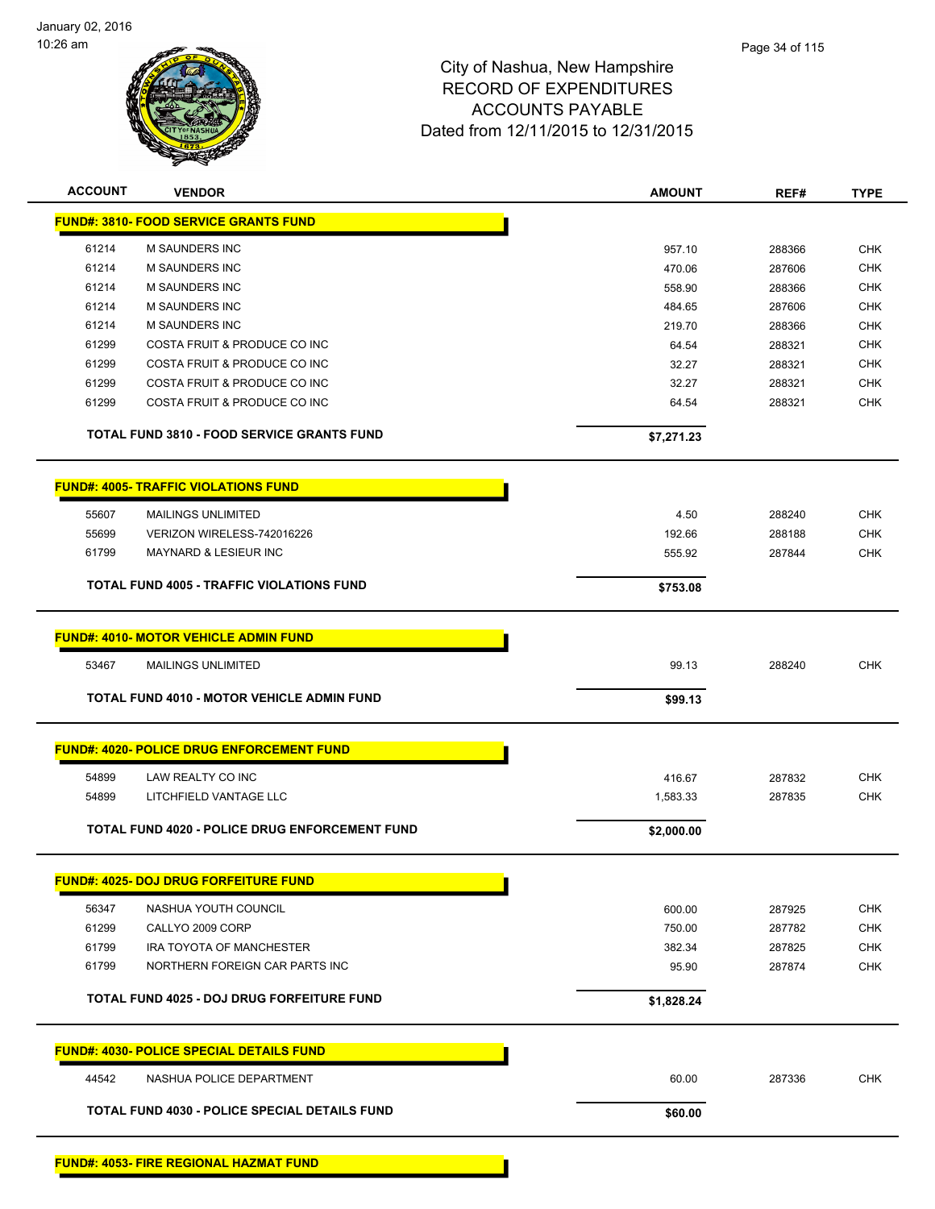

| <b>ACCOUNT</b> | <b>VENDOR</b>                                         | <b>AMOUNT</b> | REF#   | <b>TYPE</b> |
|----------------|-------------------------------------------------------|---------------|--------|-------------|
|                | <b>FUND#: 3810- FOOD SERVICE GRANTS FUND</b>          |               |        |             |
| 61214          | <b>M SAUNDERS INC</b>                                 | 957.10        | 288366 | <b>CHK</b>  |
| 61214          | <b>M SAUNDERS INC</b>                                 | 470.06        | 287606 | <b>CHK</b>  |
| 61214          | <b>M SAUNDERS INC</b>                                 | 558.90        | 288366 | <b>CHK</b>  |
| 61214          | <b>M SAUNDERS INC</b>                                 | 484.65        | 287606 | <b>CHK</b>  |
| 61214          | <b>M SAUNDERS INC</b>                                 | 219.70        | 288366 | <b>CHK</b>  |
| 61299          | COSTA FRUIT & PRODUCE CO INC                          | 64.54         | 288321 | <b>CHK</b>  |
| 61299          | COSTA FRUIT & PRODUCE CO INC                          | 32.27         | 288321 | <b>CHK</b>  |
| 61299          | COSTA FRUIT & PRODUCE CO INC                          | 32.27         | 288321 | <b>CHK</b>  |
| 61299          | COSTA FRUIT & PRODUCE CO INC                          | 64.54         | 288321 | <b>CHK</b>  |
|                | <b>TOTAL FUND 3810 - FOOD SERVICE GRANTS FUND</b>     | \$7,271.23    |        |             |
|                | <b>FUND#: 4005- TRAFFIC VIOLATIONS FUND</b>           |               |        |             |
| 55607          | <b>MAILINGS UNLIMITED</b>                             | 4.50          | 288240 | <b>CHK</b>  |
| 55699          | VERIZON WIRELESS-742016226                            | 192.66        | 288188 | <b>CHK</b>  |
| 61799          | <b>MAYNARD &amp; LESIEUR INC</b>                      | 555.92        | 287844 | <b>CHK</b>  |
|                |                                                       |               |        |             |
|                | <b>TOTAL FUND 4005 - TRAFFIC VIOLATIONS FUND</b>      | \$753.08      |        |             |
|                | <b>FUND#: 4010- MOTOR VEHICLE ADMIN FUND</b>          |               |        |             |
| 53467          | <b>MAILINGS UNLIMITED</b>                             | 99.13         | 288240 | <b>CHK</b>  |
|                | <b>TOTAL FUND 4010 - MOTOR VEHICLE ADMIN FUND</b>     | \$99.13       |        |             |
|                |                                                       |               |        |             |
|                | <b>FUND#: 4020- POLICE DRUG ENFORCEMENT FUND</b>      |               |        |             |
| 54899          | LAW REALTY CO INC                                     | 416.67        | 287832 | <b>CHK</b>  |
| 54899          | LITCHFIELD VANTAGE LLC                                | 1,583.33      | 287835 | <b>CHK</b>  |
|                | <b>TOTAL FUND 4020 - POLICE DRUG ENFORCEMENT FUND</b> | \$2,000.00    |        |             |
|                | <b>FUND#: 4025- DOJ DRUG FORFEITURE FUND</b>          |               |        |             |
| 56347          | NASHUA YOUTH COUNCIL                                  | 600.00        | 287925 | <b>CHK</b>  |
| 61299          | CALLYO 2009 CORP                                      | 750.00        | 287782 | <b>CHK</b>  |
| 61799          | IRA TOYOTA OF MANCHESTER                              | 382.34        | 287825 | <b>CHK</b>  |
| 61799          | NORTHERN FOREIGN CAR PARTS INC                        | 95.90         | 287874 | <b>CHK</b>  |
|                | TOTAL FUND 4025 - DOJ DRUG FORFEITURE FUND            | \$1,828.24    |        |             |
|                |                                                       |               |        |             |
|                | <b>FUND#: 4030- POLICE SPECIAL DETAILS FUND</b>       |               |        |             |
| 44542          | NASHUA POLICE DEPARTMENT                              | 60.00         | 287336 | <b>CHK</b>  |
|                | TOTAL FUND 4030 - POLICE SPECIAL DETAILS FUND         | \$60.00       |        |             |
|                |                                                       |               |        |             |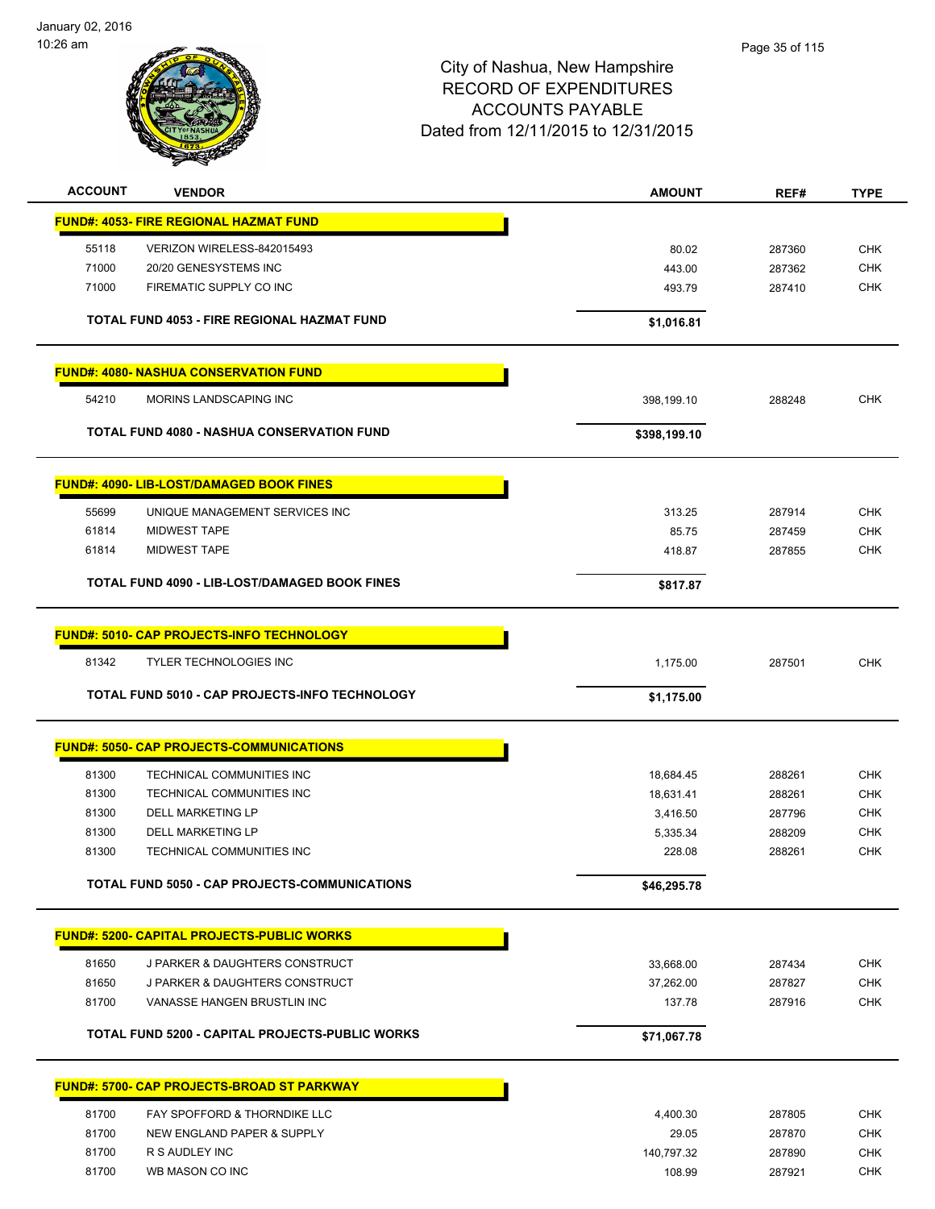January 02, 2016 10:26 am



| <b>ACCOUNT</b> | <b>VENDOR</b>                                     | <b>AMOUNT</b> | REF#   | <b>TYPE</b> |
|----------------|---------------------------------------------------|---------------|--------|-------------|
|                | <b>FUND#: 4053- FIRE REGIONAL HAZMAT FUND</b>     |               |        |             |
| 55118          | VERIZON WIRELESS-842015493                        | 80.02         | 287360 | <b>CHK</b>  |
| 71000          | 20/20 GENESYSTEMS INC                             | 443.00        | 287362 | <b>CHK</b>  |
| 71000          | FIREMATIC SUPPLY CO INC                           | 493.79        | 287410 | <b>CHK</b>  |
|                |                                                   |               |        |             |
|                | TOTAL FUND 4053 - FIRE REGIONAL HAZMAT FUND       | \$1,016.81    |        |             |
|                | <b>FUND#: 4080- NASHUA CONSERVATION FUND</b>      |               |        |             |
| 54210          | MORINS LANDSCAPING INC                            | 398,199.10    | 288248 | <b>CHK</b>  |
|                | <b>TOTAL FUND 4080 - NASHUA CONSERVATION FUND</b> | \$398,199.10  |        |             |
|                | <b>FUND#: 4090- LIB-LOST/DAMAGED BOOK FINES</b>   |               |        |             |
| 55699          | UNIQUE MANAGEMENT SERVICES INC                    | 313.25        | 287914 | <b>CHK</b>  |
| 61814          | <b>MIDWEST TAPE</b>                               | 85.75         | 287459 | <b>CHK</b>  |
| 61814          | <b>MIDWEST TAPE</b>                               | 418.87        | 287855 | <b>CHK</b>  |
|                | TOTAL FUND 4090 - LIB-LOST/DAMAGED BOOK FINES     | \$817.87      |        |             |
|                | <b>FUND#: 5010- CAP PROJECTS-INFO TECHNOLOGY</b>  |               |        |             |
| 81342          | <b>TYLER TECHNOLOGIES INC</b>                     | 1,175.00      | 287501 | <b>CHK</b>  |
|                |                                                   |               |        |             |
|                | TOTAL FUND 5010 - CAP PROJECTS-INFO TECHNOLOGY    | \$1,175.00    |        |             |
|                | <b>FUND#: 5050- CAP PROJECTS-COMMUNICATIONS</b>   |               |        |             |
| 81300          | TECHNICAL COMMUNITIES INC                         | 18,684.45     | 288261 | <b>CHK</b>  |
| 81300          | TECHNICAL COMMUNITIES INC                         | 18,631.41     | 288261 | <b>CHK</b>  |
| 81300          | <b>DELL MARKETING LP</b>                          | 3,416.50      | 287796 | <b>CHK</b>  |
| 81300          | <b>DELL MARKETING LP</b>                          | 5,335.34      | 288209 | <b>CHK</b>  |
| 81300          | TECHNICAL COMMUNITIES INC                         | 228.08        | 288261 | <b>CHK</b>  |
|                | TOTAL FUND 5050 - CAP PROJECTS-COMMUNICATIONS     | \$46,295.78   |        |             |
|                | <b>FUND#: 5200- CAPITAL PROJECTS-PUBLIC WORKS</b> |               |        |             |
| 81650          | J PARKER & DAUGHTERS CONSTRUCT                    | 33,668.00     | 287434 | <b>CHK</b>  |
| 81650          | J PARKER & DAUGHTERS CONSTRUCT                    | 37,262.00     | 287827 | <b>CHK</b>  |
| 81700          | VANASSE HANGEN BRUSTLIN INC                       | 137.78        | 287916 | <b>CHK</b>  |
|                |                                                   |               |        |             |
|                | TOTAL FUND 5200 - CAPITAL PROJECTS-PUBLIC WORKS   | \$71,067.78   |        |             |
|                | <b>FUND#: 5700- CAP PROJECTS-BROAD ST PARKWAY</b> |               |        |             |
| 81700          | FAY SPOFFORD & THORNDIKE LLC                      | 4,400.30      | 287805 | <b>CHK</b>  |
| 81700          | NEW ENGLAND PAPER & SUPPLY                        | 29.05         | 287870 | <b>CHK</b>  |
| 81700          | R S AUDLEY INC                                    | 140,797.32    | 287890 | <b>CHK</b>  |
| 81700          | WB MASON CO INC                                   | 108.99        | 287921 | <b>CHK</b>  |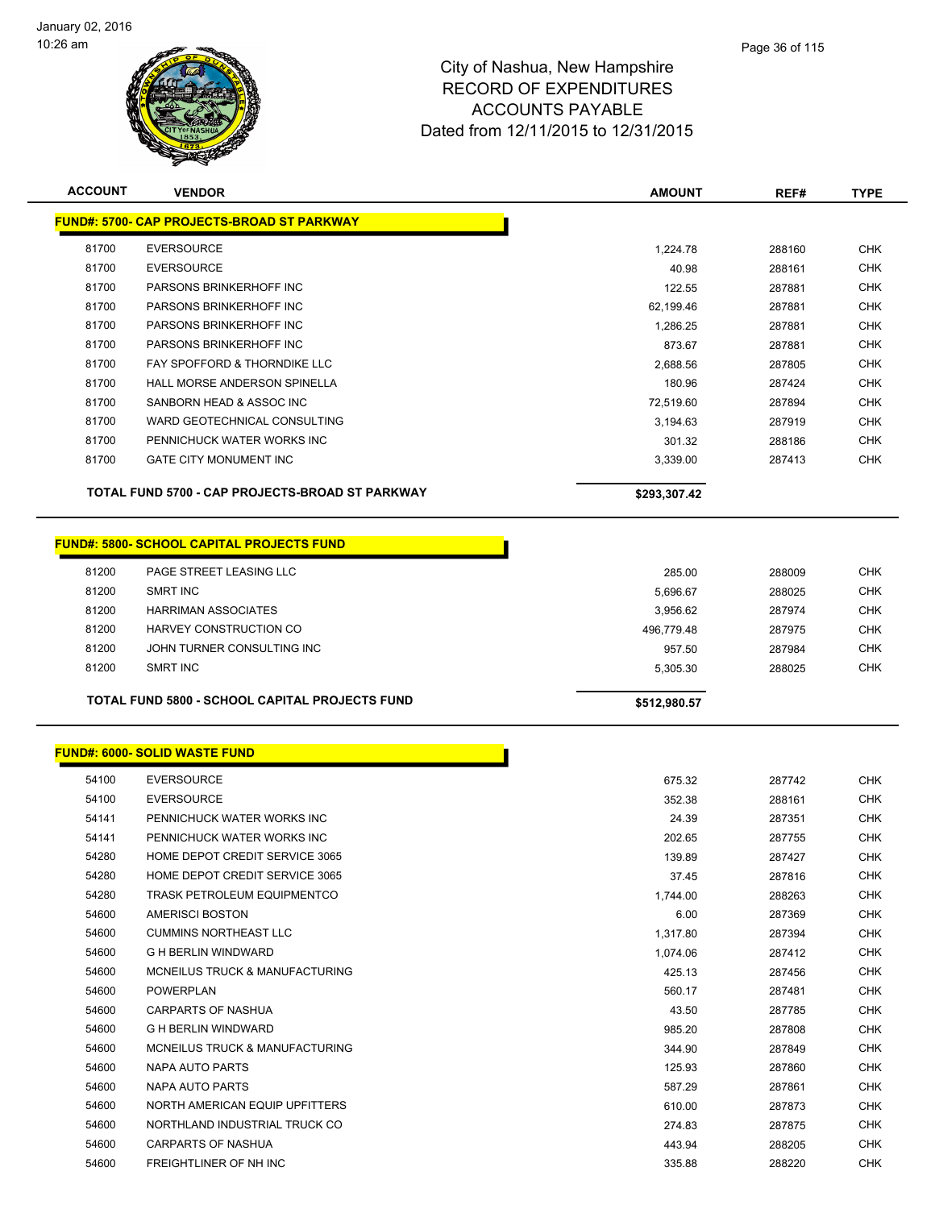

| <b>ACCOUNT</b> | <b>VENDOR</b>                                         | <b>AMOUNT</b> | REF#   | <b>TYPE</b> |
|----------------|-------------------------------------------------------|---------------|--------|-------------|
|                | <b>FUND#: 5700- CAP PROJECTS-BROAD ST PARKWAY</b>     |               |        |             |
| 81700          | <b>EVERSOURCE</b>                                     | 1,224.78      | 288160 | <b>CHK</b>  |
| 81700          | <b>EVERSOURCE</b>                                     | 40.98         | 288161 | <b>CHK</b>  |
| 81700          | PARSONS BRINKERHOFF INC                               | 122.55        | 287881 | <b>CHK</b>  |
| 81700          | PARSONS BRINKERHOFF INC                               | 62,199.46     | 287881 | <b>CHK</b>  |
| 81700          | PARSONS BRINKERHOFF INC                               | 1,286.25      | 287881 | <b>CHK</b>  |
| 81700          | PARSONS BRINKERHOFF INC                               | 873.67        | 287881 | <b>CHK</b>  |
| 81700          | FAY SPOFFORD & THORNDIKE LLC                          | 2,688.56      | 287805 | <b>CHK</b>  |
| 81700          | HALL MORSE ANDERSON SPINELLA                          | 180.96        | 287424 | <b>CHK</b>  |
| 81700          | SANBORN HEAD & ASSOC INC                              | 72,519.60     | 287894 | <b>CHK</b>  |
| 81700          | WARD GEOTECHNICAL CONSULTING                          | 3,194.63      | 287919 | <b>CHK</b>  |
| 81700          | PENNICHUCK WATER WORKS INC                            | 301.32        | 288186 | <b>CHK</b>  |
| 81700          | <b>GATE CITY MONUMENT INC</b>                         | 3,339.00      | 287413 | <b>CHK</b>  |
|                |                                                       |               |        |             |
|                | TOTAL FUND 5700 - CAP PROJECTS-BROAD ST PARKWAY       | \$293,307.42  |        |             |
|                | <b>FUND#: 5800- SCHOOL CAPITAL PROJECTS FUND</b>      |               |        |             |
|                |                                                       |               |        |             |
| 81200          | PAGE STREET LEASING LLC                               | 285.00        | 288009 | <b>CHK</b>  |
| 81200          | <b>SMRT INC</b>                                       | 5,696.67      | 288025 | <b>CHK</b>  |
| 81200          | <b>HARRIMAN ASSOCIATES</b>                            | 3,956.62      | 287974 | <b>CHK</b>  |
| 81200          | HARVEY CONSTRUCTION CO                                | 496,779.48    | 287975 | <b>CHK</b>  |
| 81200          | JOHN TURNER CONSULTING INC                            | 957.50        | 287984 | <b>CHK</b>  |
| 81200          | <b>SMRT INC</b>                                       | 5,305.30      | 288025 | <b>CHK</b>  |
|                |                                                       |               |        |             |
|                | <b>TOTAL FUND 5800 - SCHOOL CAPITAL PROJECTS FUND</b> | \$512,980.57  |        |             |
|                |                                                       |               |        |             |
|                | <b>FUND#: 6000- SOLID WASTE FUND</b>                  |               |        |             |
| 54100          | <b>EVERSOURCE</b>                                     | 675.32        | 287742 | <b>CHK</b>  |
| 54100          | <b>EVERSOURCE</b>                                     | 352.38        | 288161 | <b>CHK</b>  |
| 54141          | PENNICHUCK WATER WORKS INC                            | 24.39         | 287351 | <b>CHK</b>  |
| 54141          | PENNICHUCK WATER WORKS INC                            | 202.65        | 287755 | <b>CHK</b>  |
| 54280          | HOME DEPOT CREDIT SERVICE 3065                        | 139.89        | 287427 | <b>CHK</b>  |
| 54280          | HOME DEPOT CREDIT SERVICE 3065                        | 37.45         | 287816 | <b>CHK</b>  |
| 54280          | <b>TRASK PETROLEUM EQUIPMENTCO</b>                    | 1,744.00      | 288263 | <b>CHK</b>  |
| 54600          | AMERISCI BOSTON                                       | 6.00          | 287369 | <b>CHK</b>  |
| 54600          | <b>CUMMINS NORTHEAST LLC</b>                          | 1,317.80      | 287394 | <b>CHK</b>  |
| 54600          | <b>G H BERLIN WINDWARD</b>                            | 1,074.06      | 287412 | <b>CHK</b>  |
| 54600          | MCNEILUS TRUCK & MANUFACTURING                        | 425.13        | 287456 | <b>CHK</b>  |
| 54600          | <b>POWERPLAN</b>                                      | 560.17        | 287481 | <b>CHK</b>  |
| 54600          | <b>CARPARTS OF NASHUA</b>                             | 43.50         | 287785 | <b>CHK</b>  |
| 54600          | <b>G H BERLIN WINDWARD</b>                            | 985.20        | 287808 | <b>CHK</b>  |
| 54600          | MCNEILUS TRUCK & MANUFACTURING                        | 344.90        | 287849 | <b>CHK</b>  |
| 54600          | NAPA AUTO PARTS                                       | 125.93        | 287860 | <b>CHK</b>  |
| 54600          | NAPA AUTO PARTS                                       | 587.29        | 287861 | <b>CHK</b>  |
| 54600          | NORTH AMERICAN EQUIP UPFITTERS                        | 610.00        | 287873 | <b>CHK</b>  |
| 54600          | NORTHLAND INDUSTRIAL TRUCK CO                         | 274.83        | 287875 | CHK         |
| 54600          | CARPARTS OF NASHUA                                    | 443.94        | 288205 | CHK         |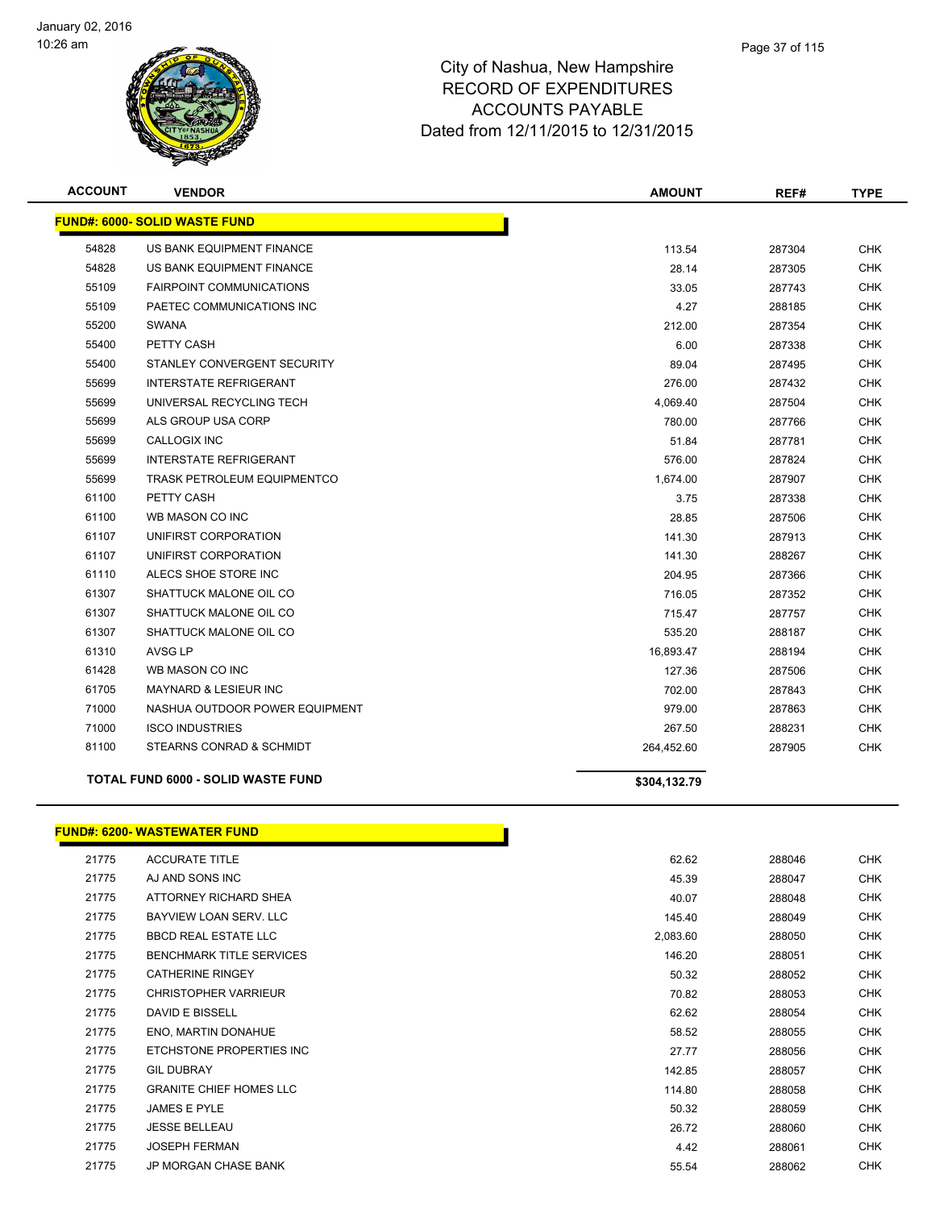

| <u> FUND#: 6000- SOLID WASTE FUND</u><br>54828<br>US BANK EQUIPMENT FINANCE<br>54828<br>US BANK EQUIPMENT FINANCE<br>55109<br><b>FAIRPOINT COMMUNICATIONS</b><br>55109<br>PAETEC COMMUNICATIONS INC<br>55200<br><b>SWANA</b><br>55400<br>PETTY CASH | 113.54<br>28.14<br>33.05<br>4.27<br>212.00 | 287304<br>287305<br>287743<br>288185 | <b>CHK</b><br><b>CHK</b><br><b>CHK</b> |
|-----------------------------------------------------------------------------------------------------------------------------------------------------------------------------------------------------------------------------------------------------|--------------------------------------------|--------------------------------------|----------------------------------------|
|                                                                                                                                                                                                                                                     |                                            |                                      |                                        |
|                                                                                                                                                                                                                                                     |                                            |                                      |                                        |
|                                                                                                                                                                                                                                                     |                                            |                                      |                                        |
|                                                                                                                                                                                                                                                     |                                            |                                      |                                        |
|                                                                                                                                                                                                                                                     |                                            |                                      | <b>CHK</b>                             |
|                                                                                                                                                                                                                                                     |                                            | 287354                               | <b>CHK</b>                             |
|                                                                                                                                                                                                                                                     | 6.00                                       | 287338                               | <b>CHK</b>                             |
| 55400<br>STANLEY CONVERGENT SECURITY                                                                                                                                                                                                                | 89.04                                      | 287495                               | <b>CHK</b>                             |
| <b>INTERSTATE REFRIGERANT</b><br>55699                                                                                                                                                                                                              | 276.00                                     | 287432                               | <b>CHK</b>                             |
| 55699<br>UNIVERSAL RECYCLING TECH                                                                                                                                                                                                                   | 4,069.40                                   | 287504                               | <b>CHK</b>                             |
| 55699<br>ALS GROUP USA CORP                                                                                                                                                                                                                         | 780.00                                     | 287766                               | <b>CHK</b>                             |
| 55699<br><b>CALLOGIX INC</b>                                                                                                                                                                                                                        | 51.84                                      | 287781                               | <b>CHK</b>                             |
| 55699<br><b>INTERSTATE REFRIGERANT</b>                                                                                                                                                                                                              | 576.00                                     | 287824                               | <b>CHK</b>                             |
| 55699<br><b>TRASK PETROLEUM EQUIPMENTCO</b>                                                                                                                                                                                                         | 1,674.00                                   | 287907                               | CHK                                    |
| 61100<br>PETTY CASH                                                                                                                                                                                                                                 | 3.75                                       | 287338                               | <b>CHK</b>                             |
| 61100<br>WB MASON CO INC                                                                                                                                                                                                                            | 28.85                                      | 287506                               | <b>CHK</b>                             |
| 61107<br>UNIFIRST CORPORATION                                                                                                                                                                                                                       | 141.30                                     | 287913                               | <b>CHK</b>                             |
| 61107<br>UNIFIRST CORPORATION                                                                                                                                                                                                                       | 141.30                                     | 288267                               | <b>CHK</b>                             |
| ALECS SHOE STORE INC<br>61110                                                                                                                                                                                                                       | 204.95                                     | 287366                               | <b>CHK</b>                             |
| 61307<br>SHATTUCK MALONE OIL CO                                                                                                                                                                                                                     | 716.05                                     | 287352                               | <b>CHK</b>                             |
| 61307<br>SHATTUCK MALONE OIL CO                                                                                                                                                                                                                     | 715.47                                     | 287757                               | <b>CHK</b>                             |
| 61307<br>SHATTUCK MALONE OIL CO                                                                                                                                                                                                                     | 535.20                                     | 288187                               | <b>CHK</b>                             |
| 61310<br><b>AVSG LP</b>                                                                                                                                                                                                                             | 16,893.47                                  | 288194                               | <b>CHK</b>                             |
| 61428<br>WB MASON CO INC                                                                                                                                                                                                                            | 127.36                                     | 287506                               | <b>CHK</b>                             |
| 61705<br><b>MAYNARD &amp; LESIEUR INC</b>                                                                                                                                                                                                           | 702.00                                     | 287843                               | <b>CHK</b>                             |
| 71000<br>NASHUA OUTDOOR POWER EQUIPMENT                                                                                                                                                                                                             | 979.00                                     | 287863                               | <b>CHK</b>                             |
| 71000<br><b>ISCO INDUSTRIES</b>                                                                                                                                                                                                                     | 267.50                                     | 288231                               | <b>CHK</b>                             |
| 81100<br>STEARNS CONRAD & SCHMIDT                                                                                                                                                                                                                   | 264,452.60                                 | 287905                               | <b>CHK</b>                             |
| TOTAL FUND 6000 - SOLID WASTE FUND                                                                                                                                                                                                                  | \$304,132.79                               |                                      |                                        |

#### **FUND#: 6200- WASTEWATER FUND**

| 21775 | <b>ACCURATE TITLE</b>           | 62.62    | 288046 | <b>CHK</b> |
|-------|---------------------------------|----------|--------|------------|
| 21775 | AJ AND SONS INC                 | 45.39    | 288047 | <b>CHK</b> |
| 21775 | ATTORNEY RICHARD SHEA           | 40.07    | 288048 | <b>CHK</b> |
| 21775 | BAYVIEW LOAN SERV. LLC          | 145.40   | 288049 | <b>CHK</b> |
| 21775 | <b>BBCD REAL ESTATE LLC</b>     | 2,083.60 | 288050 | <b>CHK</b> |
| 21775 | <b>BENCHMARK TITLE SERVICES</b> | 146.20   | 288051 | CHK        |
| 21775 | <b>CATHERINE RINGEY</b>         | 50.32    | 288052 | <b>CHK</b> |
| 21775 | <b>CHRISTOPHER VARRIEUR</b>     | 70.82    | 288053 | <b>CHK</b> |
| 21775 | DAVID E BISSELL                 | 62.62    | 288054 | <b>CHK</b> |
| 21775 | ENO. MARTIN DONAHUE             | 58.52    | 288055 | <b>CHK</b> |
| 21775 | ETCHSTONE PROPERTIES INC        | 27.77    | 288056 | <b>CHK</b> |
| 21775 | <b>GIL DUBRAY</b>               | 142.85   | 288057 | <b>CHK</b> |
| 21775 | <b>GRANITE CHIEF HOMES LLC</b>  | 114.80   | 288058 | CHK        |
| 21775 | JAMES E PYLE                    | 50.32    | 288059 | <b>CHK</b> |
| 21775 | <b>JESSE BELLEAU</b>            | 26.72    | 288060 | CHK        |
| 21775 | <b>JOSEPH FERMAN</b>            | 4.42     | 288061 | <b>CHK</b> |
| 21775 | <b>JP MORGAN CHASE BANK</b>     | 55.54    | 288062 | <b>CHK</b> |

Т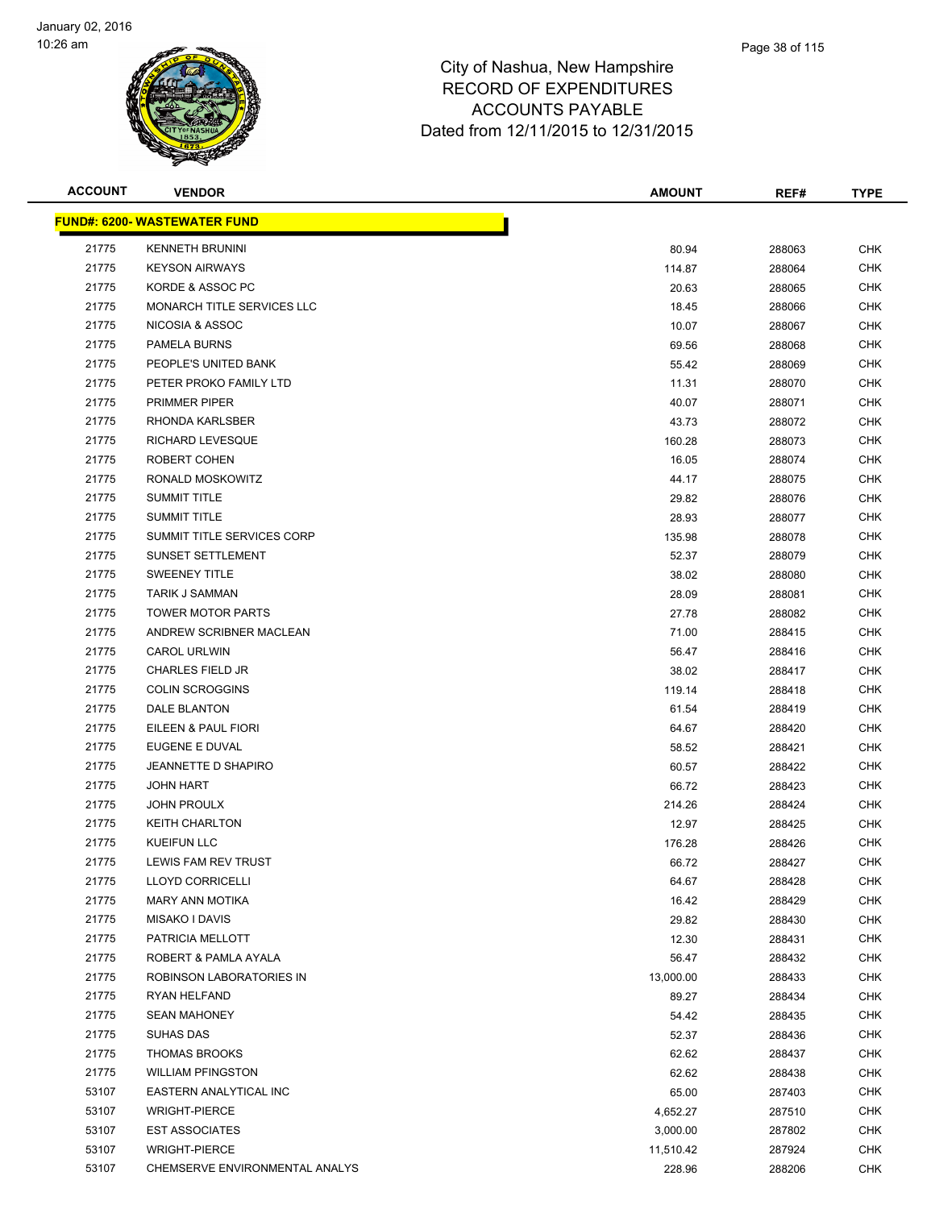

| <b>ACCOUNT</b> | <b>VENDOR</b>                       | <b>AMOUNT</b> | REF#   | <b>TYPE</b> |
|----------------|-------------------------------------|---------------|--------|-------------|
|                | <b>FUND#: 6200- WASTEWATER FUND</b> |               |        |             |
| 21775          | <b>KENNETH BRUNINI</b>              | 80.94         | 288063 | <b>CHK</b>  |
| 21775          | <b>KEYSON AIRWAYS</b>               | 114.87        | 288064 | <b>CHK</b>  |
| 21775          | KORDE & ASSOC PC                    | 20.63         | 288065 | <b>CHK</b>  |
| 21775          | MONARCH TITLE SERVICES LLC          | 18.45         | 288066 | <b>CHK</b>  |
| 21775          | NICOSIA & ASSOC                     | 10.07         | 288067 | <b>CHK</b>  |
| 21775          | PAMELA BURNS                        | 69.56         | 288068 | <b>CHK</b>  |
| 21775          | PEOPLE'S UNITED BANK                | 55.42         | 288069 | <b>CHK</b>  |
| 21775          | PETER PROKO FAMILY LTD              | 11.31         | 288070 | <b>CHK</b>  |
| 21775          | <b>PRIMMER PIPER</b>                | 40.07         | 288071 | <b>CHK</b>  |
| 21775          | RHONDA KARLSBER                     | 43.73         | 288072 | <b>CHK</b>  |
| 21775          | <b>RICHARD LEVESQUE</b>             | 160.28        | 288073 | CHK         |
| 21775          | ROBERT COHEN                        | 16.05         | 288074 | CHK         |
| 21775          | RONALD MOSKOWITZ                    | 44.17         | 288075 | CHK         |
| 21775          | <b>SUMMIT TITLE</b>                 | 29.82         | 288076 | CHK         |
| 21775          | <b>SUMMIT TITLE</b>                 | 28.93         | 288077 | <b>CHK</b>  |
| 21775          | SUMMIT TITLE SERVICES CORP          | 135.98        | 288078 | <b>CHK</b>  |
| 21775          | <b>SUNSET SETTLEMENT</b>            | 52.37         | 288079 | <b>CHK</b>  |
| 21775          | <b>SWEENEY TITLE</b>                | 38.02         | 288080 | <b>CHK</b>  |
| 21775          | <b>TARIK J SAMMAN</b>               | 28.09         | 288081 | <b>CHK</b>  |
| 21775          | <b>TOWER MOTOR PARTS</b>            | 27.78         | 288082 | <b>CHK</b>  |
| 21775          | ANDREW SCRIBNER MACLEAN             | 71.00         | 288415 | <b>CHK</b>  |
| 21775          | <b>CAROL URLWIN</b>                 | 56.47         | 288416 | CHK         |
| 21775          | <b>CHARLES FIELD JR</b>             | 38.02         | 288417 | <b>CHK</b>  |
| 21775          | <b>COLIN SCROGGINS</b>              | 119.14        | 288418 | CHK         |
| 21775          | DALE BLANTON                        | 61.54         | 288419 | CHK         |
| 21775          | EILEEN & PAUL FIORI                 | 64.67         | 288420 | <b>CHK</b>  |
| 21775          | EUGENE E DUVAL                      | 58.52         | 288421 | <b>CHK</b>  |
| 21775          | JEANNETTE D SHAPIRO                 | 60.57         | 288422 | <b>CHK</b>  |
| 21775          | <b>JOHN HART</b>                    | 66.72         | 288423 | <b>CHK</b>  |
| 21775          | <b>JOHN PROULX</b>                  | 214.26        | 288424 | CHK         |
| 21775          | <b>KEITH CHARLTON</b>               | 12.97         | 288425 | <b>CHK</b>  |
| 21775          | <b>KUEIFUN LLC</b>                  | 176.28        | 288426 | <b>CHK</b>  |
| 21775          | <b>LEWIS FAM REV TRUST</b>          | 66.72         | 288427 | <b>CHK</b>  |
| 21775          | <b>LLOYD CORRICELLI</b>             | 64.67         | 288428 | <b>CHK</b>  |
| 21775          | <b>MARY ANN MOTIKA</b>              | 16.42         | 288429 | CHK         |
| 21775          | MISAKO I DAVIS                      | 29.82         | 288430 | <b>CHK</b>  |
| 21775          | PATRICIA MELLOTT                    | 12.30         | 288431 | <b>CHK</b>  |
| 21775          | ROBERT & PAMLA AYALA                | 56.47         | 288432 | <b>CHK</b>  |
| 21775          | ROBINSON LABORATORIES IN            | 13,000.00     | 288433 | <b>CHK</b>  |
| 21775          | RYAN HELFAND                        | 89.27         | 288434 | <b>CHK</b>  |
| 21775          | <b>SEAN MAHONEY</b>                 | 54.42         | 288435 | <b>CHK</b>  |
| 21775          | SUHAS DAS                           | 52.37         | 288436 | <b>CHK</b>  |
| 21775          | <b>THOMAS BROOKS</b>                | 62.62         | 288437 | <b>CHK</b>  |
| 21775          | <b>WILLIAM PFINGSTON</b>            | 62.62         | 288438 | <b>CHK</b>  |
| 53107          | EASTERN ANALYTICAL INC              | 65.00         | 287403 | <b>CHK</b>  |
| 53107          | <b>WRIGHT-PIERCE</b>                | 4,652.27      | 287510 | <b>CHK</b>  |
| 53107          | <b>EST ASSOCIATES</b>               | 3,000.00      | 287802 | <b>CHK</b>  |
| 53107          | <b>WRIGHT-PIERCE</b>                | 11,510.42     | 287924 | <b>CHK</b>  |
| 53107          | CHEMSERVE ENVIRONMENTAL ANALYS      | 228.96        | 288206 | <b>CHK</b>  |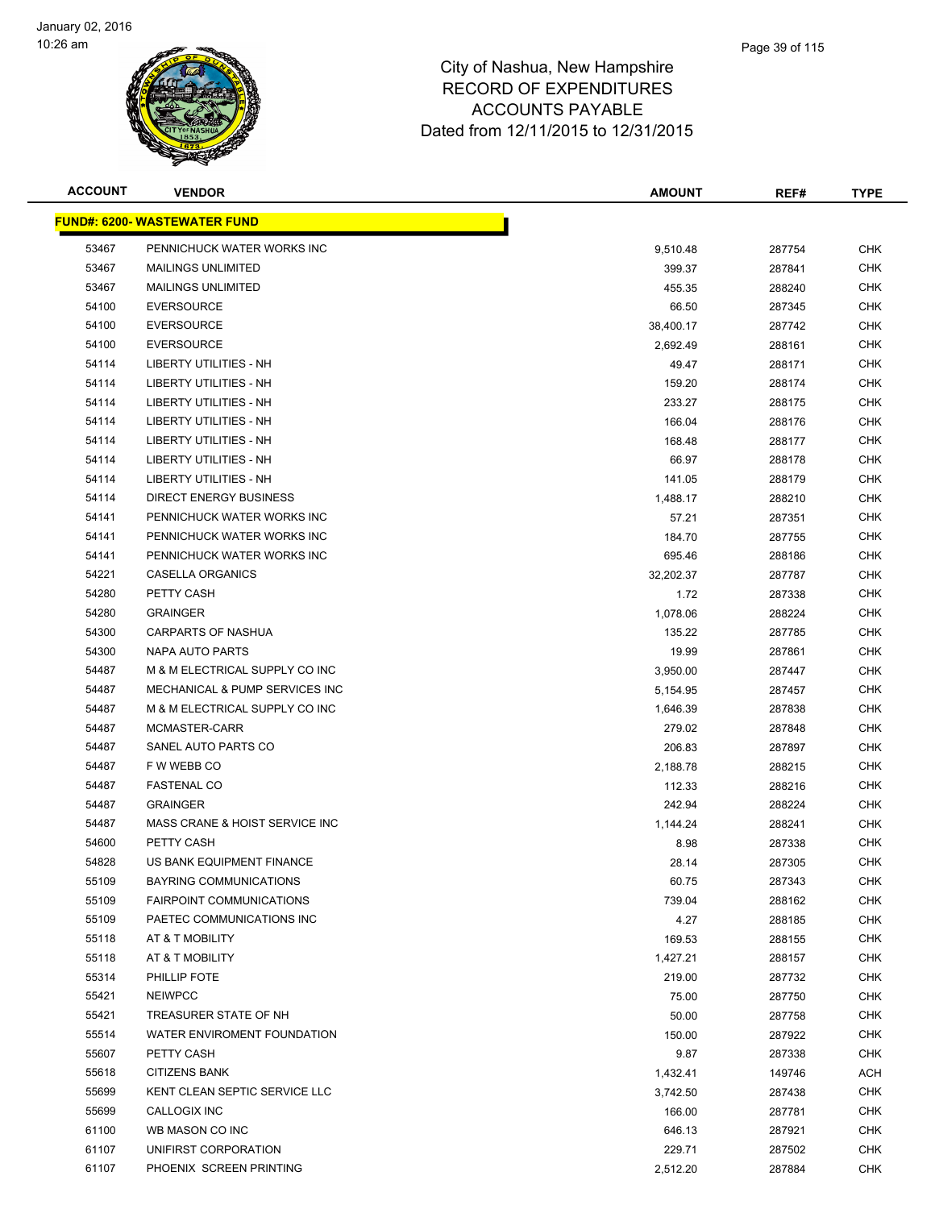

| <b>ACCOUNT</b> | <b>VENDOR</b>                        | <b>AMOUNT</b> | REF#   | <b>TYPE</b> |
|----------------|--------------------------------------|---------------|--------|-------------|
|                | <u> FUND#: 6200- WASTEWATER FUND</u> |               |        |             |
| 53467          | PENNICHUCK WATER WORKS INC           | 9,510.48      | 287754 | <b>CHK</b>  |
| 53467          | <b>MAILINGS UNLIMITED</b>            | 399.37        | 287841 | <b>CHK</b>  |
| 53467          | <b>MAILINGS UNLIMITED</b>            | 455.35        | 288240 | <b>CHK</b>  |
| 54100          | <b>EVERSOURCE</b>                    | 66.50         | 287345 | <b>CHK</b>  |
| 54100          | <b>EVERSOURCE</b>                    | 38,400.17     | 287742 | <b>CHK</b>  |
| 54100          | <b>EVERSOURCE</b>                    | 2,692.49      | 288161 | <b>CHK</b>  |
| 54114          | LIBERTY UTILITIES - NH               | 49.47         | 288171 | <b>CHK</b>  |
| 54114          | LIBERTY UTILITIES - NH               | 159.20        | 288174 | <b>CHK</b>  |
| 54114          | <b>LIBERTY UTILITIES - NH</b>        | 233.27        | 288175 | <b>CHK</b>  |
| 54114          | LIBERTY UTILITIES - NH               | 166.04        | 288176 | CHK         |
| 54114          | LIBERTY UTILITIES - NH               | 168.48        | 288177 | <b>CHK</b>  |
| 54114          | LIBERTY UTILITIES - NH               | 66.97         | 288178 | CHK         |
| 54114          | LIBERTY UTILITIES - NH               | 141.05        | 288179 | <b>CHK</b>  |
| 54114          | DIRECT ENERGY BUSINESS               | 1,488.17      | 288210 | <b>CHK</b>  |
| 54141          | PENNICHUCK WATER WORKS INC           | 57.21         | 287351 | <b>CHK</b>  |
| 54141          | PENNICHUCK WATER WORKS INC           | 184.70        | 287755 | <b>CHK</b>  |
| 54141          | PENNICHUCK WATER WORKS INC           | 695.46        | 288186 | <b>CHK</b>  |
| 54221          | CASELLA ORGANICS                     | 32,202.37     | 287787 | <b>CHK</b>  |
| 54280          | PETTY CASH                           | 1.72          | 287338 | <b>CHK</b>  |
| 54280          | <b>GRAINGER</b>                      | 1,078.06      | 288224 | <b>CHK</b>  |
| 54300          | <b>CARPARTS OF NASHUA</b>            | 135.22        | 287785 | <b>CHK</b>  |
| 54300          | NAPA AUTO PARTS                      | 19.99         | 287861 | <b>CHK</b>  |
| 54487          | M & M ELECTRICAL SUPPLY CO INC       | 3,950.00      | 287447 | <b>CHK</b>  |
| 54487          | MECHANICAL & PUMP SERVICES INC       | 5,154.95      | 287457 | <b>CHK</b>  |
| 54487          | M & M ELECTRICAL SUPPLY CO INC       | 1,646.39      | 287838 | <b>CHK</b>  |
| 54487          | MCMASTER-CARR                        | 279.02        | 287848 | <b>CHK</b>  |
| 54487          | SANEL AUTO PARTS CO                  | 206.83        | 287897 | <b>CHK</b>  |
| 54487          | F W WEBB CO                          | 2,188.78      | 288215 | <b>CHK</b>  |
| 54487          | <b>FASTENAL CO</b>                   | 112.33        | 288216 | <b>CHK</b>  |
| 54487          | <b>GRAINGER</b>                      | 242.94        | 288224 | <b>CHK</b>  |
| 54487          | MASS CRANE & HOIST SERVICE INC       | 1,144.24      | 288241 | CHK         |
| 54600          | PETTY CASH                           | 8.98          | 287338 | <b>CHK</b>  |
| 54828          | US BANK EQUIPMENT FINANCE            | 28.14         | 287305 | <b>CHK</b>  |
| 55109          | <b>BAYRING COMMUNICATIONS</b>        | 60.75         | 287343 | <b>CHK</b>  |
| 55109          | <b>FAIRPOINT COMMUNICATIONS</b>      | 739.04        | 288162 | <b>CHK</b>  |
| 55109          | PAETEC COMMUNICATIONS INC            | 4.27          | 288185 | <b>CHK</b>  |
| 55118          | AT & T MOBILITY                      | 169.53        | 288155 | <b>CHK</b>  |
| 55118          | AT & T MOBILITY                      | 1,427.21      | 288157 | <b>CHK</b>  |
| 55314          | PHILLIP FOTE                         | 219.00        | 287732 | <b>CHK</b>  |
| 55421          | <b>NEIWPCC</b>                       | 75.00         | 287750 | <b>CHK</b>  |
| 55421          | TREASURER STATE OF NH                | 50.00         | 287758 | <b>CHK</b>  |
| 55514          | WATER ENVIROMENT FOUNDATION          | 150.00        | 287922 | <b>CHK</b>  |
| 55607          | PETTY CASH                           | 9.87          | 287338 | <b>CHK</b>  |
| 55618          | <b>CITIZENS BANK</b>                 | 1,432.41      | 149746 | ACH         |
| 55699          | KENT CLEAN SEPTIC SERVICE LLC        | 3,742.50      | 287438 | <b>CHK</b>  |
| 55699          | CALLOGIX INC                         | 166.00        | 287781 | <b>CHK</b>  |
| 61100          | WB MASON CO INC                      | 646.13        | 287921 | <b>CHK</b>  |
| 61107          | UNIFIRST CORPORATION                 | 229.71        | 287502 | <b>CHK</b>  |
| 61107          | PHOENIX SCREEN PRINTING              | 2,512.20      | 287884 | <b>CHK</b>  |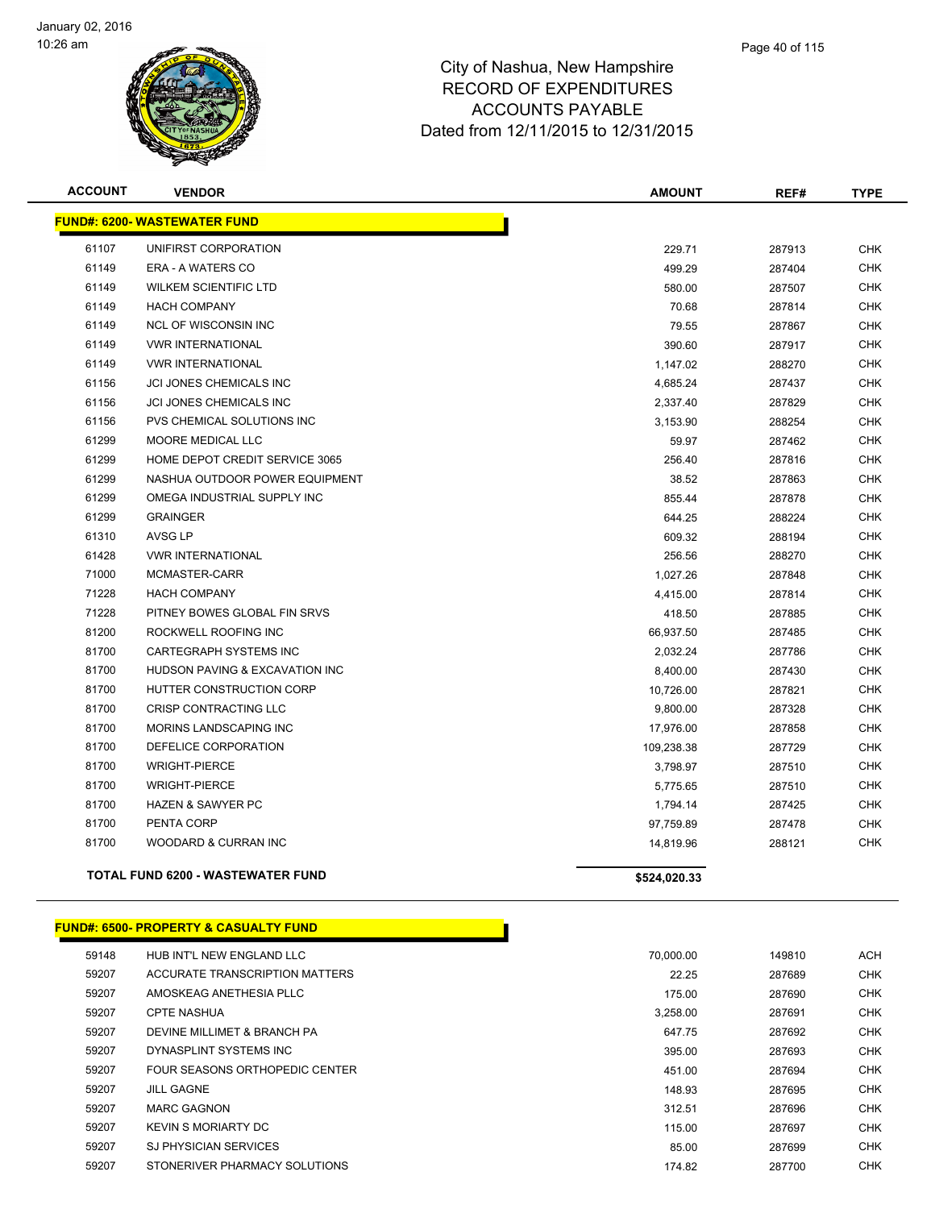

| <b>ACCOUNT</b> | <b>VENDOR</b>                            | <b>AMOUNT</b> | REF#   | <b>TYPE</b> |
|----------------|------------------------------------------|---------------|--------|-------------|
|                | <b>FUND#: 6200- WASTEWATER FUND</b>      |               |        |             |
| 61107          | UNIFIRST CORPORATION                     | 229.71        | 287913 | <b>CHK</b>  |
| 61149          | ERA - A WATERS CO                        | 499.29        | 287404 | <b>CHK</b>  |
| 61149          | <b>WILKEM SCIENTIFIC LTD</b>             | 580.00        | 287507 | <b>CHK</b>  |
| 61149          | <b>HACH COMPANY</b>                      | 70.68         | 287814 | <b>CHK</b>  |
| 61149          | <b>NCL OF WISCONSIN INC</b>              | 79.55         | 287867 | <b>CHK</b>  |
| 61149          | <b>VWR INTERNATIONAL</b>                 | 390.60        | 287917 | <b>CHK</b>  |
| 61149          | <b>VWR INTERNATIONAL</b>                 | 1,147.02      | 288270 | <b>CHK</b>  |
| 61156          | <b>JCI JONES CHEMICALS INC</b>           | 4,685.24      | 287437 | <b>CHK</b>  |
| 61156          | JCI JONES CHEMICALS INC                  | 2,337.40      | 287829 | <b>CHK</b>  |
| 61156          | PVS CHEMICAL SOLUTIONS INC               | 3,153.90      | 288254 | <b>CHK</b>  |
| 61299          | <b>MOORE MEDICAL LLC</b>                 | 59.97         | 287462 | <b>CHK</b>  |
| 61299          | HOME DEPOT CREDIT SERVICE 3065           | 256.40        | 287816 | <b>CHK</b>  |
| 61299          | NASHUA OUTDOOR POWER EQUIPMENT           | 38.52         | 287863 | <b>CHK</b>  |
| 61299          | OMEGA INDUSTRIAL SUPPLY INC              | 855.44        | 287878 | <b>CHK</b>  |
| 61299          | <b>GRAINGER</b>                          | 644.25        | 288224 | <b>CHK</b>  |
| 61310          | AVSG LP                                  | 609.32        | 288194 | <b>CHK</b>  |
| 61428          | <b>VWR INTERNATIONAL</b>                 | 256.56        | 288270 | <b>CHK</b>  |
| 71000          | MCMASTER-CARR                            | 1,027.26      | 287848 | <b>CHK</b>  |
| 71228          | <b>HACH COMPANY</b>                      | 4,415.00      | 287814 | <b>CHK</b>  |
| 71228          | PITNEY BOWES GLOBAL FIN SRVS             | 418.50        | 287885 | <b>CHK</b>  |
| 81200          | ROCKWELL ROOFING INC                     | 66,937.50     | 287485 | <b>CHK</b>  |
| 81700          | <b>CARTEGRAPH SYSTEMS INC</b>            | 2,032.24      | 287786 | <b>CHK</b>  |
| 81700          | HUDSON PAVING & EXCAVATION INC           | 8,400.00      | 287430 | <b>CHK</b>  |
| 81700          | HUTTER CONSTRUCTION CORP                 | 10,726.00     | 287821 | <b>CHK</b>  |
| 81700          | <b>CRISP CONTRACTING LLC</b>             | 9,800.00      | 287328 | <b>CHK</b>  |
| 81700          | MORINS LANDSCAPING INC                   | 17,976.00     | 287858 | <b>CHK</b>  |
| 81700          | DEFELICE CORPORATION                     | 109,238.38    | 287729 | <b>CHK</b>  |
| 81700          | <b>WRIGHT-PIERCE</b>                     | 3,798.97      | 287510 | <b>CHK</b>  |
| 81700          | <b>WRIGHT-PIERCE</b>                     | 5,775.65      | 287510 | <b>CHK</b>  |
| 81700          | <b>HAZEN &amp; SAWYER PC</b>             | 1,794.14      | 287425 | <b>CHK</b>  |
| 81700          | PENTA CORP                               | 97,759.89     | 287478 | <b>CHK</b>  |
| 81700          | WOODARD & CURRAN INC                     | 14,819.96     | 288121 | <b>CHK</b>  |
|                | <b>TOTAL FUND 6200 - WASTEWATER FUND</b> | \$524,020.33  |        |             |

#### **FUND#: 6500- PROPERTY & CASUALTY FUND**

| 59148 | HUB INT'L NEW ENGLAND LLC      | 70.000.00 | 149810 | <b>ACH</b> |
|-------|--------------------------------|-----------|--------|------------|
| 59207 | ACCURATE TRANSCRIPTION MATTERS | 22.25     | 287689 | <b>CHK</b> |
| 59207 | AMOSKEAG ANETHESIA PLLC        | 175.00    | 287690 | <b>CHK</b> |
| 59207 | <b>CPTE NASHUA</b>             | 3.258.00  | 287691 | <b>CHK</b> |
| 59207 | DEVINE MILLIMET & BRANCH PA    | 647.75    | 287692 | <b>CHK</b> |
| 59207 | DYNASPLINT SYSTEMS INC         | 395.00    | 287693 | <b>CHK</b> |
| 59207 | FOUR SEASONS ORTHOPEDIC CENTER | 451.00    | 287694 | <b>CHK</b> |
| 59207 | <b>JILL GAGNE</b>              | 148.93    | 287695 | <b>CHK</b> |
| 59207 | <b>MARC GAGNON</b>             | 312.51    | 287696 | <b>CHK</b> |
| 59207 | <b>KEVIN S MORIARTY DC</b>     | 115.00    | 287697 | <b>CHK</b> |
| 59207 | <b>SJ PHYSICIAN SERVICES</b>   | 85.00     | 287699 | <b>CHK</b> |
| 59207 | STONERIVER PHARMACY SOLUTIONS  | 174.82    | 287700 | <b>CHK</b> |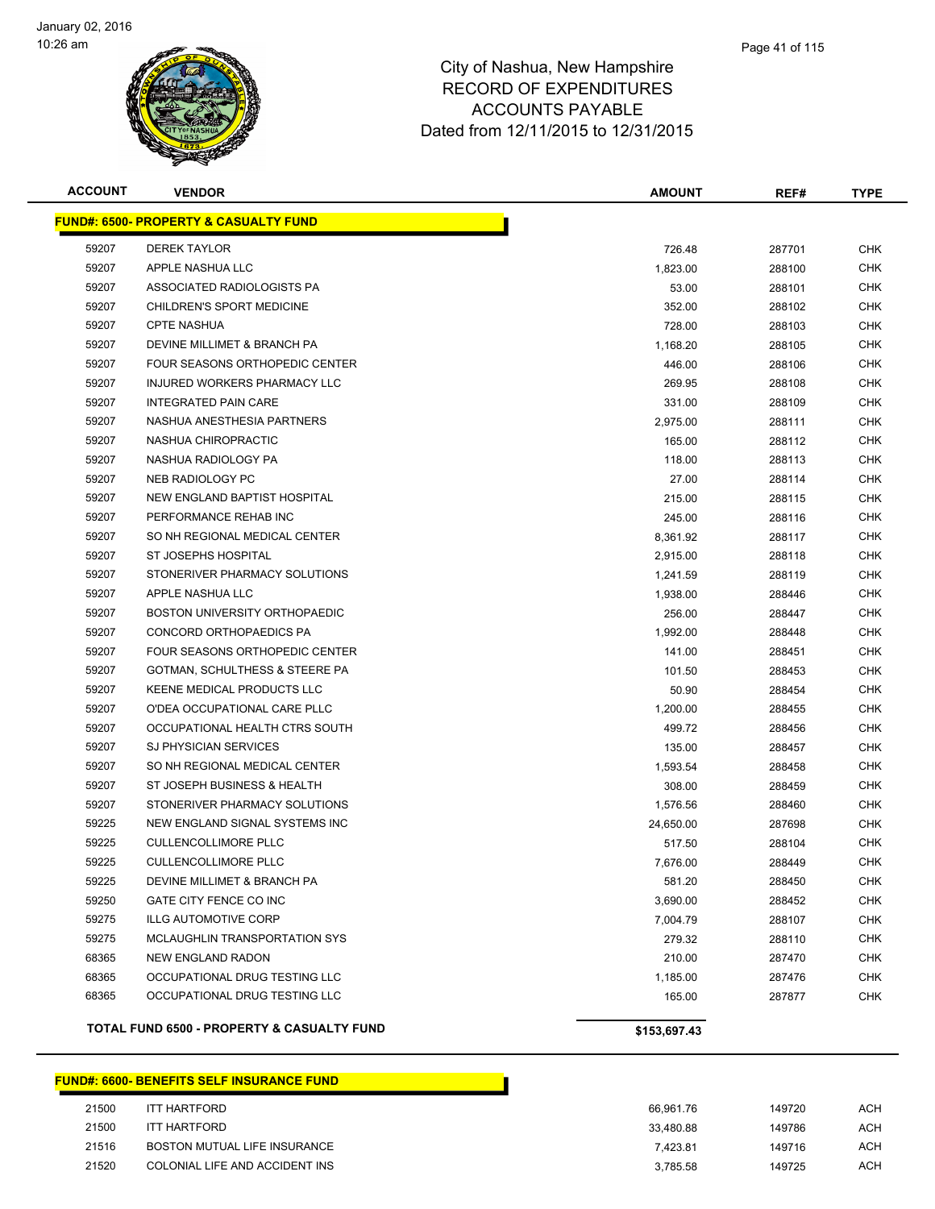

| <b>ACCOUNT</b> | <b>VENDOR</b>                                    | <b>AMOUNT</b> | REF#   | <b>TYPE</b> |
|----------------|--------------------------------------------------|---------------|--------|-------------|
|                | <b>FUND#: 6500- PROPERTY &amp; CASUALTY FUND</b> |               |        |             |
| 59207          | <b>DEREK TAYLOR</b>                              | 726.48        | 287701 | <b>CHK</b>  |
| 59207          | APPLE NASHUA LLC                                 | 1,823.00      | 288100 | CHK         |
| 59207          | ASSOCIATED RADIOLOGISTS PA                       | 53.00         | 288101 | CHK         |
| 59207          | CHILDREN'S SPORT MEDICINE                        | 352.00        | 288102 | CHK         |
| 59207          | <b>CPTE NASHUA</b>                               | 728.00        | 288103 | <b>CHK</b>  |
| 59207          | DEVINE MILLIMET & BRANCH PA                      | 1,168.20      | 288105 | <b>CHK</b>  |
| 59207          | FOUR SEASONS ORTHOPEDIC CENTER                   | 446.00        | 288106 | CHK         |
| 59207          | INJURED WORKERS PHARMACY LLC                     | 269.95        | 288108 | <b>CHK</b>  |
| 59207          | <b>INTEGRATED PAIN CARE</b>                      | 331.00        | 288109 | <b>CHK</b>  |
| 59207          | NASHUA ANESTHESIA PARTNERS                       | 2,975.00      | 288111 | CHK         |
| 59207          | NASHUA CHIROPRACTIC                              | 165.00        | 288112 | CHK         |
| 59207          | NASHUA RADIOLOGY PA                              | 118.00        | 288113 | CHK         |
| 59207          | NEB RADIOLOGY PC                                 | 27.00         | 288114 | CHK         |
| 59207          | <b>NEW ENGLAND BAPTIST HOSPITAL</b>              | 215.00        | 288115 | CHK         |
| 59207          | PERFORMANCE REHAB INC                            | 245.00        | 288116 | CHK         |
| 59207          | SO NH REGIONAL MEDICAL CENTER                    | 8,361.92      | 288117 | CHK         |
| 59207          | ST JOSEPHS HOSPITAL                              | 2,915.00      | 288118 | <b>CHK</b>  |
| 59207          | STONERIVER PHARMACY SOLUTIONS                    | 1,241.59      | 288119 | <b>CHK</b>  |
| 59207          | APPLE NASHUA LLC                                 | 1,938.00      | 288446 | CHK         |
| 59207          | BOSTON UNIVERSITY ORTHOPAEDIC                    | 256.00        | 288447 | CHK         |
| 59207          | CONCORD ORTHOPAEDICS PA                          | 1,992.00      | 288448 | CHK         |
| 59207          | FOUR SEASONS ORTHOPEDIC CENTER                   | 141.00        | 288451 | CHK         |
| 59207          | GOTMAN, SCHULTHESS & STEERE PA                   | 101.50        | 288453 | CHK         |
| 59207          | KEENE MEDICAL PRODUCTS LLC                       | 50.90         | 288454 | CHK         |
| 59207          | O'DEA OCCUPATIONAL CARE PLLC                     | 1,200.00      | 288455 | CHK         |
| 59207          | OCCUPATIONAL HEALTH CTRS SOUTH                   | 499.72        | 288456 | CHK         |
| 59207          | <b>SJ PHYSICIAN SERVICES</b>                     | 135.00        | 288457 | <b>CHK</b>  |
| 59207          | SO NH REGIONAL MEDICAL CENTER                    | 1,593.54      | 288458 | <b>CHK</b>  |
| 59207          | ST JOSEPH BUSINESS & HEALTH                      | 308.00        | 288459 | CHK         |
| 59207          | STONERIVER PHARMACY SOLUTIONS                    | 1,576.56      | 288460 | <b>CHK</b>  |
| 59225          | NEW ENGLAND SIGNAL SYSTEMS INC                   | 24,650.00     | 287698 | CHK         |
| 59225          | <b>CULLENCOLLIMORE PLLC</b>                      | 517.50        | 288104 | CHK         |
| 59225          | <b>CULLENCOLLIMORE PLLC</b>                      | 7,676.00      | 288449 | CHK         |
| 59225          | DEVINE MILLIMET & BRANCH PA                      | 581.20        | 288450 | CHK         |
| 59250          | GATE CITY FENCE CO INC                           | 3,690.00      | 288452 | CHK         |
| 59275          | <b>ILLG AUTOMOTIVE CORP</b>                      | 7,004.79      | 288107 | <b>CHK</b>  |
| 59275          | MCLAUGHLIN TRANSPORTATION SYS                    | 279.32        | 288110 | <b>CHK</b>  |
| 68365          | <b>NEW ENGLAND RADON</b>                         | 210.00        | 287470 | <b>CHK</b>  |
| 68365          | OCCUPATIONAL DRUG TESTING LLC                    | 1,185.00      | 287476 | <b>CHK</b>  |
| 68365          | OCCUPATIONAL DRUG TESTING LLC                    | 165.00        | 287877 | <b>CHK</b>  |
|                | TOTAL FUND 6500 - PROPERTY & CASUALTY FUND       | \$153,697.43  |        |             |

#### **FUND#: 6600- BENEFITS SELF INSURANCE FUND**

| 21500 | <b>ITT HARTFORD</b>            | 66.961.76 | 149720 | ACH |
|-------|--------------------------------|-----------|--------|-----|
| 21500 | ITT HARTFORD                   | 33.480.88 | 149786 | ACH |
| 21516 | BOSTON MUTUAL LIFE INSURANCE   | 7.423.81  | 149716 | ACH |
| 21520 | COLONIAL LIFE AND ACCIDENT INS | 3.785.58  | 149725 | ACH |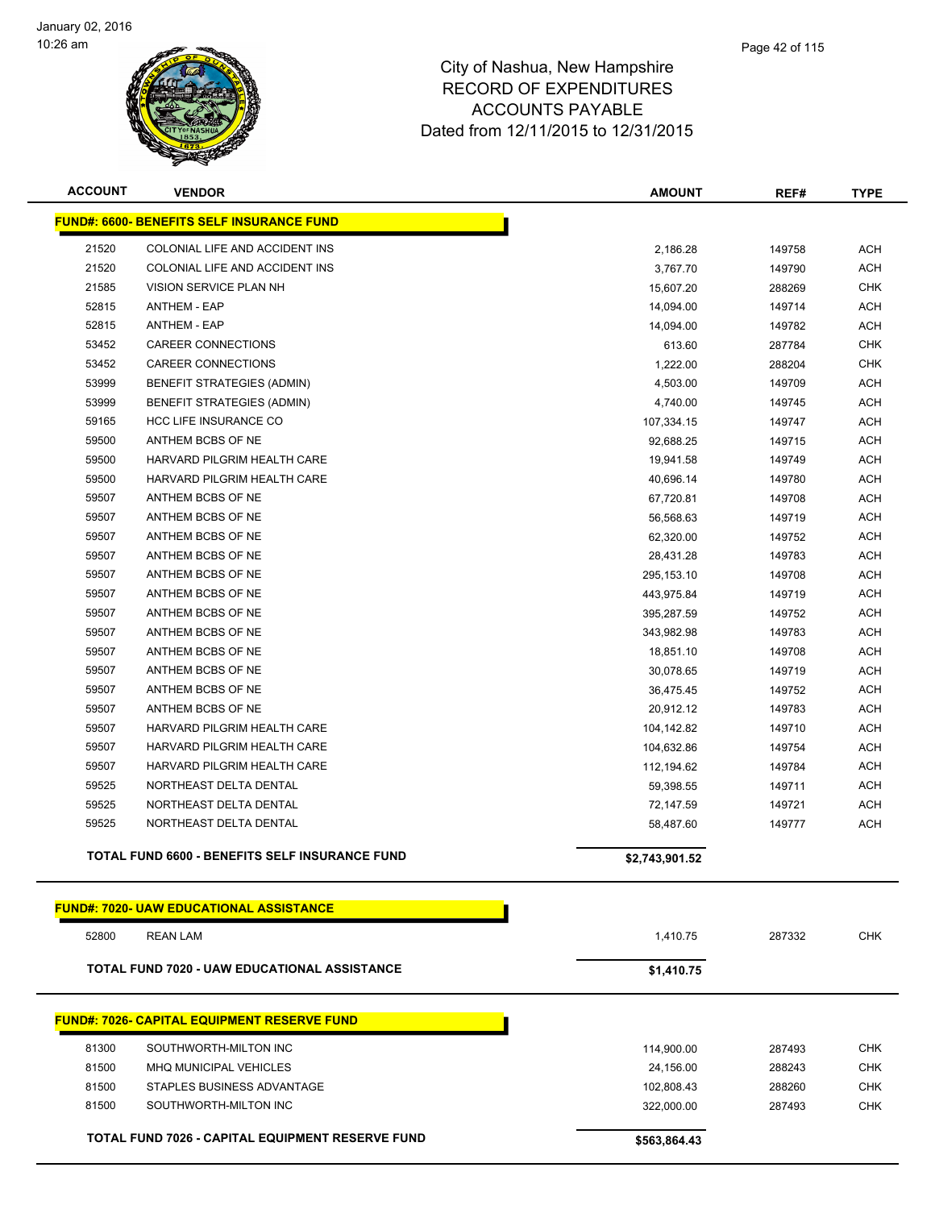

| <b>ACCOUNT</b> | <b>VENDOR</b>                                         | <b>AMOUNT</b>  | REF#   | <b>TYPE</b> |
|----------------|-------------------------------------------------------|----------------|--------|-------------|
|                | <b>FUND#: 6600- BENEFITS SELF INSURANCE FUND</b>      |                |        |             |
| 21520          | COLONIAL LIFE AND ACCIDENT INS                        | 2,186.28       | 149758 | ACH         |
| 21520          | COLONIAL LIFE AND ACCIDENT INS                        | 3,767.70       | 149790 | <b>ACH</b>  |
| 21585          | VISION SERVICE PLAN NH                                | 15,607.20      | 288269 | <b>CHK</b>  |
| 52815          | <b>ANTHEM - EAP</b>                                   | 14,094.00      | 149714 | <b>ACH</b>  |
| 52815          | <b>ANTHEM - EAP</b>                                   | 14,094.00      | 149782 | <b>ACH</b>  |
| 53452          | <b>CAREER CONNECTIONS</b>                             | 613.60         | 287784 | <b>CHK</b>  |
| 53452          | CAREER CONNECTIONS                                    | 1,222.00       | 288204 | <b>CHK</b>  |
| 53999          | BENEFIT STRATEGIES (ADMIN)                            | 4,503.00       | 149709 | <b>ACH</b>  |
| 53999          | <b>BENEFIT STRATEGIES (ADMIN)</b>                     | 4,740.00       | 149745 | <b>ACH</b>  |
| 59165          | HCC LIFE INSURANCE CO                                 | 107,334.15     | 149747 | ACH         |
| 59500          | ANTHEM BCBS OF NE                                     | 92,688.25      | 149715 | ACH         |
| 59500          | HARVARD PILGRIM HEALTH CARE                           | 19,941.58      | 149749 | <b>ACH</b>  |
| 59500          | HARVARD PILGRIM HEALTH CARE                           | 40,696.14      | 149780 | ACH         |
| 59507          | ANTHEM BCBS OF NE                                     | 67,720.81      | 149708 | <b>ACH</b>  |
| 59507          | ANTHEM BCBS OF NE                                     | 56,568.63      | 149719 | <b>ACH</b>  |
| 59507          | ANTHEM BCBS OF NE                                     | 62,320.00      | 149752 | ACH         |
| 59507          | ANTHEM BCBS OF NE                                     | 28,431.28      | 149783 | <b>ACH</b>  |
| 59507          | ANTHEM BCBS OF NE                                     | 295,153.10     | 149708 | <b>ACH</b>  |
| 59507          | ANTHEM BCBS OF NE                                     | 443,975.84     | 149719 | <b>ACH</b>  |
| 59507          | ANTHEM BCBS OF NE                                     | 395,287.59     | 149752 | <b>ACH</b>  |
| 59507          | ANTHEM BCBS OF NE                                     | 343,982.98     | 149783 | <b>ACH</b>  |
| 59507          | ANTHEM BCBS OF NE                                     | 18,851.10      | 149708 | ACH         |
| 59507          | ANTHEM BCBS OF NE                                     | 30,078.65      | 149719 | <b>ACH</b>  |
| 59507          | ANTHEM BCBS OF NE                                     | 36,475.45      | 149752 | ACH         |
| 59507          | ANTHEM BCBS OF NE                                     | 20,912.12      | 149783 | <b>ACH</b>  |
| 59507          | HARVARD PILGRIM HEALTH CARE                           | 104,142.82     | 149710 | <b>ACH</b>  |
| 59507          | HARVARD PILGRIM HEALTH CARE                           | 104,632.86     | 149754 | <b>ACH</b>  |
| 59507          | HARVARD PILGRIM HEALTH CARE                           | 112,194.62     | 149784 | <b>ACH</b>  |
| 59525          | NORTHEAST DELTA DENTAL                                | 59,398.55      | 149711 | <b>ACH</b>  |
| 59525          | NORTHEAST DELTA DENTAL                                | 72,147.59      | 149721 | ACH         |
| 59525          | NORTHEAST DELTA DENTAL                                | 58,487.60      | 149777 | ACH         |
|                |                                                       |                |        |             |
|                | <b>TOTAL FUND 6600 - BENEFITS SELF INSURANCE FUND</b> | \$2,743,901.52 |        |             |
|                | <b>FUND#: 7020- UAW EDUCATIONAL ASSISTANCE</b>        |                |        |             |
| 52800          | <b>REAN LAM</b>                                       | 1,410.75       | 287332 | <b>CHK</b>  |
|                |                                                       |                |        |             |
|                | <b>TOTAL FUND 7020 - UAW EDUCATIONAL ASSISTANCE</b>   | \$1,410.75     |        |             |
|                |                                                       |                |        |             |
|                | <b>FUND#: 7026- CAPITAL EQUIPMENT RESERVE FUND</b>    |                |        |             |
| 81300          | SOUTHWORTH-MILTON INC                                 | 114,900.00     | 287493 | <b>CHK</b>  |
| 81500          | <b>MHQ MUNICIPAL VEHICLES</b>                         | 24,156.00      | 288243 | <b>CHK</b>  |
| 81500          | STAPLES BUSINESS ADVANTAGE                            | 102,808.43     | 288260 | <b>CHK</b>  |
| 81500          | SOUTHWORTH-MILTON INC                                 | 322,000.00     | 287493 | <b>CHK</b>  |
|                | TOTAL FUND 7026 - CAPITAL EQUIPMENT RESERVE FUND      | \$563,864.43   |        |             |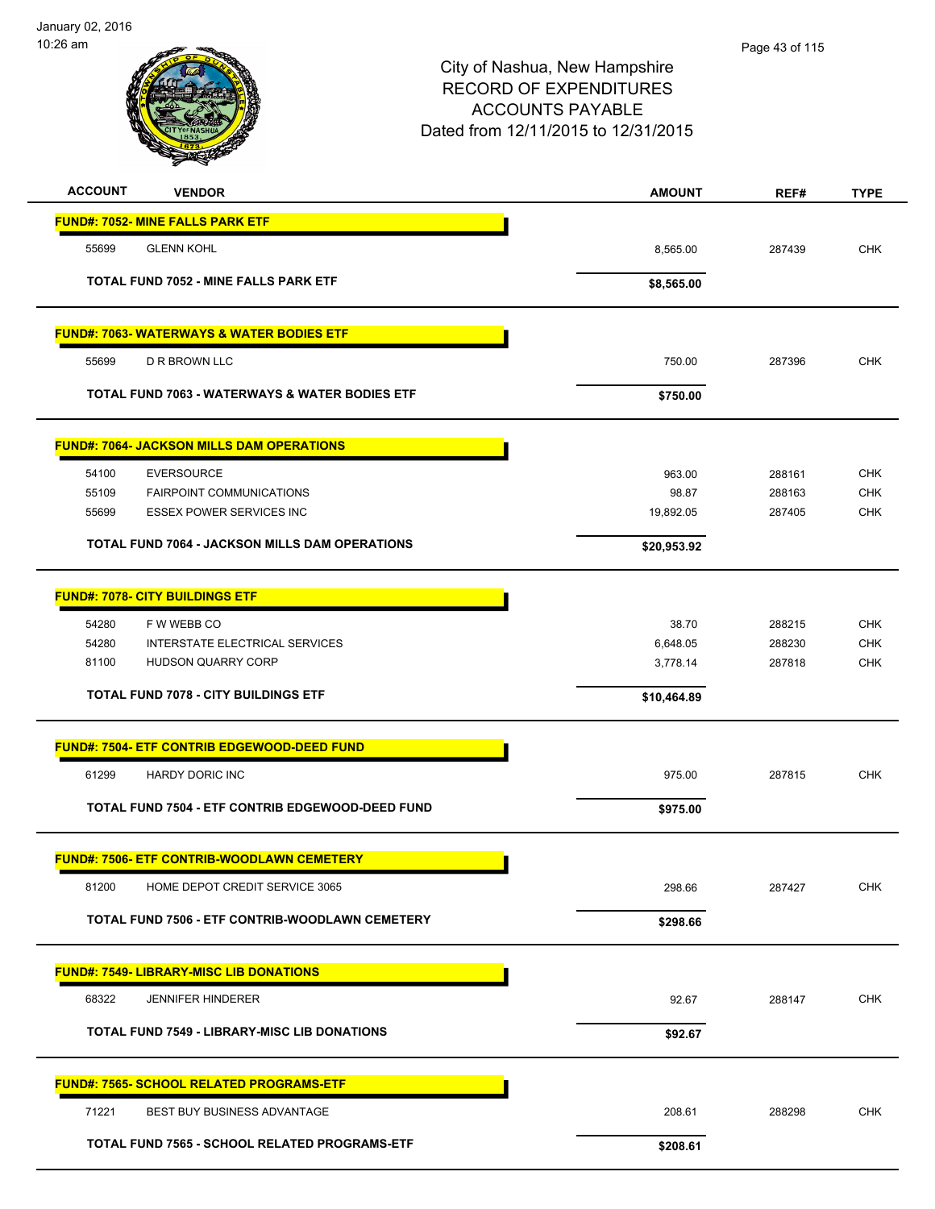| <b>ACCOUNT</b><br><b>VENDOR</b>                           | <b>AMOUNT</b> | REF#   | <b>TYPE</b> |
|-----------------------------------------------------------|---------------|--------|-------------|
| <b>FUND#: 7052- MINE FALLS PARK ETF</b>                   |               |        |             |
| 55699<br><b>GLENN KOHL</b>                                | 8,565.00      | 287439 | <b>CHK</b>  |
| <b>TOTAL FUND 7052 - MINE FALLS PARK ETF</b>              |               |        |             |
|                                                           | \$8,565.00    |        |             |
| <b>FUND#: 7063- WATERWAYS &amp; WATER BODIES ETF</b>      |               |        |             |
| <b>D R BROWN LLC</b><br>55699                             | 750.00        | 287396 | <b>CHK</b>  |
| <b>TOTAL FUND 7063 - WATERWAYS &amp; WATER BODIES ETF</b> | \$750.00      |        |             |
| <b>FUND#: 7064- JACKSON MILLS DAM OPERATIONS</b>          |               |        |             |
| <b>EVERSOURCE</b><br>54100                                | 963.00        | 288161 | <b>CHK</b>  |
| 55109<br><b>FAIRPOINT COMMUNICATIONS</b>                  | 98.87         | 288163 | <b>CHK</b>  |
| 55699<br><b>ESSEX POWER SERVICES INC</b>                  | 19,892.05     | 287405 | <b>CHK</b>  |
| <b>TOTAL FUND 7064 - JACKSON MILLS DAM OPERATIONS</b>     | \$20,953.92   |        |             |
| <b>FUND#: 7078- CITY BUILDINGS ETF</b>                    |               |        |             |
| 54280<br>F W WEBB CO                                      | 38.70         | 288215 | <b>CHK</b>  |
| 54280<br>INTERSTATE ELECTRICAL SERVICES                   | 6,648.05      | 288230 | <b>CHK</b>  |
| 81100<br>HUDSON QUARRY CORP                               | 3,778.14      | 287818 | <b>CHK</b>  |
| <b>TOTAL FUND 7078 - CITY BUILDINGS ETF</b>               | \$10,464.89   |        |             |
| <b>FUND#: 7504- ETF CONTRIB EDGEWOOD-DEED FUND</b>        |               |        |             |
| 61299<br><b>HARDY DORIC INC</b>                           | 975.00        | 287815 | <b>CHK</b>  |
| TOTAL FUND 7504 - ETF CONTRIB EDGEWOOD-DEED FUND          | \$975.00      |        |             |
| <b>FUND#: 7506- ETF CONTRIB-WOODLAWN CEMETERY</b>         |               |        |             |
| 81200<br>HOME DEPOT CREDIT SERVICE 3065                   | 298.66        | 287427 | <b>CHK</b>  |
| TOTAL FUND 7506 - ETF CONTRIB-WOODLAWN CEMETERY           | \$298.66      |        |             |
|                                                           |               |        |             |
| <b>FUND#: 7549- LIBRARY-MISC LIB DONATIONS</b>            |               |        |             |
| 68322<br><b>JENNIFER HINDERER</b>                         | 92.67         | 288147 | <b>CHK</b>  |
| <b>TOTAL FUND 7549 - LIBRARY-MISC LIB DONATIONS</b>       | \$92.67       |        |             |
| <u> FUND#: 7565- SCHOOL RELATED PROGRAMS-ETF</u>          |               |        |             |
| 71221<br>BEST BUY BUSINESS ADVANTAGE                      | 208.61        | 288298 | CHK         |
| TOTAL FUND 7565 - SCHOOL RELATED PROGRAMS-ETF             | \$208.61      |        |             |
|                                                           |               |        |             |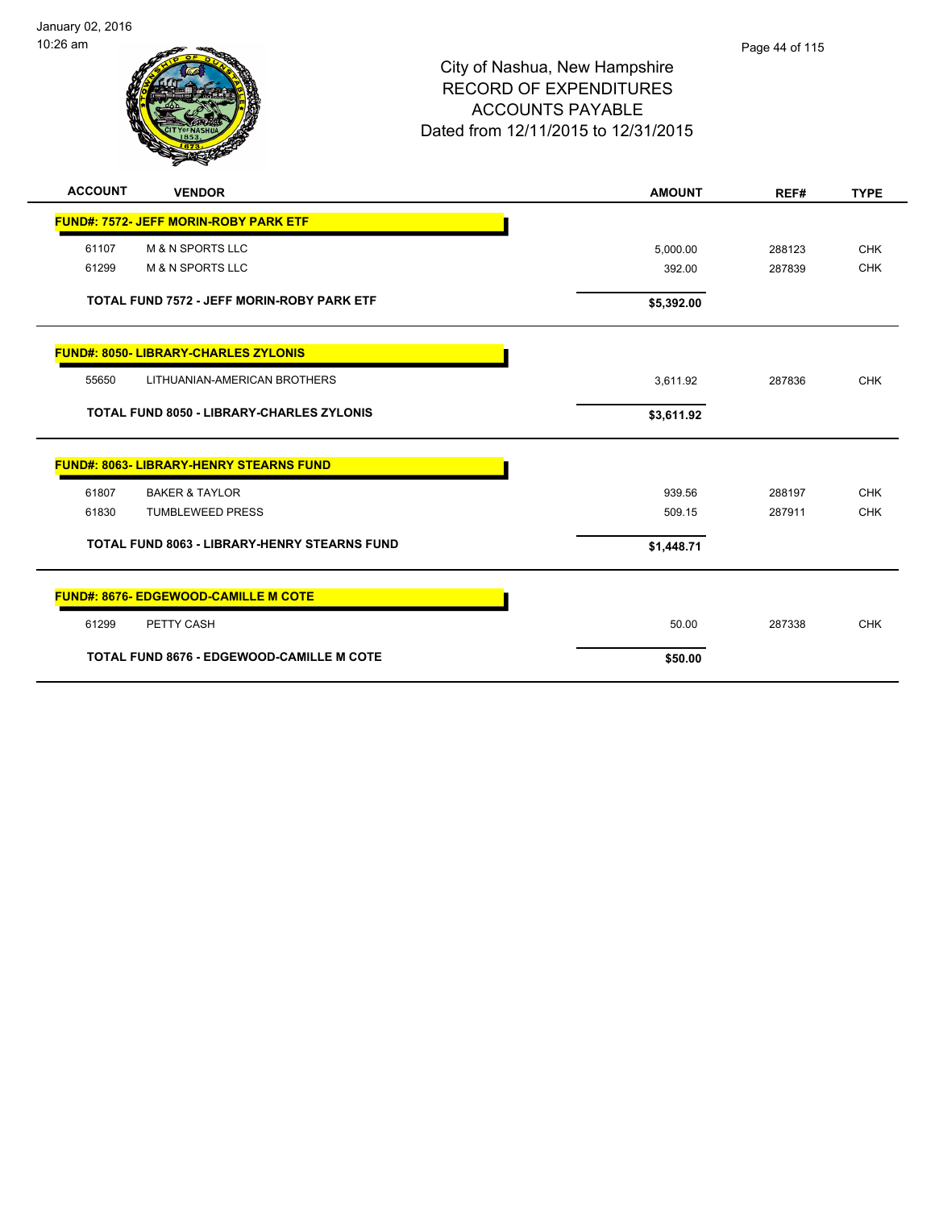

| <b>ACCOUNT</b> | <b>VENDOR</b>                                       | <b>AMOUNT</b> | REF#   | <b>TYPE</b> |
|----------------|-----------------------------------------------------|---------------|--------|-------------|
|                | <b>FUND#: 7572- JEFF MORIN-ROBY PARK ETF</b>        |               |        |             |
| 61107          | <b>M &amp; N SPORTS LLC</b>                         | 5,000.00      | 288123 | <b>CHK</b>  |
| 61299          | <b>M &amp; N SPORTS LLC</b>                         | 392.00        | 287839 | <b>CHK</b>  |
|                | TOTAL FUND 7572 - JEFF MORIN-ROBY PARK ETF          | \$5,392.00    |        |             |
|                | <b>FUND#: 8050- LIBRARY-CHARLES ZYLONIS</b>         |               |        |             |
| 55650          | LITHUANIAN-AMERICAN BROTHERS                        | 3,611.92      | 287836 | <b>CHK</b>  |
|                | <b>TOTAL FUND 8050 - LIBRARY-CHARLES ZYLONIS</b>    | \$3,611.92    |        |             |
|                | <b>FUND#: 8063- LIBRARY-HENRY STEARNS FUND</b>      |               |        |             |
| 61807          | <b>BAKER &amp; TAYLOR</b>                           | 939.56        | 288197 | <b>CHK</b>  |
| 61830          | <b>TUMBLEWEED PRESS</b>                             | 509.15        | 287911 | <b>CHK</b>  |
|                | <b>TOTAL FUND 8063 - LIBRARY-HENRY STEARNS FUND</b> | \$1,448.71    |        |             |
|                | <b>FUND#: 8676- EDGEWOOD-CAMILLE M COTE</b>         |               |        |             |
| 61299          | PETTY CASH                                          | 50.00         | 287338 | <b>CHK</b>  |
|                | <b>TOTAL FUND 8676 - EDGEWOOD-CAMILLE M COTE</b>    | \$50.00       |        |             |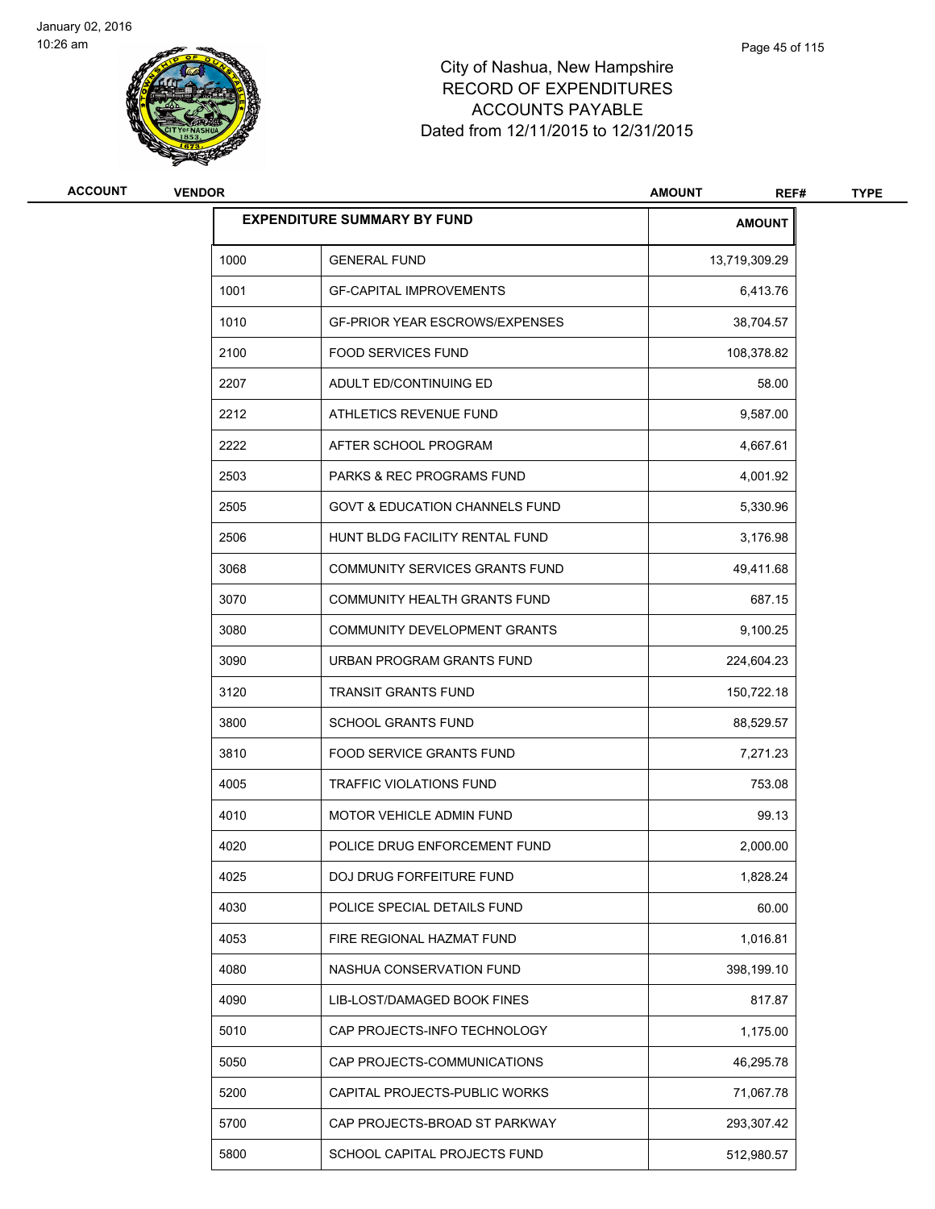

| <b>ACCOUNT</b> | <b>VENDOR</b> |                                           | <b>AMOUNT</b><br>REF# | <b>TYPE</b> |
|----------------|---------------|-------------------------------------------|-----------------------|-------------|
|                |               | <b>EXPENDITURE SUMMARY BY FUND</b>        | <b>AMOUNT</b>         |             |
|                | 1000          | <b>GENERAL FUND</b>                       | 13,719,309.29         |             |
|                | 1001          | <b>GF-CAPITAL IMPROVEMENTS</b>            | 6,413.76              |             |
|                | 1010          | <b>GF-PRIOR YEAR ESCROWS/EXPENSES</b>     | 38,704.57             |             |
|                | 2100          | <b>FOOD SERVICES FUND</b>                 | 108,378.82            |             |
|                | 2207          | ADULT ED/CONTINUING ED                    | 58.00                 |             |
|                | 2212          | ATHLETICS REVENUE FUND                    | 9,587.00              |             |
|                | 2222          | AFTER SCHOOL PROGRAM                      | 4,667.61              |             |
|                | 2503          | PARKS & REC PROGRAMS FUND                 | 4,001.92              |             |
|                | 2505          | <b>GOVT &amp; EDUCATION CHANNELS FUND</b> | 5,330.96              |             |
|                | 2506          | HUNT BLDG FACILITY RENTAL FUND            | 3,176.98              |             |
|                | 3068          | <b>COMMUNITY SERVICES GRANTS FUND</b>     | 49,411.68             |             |
|                | 3070          | COMMUNITY HEALTH GRANTS FUND              | 687.15                |             |
|                | 3080          | COMMUNITY DEVELOPMENT GRANTS              | 9,100.25              |             |
|                | 3090          | URBAN PROGRAM GRANTS FUND                 | 224,604.23            |             |
|                | 3120          | <b>TRANSIT GRANTS FUND</b>                | 150,722.18            |             |
|                | 3800          | <b>SCHOOL GRANTS FUND</b>                 | 88,529.57             |             |
|                | 3810          | <b>FOOD SERVICE GRANTS FUND</b>           | 7,271.23              |             |
|                | 4005          | <b>TRAFFIC VIOLATIONS FUND</b>            | 753.08                |             |
|                | 4010          | MOTOR VEHICLE ADMIN FUND                  | 99.13                 |             |
|                | 4020          | POLICE DRUG ENFORCEMENT FUND              | 2,000.00              |             |
|                | 4025          | DOJ DRUG FORFEITURE FUND                  | 1,828.24              |             |
|                | 4030          | POLICE SPECIAL DETAILS FUND               | 60.00                 |             |
|                | 4053          | FIRE REGIONAL HAZMAT FUND                 | 1,016.81              |             |
|                | 4080          | NASHUA CONSERVATION FUND                  | 398,199.10            |             |
|                | 4090          | LIB-LOST/DAMAGED BOOK FINES               | 817.87                |             |
|                | 5010          | CAP PROJECTS-INFO TECHNOLOGY              | 1,175.00              |             |
|                | 5050          | CAP PROJECTS-COMMUNICATIONS               | 46,295.78             |             |
|                | 5200          | CAPITAL PROJECTS-PUBLIC WORKS             | 71,067.78             |             |
|                | 5700          | CAP PROJECTS-BROAD ST PARKWAY             | 293,307.42            |             |
|                | 5800          | SCHOOL CAPITAL PROJECTS FUND              | 512,980.57            |             |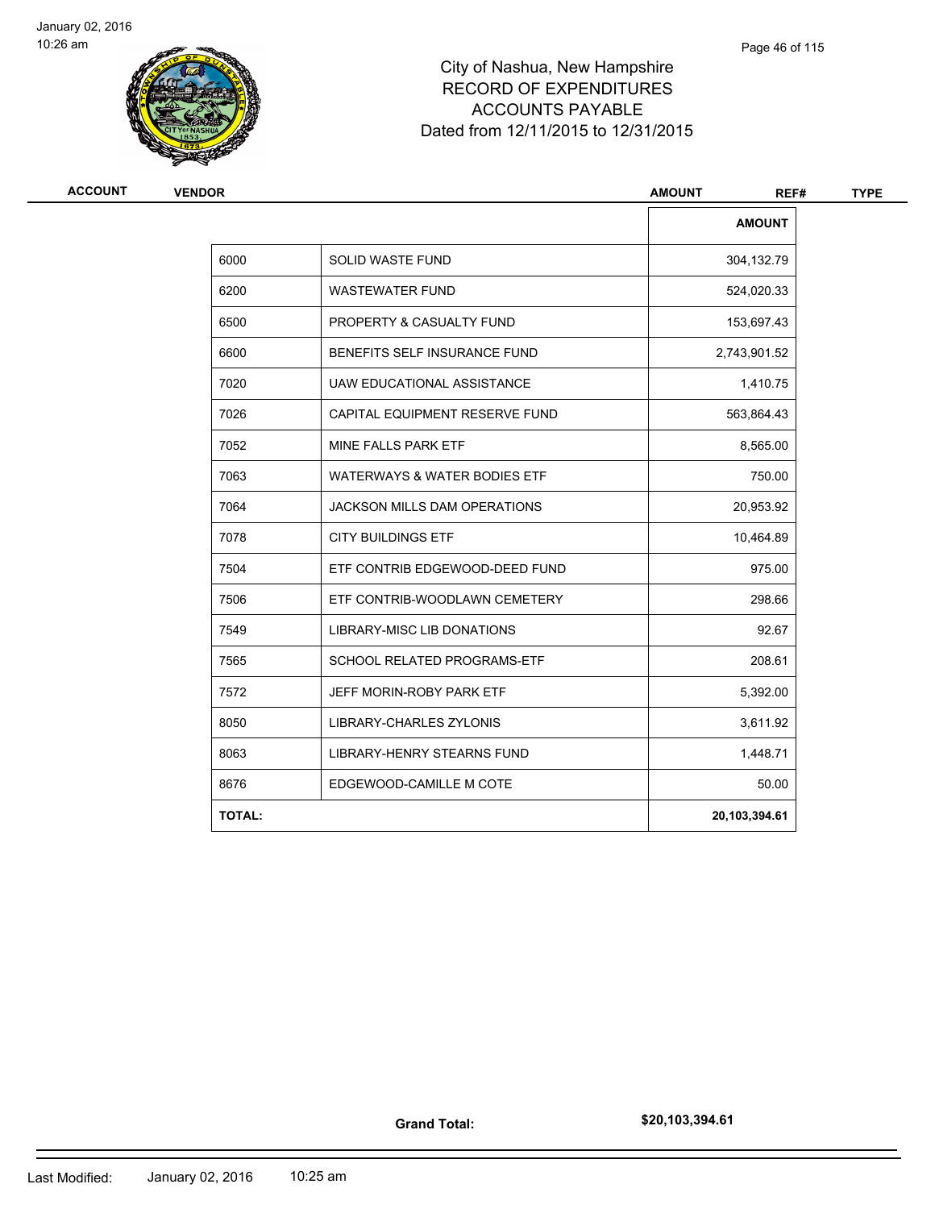

| <b>VENDOR</b> |                                         |               |
|---------------|-----------------------------------------|---------------|
|               |                                         | <b>AMOUNT</b> |
| 6000          | <b>SOLID WASTE FUND</b>                 | 304,132.79    |
| 6200          | <b>WASTEWATER FUND</b>                  | 524,020.33    |
| 6500          | PROPERTY & CASUALTY FUND                | 153,697.43    |
| 6600          | BENEFITS SELF INSURANCE FUND            | 2,743,901.52  |
| 7020          | UAW EDUCATIONAL ASSISTANCE              | 1,410.75      |
| 7026          | CAPITAL EQUIPMENT RESERVE FUND          | 563,864.43    |
| 7052          | MINE FALLS PARK ETF                     | 8,565.00      |
| 7063          | <b>WATERWAYS &amp; WATER BODIES ETF</b> | 750.00        |
| 7064          | <b>JACKSON MILLS DAM OPERATIONS</b>     | 20,953.92     |
| 7078          | <b>CITY BUILDINGS ETF</b>               | 10,464.89     |
| 7504          | ETF CONTRIB EDGEWOOD-DEED FUND          | 975.00        |
| 7506          | ETF CONTRIB-WOODLAWN CEMETERY           | 298.66        |
| 7549          | <b>LIBRARY-MISC LIB DONATIONS</b>       | 92.67         |
| 7565          | SCHOOL RELATED PROGRAMS-ETF             | 208.61        |
| 7572          | JEFF MORIN-ROBY PARK ETF                | 5,392.00      |
| 8050          | LIBRARY-CHARLES ZYLONIS                 | 3,611.92      |
| 8063          | <b>LIBRARY-HENRY STEARNS FUND</b>       | 1,448.71      |
| 8676          | EDGEWOOD-CAMILLE M COTE                 | 50.00         |
| <b>TOTAL:</b> |                                         | 20,103,394.61 |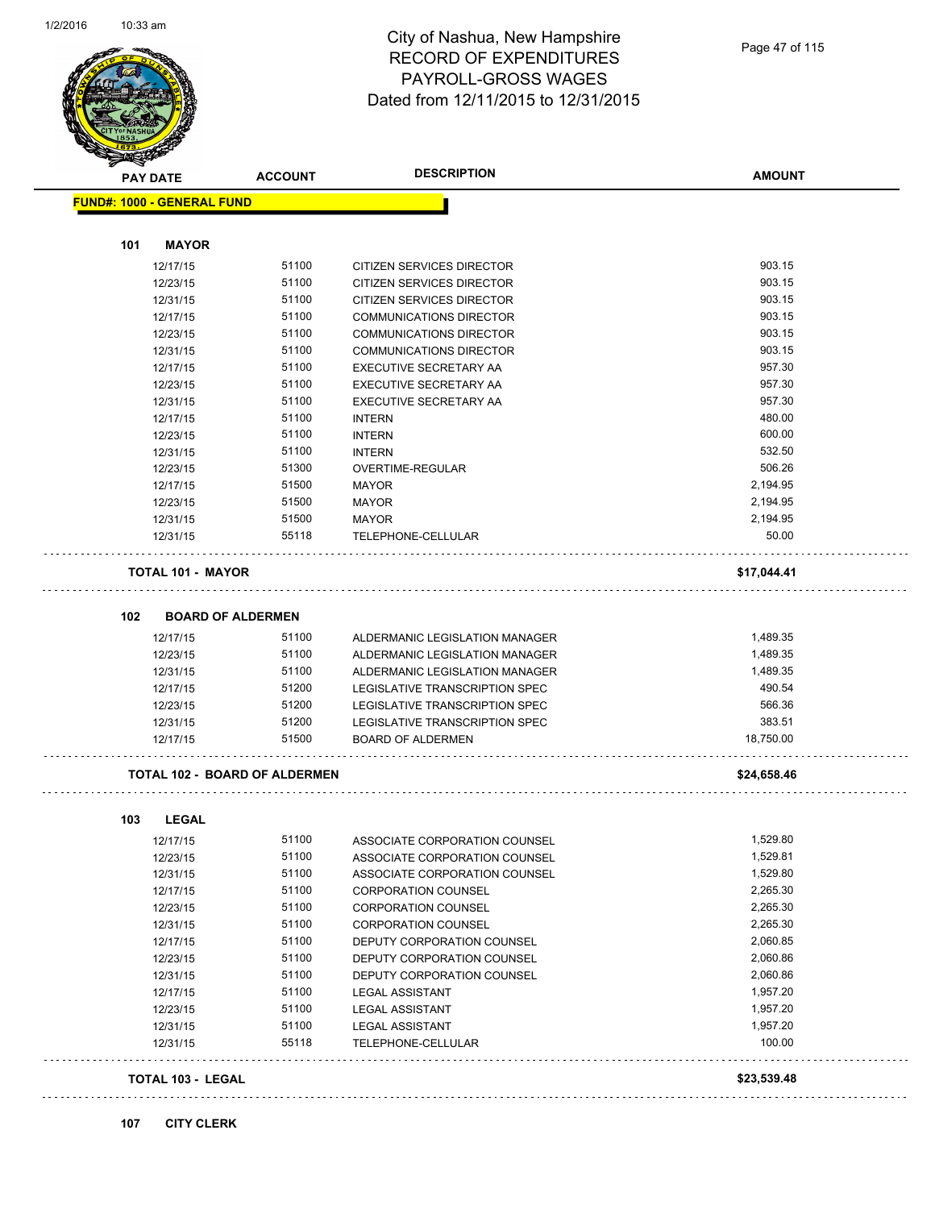

| <b>PAY DATE</b>                      | <b>ACCOUNT</b> | <b>DESCRIPTION</b>             | <b>AMOUNT</b> |
|--------------------------------------|----------------|--------------------------------|---------------|
| <b>FUND#: 1000 - GENERAL FUND</b>    |                |                                |               |
|                                      |                |                                |               |
| 101<br><b>MAYOR</b>                  |                |                                |               |
| 12/17/15                             | 51100          | CITIZEN SERVICES DIRECTOR      | 903.15        |
| 12/23/15                             | 51100          | CITIZEN SERVICES DIRECTOR      | 903.15        |
| 12/31/15                             | 51100          | CITIZEN SERVICES DIRECTOR      | 903.15        |
| 12/17/15                             | 51100          | <b>COMMUNICATIONS DIRECTOR</b> | 903.15        |
| 12/23/15                             | 51100          | <b>COMMUNICATIONS DIRECTOR</b> | 903.15        |
| 12/31/15                             | 51100          | <b>COMMUNICATIONS DIRECTOR</b> | 903.15        |
| 12/17/15                             | 51100          | EXECUTIVE SECRETARY AA         | 957.30        |
| 12/23/15                             | 51100          | EXECUTIVE SECRETARY AA         | 957.30        |
| 12/31/15                             | 51100          | EXECUTIVE SECRETARY AA         | 957.30        |
| 12/17/15                             | 51100          | <b>INTERN</b>                  | 480.00        |
| 12/23/15                             | 51100          | <b>INTERN</b>                  | 600.00        |
| 12/31/15                             | 51100          | <b>INTERN</b>                  | 532.50        |
| 12/23/15                             | 51300          | OVERTIME-REGULAR               | 506.26        |
| 12/17/15                             | 51500          | <b>MAYOR</b>                   | 2,194.95      |
| 12/23/15                             | 51500          | <b>MAYOR</b>                   | 2,194.95      |
| 12/31/15                             | 51500          | <b>MAYOR</b>                   | 2,194.95      |
| 12/31/15                             | 55118          | TELEPHONE-CELLULAR             | 50.00         |
| <b>TOTAL 101 - MAYOR</b>             |                |                                | \$17,044.41   |
| 102<br><b>BOARD OF ALDERMEN</b>      |                |                                |               |
| 12/17/15                             | 51100          | ALDERMANIC LEGISLATION MANAGER | 1,489.35      |
| 12/23/15                             | 51100          | ALDERMANIC LEGISLATION MANAGER | 1,489.35      |
| 12/31/15                             | 51100          | ALDERMANIC LEGISLATION MANAGER | 1,489.35      |
| 12/17/15                             | 51200          | LEGISLATIVE TRANSCRIPTION SPEC | 490.54        |
| 12/23/15                             | 51200          | LEGISLATIVE TRANSCRIPTION SPEC | 566.36        |
| 12/31/15                             | 51200          | LEGISLATIVE TRANSCRIPTION SPEC | 383.51        |
| 12/17/15                             | 51500          | <b>BOARD OF ALDERMEN</b>       | 18,750.00     |
| <b>TOTAL 102 - BOARD OF ALDERMEN</b> |                |                                | \$24,658.46   |
|                                      |                |                                |               |
| 103<br><b>LEGAL</b>                  |                |                                |               |
| 12/17/15                             | 51100          | ASSOCIATE CORPORATION COUNSEL  | 1,529.80      |
| 12/23/15                             | 51100          | ASSOCIATE CORPORATION COUNSEL  | 1,529.81      |
| 12/31/15                             | 51100          | ASSOCIATE CORPORATION COUNSEL  | 1,529.80      |
| 12/17/15                             | 51100          | <b>CORPORATION COUNSEL</b>     | 2,265.30      |
| 12/23/15                             | 51100          | <b>CORPORATION COUNSEL</b>     | 2,265.30      |
| 12/31/15                             | 51100          | <b>CORPORATION COUNSEL</b>     | 2,265.30      |
| 12/17/15                             | 51100          | DEPUTY CORPORATION COUNSEL     | 2,060.85      |
| 12/23/15                             | 51100          | DEPUTY CORPORATION COUNSEL     | 2,060.86      |
| 12/31/15                             | 51100          | DEPUTY CORPORATION COUNSEL     | 2,060.86      |
| 12/17/15                             | 51100          | <b>LEGAL ASSISTANT</b>         | 1,957.20      |
| 12/23/15                             | 51100          | <b>LEGAL ASSISTANT</b>         | 1,957.20      |
| 12/31/15                             | 51100          | <b>LEGAL ASSISTANT</b>         | 1,957.20      |
| 12/31/15                             | 55118          | TELEPHONE-CELLULAR             | 100.00        |
| TOTAL 103 - LEGAL                    |                |                                | \$23,539.48   |

# **107 CITY CLERK**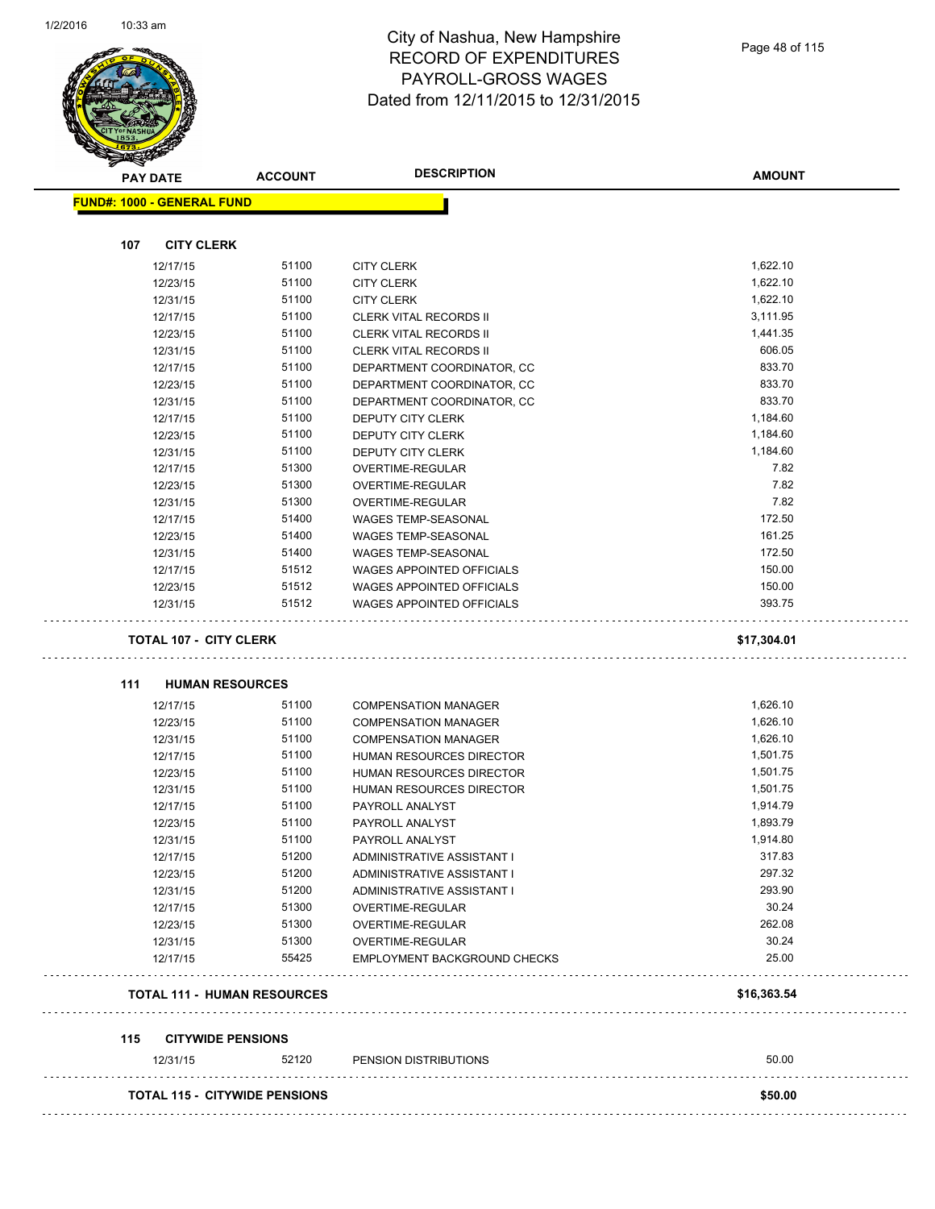

| <b>PAY DATE</b>                   | <b>ACCOUNT</b>                     | <b>DESCRIPTION</b>               | <b>AMOUNT</b>        |
|-----------------------------------|------------------------------------|----------------------------------|----------------------|
| <b>FUND#: 1000 - GENERAL FUND</b> |                                    |                                  |                      |
|                                   |                                    |                                  |                      |
| 107                               | <b>CITY CLERK</b>                  |                                  |                      |
| 12/17/15                          | 51100                              | <b>CITY CLERK</b>                | 1,622.10             |
| 12/23/15                          | 51100                              | <b>CITY CLERK</b>                | 1,622.10             |
| 12/31/15                          | 51100                              | <b>CITY CLERK</b>                | 1,622.10             |
| 12/17/15                          | 51100                              | <b>CLERK VITAL RECORDS II</b>    | 3,111.95             |
| 12/23/15                          | 51100                              | <b>CLERK VITAL RECORDS II</b>    | 1,441.35             |
| 12/31/15                          | 51100                              | <b>CLERK VITAL RECORDS II</b>    | 606.05               |
| 12/17/15                          | 51100                              | DEPARTMENT COORDINATOR, CC       | 833.70               |
| 12/23/15                          | 51100                              | DEPARTMENT COORDINATOR, CC       | 833.70               |
| 12/31/15                          | 51100                              | DEPARTMENT COORDINATOR, CC       | 833.70               |
| 12/17/15                          | 51100                              | DEPUTY CITY CLERK                | 1,184.60             |
| 12/23/15                          | 51100                              | DEPUTY CITY CLERK                | 1,184.60             |
| 12/31/15                          | 51100                              | DEPUTY CITY CLERK                | 1,184.60             |
| 12/17/15                          | 51300                              | OVERTIME-REGULAR                 | 7.82                 |
| 12/23/15                          | 51300                              | OVERTIME-REGULAR                 | 7.82                 |
| 12/31/15                          | 51300                              | <b>OVERTIME-REGULAR</b>          | 7.82                 |
| 12/17/15                          | 51400                              | WAGES TEMP-SEASONAL              | 172.50               |
| 12/23/15                          | 51400                              | WAGES TEMP-SEASONAL              | 161.25               |
| 12/31/15                          | 51400                              | WAGES TEMP-SEASONAL              | 172.50               |
| 12/17/15                          | 51512                              | <b>WAGES APPOINTED OFFICIALS</b> | 150.00               |
| 12/23/15                          | 51512                              | <b>WAGES APPOINTED OFFICIALS</b> | 150.00               |
| 12/31/15                          | 51512                              | <b>WAGES APPOINTED OFFICIALS</b> | 393.75               |
|                                   | <b>TOTAL 107 - CITY CLERK</b>      |                                  | \$17,304.01          |
| 111                               | <b>HUMAN RESOURCES</b>             |                                  |                      |
| 12/17/15                          | 51100                              | <b>COMPENSATION MANAGER</b>      | 1,626.10             |
| 12/23/15                          | 51100                              | <b>COMPENSATION MANAGER</b>      | 1,626.10             |
| 12/31/15                          | 51100                              | <b>COMPENSATION MANAGER</b>      | 1,626.10             |
|                                   | 51100                              |                                  | 1,501.75             |
| 12/17/15                          |                                    | HUMAN RESOURCES DIRECTOR         |                      |
| 12/23/15                          | 51100<br>51100                     | HUMAN RESOURCES DIRECTOR         | 1,501.75<br>1,501.75 |
| 12/31/15                          |                                    | HUMAN RESOURCES DIRECTOR         |                      |
| 12/17/15                          | 51100                              | PAYROLL ANALYST                  | 1,914.79             |
| 12/23/15                          | 51100                              | PAYROLL ANALYST                  | 1,893.79             |
| 12/31/15                          | 51100                              | PAYROLL ANALYST                  | 1,914.80             |
| 12/17/15                          | 51200                              | ADMINISTRATIVE ASSISTANT I       | 317.83               |
| 12/23/15                          | 51200                              | ADMINISTRATIVE ASSISTANT I       | 297.32               |
| 12/31/15                          | 51200                              | ADMINISTRATIVE ASSISTANT I       | 293.90               |
| 12/17/15                          | 51300                              | OVERTIME-REGULAR                 | 30.24                |
| 12/23/15                          | 51300                              | OVERTIME-REGULAR                 | 262.08               |
| 12/31/15                          | 51300                              | OVERTIME-REGULAR                 | 30.24                |
| 12/17/15                          | 55425                              | EMPLOYMENT BACKGROUND CHECKS     | 25.00                |
|                                   | <b>TOTAL 111 - HUMAN RESOURCES</b> |                                  | \$16,363.54          |
| 115                               | <b>CITYWIDE PENSIONS</b>           |                                  |                      |
| 12/31/15                          | 52120                              | PENSION DISTRIBUTIONS            | 50.00                |
|                                   |                                    |                                  |                      |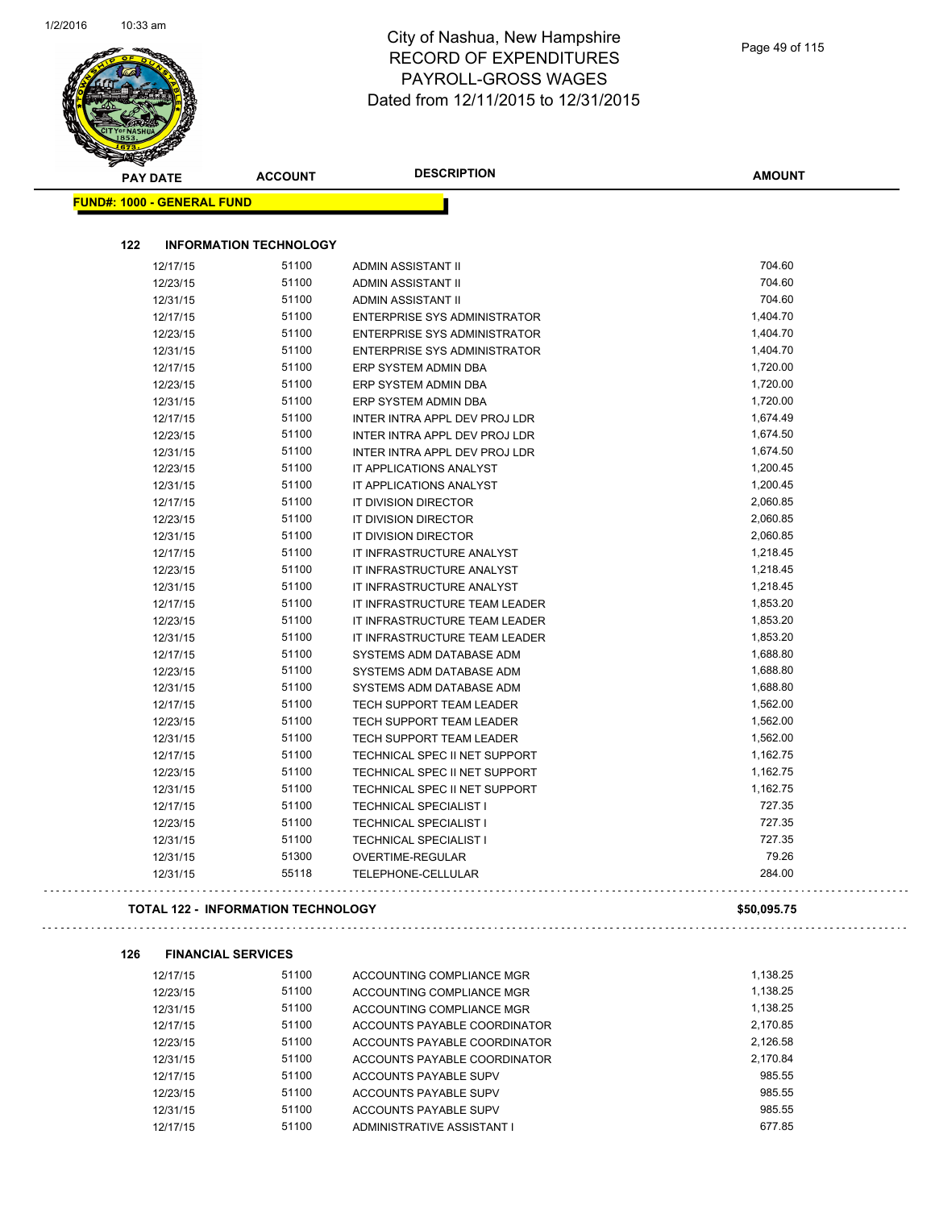$\Box$ 

| <b>PAY DATE</b>                   | <b>ACCOUNT</b>                            | <b>DESCRIPTION</b>                  | <b>AMOUNT</b> |
|-----------------------------------|-------------------------------------------|-------------------------------------|---------------|
| <b>FUND#: 1000 - GENERAL FUND</b> |                                           |                                     |               |
| 122                               | <b>INFORMATION TECHNOLOGY</b>             |                                     |               |
| 12/17/15                          | 51100                                     | ADMIN ASSISTANT II                  | 704.60        |
| 12/23/15                          | 51100                                     | ADMIN ASSISTANT II                  | 704.60        |
| 12/31/15                          | 51100                                     | ADMIN ASSISTANT II                  | 704.60        |
| 12/17/15                          | 51100                                     | <b>ENTERPRISE SYS ADMINISTRATOR</b> | 1,404.70      |
| 12/23/15                          | 51100                                     | <b>ENTERPRISE SYS ADMINISTRATOR</b> | 1,404.70      |
| 12/31/15                          | 51100                                     | <b>ENTERPRISE SYS ADMINISTRATOR</b> | 1,404.70      |
| 12/17/15                          | 51100                                     | ERP SYSTEM ADMIN DBA                | 1,720.00      |
| 12/23/15                          | 51100                                     | ERP SYSTEM ADMIN DBA                | 1,720.00      |
| 12/31/15                          | 51100                                     | ERP SYSTEM ADMIN DBA                | 1,720.00      |
| 12/17/15                          | 51100                                     | INTER INTRA APPL DEV PROJ LDR       | 1,674.49      |
| 12/23/15                          | 51100                                     | INTER INTRA APPL DEV PROJ LDR       | 1,674.50      |
| 12/31/15                          | 51100                                     | INTER INTRA APPL DEV PROJ LDR       | 1,674.50      |
| 12/23/15                          | 51100                                     | IT APPLICATIONS ANALYST             | 1,200.45      |
| 12/31/15                          | 51100                                     | IT APPLICATIONS ANALYST             | 1,200.45      |
| 12/17/15                          | 51100                                     | IT DIVISION DIRECTOR                | 2,060.85      |
| 12/23/15                          | 51100                                     | IT DIVISION DIRECTOR                | 2,060.85      |
| 12/31/15                          | 51100                                     | IT DIVISION DIRECTOR                | 2,060.85      |
| 12/17/15                          | 51100                                     | IT INFRASTRUCTURE ANALYST           | 1,218.45      |
| 12/23/15                          | 51100                                     | IT INFRASTRUCTURE ANALYST           | 1,218.45      |
| 12/31/15                          | 51100                                     | IT INFRASTRUCTURE ANALYST           | 1,218.45      |
| 12/17/15                          | 51100                                     | IT INFRASTRUCTURE TEAM LEADER       | 1,853.20      |
| 12/23/15                          | 51100                                     | IT INFRASTRUCTURE TEAM LEADER       | 1,853.20      |
| 12/31/15                          | 51100                                     | IT INFRASTRUCTURE TEAM LEADER       | 1,853.20      |
| 12/17/15                          | 51100                                     | SYSTEMS ADM DATABASE ADM            | 1,688.80      |
| 12/23/15                          | 51100                                     | SYSTEMS ADM DATABASE ADM            | 1,688.80      |
| 12/31/15                          | 51100                                     | SYSTEMS ADM DATABASE ADM            | 1,688.80      |
| 12/17/15                          | 51100                                     | TECH SUPPORT TEAM LEADER            | 1,562.00      |
| 12/23/15                          | 51100                                     | TECH SUPPORT TEAM LEADER            | 1,562.00      |
| 12/31/15                          | 51100                                     | TECH SUPPORT TEAM LEADER            | 1,562.00      |
| 12/17/15                          | 51100                                     | TECHNICAL SPEC II NET SUPPORT       | 1,162.75      |
| 12/23/15                          | 51100                                     | TECHNICAL SPEC II NET SUPPORT       | 1,162.75      |
| 12/31/15                          | 51100                                     | TECHNICAL SPEC II NET SUPPORT       | 1,162.75      |
| 12/17/15                          | 51100                                     | <b>TECHNICAL SPECIALIST I</b>       | 727.35        |
| 12/23/15                          | 51100                                     | <b>TECHNICAL SPECIALIST I</b>       | 727.35        |
| 12/31/15                          | 51100                                     | <b>TECHNICAL SPECIALIST I</b>       | 727.35        |
| 12/31/15                          | 51300                                     | OVERTIME-REGULAR                    | 79.26         |
| 12/31/15                          | 55118                                     | TELEPHONE-CELLULAR                  | 284.00        |
|                                   | <b>TOTAL 122 - INFORMATION TECHNOLOGY</b> |                                     | \$50,095.75   |
| 126                               | <b>FINANCIAL SERVICES</b>                 |                                     |               |
| 12/17/15                          | 51100                                     | ACCOUNTING COMPLIANCE MGR           | 1,138.25      |
| 12/23/15                          | 51100                                     | ACCOUNTING COMPLIANCE MGR           | 1,138.25      |
| 1012111E                          | 51100                                     | ACCOUNTING COMPLIANCE MOD           | 1 138 25      |

| 12/23/15 | 51100 | ACCOUNTING COMPLIANCE MGR    | 1.138.25 |
|----------|-------|------------------------------|----------|
| 12/31/15 | 51100 | ACCOUNTING COMPLIANCE MGR    | 1.138.25 |
| 12/17/15 | 51100 | ACCOUNTS PAYABLE COORDINATOR | 2.170.85 |
| 12/23/15 | 51100 | ACCOUNTS PAYABLE COORDINATOR | 2.126.58 |
| 12/31/15 | 51100 | ACCOUNTS PAYABLE COORDINATOR | 2.170.84 |
| 12/17/15 | 51100 | ACCOUNTS PAYABLE SUPV        | 985.55   |
| 12/23/15 | 51100 | ACCOUNTS PAYABLE SUPV        | 985.55   |
| 12/31/15 | 51100 | ACCOUNTS PAYABLE SUPV        | 985.55   |
| 12/17/15 | 51100 | ADMINISTRATIVE ASSISTANT I   | 677.85   |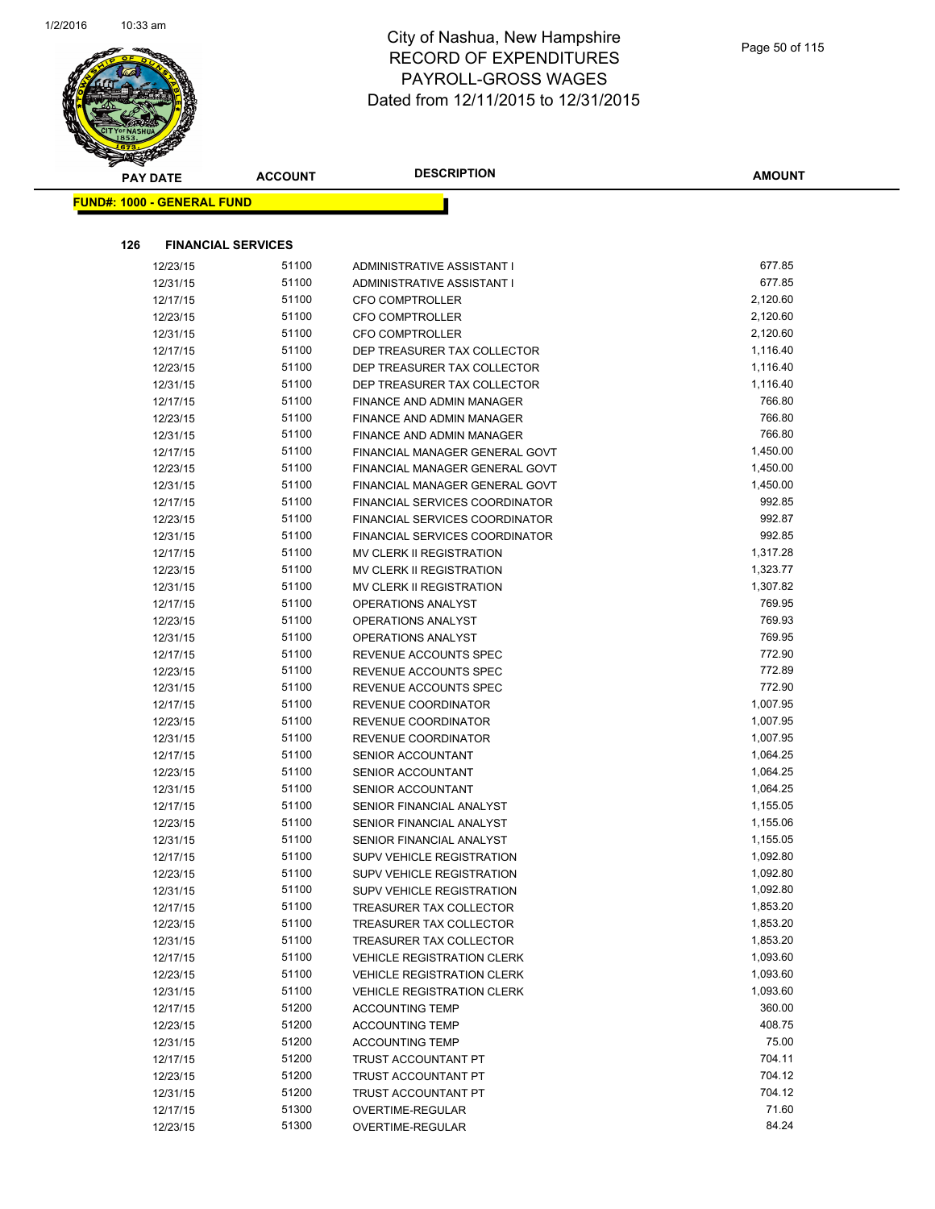

| <b>Contraction</b>                |                |                                          |                      |
|-----------------------------------|----------------|------------------------------------------|----------------------|
| <b>PAY DATE</b>                   | <b>ACCOUNT</b> | <b>DESCRIPTION</b>                       | <b>AMOUNT</b>        |
| <b>FUND#: 1000 - GENERAL FUND</b> |                |                                          |                      |
|                                   |                |                                          |                      |
| 126<br><b>FINANCIAL SERVICES</b>  |                |                                          |                      |
|                                   | 51100          |                                          | 677.85               |
| 12/23/15                          | 51100          | ADMINISTRATIVE ASSISTANT I               | 677.85               |
| 12/31/15                          |                | ADMINISTRATIVE ASSISTANT I               |                      |
| 12/17/15                          | 51100          | <b>CFO COMPTROLLER</b>                   | 2,120.60             |
| 12/23/15                          | 51100          | <b>CFO COMPTROLLER</b>                   | 2,120.60             |
| 12/31/15                          | 51100          | <b>CFO COMPTROLLER</b>                   | 2,120.60             |
| 12/17/15                          | 51100          | DEP TREASURER TAX COLLECTOR              | 1,116.40<br>1,116.40 |
| 12/23/15                          | 51100          | DEP TREASURER TAX COLLECTOR              |                      |
| 12/31/15                          | 51100          | DEP TREASURER TAX COLLECTOR              | 1,116.40<br>766.80   |
| 12/17/15                          | 51100          | FINANCE AND ADMIN MANAGER                | 766.80               |
| 12/23/15                          | 51100          | FINANCE AND ADMIN MANAGER                | 766.80               |
| 12/31/15                          | 51100<br>51100 | FINANCE AND ADMIN MANAGER                |                      |
| 12/17/15                          |                | FINANCIAL MANAGER GENERAL GOVT           | 1,450.00             |
| 12/23/15                          | 51100          | FINANCIAL MANAGER GENERAL GOVT           | 1,450.00             |
| 12/31/15                          | 51100          | FINANCIAL MANAGER GENERAL GOVT           | 1,450.00             |
| 12/17/15                          | 51100          | <b>FINANCIAL SERVICES COORDINATOR</b>    | 992.85<br>992.87     |
| 12/23/15                          | 51100          | FINANCIAL SERVICES COORDINATOR           |                      |
| 12/31/15                          | 51100          | <b>FINANCIAL SERVICES COORDINATOR</b>    | 992.85               |
| 12/17/15                          | 51100          | MV CLERK II REGISTRATION                 | 1,317.28             |
| 12/23/15                          | 51100          | MV CLERK II REGISTRATION                 | 1,323.77             |
| 12/31/15                          | 51100          | MV CLERK II REGISTRATION                 | 1,307.82             |
| 12/17/15                          | 51100          | OPERATIONS ANALYST                       | 769.95<br>769.93     |
| 12/23/15                          | 51100<br>51100 | OPERATIONS ANALYST                       | 769.95               |
| 12/31/15                          |                | OPERATIONS ANALYST                       |                      |
| 12/17/15                          | 51100          | REVENUE ACCOUNTS SPEC                    | 772.90<br>772.89     |
| 12/23/15                          | 51100          | REVENUE ACCOUNTS SPEC                    |                      |
| 12/31/15                          | 51100<br>51100 | REVENUE ACCOUNTS SPEC                    | 772.90<br>1,007.95   |
| 12/17/15                          | 51100          | REVENUE COORDINATOR                      | 1,007.95             |
| 12/23/15<br>12/31/15              | 51100          | REVENUE COORDINATOR                      | 1,007.95             |
| 12/17/15                          | 51100          | REVENUE COORDINATOR<br>SENIOR ACCOUNTANT | 1,064.25             |
|                                   | 51100          | SENIOR ACCOUNTANT                        | 1,064.25             |
| 12/23/15<br>12/31/15              | 51100          | <b>SENIOR ACCOUNTANT</b>                 | 1,064.25             |
| 12/17/15                          | 51100          | SENIOR FINANCIAL ANALYST                 | 1,155.05             |
| 12/23/15                          | 51100          | SENIOR FINANCIAL ANALYST                 | 1,155.06             |
| 12/31/15                          | 51100          | SENIOR FINANCIAL ANALYST                 | 1,155.05             |
| 12/17/15                          | 51100          | <b>SUPV VEHICLE REGISTRATION</b>         | 1,092.80             |
| 12/23/15                          | 51100          | SUPV VEHICLE REGISTRATION                | 1,092.80             |
| 12/31/15                          | 51100          | <b>SUPV VEHICLE REGISTRATION</b>         | 1,092.80             |
| 12/17/15                          | 51100          | TREASURER TAX COLLECTOR                  | 1,853.20             |
| 12/23/15                          | 51100          | TREASURER TAX COLLECTOR                  | 1,853.20             |
| 12/31/15                          | 51100          | TREASURER TAX COLLECTOR                  | 1,853.20             |
| 12/17/15                          | 51100          | <b>VEHICLE REGISTRATION CLERK</b>        | 1,093.60             |
| 12/23/15                          | 51100          | <b>VEHICLE REGISTRATION CLERK</b>        | 1,093.60             |
| 12/31/15                          | 51100          | <b>VEHICLE REGISTRATION CLERK</b>        | 1,093.60             |
| 12/17/15                          | 51200          | <b>ACCOUNTING TEMP</b>                   | 360.00               |
| 12/23/15                          | 51200          | <b>ACCOUNTING TEMP</b>                   | 408.75               |
| 12/31/15                          | 51200          | <b>ACCOUNTING TEMP</b>                   | 75.00                |
| 12/17/15                          | 51200          | TRUST ACCOUNTANT PT                      | 704.11               |
| 12/23/15                          | 51200          | TRUST ACCOUNTANT PT                      | 704.12               |
| 12/31/15                          | 51200          | TRUST ACCOUNTANT PT                      | 704.12               |
| 12/17/15                          | 51300          | OVERTIME-REGULAR                         | 71.60                |
| 12/23/15                          | 51300          | OVERTIME-REGULAR                         | 84.24                |
|                                   |                |                                          |                      |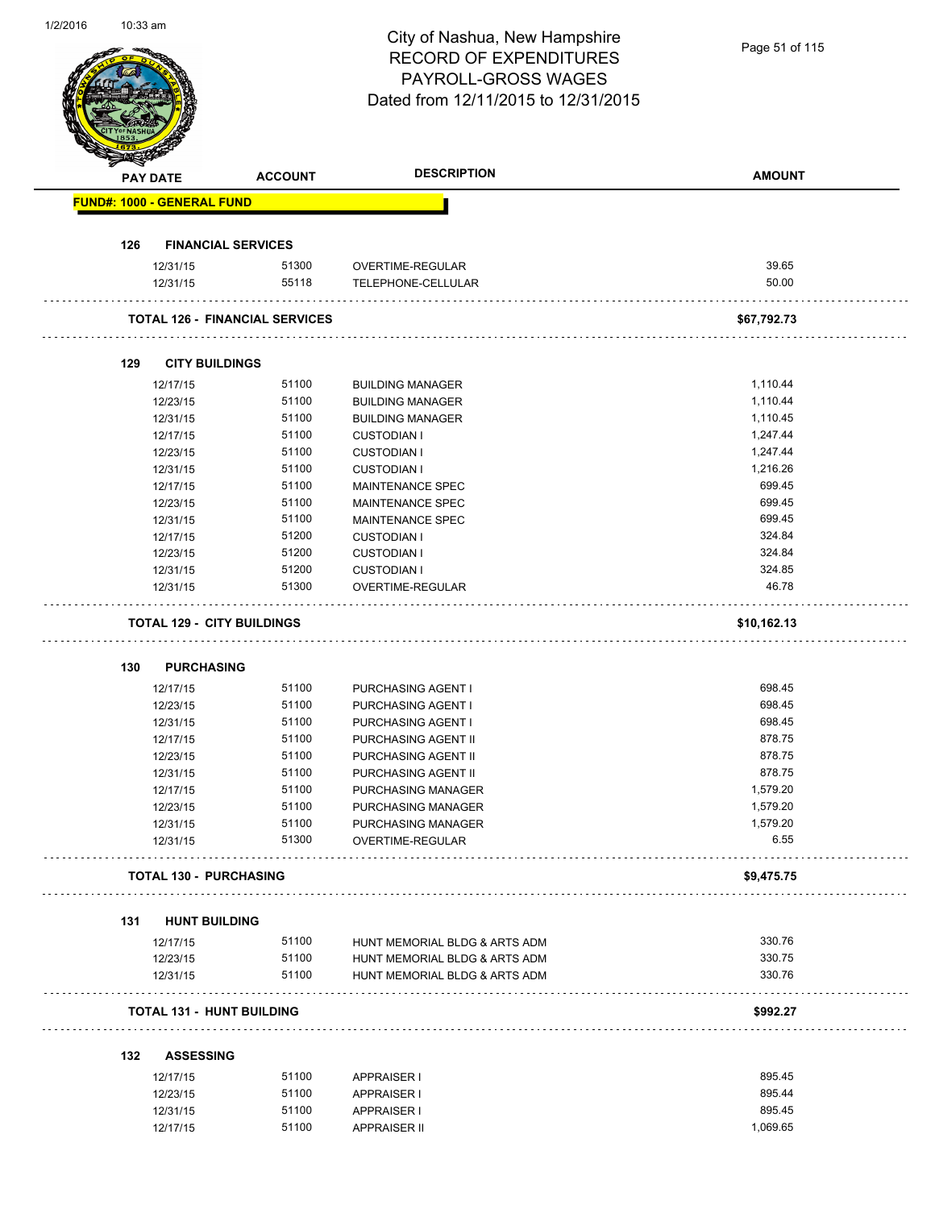# City of Nashua, New Hampshire RECORD OF EXPENDITURES PAYROLL-GROSS WAGES

|     |                                   |                                       | PAYROLL-GROSS WAGES<br>Dated from 12/11/2015 to 12/31/2015 |                      |  |
|-----|-----------------------------------|---------------------------------------|------------------------------------------------------------|----------------------|--|
|     |                                   |                                       |                                                            |                      |  |
|     | <b>PAY DATE</b>                   | <b>ACCOUNT</b>                        | <b>DESCRIPTION</b>                                         | <b>AMOUNT</b>        |  |
|     | <b>FUND#: 1000 - GENERAL FUND</b> |                                       |                                                            |                      |  |
| 126 | <b>FINANCIAL SERVICES</b>         |                                       |                                                            |                      |  |
|     | 12/31/15                          | 51300                                 | OVERTIME-REGULAR                                           | 39.65                |  |
|     | 12/31/15                          | 55118                                 | TELEPHONE-CELLULAR                                         | 50.00                |  |
|     |                                   | <b>TOTAL 126 - FINANCIAL SERVICES</b> |                                                            | \$67,792.73          |  |
| 129 | <b>CITY BUILDINGS</b>             |                                       |                                                            |                      |  |
|     |                                   |                                       |                                                            |                      |  |
|     | 12/17/15                          | 51100                                 | <b>BUILDING MANAGER</b>                                    | 1,110.44             |  |
|     | 12/23/15                          | 51100                                 | <b>BUILDING MANAGER</b>                                    | 1,110.44<br>1,110.45 |  |
|     | 12/31/15                          | 51100<br>51100                        | <b>BUILDING MANAGER</b>                                    | 1,247.44             |  |
|     | 12/17/15                          | 51100                                 | <b>CUSTODIAN I</b>                                         | 1,247.44             |  |
|     | 12/23/15                          | 51100                                 | <b>CUSTODIAN I</b><br><b>CUSTODIAN I</b>                   | 1,216.26             |  |
|     | 12/31/15<br>12/17/15              | 51100                                 | MAINTENANCE SPEC                                           | 699.45               |  |
|     | 12/23/15                          | 51100                                 | MAINTENANCE SPEC                                           | 699.45               |  |
|     | 12/31/15                          | 51100                                 | MAINTENANCE SPEC                                           | 699.45               |  |
|     | 12/17/15                          | 51200                                 | <b>CUSTODIAN I</b>                                         | 324.84               |  |
|     | 12/23/15                          | 51200                                 | <b>CUSTODIAN I</b>                                         | 324.84               |  |
|     | 12/31/15                          | 51200                                 | <b>CUSTODIAN I</b>                                         | 324.85               |  |
|     | 12/31/15                          | 51300                                 | OVERTIME-REGULAR                                           | 46.78                |  |
|     | <b>TOTAL 129 - CITY BUILDINGS</b> |                                       |                                                            | \$10,162.13          |  |
|     |                                   |                                       |                                                            |                      |  |
| 130 | <b>PURCHASING</b>                 |                                       |                                                            |                      |  |
|     | 12/17/15                          | 51100                                 | PURCHASING AGENT I                                         | 698.45               |  |
|     | 12/23/15                          | 51100                                 | <b>PURCHASING AGENT I</b>                                  | 698.45               |  |
|     | 12/31/15                          | 51100                                 | PURCHASING AGENT I                                         | 698.45               |  |
|     | 12/17/15                          | 51100                                 | PURCHASING AGENT II                                        | 878.75               |  |
|     | 12/23/15                          | 51100                                 | PURCHASING AGENT II                                        | 878.75               |  |
|     | 12/31/15                          | 51100                                 | PURCHASING AGENT II                                        | 878.75               |  |
|     | 12/17/15                          | 51100                                 | PURCHASING MANAGER                                         | 1,579.20             |  |
|     | 12/23/15                          | 51100                                 | PURCHASING MANAGER                                         | 1,579.20<br>1,579.20 |  |
|     | 12/31/15<br>12/31/15              | 51100<br>51300                        | PURCHASING MANAGER<br>OVERTIME-REGULAR                     | 6.55                 |  |
|     | <b>TOTAL 130 - PURCHASING</b>     |                                       |                                                            | \$9,475.75           |  |
|     |                                   |                                       |                                                            |                      |  |
| 131 | <b>HUNT BUILDING</b>              |                                       |                                                            |                      |  |
|     | 12/17/15                          | 51100                                 | HUNT MEMORIAL BLDG & ARTS ADM                              | 330.76               |  |
|     | 12/23/15                          | 51100                                 | HUNT MEMORIAL BLDG & ARTS ADM                              | 330.75               |  |
|     | 12/31/15                          | 51100                                 | HUNT MEMORIAL BLDG & ARTS ADM                              | 330.76               |  |
|     | <b>TOTAL 131 - HUNT BUILDING</b>  |                                       |                                                            | \$992.27             |  |
| 132 | <b>ASSESSING</b>                  |                                       |                                                            |                      |  |
|     | 12/17/15                          | 51100                                 | <b>APPRAISER I</b>                                         | 895.45               |  |
|     | 12/23/15                          | 51100                                 | <b>APPRAISER I</b>                                         | 895.44               |  |
|     | 12/31/15                          | 51100                                 | <b>APPRAISER I</b>                                         | 895.45               |  |
|     | 12/17/15                          | 51100                                 | <b>APPRAISER II</b>                                        | 1,069.65             |  |
|     |                                   |                                       |                                                            |                      |  |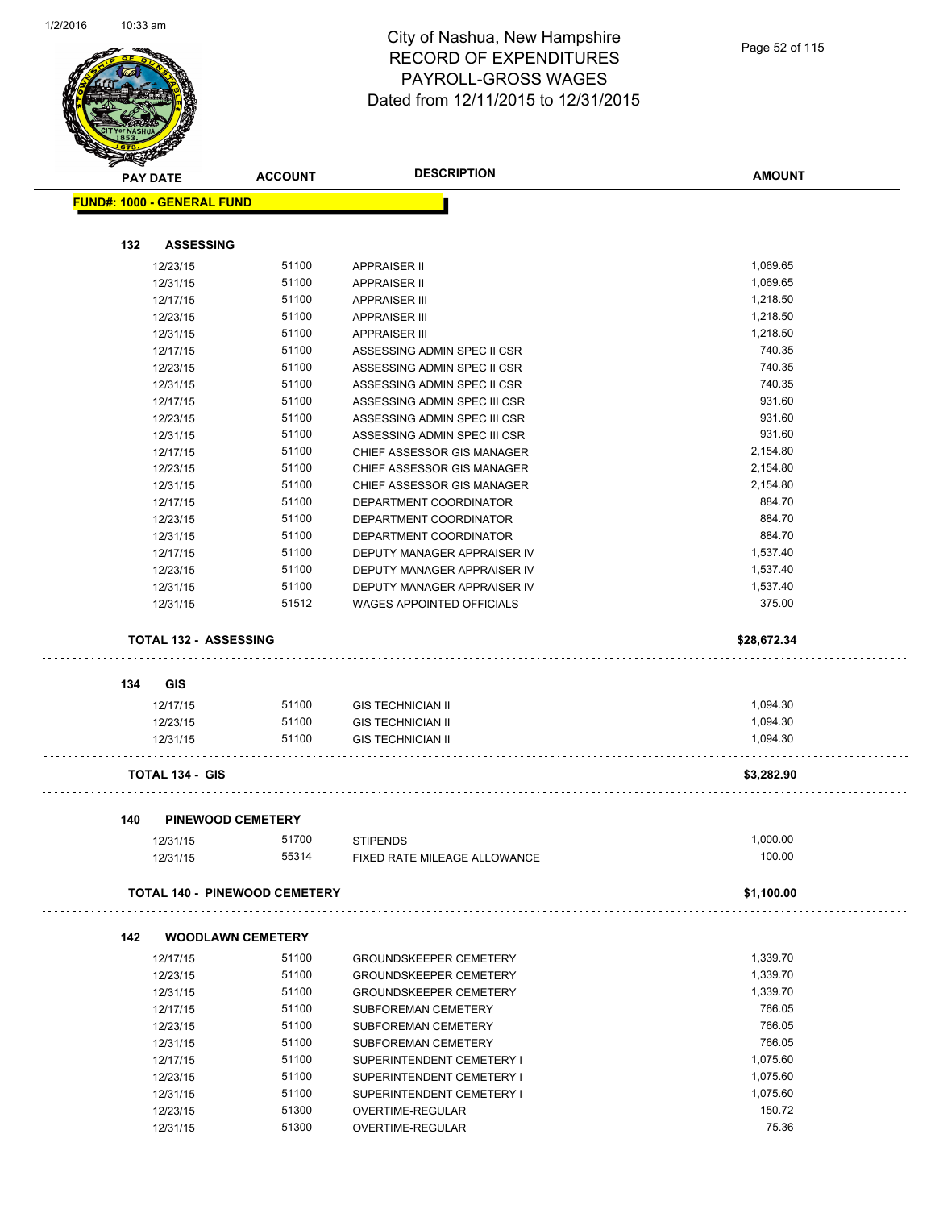

| <u>saan kan ka</u> | <b>PAY DATE</b>                      | <b>ACCOUNT</b> | <b>DESCRIPTION</b>               | <b>AMOUNT</b> |
|--------------------|--------------------------------------|----------------|----------------------------------|---------------|
|                    | <b>FUND#: 1000 - GENERAL FUND</b>    |                |                                  |               |
| 132                | <b>ASSESSING</b>                     |                |                                  |               |
|                    | 12/23/15                             | 51100          | <b>APPRAISER II</b>              | 1,069.65      |
|                    | 12/31/15                             | 51100          | <b>APPRAISER II</b>              | 1,069.65      |
|                    | 12/17/15                             | 51100          | <b>APPRAISER III</b>             | 1,218.50      |
|                    |                                      | 51100          |                                  | 1,218.50      |
|                    | 12/23/15                             | 51100          | <b>APPRAISER III</b>             | 1,218.50      |
|                    | 12/31/15                             |                | <b>APPRAISER III</b>             |               |
|                    | 12/17/15                             | 51100          | ASSESSING ADMIN SPEC II CSR      | 740.35        |
|                    | 12/23/15                             | 51100          | ASSESSING ADMIN SPEC II CSR      | 740.35        |
|                    | 12/31/15                             | 51100          | ASSESSING ADMIN SPEC II CSR      | 740.35        |
|                    | 12/17/15                             | 51100          | ASSESSING ADMIN SPEC III CSR     | 931.60        |
|                    | 12/23/15                             | 51100          | ASSESSING ADMIN SPEC III CSR     | 931.60        |
|                    | 12/31/15                             | 51100          | ASSESSING ADMIN SPEC III CSR     | 931.60        |
|                    | 12/17/15                             | 51100          | CHIEF ASSESSOR GIS MANAGER       | 2,154.80      |
|                    | 12/23/15                             | 51100          | CHIEF ASSESSOR GIS MANAGER       | 2,154.80      |
|                    | 12/31/15                             | 51100          | CHIEF ASSESSOR GIS MANAGER       | 2,154.80      |
|                    | 12/17/15                             | 51100          | DEPARTMENT COORDINATOR           | 884.70        |
|                    | 12/23/15                             | 51100          | DEPARTMENT COORDINATOR           | 884.70        |
|                    | 12/31/15                             | 51100          | DEPARTMENT COORDINATOR           | 884.70        |
|                    | 12/17/15                             | 51100          | DEPUTY MANAGER APPRAISER IV      | 1,537.40      |
|                    | 12/23/15                             | 51100          | DEPUTY MANAGER APPRAISER IV      | 1,537.40      |
|                    | 12/31/15                             | 51100          | DEPUTY MANAGER APPRAISER IV      | 1,537.40      |
|                    | 12/31/15                             | 51512          | <b>WAGES APPOINTED OFFICIALS</b> | 375.00        |
|                    | <b>TOTAL 132 - ASSESSING</b>         |                |                                  | \$28,672.34   |
|                    |                                      |                |                                  |               |
| 134                | GIS                                  |                |                                  |               |
|                    | 12/17/15                             | 51100          | <b>GIS TECHNICIAN II</b>         | 1,094.30      |
|                    | 12/23/15                             | 51100          | <b>GIS TECHNICIAN II</b>         | 1,094.30      |
|                    | 12/31/15                             | 51100          | <b>GIS TECHNICIAN II</b>         | 1,094.30      |
|                    | <b>TOTAL 134 - GIS</b>               |                |                                  | \$3,282.90    |
| 140                | <b>PINEWOOD CEMETERY</b>             |                |                                  |               |
|                    | 12/31/15                             | 51700          | <b>STIPENDS</b>                  | 1,000.00      |
|                    | 12/31/15                             | 55314          | FIXED RATE MILEAGE ALLOWANCE     | 100.00        |
|                    |                                      |                |                                  |               |
|                    | <b>TOTAL 140 - PINEWOOD CEMETERY</b> |                |                                  | \$1,100.00    |
| 142                | <b>WOODLAWN CEMETERY</b>             |                |                                  |               |
|                    | 12/17/15                             | 51100          | <b>GROUNDSKEEPER CEMETERY</b>    | 1,339.70      |
|                    | 12/23/15                             | 51100          | <b>GROUNDSKEEPER CEMETERY</b>    | 1,339.70      |
|                    | 12/31/15                             | 51100          | <b>GROUNDSKEEPER CEMETERY</b>    | 1,339.70      |
|                    | 12/17/15                             | 51100          | SUBFOREMAN CEMETERY              | 766.05        |
|                    | 12/23/15                             | 51100          | SUBFOREMAN CEMETERY              | 766.05        |
|                    | 12/31/15                             | 51100          | SUBFOREMAN CEMETERY              | 766.05        |
|                    | 12/17/15                             | 51100          | SUPERINTENDENT CEMETERY I        | 1,075.60      |
|                    | 12/23/15                             | 51100          | SUPERINTENDENT CEMETERY I        | 1,075.60      |
|                    | 12/31/15                             | 51100          | SUPERINTENDENT CEMETERY I        | 1,075.60      |
|                    | 12/23/15                             | 51300          | OVERTIME-REGULAR                 | 150.72        |
|                    |                                      | 51300          |                                  | 75.36         |
|                    | 12/31/15                             |                | OVERTIME-REGULAR                 |               |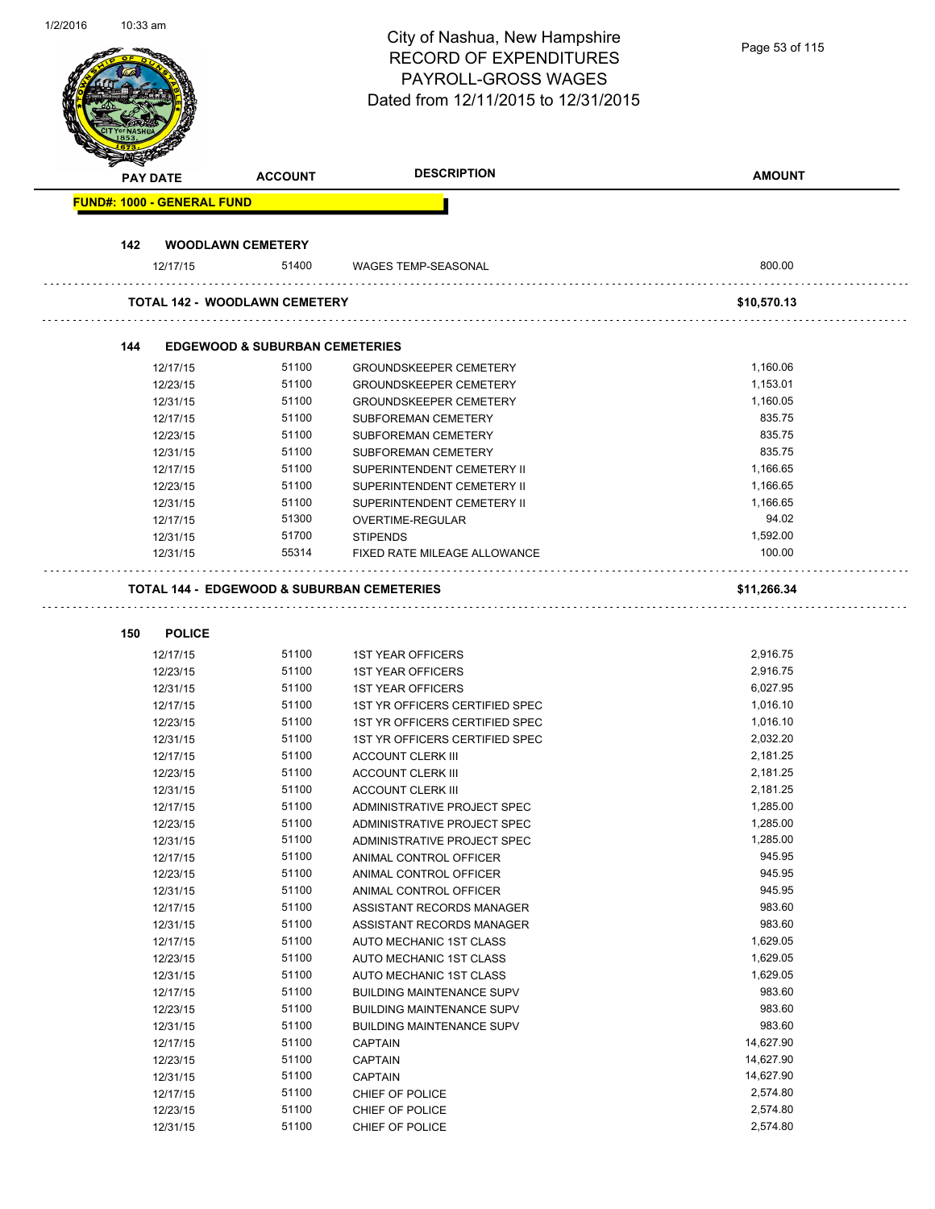| 1/2/2016 | $10:33$ am | <b>PAY DATE</b>                   | <b>ACCOUNT</b>                                        | City of Nashua, New Hampshire<br><b>RECORD OF EXPENDITURES</b><br><b>PAYROLL-GROSS WAGES</b><br>Dated from 12/11/2015 to 12/31/2015<br><b>DESCRIPTION</b> | Page 53 of 115<br><b>AMOUNT</b> |
|----------|------------|-----------------------------------|-------------------------------------------------------|-----------------------------------------------------------------------------------------------------------------------------------------------------------|---------------------------------|
|          |            | <b>FUND#: 1000 - GENERAL FUND</b> |                                                       |                                                                                                                                                           |                                 |
|          |            |                                   |                                                       |                                                                                                                                                           |                                 |
|          | 142        |                                   | <b>WOODLAWN CEMETERY</b>                              |                                                                                                                                                           |                                 |
|          |            | 12/17/15                          | 51400                                                 | <b>WAGES TEMP-SEASONAL</b>                                                                                                                                | 800.00                          |
|          |            |                                   | <b>TOTAL 142 - WOODLAWN CEMETERY</b>                  |                                                                                                                                                           | \$10,570.13                     |
|          |            |                                   |                                                       |                                                                                                                                                           |                                 |
|          | 144        |                                   | <b>EDGEWOOD &amp; SUBURBAN CEMETERIES</b>             |                                                                                                                                                           |                                 |
|          |            | 12/17/15                          | 51100                                                 | <b>GROUNDSKEEPER CEMETERY</b>                                                                                                                             | 1,160.06                        |
|          |            | 12/23/15                          | 51100                                                 | <b>GROUNDSKEEPER CEMETERY</b>                                                                                                                             | 1,153.01                        |
|          |            | 12/31/15                          | 51100                                                 | <b>GROUNDSKEEPER CEMETERY</b>                                                                                                                             | 1,160.05                        |
|          |            | 12/17/15                          | 51100                                                 | <b>SUBFOREMAN CEMETERY</b>                                                                                                                                | 835.75                          |
|          |            | 12/23/15                          | 51100                                                 | <b>SUBFOREMAN CEMETERY</b>                                                                                                                                | 835.75                          |
|          |            | 12/31/15                          | 51100                                                 | SUBFOREMAN CEMETERY                                                                                                                                       | 835.75                          |
|          |            | 12/17/15                          | 51100                                                 | SUPERINTENDENT CEMETERY II                                                                                                                                | 1,166.65                        |
|          |            | 12/23/15                          | 51100                                                 | SUPERINTENDENT CEMETERY II                                                                                                                                | 1,166.65                        |
|          |            | 12/31/15                          | 51100                                                 | SUPERINTENDENT CEMETERY II                                                                                                                                | 1,166.65                        |
|          |            | 12/17/15                          | 51300                                                 | OVERTIME-REGULAR                                                                                                                                          | 94.02                           |
|          |            | 12/31/15                          | 51700                                                 | <b>STIPENDS</b>                                                                                                                                           | 1,592.00                        |
|          |            | 12/31/15                          | 55314                                                 | FIXED RATE MILEAGE ALLOWANCE                                                                                                                              | 100.00                          |
|          |            |                                   | <b>TOTAL 144 - EDGEWOOD &amp; SUBURBAN CEMETERIES</b> |                                                                                                                                                           | \$11,266.34                     |
|          |            |                                   |                                                       |                                                                                                                                                           |                                 |
|          | 150        | <b>POLICE</b>                     |                                                       |                                                                                                                                                           |                                 |
|          |            | 12/17/15                          | 51100                                                 | <b>1ST YEAR OFFICERS</b>                                                                                                                                  | 2,916.75                        |
|          |            | 12/23/15                          | 51100                                                 | <b>1ST YEAR OFFICERS</b>                                                                                                                                  | 2,916.75                        |
|          |            | 12/31/15                          | 51100                                                 | <b>1ST YEAR OFFICERS</b>                                                                                                                                  | 6,027.95                        |
|          |            | 12/17/15                          | 51100                                                 | 1ST YR OFFICERS CERTIFIED SPEC                                                                                                                            | 1,016.10                        |
|          |            | 12/23/15                          | 51100                                                 | 1ST YR OFFICERS CERTIFIED SPEC                                                                                                                            | 1,016.10                        |
|          |            | 12/31/15                          | 51100                                                 | 1ST YR OFFICERS CERTIFIED SPEC                                                                                                                            | 2,032.20                        |
|          |            | 12/17/15                          | 51100                                                 | <b>ACCOUNT CLERK III</b>                                                                                                                                  | 2,181.25                        |
|          |            | 12/23/15                          | 51100                                                 | <b>ACCOUNT CLERK III</b>                                                                                                                                  | 2,181.25                        |
|          |            | 12/31/15                          | 51100                                                 | <b>ACCOUNT CLERK III</b>                                                                                                                                  | 2,181.25                        |
|          |            | 12/17/15                          | 51100                                                 | ADMINISTRATIVE PROJECT SPEC                                                                                                                               | 1,285.00                        |
|          |            | 12/23/15                          | 51100                                                 | ADMINISTRATIVE PROJECT SPEC                                                                                                                               | 1,285.00                        |
|          |            | 12/31/15                          | 51100                                                 | ADMINISTRATIVE PROJECT SPEC                                                                                                                               | 1,285.00                        |
|          |            | 12/17/15                          | 51100                                                 | ANIMAL CONTROL OFFICER                                                                                                                                    | 945.95                          |
|          |            | 12/23/15                          | 51100                                                 | ANIMAL CONTROL OFFICER                                                                                                                                    | 945.95                          |
|          |            | 12/31/15                          | 51100                                                 | ANIMAL CONTROL OFFICER                                                                                                                                    | 945.95                          |
|          |            | 12/17/15                          | 51100                                                 | ASSISTANT RECORDS MANAGER                                                                                                                                 | 983.60                          |
|          |            | 12/31/15                          | 51100                                                 | ASSISTANT RECORDS MANAGER                                                                                                                                 | 983.60                          |
|          |            | 12/17/15                          | 51100                                                 | AUTO MECHANIC 1ST CLASS                                                                                                                                   | 1,629.05                        |
|          |            | 12/23/15                          | 51100                                                 | AUTO MECHANIC 1ST CLASS                                                                                                                                   | 1,629.05                        |
|          |            | 12/31/15                          | 51100                                                 | AUTO MECHANIC 1ST CLASS                                                                                                                                   | 1,629.05                        |
|          |            | 12/17/15                          | 51100                                                 | <b>BUILDING MAINTENANCE SUPV</b>                                                                                                                          | 983.60                          |
|          |            | 12/23/15                          | 51100                                                 | <b>BUILDING MAINTENANCE SUPV</b>                                                                                                                          | 983.60                          |
|          |            | 12/31/15                          | 51100                                                 | <b>BUILDING MAINTENANCE SUPV</b>                                                                                                                          | 983.60                          |
|          |            | 12/17/15                          | 51100                                                 | <b>CAPTAIN</b>                                                                                                                                            | 14,627.90                       |
|          |            | 12/23/15                          | 51100                                                 | <b>CAPTAIN</b>                                                                                                                                            | 14,627.90                       |
|          |            | 12/31/15                          | 51100                                                 | <b>CAPTAIN</b>                                                                                                                                            | 14,627.90                       |
|          |            | 12/17/15                          | 51100                                                 | CHIEF OF POLICE                                                                                                                                           | 2,574.80                        |
|          |            | 12/23/15                          | 51100                                                 | CHIEF OF POLICE                                                                                                                                           | 2,574.80                        |
|          |            | 12/31/15                          | 51100                                                 | CHIEF OF POLICE                                                                                                                                           | 2,574.80                        |
|          |            |                                   |                                                       |                                                                                                                                                           |                                 |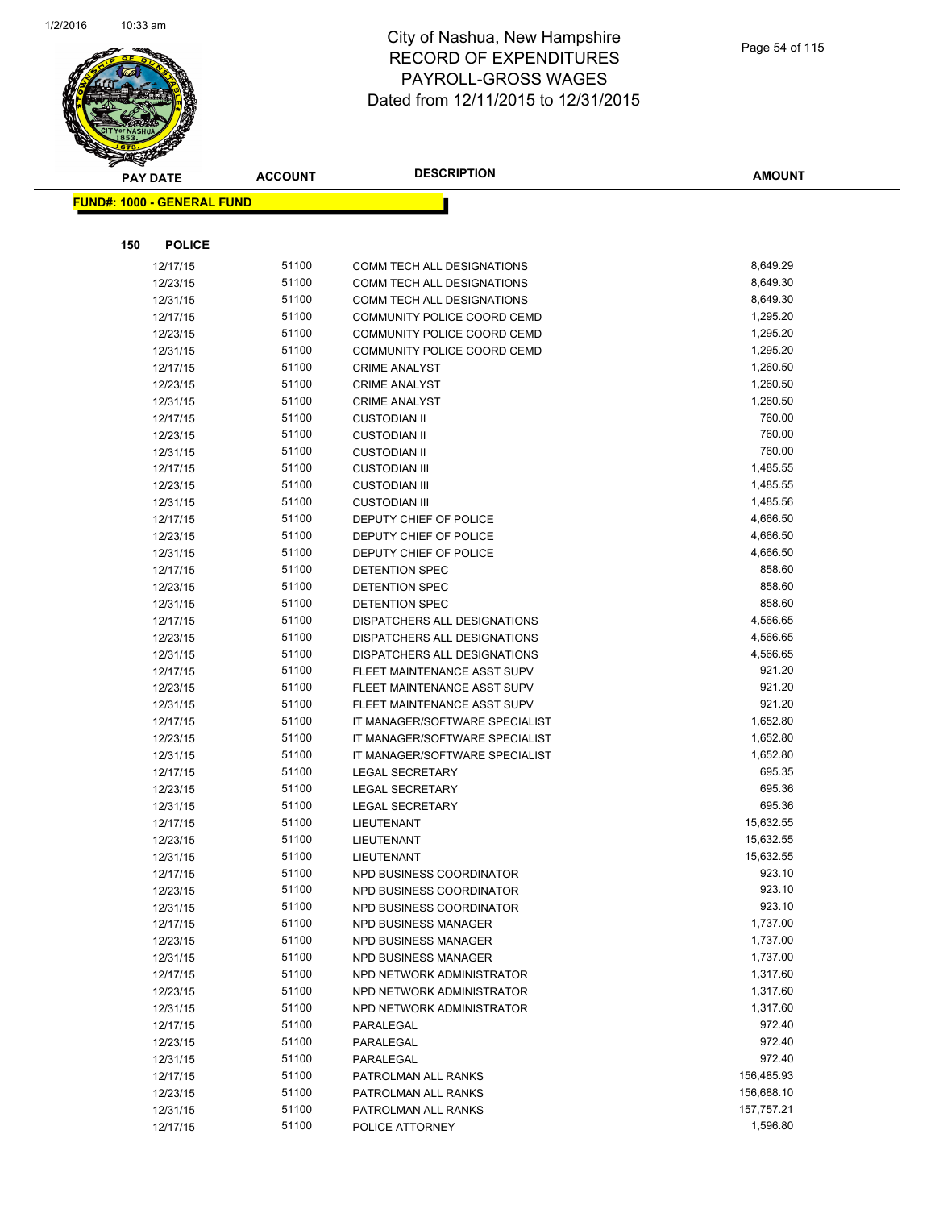

|     | <b>PAY DATE</b>                    | <b>ACCOUNT</b> | <b>DESCRIPTION</b>                           | <b>AMOUNT</b>    |
|-----|------------------------------------|----------------|----------------------------------------------|------------------|
|     | <u> FUND#: 1000 - GENERAL FUND</u> |                |                                              |                  |
|     |                                    |                |                                              |                  |
|     |                                    |                |                                              |                  |
| 150 | <b>POLICE</b>                      |                |                                              |                  |
|     | 12/17/15                           | 51100          | COMM TECH ALL DESIGNATIONS                   | 8,649.29         |
|     | 12/23/15                           | 51100          | COMM TECH ALL DESIGNATIONS                   | 8,649.30         |
|     | 12/31/15                           | 51100          | COMM TECH ALL DESIGNATIONS                   | 8,649.30         |
|     | 12/17/15                           | 51100          | COMMUNITY POLICE COORD CEMD                  | 1,295.20         |
|     | 12/23/15                           | 51100          | COMMUNITY POLICE COORD CEMD                  | 1,295.20         |
|     | 12/31/15                           | 51100          | COMMUNITY POLICE COORD CEMD                  | 1,295.20         |
|     | 12/17/15                           | 51100          | <b>CRIME ANALYST</b>                         | 1,260.50         |
|     | 12/23/15                           | 51100          | <b>CRIME ANALYST</b>                         | 1,260.50         |
|     | 12/31/15                           | 51100          | <b>CRIME ANALYST</b>                         | 1,260.50         |
|     | 12/17/15                           | 51100          | <b>CUSTODIAN II</b>                          | 760.00           |
|     | 12/23/15                           | 51100          | <b>CUSTODIAN II</b>                          | 760.00<br>760.00 |
|     | 12/31/15                           | 51100<br>51100 | <b>CUSTODIAN II</b>                          | 1,485.55         |
|     | 12/17/15                           | 51100          | <b>CUSTODIAN III</b><br><b>CUSTODIAN III</b> | 1,485.55         |
|     | 12/23/15<br>12/31/15               | 51100          | <b>CUSTODIAN III</b>                         | 1,485.56         |
|     | 12/17/15                           | 51100          | DEPUTY CHIEF OF POLICE                       | 4,666.50         |
|     | 12/23/15                           | 51100          | DEPUTY CHIEF OF POLICE                       | 4,666.50         |
|     | 12/31/15                           | 51100          | DEPUTY CHIEF OF POLICE                       | 4,666.50         |
|     | 12/17/15                           | 51100          | <b>DETENTION SPEC</b>                        | 858.60           |
|     | 12/23/15                           | 51100          | DETENTION SPEC                               | 858.60           |
|     | 12/31/15                           | 51100          | <b>DETENTION SPEC</b>                        | 858.60           |
|     | 12/17/15                           | 51100          | DISPATCHERS ALL DESIGNATIONS                 | 4,566.65         |
|     | 12/23/15                           | 51100          | DISPATCHERS ALL DESIGNATIONS                 | 4,566.65         |
|     | 12/31/15                           | 51100          | DISPATCHERS ALL DESIGNATIONS                 | 4,566.65         |
|     | 12/17/15                           | 51100          | FLEET MAINTENANCE ASST SUPV                  | 921.20           |
|     | 12/23/15                           | 51100          | FLEET MAINTENANCE ASST SUPV                  | 921.20           |
|     | 12/31/15                           | 51100          | FLEET MAINTENANCE ASST SUPV                  | 921.20           |
|     | 12/17/15                           | 51100          | IT MANAGER/SOFTWARE SPECIALIST               | 1,652.80         |
|     | 12/23/15                           | 51100          | IT MANAGER/SOFTWARE SPECIALIST               | 1,652.80         |
|     | 12/31/15                           | 51100          | IT MANAGER/SOFTWARE SPECIALIST               | 1,652.80         |
|     | 12/17/15                           | 51100          | <b>LEGAL SECRETARY</b>                       | 695.35           |
|     | 12/23/15                           | 51100          | <b>LEGAL SECRETARY</b>                       | 695.36           |
|     | 12/31/15                           | 51100          | <b>LEGAL SECRETARY</b>                       | 695.36           |
|     | 12/17/15                           | 51100          | LIEUTENANT                                   | 15,632.55        |
|     | 12/23/15                           | 51100          | <b>LIEUTENANT</b>                            | 15,632.55        |
|     | 12/31/15                           | 51100          | LIEUTENANT                                   | 15,632.55        |
|     | 12/17/15                           | 51100          | NPD BUSINESS COORDINATOR                     | 923.10           |
|     | 12/23/15                           | 51100          | NPD BUSINESS COORDINATOR                     | 923.10           |
|     | 12/31/15                           | 51100          | NPD BUSINESS COORDINATOR                     | 923.10           |
|     | 12/17/15                           | 51100          | NPD BUSINESS MANAGER                         | 1,737.00         |
|     | 12/23/15                           | 51100          | NPD BUSINESS MANAGER                         | 1,737.00         |
|     | 12/31/15                           | 51100          | NPD BUSINESS MANAGER                         | 1,737.00         |
|     | 12/17/15                           | 51100          | NPD NETWORK ADMINISTRATOR                    | 1,317.60         |
|     | 12/23/15                           | 51100          | NPD NETWORK ADMINISTRATOR                    | 1,317.60         |
|     | 12/31/15                           | 51100          | NPD NETWORK ADMINISTRATOR                    | 1,317.60         |
|     | 12/17/15                           | 51100          | PARALEGAL                                    | 972.40           |
|     | 12/23/15                           | 51100          | PARALEGAL                                    | 972.40           |
|     | 12/31/15                           | 51100          | PARALEGAL                                    | 972.40           |
|     | 12/17/15                           | 51100          | PATROLMAN ALL RANKS                          | 156,485.93       |
|     | 12/23/15                           | 51100          | PATROLMAN ALL RANKS                          | 156,688.10       |
|     | 12/31/15                           | 51100          | PATROLMAN ALL RANKS                          | 157,757.21       |
|     | 12/17/15                           | 51100          | POLICE ATTORNEY                              | 1,596.80         |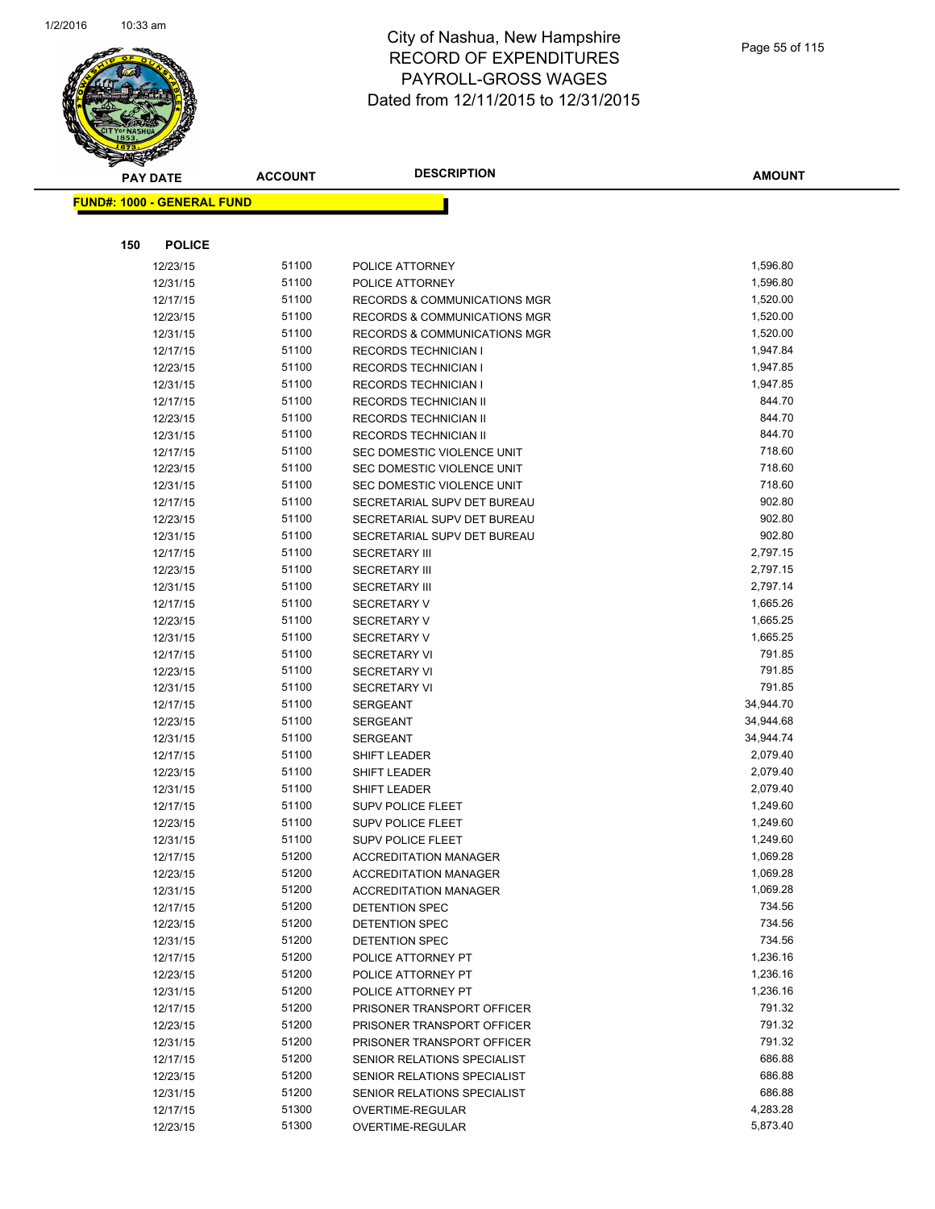

|     | <b>PAY DATE</b>                    | <b>ACCOUNT</b> | <b>DESCRIPTION</b>                                       | <b>AMOUNT</b>    |
|-----|------------------------------------|----------------|----------------------------------------------------------|------------------|
|     | <u> FUND#: 1000 - GENERAL FUND</u> |                |                                                          |                  |
|     |                                    |                |                                                          |                  |
|     |                                    |                |                                                          |                  |
| 150 | <b>POLICE</b>                      |                |                                                          |                  |
|     | 12/23/15                           | 51100          | POLICE ATTORNEY                                          | 1,596.80         |
|     | 12/31/15                           | 51100          | POLICE ATTORNEY                                          | 1,596.80         |
|     | 12/17/15                           | 51100          | <b>RECORDS &amp; COMMUNICATIONS MGR</b>                  | 1,520.00         |
|     | 12/23/15                           | 51100          | <b>RECORDS &amp; COMMUNICATIONS MGR</b>                  | 1,520.00         |
|     | 12/31/15                           | 51100          | RECORDS & COMMUNICATIONS MGR                             | 1,520.00         |
|     | 12/17/15                           | 51100          | <b>RECORDS TECHNICIAN I</b>                              | 1,947.84         |
|     | 12/23/15                           | 51100          | <b>RECORDS TECHNICIAN I</b>                              | 1,947.85         |
|     | 12/31/15                           | 51100          | <b>RECORDS TECHNICIAN I</b>                              | 1,947.85         |
|     | 12/17/15                           | 51100          | RECORDS TECHNICIAN II                                    | 844.70           |
|     | 12/23/15                           | 51100          | RECORDS TECHNICIAN II                                    | 844.70           |
|     | 12/31/15                           | 51100          | RECORDS TECHNICIAN II                                    | 844.70<br>718.60 |
|     | 12/17/15                           | 51100<br>51100 | SEC DOMESTIC VIOLENCE UNIT<br>SEC DOMESTIC VIOLENCE UNIT | 718.60           |
|     | 12/23/15                           | 51100          | SEC DOMESTIC VIOLENCE UNIT                               | 718.60           |
|     | 12/31/15<br>12/17/15               | 51100          | SECRETARIAL SUPV DET BUREAU                              | 902.80           |
|     | 12/23/15                           | 51100          | SECRETARIAL SUPV DET BUREAU                              | 902.80           |
|     | 12/31/15                           | 51100          | SECRETARIAL SUPV DET BUREAU                              | 902.80           |
|     | 12/17/15                           | 51100          | <b>SECRETARY III</b>                                     | 2,797.15         |
|     | 12/23/15                           | 51100          | <b>SECRETARY III</b>                                     | 2,797.15         |
|     | 12/31/15                           | 51100          | <b>SECRETARY III</b>                                     | 2,797.14         |
|     | 12/17/15                           | 51100          | <b>SECRETARY V</b>                                       | 1,665.26         |
|     | 12/23/15                           | 51100          | <b>SECRETARY V</b>                                       | 1,665.25         |
|     | 12/31/15                           | 51100          | SECRETARY V                                              | 1,665.25         |
|     | 12/17/15                           | 51100          | <b>SECRETARY VI</b>                                      | 791.85           |
|     | 12/23/15                           | 51100          | <b>SECRETARY VI</b>                                      | 791.85           |
|     | 12/31/15                           | 51100          | <b>SECRETARY VI</b>                                      | 791.85           |
|     | 12/17/15                           | 51100          | <b>SERGEANT</b>                                          | 34,944.70        |
|     | 12/23/15                           | 51100          | <b>SERGEANT</b>                                          | 34,944.68        |
|     | 12/31/15                           | 51100          | <b>SERGEANT</b>                                          | 34,944.74        |
|     | 12/17/15                           | 51100          | SHIFT LEADER                                             | 2,079.40         |
|     | 12/23/15                           | 51100          | SHIFT LEADER                                             | 2,079.40         |
|     | 12/31/15                           | 51100          | SHIFT LEADER                                             | 2,079.40         |
|     | 12/17/15                           | 51100          | <b>SUPV POLICE FLEET</b>                                 | 1,249.60         |
|     | 12/23/15                           | 51100          | <b>SUPV POLICE FLEET</b>                                 | 1,249.60         |
|     | 12/31/15                           | 51100          | <b>SUPV POLICE FLEET</b>                                 | 1,249.60         |
|     | 12/17/15                           | 51200          | <b>ACCREDITATION MANAGER</b>                             | 1,069.28         |
|     | 12/23/15                           | 51200          | <b>ACCREDITATION MANAGER</b>                             | 1,069.28         |
|     | 12/31/15                           | 51200          | <b>ACCREDITATION MANAGER</b>                             | 1,069.28         |
|     | 12/17/15                           | 51200          | DETENTION SPEC                                           | 734.56           |
|     | 12/23/15                           | 51200          | <b>DETENTION SPEC</b>                                    | 734.56           |
|     | 12/31/15                           | 51200          | DETENTION SPEC                                           | 734.56           |
|     | 12/17/15                           | 51200          | POLICE ATTORNEY PT                                       | 1,236.16         |
|     | 12/23/15                           | 51200          | POLICE ATTORNEY PT                                       | 1,236.16         |
|     | 12/31/15                           | 51200          | POLICE ATTORNEY PT                                       | 1,236.16         |
|     | 12/17/15                           | 51200          | PRISONER TRANSPORT OFFICER                               | 791.32           |
|     | 12/23/15                           | 51200          | PRISONER TRANSPORT OFFICER                               | 791.32           |
|     | 12/31/15                           | 51200          | PRISONER TRANSPORT OFFICER                               | 791.32           |
|     | 12/17/15                           | 51200          | SENIOR RELATIONS SPECIALIST                              | 686.88           |
|     | 12/23/15                           | 51200          | SENIOR RELATIONS SPECIALIST                              | 686.88           |
|     | 12/31/15                           | 51200          | SENIOR RELATIONS SPECIALIST                              | 686.88           |
|     | 12/17/15                           | 51300          | OVERTIME-REGULAR                                         | 4,283.28         |
|     | 12/23/15                           | 51300          | OVERTIME-REGULAR                                         | 5,873.40         |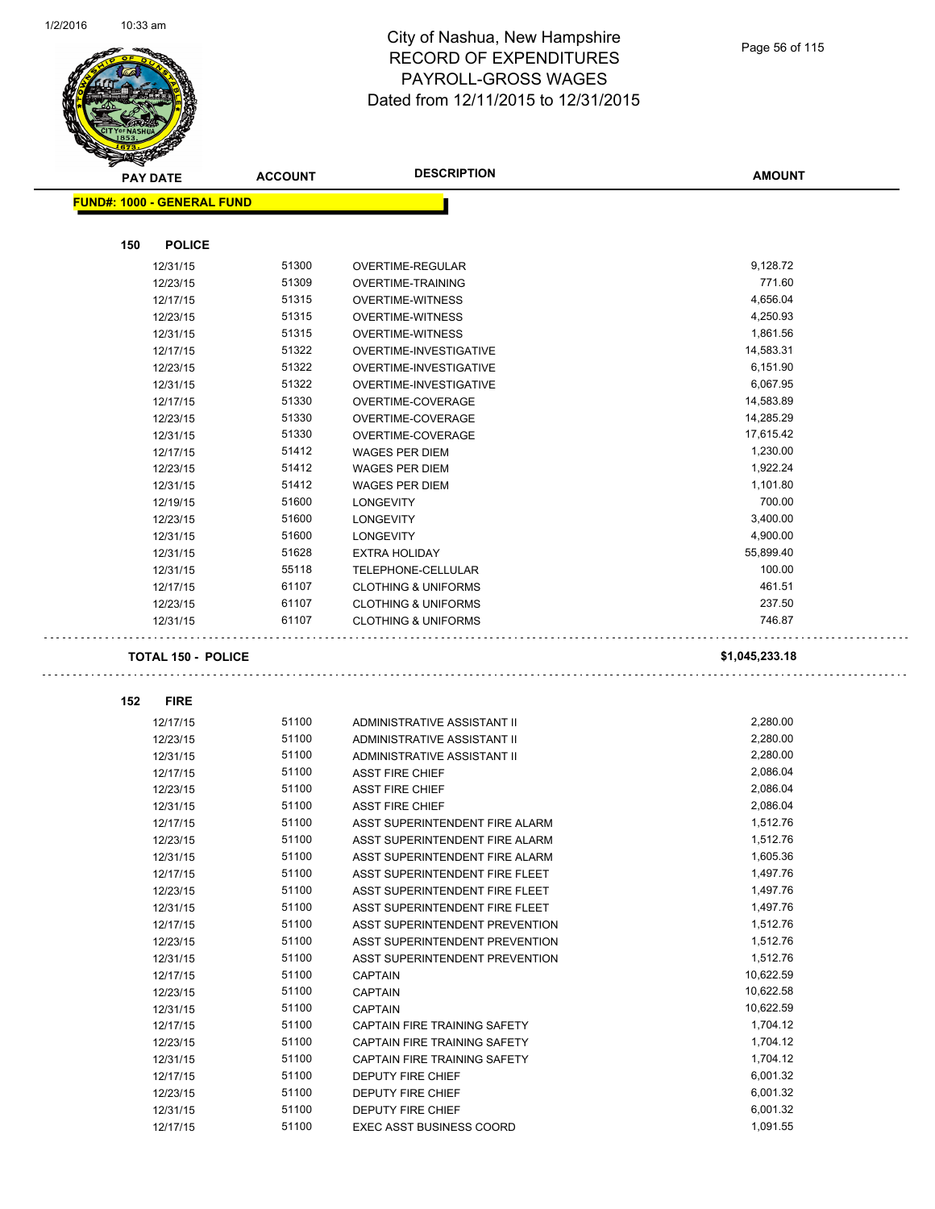

| <b>PAY DATE</b>                   | <b>ACCOUNT</b> | <b>DESCRIPTION</b>                                   | <b>AMOUNT</b>        |
|-----------------------------------|----------------|------------------------------------------------------|----------------------|
| <b>FUND#: 1000 - GENERAL FUND</b> |                |                                                      |                      |
|                                   |                |                                                      |                      |
| 150<br><b>POLICE</b>              |                |                                                      |                      |
| 12/31/15                          | 51300          | <b>OVERTIME-REGULAR</b>                              | 9,128.72             |
| 12/23/15                          | 51309          | OVERTIME-TRAINING                                    | 771.60               |
| 12/17/15                          | 51315          | <b>OVERTIME-WITNESS</b>                              | 4,656.04             |
| 12/23/15                          | 51315          | <b>OVERTIME-WITNESS</b>                              | 4,250.93             |
| 12/31/15                          | 51315          | <b>OVERTIME-WITNESS</b>                              | 1,861.56             |
| 12/17/15                          | 51322          | OVERTIME-INVESTIGATIVE                               | 14,583.31            |
| 12/23/15                          | 51322          | <b>OVERTIME-INVESTIGATIVE</b>                        | 6,151.90             |
| 12/31/15                          | 51322          | OVERTIME-INVESTIGATIVE                               | 6,067.95             |
| 12/17/15                          | 51330          | OVERTIME-COVERAGE                                    | 14,583.89            |
| 12/23/15                          | 51330          | OVERTIME-COVERAGE                                    | 14,285.29            |
| 12/31/15                          | 51330          | OVERTIME-COVERAGE                                    | 17,615.42            |
| 12/17/15                          | 51412          | <b>WAGES PER DIEM</b>                                | 1,230.00             |
| 12/23/15                          | 51412          | <b>WAGES PER DIEM</b>                                | 1,922.24             |
| 12/31/15                          | 51412          | <b>WAGES PER DIEM</b>                                | 1,101.80             |
| 12/19/15                          | 51600          | <b>LONGEVITY</b>                                     | 700.00               |
| 12/23/15                          | 51600          | <b>LONGEVITY</b>                                     | 3,400.00             |
| 12/31/15                          | 51600          | <b>LONGEVITY</b>                                     | 4,900.00             |
| 12/31/15                          | 51628          | <b>EXTRA HOLIDAY</b>                                 | 55,899.40            |
| 12/31/15                          | 55118          | TELEPHONE-CELLULAR                                   | 100.00               |
| 12/17/15                          | 61107          | <b>CLOTHING &amp; UNIFORMS</b>                       | 461.51               |
| 12/23/15                          | 61107          | <b>CLOTHING &amp; UNIFORMS</b>                       | 237.50               |
| 12/31/15                          | 61107          | <b>CLOTHING &amp; UNIFORMS</b>                       | 746.87               |
| <b>TOTAL 150 - POLICE</b>         |                |                                                      | \$1,045,233.18       |
|                                   |                |                                                      |                      |
| 152<br><b>FIRE</b>                |                |                                                      |                      |
| 12/17/15                          | 51100          | ADMINISTRATIVE ASSISTANT II                          | 2,280.00             |
| 12/23/15                          | 51100          | ADMINISTRATIVE ASSISTANT II                          | 2,280.00             |
| 12/31/15                          | 51100          | ADMINISTRATIVE ASSISTANT II                          | 2,280.00             |
| 12/17/15                          | 51100          | <b>ASST FIRE CHIEF</b>                               | 2,086.04             |
| 12/23/15                          | 51100          | <b>ASST FIRE CHIEF</b>                               | 2,086.04             |
| 12/31/15                          | 51100          | <b>ASST FIRE CHIEF</b>                               | 2,086.04             |
| 12/17/15                          | 51100          | ASST SUPERINTENDENT FIRE ALARM                       | 1,512.76             |
| 12/23/15                          | 51100          | ASST SUPERINTENDENT FIRE ALARM                       | 1,512.76             |
| 12/31/15                          | 51100          | ASST SUPERINTENDENT FIRE ALARM                       | 1,605.36             |
| 12/17/15                          | 51100          | ASST SUPERINTENDENT FIRE FLEET                       | 1,497.76             |
| 12/23/15                          | 51100          | ASST SUPERINTENDENT FIRE FLEET                       | 1,497.76             |
| 12/31/15                          | 51100          | ASST SUPERINTENDENT FIRE FLEET                       | 1,497.76             |
| 12/17/15                          | 51100          | ASST SUPERINTENDENT PREVENTION                       | 1,512.76             |
| 12/23/15                          | 51100          | ASST SUPERINTENDENT PREVENTION                       | 1,512.76             |
| 12/31/15                          | 51100          | ASST SUPERINTENDENT PREVENTION                       | 1,512.76             |
| 12/17/15                          | 51100          | <b>CAPTAIN</b>                                       | 10,622.59            |
| 12/23/15                          | 51100          | <b>CAPTAIN</b>                                       | 10,622.58            |
| 12/31/15                          | 51100          | <b>CAPTAIN</b>                                       | 10,622.59            |
| 12/17/15                          | 51100          | CAPTAIN FIRE TRAINING SAFETY                         | 1,704.12             |
| 12/23/15                          | 51100          | CAPTAIN FIRE TRAINING SAFETY                         | 1,704.12             |
| 12/31/15                          | 51100          | CAPTAIN FIRE TRAINING SAFETY                         | 1,704.12             |
| 12/17/15                          | 51100          | <b>DEPUTY FIRE CHIEF</b>                             | 6,001.32             |
| 12/23/15                          | 51100<br>51100 | DEPUTY FIRE CHIEF                                    | 6,001.32<br>6,001.32 |
| 12/31/15<br>12/17/15              | 51100          | DEPUTY FIRE CHIEF<br><b>EXEC ASST BUSINESS COORD</b> | 1,091.55             |
|                                   |                |                                                      |                      |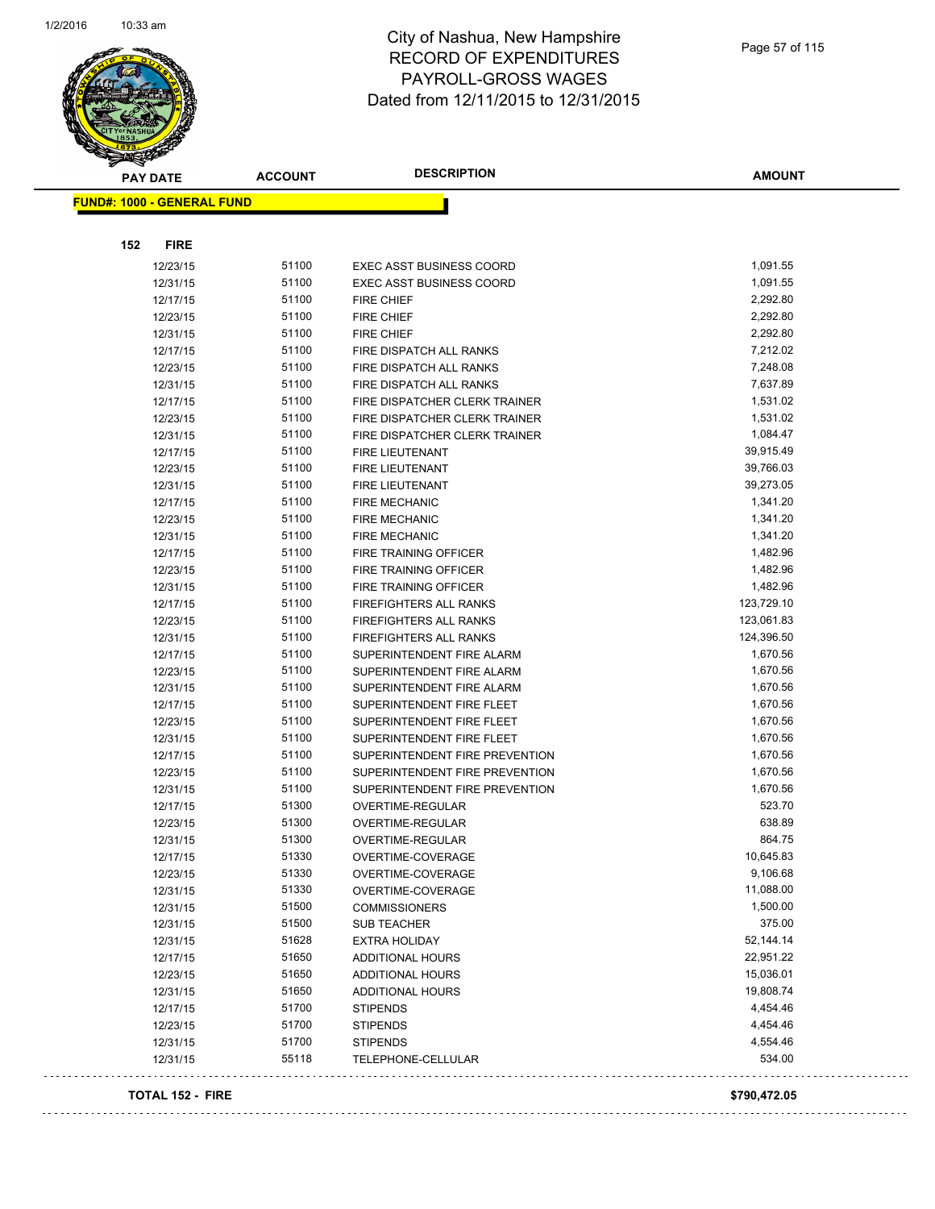$\Box$  .



#### City of Nashua, New Hampshire RECORD OF EXPENDITURES PAYROLL-GROSS WAGES Dated from 12/11/2015 to 12/31/2015

 $\hat{\tau}$  is  $\hat{\tau}$  .

| <b>PAY DATE</b>                   | <b>ACCOUNT</b> | <b>DESCRIPTION</b>                                     | <b>AMOUNT</b>            |
|-----------------------------------|----------------|--------------------------------------------------------|--------------------------|
| <b>FUND#: 1000 - GENERAL FUND</b> |                |                                                        |                          |
|                                   |                |                                                        |                          |
| 152<br><b>FIRE</b>                |                |                                                        |                          |
|                                   | 51100          |                                                        |                          |
| 12/23/15                          | 51100          | <b>EXEC ASST BUSINESS COORD</b>                        | 1,091.55                 |
| 12/31/15                          |                | <b>EXEC ASST BUSINESS COORD</b>                        | 1,091.55                 |
| 12/17/15                          | 51100          | <b>FIRE CHIEF</b>                                      | 2,292.80                 |
| 12/23/15                          | 51100<br>51100 | <b>FIRE CHIEF</b>                                      | 2,292.80<br>2,292.80     |
| 12/31/15                          | 51100          | FIRE CHIEF                                             |                          |
| 12/17/15                          | 51100          | FIRE DISPATCH ALL RANKS                                | 7,212.02                 |
| 12/23/15                          | 51100          | FIRE DISPATCH ALL RANKS<br>FIRE DISPATCH ALL RANKS     | 7,248.08<br>7,637.89     |
| 12/31/15                          | 51100          |                                                        |                          |
| 12/17/15                          | 51100          | FIRE DISPATCHER CLERK TRAINER                          | 1,531.02<br>1,531.02     |
| 12/23/15                          | 51100          | FIRE DISPATCHER CLERK TRAINER                          |                          |
| 12/31/15                          | 51100          | FIRE DISPATCHER CLERK TRAINER                          | 1,084.47<br>39,915.49    |
| 12/17/15                          | 51100          | <b>FIRE LIEUTENANT</b>                                 | 39,766.03                |
| 12/23/15                          | 51100          | <b>FIRE LIEUTENANT</b>                                 | 39,273.05                |
| 12/31/15                          |                | FIRE LIEUTENANT                                        |                          |
| 12/17/15                          | 51100<br>51100 | <b>FIRE MECHANIC</b>                                   | 1,341.20                 |
| 12/23/15                          |                | <b>FIRE MECHANIC</b>                                   | 1,341.20                 |
| 12/31/15                          | 51100<br>51100 | <b>FIRE MECHANIC</b>                                   | 1,341.20<br>1,482.96     |
| 12/17/15                          |                | FIRE TRAINING OFFICER                                  |                          |
| 12/23/15                          | 51100<br>51100 | FIRE TRAINING OFFICER                                  | 1,482.96                 |
| 12/31/15                          | 51100          | <b>FIRE TRAINING OFFICER</b>                           | 1,482.96                 |
| 12/17/15                          | 51100          | FIREFIGHTERS ALL RANKS                                 | 123,729.10<br>123,061.83 |
| 12/23/15                          | 51100          | FIREFIGHTERS ALL RANKS                                 | 124,396.50               |
| 12/31/15                          | 51100          | FIREFIGHTERS ALL RANKS                                 | 1,670.56                 |
| 12/17/15                          | 51100          | SUPERINTENDENT FIRE ALARM<br>SUPERINTENDENT FIRE ALARM | 1,670.56                 |
| 12/23/15<br>12/31/15              | 51100          | SUPERINTENDENT FIRE ALARM                              | 1,670.56                 |
| 12/17/15                          | 51100          | SUPERINTENDENT FIRE FLEET                              | 1,670.56                 |
| 12/23/15                          | 51100          | SUPERINTENDENT FIRE FLEET                              | 1,670.56                 |
| 12/31/15                          | 51100          | SUPERINTENDENT FIRE FLEET                              | 1,670.56                 |
| 12/17/15                          | 51100          | SUPERINTENDENT FIRE PREVENTION                         | 1,670.56                 |
| 12/23/15                          | 51100          | SUPERINTENDENT FIRE PREVENTION                         | 1,670.56                 |
| 12/31/15                          | 51100          | SUPERINTENDENT FIRE PREVENTION                         | 1,670.56                 |
| 12/17/15                          | 51300          | <b>OVERTIME-REGULAR</b>                                | 523.70                   |
| 12/23/15                          | 51300          | OVERTIME-REGULAR                                       | 638.89                   |
| 12/31/15                          | 51300          | <b>OVERTIME-REGULAR</b>                                | 864.75                   |
| 12/17/15                          | 51330          | OVERTIME-COVERAGE                                      | 10,645.83                |
| 12/23/15                          | 51330          | OVERTIME-COVERAGE                                      | 9,106.68                 |
| 12/31/15                          | 51330          | OVERTIME-COVERAGE                                      | 11,088.00                |
| 12/31/15                          | 51500          | <b>COMMISSIONERS</b>                                   | 1,500.00                 |
| 12/31/15                          | 51500          | <b>SUB TEACHER</b>                                     | 375.00                   |
| 12/31/15                          | 51628          | <b>EXTRA HOLIDAY</b>                                   | 52,144.14                |
| 12/17/15                          | 51650          | <b>ADDITIONAL HOURS</b>                                | 22,951.22                |
| 12/23/15                          | 51650          | <b>ADDITIONAL HOURS</b>                                | 15,036.01                |
| 12/31/15                          | 51650          | ADDITIONAL HOURS                                       | 19,808.74                |
| 12/17/15                          | 51700          | <b>STIPENDS</b>                                        | 4,454.46                 |
| 12/23/15                          | 51700          | <b>STIPENDS</b>                                        | 4,454.46                 |
| 12/31/15                          | 51700          | <b>STIPENDS</b>                                        | 4,554.46                 |
| 12/31/15                          | 55118          | TELEPHONE-CELLULAR                                     | 534.00                   |
|                                   |                |                                                        |                          |
| <b>TOTAL 152 - FIRE</b>           |                |                                                        | \$790,472.05             |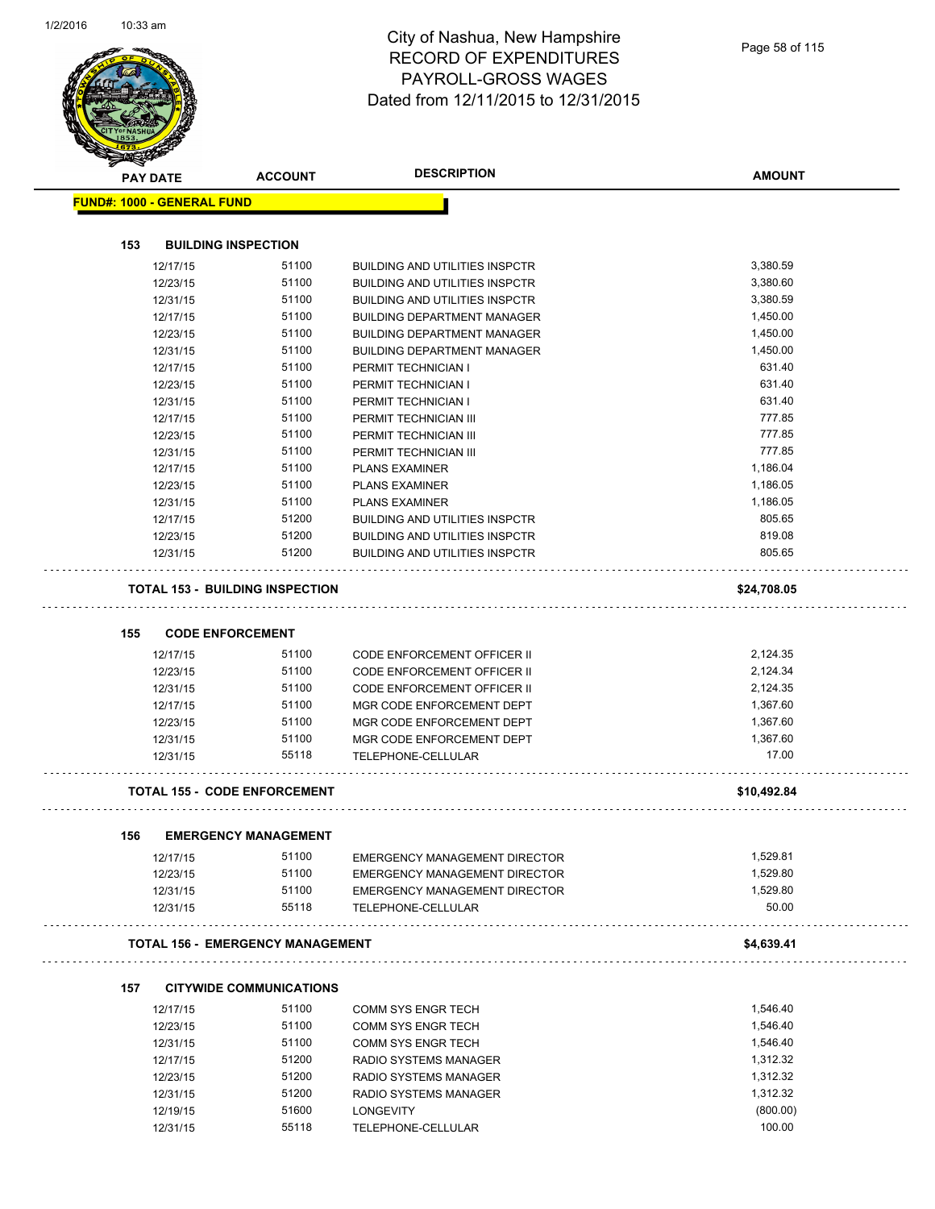|     | PAY DATE                          | <b>ACCOUNT</b>                          | <b>DESCRIPTION</b>                    | <b>AMOUNT</b> |
|-----|-----------------------------------|-----------------------------------------|---------------------------------------|---------------|
|     | <b>FUND#: 1000 - GENERAL FUND</b> |                                         |                                       |               |
|     |                                   |                                         |                                       |               |
| 153 |                                   | <b>BUILDING INSPECTION</b>              |                                       |               |
|     | 12/17/15                          | 51100                                   | <b>BUILDING AND UTILITIES INSPCTR</b> | 3,380.59      |
|     | 12/23/15                          | 51100                                   | <b>BUILDING AND UTILITIES INSPCTR</b> | 3,380.60      |
|     | 12/31/15                          | 51100                                   | <b>BUILDING AND UTILITIES INSPCTR</b> | 3,380.59      |
|     | 12/17/15                          | 51100                                   | <b>BUILDING DEPARTMENT MANAGER</b>    | 1,450.00      |
|     | 12/23/15                          | 51100                                   | <b>BUILDING DEPARTMENT MANAGER</b>    | 1,450.00      |
|     | 12/31/15                          | 51100                                   | <b>BUILDING DEPARTMENT MANAGER</b>    | 1,450.00      |
|     | 12/17/15                          | 51100                                   | PERMIT TECHNICIAN I                   | 631.40        |
|     | 12/23/15                          | 51100                                   | PERMIT TECHNICIAN I                   | 631.40        |
|     | 12/31/15                          | 51100                                   | PERMIT TECHNICIAN I                   | 631.40        |
|     | 12/17/15                          | 51100                                   | PERMIT TECHNICIAN III                 | 777.85        |
|     | 12/23/15                          | 51100                                   | PERMIT TECHNICIAN III                 | 777.85        |
|     | 12/31/15                          | 51100                                   | PERMIT TECHNICIAN III                 | 777.85        |
|     | 12/17/15                          | 51100                                   | <b>PLANS EXAMINER</b>                 | 1,186.04      |
|     | 12/23/15                          | 51100                                   | <b>PLANS EXAMINER</b>                 | 1,186.05      |
|     | 12/31/15                          | 51100                                   | <b>PLANS EXAMINER</b>                 | 1,186.05      |
|     | 12/17/15                          | 51200                                   | <b>BUILDING AND UTILITIES INSPCTR</b> | 805.65        |
|     | 12/23/15                          | 51200                                   | <b>BUILDING AND UTILITIES INSPCTR</b> | 819.08        |
|     | 12/31/15                          | 51200                                   | <b>BUILDING AND UTILITIES INSPCTR</b> | 805.65        |
|     |                                   | <b>TOTAL 153 - BUILDING INSPECTION</b>  |                                       | \$24,708.05   |
|     |                                   |                                         |                                       |               |
| 155 |                                   | <b>CODE ENFORCEMENT</b>                 |                                       |               |
|     | 12/17/15                          | 51100                                   | CODE ENFORCEMENT OFFICER II           | 2,124.35      |
|     | 12/23/15                          | 51100                                   | CODE ENFORCEMENT OFFICER II           | 2,124.34      |
|     | 12/31/15                          | 51100                                   | <b>CODE ENFORCEMENT OFFICER II</b>    | 2,124.35      |
|     | 12/17/15                          | 51100                                   | MGR CODE ENFORCEMENT DEPT             | 1,367.60      |
|     | 12/23/15                          | 51100                                   | MGR CODE ENFORCEMENT DEPT             | 1,367.60      |
|     | 12/31/15                          | 51100                                   | MGR CODE ENFORCEMENT DEPT             | 1,367.60      |
|     | 12/31/15                          | 55118                                   | TELEPHONE-CELLULAR                    | 17.00         |
|     |                                   | TOTAL 155 - CODE ENFORCEMENT            |                                       | \$10,492.84   |
|     |                                   |                                         |                                       |               |
| 156 | 12/17/15                          | <b>EMERGENCY MANAGEMENT</b><br>51100    | <b>EMERGENCY MANAGEMENT DIRECTOR</b>  | 1,529.81      |
|     | 12/23/15                          | 51100                                   | <b>EMERGENCY MANAGEMENT DIRECTOR</b>  | 1,529.80      |
|     | 12/31/15                          | 51100                                   | EMERGENCY MANAGEMENT DIRECTOR         | 1,529.80      |
|     | 12/31/15                          | 55118                                   | TELEPHONE-CELLULAR                    | 50.00         |
|     |                                   | <b>TOTAL 156 - EMERGENCY MANAGEMENT</b> |                                       | \$4,639.41    |
|     |                                   |                                         |                                       |               |
| 157 |                                   | <b>CITYWIDE COMMUNICATIONS</b>          |                                       |               |
|     | 12/17/15                          | 51100                                   | <b>COMM SYS ENGR TECH</b>             | 1,546.40      |
|     | 12/23/15                          | 51100                                   | <b>COMM SYS ENGR TECH</b>             | 1,546.40      |
|     | 12/31/15                          | 51100                                   | <b>COMM SYS ENGR TECH</b>             | 1,546.40      |
|     | 12/17/15                          | 51200                                   | RADIO SYSTEMS MANAGER                 | 1,312.32      |
|     | 12/23/15                          | 51200                                   | RADIO SYSTEMS MANAGER                 | 1,312.32      |
|     | 12/31/15                          | 51200                                   | RADIO SYSTEMS MANAGER                 | 1,312.32      |
|     | 12/19/15                          | 51600                                   | <b>LONGEVITY</b>                      | (800.00)      |
|     | 12/31/15                          | 55118                                   | TELEPHONE-CELLULAR                    | 100.00        |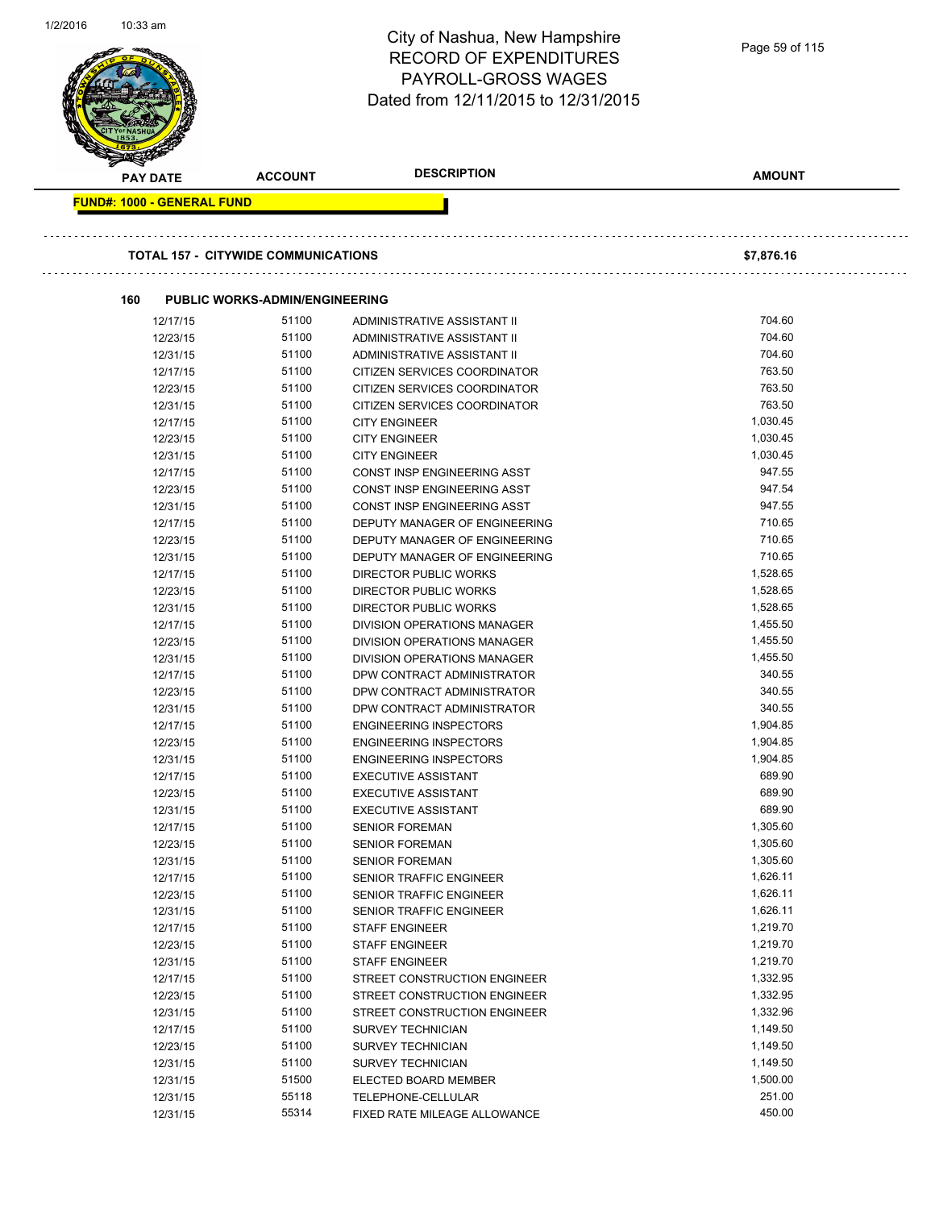| 1/2/2010 | ااااه دد.∪ا                       |                                            | City of Nashua, New Hampshire<br><b>RECORD OF EXPENDITURES</b><br><b>PAYROLL-GROSS WAGES</b><br>Dated from 12/11/2015 to 12/31/2015 | Page 59 of 115       |
|----------|-----------------------------------|--------------------------------------------|-------------------------------------------------------------------------------------------------------------------------------------|----------------------|
|          | <b>PAY DATE</b>                   | <b>ACCOUNT</b>                             | <b>DESCRIPTION</b>                                                                                                                  | <b>AMOUNT</b>        |
|          |                                   |                                            |                                                                                                                                     |                      |
|          | <b>FUND#: 1000 - GENERAL FUND</b> |                                            |                                                                                                                                     |                      |
|          |                                   |                                            |                                                                                                                                     |                      |
|          |                                   | <b>TOTAL 157 - CITYWIDE COMMUNICATIONS</b> |                                                                                                                                     | \$7,876.16           |
|          |                                   |                                            |                                                                                                                                     |                      |
|          | 160                               | <b>PUBLIC WORKS-ADMIN/ENGINEERING</b>      |                                                                                                                                     |                      |
|          | 12/17/15                          | 51100<br>51100                             | ADMINISTRATIVE ASSISTANT II                                                                                                         | 704.60<br>704.60     |
|          | 12/23/15<br>12/31/15              | 51100                                      | ADMINISTRATIVE ASSISTANT II<br>ADMINISTRATIVE ASSISTANT II                                                                          | 704.60               |
|          | 12/17/15                          | 51100                                      | CITIZEN SERVICES COORDINATOR                                                                                                        | 763.50               |
|          | 12/23/15                          | 51100                                      | CITIZEN SERVICES COORDINATOR                                                                                                        | 763.50               |
|          | 12/31/15                          | 51100                                      | CITIZEN SERVICES COORDINATOR                                                                                                        | 763.50               |
|          | 12/17/15                          | 51100                                      | <b>CITY ENGINEER</b>                                                                                                                | 1,030.45             |
|          | 12/23/15                          | 51100                                      | <b>CITY ENGINEER</b>                                                                                                                | 1,030.45             |
|          | 12/31/15                          | 51100                                      | <b>CITY ENGINEER</b>                                                                                                                | 1,030.45             |
|          | 12/17/15                          | 51100                                      | CONST INSP ENGINEERING ASST                                                                                                         | 947.55               |
|          | 12/23/15                          | 51100                                      | CONST INSP ENGINEERING ASST                                                                                                         | 947.54               |
|          | 12/31/15                          | 51100                                      | CONST INSP ENGINEERING ASST                                                                                                         | 947.55               |
|          | 12/17/15                          | 51100                                      | DEPUTY MANAGER OF ENGINEERING                                                                                                       | 710.65               |
|          | 12/23/15                          | 51100                                      | DEPUTY MANAGER OF ENGINEERING                                                                                                       | 710.65               |
|          | 12/31/15                          | 51100                                      | DEPUTY MANAGER OF ENGINEERING                                                                                                       | 710.65               |
|          | 12/17/15                          | 51100                                      | <b>DIRECTOR PUBLIC WORKS</b>                                                                                                        | 1,528.65             |
|          | 12/23/15                          | 51100                                      | DIRECTOR PUBLIC WORKS                                                                                                               | 1,528.65             |
|          | 12/31/15                          | 51100                                      | DIRECTOR PUBLIC WORKS                                                                                                               | 1,528.65             |
|          | 12/17/15                          | 51100                                      | DIVISION OPERATIONS MANAGER                                                                                                         | 1,455.50             |
|          | 12/23/15                          | 51100                                      | DIVISION OPERATIONS MANAGER                                                                                                         | 1,455.50             |
|          | 12/31/15                          | 51100                                      | DIVISION OPERATIONS MANAGER                                                                                                         | 1,455.50             |
|          | 12/17/15                          | 51100                                      | DPW CONTRACT ADMINISTRATOR                                                                                                          | 340.55               |
|          | 12/23/15                          | 51100                                      | DPW CONTRACT ADMINISTRATOR                                                                                                          | 340.55               |
|          | 12/31/15                          | 51100                                      | DPW CONTRACT ADMINISTRATOR                                                                                                          | 340.55               |
|          | 12/17/15                          | 51100                                      | <b>ENGINEERING INSPECTORS</b>                                                                                                       | 1,904.85             |
|          | 12/23/15                          | 51100                                      | ENGINEERING INSPECTORS                                                                                                              | 1,904.85             |
|          | 12/31/15                          | 51100                                      | <b>ENGINEERING INSPECTORS</b>                                                                                                       | 1,904.85             |
|          | 12/17/15                          | 51100                                      | <b>EXECUTIVE ASSISTANT</b>                                                                                                          | 689.90               |
|          | 12/23/15                          | 51100                                      | <b>EXECUTIVE ASSISTANT</b>                                                                                                          | 689.90               |
|          | 12/31/15                          | 51100                                      | <b>EXECUTIVE ASSISTANT</b>                                                                                                          | 689.90               |
|          | 12/17/15                          | 51100                                      | <b>SENIOR FOREMAN</b>                                                                                                               | 1,305.60             |
|          | 12/23/15                          | 51100                                      | <b>SENIOR FOREMAN</b>                                                                                                               | 1,305.60             |
|          | 12/31/15                          | 51100                                      | <b>SENIOR FOREMAN</b>                                                                                                               | 1,305.60             |
|          | 12/17/15                          | 51100                                      | SENIOR TRAFFIC ENGINEER                                                                                                             | 1,626.11             |
|          | 12/23/15                          | 51100                                      | SENIOR TRAFFIC ENGINEER                                                                                                             | 1,626.11             |
|          | 12/31/15                          | 51100<br>51100                             | SENIOR TRAFFIC ENGINEER                                                                                                             | 1,626.11<br>1,219.70 |
|          | 12/17/15<br>12/23/15              | 51100                                      | <b>STAFF ENGINEER</b>                                                                                                               | 1,219.70             |
|          |                                   | 51100                                      | <b>STAFF ENGINEER</b>                                                                                                               | 1,219.70             |
|          | 12/31/15<br>12/17/15              | 51100                                      | <b>STAFF ENGINEER</b><br>STREET CONSTRUCTION ENGINEER                                                                               | 1,332.95             |
|          | 12/23/15                          | 51100                                      | STREET CONSTRUCTION ENGINEER                                                                                                        | 1,332.95             |
|          | 12/31/15                          | 51100                                      | STREET CONSTRUCTION ENGINEER                                                                                                        | 1,332.96             |
|          | 12/17/15                          | 51100                                      | <b>SURVEY TECHNICIAN</b>                                                                                                            | 1,149.50             |
|          | 12/23/15                          | 51100                                      | <b>SURVEY TECHNICIAN</b>                                                                                                            | 1,149.50             |
|          | 12/31/15                          | 51100                                      | <b>SURVEY TECHNICIAN</b>                                                                                                            | 1,149.50             |
|          | 12/31/15                          | 51500                                      | ELECTED BOARD MEMBER                                                                                                                | 1,500.00             |
|          | 12/31/15                          | 55118                                      | TELEPHONE-CELLULAR                                                                                                                  | 251.00               |
|          | 12/31/15                          | 55314                                      | FIXED RATE MILEAGE ALLOWANCE                                                                                                        | 450.00               |
|          |                                   |                                            |                                                                                                                                     |                      |

1/2/2016 10:33 am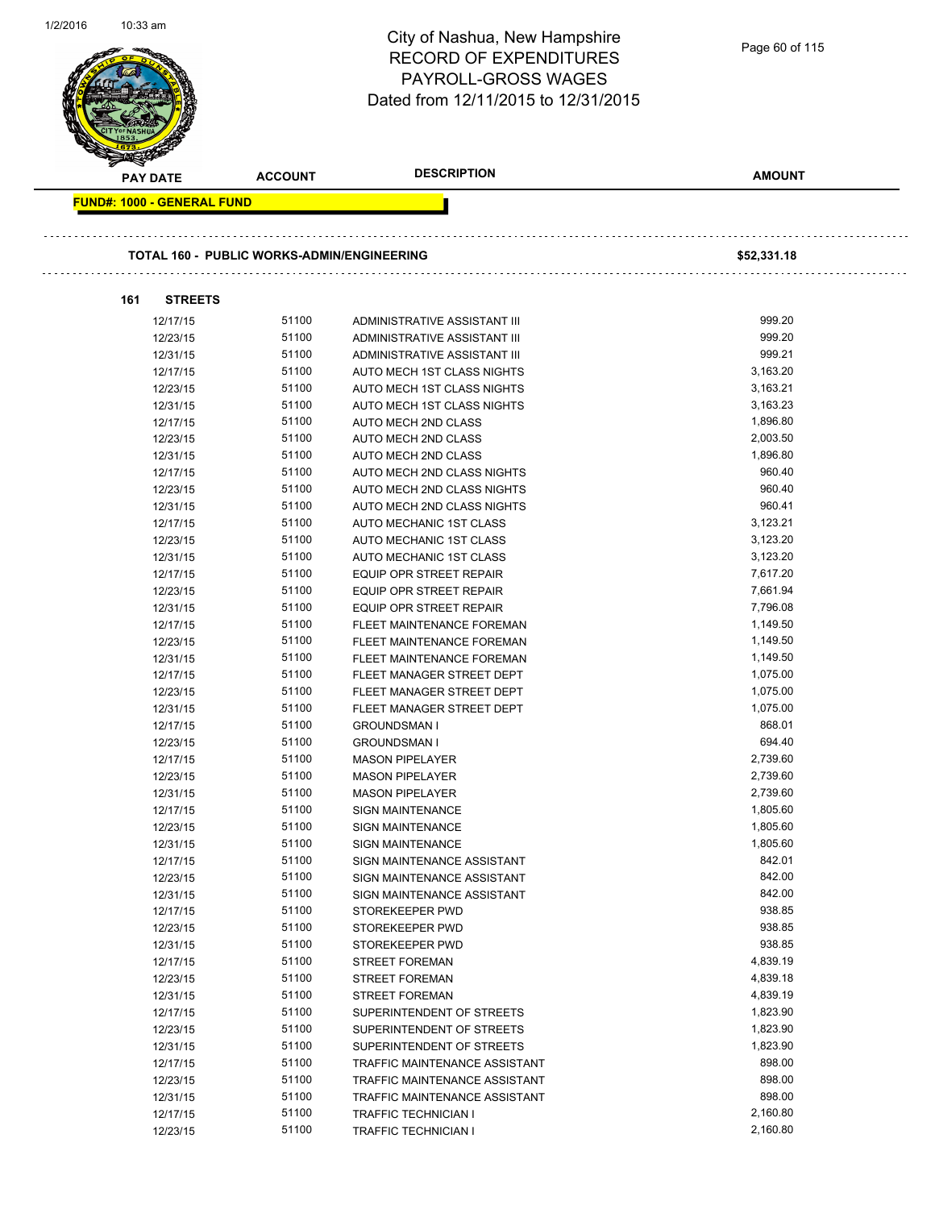|                                   |                                                   | City of Nashua, New Hampshire<br><b>RECORD OF EXPENDITURES</b><br><b>PAYROLL-GROSS WAGES</b><br>Dated from 12/11/2015 to 12/31/2015 | Page 60 of 115     |
|-----------------------------------|---------------------------------------------------|-------------------------------------------------------------------------------------------------------------------------------------|--------------------|
| <b>PAY DATE</b>                   | <b>ACCOUNT</b>                                    | <b>DESCRIPTION</b>                                                                                                                  | <b>AMOUNT</b>      |
| <b>FUND#: 1000 - GENERAL FUND</b> | <b>TOTAL 160 - PUBLIC WORKS-ADMIN/ENGINEERING</b> |                                                                                                                                     | \$52,331.18        |
| <b>STREETS</b><br>161             |                                                   |                                                                                                                                     |                    |
| 12/17/15                          | 51100                                             | ADMINISTRATIVE ASSISTANT III                                                                                                        | 999.20             |
| 12/23/15                          | 51100                                             | ADMINISTRATIVE ASSISTANT III                                                                                                        | 999.20             |
| 12/31/15                          | 51100                                             | ADMINISTRATIVE ASSISTANT III                                                                                                        | 999.21             |
| 12/17/15                          | 51100                                             | AUTO MECH 1ST CLASS NIGHTS                                                                                                          | 3,163.20           |
| 12/23/15                          | 51100                                             | AUTO MECH 1ST CLASS NIGHTS                                                                                                          | 3,163.21           |
| 12/31/15                          | 51100                                             | AUTO MECH 1ST CLASS NIGHTS                                                                                                          | 3,163.23           |
| 12/17/15                          | 51100                                             | AUTO MECH 2ND CLASS                                                                                                                 | 1,896.80           |
| 12/23/15                          | 51100                                             | AUTO MECH 2ND CLASS                                                                                                                 | 2,003.50           |
| 12/31/15                          | 51100                                             | AUTO MECH 2ND CLASS                                                                                                                 | 1,896.80           |
| 12/17/15                          | 51100<br>51100                                    | AUTO MECH 2ND CLASS NIGHTS                                                                                                          | 960.40<br>960.40   |
| 12/23/15                          | 51100                                             | AUTO MECH 2ND CLASS NIGHTS                                                                                                          | 960.41             |
| 12/31/15<br>12/17/15              | 51100                                             | AUTO MECH 2ND CLASS NIGHTS<br>AUTO MECHANIC 1ST CLASS                                                                               | 3,123.21           |
| 12/23/15                          | 51100                                             | AUTO MECHANIC 1ST CLASS                                                                                                             | 3,123.20           |
| 12/31/15                          | 51100                                             | AUTO MECHANIC 1ST CLASS                                                                                                             | 3,123.20           |
| 12/17/15                          | 51100                                             | <b>EQUIP OPR STREET REPAIR</b>                                                                                                      | 7,617.20           |
| 12/23/15                          | 51100                                             | EQUIP OPR STREET REPAIR                                                                                                             | 7,661.94           |
| 12/31/15                          | 51100                                             | <b>EQUIP OPR STREET REPAIR</b>                                                                                                      | 7,796.08           |
| 12/17/15                          | 51100                                             | FLEET MAINTENANCE FOREMAN                                                                                                           | 1,149.50           |
| 12/23/15                          | 51100                                             | FLEET MAINTENANCE FOREMAN                                                                                                           | 1,149.50           |
| 12/31/15                          | 51100                                             | FLEET MAINTENANCE FOREMAN                                                                                                           | 1,149.50           |
| 12/17/15                          | 51100                                             | FLEET MANAGER STREET DEPT                                                                                                           | 1,075.00           |
| 12/23/15                          | 51100                                             | FLEET MANAGER STREET DEPT                                                                                                           | 1,075.00           |
| 12/31/15                          | 51100                                             | FLEET MANAGER STREET DEPT                                                                                                           | 1,075.00           |
| 12/17/15                          | 51100                                             | <b>GROUNDSMAN I</b>                                                                                                                 | 868.01             |
| 12/23/15                          | 51100                                             | <b>GROUNDSMAN I</b>                                                                                                                 | 694.40             |
| 12/17/15                          | 51100                                             | <b>MASON PIPELAYER</b>                                                                                                              | 2,739.60           |
| 12/23/15                          | 51100                                             | <b>MASON PIPELAYER</b>                                                                                                              | 2,739.60           |
| 12/31/15                          | 51100                                             | <b>MASON PIPELAYER</b>                                                                                                              | 2,739.60           |
| 12/17/15                          | 51100                                             | <b>SIGN MAINTENANCE</b>                                                                                                             | 1,805.60           |
| 12/23/15                          | 51100                                             | <b>SIGN MAINTENANCE</b>                                                                                                             | 1,805.60           |
| 12/31/15                          | 51100<br>51100                                    | <b>SIGN MAINTENANCE</b><br>SIGN MAINTENANCE ASSISTANT                                                                               | 1,805.60<br>842.01 |
| 12/17/15<br>12/23/15              | 51100                                             | SIGN MAINTENANCE ASSISTANT                                                                                                          | 842.00             |
| 12/31/15                          | 51100                                             | SIGN MAINTENANCE ASSISTANT                                                                                                          | 842.00             |
| 12/17/15                          | 51100                                             | STOREKEEPER PWD                                                                                                                     | 938.85             |
| 12/23/15                          | 51100                                             | STOREKEEPER PWD                                                                                                                     | 938.85             |
| 12/31/15                          | 51100                                             | STOREKEEPER PWD                                                                                                                     | 938.85             |
| 12/17/15                          | 51100                                             | <b>STREET FOREMAN</b>                                                                                                               | 4,839.19           |
| 12/23/15                          | 51100                                             | <b>STREET FOREMAN</b>                                                                                                               | 4,839.18           |
| 12/31/15                          | 51100                                             | STREET FOREMAN                                                                                                                      | 4,839.19           |
| 12/17/15                          | 51100                                             | SUPERINTENDENT OF STREETS                                                                                                           | 1,823.90           |
| 12/23/15                          | 51100                                             | SUPERINTENDENT OF STREETS                                                                                                           | 1,823.90           |
| 12/31/15                          | 51100                                             | SUPERINTENDENT OF STREETS                                                                                                           | 1,823.90           |
| 12/17/15                          | 51100                                             | TRAFFIC MAINTENANCE ASSISTANT                                                                                                       | 898.00             |
| 12/23/15                          | 51100                                             | TRAFFIC MAINTENANCE ASSISTANT                                                                                                       | 898.00             |
| 12/31/15                          | 51100                                             | TRAFFIC MAINTENANCE ASSISTANT                                                                                                       | 898.00             |
| 12/17/15                          | 51100                                             | TRAFFIC TECHNICIAN I                                                                                                                | 2,160.80           |

1/2/2016 10:33 am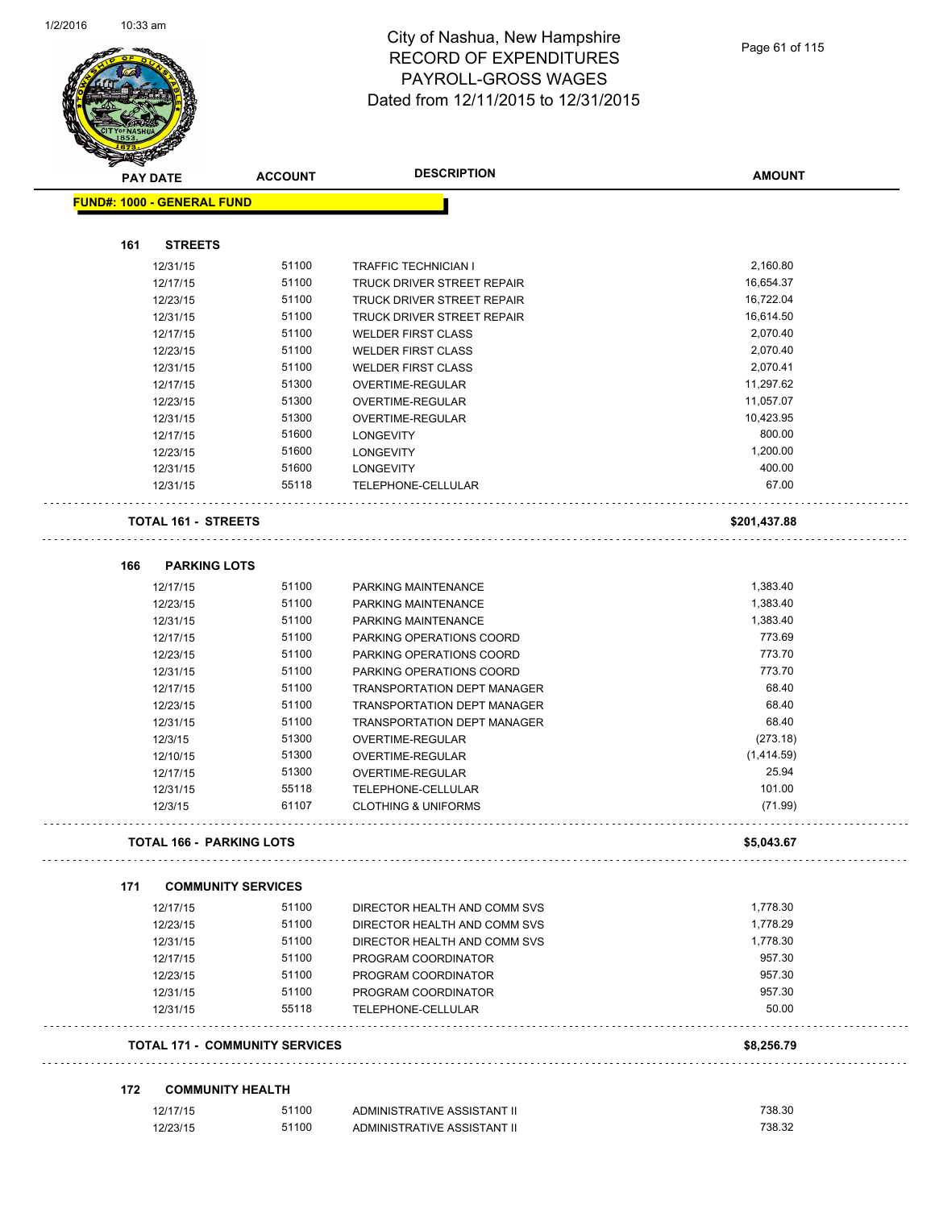$\overline{a}$ 



|     | <b>PAY DATE</b>                   | <b>ACCOUNT</b>                        | <b>DESCRIPTION</b>                                          | <b>AMOUNT</b>     |
|-----|-----------------------------------|---------------------------------------|-------------------------------------------------------------|-------------------|
|     | <b>FUND#: 1000 - GENERAL FUND</b> |                                       |                                                             |                   |
|     |                                   |                                       |                                                             |                   |
| 161 | <b>STREETS</b>                    |                                       |                                                             |                   |
|     | 12/31/15                          | 51100                                 | <b>TRAFFIC TECHNICIAN I</b>                                 | 2,160.80          |
|     | 12/17/15                          | 51100                                 | TRUCK DRIVER STREET REPAIR                                  | 16,654.37         |
|     | 12/23/15                          | 51100                                 | TRUCK DRIVER STREET REPAIR                                  | 16,722.04         |
|     | 12/31/15                          | 51100                                 | TRUCK DRIVER STREET REPAIR                                  | 16,614.50         |
|     | 12/17/15                          | 51100                                 | <b>WELDER FIRST CLASS</b>                                   | 2,070.40          |
|     | 12/23/15                          | 51100                                 | <b>WELDER FIRST CLASS</b>                                   | 2,070.40          |
|     | 12/31/15                          | 51100                                 | <b>WELDER FIRST CLASS</b>                                   | 2,070.41          |
|     | 12/17/15                          | 51300                                 | OVERTIME-REGULAR                                            | 11,297.62         |
|     | 12/23/15                          | 51300                                 | OVERTIME-REGULAR                                            | 11,057.07         |
|     | 12/31/15                          | 51300                                 | OVERTIME-REGULAR                                            | 10,423.95         |
|     | 12/17/15                          | 51600                                 | <b>LONGEVITY</b>                                            | 800.00            |
|     | 12/23/15                          | 51600                                 | <b>LONGEVITY</b>                                            | 1,200.00          |
|     | 12/31/15                          | 51600                                 | <b>LONGEVITY</b>                                            | 400.00            |
|     | 12/31/15                          | 55118                                 | TELEPHONE-CELLULAR                                          | 67.00             |
|     | <b>TOTAL 161 - STREETS</b>        |                                       |                                                             | \$201,437.88      |
|     |                                   |                                       |                                                             |                   |
| 166 | <b>PARKING LOTS</b><br>12/17/15   |                                       |                                                             |                   |
|     |                                   | 51100                                 | PARKING MAINTENANCE                                         | 1,383.40          |
|     | 12/23/15                          | 51100                                 | PARKING MAINTENANCE                                         | 1,383.40          |
|     | 12/31/15                          | 51100                                 | PARKING MAINTENANCE                                         | 1,383.40          |
|     | 12/17/15                          | 51100                                 | PARKING OPERATIONS COORD                                    | 773.69<br>773.70  |
|     | 12/23/15                          | 51100<br>51100                        | PARKING OPERATIONS COORD                                    | 773.70            |
|     | 12/31/15                          |                                       | PARKING OPERATIONS COORD                                    |                   |
|     | 12/17/15                          | 51100                                 | TRANSPORTATION DEPT MANAGER                                 | 68.40             |
|     | 12/23/15                          | 51100                                 | <b>TRANSPORTATION DEPT MANAGER</b>                          | 68.40<br>68.40    |
|     | 12/31/15                          | 51100                                 | <b>TRANSPORTATION DEPT MANAGER</b>                          |                   |
|     | 12/3/15                           | 51300                                 | OVERTIME-REGULAR                                            | (273.18)          |
|     | 12/10/15                          | 51300                                 | OVERTIME-REGULAR                                            | (1,414.59)        |
|     | 12/17/15                          | 51300                                 | OVERTIME-REGULAR                                            | 25.94             |
|     | 12/31/15<br>12/3/15               | 55118<br>61107                        | <b>TELEPHONE-CELLULAR</b><br><b>CLOTHING &amp; UNIFORMS</b> | 101.00<br>(71.99) |
|     |                                   |                                       |                                                             |                   |
|     | <b>TOTAL 166 - PARKING LOTS</b>   |                                       |                                                             | \$5,043.67        |
| 171 | <b>COMMUNITY SERVICES</b>         |                                       |                                                             |                   |
|     | 12/17/15                          | 51100                                 | DIRECTOR HEALTH AND COMM SVS                                | 1,778.30          |
|     | 12/23/15                          | 51100                                 | DIRECTOR HEALTH AND COMM SVS                                | 1,778.29          |
|     | 12/31/15                          | 51100                                 | DIRECTOR HEALTH AND COMM SVS                                | 1.778.30          |
|     | 12/17/15                          | 51100                                 | PROGRAM COORDINATOR                                         | 957.30            |
|     | 12/23/15                          | 51100                                 | PROGRAM COORDINATOR                                         | 957.30            |
|     | 12/31/15                          | 51100                                 | PROGRAM COORDINATOR                                         | 957.30            |
|     | 12/31/15                          | 55118                                 | TELEPHONE-CELLULAR                                          | 50.00             |
|     |                                   | <b>TOTAL 171 - COMMUNITY SERVICES</b> |                                                             | \$8,256.79        |
| 172 | <b>COMMUNITY HEALTH</b>           |                                       |                                                             |                   |
|     | 12/17/15                          | 51100                                 | ADMINISTRATIVE ASSISTANT II                                 | 738.30            |
|     | 12/23/15                          | 51100                                 | ADMINISTRATIVE ASSISTANT II                                 | 738.32            |
|     |                                   |                                       |                                                             |                   |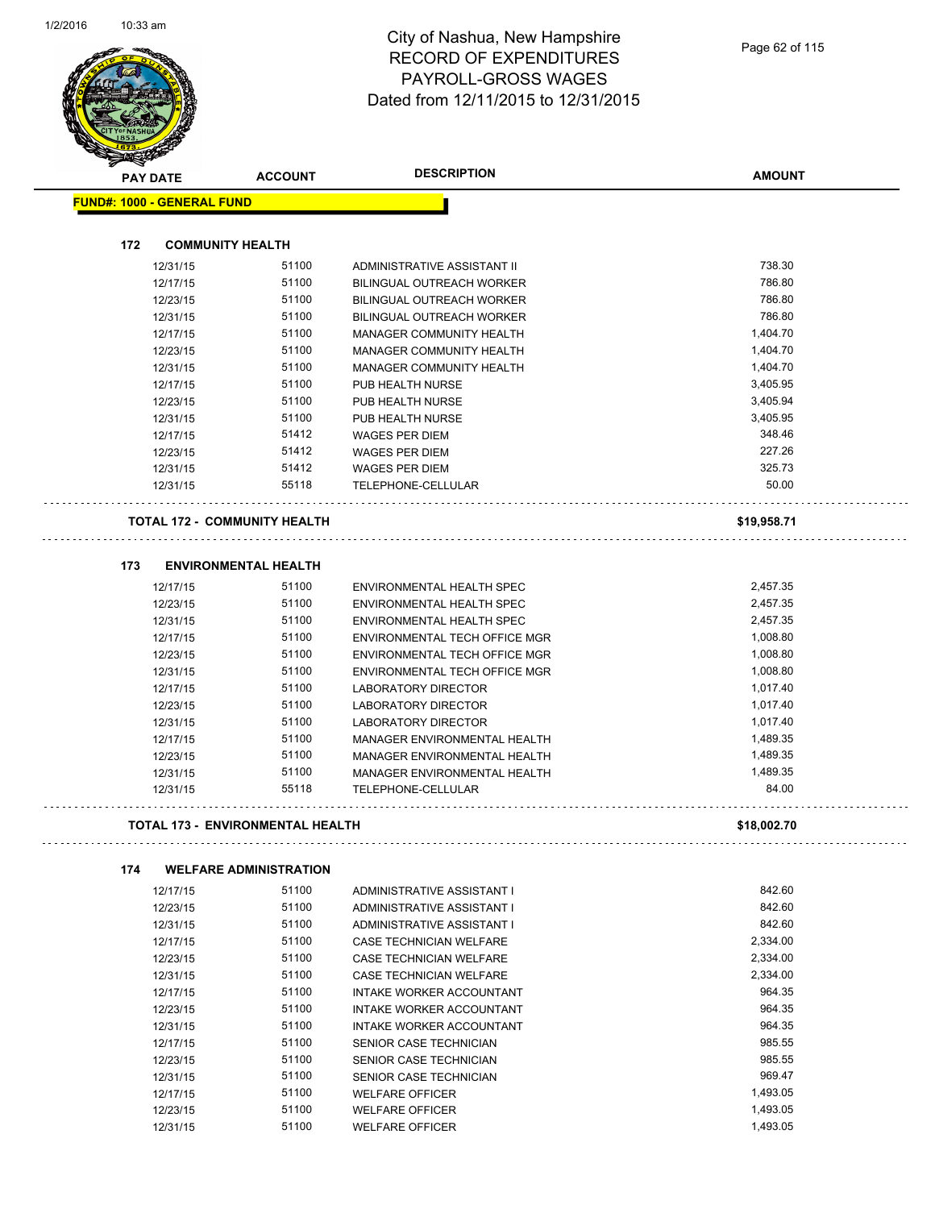

|     | <b>PAY DATE</b>                         | <b>ACCOUNT</b>                | <b>DESCRIPTION</b>                               | <b>AMOUNT</b> |
|-----|-----------------------------------------|-------------------------------|--------------------------------------------------|---------------|
|     | <b>FUND#: 1000 - GENERAL FUND</b>       |                               |                                                  |               |
|     |                                         |                               |                                                  |               |
| 172 | <b>COMMUNITY HEALTH</b>                 |                               |                                                  |               |
|     | 12/31/15                                | 51100                         | ADMINISTRATIVE ASSISTANT II                      | 738.30        |
|     | 12/17/15                                | 51100                         | <b>BILINGUAL OUTREACH WORKER</b>                 | 786.80        |
|     | 12/23/15                                | 51100                         | BILINGUAL OUTREACH WORKER                        | 786.80        |
|     | 12/31/15                                | 51100                         | BILINGUAL OUTREACH WORKER                        | 786.80        |
|     | 12/17/15                                | 51100                         | MANAGER COMMUNITY HEALTH                         | 1,404.70      |
|     | 12/23/15                                | 51100                         | MANAGER COMMUNITY HEALTH                         | 1,404.70      |
|     | 12/31/15                                | 51100                         | MANAGER COMMUNITY HEALTH                         | 1,404.70      |
|     | 12/17/15                                | 51100                         | PUB HEALTH NURSE                                 | 3,405.95      |
|     | 12/23/15                                | 51100                         | PUB HEALTH NURSE                                 | 3,405.94      |
|     | 12/31/15                                | 51100                         | PUB HEALTH NURSE                                 | 3,405.95      |
|     | 12/17/15                                | 51412                         | <b>WAGES PER DIEM</b>                            | 348.46        |
|     | 12/23/15                                | 51412                         | <b>WAGES PER DIEM</b>                            | 227.26        |
|     | 12/31/15                                | 51412                         | <b>WAGES PER DIEM</b>                            | 325.73        |
|     | 12/31/15                                | 55118                         | TELEPHONE-CELLULAR                               | 50.00         |
|     | <b>TOTAL 172 - COMMUNITY HEALTH</b>     |                               |                                                  | \$19,958.71   |
|     |                                         |                               |                                                  |               |
| 173 |                                         | <b>ENVIRONMENTAL HEALTH</b>   |                                                  |               |
|     | 12/17/15                                | 51100                         | <b>ENVIRONMENTAL HEALTH SPEC</b>                 | 2,457.35      |
|     | 12/23/15                                | 51100                         | ENVIRONMENTAL HEALTH SPEC                        | 2,457.35      |
|     | 12/31/15                                | 51100                         | ENVIRONMENTAL HEALTH SPEC                        | 2,457.35      |
|     | 12/17/15                                | 51100                         | ENVIRONMENTAL TECH OFFICE MGR                    | 1,008.80      |
|     | 12/23/15                                | 51100                         | ENVIRONMENTAL TECH OFFICE MGR                    | 1,008.80      |
|     | 12/31/15                                | 51100                         | ENVIRONMENTAL TECH OFFICE MGR                    | 1,008.80      |
|     | 12/17/15                                | 51100                         | LABORATORY DIRECTOR                              | 1,017.40      |
|     | 12/23/15                                | 51100                         | LABORATORY DIRECTOR                              | 1,017.40      |
|     | 12/31/15                                | 51100                         | <b>LABORATORY DIRECTOR</b>                       | 1,017.40      |
|     | 12/17/15                                | 51100                         | MANAGER ENVIRONMENTAL HEALTH                     | 1,489.35      |
|     | 12/23/15                                | 51100                         | MANAGER ENVIRONMENTAL HEALTH                     | 1,489.35      |
|     | 12/31/15                                | 51100                         | MANAGER ENVIRONMENTAL HEALTH                     | 1,489.35      |
|     | 12/31/15                                | 55118                         | TELEPHONE-CELLULAR                               | 84.00         |
|     | <b>TOTAL 173 - ENVIRONMENTAL HEALTH</b> |                               |                                                  | \$18,002.70   |
| 174 |                                         | <b>WELFARE ADMINISTRATION</b> |                                                  |               |
|     | 12/17/15                                | 51100                         | ADMINISTRATIVE ASSISTANT I                       | 842.60        |
|     | 12/23/15                                | 51100                         | ADMINISTRATIVE ASSISTANT I                       | 842.60        |
|     | 12/31/15                                | 51100                         | ADMINISTRATIVE ASSISTANT I                       | 842.60        |
|     | 12/17/15                                | 51100                         | CASE TECHNICIAN WELFARE                          | 2,334.00      |
|     | 12/23/15                                | 51100                         | CASE TECHNICIAN WELFARE                          | 2,334.00      |
|     | 12/31/15                                | 51100                         | CASE TECHNICIAN WELFARE                          | 2,334.00      |
|     | 12/17/15                                | 51100                         | INTAKE WORKER ACCOUNTANT                         | 964.35        |
|     | 12/23/15                                | 51100                         | INTAKE WORKER ACCOUNTANT                         | 964.35        |
|     | 12/31/15                                | 51100                         | INTAKE WORKER ACCOUNTANT                         | 964.35        |
|     | 12/17/15                                | 51100                         | SENIOR CASE TECHNICIAN                           | 985.55        |
|     |                                         | 51100                         |                                                  | 985.55        |
|     | 12/23/15                                | 51100                         | SENIOR CASE TECHNICIAN<br>SENIOR CASE TECHNICIAN | 969.47        |
|     | 12/31/15                                | 51100                         |                                                  | 1,493.05      |
|     | 12/17/15                                | 51100                         | <b>WELFARE OFFICER</b>                           | 1,493.05      |
|     | 12/23/15                                |                               | <b>WELFARE OFFICER</b>                           |               |
|     | 12/31/15                                | 51100                         | <b>WELFARE OFFICER</b>                           | 1,493.05      |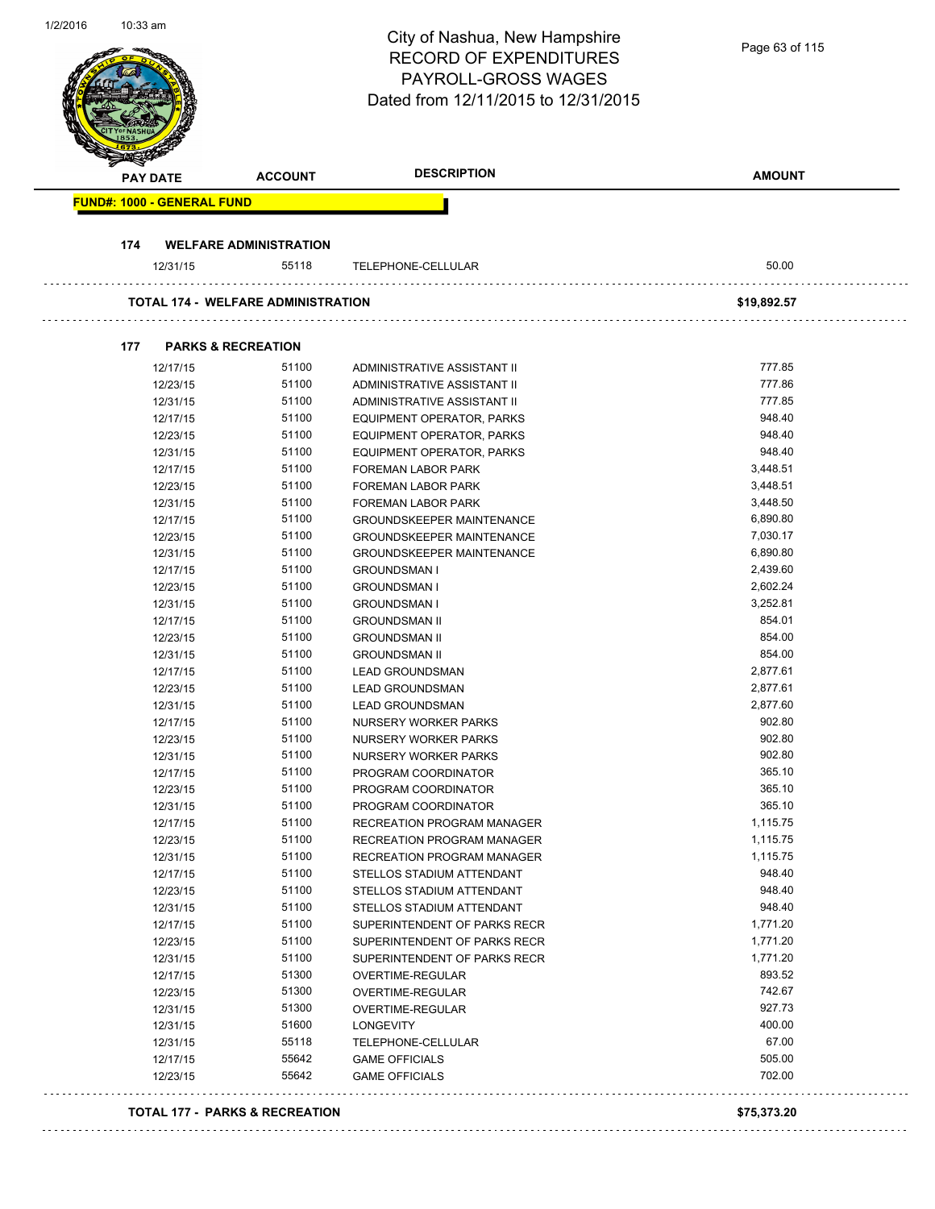| 1/2/2016 | 10:33 am |                      |                                           | City of Nashua, New Hampshire<br><b>RECORD OF EXPENDITURES</b><br><b>PAYROLL-GROSS WAGES</b><br>Dated from 12/11/2015 to 12/31/2015 | Page 63 of 115       |
|----------|----------|----------------------|-------------------------------------------|-------------------------------------------------------------------------------------------------------------------------------------|----------------------|
|          |          | <b>PAY DATE</b>      | <b>ACCOUNT</b>                            | <b>DESCRIPTION</b>                                                                                                                  | <b>AMOUNT</b>        |
|          |          |                      | <b>FUND#: 1000 - GENERAL FUND</b>         |                                                                                                                                     |                      |
|          |          |                      |                                           |                                                                                                                                     |                      |
|          | 174      |                      | <b>WELFARE ADMINISTRATION</b>             |                                                                                                                                     |                      |
|          |          | 12/31/15             | 55118                                     | TELEPHONE-CELLULAR                                                                                                                  | 50.00                |
|          |          |                      | TOTAL 174 - WELFARE ADMINISTRATION        |                                                                                                                                     | \$19,892.57          |
|          | 177      |                      | <b>PARKS &amp; RECREATION</b>             |                                                                                                                                     |                      |
|          |          | 12/17/15             | 51100                                     | ADMINISTRATIVE ASSISTANT II                                                                                                         | 777.85               |
|          |          | 12/23/15             | 51100                                     | ADMINISTRATIVE ASSISTANT II                                                                                                         | 777.86               |
|          |          | 12/31/15             | 51100                                     | ADMINISTRATIVE ASSISTANT II                                                                                                         | 777.85               |
|          |          | 12/17/15             | 51100                                     | <b>EQUIPMENT OPERATOR, PARKS</b>                                                                                                    | 948.40               |
|          |          | 12/23/15             | 51100                                     | EQUIPMENT OPERATOR, PARKS                                                                                                           | 948.40               |
|          |          | 12/31/15             | 51100                                     | <b>EQUIPMENT OPERATOR, PARKS</b>                                                                                                    | 948.40               |
|          |          | 12/17/15             | 51100<br>51100                            | <b>FOREMAN LABOR PARK</b>                                                                                                           | 3,448.51<br>3,448.51 |
|          |          | 12/23/15<br>12/31/15 | 51100                                     | FOREMAN LABOR PARK<br>FOREMAN LABOR PARK                                                                                            | 3,448.50             |
|          |          | 12/17/15             | 51100                                     | <b>GROUNDSKEEPER MAINTENANCE</b>                                                                                                    | 6,890.80             |
|          |          | 12/23/15             | 51100                                     | <b>GROUNDSKEEPER MAINTENANCE</b>                                                                                                    | 7,030.17             |
|          |          | 12/31/15             | 51100                                     | <b>GROUNDSKEEPER MAINTENANCE</b>                                                                                                    | 6,890.80             |
|          |          | 12/17/15             | 51100                                     | <b>GROUNDSMAN I</b>                                                                                                                 | 2,439.60             |
|          |          | 12/23/15             | 51100                                     | <b>GROUNDSMAN I</b>                                                                                                                 | 2,602.24             |
|          |          | 12/31/15             | 51100                                     | <b>GROUNDSMAN I</b>                                                                                                                 | 3,252.81             |
|          |          | 12/17/15             | 51100                                     | <b>GROUNDSMAN II</b>                                                                                                                | 854.01               |
|          |          | 12/23/15             | 51100                                     | <b>GROUNDSMAN II</b>                                                                                                                | 854.00               |
|          |          | 12/31/15             | 51100                                     | <b>GROUNDSMAN II</b>                                                                                                                | 854.00               |
|          |          | 12/17/15             | 51100                                     | <b>LEAD GROUNDSMAN</b>                                                                                                              | 2,877.61             |
|          |          | 12/23/15             | 51100                                     | <b>LEAD GROUNDSMAN</b>                                                                                                              | 2,877.61             |
|          |          | 12/31/15             | 51100                                     | LEAD GROUNDSMAN                                                                                                                     | 2,877.60             |
|          |          | 12/17/15             | 51100                                     | NURSERY WORKER PARKS                                                                                                                | 902.80               |
|          |          | 12/23/15             | 51100                                     | NURSERY WORKER PARKS                                                                                                                | 902.80               |
|          |          | 12/31/15             | 51100                                     | NURSERY WORKER PARKS                                                                                                                | 902.80               |
|          |          | 12/17/15             | 51100                                     | PROGRAM COORDINATOR                                                                                                                 | 365.10               |
|          |          | 12/23/15             | 51100                                     | PROGRAM COORDINATOR                                                                                                                 | 365.10               |
|          |          | 12/31/15             | 51100                                     | PROGRAM COORDINATOR                                                                                                                 | 365.10               |
|          |          | 12/17/15             | 51100<br>51100                            | RECREATION PROGRAM MANAGER                                                                                                          | 1,115.75             |
|          |          | 12/23/15<br>12/31/15 | 51100                                     | RECREATION PROGRAM MANAGER<br>RECREATION PROGRAM MANAGER                                                                            | 1,115.75<br>1,115.75 |
|          |          | 12/17/15             | 51100                                     | STELLOS STADIUM ATTENDANT                                                                                                           | 948.40               |
|          |          | 12/23/15             | 51100                                     | STELLOS STADIUM ATTENDANT                                                                                                           | 948.40               |
|          |          | 12/31/15             | 51100                                     | STELLOS STADIUM ATTENDANT                                                                                                           | 948.40               |
|          |          | 12/17/15             | 51100                                     | SUPERINTENDENT OF PARKS RECR                                                                                                        | 1,771.20             |
|          |          | 12/23/15             | 51100                                     | SUPERINTENDENT OF PARKS RECR                                                                                                        | 1,771.20             |
|          |          | 12/31/15             | 51100                                     | SUPERINTENDENT OF PARKS RECR                                                                                                        | 1,771.20             |
|          |          | 12/17/15             | 51300                                     | OVERTIME-REGULAR                                                                                                                    | 893.52               |
|          |          | 12/23/15             | 51300                                     | OVERTIME-REGULAR                                                                                                                    | 742.67               |
|          |          | 12/31/15             | 51300                                     | OVERTIME-REGULAR                                                                                                                    | 927.73               |
|          |          | 12/31/15             | 51600                                     | LONGEVITY                                                                                                                           | 400.00               |
|          |          | 12/31/15             | 55118                                     | TELEPHONE-CELLULAR                                                                                                                  | 67.00                |
|          |          | 12/17/15             | 55642                                     | <b>GAME OFFICIALS</b>                                                                                                               | 505.00               |
|          |          | 12/23/15             | 55642                                     | <b>GAME OFFICIALS</b>                                                                                                               | 702.00               |
|          |          |                      | <b>TOTAL 177 - PARKS &amp; RECREATION</b> |                                                                                                                                     | \$75,373.20          |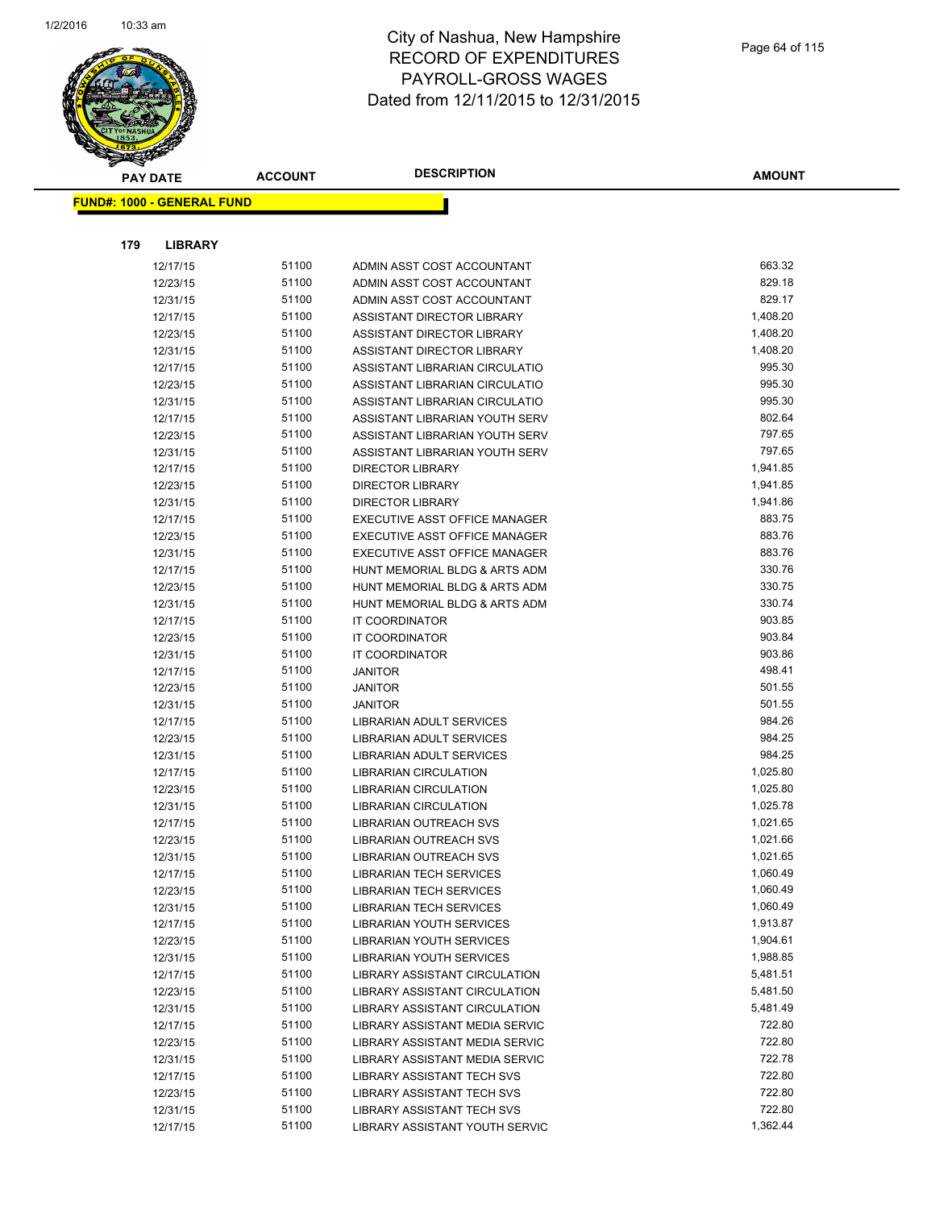

|     | <b>PAY DATE</b>                   | <b>ACCOUNT</b> | <b>DESCRIPTION</b>                                               | <b>AMOUNT</b>    |
|-----|-----------------------------------|----------------|------------------------------------------------------------------|------------------|
|     | <b>FUND#: 1000 - GENERAL FUND</b> |                |                                                                  |                  |
|     |                                   |                |                                                                  |                  |
|     |                                   |                |                                                                  |                  |
| 179 | <b>LIBRARY</b>                    |                |                                                                  |                  |
|     | 12/17/15                          | 51100          | ADMIN ASST COST ACCOUNTANT                                       | 663.32           |
|     | 12/23/15                          | 51100          | ADMIN ASST COST ACCOUNTANT                                       | 829.18           |
|     | 12/31/15                          | 51100          | ADMIN ASST COST ACCOUNTANT                                       | 829.17           |
|     | 12/17/15                          | 51100          | ASSISTANT DIRECTOR LIBRARY                                       | 1,408.20         |
|     | 12/23/15                          | 51100          | ASSISTANT DIRECTOR LIBRARY                                       | 1,408.20         |
|     | 12/31/15                          | 51100          | ASSISTANT DIRECTOR LIBRARY                                       | 1,408.20         |
|     | 12/17/15                          | 51100          | ASSISTANT LIBRARIAN CIRCULATIO                                   | 995.30           |
|     | 12/23/15                          | 51100          | ASSISTANT LIBRARIAN CIRCULATIO                                   | 995.30<br>995.30 |
|     | 12/31/15                          | 51100<br>51100 | ASSISTANT LIBRARIAN CIRCULATIO<br>ASSISTANT LIBRARIAN YOUTH SERV | 802.64           |
|     | 12/17/15<br>12/23/15              | 51100          | ASSISTANT LIBRARIAN YOUTH SERV                                   | 797.65           |
|     | 12/31/15                          | 51100          | ASSISTANT LIBRARIAN YOUTH SERV                                   | 797.65           |
|     | 12/17/15                          | 51100          | <b>DIRECTOR LIBRARY</b>                                          | 1,941.85         |
|     | 12/23/15                          | 51100          | <b>DIRECTOR LIBRARY</b>                                          | 1,941.85         |
|     | 12/31/15                          | 51100          | <b>DIRECTOR LIBRARY</b>                                          | 1,941.86         |
|     | 12/17/15                          | 51100          | EXECUTIVE ASST OFFICE MANAGER                                    | 883.75           |
|     | 12/23/15                          | 51100          | EXECUTIVE ASST OFFICE MANAGER                                    | 883.76           |
|     | 12/31/15                          | 51100          | EXECUTIVE ASST OFFICE MANAGER                                    | 883.76           |
|     | 12/17/15                          | 51100          | HUNT MEMORIAL BLDG & ARTS ADM                                    | 330.76           |
|     | 12/23/15                          | 51100          | HUNT MEMORIAL BLDG & ARTS ADM                                    | 330.75           |
|     | 12/31/15                          | 51100          | HUNT MEMORIAL BLDG & ARTS ADM                                    | 330.74           |
|     | 12/17/15                          | 51100          | IT COORDINATOR                                                   | 903.85           |
|     | 12/23/15                          | 51100          | IT COORDINATOR                                                   | 903.84           |
|     | 12/31/15                          | 51100          | IT COORDINATOR                                                   | 903.86           |
|     | 12/17/15                          | 51100          | <b>JANITOR</b>                                                   | 498.41           |
|     | 12/23/15                          | 51100          | <b>JANITOR</b>                                                   | 501.55           |
|     | 12/31/15                          | 51100          | <b>JANITOR</b>                                                   | 501.55           |
|     | 12/17/15                          | 51100          | LIBRARIAN ADULT SERVICES                                         | 984.26           |
|     | 12/23/15                          | 51100          | LIBRARIAN ADULT SERVICES                                         | 984.25           |
|     | 12/31/15                          | 51100          | LIBRARIAN ADULT SERVICES                                         | 984.25           |
|     | 12/17/15                          | 51100          | <b>LIBRARIAN CIRCULATION</b>                                     | 1,025.80         |
|     | 12/23/15                          | 51100          | LIBRARIAN CIRCULATION                                            | 1,025.80         |
|     | 12/31/15                          | 51100          | LIBRARIAN CIRCULATION                                            | 1,025.78         |
|     | 12/17/15                          | 51100          | LIBRARIAN OUTREACH SVS                                           | 1,021.65         |
|     | 12/23/15                          | 51100          | <b>LIBRARIAN OUTREACH SVS</b>                                    | 1,021.66         |
|     | 12/31/15                          | 51100          | LIBRARIAN OUTREACH SVS                                           | 1,021.65         |
|     | 12/17/15                          | 51100          | <b>LIBRARIAN TECH SERVICES</b>                                   | 1,060.49         |
|     | 12/23/15                          | 51100          | <b>LIBRARIAN TECH SERVICES</b>                                   | 1,060.49         |
|     | 12/31/15                          | 51100          | <b>LIBRARIAN TECH SERVICES</b>                                   | 1,060.49         |
|     | 12/17/15                          | 51100          | <b>LIBRARIAN YOUTH SERVICES</b>                                  | 1,913.87         |
|     | 12/23/15                          | 51100          | <b>LIBRARIAN YOUTH SERVICES</b>                                  | 1,904.61         |
|     | 12/31/15                          | 51100          | LIBRARIAN YOUTH SERVICES                                         | 1,988.85         |
|     | 12/17/15                          | 51100          | LIBRARY ASSISTANT CIRCULATION                                    | 5,481.51         |
|     | 12/23/15                          | 51100          | LIBRARY ASSISTANT CIRCULATION                                    | 5,481.50         |
|     | 12/31/15                          | 51100          | LIBRARY ASSISTANT CIRCULATION                                    | 5,481.49         |
|     | 12/17/15                          | 51100          | LIBRARY ASSISTANT MEDIA SERVIC                                   | 722.80           |
|     | 12/23/15                          | 51100          | LIBRARY ASSISTANT MEDIA SERVIC                                   | 722.80           |
|     | 12/31/15                          | 51100          | LIBRARY ASSISTANT MEDIA SERVIC                                   | 722.78           |
|     | 12/17/15                          | 51100          | LIBRARY ASSISTANT TECH SVS                                       | 722.80           |
|     | 12/23/15                          | 51100          | <b>LIBRARY ASSISTANT TECH SVS</b>                                | 722.80           |
|     | 12/31/15                          | 51100          | <b>LIBRARY ASSISTANT TECH SVS</b>                                | 722.80           |
|     | 12/17/15                          | 51100          | LIBRARY ASSISTANT YOUTH SERVIC                                   | 1,362.44         |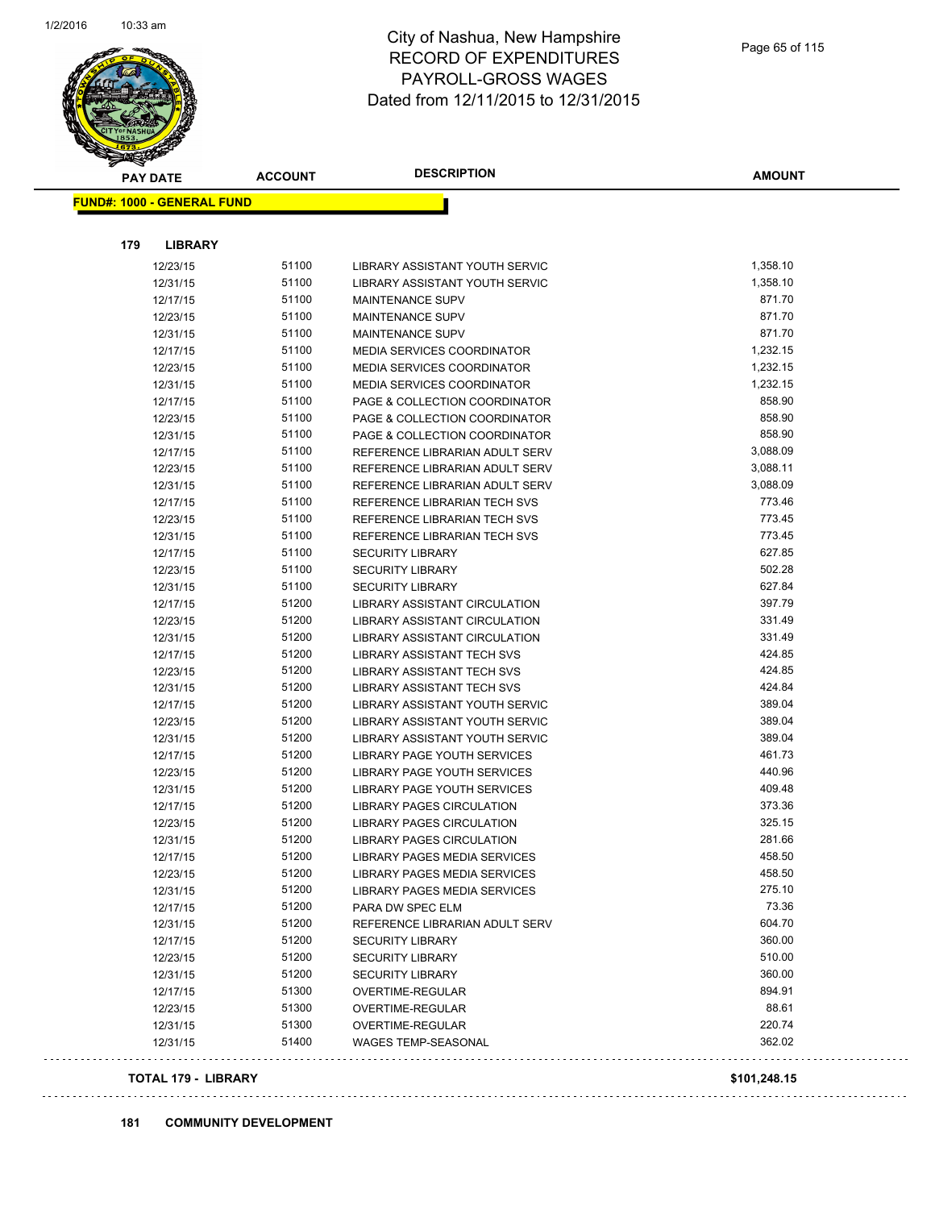

| <b>PAY DATE</b>                   |                | <b>DESCRIPTION</b><br><b>ACCOUNT</b> |                                   | <b>AMOUNT</b> |  |
|-----------------------------------|----------------|--------------------------------------|-----------------------------------|---------------|--|
| <b>FUND#: 1000 - GENERAL FUND</b> |                |                                      |                                   |               |  |
|                                   |                |                                      |                                   |               |  |
| 179                               | <b>LIBRARY</b> |                                      |                                   |               |  |
|                                   | 12/23/15       | 51100                                | LIBRARY ASSISTANT YOUTH SERVIC    | 1,358.10      |  |
|                                   | 12/31/15       | 51100                                | LIBRARY ASSISTANT YOUTH SERVIC    | 1,358.10      |  |
|                                   | 12/17/15       | 51100                                | <b>MAINTENANCE SUPV</b>           | 871.70        |  |
|                                   | 12/23/15       | 51100                                | MAINTENANCE SUPV                  | 871.70        |  |
|                                   | 12/31/15       | 51100                                | <b>MAINTENANCE SUPV</b>           | 871.70        |  |
|                                   | 12/17/15       | 51100                                | <b>MEDIA SERVICES COORDINATOR</b> | 1,232.15      |  |
|                                   | 12/23/15       | 51100                                | <b>MEDIA SERVICES COORDINATOR</b> | 1,232.15      |  |
|                                   | 12/31/15       | 51100                                | <b>MEDIA SERVICES COORDINATOR</b> | 1,232.15      |  |
|                                   | 12/17/15       | 51100                                | PAGE & COLLECTION COORDINATOR     | 858.90        |  |
|                                   | 12/23/15       | 51100                                | PAGE & COLLECTION COORDINATOR     | 858.90        |  |
|                                   | 12/31/15       | 51100                                | PAGE & COLLECTION COORDINATOR     | 858.90        |  |
|                                   | 12/17/15       | 51100                                | REFERENCE LIBRARIAN ADULT SERV    | 3,088.09      |  |
|                                   | 12/23/15       | 51100                                | REFERENCE LIBRARIAN ADULT SERV    | 3,088.11      |  |
|                                   | 12/31/15       | 51100                                | REFERENCE LIBRARIAN ADULT SERV    | 3,088.09      |  |
|                                   | 12/17/15       | 51100                                | REFERENCE LIBRARIAN TECH SVS      | 773.46        |  |
|                                   | 12/23/15       | 51100                                | REFERENCE LIBRARIAN TECH SVS      | 773.45        |  |
|                                   | 12/31/15       | 51100                                | REFERENCE LIBRARIAN TECH SVS      | 773.45        |  |
|                                   | 12/17/15       | 51100                                | <b>SECURITY LIBRARY</b>           | 627.85        |  |
|                                   | 12/23/15       | 51100                                | <b>SECURITY LIBRARY</b>           | 502.28        |  |
|                                   | 12/31/15       | 51100                                | <b>SECURITY LIBRARY</b>           | 627.84        |  |
|                                   | 12/17/15       | 51200                                | LIBRARY ASSISTANT CIRCULATION     | 397.79        |  |
|                                   | 12/23/15       | 51200                                | LIBRARY ASSISTANT CIRCULATION     | 331.49        |  |
|                                   | 12/31/15       | 51200                                | LIBRARY ASSISTANT CIRCULATION     | 331.49        |  |
|                                   | 12/17/15       | 51200                                | <b>LIBRARY ASSISTANT TECH SVS</b> | 424.85        |  |
|                                   | 12/23/15       | 51200                                | <b>LIBRARY ASSISTANT TECH SVS</b> | 424.85        |  |
|                                   | 12/31/15       | 51200                                | LIBRARY ASSISTANT TECH SVS        | 424.84        |  |
|                                   | 12/17/15       | 51200                                | LIBRARY ASSISTANT YOUTH SERVIC    | 389.04        |  |
|                                   | 12/23/15       | 51200                                | LIBRARY ASSISTANT YOUTH SERVIC    | 389.04        |  |
|                                   | 12/31/15       | 51200                                | LIBRARY ASSISTANT YOUTH SERVIC    | 389.04        |  |
|                                   | 12/17/15       | 51200                                | LIBRARY PAGE YOUTH SERVICES       | 461.73        |  |
|                                   | 12/23/15       | 51200                                | LIBRARY PAGE YOUTH SERVICES       | 440.96        |  |
|                                   | 12/31/15       | 51200                                | LIBRARY PAGE YOUTH SERVICES       | 409.48        |  |
|                                   |                | 51200                                | <b>LIBRARY PAGES CIRCULATION</b>  | 373.36        |  |
|                                   | 12/17/15       |                                      | <b>LIBRARY PAGES CIRCULATION</b>  | 325.15        |  |
|                                   | 12/23/15       | 51200                                |                                   |               |  |
|                                   | 12/31/15       | 51200                                | LIBRARY PAGES CIRCULATION         | 281.66        |  |
|                                   | 12/17/15       | 51200                                | LIBRARY PAGES MEDIA SERVICES      | 458.50        |  |
|                                   | 12/23/15       | 51200                                | LIBRARY PAGES MEDIA SERVICES      | 458.50        |  |
|                                   | 12/31/15       | 51200                                | LIBRARY PAGES MEDIA SERVICES      | 275.10        |  |
|                                   | 12/17/15       | 51200                                | PARA DW SPEC ELM                  | 73.36         |  |
|                                   | 12/31/15       | 51200                                | REFERENCE LIBRARIAN ADULT SERV    | 604.70        |  |
|                                   | 12/17/15       | 51200                                | <b>SECURITY LIBRARY</b>           | 360.00        |  |
|                                   | 12/23/15       | 51200                                | <b>SECURITY LIBRARY</b>           | 510.00        |  |
|                                   | 12/31/15       | 51200                                | <b>SECURITY LIBRARY</b>           | 360.00        |  |
|                                   | 12/17/15       | 51300                                | OVERTIME-REGULAR                  | 894.91        |  |
|                                   | 12/23/15       | 51300                                | OVERTIME-REGULAR                  | 88.61         |  |
|                                   | 12/31/15       | 51300                                | OVERTIME-REGULAR                  | 220.74        |  |
|                                   | 12/31/15       | 51400                                | <b>WAGES TEMP-SEASONAL</b>        | 362.02        |  |

#### **TOTAL 179 - LIBRARY \$101,248.15**

 $\ldots$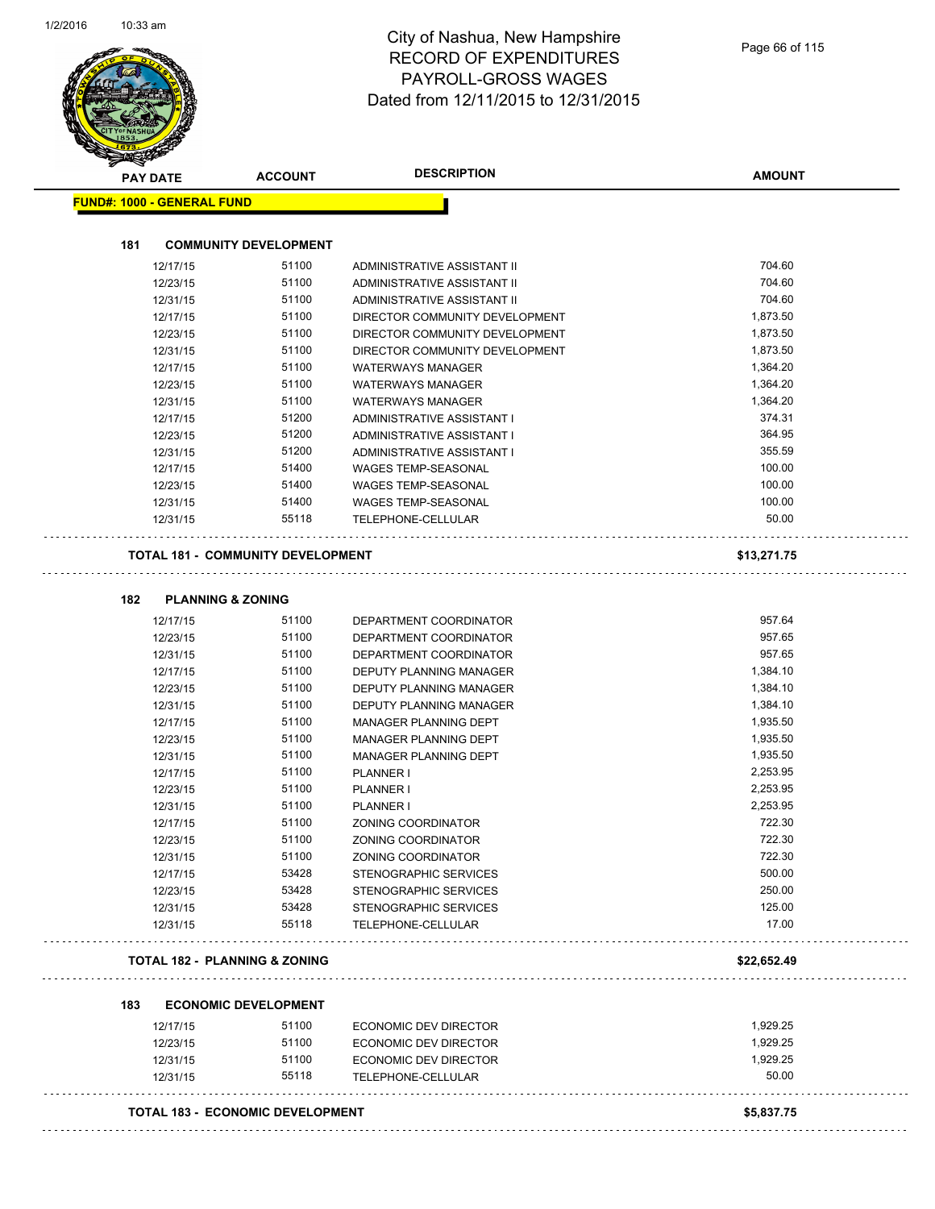|     | <b>PAY DATE</b>                   | <b>ACCOUNT</b>                           | <b>DESCRIPTION</b>             | <b>AMOUNT</b> |
|-----|-----------------------------------|------------------------------------------|--------------------------------|---------------|
|     | <b>FUND#: 1000 - GENERAL FUND</b> |                                          |                                |               |
| 181 |                                   | <b>COMMUNITY DEVELOPMENT</b>             |                                |               |
|     |                                   |                                          |                                |               |
|     | 12/17/15                          | 51100                                    | ADMINISTRATIVE ASSISTANT II    | 704.60        |
|     | 12/23/15                          | 51100                                    | ADMINISTRATIVE ASSISTANT II    | 704.60        |
|     | 12/31/15                          | 51100                                    | ADMINISTRATIVE ASSISTANT II    | 704.60        |
|     | 12/17/15                          | 51100<br>51100                           | DIRECTOR COMMUNITY DEVELOPMENT | 1,873.50      |
|     | 12/23/15                          |                                          | DIRECTOR COMMUNITY DEVELOPMENT | 1,873.50      |
|     | 12/31/15                          | 51100                                    | DIRECTOR COMMUNITY DEVELOPMENT | 1,873.50      |
|     | 12/17/15                          | 51100                                    | <b>WATERWAYS MANAGER</b>       | 1,364.20      |
|     | 12/23/15                          | 51100                                    | <b>WATERWAYS MANAGER</b>       | 1,364.20      |
|     | 12/31/15                          | 51100                                    | <b>WATERWAYS MANAGER</b>       | 1,364.20      |
|     | 12/17/15                          | 51200                                    | ADMINISTRATIVE ASSISTANT I     | 374.31        |
|     | 12/23/15                          | 51200                                    | ADMINISTRATIVE ASSISTANT I     | 364.95        |
|     | 12/31/15                          | 51200                                    | ADMINISTRATIVE ASSISTANT I     | 355.59        |
|     | 12/17/15                          | 51400                                    | <b>WAGES TEMP-SEASONAL</b>     | 100.00        |
|     | 12/23/15                          | 51400                                    | <b>WAGES TEMP-SEASONAL</b>     | 100.00        |
|     | 12/31/15                          | 51400                                    | <b>WAGES TEMP-SEASONAL</b>     | 100.00        |
|     | 12/31/15                          | 55118                                    | TELEPHONE-CELLULAR             | 50.00         |
|     |                                   | <b>TOTAL 181 - COMMUNITY DEVELOPMENT</b> |                                | \$13,271.75   |
| 182 |                                   | <b>PLANNING &amp; ZONING</b>             |                                |               |
|     | 12/17/15                          | 51100                                    | DEPARTMENT COORDINATOR         | 957.64        |
|     | 12/23/15                          | 51100                                    | DEPARTMENT COORDINATOR         | 957.65        |
|     | 12/31/15                          | 51100                                    | DEPARTMENT COORDINATOR         | 957.65        |
|     | 12/17/15                          | 51100                                    | DEPUTY PLANNING MANAGER        | 1,384.10      |
|     | 12/23/15                          | 51100                                    | DEPUTY PLANNING MANAGER        | 1,384.10      |
|     | 12/31/15                          | 51100                                    | DEPUTY PLANNING MANAGER        | 1,384.10      |
|     | 12/17/15                          | 51100                                    | MANAGER PLANNING DEPT          | 1,935.50      |
|     | 12/23/15                          | 51100                                    | MANAGER PLANNING DEPT          | 1,935.50      |
|     | 12/31/15                          | 51100                                    | <b>MANAGER PLANNING DEPT</b>   | 1,935.50      |
|     | 12/17/15                          | 51100                                    | PLANNER I                      | 2,253.95      |
|     | 12/23/15                          | 51100                                    | PLANNER I                      | 2,253.95      |
|     | 12/31/15                          | 51100                                    | PLANNER I                      | 2,253.95      |
|     | 12/17/15                          | 51100                                    | ZONING COORDINATOR             | 722.30        |
|     | 12/23/15                          | 51100                                    | ZONING COORDINATOR             | 722.30        |
|     | 12/31/15                          | 51100                                    | ZONING COORDINATOR             | 722.30        |
|     | 12/17/15                          | 53428                                    | STENOGRAPHIC SERVICES          | 500.00        |
|     | 12/23/15                          | 53428                                    | STENOGRAPHIC SERVICES          | 250.00        |
|     | 12/31/15                          | 53428                                    | STENOGRAPHIC SERVICES          | 125.00        |
|     | 12/31/15                          | 55118                                    | TELEPHONE-CELLULAR             | 17.00         |
|     |                                   | <b>TOTAL 182 - PLANNING &amp; ZONING</b> |                                | \$22,652.49   |
|     |                                   |                                          |                                |               |
| 183 |                                   | <b>ECONOMIC DEVELOPMENT</b>              |                                |               |
|     | 12/17/15                          | 51100                                    | ECONOMIC DEV DIRECTOR          | 1,929.25      |
|     | 12/23/15                          | 51100                                    | ECONOMIC DEV DIRECTOR          | 1,929.25      |
|     | 12/31/15                          | 51100                                    | ECONOMIC DEV DIRECTOR          | 1,929.25      |
|     | 12/31/15                          | 55118                                    | TELEPHONE-CELLULAR             | 50.00         |
|     | TOTAL 183 - ECONOMIC DEVELOPMENT  |                                          |                                |               |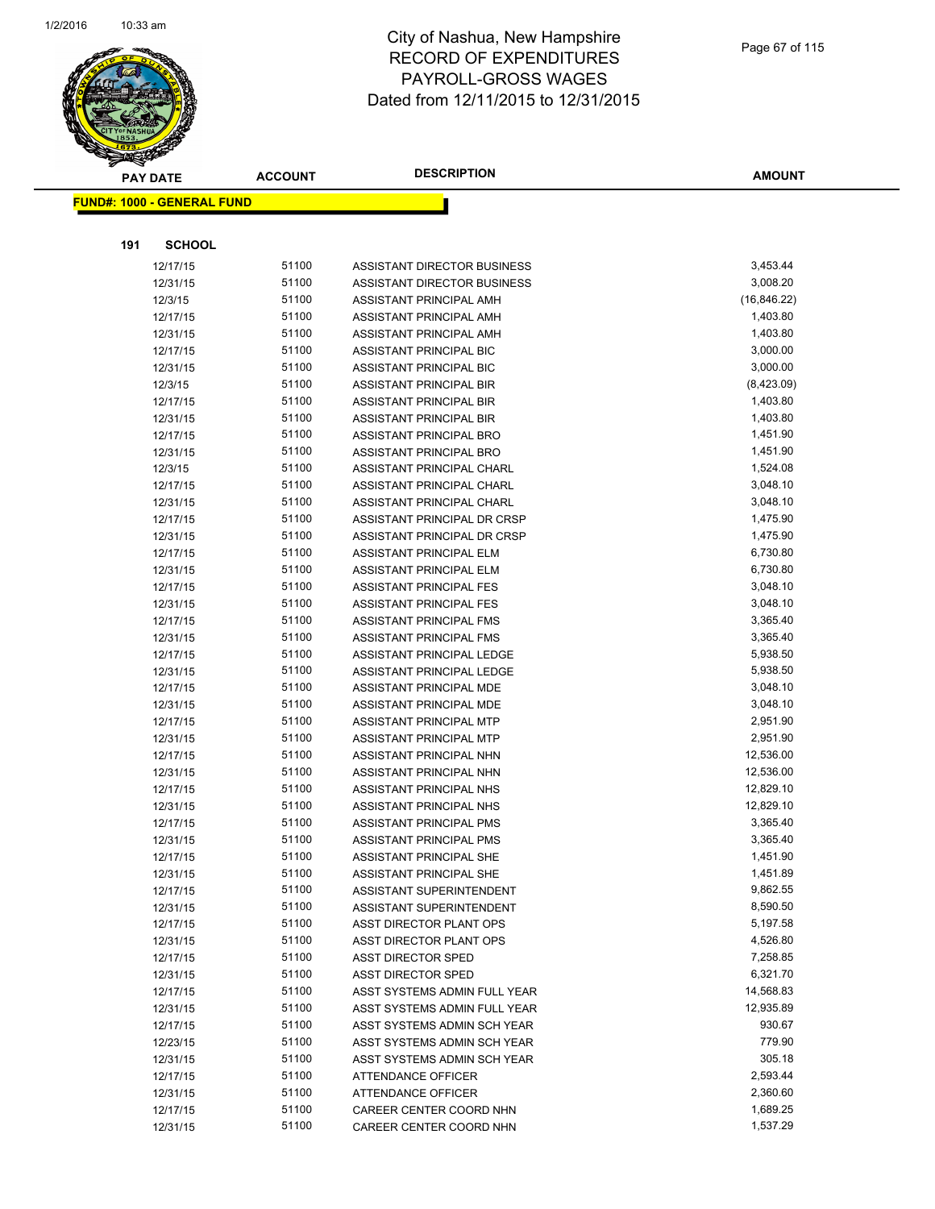

|     | <b>PAY DATE</b>                    | <b>ACCOUNT</b> | <b>DESCRIPTION</b>                                         | <b>AMOUNT</b>        |  |
|-----|------------------------------------|----------------|------------------------------------------------------------|----------------------|--|
|     | <u> FUND#: 1000 - GENERAL FUND</u> |                |                                                            |                      |  |
|     |                                    |                |                                                            |                      |  |
|     |                                    |                |                                                            |                      |  |
| 191 | <b>SCHOOL</b>                      |                |                                                            |                      |  |
|     | 12/17/15                           | 51100          | ASSISTANT DIRECTOR BUSINESS                                | 3,453.44             |  |
|     | 12/31/15                           | 51100          | ASSISTANT DIRECTOR BUSINESS                                | 3,008.20             |  |
|     | 12/3/15                            | 51100          | ASSISTANT PRINCIPAL AMH                                    | (16, 846.22)         |  |
|     | 12/17/15                           | 51100          | ASSISTANT PRINCIPAL AMH                                    | 1,403.80             |  |
|     | 12/31/15                           | 51100          | ASSISTANT PRINCIPAL AMH                                    | 1,403.80             |  |
|     | 12/17/15                           | 51100          | ASSISTANT PRINCIPAL BIC                                    | 3,000.00             |  |
|     | 12/31/15                           | 51100          | ASSISTANT PRINCIPAL BIC                                    | 3,000.00             |  |
|     | 12/3/15                            | 51100          | ASSISTANT PRINCIPAL BIR                                    | (8,423.09)           |  |
|     | 12/17/15                           | 51100          | ASSISTANT PRINCIPAL BIR                                    | 1,403.80             |  |
|     | 12/31/15                           | 51100          | ASSISTANT PRINCIPAL BIR                                    | 1,403.80             |  |
|     | 12/17/15                           | 51100<br>51100 | ASSISTANT PRINCIPAL BRO                                    | 1,451.90<br>1,451.90 |  |
|     | 12/31/15<br>12/3/15                | 51100          | ASSISTANT PRINCIPAL BRO                                    | 1,524.08             |  |
|     |                                    | 51100          | ASSISTANT PRINCIPAL CHARL                                  | 3,048.10             |  |
|     | 12/17/15<br>12/31/15               | 51100          | ASSISTANT PRINCIPAL CHARL<br>ASSISTANT PRINCIPAL CHARL     | 3,048.10             |  |
|     |                                    | 51100          |                                                            | 1,475.90             |  |
|     | 12/17/15<br>12/31/15               | 51100          | ASSISTANT PRINCIPAL DR CRSP<br>ASSISTANT PRINCIPAL DR CRSP | 1,475.90             |  |
|     | 12/17/15                           | 51100          | ASSISTANT PRINCIPAL ELM                                    | 6,730.80             |  |
|     | 12/31/15                           | 51100          | ASSISTANT PRINCIPAL ELM                                    | 6,730.80             |  |
|     | 12/17/15                           | 51100          | ASSISTANT PRINCIPAL FES                                    | 3,048.10             |  |
|     | 12/31/15                           | 51100          | ASSISTANT PRINCIPAL FES                                    | 3,048.10             |  |
|     | 12/17/15                           | 51100          | ASSISTANT PRINCIPAL FMS                                    | 3,365.40             |  |
|     | 12/31/15                           | 51100          | ASSISTANT PRINCIPAL FMS                                    | 3,365.40             |  |
|     | 12/17/15                           | 51100          | ASSISTANT PRINCIPAL LEDGE                                  | 5,938.50             |  |
|     | 12/31/15                           | 51100          | ASSISTANT PRINCIPAL LEDGE                                  | 5,938.50             |  |
|     | 12/17/15                           | 51100          | ASSISTANT PRINCIPAL MDE                                    | 3,048.10             |  |
|     | 12/31/15                           | 51100          | ASSISTANT PRINCIPAL MDE                                    | 3,048.10             |  |
|     | 12/17/15                           | 51100          | ASSISTANT PRINCIPAL MTP                                    | 2,951.90             |  |
|     | 12/31/15                           | 51100          | ASSISTANT PRINCIPAL MTP                                    | 2,951.90             |  |
|     | 12/17/15                           | 51100          | ASSISTANT PRINCIPAL NHN                                    | 12,536.00            |  |
|     | 12/31/15                           | 51100          | ASSISTANT PRINCIPAL NHN                                    | 12,536.00            |  |
|     | 12/17/15                           | 51100          | ASSISTANT PRINCIPAL NHS                                    | 12,829.10            |  |
|     | 12/31/15                           | 51100          | ASSISTANT PRINCIPAL NHS                                    | 12,829.10            |  |
|     | 12/17/15                           | 51100          | ASSISTANT PRINCIPAL PMS                                    | 3,365.40             |  |
|     | 12/31/15                           | 51100          | ASSISTANT PRINCIPAL PMS                                    | 3,365.40             |  |
|     | 12/17/15                           | 51100          | ASSISTANT PRINCIPAL SHE                                    | 1,451.90             |  |
|     | 12/31/15                           | 51100          | ASSISTANT PRINCIPAL SHE                                    | 1,451.89             |  |
|     | 12/17/15                           | 51100          | ASSISTANT SUPERINTENDENT                                   | 9,862.55             |  |
|     | 12/31/15                           | 51100          | ASSISTANT SUPERINTENDENT                                   | 8,590.50             |  |
|     | 12/17/15                           | 51100          | ASST DIRECTOR PLANT OPS                                    | 5,197.58             |  |
|     | 12/31/15                           | 51100          | ASST DIRECTOR PLANT OPS                                    | 4,526.80             |  |
|     | 12/17/15                           | 51100          | <b>ASST DIRECTOR SPED</b>                                  | 7,258.85             |  |
|     | 12/31/15                           | 51100          | <b>ASST DIRECTOR SPED</b>                                  | 6,321.70             |  |
|     | 12/17/15                           | 51100          | ASST SYSTEMS ADMIN FULL YEAR                               | 14,568.83            |  |
|     | 12/31/15                           | 51100          | ASST SYSTEMS ADMIN FULL YEAR                               | 12,935.89            |  |
|     | 12/17/15                           | 51100          | ASST SYSTEMS ADMIN SCH YEAR                                | 930.67               |  |
|     | 12/23/15                           | 51100          | ASST SYSTEMS ADMIN SCH YEAR                                | 779.90               |  |
|     | 12/31/15                           | 51100          | ASST SYSTEMS ADMIN SCH YEAR                                | 305.18               |  |
|     | 12/17/15                           | 51100          | ATTENDANCE OFFICER                                         | 2,593.44             |  |
|     | 12/31/15                           | 51100          | <b>ATTENDANCE OFFICER</b>                                  | 2,360.60             |  |
|     | 12/17/15                           | 51100          | CAREER CENTER COORD NHN                                    | 1,689.25             |  |
|     | 12/31/15                           | 51100          | CAREER CENTER COORD NHN                                    | 1,537.29             |  |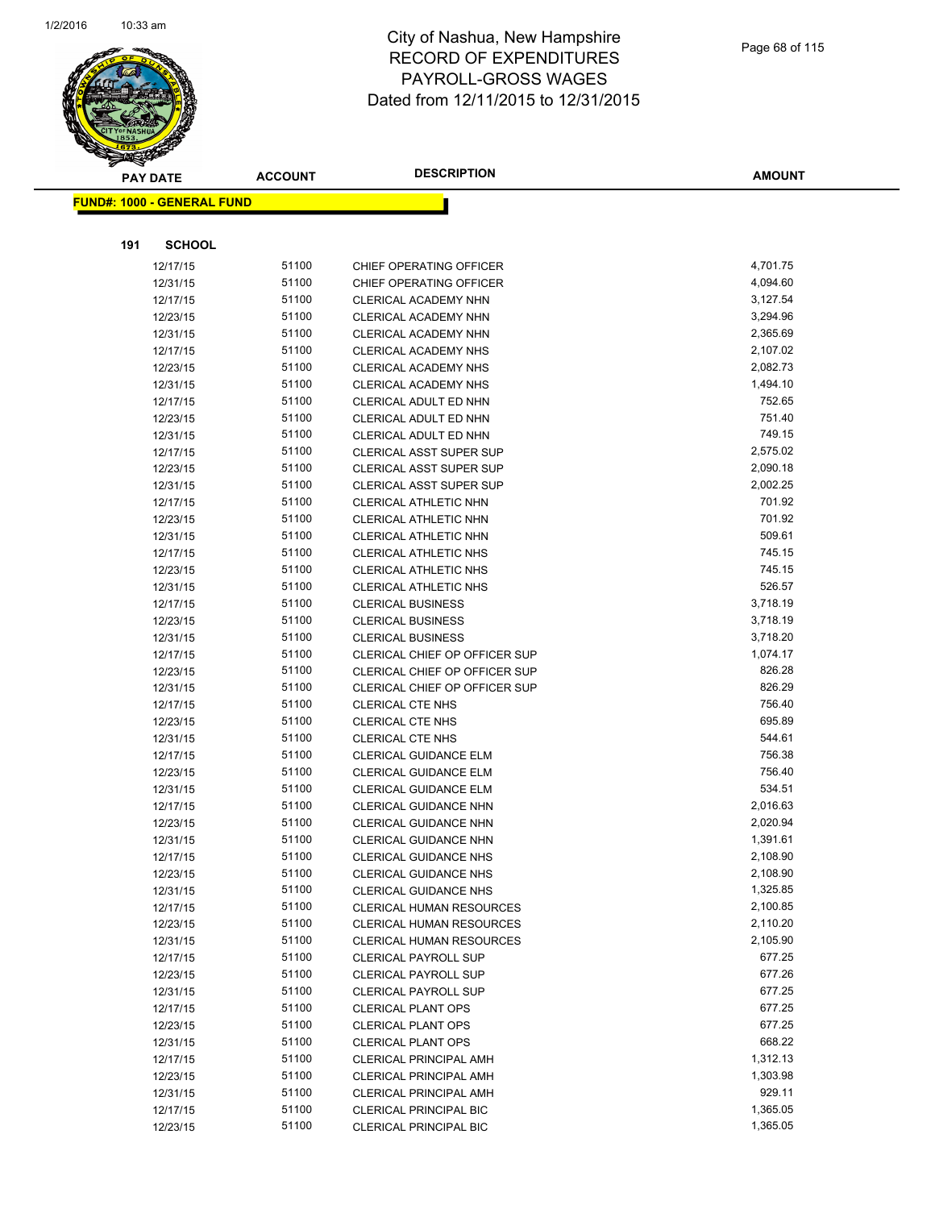

|     | <b>PAY DATE</b>                   | <b>ACCOUNT</b> | <b>DESCRIPTION</b>                                    | <b>AMOUNT</b>    |
|-----|-----------------------------------|----------------|-------------------------------------------------------|------------------|
|     | <b>FUND#: 1000 - GENERAL FUND</b> |                |                                                       |                  |
|     |                                   |                |                                                       |                  |
|     |                                   |                |                                                       |                  |
| 191 | <b>SCHOOL</b>                     |                |                                                       |                  |
|     | 12/17/15                          | 51100          | CHIEF OPERATING OFFICER                               | 4,701.75         |
|     | 12/31/15                          | 51100          | CHIEF OPERATING OFFICER                               | 4,094.60         |
|     | 12/17/15                          | 51100          | <b>CLERICAL ACADEMY NHN</b>                           | 3,127.54         |
|     | 12/23/15                          | 51100          | CLERICAL ACADEMY NHN                                  | 3,294.96         |
|     | 12/31/15                          | 51100          | <b>CLERICAL ACADEMY NHN</b>                           | 2,365.69         |
|     | 12/17/15                          | 51100          | CLERICAL ACADEMY NHS                                  | 2,107.02         |
|     | 12/23/15                          | 51100          | <b>CLERICAL ACADEMY NHS</b>                           | 2,082.73         |
|     | 12/31/15                          | 51100          | <b>CLERICAL ACADEMY NHS</b>                           | 1,494.10         |
|     | 12/17/15                          | 51100          | CLERICAL ADULT ED NHN                                 | 752.65           |
|     | 12/23/15                          | 51100          | CLERICAL ADULT ED NHN                                 | 751.40           |
|     | 12/31/15                          | 51100          | CLERICAL ADULT ED NHN                                 | 749.15           |
|     | 12/17/15                          | 51100          | <b>CLERICAL ASST SUPER SUP</b>                        | 2,575.02         |
|     | 12/23/15                          | 51100          | <b>CLERICAL ASST SUPER SUP</b>                        | 2,090.18         |
|     | 12/31/15                          | 51100          | <b>CLERICAL ASST SUPER SUP</b>                        | 2,002.25         |
|     | 12/17/15                          | 51100<br>51100 | CLERICAL ATHLETIC NHN                                 | 701.92<br>701.92 |
|     | 12/23/15                          | 51100          | CLERICAL ATHLETIC NHN                                 | 509.61           |
|     | 12/31/15<br>12/17/15              | 51100          | CLERICAL ATHLETIC NHN<br><b>CLERICAL ATHLETIC NHS</b> | 745.15           |
|     | 12/23/15                          | 51100          | <b>CLERICAL ATHLETIC NHS</b>                          | 745.15           |
|     | 12/31/15                          | 51100          | CLERICAL ATHLETIC NHS                                 | 526.57           |
|     | 12/17/15                          | 51100          | <b>CLERICAL BUSINESS</b>                              | 3,718.19         |
|     | 12/23/15                          | 51100          | <b>CLERICAL BUSINESS</b>                              | 3,718.19         |
|     | 12/31/15                          | 51100          | <b>CLERICAL BUSINESS</b>                              | 3,718.20         |
|     | 12/17/15                          | 51100          | CLERICAL CHIEF OP OFFICER SUP                         | 1,074.17         |
|     | 12/23/15                          | 51100          | CLERICAL CHIEF OP OFFICER SUP                         | 826.28           |
|     | 12/31/15                          | 51100          | CLERICAL CHIEF OP OFFICER SUP                         | 826.29           |
|     | 12/17/15                          | 51100          | <b>CLERICAL CTE NHS</b>                               | 756.40           |
|     | 12/23/15                          | 51100          | <b>CLERICAL CTE NHS</b>                               | 695.89           |
|     | 12/31/15                          | 51100          | <b>CLERICAL CTE NHS</b>                               | 544.61           |
|     | 12/17/15                          | 51100          | <b>CLERICAL GUIDANCE ELM</b>                          | 756.38           |
|     | 12/23/15                          | 51100          | CLERICAL GUIDANCE ELM                                 | 756.40           |
|     | 12/31/15                          | 51100          | <b>CLERICAL GUIDANCE ELM</b>                          | 534.51           |
|     | 12/17/15                          | 51100          | <b>CLERICAL GUIDANCE NHN</b>                          | 2,016.63         |
|     | 12/23/15                          | 51100          | <b>CLERICAL GUIDANCE NHN</b>                          | 2,020.94         |
|     | 12/31/15                          | 51100          | <b>CLERICAL GUIDANCE NHN</b>                          | 1,391.61         |
|     | 12/17/15                          | 51100          | CLERICAL GUIDANCE NHS                                 | 2,108.90         |
|     | 12/23/15                          | 51100          | <b>CLERICAL GUIDANCE NHS</b>                          | 2,108.90         |
|     | 12/31/15                          | 51100          | <b>CLERICAL GUIDANCE NHS</b>                          | 1,325.85         |
|     | 12/17/15                          | 51100          | <b>CLERICAL HUMAN RESOURCES</b>                       | 2,100.85         |
|     | 12/23/15                          | 51100          | <b>CLERICAL HUMAN RESOURCES</b>                       | 2,110.20         |
|     | 12/31/15                          | 51100          | <b>CLERICAL HUMAN RESOURCES</b>                       | 2,105.90         |
|     | 12/17/15                          | 51100          | <b>CLERICAL PAYROLL SUP</b>                           | 677.25           |
|     | 12/23/15                          | 51100          | <b>CLERICAL PAYROLL SUP</b>                           | 677.26           |
|     | 12/31/15                          | 51100          | <b>CLERICAL PAYROLL SUP</b>                           | 677.25           |
|     | 12/17/15                          | 51100          | <b>CLERICAL PLANT OPS</b>                             | 677.25           |
|     | 12/23/15                          | 51100          | <b>CLERICAL PLANT OPS</b>                             | 677.25           |
|     | 12/31/15                          | 51100          | <b>CLERICAL PLANT OPS</b>                             | 668.22           |
|     | 12/17/15                          | 51100          | <b>CLERICAL PRINCIPAL AMH</b>                         | 1,312.13         |
|     | 12/23/15                          | 51100          | <b>CLERICAL PRINCIPAL AMH</b>                         | 1,303.98         |
|     | 12/31/15                          | 51100          | <b>CLERICAL PRINCIPAL AMH</b>                         | 929.11           |
|     | 12/17/15                          | 51100          | <b>CLERICAL PRINCIPAL BIC</b>                         | 1,365.05         |
|     | 12/23/15                          | 51100          | <b>CLERICAL PRINCIPAL BIC</b>                         | 1,365.05         |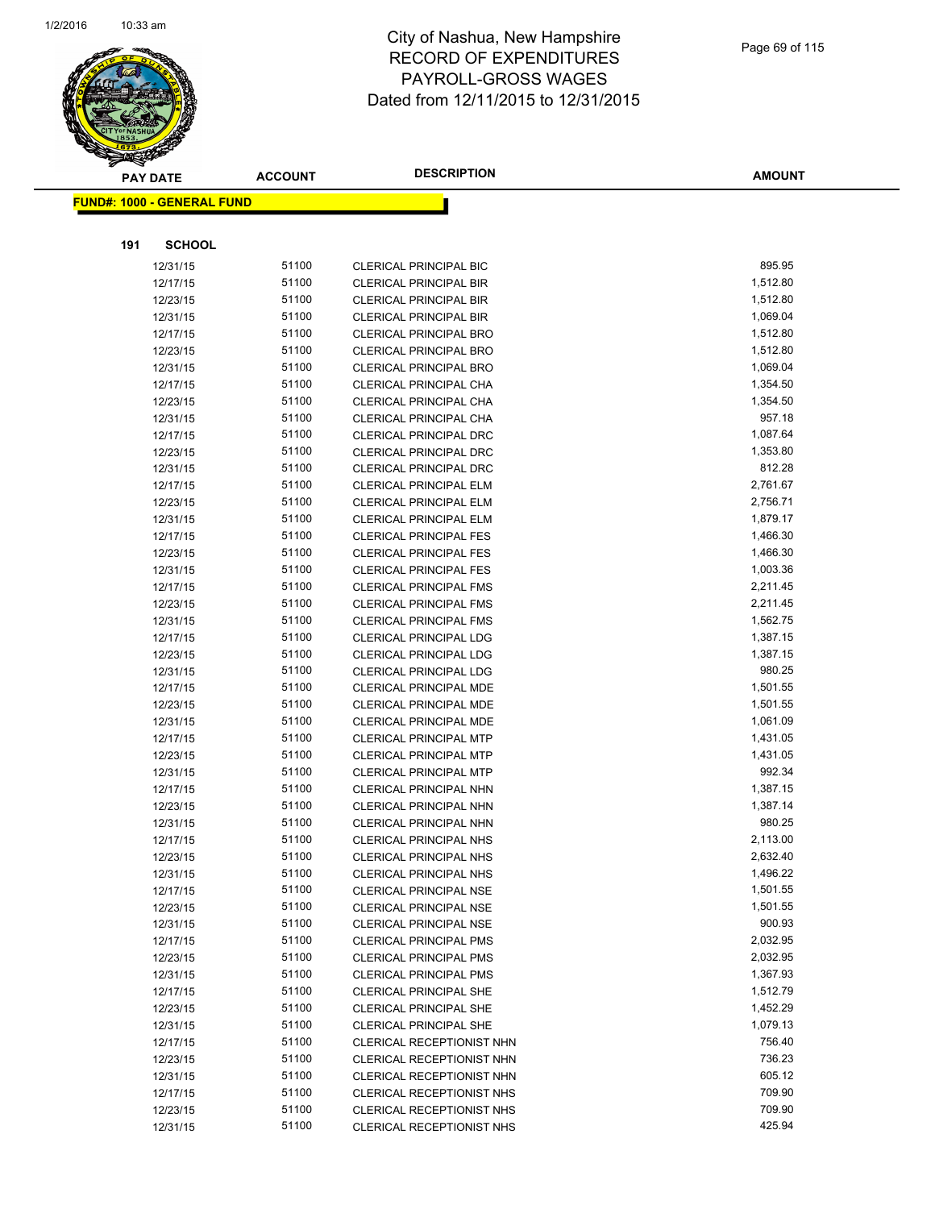

|     | <b>PAY DATE</b>                    | <b>ACCOUNT</b> | <b>DESCRIPTION</b>                                      | <b>AMOUNT</b>        |
|-----|------------------------------------|----------------|---------------------------------------------------------|----------------------|
|     | <u> FUND#: 1000 - GENERAL FUND</u> |                |                                                         |                      |
|     |                                    |                |                                                         |                      |
|     |                                    |                |                                                         |                      |
| 191 | <b>SCHOOL</b>                      |                |                                                         |                      |
|     | 12/31/15                           | 51100          | <b>CLERICAL PRINCIPAL BIC</b>                           | 895.95               |
|     | 12/17/15                           | 51100          | <b>CLERICAL PRINCIPAL BIR</b>                           | 1,512.80             |
|     | 12/23/15                           | 51100          | <b>CLERICAL PRINCIPAL BIR</b>                           | 1,512.80             |
|     | 12/31/15                           | 51100          | <b>CLERICAL PRINCIPAL BIR</b>                           | 1,069.04             |
|     | 12/17/15                           | 51100          | <b>CLERICAL PRINCIPAL BRO</b>                           | 1,512.80             |
|     | 12/23/15                           | 51100<br>51100 | <b>CLERICAL PRINCIPAL BRO</b>                           | 1,512.80             |
|     | 12/31/15<br>12/17/15               | 51100          | <b>CLERICAL PRINCIPAL BRO</b><br>CLERICAL PRINCIPAL CHA | 1,069.04<br>1,354.50 |
|     | 12/23/15                           | 51100          | CLERICAL PRINCIPAL CHA                                  | 1,354.50             |
|     | 12/31/15                           | 51100          | CLERICAL PRINCIPAL CHA                                  | 957.18               |
|     | 12/17/15                           | 51100          | <b>CLERICAL PRINCIPAL DRC</b>                           | 1,087.64             |
|     | 12/23/15                           | 51100          | CLERICAL PRINCIPAL DRC                                  | 1,353.80             |
|     | 12/31/15                           | 51100          | <b>CLERICAL PRINCIPAL DRC</b>                           | 812.28               |
|     | 12/17/15                           | 51100          | <b>CLERICAL PRINCIPAL ELM</b>                           | 2,761.67             |
|     | 12/23/15                           | 51100          | <b>CLERICAL PRINCIPAL ELM</b>                           | 2,756.71             |
|     | 12/31/15                           | 51100          | <b>CLERICAL PRINCIPAL ELM</b>                           | 1,879.17             |
|     | 12/17/15                           | 51100          | <b>CLERICAL PRINCIPAL FES</b>                           | 1,466.30             |
|     | 12/23/15                           | 51100          | <b>CLERICAL PRINCIPAL FES</b>                           | 1,466.30             |
|     | 12/31/15                           | 51100          | <b>CLERICAL PRINCIPAL FES</b>                           | 1,003.36             |
|     | 12/17/15                           | 51100          | <b>CLERICAL PRINCIPAL FMS</b>                           | 2,211.45             |
|     | 12/23/15                           | 51100          | <b>CLERICAL PRINCIPAL FMS</b>                           | 2,211.45             |
|     | 12/31/15                           | 51100          | <b>CLERICAL PRINCIPAL FMS</b>                           | 1,562.75             |
|     | 12/17/15                           | 51100          | <b>CLERICAL PRINCIPAL LDG</b>                           | 1,387.15             |
|     | 12/23/15                           | 51100          | <b>CLERICAL PRINCIPAL LDG</b>                           | 1,387.15             |
|     | 12/31/15                           | 51100          | <b>CLERICAL PRINCIPAL LDG</b>                           | 980.25               |
|     | 12/17/15                           | 51100          | <b>CLERICAL PRINCIPAL MDE</b>                           | 1,501.55             |
|     | 12/23/15                           | 51100          | <b>CLERICAL PRINCIPAL MDE</b>                           | 1,501.55             |
|     | 12/31/15                           | 51100          | <b>CLERICAL PRINCIPAL MDE</b>                           | 1,061.09             |
|     | 12/17/15                           | 51100          | <b>CLERICAL PRINCIPAL MTP</b>                           | 1,431.05             |
|     | 12/23/15                           | 51100          | <b>CLERICAL PRINCIPAL MTP</b>                           | 1,431.05             |
|     | 12/31/15                           | 51100          | <b>CLERICAL PRINCIPAL MTP</b>                           | 992.34               |
|     | 12/17/15                           | 51100          | CLERICAL PRINCIPAL NHN                                  | 1,387.15             |
|     | 12/23/15                           | 51100          | <b>CLERICAL PRINCIPAL NHN</b>                           | 1,387.14             |
|     | 12/31/15                           | 51100          | CLERICAL PRINCIPAL NHN                                  | 980.25               |
|     | 12/17/15                           | 51100          | <b>CLERICAL PRINCIPAL NHS</b>                           | 2,113.00             |
|     | 12/23/15                           | 51100          | <b>CLERICAL PRINCIPAL NHS</b>                           | 2,632.40             |
|     | 12/31/15                           | 51100          | <b>CLERICAL PRINCIPAL NHS</b>                           | 1,496.22             |
|     | 12/17/15                           | 51100          | <b>CLERICAL PRINCIPAL NSE</b>                           | 1,501.55             |
|     | 12/23/15                           | 51100          | <b>CLERICAL PRINCIPAL NSE</b>                           | 1,501.55             |
|     | 12/31/15                           | 51100          | <b>CLERICAL PRINCIPAL NSE</b>                           | 900.93               |
|     | 12/17/15                           | 51100          | <b>CLERICAL PRINCIPAL PMS</b>                           | 2,032.95             |
|     | 12/23/15                           | 51100          | <b>CLERICAL PRINCIPAL PMS</b>                           | 2,032.95             |
|     | 12/31/15                           | 51100          | <b>CLERICAL PRINCIPAL PMS</b>                           | 1,367.93             |
|     | 12/17/15                           | 51100          | <b>CLERICAL PRINCIPAL SHE</b>                           | 1,512.79             |
|     | 12/23/15                           | 51100          | <b>CLERICAL PRINCIPAL SHE</b>                           | 1,452.29             |
|     | 12/31/15                           | 51100          | <b>CLERICAL PRINCIPAL SHE</b>                           | 1,079.13             |
|     | 12/17/15                           | 51100          | CLERICAL RECEPTIONIST NHN                               | 756.40               |
|     | 12/23/15                           | 51100          | CLERICAL RECEPTIONIST NHN                               | 736.23               |
|     | 12/31/15                           | 51100          | CLERICAL RECEPTIONIST NHN                               | 605.12               |
|     | 12/17/15                           | 51100          | CLERICAL RECEPTIONIST NHS                               | 709.90               |
|     | 12/23/15                           | 51100          | CLERICAL RECEPTIONIST NHS                               | 709.90               |
|     | 12/31/15                           | 51100          | CLERICAL RECEPTIONIST NHS                               | 425.94               |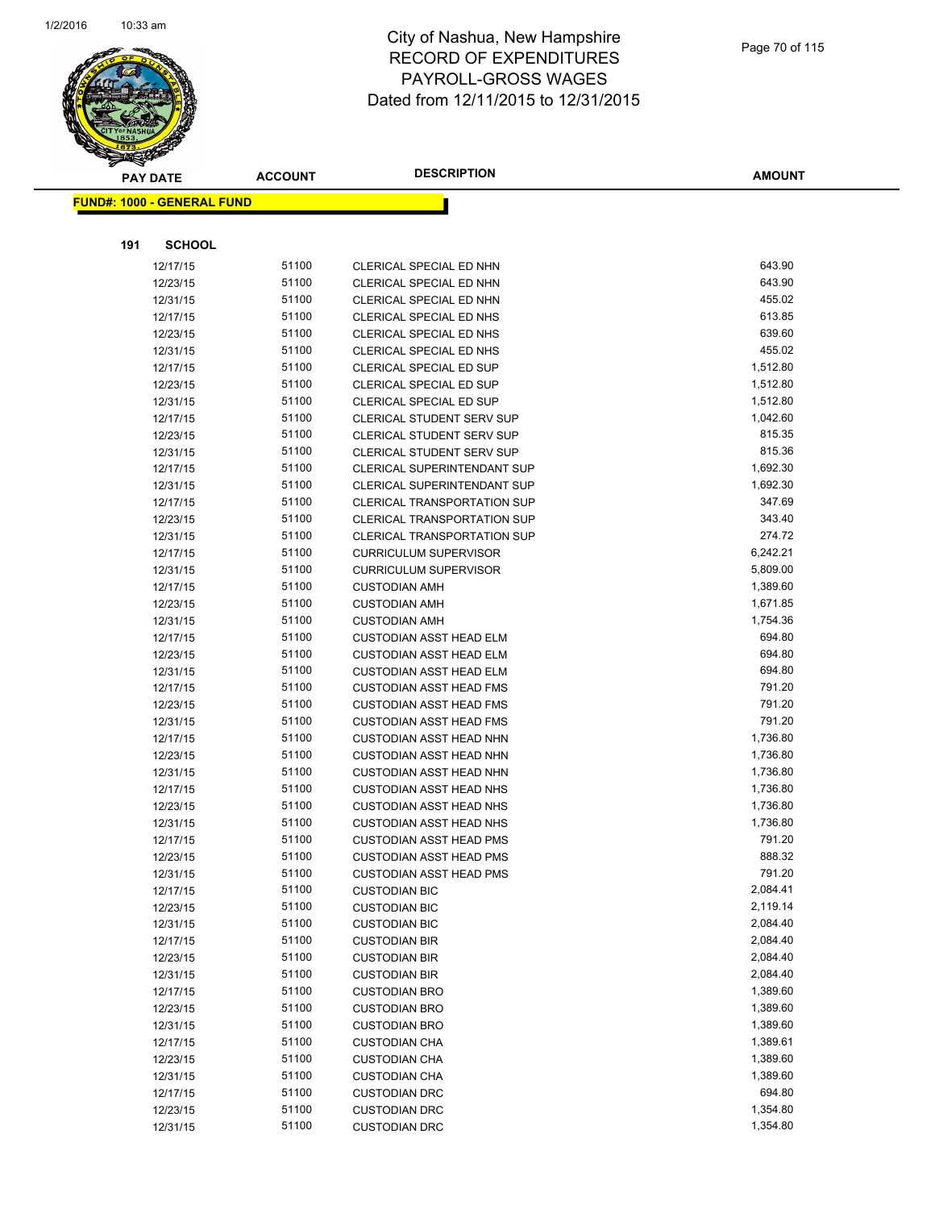

|     | <b>PAY DATE</b>                    | <b>ACCOUNT</b> | <b>DESCRIPTION</b>                 | <b>AMOUNT</b> |
|-----|------------------------------------|----------------|------------------------------------|---------------|
|     | <u> FUND#: 1000 - GENERAL FUND</u> |                |                                    |               |
|     |                                    |                |                                    |               |
|     |                                    |                |                                    |               |
| 191 | <b>SCHOOL</b>                      |                |                                    |               |
|     | 12/17/15                           | 51100          | CLERICAL SPECIAL ED NHN            | 643.90        |
|     | 12/23/15                           | 51100          | CLERICAL SPECIAL ED NHN            | 643.90        |
|     | 12/31/15                           | 51100          | CLERICAL SPECIAL ED NHN            | 455.02        |
|     | 12/17/15                           | 51100          | CLERICAL SPECIAL ED NHS            | 613.85        |
|     | 12/23/15                           | 51100          | CLERICAL SPECIAL ED NHS            | 639.60        |
|     | 12/31/15                           | 51100          | CLERICAL SPECIAL ED NHS            | 455.02        |
|     | 12/17/15                           | 51100          | <b>CLERICAL SPECIAL ED SUP</b>     | 1,512.80      |
|     | 12/23/15                           | 51100          | <b>CLERICAL SPECIAL ED SUP</b>     | 1,512.80      |
|     | 12/31/15                           | 51100          | <b>CLERICAL SPECIAL ED SUP</b>     | 1,512.80      |
|     | 12/17/15                           | 51100          | <b>CLERICAL STUDENT SERV SUP</b>   | 1,042.60      |
|     | 12/23/15                           | 51100          | <b>CLERICAL STUDENT SERV SUP</b>   | 815.35        |
|     | 12/31/15                           | 51100          | <b>CLERICAL STUDENT SERV SUP</b>   | 815.36        |
|     | 12/17/15                           | 51100          | <b>CLERICAL SUPERINTENDANT SUP</b> | 1,692.30      |
|     | 12/31/15                           | 51100          | CLERICAL SUPERINTENDANT SUP        | 1,692.30      |
|     | 12/17/15                           | 51100          | <b>CLERICAL TRANSPORTATION SUP</b> | 347.69        |
|     | 12/23/15                           | 51100          | <b>CLERICAL TRANSPORTATION SUP</b> | 343.40        |
|     | 12/31/15                           | 51100          | CLERICAL TRANSPORTATION SUP        | 274.72        |
|     | 12/17/15                           | 51100          | <b>CURRICULUM SUPERVISOR</b>       | 6,242.21      |
|     | 12/31/15                           | 51100          | <b>CURRICULUM SUPERVISOR</b>       | 5,809.00      |
|     | 12/17/15                           | 51100          | <b>CUSTODIAN AMH</b>               | 1,389.60      |
|     | 12/23/15                           | 51100          | <b>CUSTODIAN AMH</b>               | 1,671.85      |
|     | 12/31/15                           | 51100          | <b>CUSTODIAN AMH</b>               | 1,754.36      |
|     | 12/17/15                           | 51100          | <b>CUSTODIAN ASST HEAD ELM</b>     | 694.80        |
|     | 12/23/15                           | 51100          | <b>CUSTODIAN ASST HEAD ELM</b>     | 694.80        |
|     | 12/31/15                           | 51100          | <b>CUSTODIAN ASST HEAD ELM</b>     | 694.80        |
|     | 12/17/15                           | 51100          | <b>CUSTODIAN ASST HEAD FMS</b>     | 791.20        |
|     | 12/23/15                           | 51100          | <b>CUSTODIAN ASST HEAD FMS</b>     | 791.20        |
|     | 12/31/15                           | 51100          | <b>CUSTODIAN ASST HEAD FMS</b>     | 791.20        |
|     | 12/17/15                           | 51100          | <b>CUSTODIAN ASST HEAD NHN</b>     | 1,736.80      |
|     | 12/23/15                           | 51100          | <b>CUSTODIAN ASST HEAD NHN</b>     | 1,736.80      |
|     | 12/31/15                           | 51100          | <b>CUSTODIAN ASST HEAD NHN</b>     | 1,736.80      |
|     | 12/17/15                           | 51100          | <b>CUSTODIAN ASST HEAD NHS</b>     | 1,736.80      |
|     | 12/23/15                           | 51100          | <b>CUSTODIAN ASST HEAD NHS</b>     | 1,736.80      |
|     | 12/31/15                           | 51100          | <b>CUSTODIAN ASST HEAD NHS</b>     | 1,736.80      |
|     | 12/17/15                           | 51100          | <b>CUSTODIAN ASST HEAD PMS</b>     | 791.20        |
|     | 12/23/15                           | 51100          | <b>CUSTODIAN ASST HEAD PMS</b>     | 888.32        |
|     | 12/31/15                           | 51100          | <b>CUSTODIAN ASST HEAD PMS</b>     | 791.20        |
|     | 12/17/15                           | 51100          | <b>CUSTODIAN BIC</b>               | 2,084.41      |
|     | 12/23/15                           | 51100          | <b>CUSTODIAN BIC</b>               | 2,119.14      |
|     | 12/31/15                           | 51100          | <b>CUSTODIAN BIC</b>               | 2,084.40      |
|     | 12/17/15                           | 51100          | <b>CUSTODIAN BIR</b>               | 2,084.40      |
|     | 12/23/15                           | 51100          | <b>CUSTODIAN BIR</b>               | 2,084.40      |
|     | 12/31/15                           | 51100          | <b>CUSTODIAN BIR</b>               | 2,084.40      |
|     | 12/17/15                           | 51100          | <b>CUSTODIAN BRO</b>               | 1,389.60      |
|     | 12/23/15                           | 51100          | <b>CUSTODIAN BRO</b>               | 1,389.60      |
|     | 12/31/15                           | 51100          | <b>CUSTODIAN BRO</b>               | 1,389.60      |
|     | 12/17/15                           | 51100          | <b>CUSTODIAN CHA</b>               | 1,389.61      |
|     | 12/23/15                           | 51100          | <b>CUSTODIAN CHA</b>               | 1,389.60      |
|     | 12/31/15                           | 51100          | <b>CUSTODIAN CHA</b>               | 1,389.60      |
|     | 12/17/15                           | 51100          | <b>CUSTODIAN DRC</b>               | 694.80        |
|     | 12/23/15                           | 51100          | <b>CUSTODIAN DRC</b>               | 1,354.80      |
|     | 12/31/15                           | 51100          | <b>CUSTODIAN DRC</b>               | 1,354.80      |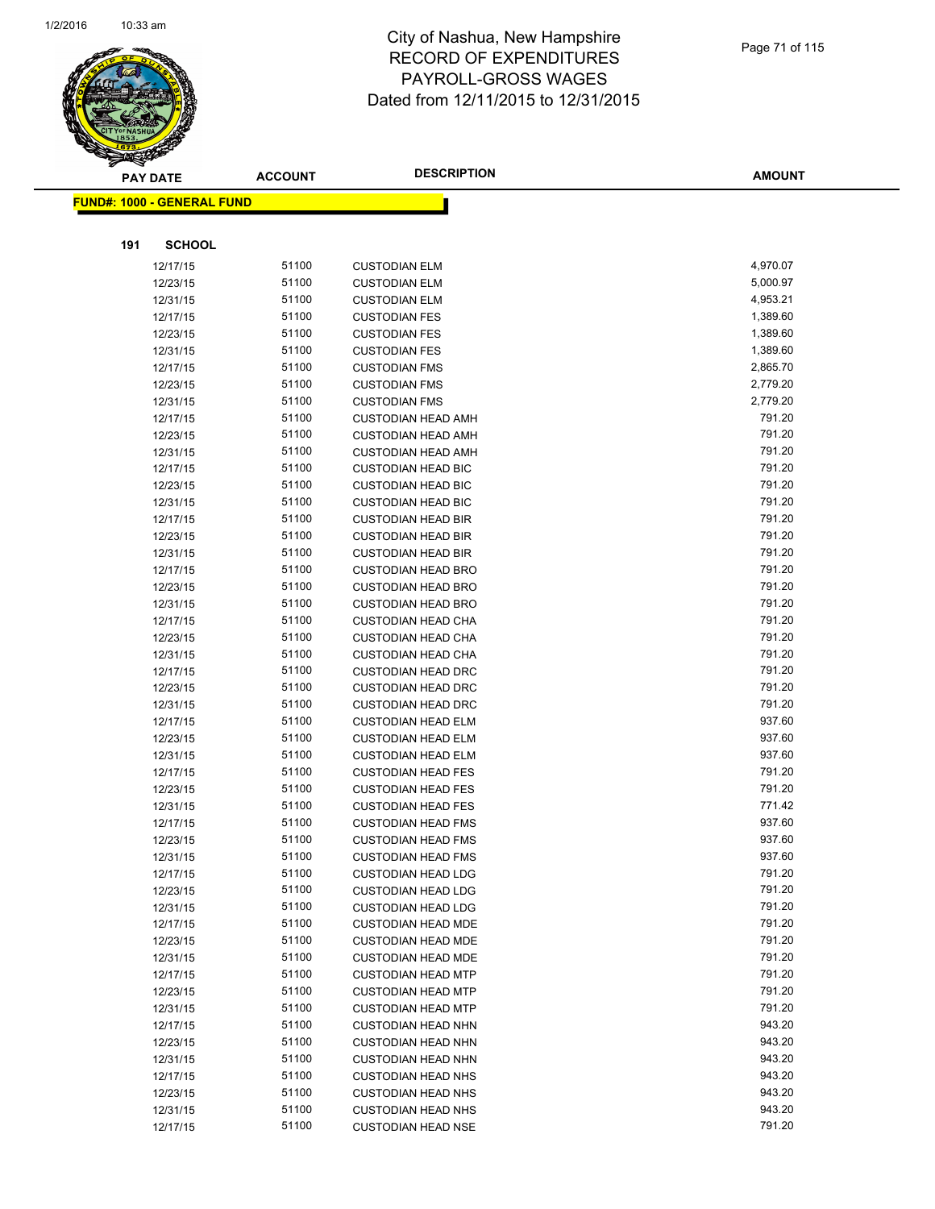

|     | <b>PAY DATE</b>                    | <b>ACCOUNT</b> | <b>DESCRIPTION</b>        | <b>AMOUNT</b> |
|-----|------------------------------------|----------------|---------------------------|---------------|
|     | <u> FUND#: 1000 - GENERAL FUND</u> |                |                           |               |
|     |                                    |                |                           |               |
|     |                                    |                |                           |               |
| 191 | <b>SCHOOL</b>                      |                |                           |               |
|     | 12/17/15                           | 51100          | <b>CUSTODIAN ELM</b>      | 4,970.07      |
|     | 12/23/15                           | 51100          | <b>CUSTODIAN ELM</b>      | 5,000.97      |
|     | 12/31/15                           | 51100          | <b>CUSTODIAN ELM</b>      | 4,953.21      |
|     | 12/17/15                           | 51100          | <b>CUSTODIAN FES</b>      | 1,389.60      |
|     | 12/23/15                           | 51100          | <b>CUSTODIAN FES</b>      | 1,389.60      |
|     | 12/31/15                           | 51100          | <b>CUSTODIAN FES</b>      | 1,389.60      |
|     | 12/17/15                           | 51100          | <b>CUSTODIAN FMS</b>      | 2,865.70      |
|     | 12/23/15                           | 51100          | <b>CUSTODIAN FMS</b>      | 2,779.20      |
|     | 12/31/15                           | 51100          | <b>CUSTODIAN FMS</b>      | 2,779.20      |
|     | 12/17/15                           | 51100          | <b>CUSTODIAN HEAD AMH</b> | 791.20        |
|     | 12/23/15                           | 51100          | <b>CUSTODIAN HEAD AMH</b> | 791.20        |
|     | 12/31/15                           | 51100          | <b>CUSTODIAN HEAD AMH</b> | 791.20        |
|     | 12/17/15                           | 51100          | <b>CUSTODIAN HEAD BIC</b> | 791.20        |
|     | 12/23/15                           | 51100          | <b>CUSTODIAN HEAD BIC</b> | 791.20        |
|     | 12/31/15                           | 51100          | <b>CUSTODIAN HEAD BIC</b> | 791.20        |
|     | 12/17/15                           | 51100          | <b>CUSTODIAN HEAD BIR</b> | 791.20        |
|     | 12/23/15                           | 51100          | <b>CUSTODIAN HEAD BIR</b> | 791.20        |
|     | 12/31/15                           | 51100          | <b>CUSTODIAN HEAD BIR</b> | 791.20        |
|     | 12/17/15                           | 51100          | <b>CUSTODIAN HEAD BRO</b> | 791.20        |
|     | 12/23/15                           | 51100          | <b>CUSTODIAN HEAD BRO</b> | 791.20        |
|     | 12/31/15                           | 51100          | <b>CUSTODIAN HEAD BRO</b> | 791.20        |
|     | 12/17/15                           | 51100          | <b>CUSTODIAN HEAD CHA</b> | 791.20        |
|     | 12/23/15                           | 51100          | <b>CUSTODIAN HEAD CHA</b> | 791.20        |
|     | 12/31/15                           | 51100          | <b>CUSTODIAN HEAD CHA</b> | 791.20        |
|     | 12/17/15                           | 51100          | <b>CUSTODIAN HEAD DRC</b> | 791.20        |
|     | 12/23/15                           | 51100          | <b>CUSTODIAN HEAD DRC</b> | 791.20        |
|     | 12/31/15                           | 51100          | <b>CUSTODIAN HEAD DRC</b> | 791.20        |
|     | 12/17/15                           | 51100          | <b>CUSTODIAN HEAD ELM</b> | 937.60        |
|     | 12/23/15                           | 51100          | <b>CUSTODIAN HEAD ELM</b> | 937.60        |
|     | 12/31/15                           | 51100          | <b>CUSTODIAN HEAD ELM</b> | 937.60        |
|     | 12/17/15                           | 51100          | <b>CUSTODIAN HEAD FES</b> | 791.20        |
|     | 12/23/15                           | 51100          | <b>CUSTODIAN HEAD FES</b> | 791.20        |
|     | 12/31/15                           | 51100          | <b>CUSTODIAN HEAD FES</b> | 771.42        |
|     | 12/17/15                           | 51100          | <b>CUSTODIAN HEAD FMS</b> | 937.60        |
|     | 12/23/15                           | 51100          | <b>CUSTODIAN HEAD FMS</b> | 937.60        |
|     | 12/31/15                           | 51100          | <b>CUSTODIAN HEAD FMS</b> | 937.60        |
|     | 12/17/15                           | 51100          | <b>CUSTODIAN HEAD LDG</b> | 791.20        |
|     | 12/23/15                           | 51100          | <b>CUSTODIAN HEAD LDG</b> | 791.20        |
|     | 12/31/15                           | 51100          | <b>CUSTODIAN HEAD LDG</b> | 791.20        |
|     | 12/17/15                           | 51100          | <b>CUSTODIAN HEAD MDE</b> | 791.20        |
|     | 12/23/15                           | 51100          | <b>CUSTODIAN HEAD MDE</b> | 791.20        |
|     | 12/31/15                           | 51100          | <b>CUSTODIAN HEAD MDE</b> | 791.20        |
|     | 12/17/15                           | 51100          | <b>CUSTODIAN HEAD MTP</b> | 791.20        |
|     | 12/23/15                           | 51100          | <b>CUSTODIAN HEAD MTP</b> | 791.20        |
|     | 12/31/15                           | 51100          | <b>CUSTODIAN HEAD MTP</b> | 791.20        |
|     | 12/17/15                           | 51100          | <b>CUSTODIAN HEAD NHN</b> | 943.20        |
|     | 12/23/15                           | 51100          | <b>CUSTODIAN HEAD NHN</b> | 943.20        |
|     | 12/31/15                           | 51100          | <b>CUSTODIAN HEAD NHN</b> | 943.20        |
|     | 12/17/15                           | 51100          | <b>CUSTODIAN HEAD NHS</b> | 943.20        |
|     | 12/23/15                           | 51100          | <b>CUSTODIAN HEAD NHS</b> | 943.20        |
|     | 12/31/15                           | 51100          | <b>CUSTODIAN HEAD NHS</b> | 943.20        |
|     | 12/17/15                           | 51100          | <b>CUSTODIAN HEAD NSE</b> | 791.20        |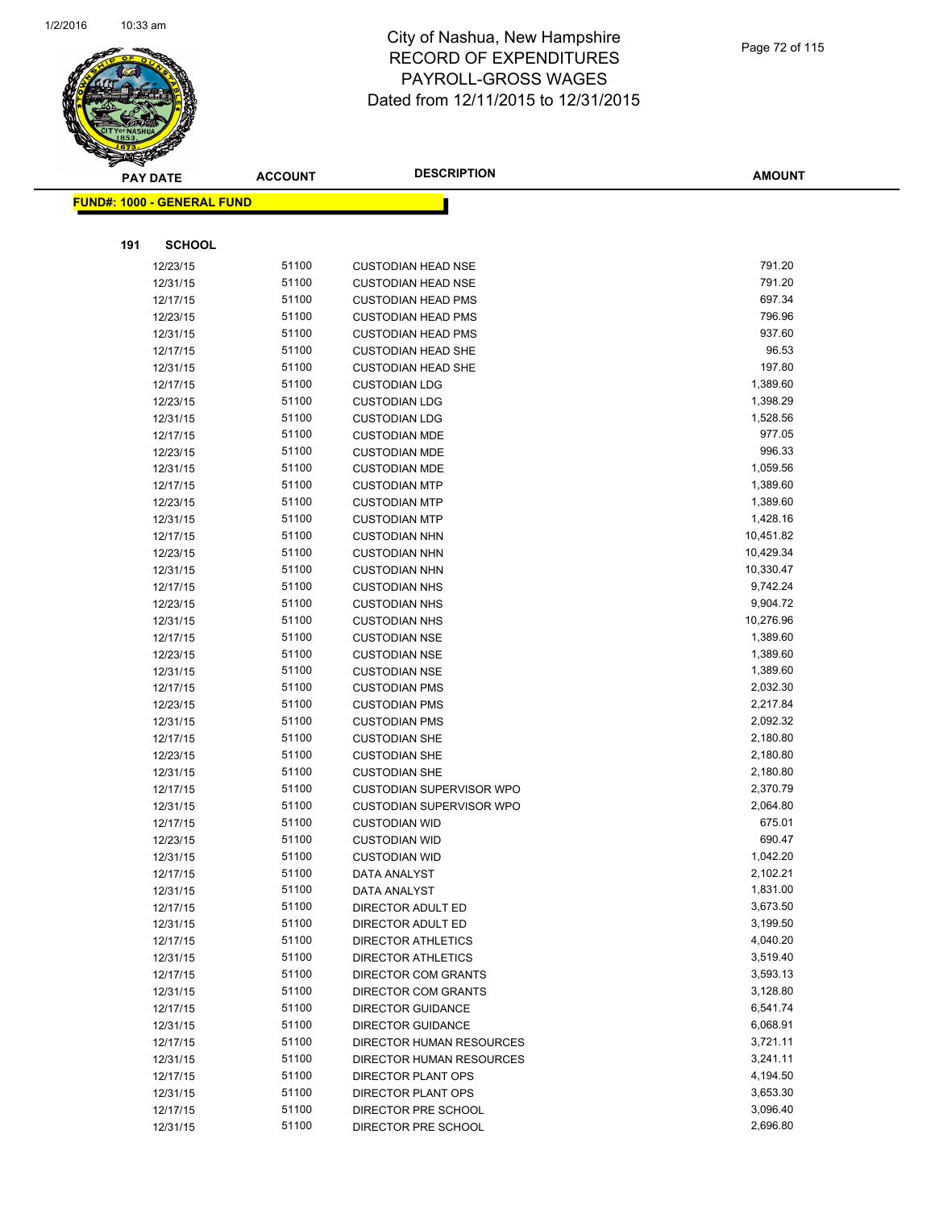

|     | <b>PAY DATE</b>                    | <b>ACCOUNT</b> | <b>DESCRIPTION</b>              | <b>AMOUNT</b> |
|-----|------------------------------------|----------------|---------------------------------|---------------|
|     | <u> FUND#: 1000 - GENERAL FUND</u> |                |                                 |               |
|     |                                    |                |                                 |               |
|     |                                    |                |                                 |               |
| 191 | <b>SCHOOL</b>                      |                |                                 |               |
|     | 12/23/15                           | 51100          | <b>CUSTODIAN HEAD NSE</b>       | 791.20        |
|     | 12/31/15                           | 51100          | <b>CUSTODIAN HEAD NSE</b>       | 791.20        |
|     | 12/17/15                           | 51100          | <b>CUSTODIAN HEAD PMS</b>       | 697.34        |
|     | 12/23/15                           | 51100          | <b>CUSTODIAN HEAD PMS</b>       | 796.96        |
|     | 12/31/15                           | 51100          | <b>CUSTODIAN HEAD PMS</b>       | 937.60        |
|     | 12/17/15                           | 51100          | <b>CUSTODIAN HEAD SHE</b>       | 96.53         |
|     | 12/31/15                           | 51100          | <b>CUSTODIAN HEAD SHE</b>       | 197.80        |
|     | 12/17/15                           | 51100          | <b>CUSTODIAN LDG</b>            | 1,389.60      |
|     | 12/23/15                           | 51100          | <b>CUSTODIAN LDG</b>            | 1,398.29      |
|     | 12/31/15                           | 51100          | <b>CUSTODIAN LDG</b>            | 1,528.56      |
|     | 12/17/15                           | 51100          | <b>CUSTODIAN MDE</b>            | 977.05        |
|     | 12/23/15                           | 51100          | <b>CUSTODIAN MDE</b>            | 996.33        |
|     | 12/31/15                           | 51100          | <b>CUSTODIAN MDE</b>            | 1,059.56      |
|     | 12/17/15                           | 51100          | <b>CUSTODIAN MTP</b>            | 1,389.60      |
|     | 12/23/15                           | 51100          | <b>CUSTODIAN MTP</b>            | 1,389.60      |
|     | 12/31/15                           | 51100          | <b>CUSTODIAN MTP</b>            | 1,428.16      |
|     | 12/17/15                           | 51100          | <b>CUSTODIAN NHN</b>            | 10,451.82     |
|     | 12/23/15                           | 51100          | <b>CUSTODIAN NHN</b>            | 10,429.34     |
|     | 12/31/15                           | 51100          | <b>CUSTODIAN NHN</b>            | 10,330.47     |
|     | 12/17/15                           | 51100          | <b>CUSTODIAN NHS</b>            | 9,742.24      |
|     | 12/23/15                           | 51100          | <b>CUSTODIAN NHS</b>            | 9,904.72      |
|     | 12/31/15                           | 51100          | <b>CUSTODIAN NHS</b>            | 10,276.96     |
|     | 12/17/15                           | 51100          | <b>CUSTODIAN NSE</b>            | 1,389.60      |
|     | 12/23/15                           | 51100          | <b>CUSTODIAN NSE</b>            | 1,389.60      |
|     | 12/31/15                           | 51100          | <b>CUSTODIAN NSE</b>            | 1,389.60      |
|     | 12/17/15                           | 51100          | <b>CUSTODIAN PMS</b>            | 2,032.30      |
|     | 12/23/15                           | 51100          | <b>CUSTODIAN PMS</b>            | 2,217.84      |
|     | 12/31/15                           | 51100          | <b>CUSTODIAN PMS</b>            | 2,092.32      |
|     | 12/17/15                           | 51100          | <b>CUSTODIAN SHE</b>            | 2,180.80      |
|     | 12/23/15                           | 51100          | <b>CUSTODIAN SHE</b>            | 2,180.80      |
|     | 12/31/15                           | 51100          | <b>CUSTODIAN SHE</b>            | 2,180.80      |
|     | 12/17/15                           | 51100          | <b>CUSTODIAN SUPERVISOR WPO</b> | 2,370.79      |
|     | 12/31/15                           | 51100          | <b>CUSTODIAN SUPERVISOR WPO</b> | 2,064.80      |
|     | 12/17/15                           | 51100          | <b>CUSTODIAN WID</b>            | 675.01        |
|     | 12/23/15                           | 51100          | <b>CUSTODIAN WID</b>            | 690.47        |
|     | 12/31/15                           | 51100          | <b>CUSTODIAN WID</b>            | 1,042.20      |
|     | 12/17/15                           | 51100          | DATA ANALYST                    | 2,102.21      |
|     | 12/31/15                           | 51100          | DATA ANALYST                    | 1,831.00      |
|     | 12/17/15                           | 51100          | DIRECTOR ADULT ED               | 3,673.50      |
|     | 12/31/15                           | 51100          | DIRECTOR ADULT ED               | 3,199.50      |
|     | 12/17/15                           | 51100          | <b>DIRECTOR ATHLETICS</b>       | 4,040.20      |
|     | 12/31/15                           | 51100          | <b>DIRECTOR ATHLETICS</b>       | 3,519.40      |
|     | 12/17/15                           | 51100          | DIRECTOR COM GRANTS             | 3,593.13      |
|     | 12/31/15                           | 51100          | <b>DIRECTOR COM GRANTS</b>      | 3,128.80      |
|     | 12/17/15                           | 51100          | <b>DIRECTOR GUIDANCE</b>        | 6,541.74      |
|     | 12/31/15                           | 51100          | <b>DIRECTOR GUIDANCE</b>        | 6,068.91      |
|     | 12/17/15                           | 51100          | <b>DIRECTOR HUMAN RESOURCES</b> | 3,721.11      |
|     | 12/31/15                           | 51100          | DIRECTOR HUMAN RESOURCES        | 3,241.11      |
|     | 12/17/15                           | 51100          | DIRECTOR PLANT OPS              | 4,194.50      |
|     | 12/31/15                           | 51100          | DIRECTOR PLANT OPS              | 3,653.30      |
|     | 12/17/15                           | 51100          | DIRECTOR PRE SCHOOL             | 3,096.40      |
|     | 12/31/15                           | 51100          | DIRECTOR PRE SCHOOL             | 2,696.80      |
|     |                                    |                |                                 |               |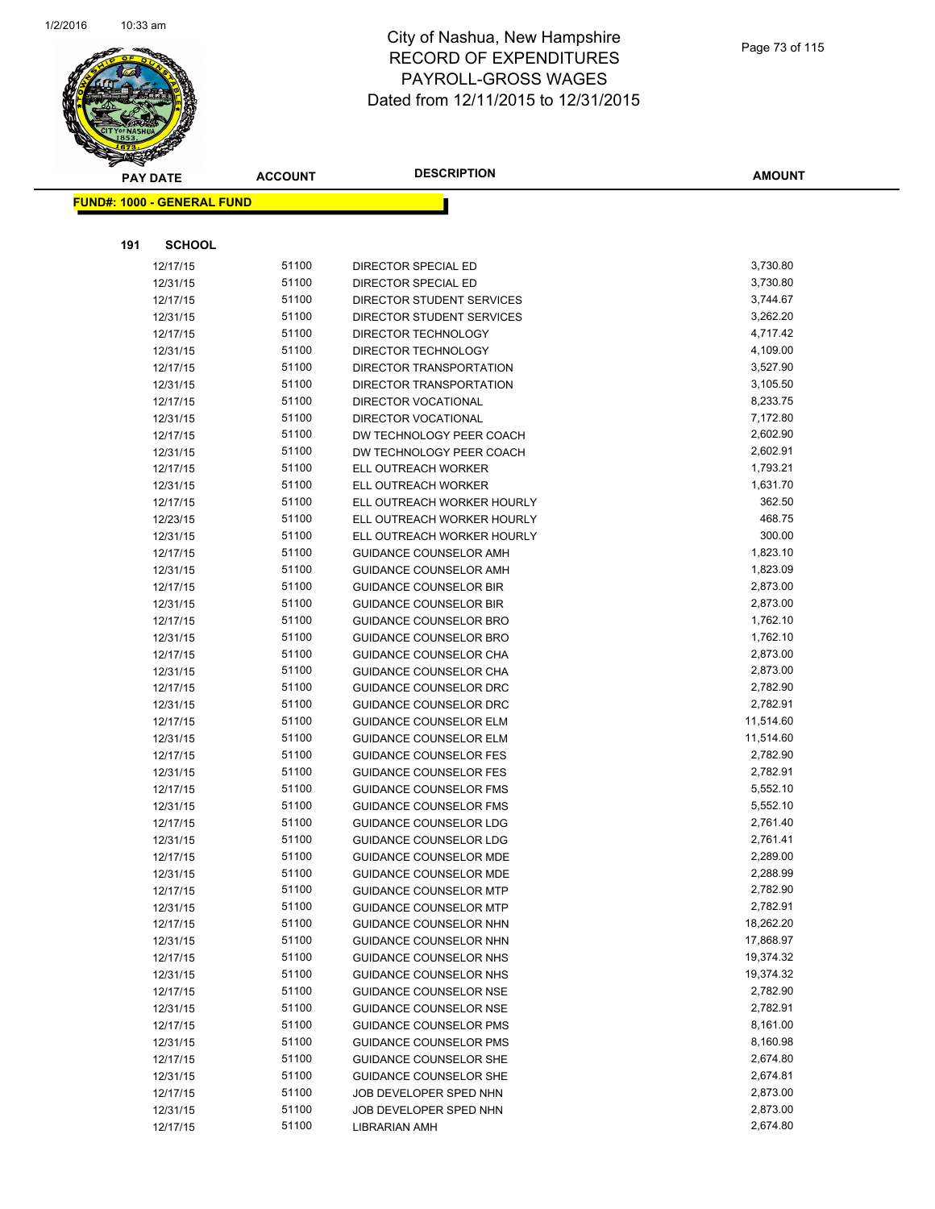

|     | <b>PAY DATE</b>                    | <b>ACCOUNT</b> | <b>DESCRIPTION</b>                                          | <b>AMOUNT</b>        |
|-----|------------------------------------|----------------|-------------------------------------------------------------|----------------------|
|     | <u> FUND#: 1000 - GENERAL FUND</u> |                |                                                             |                      |
|     |                                    |                |                                                             |                      |
|     |                                    |                |                                                             |                      |
| 191 | <b>SCHOOL</b>                      |                |                                                             |                      |
|     | 12/17/15                           | 51100          | DIRECTOR SPECIAL ED                                         | 3,730.80             |
|     | 12/31/15                           | 51100          | DIRECTOR SPECIAL ED                                         | 3,730.80             |
|     | 12/17/15                           | 51100          | DIRECTOR STUDENT SERVICES                                   | 3,744.67             |
|     | 12/31/15                           | 51100          | DIRECTOR STUDENT SERVICES                                   | 3,262.20             |
|     | 12/17/15                           | 51100          | DIRECTOR TECHNOLOGY                                         | 4,717.42             |
|     | 12/31/15                           | 51100          | DIRECTOR TECHNOLOGY                                         | 4,109.00             |
|     | 12/17/15                           | 51100          | DIRECTOR TRANSPORTATION                                     | 3,527.90             |
|     | 12/31/15                           | 51100          | DIRECTOR TRANSPORTATION                                     | 3,105.50             |
|     | 12/17/15                           | 51100          | <b>DIRECTOR VOCATIONAL</b>                                  | 8,233.75             |
|     | 12/31/15                           | 51100          | <b>DIRECTOR VOCATIONAL</b>                                  | 7,172.80             |
|     | 12/17/15                           | 51100          | DW TECHNOLOGY PEER COACH                                    | 2,602.90             |
|     | 12/31/15                           | 51100          | DW TECHNOLOGY PEER COACH                                    | 2,602.91             |
|     | 12/17/15                           | 51100          | ELL OUTREACH WORKER                                         | 1,793.21<br>1,631.70 |
|     | 12/31/15                           | 51100          | ELL OUTREACH WORKER                                         |                      |
|     | 12/17/15                           | 51100          | ELL OUTREACH WORKER HOURLY                                  | 362.50<br>468.75     |
|     | 12/23/15                           | 51100<br>51100 | ELL OUTREACH WORKER HOURLY                                  | 300.00               |
|     | 12/31/15<br>12/17/15               | 51100          | ELL OUTREACH WORKER HOURLY<br><b>GUIDANCE COUNSELOR AMH</b> | 1,823.10             |
|     | 12/31/15                           | 51100          | GUIDANCE COUNSELOR AMH                                      | 1,823.09             |
|     | 12/17/15                           | 51100          | <b>GUIDANCE COUNSELOR BIR</b>                               | 2,873.00             |
|     | 12/31/15                           | 51100          | <b>GUIDANCE COUNSELOR BIR</b>                               | 2,873.00             |
|     | 12/17/15                           | 51100          | GUIDANCE COUNSELOR BRO                                      | 1,762.10             |
|     | 12/31/15                           | 51100          | GUIDANCE COUNSELOR BRO                                      | 1,762.10             |
|     | 12/17/15                           | 51100          | GUIDANCE COUNSELOR CHA                                      | 2,873.00             |
|     | 12/31/15                           | 51100          | GUIDANCE COUNSELOR CHA                                      | 2,873.00             |
|     | 12/17/15                           | 51100          | GUIDANCE COUNSELOR DRC                                      | 2,782.90             |
|     | 12/31/15                           | 51100          | GUIDANCE COUNSELOR DRC                                      | 2,782.91             |
|     | 12/17/15                           | 51100          | <b>GUIDANCE COUNSELOR ELM</b>                               | 11,514.60            |
|     | 12/31/15                           | 51100          | <b>GUIDANCE COUNSELOR ELM</b>                               | 11,514.60            |
|     | 12/17/15                           | 51100          | <b>GUIDANCE COUNSELOR FES</b>                               | 2,782.90             |
|     | 12/31/15                           | 51100          | <b>GUIDANCE COUNSELOR FES</b>                               | 2,782.91             |
|     | 12/17/15                           | 51100          | <b>GUIDANCE COUNSELOR FMS</b>                               | 5,552.10             |
|     | 12/31/15                           | 51100          | GUIDANCE COUNSELOR FMS                                      | 5,552.10             |
|     | 12/17/15                           | 51100          | <b>GUIDANCE COUNSELOR LDG</b>                               | 2,761.40             |
|     | 12/31/15                           | 51100          | <b>GUIDANCE COUNSELOR LDG</b>                               | 2,761.41             |
|     | 12/17/15                           | 51100          | <b>GUIDANCE COUNSELOR MDE</b>                               | 2,289.00             |
|     | 12/31/15                           | 51100          | <b>GUIDANCE COUNSELOR MDE</b>                               | 2,288.99             |
|     | 12/17/15                           | 51100          | <b>GUIDANCE COUNSELOR MTP</b>                               | 2,782.90             |
|     | 12/31/15                           | 51100          | <b>GUIDANCE COUNSELOR MTP</b>                               | 2,782.91             |
|     | 12/17/15                           | 51100          | <b>GUIDANCE COUNSELOR NHN</b>                               | 18,262.20            |
|     | 12/31/15                           | 51100          | GUIDANCE COUNSELOR NHN                                      | 17,868.97            |
|     | 12/17/15                           | 51100          | GUIDANCE COUNSELOR NHS                                      | 19,374.32            |
|     | 12/31/15                           | 51100          | GUIDANCE COUNSELOR NHS                                      | 19,374.32            |
|     | 12/17/15                           | 51100          | <b>GUIDANCE COUNSELOR NSE</b>                               | 2,782.90             |
|     | 12/31/15                           | 51100          | <b>GUIDANCE COUNSELOR NSE</b>                               | 2,782.91             |
|     | 12/17/15                           | 51100          | <b>GUIDANCE COUNSELOR PMS</b>                               | 8,161.00             |
|     | 12/31/15                           | 51100          | <b>GUIDANCE COUNSELOR PMS</b>                               | 8,160.98             |
|     | 12/17/15                           | 51100          | <b>GUIDANCE COUNSELOR SHE</b>                               | 2,674.80             |
|     | 12/31/15                           | 51100          | GUIDANCE COUNSELOR SHE                                      | 2,674.81             |
|     | 12/17/15                           | 51100          | JOB DEVELOPER SPED NHN                                      | 2,873.00             |
|     | 12/31/15                           | 51100          | JOB DEVELOPER SPED NHN                                      | 2,873.00             |
|     | 12/17/15                           | 51100          | <b>LIBRARIAN AMH</b>                                        | 2,674.80             |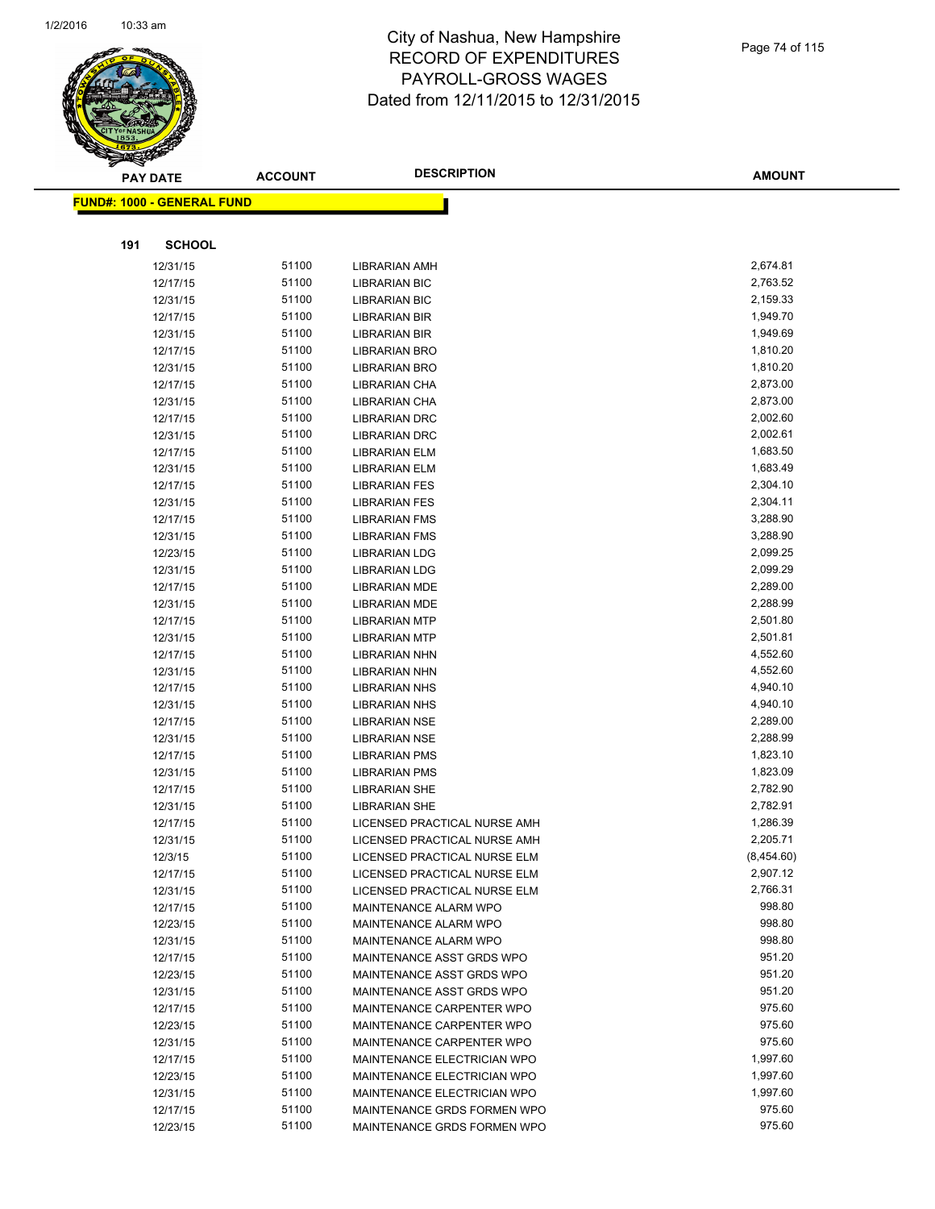

|     | <b>PAY DATE</b>                    | <b>ACCOUNT</b> | <b>DESCRIPTION</b>                           | <b>AMOUNT</b>        |
|-----|------------------------------------|----------------|----------------------------------------------|----------------------|
|     | <u> FUND#: 1000 - GENERAL FUND</u> |                |                                              |                      |
|     |                                    |                |                                              |                      |
|     |                                    |                |                                              |                      |
| 191 | <b>SCHOOL</b>                      |                |                                              |                      |
|     | 12/31/15                           | 51100          | LIBRARIAN AMH                                | 2,674.81             |
|     | 12/17/15                           | 51100          | <b>LIBRARIAN BIC</b>                         | 2,763.52             |
|     | 12/31/15                           | 51100          | <b>LIBRARIAN BIC</b>                         | 2,159.33             |
|     | 12/17/15                           | 51100          | <b>LIBRARIAN BIR</b>                         | 1,949.70             |
|     | 12/31/15                           | 51100          | <b>LIBRARIAN BIR</b>                         | 1,949.69             |
|     | 12/17/15                           | 51100          | <b>LIBRARIAN BRO</b>                         | 1,810.20             |
|     | 12/31/15                           | 51100          | <b>LIBRARIAN BRO</b>                         | 1,810.20             |
|     | 12/17/15                           | 51100          | LIBRARIAN CHA                                | 2,873.00             |
|     | 12/31/15                           | 51100          | LIBRARIAN CHA                                | 2,873.00             |
|     | 12/17/15                           | 51100          | <b>LIBRARIAN DRC</b>                         | 2,002.60             |
|     | 12/31/15                           | 51100          | <b>LIBRARIAN DRC</b>                         | 2,002.61             |
|     | 12/17/15                           | 51100          | <b>LIBRARIAN ELM</b>                         | 1,683.50             |
|     | 12/31/15                           | 51100          | <b>LIBRARIAN ELM</b>                         | 1,683.49             |
|     | 12/17/15                           | 51100          | <b>LIBRARIAN FES</b>                         | 2,304.10             |
|     | 12/31/15                           | 51100          | <b>LIBRARIAN FES</b>                         | 2,304.11             |
|     | 12/17/15                           | 51100          | <b>LIBRARIAN FMS</b>                         | 3,288.90             |
|     | 12/31/15                           | 51100          | <b>LIBRARIAN FMS</b>                         | 3,288.90             |
|     | 12/23/15                           | 51100          | <b>LIBRARIAN LDG</b>                         | 2,099.25             |
|     | 12/31/15                           | 51100          | <b>LIBRARIAN LDG</b>                         | 2,099.29             |
|     | 12/17/15<br>12/31/15               | 51100<br>51100 | LIBRARIAN MDE<br><b>LIBRARIAN MDE</b>        | 2,289.00<br>2,288.99 |
|     |                                    | 51100          |                                              | 2,501.80             |
|     | 12/17/15<br>12/31/15               | 51100          | <b>LIBRARIAN MTP</b><br><b>LIBRARIAN MTP</b> | 2,501.81             |
|     | 12/17/15                           | 51100          | LIBRARIAN NHN                                | 4,552.60             |
|     | 12/31/15                           | 51100          | LIBRARIAN NHN                                | 4,552.60             |
|     | 12/17/15                           | 51100          | <b>LIBRARIAN NHS</b>                         | 4,940.10             |
|     | 12/31/15                           | 51100          | <b>LIBRARIAN NHS</b>                         | 4,940.10             |
|     | 12/17/15                           | 51100          | <b>LIBRARIAN NSE</b>                         | 2,289.00             |
|     | 12/31/15                           | 51100          | <b>LIBRARIAN NSE</b>                         | 2,288.99             |
|     | 12/17/15                           | 51100          | <b>LIBRARIAN PMS</b>                         | 1,823.10             |
|     | 12/31/15                           | 51100          | <b>LIBRARIAN PMS</b>                         | 1,823.09             |
|     | 12/17/15                           | 51100          | <b>LIBRARIAN SHE</b>                         | 2,782.90             |
|     | 12/31/15                           | 51100          | <b>LIBRARIAN SHE</b>                         | 2,782.91             |
|     | 12/17/15                           | 51100          | LICENSED PRACTICAL NURSE AMH                 | 1,286.39             |
|     | 12/31/15                           | 51100          | LICENSED PRACTICAL NURSE AMH                 | 2,205.71             |
|     | 12/3/15                            | 51100          | LICENSED PRACTICAL NURSE ELM                 | (8,454.60)           |
|     | 12/17/15                           | 51100          | LICENSED PRACTICAL NURSE ELM                 | 2,907.12             |
|     | 12/31/15                           | 51100          | LICENSED PRACTICAL NURSE ELM                 | 2,766.31             |
|     | 12/17/15                           | 51100          | MAINTENANCE ALARM WPO                        | 998.80               |
|     | 12/23/15                           | 51100          | MAINTENANCE ALARM WPO                        | 998.80               |
|     | 12/31/15                           | 51100          | MAINTENANCE ALARM WPO                        | 998.80               |
|     | 12/17/15                           | 51100          | MAINTENANCE ASST GRDS WPO                    | 951.20               |
|     | 12/23/15                           | 51100          | MAINTENANCE ASST GRDS WPO                    | 951.20               |
|     | 12/31/15                           | 51100          | MAINTENANCE ASST GRDS WPO                    | 951.20               |
|     | 12/17/15                           | 51100          | MAINTENANCE CARPENTER WPO                    | 975.60               |
|     | 12/23/15                           | 51100          | MAINTENANCE CARPENTER WPO                    | 975.60               |
|     | 12/31/15                           | 51100          | MAINTENANCE CARPENTER WPO                    | 975.60               |
|     | 12/17/15                           | 51100          | MAINTENANCE ELECTRICIAN WPO                  | 1,997.60             |
|     | 12/23/15                           | 51100          | MAINTENANCE ELECTRICIAN WPO                  | 1,997.60             |
|     | 12/31/15                           | 51100          | MAINTENANCE ELECTRICIAN WPO                  | 1,997.60             |
|     | 12/17/15                           | 51100          | MAINTENANCE GRDS FORMEN WPO                  | 975.60               |
|     | 12/23/15                           | 51100          | MAINTENANCE GRDS FORMEN WPO                  | 975.60               |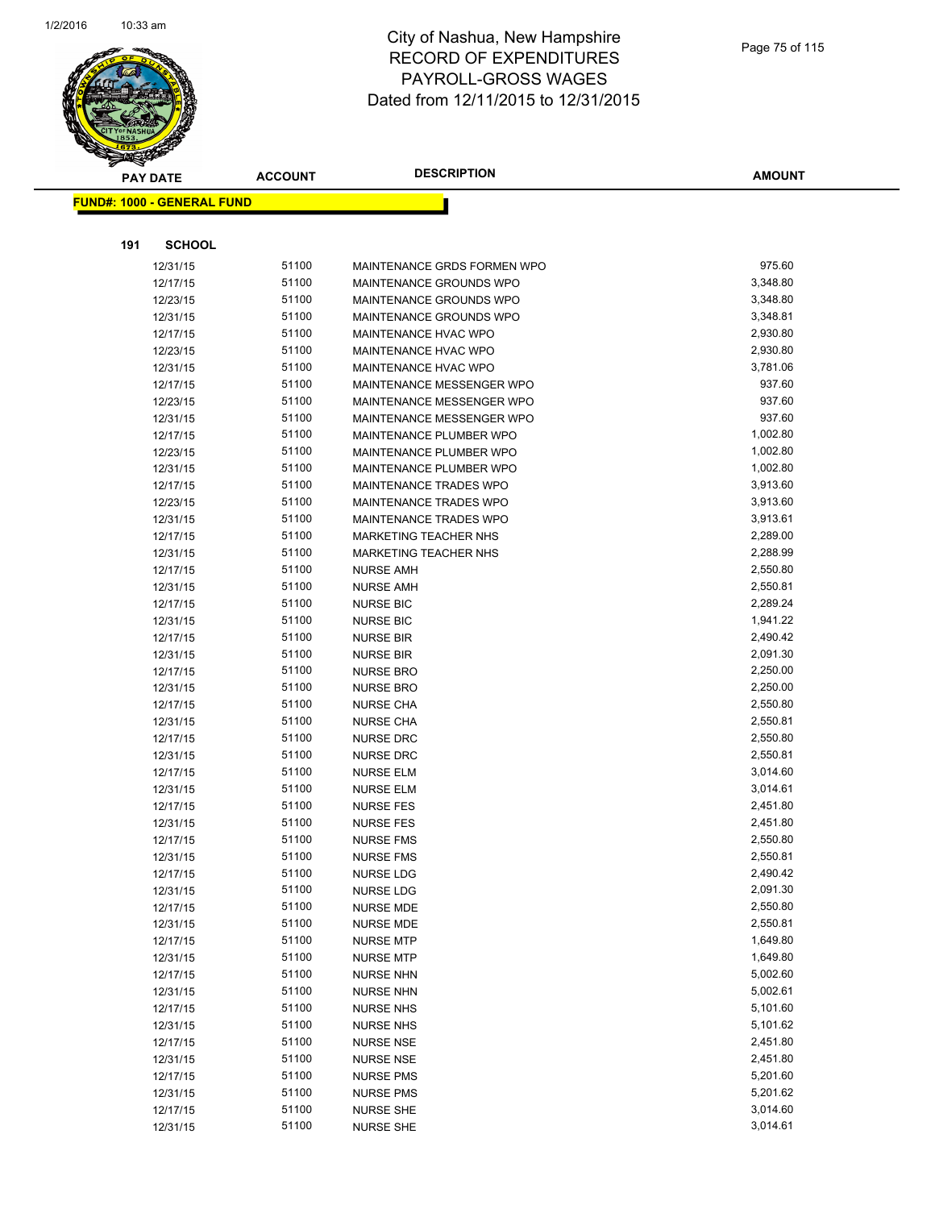

| <b>PAY DATE</b> |                                   | <b>DESCRIPTION</b><br><b>ACCOUNT</b> |                               | <b>AMOUNT</b> |
|-----------------|-----------------------------------|--------------------------------------|-------------------------------|---------------|
|                 | <b>FUND#: 1000 - GENERAL FUND</b> |                                      |                               |               |
|                 |                                   |                                      |                               |               |
|                 |                                   |                                      |                               |               |
| 191             | <b>SCHOOL</b>                     |                                      |                               |               |
|                 | 12/31/15                          | 51100                                | MAINTENANCE GRDS FORMEN WPO   | 975.60        |
|                 | 12/17/15                          | 51100                                | MAINTENANCE GROUNDS WPO       | 3,348.80      |
|                 | 12/23/15                          | 51100                                | MAINTENANCE GROUNDS WPO       | 3,348.80      |
|                 | 12/31/15                          | 51100                                | MAINTENANCE GROUNDS WPO       | 3,348.81      |
|                 | 12/17/15                          | 51100                                | MAINTENANCE HVAC WPO          | 2,930.80      |
|                 | 12/23/15                          | 51100                                | MAINTENANCE HVAC WPO          | 2,930.80      |
|                 | 12/31/15                          | 51100                                | <b>MAINTENANCE HVAC WPO</b>   | 3,781.06      |
|                 | 12/17/15                          | 51100                                | MAINTENANCE MESSENGER WPO     | 937.60        |
|                 | 12/23/15                          | 51100                                | MAINTENANCE MESSENGER WPO     | 937.60        |
|                 | 12/31/15                          | 51100                                | MAINTENANCE MESSENGER WPO     | 937.60        |
|                 | 12/17/15                          | 51100                                | MAINTENANCE PLUMBER WPO       | 1,002.80      |
|                 | 12/23/15                          | 51100                                | MAINTENANCE PLUMBER WPO       | 1,002.80      |
|                 | 12/31/15                          | 51100                                | MAINTENANCE PLUMBER WPO       | 1,002.80      |
|                 | 12/17/15                          | 51100                                | <b>MAINTENANCE TRADES WPO</b> | 3,913.60      |
|                 | 12/23/15                          | 51100                                | <b>MAINTENANCE TRADES WPO</b> | 3,913.60      |
|                 | 12/31/15                          | 51100                                | MAINTENANCE TRADES WPO        | 3,913.61      |
|                 | 12/17/15                          | 51100                                | <b>MARKETING TEACHER NHS</b>  | 2,289.00      |
|                 | 12/31/15                          | 51100                                | <b>MARKETING TEACHER NHS</b>  | 2,288.99      |
|                 | 12/17/15                          | 51100                                | <b>NURSE AMH</b>              | 2,550.80      |
|                 | 12/31/15                          | 51100                                | <b>NURSE AMH</b>              | 2,550.81      |
|                 | 12/17/15                          | 51100                                | <b>NURSE BIC</b>              | 2,289.24      |
|                 | 12/31/15                          | 51100                                | <b>NURSE BIC</b>              | 1,941.22      |
|                 | 12/17/15                          | 51100                                | <b>NURSE BIR</b>              | 2,490.42      |
|                 | 12/31/15                          | 51100                                | <b>NURSE BIR</b>              | 2,091.30      |
|                 | 12/17/15                          | 51100                                | <b>NURSE BRO</b>              | 2,250.00      |
|                 | 12/31/15                          | 51100                                | <b>NURSE BRO</b>              | 2,250.00      |
|                 | 12/17/15                          | 51100                                | <b>NURSE CHA</b>              | 2,550.80      |
|                 | 12/31/15                          | 51100                                | <b>NURSE CHA</b>              | 2,550.81      |
|                 | 12/17/15                          | 51100                                | <b>NURSE DRC</b>              | 2,550.80      |
|                 | 12/31/15                          | 51100                                | <b>NURSE DRC</b>              | 2,550.81      |
|                 | 12/17/15                          | 51100                                | <b>NURSE ELM</b>              | 3,014.60      |
|                 | 12/31/15                          | 51100                                | <b>NURSE ELM</b>              | 3,014.61      |
|                 | 12/17/15                          | 51100                                | <b>NURSE FES</b>              | 2,451.80      |
|                 | 12/31/15                          | 51100                                | <b>NURSE FES</b>              | 2,451.80      |
|                 | 12/17/15                          | 51100                                | <b>NURSE FMS</b>              | 2,550.80      |
|                 | 12/31/15                          | 51100                                | <b>NURSE FMS</b>              | 2,550.81      |
|                 | 12/17/15                          | 51100                                | NURSE LDG                     | 2,490.42      |
|                 | 12/31/15                          | 51100                                | NURSE LDG                     | 2,091.30      |
|                 | 12/17/15                          | 51100                                | <b>NURSE MDE</b>              | 2,550.80      |
|                 | 12/31/15                          | 51100                                | <b>NURSE MDE</b>              | 2,550.81      |
|                 | 12/17/15                          | 51100                                | <b>NURSE MTP</b>              | 1,649.80      |
|                 | 12/31/15                          | 51100                                | <b>NURSE MTP</b>              | 1,649.80      |
|                 | 12/17/15                          | 51100                                | <b>NURSE NHN</b>              | 5,002.60      |
|                 | 12/31/15                          | 51100                                | <b>NURSE NHN</b>              | 5,002.61      |
|                 | 12/17/15                          | 51100                                | <b>NURSE NHS</b>              | 5,101.60      |
|                 | 12/31/15                          | 51100                                | <b>NURSE NHS</b>              | 5,101.62      |
|                 | 12/17/15                          | 51100                                | <b>NURSE NSE</b>              | 2,451.80      |
|                 | 12/31/15                          | 51100                                | <b>NURSE NSE</b>              | 2,451.80      |
|                 | 12/17/15                          | 51100                                | <b>NURSE PMS</b>              | 5,201.60      |
|                 | 12/31/15                          | 51100                                | <b>NURSE PMS</b>              | 5,201.62      |
|                 | 12/17/15                          | 51100                                | <b>NURSE SHE</b>              | 3,014.60      |
|                 | 12/31/15                          | 51100                                | <b>NURSE SHE</b>              | 3,014.61      |
|                 |                                   |                                      |                               |               |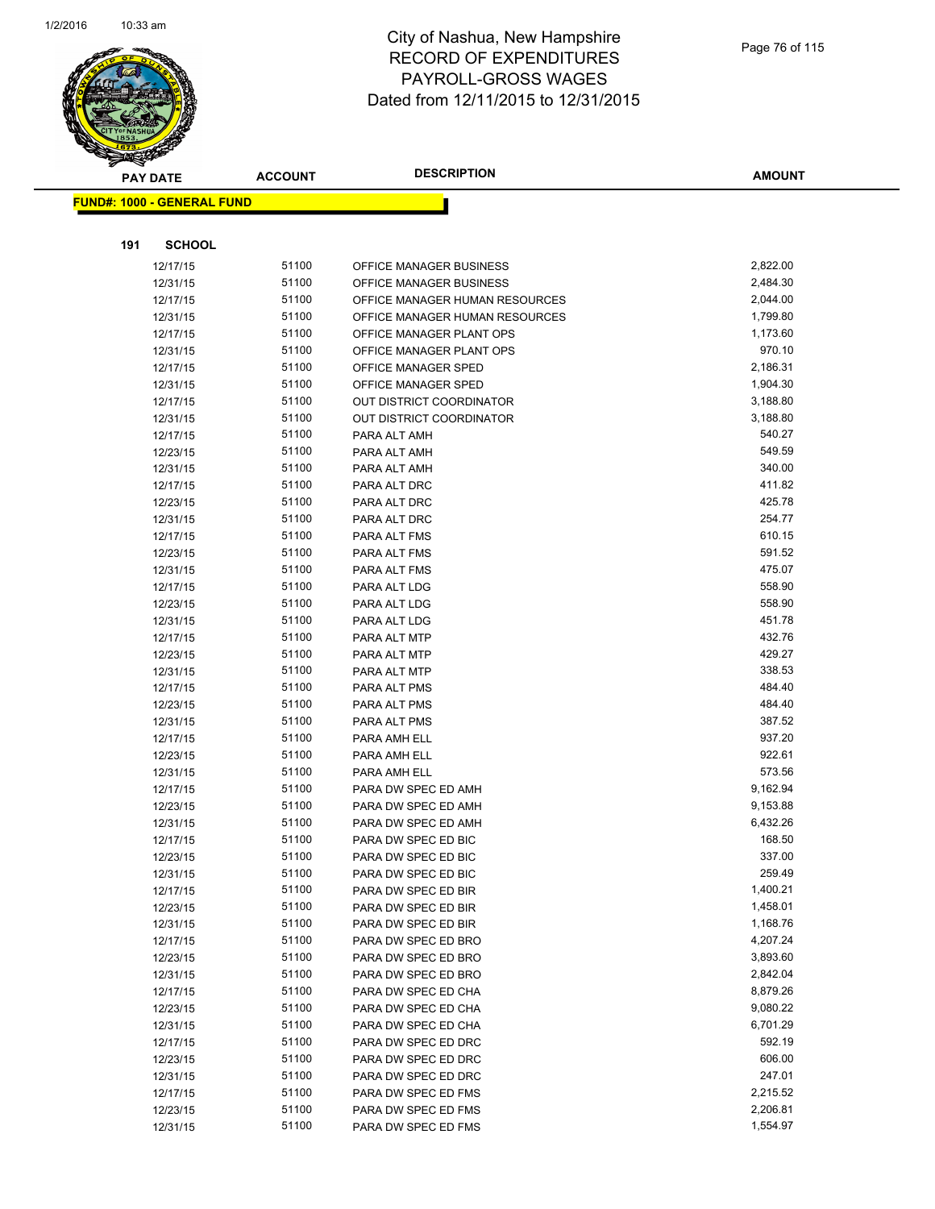

|     | <b>PAY DATE</b>                   | <b>ACCOUNT</b> | <b>DESCRIPTION</b>              | <b>AMOUNT</b> |
|-----|-----------------------------------|----------------|---------------------------------|---------------|
|     | <b>FUND#: 1000 - GENERAL FUND</b> |                |                                 |               |
|     |                                   |                |                                 |               |
|     |                                   |                |                                 |               |
| 191 | <b>SCHOOL</b>                     |                |                                 |               |
|     | 12/17/15                          | 51100          | OFFICE MANAGER BUSINESS         | 2,822.00      |
|     | 12/31/15                          | 51100          | OFFICE MANAGER BUSINESS         | 2,484.30      |
|     | 12/17/15                          | 51100          | OFFICE MANAGER HUMAN RESOURCES  | 2,044.00      |
|     | 12/31/15                          | 51100          | OFFICE MANAGER HUMAN RESOURCES  | 1,799.80      |
|     | 12/17/15                          | 51100          | OFFICE MANAGER PLANT OPS        | 1,173.60      |
|     | 12/31/15                          | 51100          | OFFICE MANAGER PLANT OPS        | 970.10        |
|     | 12/17/15                          | 51100          | OFFICE MANAGER SPED             | 2,186.31      |
|     | 12/31/15                          | 51100          | OFFICE MANAGER SPED             | 1,904.30      |
|     | 12/17/15                          | 51100          | <b>OUT DISTRICT COORDINATOR</b> | 3,188.80      |
|     | 12/31/15                          | 51100          | <b>OUT DISTRICT COORDINATOR</b> | 3,188.80      |
|     | 12/17/15                          | 51100          | PARA ALT AMH                    | 540.27        |
|     | 12/23/15                          | 51100          | PARA ALT AMH                    | 549.59        |
|     | 12/31/15                          | 51100          | PARA ALT AMH                    | 340.00        |
|     | 12/17/15                          | 51100          | PARA ALT DRC                    | 411.82        |
|     | 12/23/15                          | 51100          | PARA ALT DRC                    | 425.78        |
|     | 12/31/15                          | 51100          | PARA ALT DRC                    | 254.77        |
|     | 12/17/15                          | 51100          | PARA ALT FMS                    | 610.15        |
|     | 12/23/15                          | 51100          | PARA ALT FMS                    | 591.52        |
|     | 12/31/15                          | 51100          | PARA ALT FMS                    | 475.07        |
|     | 12/17/15                          | 51100          | PARA ALT LDG                    | 558.90        |
|     | 12/23/15                          | 51100          | PARA ALT LDG                    | 558.90        |
|     | 12/31/15                          | 51100          | PARA ALT LDG                    | 451.78        |
|     | 12/17/15                          | 51100          | PARA ALT MTP                    | 432.76        |
|     | 12/23/15                          | 51100          | PARA ALT MTP                    | 429.27        |
|     | 12/31/15                          | 51100          | PARA ALT MTP                    | 338.53        |
|     | 12/17/15                          | 51100          | PARA ALT PMS                    | 484.40        |
|     | 12/23/15                          | 51100          | PARA ALT PMS                    | 484.40        |
|     | 12/31/15                          | 51100          | PARA ALT PMS                    | 387.52        |
|     | 12/17/15                          | 51100          | PARA AMH ELL                    | 937.20        |
|     | 12/23/15                          | 51100          | PARA AMH ELL                    | 922.61        |
|     | 12/31/15                          | 51100          | PARA AMH ELL                    | 573.56        |
|     | 12/17/15                          | 51100          | PARA DW SPEC ED AMH             | 9,162.94      |
|     | 12/23/15                          | 51100          | PARA DW SPEC ED AMH             | 9,153.88      |
|     | 12/31/15                          | 51100          | PARA DW SPEC ED AMH             | 6,432.26      |
|     | 12/17/15                          | 51100          | PARA DW SPEC ED BIC             | 168.50        |
|     | 12/23/15                          | 51100          | PARA DW SPEC ED BIC             | 337.00        |
|     | 12/31/15                          | 51100          | PARA DW SPEC ED BIC             | 259.49        |
|     | 12/17/15                          | 51100          | PARA DW SPEC ED BIR             | 1,400.21      |
|     | 12/23/15                          | 51100          | PARA DW SPEC ED BIR             | 1,458.01      |
|     | 12/31/15                          | 51100          | PARA DW SPEC ED BIR             | 1,168.76      |
|     | 12/17/15                          | 51100          | PARA DW SPEC ED BRO             | 4,207.24      |
|     | 12/23/15                          | 51100          | PARA DW SPEC ED BRO             | 3,893.60      |
|     | 12/31/15                          | 51100          | PARA DW SPEC ED BRO             | 2,842.04      |
|     | 12/17/15                          | 51100          | PARA DW SPEC ED CHA             | 8,879.26      |
|     | 12/23/15                          | 51100          | PARA DW SPEC ED CHA             | 9,080.22      |
|     | 12/31/15                          | 51100          | PARA DW SPEC ED CHA             | 6,701.29      |
|     | 12/17/15                          | 51100          | PARA DW SPEC ED DRC             | 592.19        |
|     | 12/23/15                          | 51100          | PARA DW SPEC ED DRC             | 606.00        |
|     | 12/31/15                          | 51100          | PARA DW SPEC ED DRC             | 247.01        |
|     | 12/17/15                          | 51100          | PARA DW SPEC ED FMS             | 2,215.52      |
|     | 12/23/15                          | 51100          | PARA DW SPEC ED FMS             | 2,206.81      |
|     | 12/31/15                          | 51100          | PARA DW SPEC ED FMS             | 1,554.97      |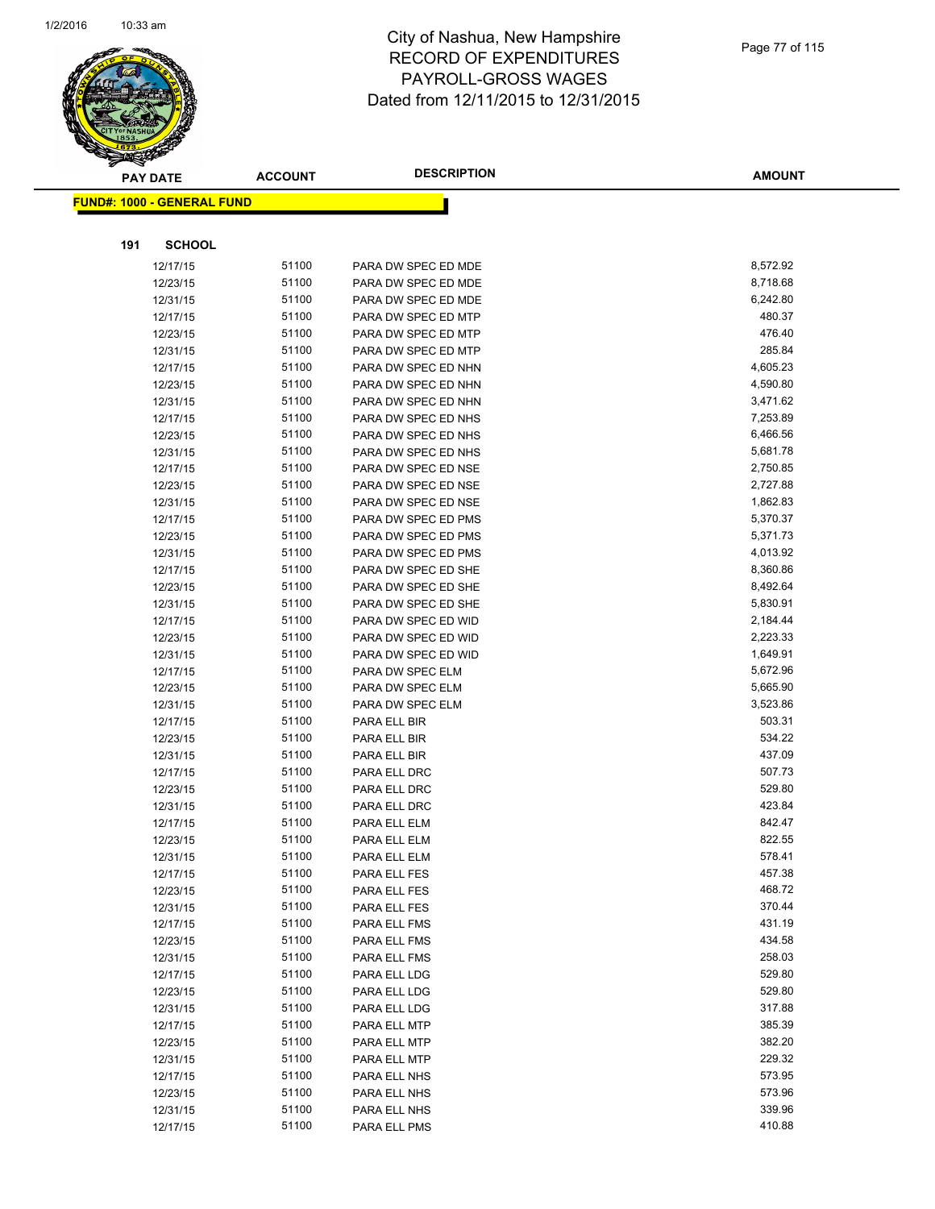

|     | <b>PAY DATE</b>                    | <b>ACCOUNT</b> | <b>DESCRIPTION</b>               | <b>AMOUNT</b>        |
|-----|------------------------------------|----------------|----------------------------------|----------------------|
|     | <u> FUND#: 1000 - GENERAL FUND</u> |                |                                  |                      |
|     |                                    |                |                                  |                      |
|     |                                    |                |                                  |                      |
| 191 | <b>SCHOOL</b>                      |                |                                  |                      |
|     | 12/17/15                           | 51100          | PARA DW SPEC ED MDE              | 8,572.92             |
|     | 12/23/15                           | 51100          | PARA DW SPEC ED MDE              | 8,718.68             |
|     | 12/31/15                           | 51100          | PARA DW SPEC ED MDE              | 6,242.80             |
|     | 12/17/15                           | 51100          | PARA DW SPEC ED MTP              | 480.37               |
|     | 12/23/15                           | 51100          | PARA DW SPEC ED MTP              | 476.40               |
|     | 12/31/15                           | 51100          | PARA DW SPEC ED MTP              | 285.84               |
|     | 12/17/15                           | 51100          | PARA DW SPEC ED NHN              | 4,605.23             |
|     | 12/23/15                           | 51100          | PARA DW SPEC ED NHN              | 4,590.80             |
|     | 12/31/15                           | 51100          | PARA DW SPEC ED NHN              | 3,471.62             |
|     | 12/17/15                           | 51100          | PARA DW SPEC ED NHS              | 7,253.89             |
|     | 12/23/15                           | 51100          | PARA DW SPEC ED NHS              | 6,466.56             |
|     | 12/31/15                           | 51100          | PARA DW SPEC ED NHS              | 5,681.78             |
|     | 12/17/15                           | 51100          | PARA DW SPEC ED NSE              | 2,750.85             |
|     | 12/23/15                           | 51100          | PARA DW SPEC ED NSE              | 2,727.88             |
|     | 12/31/15                           | 51100          | PARA DW SPEC ED NSE              | 1,862.83             |
|     | 12/17/15                           | 51100          | PARA DW SPEC ED PMS              | 5,370.37             |
|     | 12/23/15                           | 51100          | PARA DW SPEC ED PMS              | 5,371.73             |
|     | 12/31/15                           | 51100          | PARA DW SPEC ED PMS              | 4,013.92             |
|     | 12/17/15                           | 51100          | PARA DW SPEC ED SHE              | 8,360.86             |
|     | 12/23/15                           | 51100          | PARA DW SPEC ED SHE              | 8,492.64             |
|     | 12/31/15                           | 51100          | PARA DW SPEC ED SHE              | 5,830.91             |
|     | 12/17/15                           | 51100          | PARA DW SPEC ED WID              | 2,184.44             |
|     | 12/23/15                           | 51100          | PARA DW SPEC ED WID              | 2,223.33             |
|     | 12/31/15                           | 51100          | PARA DW SPEC ED WID              | 1,649.91             |
|     | 12/17/15                           | 51100<br>51100 | PARA DW SPEC ELM                 | 5,672.96             |
|     | 12/23/15                           | 51100          | PARA DW SPEC ELM                 | 5,665.90<br>3,523.86 |
|     | 12/31/15<br>12/17/15               | 51100          | PARA DW SPEC ELM<br>PARA ELL BIR | 503.31               |
|     | 12/23/15                           | 51100          | PARA ELL BIR                     | 534.22               |
|     | 12/31/15                           | 51100          | PARA ELL BIR                     | 437.09               |
|     | 12/17/15                           | 51100          | PARA ELL DRC                     | 507.73               |
|     | 12/23/15                           | 51100          | PARA ELL DRC                     | 529.80               |
|     | 12/31/15                           | 51100          | PARA ELL DRC                     | 423.84               |
|     | 12/17/15                           | 51100          | PARA ELL ELM                     | 842.47               |
|     | 12/23/15                           | 51100          | PARA ELL ELM                     | 822.55               |
|     | 12/31/15                           | 51100          | PARA ELL ELM                     | 578.41               |
|     | 12/17/15                           | 51100          | PARA ELL FES                     | 457.38               |
|     | 12/23/15                           | 51100          | PARA ELL FES                     | 468.72               |
|     | 12/31/15                           | 51100          | PARA ELL FES                     | 370.44               |
|     | 12/17/15                           | 51100          | PARA ELL FMS                     | 431.19               |
|     | 12/23/15                           | 51100          | PARA ELL FMS                     | 434.58               |
|     | 12/31/15                           | 51100          | PARA ELL FMS                     | 258.03               |
|     | 12/17/15                           | 51100          | PARA ELL LDG                     | 529.80               |
|     | 12/23/15                           | 51100          | PARA ELL LDG                     | 529.80               |
|     | 12/31/15                           | 51100          | PARA ELL LDG                     | 317.88               |
|     | 12/17/15                           | 51100          | PARA ELL MTP                     | 385.39               |
|     | 12/23/15                           | 51100          | PARA ELL MTP                     | 382.20               |
|     | 12/31/15                           | 51100          | PARA ELL MTP                     | 229.32               |
|     | 12/17/15                           | 51100          | PARA ELL NHS                     | 573.95               |
|     | 12/23/15                           | 51100          | PARA ELL NHS                     | 573.96               |
|     | 12/31/15                           | 51100          | PARA ELL NHS                     | 339.96               |
|     | 12/17/15                           | 51100          | PARA ELL PMS                     | 410.88               |
|     |                                    |                |                                  |                      |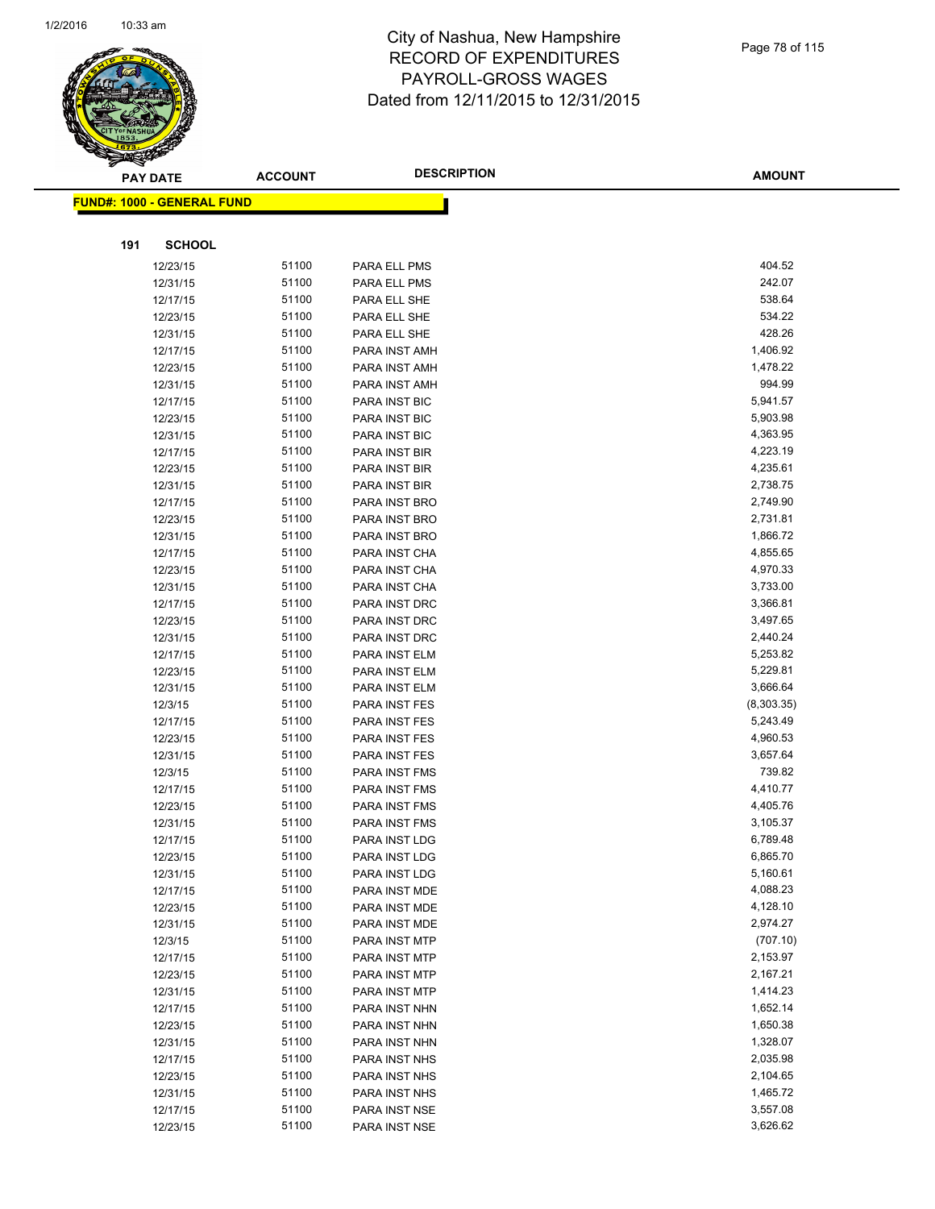

|     | <b>PAY DATE</b>                         | <b>ACCOUNT</b> | <b>DESCRIPTION</b>             | <b>AMOUNT</b>          |
|-----|-----------------------------------------|----------------|--------------------------------|------------------------|
|     | <mark>FUND#: 1000 - GENERAL FUND</mark> |                |                                |                        |
|     |                                         |                |                                |                        |
| 191 | <b>SCHOOL</b>                           |                |                                |                        |
|     | 12/23/15                                | 51100          | PARA ELL PMS                   | 404.52                 |
|     | 12/31/15                                | 51100          | PARA ELL PMS                   | 242.07                 |
|     | 12/17/15                                | 51100          | PARA ELL SHE                   | 538.64                 |
|     | 12/23/15                                | 51100          | PARA ELL SHE                   | 534.22                 |
|     | 12/31/15                                | 51100          | PARA ELL SHE                   | 428.26                 |
|     | 12/17/15                                | 51100          | PARA INST AMH                  | 1,406.92               |
|     | 12/23/15                                | 51100          | PARA INST AMH                  | 1,478.22               |
|     | 12/31/15                                | 51100          | PARA INST AMH                  | 994.99                 |
|     | 12/17/15                                | 51100          | PARA INST BIC                  | 5,941.57               |
|     | 12/23/15                                | 51100          | PARA INST BIC                  | 5,903.98               |
|     | 12/31/15                                | 51100          | PARA INST BIC                  | 4,363.95               |
|     | 12/17/15                                | 51100          | PARA INST BIR                  | 4,223.19               |
|     | 12/23/15                                | 51100          | PARA INST BIR                  | 4,235.61               |
|     | 12/31/15                                | 51100          | PARA INST BIR                  | 2,738.75               |
|     | 12/17/15                                | 51100          | PARA INST BRO                  | 2,749.90               |
|     | 12/23/15                                | 51100          | PARA INST BRO                  | 2,731.81               |
|     | 12/31/15                                | 51100          | PARA INST BRO                  | 1,866.72               |
|     | 12/17/15                                | 51100          | PARA INST CHA                  | 4,855.65               |
|     | 12/23/15                                | 51100          | PARA INST CHA                  | 4,970.33               |
|     | 12/31/15                                | 51100          | PARA INST CHA                  | 3,733.00               |
|     | 12/17/15                                | 51100          | PARA INST DRC                  | 3,366.81               |
|     | 12/23/15                                | 51100          | PARA INST DRC                  | 3,497.65               |
|     | 12/31/15                                | 51100          | PARA INST DRC                  | 2,440.24               |
|     | 12/17/15                                | 51100          | PARA INST ELM                  | 5,253.82               |
|     | 12/23/15                                | 51100          | PARA INST ELM                  | 5,229.81               |
|     | 12/31/15                                | 51100<br>51100 | PARA INST ELM                  | 3,666.64<br>(8,303.35) |
|     | 12/3/15<br>12/17/15                     | 51100          | PARA INST FES<br>PARA INST FES | 5,243.49               |
|     | 12/23/15                                | 51100          | PARA INST FES                  | 4,960.53               |
|     | 12/31/15                                | 51100          | PARA INST FES                  | 3,657.64               |
|     | 12/3/15                                 | 51100          | PARA INST FMS                  | 739.82                 |
|     | 12/17/15                                | 51100          | PARA INST FMS                  | 4,410.77               |
|     | 12/23/15                                | 51100          | PARA INST FMS                  | 4,405.76               |
|     | 12/31/15                                | 51100          | PARA INST FMS                  | 3,105.37               |
|     | 12/17/15                                | 51100          | PARA INST LDG                  | 6,789.48               |
|     | 12/23/15                                | 51100          | PARA INST LDG                  | 6,865.70               |
|     | 12/31/15                                | 51100          | PARA INST LDG                  | 5,160.61               |
|     | 12/17/15                                | 51100          | PARA INST MDE                  | 4,088.23               |
|     | 12/23/15                                | 51100          | PARA INST MDE                  | 4,128.10               |
|     | 12/31/15                                | 51100          | PARA INST MDE                  | 2,974.27               |
|     | 12/3/15                                 | 51100          | PARA INST MTP                  | (707.10)               |
|     | 12/17/15                                | 51100          | PARA INST MTP                  | 2,153.97               |
|     | 12/23/15                                | 51100          | PARA INST MTP                  | 2,167.21               |
|     | 12/31/15                                | 51100          | PARA INST MTP                  | 1,414.23               |
|     | 12/17/15                                | 51100          | PARA INST NHN                  | 1,652.14               |
|     | 12/23/15                                | 51100          | PARA INST NHN                  | 1,650.38               |
|     | 12/31/15                                | 51100          | PARA INST NHN                  | 1,328.07               |
|     | 12/17/15                                | 51100          | PARA INST NHS                  | 2,035.98               |
|     | 12/23/15                                | 51100          | PARA INST NHS                  | 2,104.65               |
|     | 12/31/15                                | 51100          | PARA INST NHS                  | 1,465.72               |
|     | 12/17/15                                | 51100          | PARA INST NSE                  | 3,557.08               |
|     | 12/23/15                                | 51100          | PARA INST NSE                  | 3,626.62               |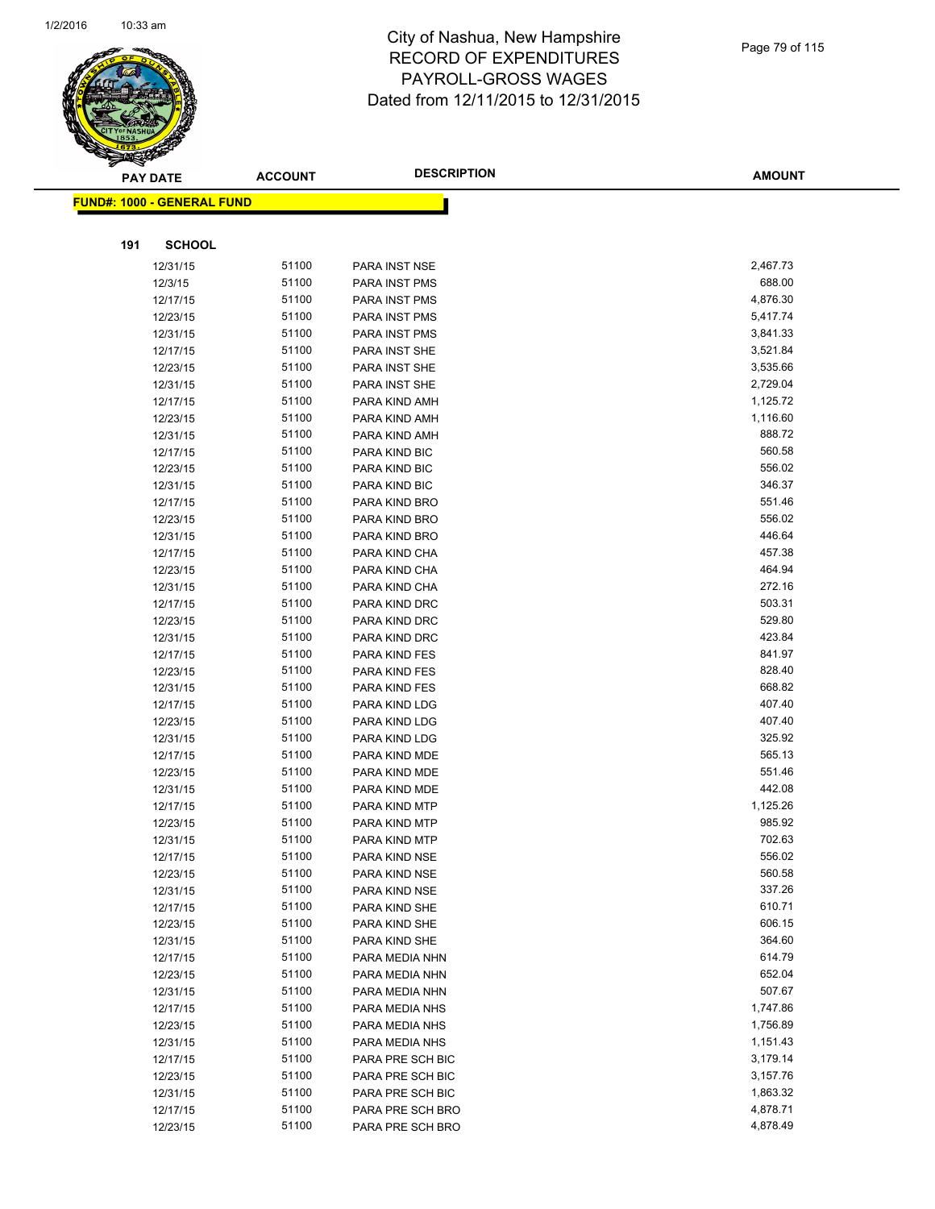

| ॼ   | <b>PAY DATE</b>                   | <b>ACCOUNT</b> | <b>DESCRIPTION</b>   | <b>AMOUNT</b> |
|-----|-----------------------------------|----------------|----------------------|---------------|
|     | <b>FUND#: 1000 - GENERAL FUND</b> |                |                      |               |
|     |                                   |                |                      |               |
| 191 | <b>SCHOOL</b>                     |                |                      |               |
|     | 12/31/15                          | 51100          | PARA INST NSE        | 2,467.73      |
|     | 12/3/15                           | 51100          | PARA INST PMS        | 688.00        |
|     | 12/17/15                          | 51100          | PARA INST PMS        | 4,876.30      |
|     | 12/23/15                          | 51100          | <b>PARA INST PMS</b> | 5,417.74      |
|     | 12/31/15                          | 51100          | <b>PARA INST PMS</b> | 3,841.33      |
|     | 12/17/15                          | 51100          | PARA INST SHE        | 3,521.84      |
|     | 12/23/15                          | 51100          | PARA INST SHE        | 3,535.66      |
|     | 12/31/15                          | 51100          | PARA INST SHE        | 2,729.04      |
|     | 12/17/15                          | 51100          | PARA KIND AMH        | 1,125.72      |
|     | 12/23/15                          | 51100          | PARA KIND AMH        | 1,116.60      |
|     | 12/31/15                          | 51100          | PARA KIND AMH        | 888.72        |
|     | 12/17/15                          | 51100          | PARA KIND BIC        | 560.58        |
|     | 12/23/15                          | 51100          | PARA KIND BIC        | 556.02        |
|     | 12/31/15                          | 51100          | PARA KIND BIC        | 346.37        |
|     | 12/17/15                          | 51100          | PARA KIND BRO        | 551.46        |
|     | 12/23/15                          | 51100          | PARA KIND BRO        | 556.02        |
|     | 12/31/15                          | 51100          | PARA KIND BRO        | 446.64        |
|     | 12/17/15                          | 51100          | PARA KIND CHA        | 457.38        |
|     | 12/23/15                          | 51100          | PARA KIND CHA        | 464.94        |
|     | 12/31/15                          | 51100          | PARA KIND CHA        | 272.16        |
|     | 12/17/15                          | 51100          | PARA KIND DRC        | 503.31        |
|     | 12/23/15                          | 51100          | PARA KIND DRC        | 529.80        |
|     | 12/31/15                          | 51100          | PARA KIND DRC        | 423.84        |
|     | 12/17/15                          | 51100          | PARA KIND FES        | 841.97        |
|     | 12/23/15                          | 51100          | PARA KIND FES        | 828.40        |
|     | 12/31/15                          | 51100          | PARA KIND FES        | 668.82        |
|     | 12/17/15                          | 51100          | PARA KIND LDG        | 407.40        |
|     | 12/23/15                          | 51100          | PARA KIND LDG        | 407.40        |
|     | 12/31/15                          | 51100          | PARA KIND LDG        | 325.92        |
|     | 12/17/15                          | 51100          | PARA KIND MDE        | 565.13        |
|     | 12/23/15                          | 51100          | PARA KIND MDE        | 551.46        |
|     | 12/31/15                          | 51100          | PARA KIND MDE        | 442.08        |
|     | 12/17/15                          | 51100          | PARA KIND MTP        | 1,125.26      |
|     | 12/23/15                          | 51100          | PARA KIND MTP        | 985.92        |
|     | 12/31/15                          | 51100          | PARA KIND MTP        | 702.63        |
|     | 12/17/15                          | 51100          | PARA KIND NSE        | 556.02        |
|     | 12/23/15                          | 51100          | PARA KIND NSE        | 560.58        |
|     | 12/31/15                          | 51100          | PARA KIND NSE        | 337.26        |
|     | 12/17/15                          | 51100          | PARA KIND SHE        | 610.71        |
|     | 12/23/15                          | 51100          | PARA KIND SHE        | 606.15        |
|     | 12/31/15                          | 51100          | PARA KIND SHE        | 364.60        |
|     | 12/17/15                          | 51100          | PARA MEDIA NHN       | 614.79        |
|     | 12/23/15                          | 51100          | PARA MEDIA NHN       | 652.04        |
|     | 12/31/15                          | 51100          | PARA MEDIA NHN       | 507.67        |
|     | 12/17/15                          | 51100          | PARA MEDIA NHS       | 1,747.86      |
|     | 12/23/15                          | 51100          | PARA MEDIA NHS       | 1,756.89      |
|     | 12/31/15                          | 51100          | PARA MEDIA NHS       | 1,151.43      |
|     | 12/17/15                          | 51100          | PARA PRE SCH BIC     | 3,179.14      |
|     | 12/23/15                          | 51100          | PARA PRE SCH BIC     | 3,157.76      |
|     | 12/31/15                          | 51100          | PARA PRE SCH BIC     | 1,863.32      |
|     | 12/17/15                          | 51100          | PARA PRE SCH BRO     | 4,878.71      |
|     | 12/23/15                          | 51100          | PARA PRE SCH BRO     | 4,878.49      |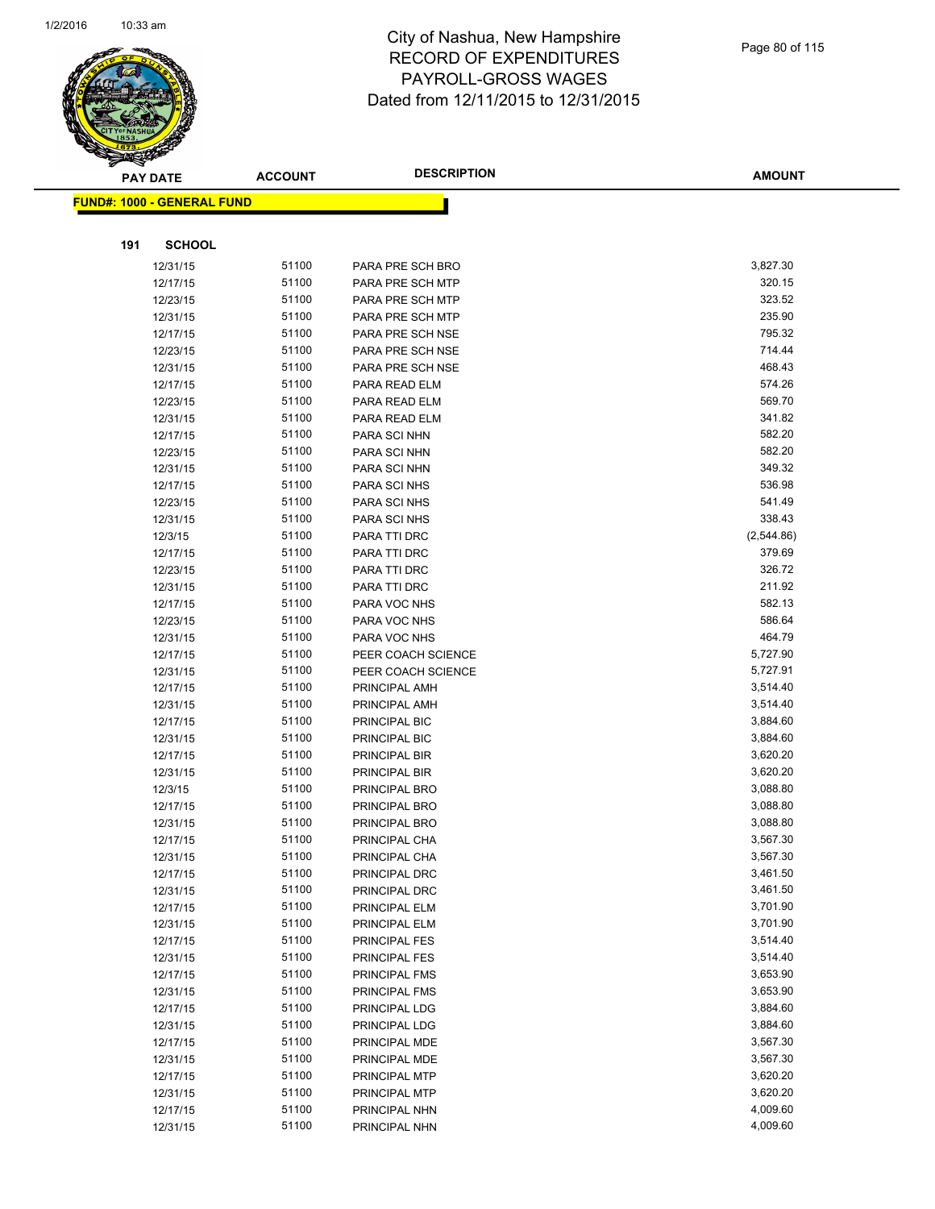

|     | <b>PAY DATE</b>                    | <b>ACCOUNT</b> | <b>DESCRIPTION</b> | <b>AMOUNT</b> |
|-----|------------------------------------|----------------|--------------------|---------------|
|     | <u> FUND#: 1000 - GENERAL FUND</u> |                |                    |               |
|     |                                    |                |                    |               |
| 191 | <b>SCHOOL</b>                      |                |                    |               |
|     | 12/31/15                           | 51100          | PARA PRE SCH BRO   | 3,827.30      |
|     | 12/17/15                           | 51100          | PARA PRE SCH MTP   | 320.15        |
|     | 12/23/15                           | 51100          | PARA PRE SCH MTP   | 323.52        |
|     | 12/31/15                           | 51100          | PARA PRE SCH MTP   | 235.90        |
|     | 12/17/15                           | 51100          | PARA PRE SCH NSE   | 795.32        |
|     | 12/23/15                           | 51100          | PARA PRE SCH NSE   | 714.44        |
|     | 12/31/15                           | 51100          | PARA PRE SCH NSE   | 468.43        |
|     | 12/17/15                           | 51100          | PARA READ ELM      | 574.26        |
|     | 12/23/15                           | 51100          | PARA READ ELM      | 569.70        |
|     | 12/31/15                           | 51100          | PARA READ ELM      | 341.82        |
|     | 12/17/15                           | 51100          | PARA SCI NHN       | 582.20        |
|     | 12/23/15                           | 51100          | PARA SCI NHN       | 582.20        |
|     | 12/31/15                           | 51100          | PARA SCI NHN       | 349.32        |
|     | 12/17/15                           | 51100          | PARA SCI NHS       | 536.98        |
|     | 12/23/15                           | 51100          | PARA SCI NHS       | 541.49        |
|     | 12/31/15                           | 51100          | PARA SCI NHS       | 338.43        |
|     | 12/3/15                            | 51100          | PARA TTI DRC       | (2,544.86)    |
|     | 12/17/15                           | 51100          | PARA TTI DRC       | 379.69        |
|     | 12/23/15                           | 51100          | PARA TTI DRC       | 326.72        |
|     | 12/31/15                           | 51100          | PARA TTI DRC       | 211.92        |
|     | 12/17/15                           | 51100          | PARA VOC NHS       | 582.13        |
|     | 12/23/15                           | 51100          | PARA VOC NHS       | 586.64        |
|     | 12/31/15                           | 51100          | PARA VOC NHS       | 464.79        |
|     | 12/17/15                           | 51100          | PEER COACH SCIENCE | 5,727.90      |
|     | 12/31/15                           | 51100          | PEER COACH SCIENCE | 5,727.91      |
|     | 12/17/15                           | 51100          | PRINCIPAL AMH      | 3,514.40      |
|     | 12/31/15                           | 51100          | PRINCIPAL AMH      | 3,514.40      |
|     | 12/17/15                           | 51100          | PRINCIPAL BIC      | 3,884.60      |
|     | 12/31/15                           | 51100          | PRINCIPAL BIC      | 3,884.60      |
|     | 12/17/15                           | 51100          | PRINCIPAL BIR      | 3,620.20      |
|     | 12/31/15                           | 51100          | PRINCIPAL BIR      | 3,620.20      |
|     | 12/3/15                            | 51100          | PRINCIPAL BRO      | 3,088.80      |
|     | 12/17/15                           | 51100          | PRINCIPAL BRO      | 3,088.80      |
|     | 12/31/15                           | 51100          | PRINCIPAL BRO      | 3,088.80      |
|     | 12/17/15                           | 51100          | PRINCIPAL CHA      | 3,567.30      |
|     | 12/31/15                           | 51100          | PRINCIPAL CHA      | 3,567.30      |
|     | 12/17/15                           | 51100          | PRINCIPAL DRC      | 3,461.50      |
|     | 12/31/15                           | 51100          | PRINCIPAL DRC      | 3,461.50      |
|     | 12/17/15                           | 51100          | PRINCIPAL ELM      | 3,701.90      |
|     | 12/31/15                           | 51100          | PRINCIPAL ELM      | 3,701.90      |
|     | 12/17/15                           | 51100          | PRINCIPAL FES      | 3,514.40      |
|     | 12/31/15                           | 51100          | PRINCIPAL FES      | 3,514.40      |
|     | 12/17/15                           | 51100          | PRINCIPAL FMS      | 3,653.90      |
|     | 12/31/15                           | 51100          | PRINCIPAL FMS      | 3,653.90      |
|     | 12/17/15                           | 51100          | PRINCIPAL LDG      | 3,884.60      |
|     | 12/31/15                           | 51100          | PRINCIPAL LDG      | 3,884.60      |
|     | 12/17/15                           | 51100          | PRINCIPAL MDE      | 3,567.30      |
|     | 12/31/15                           | 51100          | PRINCIPAL MDE      | 3,567.30      |
|     | 12/17/15                           | 51100          | PRINCIPAL MTP      | 3,620.20      |
|     | 12/31/15                           | 51100          | PRINCIPAL MTP      | 3,620.20      |
|     | 12/17/15                           | 51100          | PRINCIPAL NHN      | 4,009.60      |
|     | 12/31/15                           | 51100          | PRINCIPAL NHN      | 4,009.60      |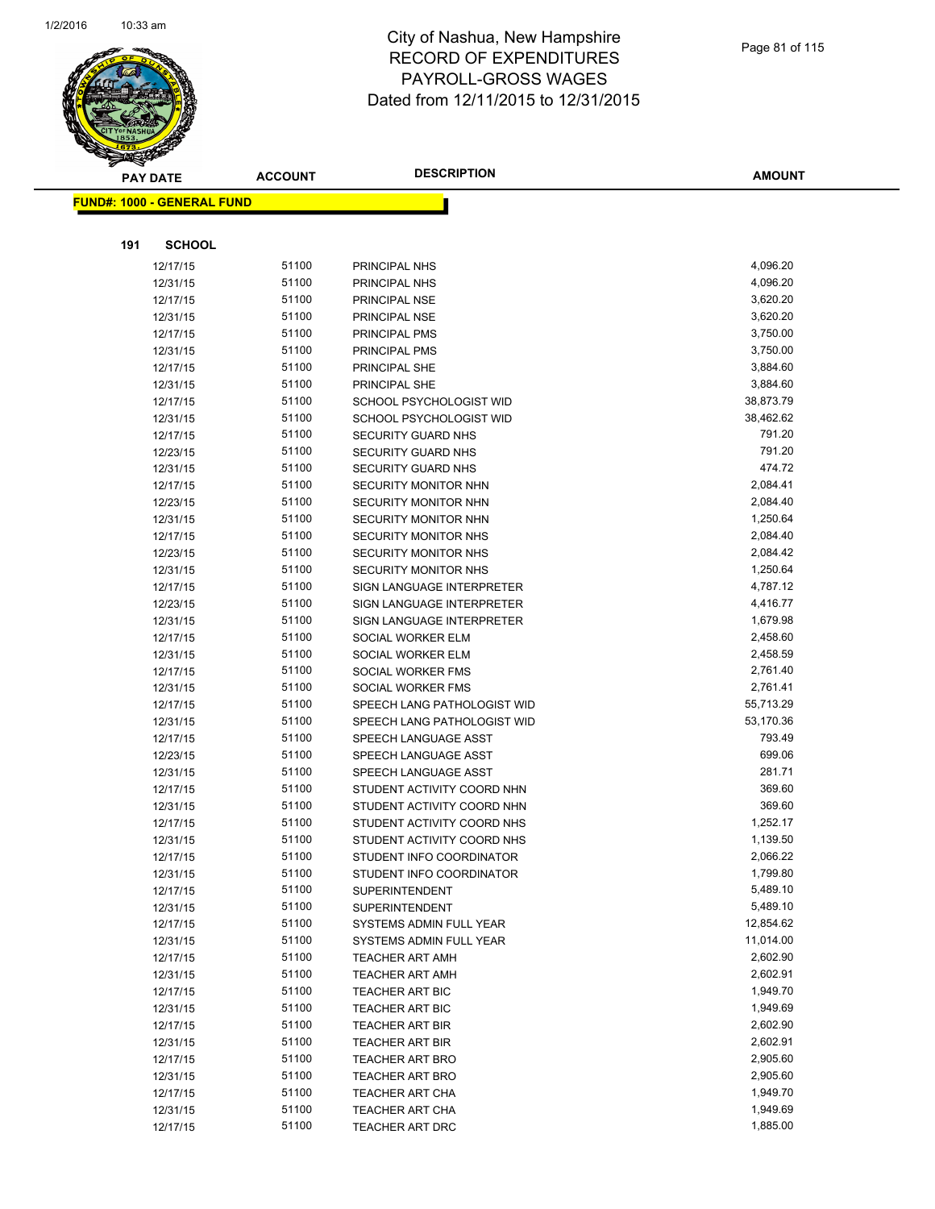

|     | <b>PAY DATE</b>                   | <b>ACCOUNT</b> | <b>DESCRIPTION</b>                                         | <b>AMOUNT</b>        |
|-----|-----------------------------------|----------------|------------------------------------------------------------|----------------------|
|     | <b>FUND#: 1000 - GENERAL FUND</b> |                |                                                            |                      |
|     |                                   |                |                                                            |                      |
|     |                                   |                |                                                            |                      |
| 191 | <b>SCHOOL</b>                     |                |                                                            |                      |
|     | 12/17/15                          | 51100          | PRINCIPAL NHS                                              | 4,096.20             |
|     | 12/31/15                          | 51100          | PRINCIPAL NHS                                              | 4,096.20             |
|     | 12/17/15                          | 51100          | PRINCIPAL NSE                                              | 3,620.20             |
|     | 12/31/15                          | 51100          | PRINCIPAL NSE                                              | 3,620.20             |
|     | 12/17/15                          | 51100          | PRINCIPAL PMS                                              | 3,750.00             |
|     | 12/31/15                          | 51100          | PRINCIPAL PMS                                              | 3,750.00             |
|     | 12/17/15                          | 51100          | PRINCIPAL SHE                                              | 3,884.60             |
|     | 12/31/15                          | 51100          | PRINCIPAL SHE                                              | 3,884.60             |
|     | 12/17/15                          | 51100          | SCHOOL PSYCHOLOGIST WID                                    | 38,873.79            |
|     | 12/31/15                          | 51100          | SCHOOL PSYCHOLOGIST WID                                    | 38,462.62            |
|     | 12/17/15                          | 51100          | <b>SECURITY GUARD NHS</b>                                  | 791.20               |
|     | 12/23/15                          | 51100          | <b>SECURITY GUARD NHS</b>                                  | 791.20               |
|     | 12/31/15                          | 51100          | SECURITY GUARD NHS                                         | 474.72               |
|     | 12/17/15                          | 51100          | SECURITY MONITOR NHN                                       | 2,084.41             |
|     | 12/23/15                          | 51100          | <b>SECURITY MONITOR NHN</b>                                | 2,084.40             |
|     | 12/31/15                          | 51100          | SECURITY MONITOR NHN                                       | 1,250.64             |
|     | 12/17/15                          | 51100          | <b>SECURITY MONITOR NHS</b>                                | 2,084.40             |
|     | 12/23/15                          | 51100          | SECURITY MONITOR NHS                                       | 2,084.42             |
|     | 12/31/15                          | 51100          | <b>SECURITY MONITOR NHS</b>                                | 1,250.64             |
|     | 12/17/15                          | 51100          | SIGN LANGUAGE INTERPRETER                                  | 4,787.12             |
|     | 12/23/15                          | 51100          | SIGN LANGUAGE INTERPRETER                                  | 4,416.77             |
|     | 12/31/15                          | 51100          | SIGN LANGUAGE INTERPRETER                                  | 1,679.98             |
|     | 12/17/15                          | 51100          | SOCIAL WORKER ELM                                          | 2,458.60             |
|     | 12/31/15                          | 51100<br>51100 | SOCIAL WORKER ELM                                          | 2,458.59<br>2,761.40 |
|     | 12/17/15                          | 51100          | SOCIAL WORKER FMS                                          | 2,761.41             |
|     | 12/31/15                          | 51100          | SOCIAL WORKER FMS                                          | 55,713.29            |
|     | 12/17/15<br>12/31/15              | 51100          | SPEECH LANG PATHOLOGIST WID<br>SPEECH LANG PATHOLOGIST WID | 53,170.36            |
|     |                                   | 51100          |                                                            | 793.49               |
|     | 12/17/15<br>12/23/15              | 51100          | SPEECH LANGUAGE ASST<br>SPEECH LANGUAGE ASST               | 699.06               |
|     | 12/31/15                          | 51100          | SPEECH LANGUAGE ASST                                       | 281.71               |
|     | 12/17/15                          | 51100          | STUDENT ACTIVITY COORD NHN                                 | 369.60               |
|     | 12/31/15                          | 51100          | STUDENT ACTIVITY COORD NHN                                 | 369.60               |
|     | 12/17/15                          | 51100          | STUDENT ACTIVITY COORD NHS                                 | 1,252.17             |
|     | 12/31/15                          | 51100          | STUDENT ACTIVITY COORD NHS                                 | 1,139.50             |
|     | 12/17/15                          | 51100          | STUDENT INFO COORDINATOR                                   | 2,066.22             |
|     | 12/31/15                          | 51100          | STUDENT INFO COORDINATOR                                   | 1,799.80             |
|     | 12/17/15                          | 51100          | <b>SUPERINTENDENT</b>                                      | 5,489.10             |
|     | 12/31/15                          | 51100          | <b>SUPERINTENDENT</b>                                      | 5,489.10             |
|     | 12/17/15                          | 51100          | SYSTEMS ADMIN FULL YEAR                                    | 12,854.62            |
|     | 12/31/15                          | 51100          | SYSTEMS ADMIN FULL YEAR                                    | 11,014.00            |
|     | 12/17/15                          | 51100          | <b>TEACHER ART AMH</b>                                     | 2,602.90             |
|     | 12/31/15                          | 51100          | <b>TEACHER ART AMH</b>                                     | 2,602.91             |
|     | 12/17/15                          | 51100          | TEACHER ART BIC                                            | 1,949.70             |
|     | 12/31/15                          | 51100          | <b>TEACHER ART BIC</b>                                     | 1,949.69             |
|     | 12/17/15                          | 51100          | <b>TEACHER ART BIR</b>                                     | 2,602.90             |
|     | 12/31/15                          | 51100          | <b>TEACHER ART BIR</b>                                     | 2,602.91             |
|     | 12/17/15                          | 51100          | <b>TEACHER ART BRO</b>                                     | 2,905.60             |
|     | 12/31/15                          | 51100          | <b>TEACHER ART BRO</b>                                     | 2,905.60             |
|     | 12/17/15                          | 51100          | <b>TEACHER ART CHA</b>                                     | 1,949.70             |
|     | 12/31/15                          | 51100          | <b>TEACHER ART CHA</b>                                     | 1,949.69             |
|     | 12/17/15                          | 51100          | TEACHER ART DRC                                            | 1,885.00             |
|     |                                   |                |                                                            |                      |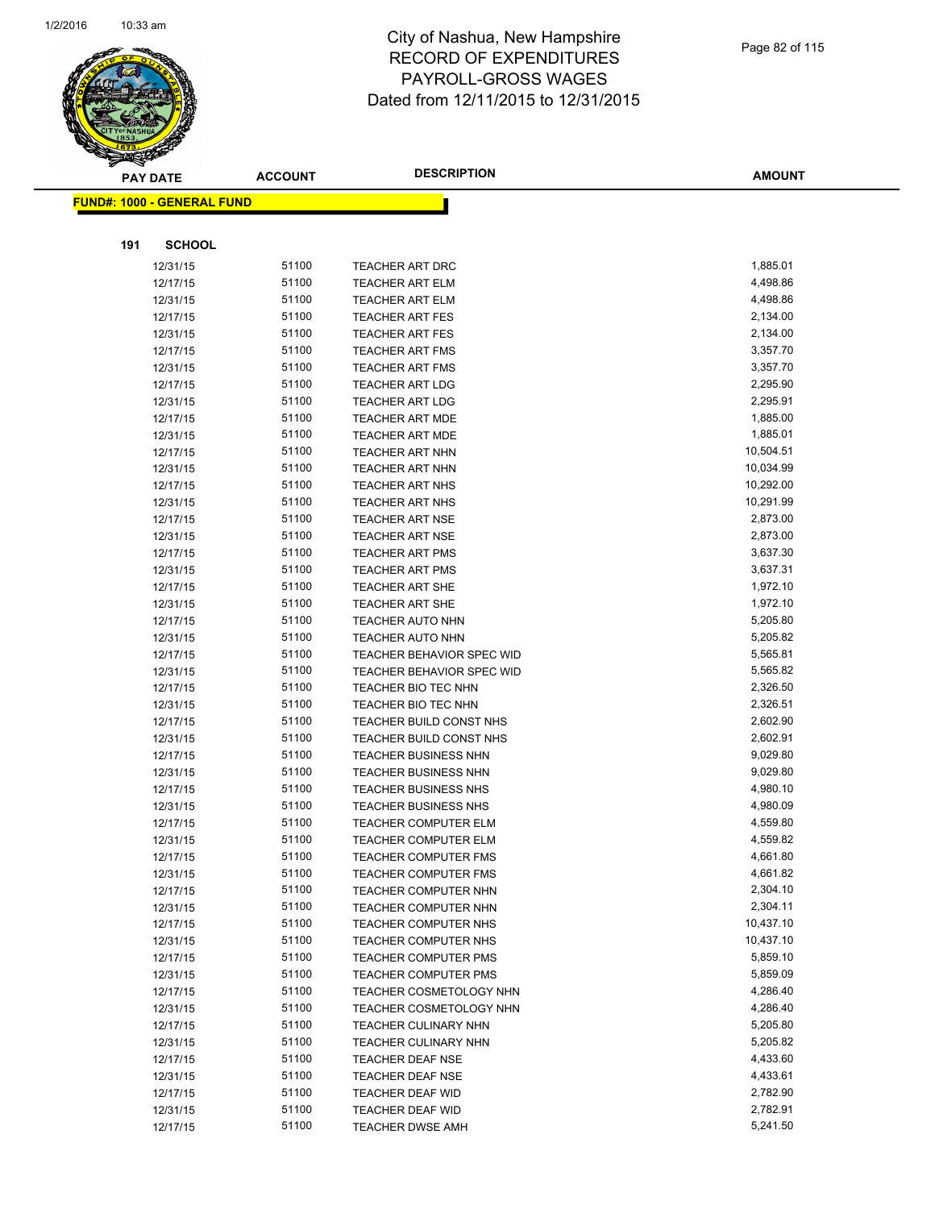

|     | <b>PAY DATE</b>                    | <b>ACCOUNT</b> | <b>DESCRIPTION</b>                               | <b>AMOUNT</b>         |
|-----|------------------------------------|----------------|--------------------------------------------------|-----------------------|
|     | <u> FUND#: 1000 - GENERAL FUND</u> |                |                                                  |                       |
|     |                                    |                |                                                  |                       |
|     |                                    |                |                                                  |                       |
| 191 | <b>SCHOOL</b>                      |                |                                                  |                       |
|     | 12/31/15                           | 51100          | TEACHER ART DRC                                  | 1,885.01              |
|     | 12/17/15                           | 51100          | <b>TEACHER ART ELM</b>                           | 4,498.86              |
|     | 12/31/15                           | 51100          | <b>TEACHER ART ELM</b>                           | 4,498.86              |
|     | 12/17/15                           | 51100          | <b>TEACHER ART FES</b>                           | 2,134.00              |
|     | 12/31/15                           | 51100          | <b>TEACHER ART FES</b>                           | 2,134.00              |
|     | 12/17/15                           | 51100          | <b>TEACHER ART FMS</b>                           | 3,357.70              |
|     | 12/31/15                           | 51100          | <b>TEACHER ART FMS</b>                           | 3,357.70              |
|     | 12/17/15                           | 51100          | <b>TEACHER ART LDG</b>                           | 2,295.90              |
|     | 12/31/15                           | 51100          | <b>TEACHER ART LDG</b>                           | 2,295.91              |
|     | 12/17/15                           | 51100          | <b>TEACHER ART MDE</b>                           | 1,885.00              |
|     | 12/31/15                           | 51100          | <b>TEACHER ART MDE</b>                           | 1,885.01              |
|     | 12/17/15                           | 51100          | TEACHER ART NHN                                  | 10,504.51             |
|     | 12/31/15                           | 51100          | <b>TEACHER ART NHN</b>                           | 10,034.99             |
|     | 12/17/15                           | 51100          | <b>TEACHER ART NHS</b>                           | 10,292.00             |
|     | 12/31/15                           | 51100<br>51100 | <b>TEACHER ART NHS</b>                           | 10,291.99<br>2,873.00 |
|     | 12/17/15                           | 51100          | <b>TEACHER ART NSE</b><br><b>TEACHER ART NSE</b> | 2,873.00              |
|     | 12/31/15<br>12/17/15               | 51100          |                                                  | 3,637.30              |
|     | 12/31/15                           | 51100          | <b>TEACHER ART PMS</b><br><b>TEACHER ART PMS</b> | 3,637.31              |
|     | 12/17/15                           | 51100          |                                                  | 1,972.10              |
|     | 12/31/15                           | 51100          | <b>TEACHER ART SHE</b><br><b>TEACHER ART SHE</b> | 1,972.10              |
|     | 12/17/15                           | 51100          | <b>TEACHER AUTO NHN</b>                          | 5,205.80              |
|     | 12/31/15                           | 51100          | <b>TEACHER AUTO NHN</b>                          | 5,205.82              |
|     | 12/17/15                           | 51100          | TEACHER BEHAVIOR SPEC WID                        | 5,565.81              |
|     | 12/31/15                           | 51100          | <b>TEACHER BEHAVIOR SPEC WID</b>                 | 5,565.82              |
|     | 12/17/15                           | 51100          | TEACHER BIO TEC NHN                              | 2,326.50              |
|     | 12/31/15                           | 51100          | TEACHER BIO TEC NHN                              | 2,326.51              |
|     | 12/17/15                           | 51100          | TEACHER BUILD CONST NHS                          | 2,602.90              |
|     | 12/31/15                           | 51100          | TEACHER BUILD CONST NHS                          | 2,602.91              |
|     | 12/17/15                           | 51100          | <b>TEACHER BUSINESS NHN</b>                      | 9,029.80              |
|     | 12/31/15                           | 51100          | <b>TEACHER BUSINESS NHN</b>                      | 9,029.80              |
|     | 12/17/15                           | 51100          | <b>TEACHER BUSINESS NHS</b>                      | 4,980.10              |
|     | 12/31/15                           | 51100          | <b>TEACHER BUSINESS NHS</b>                      | 4,980.09              |
|     | 12/17/15                           | 51100          | <b>TEACHER COMPUTER ELM</b>                      | 4,559.80              |
|     | 12/31/15                           | 51100          | <b>TEACHER COMPUTER ELM</b>                      | 4,559.82              |
|     | 12/17/15                           | 51100          | TEACHER COMPUTER FMS                             | 4,661.80              |
|     | 12/31/15                           | 51100          | <b>TEACHER COMPUTER FMS</b>                      | 4,661.82              |
|     | 12/17/15                           | 51100          | TEACHER COMPUTER NHN                             | 2,304.10              |
|     | 12/31/15                           | 51100          | TEACHER COMPUTER NHN                             | 2,304.11              |
|     | 12/17/15                           | 51100          | TEACHER COMPUTER NHS                             | 10,437.10             |
|     | 12/31/15                           | 51100          | TEACHER COMPUTER NHS                             | 10,437.10             |
|     | 12/17/15                           | 51100          | <b>TEACHER COMPUTER PMS</b>                      | 5,859.10              |
|     | 12/31/15                           | 51100          | <b>TEACHER COMPUTER PMS</b>                      | 5,859.09              |
|     | 12/17/15                           | 51100          | TEACHER COSMETOLOGY NHN                          | 4,286.40              |
|     | 12/31/15                           | 51100          | <b>TEACHER COSMETOLOGY NHN</b>                   | 4,286.40              |
|     | 12/17/15                           | 51100          | <b>TEACHER CULINARY NHN</b>                      | 5,205.80              |
|     | 12/31/15                           | 51100          | <b>TEACHER CULINARY NHN</b>                      | 5,205.82              |
|     | 12/17/15                           | 51100          | <b>TEACHER DEAF NSE</b>                          | 4,433.60              |
|     | 12/31/15                           | 51100          | <b>TEACHER DEAF NSE</b>                          | 4,433.61              |
|     | 12/17/15                           | 51100          | <b>TEACHER DEAF WID</b>                          | 2,782.90              |
|     | 12/31/15                           | 51100          | <b>TEACHER DEAF WID</b>                          | 2,782.91              |
|     | 12/17/15                           | 51100          | TEACHER DWSE AMH                                 | 5,241.50              |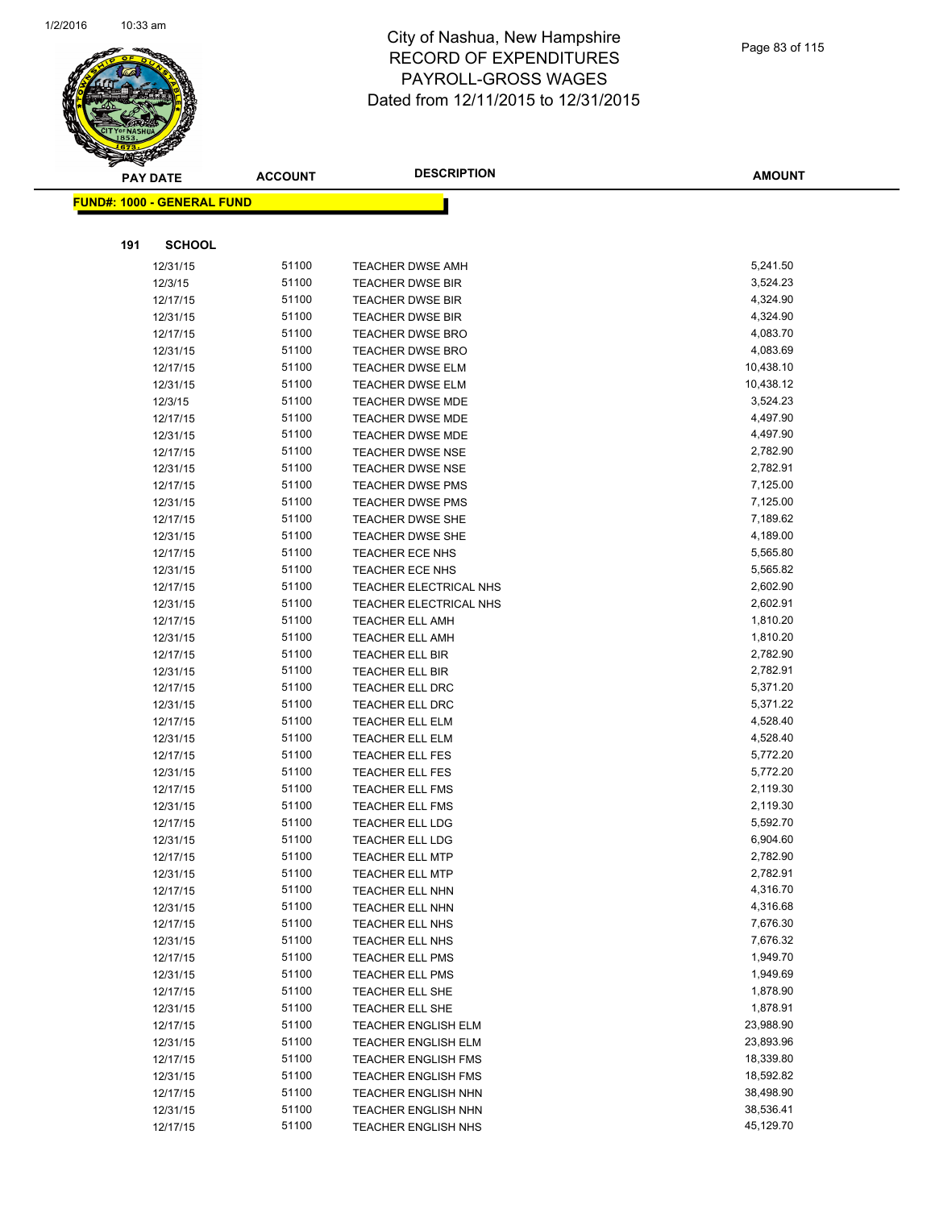

|     | <b>PAY DATE</b>                    | <b>ACCOUNT</b> | <b>DESCRIPTION</b>         | AMOUNT    |
|-----|------------------------------------|----------------|----------------------------|-----------|
|     | <u> FUND#: 1000 - GENERAL FUND</u> |                |                            |           |
|     |                                    |                |                            |           |
|     |                                    |                |                            |           |
| 191 | <b>SCHOOL</b>                      |                |                            |           |
|     | 12/31/15                           | 51100          | <b>TEACHER DWSE AMH</b>    | 5,241.50  |
|     | 12/3/15                            | 51100          | <b>TEACHER DWSE BIR</b>    | 3,524.23  |
|     | 12/17/15                           | 51100          | <b>TEACHER DWSE BIR</b>    | 4,324.90  |
|     | 12/31/15                           | 51100          | <b>TEACHER DWSE BIR</b>    | 4,324.90  |
|     | 12/17/15                           | 51100          | TEACHER DWSE BRO           | 4,083.70  |
|     | 12/31/15                           | 51100          | <b>TEACHER DWSE BRO</b>    | 4,083.69  |
|     | 12/17/15                           | 51100          | <b>TEACHER DWSE ELM</b>    | 10,438.10 |
|     | 12/31/15                           | 51100          | <b>TEACHER DWSE ELM</b>    | 10,438.12 |
|     | 12/3/15                            | 51100          | <b>TEACHER DWSE MDE</b>    | 3,524.23  |
|     | 12/17/15                           | 51100          | <b>TEACHER DWSE MDE</b>    | 4,497.90  |
|     | 12/31/15                           | 51100          | <b>TEACHER DWSE MDE</b>    | 4,497.90  |
|     | 12/17/15                           | 51100          | <b>TEACHER DWSE NSE</b>    | 2,782.90  |
|     | 12/31/15                           | 51100          | <b>TEACHER DWSE NSE</b>    | 2,782.91  |
|     | 12/17/15                           | 51100          | <b>TEACHER DWSE PMS</b>    | 7,125.00  |
|     | 12/31/15                           | 51100          | <b>TEACHER DWSE PMS</b>    | 7,125.00  |
|     | 12/17/15                           | 51100          | <b>TEACHER DWSE SHE</b>    | 7,189.62  |
|     | 12/31/15                           | 51100          | <b>TEACHER DWSE SHE</b>    | 4,189.00  |
|     | 12/17/15                           | 51100          | <b>TEACHER ECE NHS</b>     | 5,565.80  |
|     | 12/31/15                           | 51100          | <b>TEACHER ECE NHS</b>     | 5,565.82  |
|     | 12/17/15                           | 51100          | TEACHER ELECTRICAL NHS     | 2,602.90  |
|     | 12/31/15                           | 51100          | TEACHER ELECTRICAL NHS     | 2,602.91  |
|     | 12/17/15                           | 51100          | <b>TEACHER ELL AMH</b>     | 1,810.20  |
|     | 12/31/15                           | 51100          | <b>TEACHER ELL AMH</b>     | 1,810.20  |
|     | 12/17/15                           | 51100          | <b>TEACHER ELL BIR</b>     | 2,782.90  |
|     | 12/31/15                           | 51100          | <b>TEACHER ELL BIR</b>     | 2,782.91  |
|     | 12/17/15                           | 51100          | <b>TEACHER ELL DRC</b>     | 5,371.20  |
|     | 12/31/15                           | 51100          | TEACHER ELL DRC            | 5,371.22  |
|     | 12/17/15                           | 51100          | <b>TEACHER ELL ELM</b>     | 4,528.40  |
|     | 12/31/15                           | 51100          | <b>TEACHER ELL ELM</b>     | 4,528.40  |
|     | 12/17/15                           | 51100          | TEACHER ELL FES            | 5,772.20  |
|     | 12/31/15                           | 51100          | <b>TEACHER ELL FES</b>     | 5,772.20  |
|     | 12/17/15                           | 51100          | <b>TEACHER ELL FMS</b>     | 2,119.30  |
|     | 12/31/15                           | 51100          | <b>TEACHER ELL FMS</b>     | 2,119.30  |
|     | 12/17/15                           | 51100          | <b>TEACHER ELL LDG</b>     | 5,592.70  |
|     | 12/31/15                           | 51100          | <b>TEACHER ELL LDG</b>     | 6,904.60  |
|     | 12/17/15                           | 51100          | <b>TEACHER ELL MTP</b>     | 2,782.90  |
|     | 12/31/15                           | 51100          | <b>TEACHER ELL MTP</b>     | 2,782.91  |
|     | 12/17/15                           | 51100          | <b>TEACHER ELL NHN</b>     | 4,316.70  |
|     | 12/31/15                           | 51100          | <b>TEACHER ELL NHN</b>     | 4,316.68  |
|     | 12/17/15                           | 51100          | <b>TEACHER ELL NHS</b>     | 7,676.30  |
|     | 12/31/15                           | 51100          | <b>TEACHER ELL NHS</b>     | 7,676.32  |
|     | 12/17/15                           | 51100          | <b>TEACHER ELL PMS</b>     | 1,949.70  |
|     | 12/31/15                           | 51100          | <b>TEACHER ELL PMS</b>     | 1,949.69  |
|     | 12/17/15                           | 51100          | TEACHER ELL SHE            | 1,878.90  |
|     | 12/31/15                           | 51100          | <b>TEACHER ELL SHE</b>     | 1,878.91  |
|     | 12/17/15                           | 51100          | TEACHER ENGLISH ELM        | 23,988.90 |
|     | 12/31/15                           | 51100          | <b>TEACHER ENGLISH ELM</b> | 23,893.96 |
|     | 12/17/15                           | 51100          | <b>TEACHER ENGLISH FMS</b> | 18,339.80 |
|     | 12/31/15                           | 51100          | <b>TEACHER ENGLISH FMS</b> | 18,592.82 |
|     | 12/17/15                           | 51100          | <b>TEACHER ENGLISH NHN</b> | 38,498.90 |
|     | 12/31/15                           | 51100          | <b>TEACHER ENGLISH NHN</b> | 38,536.41 |
|     | 12/17/15                           | 51100          | TEACHER ENGLISH NHS        | 45,129.70 |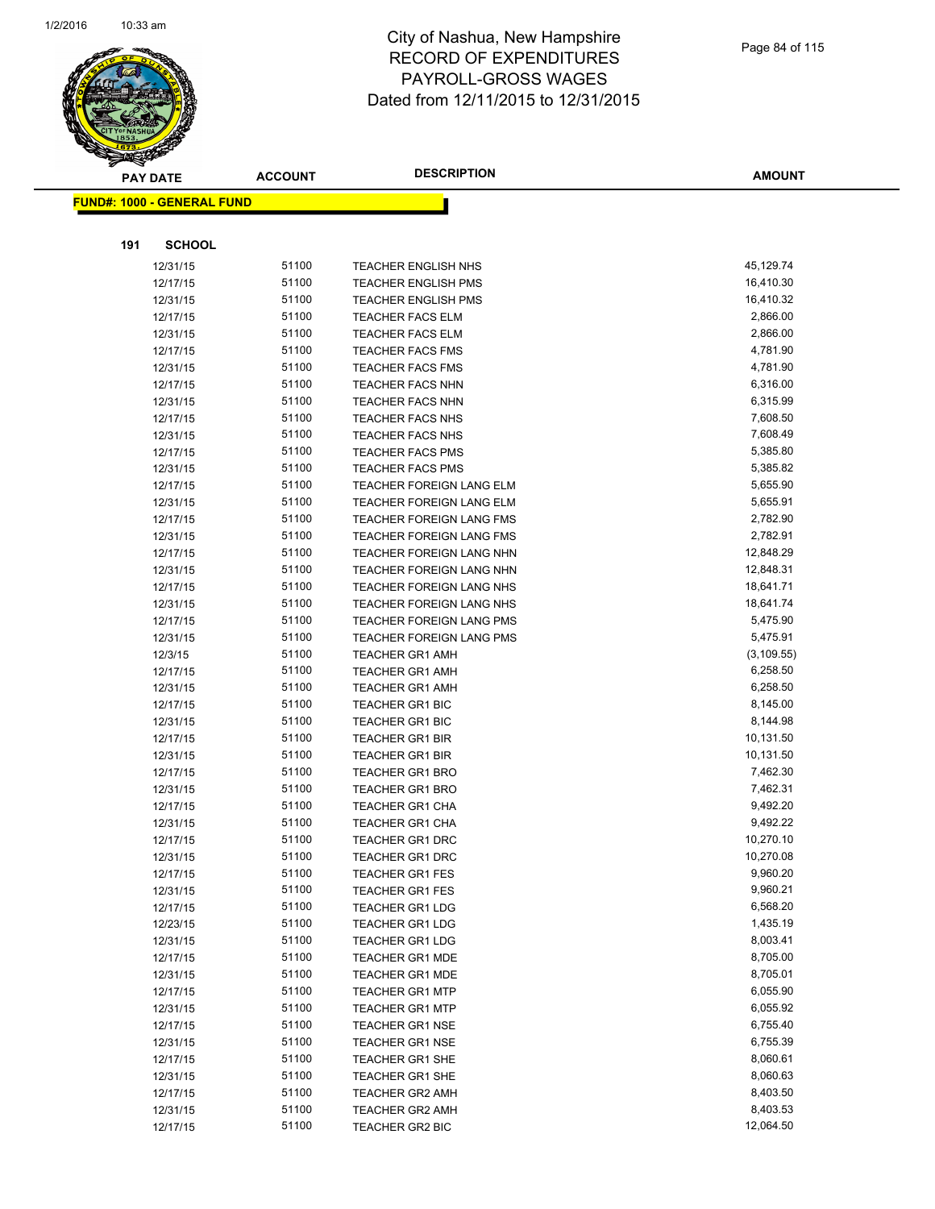

|     | <b>PAY DATE</b>                    | <b>ACCOUNT</b> | <b>DESCRIPTION</b>                                       | <b>AMOUNT</b> |
|-----|------------------------------------|----------------|----------------------------------------------------------|---------------|
|     | <u> FUND#: 1000 - GENERAL FUND</u> |                |                                                          |               |
|     |                                    |                |                                                          |               |
| 191 | <b>SCHOOL</b>                      |                |                                                          |               |
|     |                                    | 51100          |                                                          | 45,129.74     |
|     | 12/31/15<br>12/17/15               | 51100          | <b>TEACHER ENGLISH NHS</b><br><b>TEACHER ENGLISH PMS</b> | 16,410.30     |
|     | 12/31/15                           | 51100          | <b>TEACHER ENGLISH PMS</b>                               | 16,410.32     |
|     | 12/17/15                           | 51100          | <b>TEACHER FACS ELM</b>                                  | 2,866.00      |
|     | 12/31/15                           | 51100          | <b>TEACHER FACS ELM</b>                                  | 2,866.00      |
|     | 12/17/15                           | 51100          | <b>TEACHER FACS FMS</b>                                  | 4,781.90      |
|     | 12/31/15                           | 51100          | <b>TEACHER FACS FMS</b>                                  | 4,781.90      |
|     | 12/17/15                           | 51100          | <b>TEACHER FACS NHN</b>                                  | 6,316.00      |
|     | 12/31/15                           | 51100          | <b>TEACHER FACS NHN</b>                                  | 6,315.99      |
|     | 12/17/15                           | 51100          | TEACHER FACS NHS                                         | 7,608.50      |
|     | 12/31/15                           | 51100          | <b>TEACHER FACS NHS</b>                                  | 7,608.49      |
|     | 12/17/15                           | 51100          | <b>TEACHER FACS PMS</b>                                  | 5,385.80      |
|     | 12/31/15                           | 51100          | <b>TEACHER FACS PMS</b>                                  | 5,385.82      |
|     | 12/17/15                           | 51100          | TEACHER FOREIGN LANG ELM                                 | 5,655.90      |
|     | 12/31/15                           | 51100          | TEACHER FOREIGN LANG ELM                                 | 5,655.91      |
|     | 12/17/15                           | 51100          | <b>TEACHER FOREIGN LANG FMS</b>                          | 2,782.90      |
|     | 12/31/15                           | 51100          | <b>TEACHER FOREIGN LANG FMS</b>                          | 2,782.91      |
|     | 12/17/15                           | 51100          | TEACHER FOREIGN LANG NHN                                 | 12,848.29     |
|     | 12/31/15                           | 51100          | TEACHER FOREIGN LANG NHN                                 | 12,848.31     |
|     | 12/17/15                           | 51100          | TEACHER FOREIGN LANG NHS                                 | 18,641.71     |
|     | 12/31/15                           | 51100          | TEACHER FOREIGN LANG NHS                                 | 18,641.74     |
|     | 12/17/15                           | 51100          | TEACHER FOREIGN LANG PMS                                 | 5,475.90      |
|     | 12/31/15                           | 51100          | <b>TEACHER FOREIGN LANG PMS</b>                          | 5,475.91      |
|     | 12/3/15                            | 51100          | <b>TEACHER GR1 AMH</b>                                   | (3, 109.55)   |
|     | 12/17/15                           | 51100          | <b>TEACHER GR1 AMH</b>                                   | 6,258.50      |
|     | 12/31/15                           | 51100          | <b>TEACHER GR1 AMH</b>                                   | 6,258.50      |
|     | 12/17/15                           | 51100          | <b>TEACHER GR1 BIC</b>                                   | 8,145.00      |
|     | 12/31/15                           | 51100          | <b>TEACHER GR1 BIC</b>                                   | 8,144.98      |
|     | 12/17/15                           | 51100          | <b>TEACHER GR1 BIR</b>                                   | 10,131.50     |
|     | 12/31/15                           | 51100          | <b>TEACHER GR1 BIR</b>                                   | 10,131.50     |
|     | 12/17/15                           | 51100          | <b>TEACHER GR1 BRO</b>                                   | 7,462.30      |
|     | 12/31/15                           | 51100          | <b>TEACHER GR1 BRO</b>                                   | 7,462.31      |
|     | 12/17/15                           | 51100          | <b>TEACHER GR1 CHA</b>                                   | 9,492.20      |
|     | 12/31/15                           | 51100          | <b>TEACHER GR1 CHA</b>                                   | 9,492.22      |
|     | 12/17/15                           | 51100          | <b>TEACHER GR1 DRC</b>                                   | 10,270.10     |
|     | 12/31/15                           | 51100          | <b>TEACHER GR1 DRC</b>                                   | 10,270.08     |
|     | 12/17/15                           | 51100          | <b>TEACHER GR1 FES</b>                                   | 9,960.20      |
|     | 12/31/15                           | 51100          | <b>TEACHER GR1 FES</b>                                   | 9,960.21      |
|     | 12/17/15                           | 51100          | <b>TEACHER GR1 LDG</b>                                   | 6,568.20      |
|     | 12/23/15                           | 51100          | <b>TEACHER GR1 LDG</b>                                   | 1,435.19      |
|     | 12/31/15                           | 51100          | <b>TEACHER GR1 LDG</b>                                   | 8,003.41      |
|     | 12/17/15                           | 51100          | <b>TEACHER GR1 MDE</b>                                   | 8,705.00      |
|     | 12/31/15                           | 51100          | <b>TEACHER GR1 MDE</b>                                   | 8,705.01      |
|     | 12/17/15                           | 51100          | <b>TEACHER GR1 MTP</b>                                   | 6,055.90      |
|     | 12/31/15                           | 51100          | <b>TEACHER GR1 MTP</b>                                   | 6,055.92      |
|     | 12/17/15                           | 51100          | <b>TEACHER GR1 NSE</b>                                   | 6,755.40      |
|     | 12/31/15                           | 51100          | <b>TEACHER GR1 NSE</b>                                   | 6,755.39      |
|     | 12/17/15                           | 51100          | TEACHER GR1 SHE                                          | 8,060.61      |
|     | 12/31/15                           | 51100          | <b>TEACHER GR1 SHE</b>                                   | 8,060.63      |
|     | 12/17/15                           | 51100          | <b>TEACHER GR2 AMH</b>                                   | 8,403.50      |
|     | 12/31/15                           | 51100          | <b>TEACHER GR2 AMH</b>                                   | 8,403.53      |
|     | 12/17/15                           | 51100          | TEACHER GR2 BIC                                          | 12,064.50     |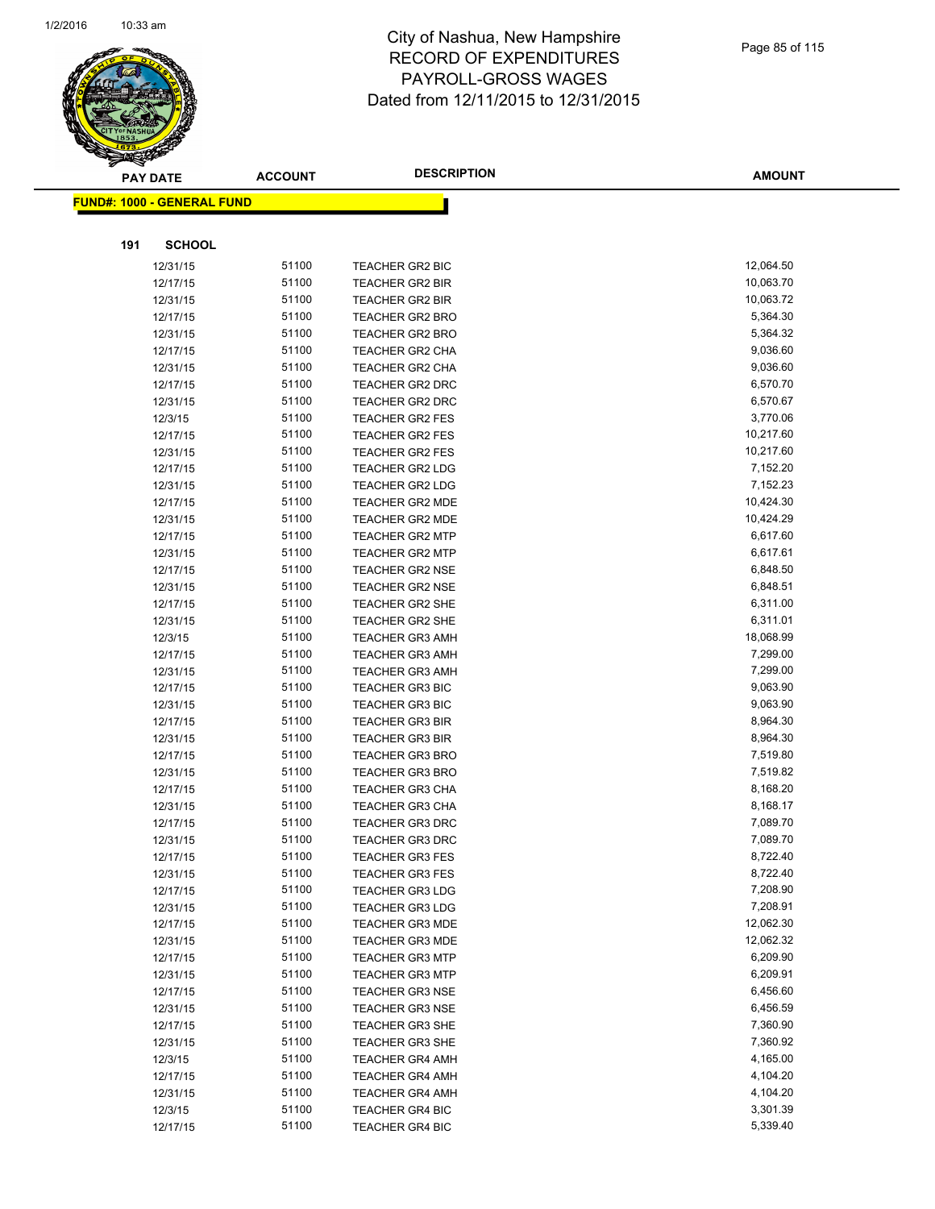

|     | <b>PAY DATE</b>                   | <b>ACCOUNT</b> | <b>DESCRIPTION</b>                        | <b>AMOUNT</b>        |
|-----|-----------------------------------|----------------|-------------------------------------------|----------------------|
|     | <b>FUND#: 1000 - GENERAL FUND</b> |                |                                           |                      |
|     |                                   |                |                                           |                      |
|     |                                   |                |                                           |                      |
| 191 | <b>SCHOOL</b>                     |                |                                           |                      |
|     | 12/31/15                          | 51100          | <b>TEACHER GR2 BIC</b>                    | 12,064.50            |
|     | 12/17/15                          | 51100          | <b>TEACHER GR2 BIR</b>                    | 10,063.70            |
|     | 12/31/15                          | 51100          | <b>TEACHER GR2 BIR</b>                    | 10,063.72            |
|     | 12/17/15                          | 51100          | <b>TEACHER GR2 BRO</b>                    | 5,364.30             |
|     | 12/31/15                          | 51100          | <b>TEACHER GR2 BRO</b>                    | 5,364.32             |
|     | 12/17/15                          | 51100          | <b>TEACHER GR2 CHA</b>                    | 9,036.60             |
|     | 12/31/15                          | 51100          | TEACHER GR2 CHA                           | 9,036.60             |
|     | 12/17/15                          | 51100          | <b>TEACHER GR2 DRC</b>                    | 6,570.70             |
|     | 12/31/15                          | 51100          | TEACHER GR2 DRC                           | 6,570.67             |
|     | 12/3/15                           | 51100          | TEACHER GR2 FES                           | 3,770.06             |
|     | 12/17/15                          | 51100          | <b>TEACHER GR2 FES</b>                    | 10,217.60            |
|     | 12/31/15                          | 51100          | TEACHER GR2 FES                           | 10,217.60            |
|     | 12/17/15                          | 51100          | <b>TEACHER GR2 LDG</b>                    | 7,152.20             |
|     | 12/31/15                          | 51100          | <b>TEACHER GR2 LDG</b>                    | 7,152.23             |
|     | 12/17/15                          | 51100          | <b>TEACHER GR2 MDE</b>                    | 10,424.30            |
|     | 12/31/15                          | 51100          | <b>TEACHER GR2 MDE</b>                    | 10,424.29            |
|     | 12/17/15                          | 51100          | <b>TEACHER GR2 MTP</b>                    | 6,617.60             |
|     | 12/31/15                          | 51100          | TEACHER GR2 MTP                           | 6,617.61             |
|     | 12/17/15                          | 51100          | <b>TEACHER GR2 NSE</b>                    | 6,848.50             |
|     | 12/31/15                          | 51100          | <b>TEACHER GR2 NSE</b>                    | 6,848.51             |
|     | 12/17/15                          | 51100          | <b>TEACHER GR2 SHE</b>                    | 6,311.00             |
|     | 12/31/15                          | 51100          | <b>TEACHER GR2 SHE</b>                    | 6,311.01             |
|     | 12/3/15                           | 51100          | <b>TEACHER GR3 AMH</b>                    | 18,068.99            |
|     | 12/17/15                          | 51100          | <b>TEACHER GR3 AMH</b>                    | 7,299.00             |
|     | 12/31/15                          | 51100          | <b>TEACHER GR3 AMH</b>                    | 7,299.00             |
|     | 12/17/15                          | 51100          | TEACHER GR3 BIC                           | 9,063.90             |
|     | 12/31/15                          | 51100          | <b>TEACHER GR3 BIC</b>                    | 9,063.90             |
|     | 12/17/15                          | 51100          | <b>TEACHER GR3 BIR</b>                    | 8,964.30             |
|     | 12/31/15                          | 51100          | <b>TEACHER GR3 BIR</b>                    | 8,964.30             |
|     | 12/17/15                          | 51100          | <b>TEACHER GR3 BRO</b>                    | 7,519.80             |
|     | 12/31/15                          | 51100          | <b>TEACHER GR3 BRO</b>                    | 7,519.82             |
|     | 12/17/15                          | 51100          | <b>TEACHER GR3 CHA</b>                    | 8,168.20             |
|     | 12/31/15                          | 51100          | <b>TEACHER GR3 CHA</b>                    | 8,168.17             |
|     | 12/17/15                          | 51100          | <b>TEACHER GR3 DRC</b>                    | 7,089.70             |
|     | 12/31/15                          | 51100          | <b>TEACHER GR3 DRC</b>                    | 7,089.70             |
|     | 12/17/15                          | 51100          | <b>TEACHER GR3 FES</b>                    | 8,722.40             |
|     | 12/31/15                          | 51100          | <b>TEACHER GR3 FES</b>                    | 8,722.40             |
|     | 12/17/15                          | 51100          | <b>TEACHER GR3 LDG</b>                    | 7,208.90             |
|     | 12/31/15                          | 51100          | <b>TEACHER GR3 LDG</b>                    | 7,208.91             |
|     | 12/17/15                          | 51100          | <b>TEACHER GR3 MDE</b>                    | 12,062.30            |
|     | 12/31/15                          | 51100          | <b>TEACHER GR3 MDE</b>                    | 12,062.32            |
|     | 12/17/15                          | 51100          | <b>TEACHER GR3 MTP</b>                    | 6,209.90             |
|     | 12/31/15                          | 51100          | <b>TEACHER GR3 MTP</b>                    | 6,209.91             |
|     | 12/17/15                          | 51100          | <b>TEACHER GR3 NSE</b>                    | 6,456.60             |
|     | 12/31/15                          | 51100          | <b>TEACHER GR3 NSE</b>                    | 6,456.59             |
|     | 12/17/15                          | 51100          | <b>TEACHER GR3 SHE</b>                    | 7,360.90<br>7,360.92 |
|     | 12/31/15                          | 51100          | <b>TEACHER GR3 SHE</b>                    |                      |
|     | 12/3/15                           | 51100          | <b>TEACHER GR4 AMH</b>                    | 4,165.00             |
|     | 12/17/15                          | 51100<br>51100 | <b>TEACHER GR4 AMH</b>                    | 4,104.20<br>4,104.20 |
|     | 12/31/15<br>12/3/15               | 51100          | <b>TEACHER GR4 AMH</b><br>TEACHER GR4 BIC | 3,301.39             |
|     | 12/17/15                          | 51100          | <b>TEACHER GR4 BIC</b>                    | 5,339.40             |
|     |                                   |                |                                           |                      |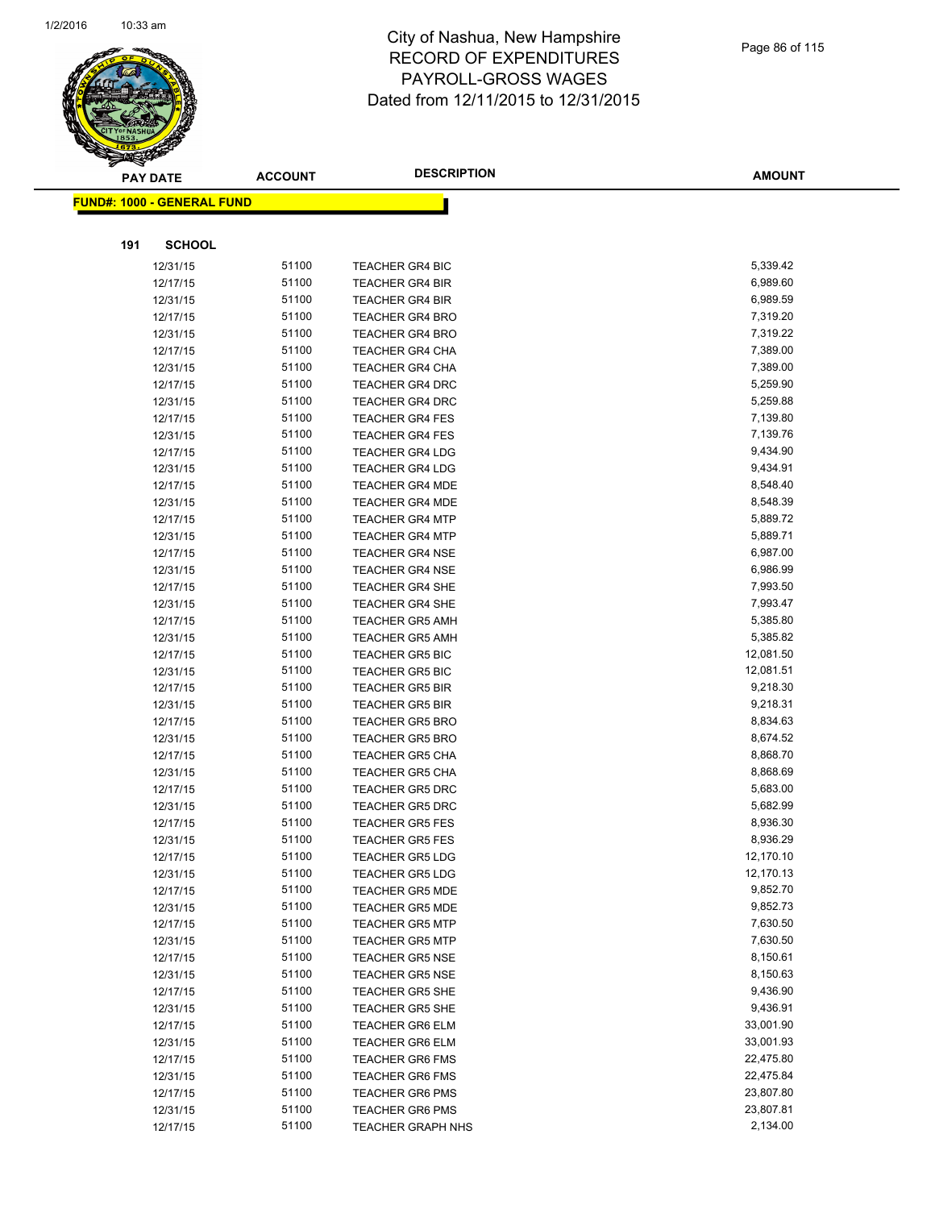

|     | <b>PAY DATE</b>                   | <b>ACCOUNT</b> | <b>DESCRIPTION</b>                               | <b>AMOUNT</b>         |
|-----|-----------------------------------|----------------|--------------------------------------------------|-----------------------|
|     | <b>FUND#: 1000 - GENERAL FUND</b> |                |                                                  |                       |
|     |                                   |                |                                                  |                       |
| 191 | <b>SCHOOL</b>                     |                |                                                  |                       |
|     | 12/31/15                          | 51100          | <b>TEACHER GR4 BIC</b>                           | 5,339.42              |
|     | 12/17/15                          | 51100          | <b>TEACHER GR4 BIR</b>                           | 6,989.60              |
|     | 12/31/15                          | 51100          | <b>TEACHER GR4 BIR</b>                           | 6,989.59              |
|     | 12/17/15                          | 51100          | <b>TEACHER GR4 BRO</b>                           | 7,319.20              |
|     | 12/31/15                          | 51100          | <b>TEACHER GR4 BRO</b>                           | 7,319.22              |
|     | 12/17/15                          | 51100          | <b>TEACHER GR4 CHA</b>                           | 7,389.00              |
|     | 12/31/15                          | 51100          | <b>TEACHER GR4 CHA</b>                           | 7,389.00              |
|     | 12/17/15                          | 51100          | <b>TEACHER GR4 DRC</b>                           | 5,259.90              |
|     | 12/31/15                          | 51100          | <b>TEACHER GR4 DRC</b>                           | 5,259.88              |
|     | 12/17/15                          | 51100          | <b>TEACHER GR4 FES</b>                           | 7,139.80              |
|     | 12/31/15                          | 51100          | <b>TEACHER GR4 FES</b>                           | 7,139.76              |
|     | 12/17/15                          | 51100          | <b>TEACHER GR4 LDG</b>                           | 9,434.90              |
|     | 12/31/15                          | 51100          | <b>TEACHER GR4 LDG</b>                           | 9,434.91              |
|     | 12/17/15                          | 51100          | <b>TEACHER GR4 MDE</b>                           | 8,548.40              |
|     | 12/31/15                          | 51100          | <b>TEACHER GR4 MDE</b>                           | 8,548.39              |
|     | 12/17/15                          | 51100          | <b>TEACHER GR4 MTP</b>                           | 5,889.72              |
|     | 12/31/15                          | 51100          | <b>TEACHER GR4 MTP</b>                           | 5,889.71              |
|     | 12/17/15                          | 51100          | <b>TEACHER GR4 NSE</b>                           | 6,987.00              |
|     | 12/31/15                          | 51100          | <b>TEACHER GR4 NSE</b>                           | 6,986.99              |
|     | 12/17/15                          | 51100          | <b>TEACHER GR4 SHE</b>                           | 7,993.50              |
|     | 12/31/15                          | 51100          | <b>TEACHER GR4 SHE</b>                           | 7,993.47              |
|     | 12/17/15                          | 51100          | <b>TEACHER GR5 AMH</b>                           | 5,385.80              |
|     | 12/31/15                          | 51100          | <b>TEACHER GR5 AMH</b>                           | 5,385.82              |
|     | 12/17/15                          | 51100          | <b>TEACHER GR5 BIC</b>                           | 12,081.50             |
|     | 12/31/15                          | 51100          | <b>TEACHER GR5 BIC</b>                           | 12,081.51             |
|     | 12/17/15                          | 51100          | <b>TEACHER GR5 BIR</b>                           | 9,218.30              |
|     | 12/31/15                          | 51100          | <b>TEACHER GR5 BIR</b>                           | 9,218.31              |
|     | 12/17/15                          | 51100          | <b>TEACHER GR5 BRO</b>                           | 8,834.63              |
|     | 12/31/15                          | 51100          | <b>TEACHER GR5 BRO</b>                           | 8,674.52              |
|     | 12/17/15                          | 51100          | <b>TEACHER GR5 CHA</b>                           | 8,868.70              |
|     | 12/31/15                          | 51100          | <b>TEACHER GR5 CHA</b>                           | 8,868.69              |
|     | 12/17/15                          | 51100          | <b>TEACHER GR5 DRC</b>                           | 5,683.00              |
|     | 12/31/15                          | 51100          | <b>TEACHER GR5 DRC</b>                           | 5,682.99              |
|     | 12/17/15                          | 51100          | <b>TEACHER GR5 FES</b>                           | 8,936.30              |
|     | 12/31/15                          | 51100          | <b>TEACHER GR5 FES</b>                           | 8,936.29              |
|     | 12/17/15                          | 51100          | <b>TEACHER GR5 LDG</b>                           | 12,170.10             |
|     | 12/31/15                          | 51100<br>51100 | <b>TEACHER GR5 LDG</b>                           | 12,170.13<br>9,852.70 |
|     | 12/17/15                          | 51100          | <b>TEACHER GR5 MDE</b>                           | 9,852.73              |
|     | 12/31/15                          | 51100          | <b>TEACHER GR5 MDE</b><br><b>TEACHER GR5 MTP</b> | 7,630.50              |
|     | 12/17/15<br>12/31/15              | 51100          | <b>TEACHER GR5 MTP</b>                           | 7,630.50              |
|     | 12/17/15                          | 51100          | <b>TEACHER GR5 NSE</b>                           | 8,150.61              |
|     | 12/31/15                          | 51100          | <b>TEACHER GR5 NSE</b>                           | 8,150.63              |
|     | 12/17/15                          | 51100          | <b>TEACHER GR5 SHE</b>                           | 9,436.90              |
|     | 12/31/15                          | 51100          | <b>TEACHER GR5 SHE</b>                           | 9,436.91              |
|     | 12/17/15                          | 51100          | <b>TEACHER GR6 ELM</b>                           | 33,001.90             |
|     | 12/31/15                          | 51100          | <b>TEACHER GR6 ELM</b>                           | 33,001.93             |
|     | 12/17/15                          | 51100          | <b>TEACHER GR6 FMS</b>                           | 22,475.80             |
|     | 12/31/15                          | 51100          | <b>TEACHER GR6 FMS</b>                           | 22,475.84             |
|     | 12/17/15                          | 51100          | <b>TEACHER GR6 PMS</b>                           | 23,807.80             |
|     | 12/31/15                          | 51100          | <b>TEACHER GR6 PMS</b>                           | 23,807.81             |
|     | 12/17/15                          | 51100          | <b>TEACHER GRAPH NHS</b>                         | 2,134.00              |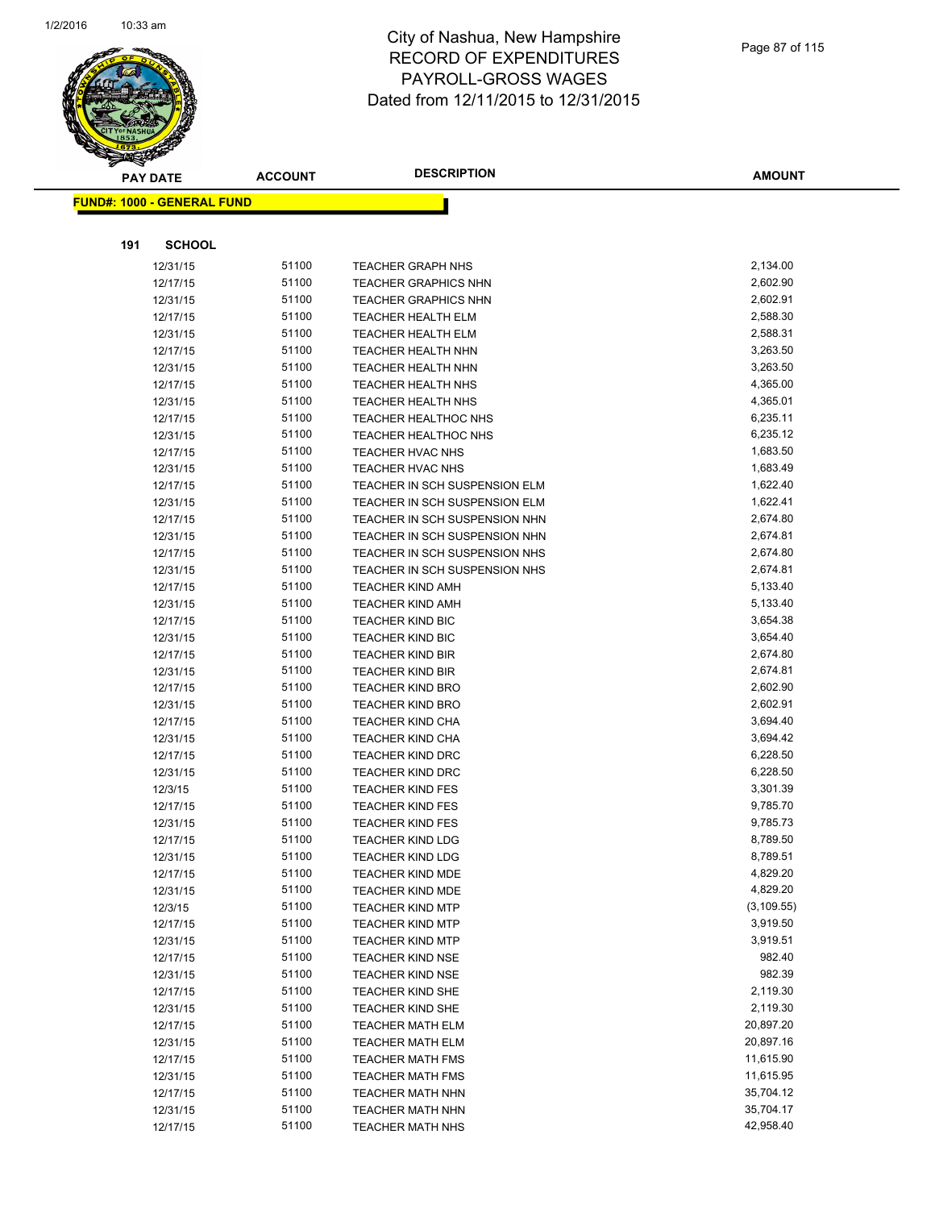

|     | <b>PAY DATE</b>                    | <b>ACCOUNT</b> | <b>DESCRIPTION</b>                   | <b>AMOUNT</b> |
|-----|------------------------------------|----------------|--------------------------------------|---------------|
|     | <u> FUND#: 1000 - GENERAL FUND</u> |                |                                      |               |
|     |                                    |                |                                      |               |
| 191 | <b>SCHOOL</b>                      |                |                                      |               |
|     | 12/31/15                           | 51100          | <b>TEACHER GRAPH NHS</b>             | 2,134.00      |
|     | 12/17/15                           | 51100          | <b>TEACHER GRAPHICS NHN</b>          | 2,602.90      |
|     | 12/31/15                           | 51100          | <b>TEACHER GRAPHICS NHN</b>          | 2,602.91      |
|     | 12/17/15                           | 51100          | <b>TEACHER HEALTH ELM</b>            | 2,588.30      |
|     | 12/31/15                           | 51100          | <b>TEACHER HEALTH ELM</b>            | 2,588.31      |
|     | 12/17/15                           | 51100          | <b>TEACHER HEALTH NHN</b>            | 3,263.50      |
|     | 12/31/15                           | 51100          | <b>TEACHER HEALTH NHN</b>            | 3,263.50      |
|     | 12/17/15                           | 51100          | <b>TEACHER HEALTH NHS</b>            | 4,365.00      |
|     | 12/31/15                           | 51100          | <b>TEACHER HEALTH NHS</b>            | 4,365.01      |
|     | 12/17/15                           | 51100          | <b>TEACHER HEALTHOC NHS</b>          | 6,235.11      |
|     | 12/31/15                           | 51100          | <b>TEACHER HEALTHOC NHS</b>          | 6,235.12      |
|     | 12/17/15                           | 51100          | TEACHER HVAC NHS                     | 1,683.50      |
|     | 12/31/15                           | 51100          | <b>TEACHER HVAC NHS</b>              | 1,683.49      |
|     | 12/17/15                           | 51100          | <b>TEACHER IN SCH SUSPENSION ELM</b> | 1,622.40      |
|     | 12/31/15                           | 51100          | TEACHER IN SCH SUSPENSION ELM        | 1,622.41      |
|     | 12/17/15                           | 51100          | TEACHER IN SCH SUSPENSION NHN        | 2,674.80      |
|     | 12/31/15                           | 51100          | TEACHER IN SCH SUSPENSION NHN        | 2,674.81      |
|     | 12/17/15                           | 51100          | TEACHER IN SCH SUSPENSION NHS        | 2,674.80      |
|     | 12/31/15                           | 51100          | TEACHER IN SCH SUSPENSION NHS        | 2,674.81      |
|     | 12/17/15                           | 51100          | <b>TEACHER KIND AMH</b>              | 5,133.40      |
|     | 12/31/15                           | 51100          | <b>TEACHER KIND AMH</b>              | 5,133.40      |
|     | 12/17/15                           | 51100          | <b>TEACHER KIND BIC</b>              | 3,654.38      |
|     | 12/31/15                           | 51100          | <b>TEACHER KIND BIC</b>              | 3,654.40      |
|     | 12/17/15                           | 51100          | <b>TEACHER KIND BIR</b>              | 2,674.80      |
|     | 12/31/15                           | 51100          | <b>TEACHER KIND BIR</b>              | 2,674.81      |
|     | 12/17/15                           | 51100          | <b>TEACHER KIND BRO</b>              | 2,602.90      |
|     | 12/31/15                           | 51100          | <b>TEACHER KIND BRO</b>              | 2,602.91      |
|     | 12/17/15                           | 51100          | <b>TEACHER KIND CHA</b>              | 3,694.40      |
|     | 12/31/15                           | 51100          | <b>TEACHER KIND CHA</b>              | 3,694.42      |
|     | 12/17/15                           | 51100          | <b>TEACHER KIND DRC</b>              | 6,228.50      |
|     | 12/31/15                           | 51100          | <b>TEACHER KIND DRC</b>              | 6,228.50      |
|     | 12/3/15                            | 51100          | <b>TEACHER KIND FES</b>              | 3,301.39      |
|     | 12/17/15                           | 51100          | <b>TEACHER KIND FES</b>              | 9,785.70      |
|     | 12/31/15                           | 51100          | <b>TEACHER KIND FES</b>              | 9,785.73      |
|     | 12/17/15                           | 51100          | <b>TEACHER KIND LDG</b>              | 8,789.50      |
|     | 12/31/15                           | 51100          | <b>TEACHER KIND LDG</b>              | 8,789.51      |
|     | 12/17/15                           | 51100          | <b>TEACHER KIND MDE</b>              | 4,829.20      |
|     | 12/31/15                           | 51100          | <b>TEACHER KIND MDE</b>              | 4,829.20      |
|     | 12/3/15                            | 51100          | <b>TEACHER KIND MTP</b>              | (3, 109.55)   |
|     | 12/17/15                           | 51100          | <b>TEACHER KIND MTP</b>              | 3,919.50      |
|     | 12/31/15                           | 51100          | <b>TEACHER KIND MTP</b>              | 3,919.51      |
|     | 12/17/15                           | 51100          | <b>TEACHER KIND NSE</b>              | 982.40        |
|     | 12/31/15                           | 51100          | <b>TEACHER KIND NSE</b>              | 982.39        |
|     | 12/17/15                           | 51100          | <b>TEACHER KIND SHE</b>              | 2,119.30      |
|     | 12/31/15                           | 51100          | <b>TEACHER KIND SHE</b>              | 2,119.30      |
|     | 12/17/15                           | 51100          | <b>TEACHER MATH ELM</b>              | 20,897.20     |
|     | 12/31/15                           | 51100          | <b>TEACHER MATH ELM</b>              | 20,897.16     |
|     | 12/17/15                           | 51100          | <b>TEACHER MATH FMS</b>              | 11,615.90     |
|     | 12/31/15                           | 51100          | <b>TEACHER MATH FMS</b>              | 11,615.95     |
|     | 12/17/15                           | 51100          | <b>TEACHER MATH NHN</b>              | 35,704.12     |
|     | 12/31/15                           | 51100          | <b>TEACHER MATH NHN</b>              | 35,704.17     |
|     | 12/17/15                           | 51100          | <b>TEACHER MATH NHS</b>              | 42,958.40     |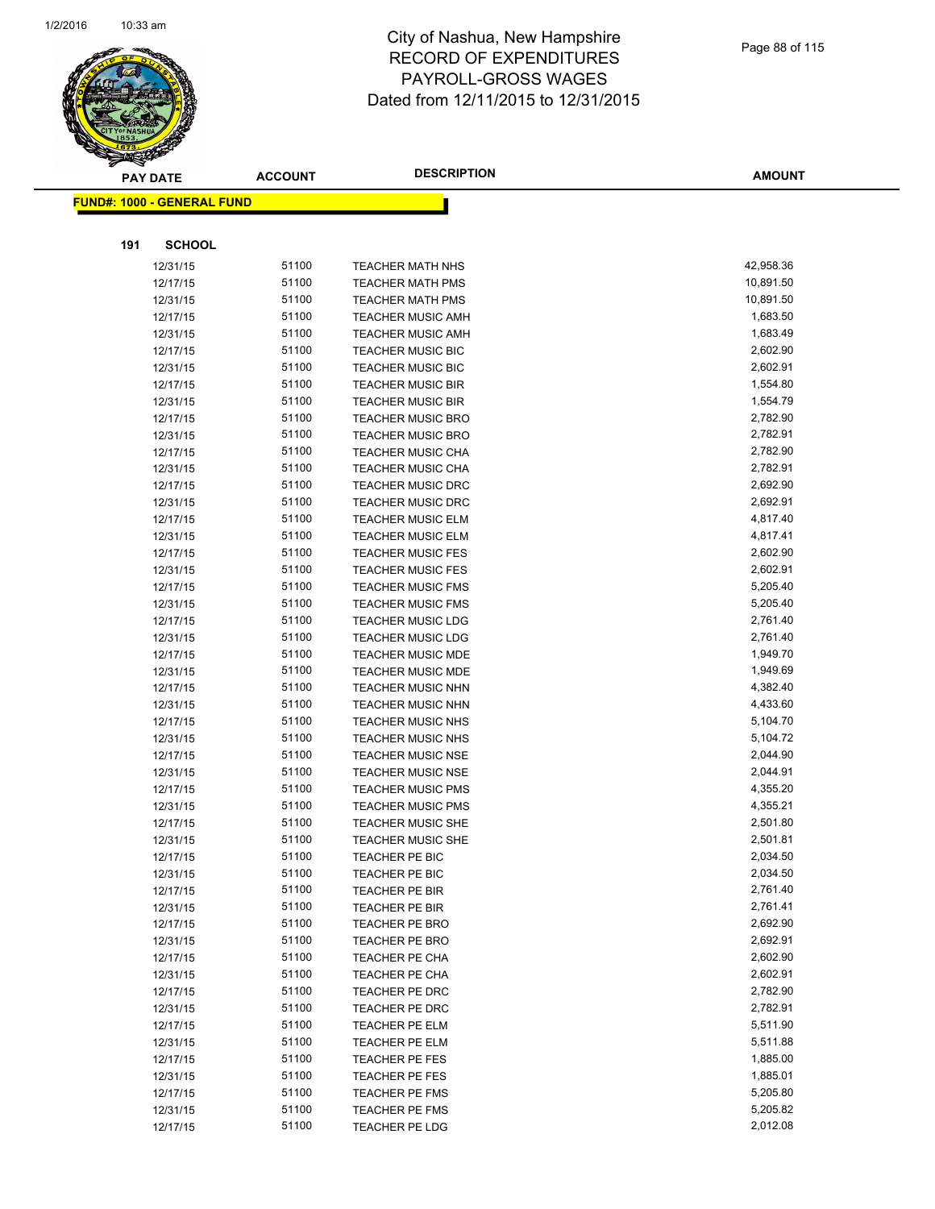

|     | <b>PAY DATE</b>                   | <b>ACCOUNT</b> | <b>DESCRIPTION</b>               | <b>AMOUNT</b>        |
|-----|-----------------------------------|----------------|----------------------------------|----------------------|
|     | <b>FUND#: 1000 - GENERAL FUND</b> |                |                                  |                      |
|     |                                   |                |                                  |                      |
| 191 | <b>SCHOOL</b>                     |                |                                  |                      |
|     | 12/31/15                          | 51100          | <b>TEACHER MATH NHS</b>          | 42,958.36            |
|     | 12/17/15                          | 51100          | <b>TEACHER MATH PMS</b>          | 10,891.50            |
|     | 12/31/15                          | 51100          | <b>TEACHER MATH PMS</b>          | 10,891.50            |
|     | 12/17/15                          | 51100          | <b>TEACHER MUSIC AMH</b>         | 1,683.50             |
|     | 12/31/15                          | 51100          | <b>TEACHER MUSIC AMH</b>         | 1,683.49             |
|     | 12/17/15                          | 51100          | <b>TEACHER MUSIC BIC</b>         | 2,602.90             |
|     | 12/31/15                          | 51100          | <b>TEACHER MUSIC BIC</b>         | 2,602.91             |
|     | 12/17/15                          | 51100          | <b>TEACHER MUSIC BIR</b>         | 1,554.80             |
|     | 12/31/15                          | 51100          | TEACHER MUSIC BIR                | 1,554.79             |
|     | 12/17/15                          | 51100          | <b>TEACHER MUSIC BRO</b>         | 2,782.90             |
|     | 12/31/15                          | 51100          | <b>TEACHER MUSIC BRO</b>         | 2,782.91             |
|     | 12/17/15                          | 51100          | <b>TEACHER MUSIC CHA</b>         | 2,782.90             |
|     | 12/31/15                          | 51100          | TEACHER MUSIC CHA                | 2,782.91             |
|     | 12/17/15                          | 51100          | <b>TEACHER MUSIC DRC</b>         | 2,692.90             |
|     | 12/31/15                          | 51100          | <b>TEACHER MUSIC DRC</b>         | 2,692.91             |
|     | 12/17/15                          | 51100          | TEACHER MUSIC ELM                | 4,817.40             |
|     | 12/31/15                          | 51100          | <b>TEACHER MUSIC ELM</b>         | 4,817.41             |
|     | 12/17/15                          | 51100          | <b>TEACHER MUSIC FES</b>         | 2,602.90             |
|     | 12/31/15                          | 51100          | <b>TEACHER MUSIC FES</b>         | 2,602.91             |
|     | 12/17/15                          | 51100          | <b>TEACHER MUSIC FMS</b>         | 5,205.40             |
|     | 12/31/15                          | 51100          | <b>TEACHER MUSIC FMS</b>         | 5,205.40             |
|     | 12/17/15                          | 51100          | <b>TEACHER MUSIC LDG</b>         | 2,761.40             |
|     | 12/31/15                          | 51100          | <b>TEACHER MUSIC LDG</b>         | 2,761.40             |
|     | 12/17/15                          | 51100          | TEACHER MUSIC MDE                | 1,949.70             |
|     | 12/31/15                          | 51100          | <b>TEACHER MUSIC MDE</b>         | 1,949.69             |
|     | 12/17/15                          | 51100          | <b>TEACHER MUSIC NHN</b>         | 4,382.40             |
|     | 12/31/15                          | 51100          | <b>TEACHER MUSIC NHN</b>         | 4,433.60             |
|     | 12/17/15                          | 51100          | <b>TEACHER MUSIC NHS</b>         | 5,104.70             |
|     | 12/31/15                          | 51100          | <b>TEACHER MUSIC NHS</b>         | 5,104.72             |
|     | 12/17/15                          | 51100          | <b>TEACHER MUSIC NSE</b>         | 2,044.90             |
|     | 12/31/15                          | 51100          | <b>TEACHER MUSIC NSE</b>         | 2,044.91             |
|     | 12/17/15                          | 51100          | <b>TEACHER MUSIC PMS</b>         | 4,355.20             |
|     | 12/31/15                          | 51100          | <b>TEACHER MUSIC PMS</b>         | 4,355.21             |
|     | 12/17/15                          | 51100          | <b>TEACHER MUSIC SHE</b>         | 2,501.80             |
|     | 12/31/15                          | 51100          | <b>TEACHER MUSIC SHE</b>         | 2,501.81             |
|     | 12/17/15                          | 51100          | TEACHER PE BIC                   | 2,034.50             |
|     | 12/31/15                          | 51100          | TEACHER PE BIC                   | 2,034.50             |
|     | 12/17/15                          | 51100          | <b>TEACHER PE BIR</b>            | 2,761.40             |
|     | 12/31/15                          | 51100          | TEACHER PE BIR                   | 2,761.41             |
|     | 12/17/15                          | 51100          | TEACHER PE BRO                   | 2,692.90             |
|     | 12/31/15                          | 51100          | <b>TEACHER PE BRO</b>            | 2,692.91             |
|     | 12/17/15                          | 51100          | TEACHER PE CHA                   | 2,602.90             |
|     | 12/31/15                          | 51100<br>51100 | TEACHER PE CHA                   | 2,602.91             |
|     | 12/17/15                          |                | TEACHER PE DRC                   | 2,782.90             |
|     | 12/31/15                          | 51100          | TEACHER PE DRC                   | 2,782.91             |
|     | 12/17/15                          | 51100          | TEACHER PE ELM                   | 5,511.90<br>5,511.88 |
|     | 12/31/15                          | 51100          | TEACHER PE ELM                   |                      |
|     | 12/17/15<br>12/31/15              | 51100<br>51100 | TEACHER PE FES                   | 1,885.00<br>1,885.01 |
|     |                                   | 51100          | TEACHER PE FES                   | 5,205.80             |
|     | 12/17/15                          | 51100          | TEACHER PE FMS<br>TEACHER PE FMS | 5,205.82             |
|     | 12/31/15<br>12/17/15              | 51100          | TEACHER PE LDG                   | 2,012.08             |
|     |                                   |                |                                  |                      |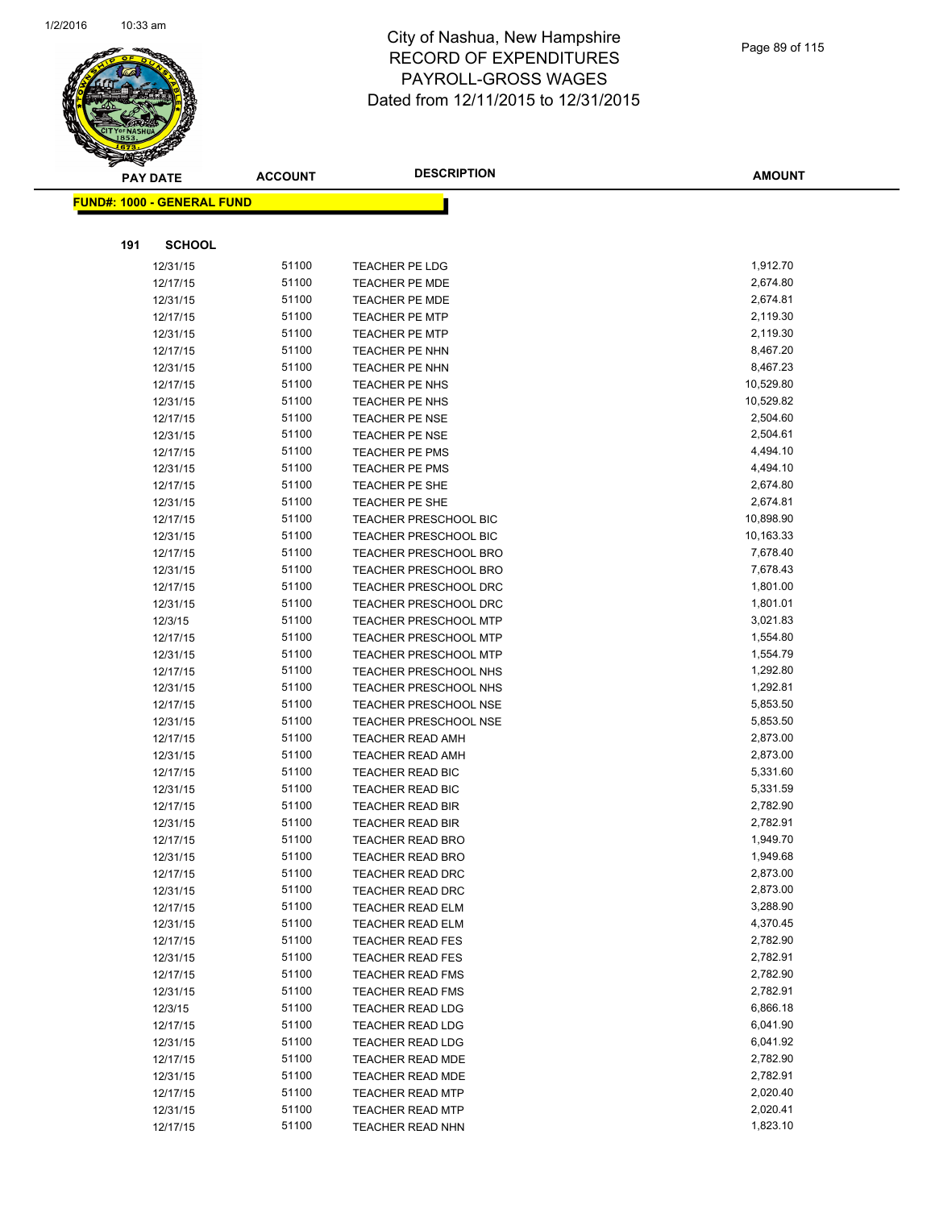

**AMOUNT**

| <b>FUND#: 1000 - GENERAL FUND</b> |                |                                                |                        |
|-----------------------------------|----------------|------------------------------------------------|------------------------|
|                                   |                |                                                |                        |
| 191<br><b>SCHOOL</b>              |                |                                                |                        |
|                                   |                |                                                |                        |
| 12/31/15                          | 51100          | TEACHER PE LDG                                 | 1,912.70               |
| 12/17/15                          | 51100          | TEACHER PE MDE                                 | 2,674.80               |
| 12/31/15                          | 51100          | <b>TEACHER PE MDE</b>                          | 2,674.81               |
| 12/17/15                          | 51100          | <b>TEACHER PE MTP</b>                          | 2,119.30               |
| 12/31/15                          | 51100          | <b>TEACHER PE MTP</b>                          | 2,119.30               |
| 12/17/15                          | 51100          | <b>TEACHER PE NHN</b>                          | 8,467.20               |
| 12/31/15                          | 51100          | <b>TEACHER PE NHN</b>                          | 8,467.23               |
| 12/17/15                          | 51100<br>51100 | TEACHER PE NHS                                 | 10,529.80<br>10,529.82 |
| 12/31/15                          | 51100          | TEACHER PE NHS                                 | 2,504.60               |
| 12/17/15<br>12/31/15              | 51100          | <b>TEACHER PE NSE</b><br><b>TEACHER PE NSE</b> | 2,504.61               |
| 12/17/15                          | 51100          | TEACHER PE PMS                                 | 4,494.10               |
| 12/31/15                          | 51100          | <b>TEACHER PE PMS</b>                          | 4,494.10               |
| 12/17/15                          | 51100          | TEACHER PE SHE                                 | 2,674.80               |
| 12/31/15                          | 51100          | TEACHER PE SHE                                 | 2,674.81               |
| 12/17/15                          | 51100          | <b>TEACHER PRESCHOOL BIC</b>                   | 10,898.90              |
| 12/31/15                          | 51100          | TEACHER PRESCHOOL BIC                          | 10,163.33              |
| 12/17/15                          | 51100          | TEACHER PRESCHOOL BRO                          | 7,678.40               |
| 12/31/15                          | 51100          | <b>TEACHER PRESCHOOL BRO</b>                   | 7,678.43               |
| 12/17/15                          | 51100          | <b>TEACHER PRESCHOOL DRC</b>                   | 1,801.00               |
| 12/31/15                          | 51100          | <b>TEACHER PRESCHOOL DRC</b>                   | 1,801.01               |
| 12/3/15                           | 51100          | <b>TEACHER PRESCHOOL MTP</b>                   | 3,021.83               |
| 12/17/15                          | 51100          | <b>TEACHER PRESCHOOL MTP</b>                   | 1,554.80               |
| 12/31/15                          | 51100          | <b>TEACHER PRESCHOOL MTP</b>                   | 1,554.79               |
| 12/17/15                          | 51100          | TEACHER PRESCHOOL NHS                          | 1,292.80               |
| 12/31/15                          | 51100          | TEACHER PRESCHOOL NHS                          | 1,292.81               |
| 12/17/15                          | 51100          | <b>TEACHER PRESCHOOL NSE</b>                   | 5,853.50               |
| 12/31/15                          | 51100          | <b>TEACHER PRESCHOOL NSE</b>                   | 5,853.50               |
| 12/17/15                          | 51100          | <b>TEACHER READ AMH</b>                        | 2,873.00               |
| 12/31/15                          | 51100          | <b>TEACHER READ AMH</b>                        | 2,873.00               |
| 12/17/15                          | 51100          | <b>TEACHER READ BIC</b>                        | 5,331.60               |
| 12/31/15                          | 51100          | <b>TEACHER READ BIC</b>                        | 5,331.59               |
| 12/17/15                          | 51100          | <b>TEACHER READ BIR</b>                        | 2,782.90               |
| 12/31/15                          | 51100          | <b>TEACHER READ BIR</b>                        | 2,782.91               |
| 12/17/15                          | 51100          | <b>TEACHER READ BRO</b>                        | 1,949.70               |
| 12/31/15                          | 51100          | <b>TEACHER READ BRO</b>                        | 1,949.68               |
| 12/17/15                          | 51100          | <b>TEACHER READ DRC</b>                        | 2,873.00               |
| 12/31/15                          | 51100          | <b>TEACHER READ DRC</b>                        | 2,873.00               |
| 12/17/15                          | 51100          | <b>TEACHER READ ELM</b>                        | 3,288.90               |
| 12/31/15                          | 51100          | <b>TEACHER READ ELM</b>                        | 4,370.45               |
| 12/17/15                          | 51100          | <b>TEACHER READ FES</b>                        | 2,782.90               |
| 12/31/15                          | 51100          | <b>TEACHER READ FES</b>                        | 2,782.91               |
| 12/17/15                          | 51100          | <b>TEACHER READ FMS</b>                        | 2,782.90               |
| 12/31/15                          | 51100          | <b>TEACHER READ FMS</b>                        | 2,782.91               |
| 12/3/15                           | 51100          | <b>TEACHER READ LDG</b>                        | 6,866.18               |
| 12/17/15                          | 51100          | TEACHER READ LDG                               | 6,041.90               |
| 12/31/15                          | 51100          | <b>TEACHER READ LDG</b>                        | 6,041.92               |
| 12/17/15                          | 51100          | TEACHER READ MDE                               | 2,782.90               |
| 12/31/15                          | 51100          | <b>TEACHER READ MDE</b>                        | 2,782.91               |
| 12/17/15                          | 51100          | <b>TEACHER READ MTP</b>                        | 2,020.40               |
| 12/31/15                          | 51100          | <b>TEACHER READ MTP</b>                        | 2,020.41               |
| 12/17/15                          | 51100          | <b>TEACHER READ NHN</b>                        | 1,823.10               |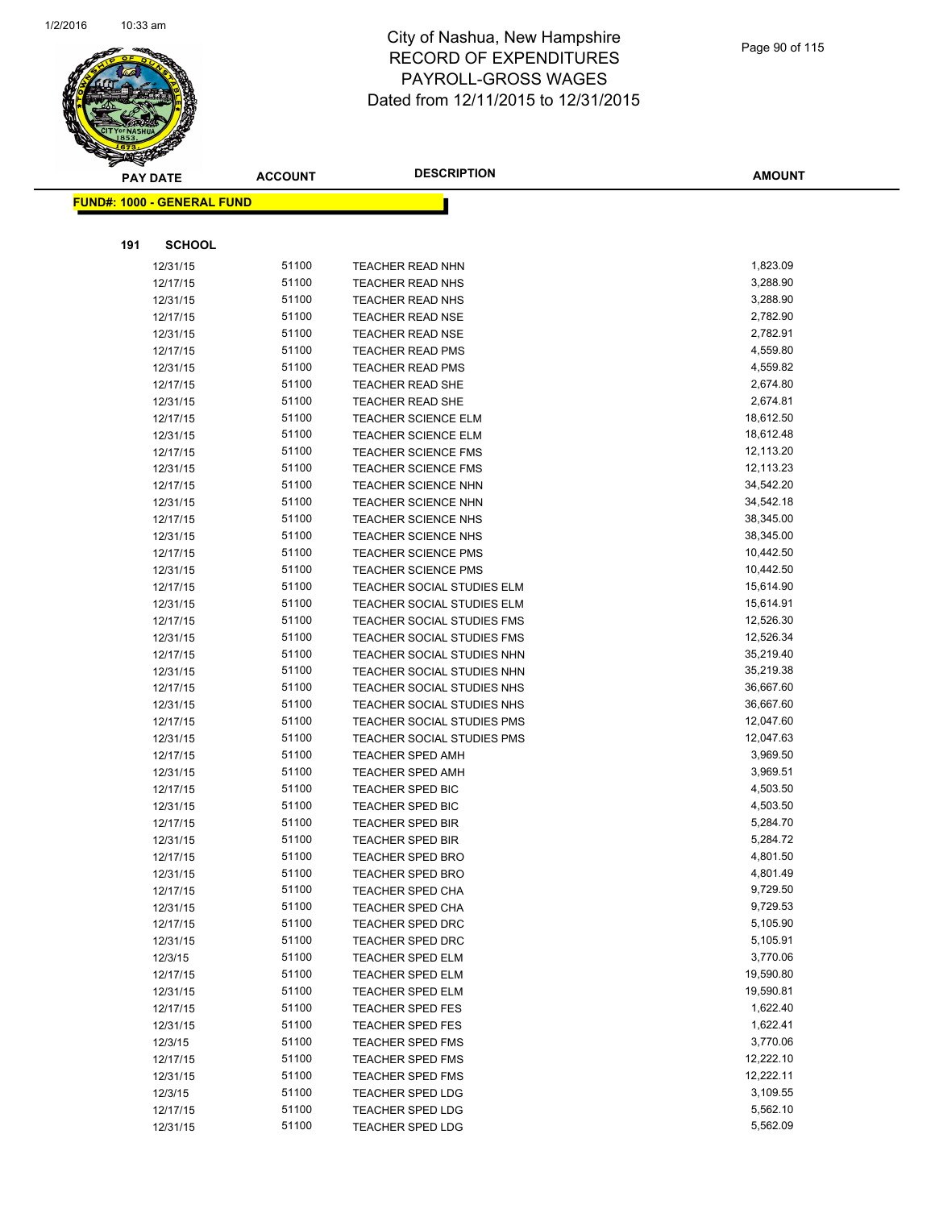

|     | <b>PAY DATE</b>                    | <b>ACCOUNT</b> | <b>DESCRIPTION</b>                | <b>AMOUNT</b> |
|-----|------------------------------------|----------------|-----------------------------------|---------------|
|     | <u> FUND#: 1000 - GENERAL FUND</u> |                |                                   |               |
|     |                                    |                |                                   |               |
|     |                                    |                |                                   |               |
| 191 | <b>SCHOOL</b>                      |                |                                   |               |
|     | 12/31/15                           | 51100          | TEACHER READ NHN                  | 1,823.09      |
|     | 12/17/15                           | 51100          | <b>TEACHER READ NHS</b>           | 3,288.90      |
|     | 12/31/15                           | 51100          | <b>TEACHER READ NHS</b>           | 3,288.90      |
|     | 12/17/15                           | 51100          | <b>TEACHER READ NSE</b>           | 2,782.90      |
|     | 12/31/15                           | 51100          | <b>TEACHER READ NSE</b>           | 2,782.91      |
|     | 12/17/15                           | 51100          | <b>TEACHER READ PMS</b>           | 4,559.80      |
|     | 12/31/15                           | 51100          | <b>TEACHER READ PMS</b>           | 4,559.82      |
|     | 12/17/15                           | 51100          | TEACHER READ SHE                  | 2,674.80      |
|     | 12/31/15                           | 51100          | TEACHER READ SHE                  | 2,674.81      |
|     | 12/17/15                           | 51100          | <b>TEACHER SCIENCE ELM</b>        | 18,612.50     |
|     | 12/31/15                           | 51100          | <b>TEACHER SCIENCE ELM</b>        | 18,612.48     |
|     | 12/17/15                           | 51100          | <b>TEACHER SCIENCE FMS</b>        | 12,113.20     |
|     | 12/31/15                           | 51100          | <b>TEACHER SCIENCE FMS</b>        | 12,113.23     |
|     | 12/17/15                           | 51100          | TEACHER SCIENCE NHN               | 34,542.20     |
|     | 12/31/15                           | 51100          | <b>TEACHER SCIENCE NHN</b>        | 34,542.18     |
|     | 12/17/15                           | 51100          | <b>TEACHER SCIENCE NHS</b>        | 38,345.00     |
|     | 12/31/15                           | 51100          | <b>TEACHER SCIENCE NHS</b>        | 38,345.00     |
|     | 12/17/15                           | 51100          | <b>TEACHER SCIENCE PMS</b>        | 10,442.50     |
|     | 12/31/15                           | 51100          | <b>TEACHER SCIENCE PMS</b>        | 10,442.50     |
|     | 12/17/15                           | 51100          | TEACHER SOCIAL STUDIES ELM        | 15,614.90     |
|     | 12/31/15                           | 51100          | TEACHER SOCIAL STUDIES ELM        | 15,614.91     |
|     | 12/17/15                           | 51100          | TEACHER SOCIAL STUDIES FMS        | 12,526.30     |
|     | 12/31/15                           | 51100          | TEACHER SOCIAL STUDIES FMS        | 12,526.34     |
|     | 12/17/15                           | 51100          | TEACHER SOCIAL STUDIES NHN        | 35,219.40     |
|     | 12/31/15                           | 51100          | TEACHER SOCIAL STUDIES NHN        | 35,219.38     |
|     | 12/17/15                           | 51100          | TEACHER SOCIAL STUDIES NHS        | 36,667.60     |
|     | 12/31/15                           | 51100          | TEACHER SOCIAL STUDIES NHS        | 36,667.60     |
|     | 12/17/15                           | 51100          | <b>TEACHER SOCIAL STUDIES PMS</b> | 12,047.60     |
|     | 12/31/15                           | 51100          | TEACHER SOCIAL STUDIES PMS        | 12,047.63     |
|     | 12/17/15                           | 51100          | <b>TEACHER SPED AMH</b>           | 3,969.50      |
|     | 12/31/15                           | 51100          | TEACHER SPED AMH                  | 3,969.51      |
|     | 12/17/15                           | 51100          | <b>TEACHER SPED BIC</b>           | 4,503.50      |
|     | 12/31/15                           | 51100          | <b>TEACHER SPED BIC</b>           | 4,503.50      |
|     | 12/17/15                           | 51100          | <b>TEACHER SPED BIR</b>           | 5,284.70      |
|     | 12/31/15                           | 51100          | <b>TEACHER SPED BIR</b>           | 5,284.72      |
|     | 12/17/15                           | 51100          | TEACHER SPED BRO                  | 4,801.50      |
|     | 12/31/15                           | 51100          | <b>TEACHER SPED BRO</b>           | 4,801.49      |
|     | 12/17/15                           | 51100          | TEACHER SPED CHA                  | 9,729.50      |
|     | 12/31/15                           | 51100          | TEACHER SPED CHA                  | 9,729.53      |
|     | 12/17/15                           | 51100          | TEACHER SPED DRC                  | 5,105.90      |
|     | 12/31/15                           | 51100          | <b>TEACHER SPED DRC</b>           | 5,105.91      |
|     | 12/3/15                            | 51100          | TEACHER SPED ELM                  | 3,770.06      |
|     | 12/17/15                           | 51100          | <b>TEACHER SPED ELM</b>           | 19,590.80     |
|     | 12/31/15                           | 51100          | <b>TEACHER SPED ELM</b>           | 19,590.81     |
|     | 12/17/15                           | 51100          | <b>TEACHER SPED FES</b>           | 1,622.40      |
|     | 12/31/15                           | 51100          | <b>TEACHER SPED FES</b>           | 1,622.41      |
|     | 12/3/15                            | 51100          | TEACHER SPED FMS                  | 3,770.06      |
|     | 12/17/15                           | 51100          | TEACHER SPED FMS                  | 12,222.10     |
|     | 12/31/15                           | 51100          | TEACHER SPED FMS                  | 12,222.11     |
|     | 12/3/15                            | 51100          | TEACHER SPED LDG                  | 3,109.55      |
|     | 12/17/15                           | 51100          | <b>TEACHER SPED LDG</b>           | 5,562.10      |
|     | 12/31/15                           | 51100          | TEACHER SPED LDG                  | 5,562.09      |
|     |                                    |                |                                   |               |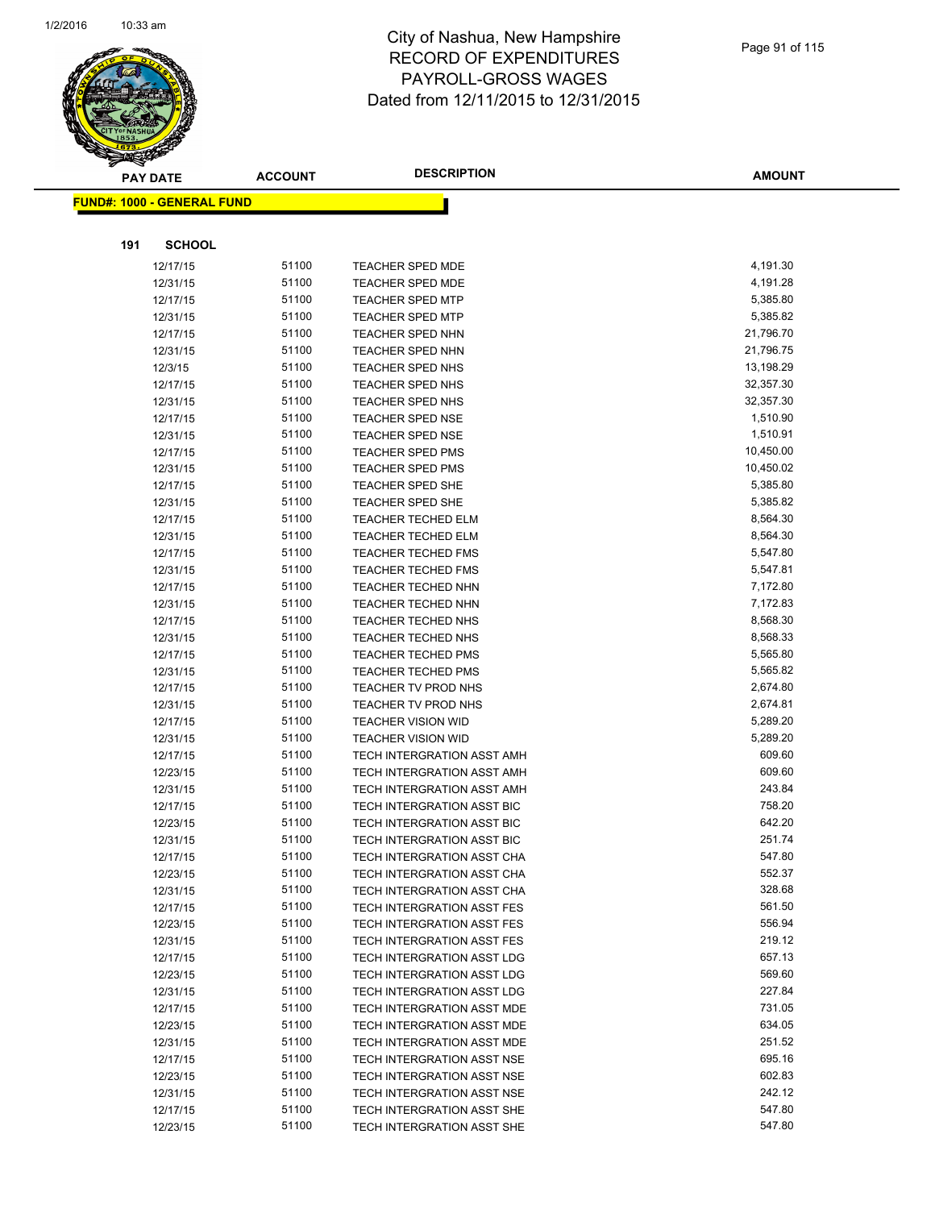

|     | <b>PAY DATE</b>                    | <b>ACCOUNT</b> | <b>DESCRIPTION</b>                                       | <b>AMOUNT</b>    |
|-----|------------------------------------|----------------|----------------------------------------------------------|------------------|
|     | <u> FUND#: 1000 - GENERAL FUND</u> |                |                                                          |                  |
|     |                                    |                |                                                          |                  |
|     |                                    |                |                                                          |                  |
| 191 | <b>SCHOOL</b>                      |                |                                                          |                  |
|     | 12/17/15                           | 51100          | <b>TEACHER SPED MDE</b>                                  | 4,191.30         |
|     | 12/31/15                           | 51100          | <b>TEACHER SPED MDE</b>                                  | 4,191.28         |
|     | 12/17/15                           | 51100          | <b>TEACHER SPED MTP</b>                                  | 5,385.80         |
|     | 12/31/15                           | 51100          | <b>TEACHER SPED MTP</b>                                  | 5,385.82         |
|     | 12/17/15                           | 51100          | <b>TEACHER SPED NHN</b>                                  | 21,796.70        |
|     | 12/31/15                           | 51100          | <b>TEACHER SPED NHN</b>                                  | 21,796.75        |
|     | 12/3/15                            | 51100          | <b>TEACHER SPED NHS</b>                                  | 13,198.29        |
|     | 12/17/15                           | 51100          | <b>TEACHER SPED NHS</b>                                  | 32,357.30        |
|     | 12/31/15                           | 51100          | <b>TEACHER SPED NHS</b>                                  | 32,357.30        |
|     | 12/17/15                           | 51100          | <b>TEACHER SPED NSE</b>                                  | 1,510.90         |
|     | 12/31/15                           | 51100          | <b>TEACHER SPED NSE</b>                                  | 1,510.91         |
|     | 12/17/15                           | 51100          | <b>TEACHER SPED PMS</b>                                  | 10,450.00        |
|     | 12/31/15                           | 51100          | <b>TEACHER SPED PMS</b>                                  | 10,450.02        |
|     | 12/17/15                           | 51100          | <b>TEACHER SPED SHE</b>                                  | 5,385.80         |
|     | 12/31/15                           | 51100          | <b>TEACHER SPED SHE</b>                                  | 5,385.82         |
|     | 12/17/15                           | 51100          | <b>TEACHER TECHED ELM</b>                                | 8,564.30         |
|     | 12/31/15                           | 51100          | <b>TEACHER TECHED ELM</b>                                | 8,564.30         |
|     | 12/17/15                           | 51100          | <b>TEACHER TECHED FMS</b>                                | 5,547.80         |
|     | 12/31/15                           | 51100          | <b>TEACHER TECHED FMS</b>                                | 5,547.81         |
|     | 12/17/15                           | 51100          | <b>TEACHER TECHED NHN</b>                                | 7,172.80         |
|     | 12/31/15                           | 51100          | <b>TEACHER TECHED NHN</b>                                | 7,172.83         |
|     | 12/17/15                           | 51100          | <b>TEACHER TECHED NHS</b>                                | 8,568.30         |
|     | 12/31/15                           | 51100          | TEACHER TECHED NHS                                       | 8,568.33         |
|     | 12/17/15                           | 51100          | <b>TEACHER TECHED PMS</b>                                | 5,565.80         |
|     | 12/31/15                           | 51100          | <b>TEACHER TECHED PMS</b>                                | 5,565.82         |
|     | 12/17/15                           | 51100          | TEACHER TV PROD NHS                                      | 2,674.80         |
|     | 12/31/15                           | 51100          | TEACHER TV PROD NHS                                      | 2,674.81         |
|     | 12/17/15                           | 51100          | <b>TEACHER VISION WID</b>                                | 5,289.20         |
|     | 12/31/15                           | 51100          | <b>TEACHER VISION WID</b>                                | 5,289.20         |
|     | 12/17/15                           | 51100          | TECH INTERGRATION ASST AMH                               | 609.60           |
|     | 12/23/15                           | 51100          | TECH INTERGRATION ASST AMH                               | 609.60           |
|     | 12/31/15                           | 51100          | TECH INTERGRATION ASST AMH                               | 243.84           |
|     | 12/17/15                           | 51100          | <b>TECH INTERGRATION ASST BIC</b>                        | 758.20           |
|     | 12/23/15                           | 51100          | TECH INTERGRATION ASST BIC                               | 642.20           |
|     | 12/31/15                           | 51100          | TECH INTERGRATION ASST BIC                               | 251.74           |
|     | 12/17/15                           | 51100          | TECH INTERGRATION ASST CHA                               | 547.80           |
|     | 12/23/15                           | 51100          | TECH INTERGRATION ASST CHA                               | 552.37           |
|     | 12/31/15                           | 51100          | <b>TECH INTERGRATION ASST CHA</b>                        | 328.68           |
|     | 12/17/15                           | 51100          | TECH INTERGRATION ASST FES                               | 561.50<br>556.94 |
|     | 12/23/15                           | 51100          | TECH INTERGRATION ASST FES                               | 219.12           |
|     | 12/31/15                           | 51100<br>51100 | TECH INTERGRATION ASST FES                               | 657.13           |
|     | 12/17/15                           |                | TECH INTERGRATION ASST LDG<br>TECH INTERGRATION ASST LDG | 569.60           |
|     | 12/23/15                           | 51100<br>51100 | TECH INTERGRATION ASST LDG                               | 227.84           |
|     | 12/31/15                           | 51100          | TECH INTERGRATION ASST MDE                               | 731.05           |
|     | 12/17/15                           | 51100          |                                                          | 634.05           |
|     | 12/23/15                           | 51100          | TECH INTERGRATION ASST MDE<br>TECH INTERGRATION ASST MDE | 251.52           |
|     | 12/31/15                           | 51100          | TECH INTERGRATION ASST NSE                               | 695.16           |
|     | 12/17/15<br>12/23/15               | 51100          | TECH INTERGRATION ASST NSE                               | 602.83           |
|     |                                    | 51100          |                                                          | 242.12           |
|     | 12/31/15<br>12/17/15               | 51100          | TECH INTERGRATION ASST NSE<br>TECH INTERGRATION ASST SHE | 547.80           |
|     |                                    | 51100          |                                                          | 547.80           |
|     | 12/23/15                           |                | TECH INTERGRATION ASST SHE                               |                  |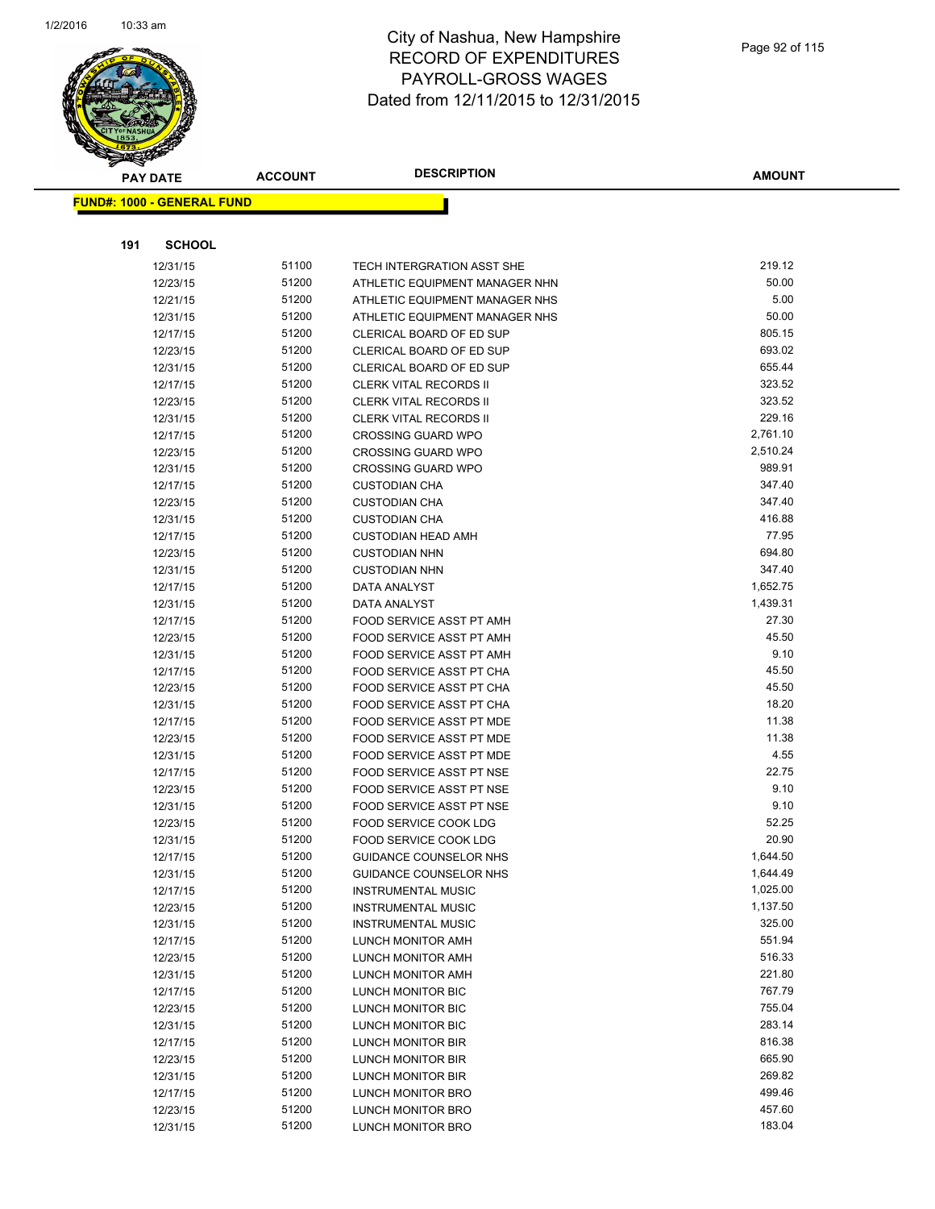

|     | <b>PAY DATE</b>                   | <b>ACCOUNT</b> | <b>DESCRIPTION</b>             | <b>AMOUNT</b> |
|-----|-----------------------------------|----------------|--------------------------------|---------------|
|     | <b>FUND#: 1000 - GENERAL FUND</b> |                |                                |               |
|     |                                   |                |                                |               |
|     |                                   |                |                                |               |
| 191 | <b>SCHOOL</b>                     |                |                                |               |
|     | 12/31/15                          | 51100          | TECH INTERGRATION ASST SHE     | 219.12        |
|     | 12/23/15                          | 51200          | ATHLETIC EQUIPMENT MANAGER NHN | 50.00         |
|     | 12/21/15                          | 51200          | ATHLETIC EQUIPMENT MANAGER NHS | 5.00          |
|     | 12/31/15                          | 51200          | ATHLETIC EQUIPMENT MANAGER NHS | 50.00         |
|     | 12/17/15                          | 51200          | CLERICAL BOARD OF ED SUP       | 805.15        |
|     | 12/23/15                          | 51200          | CLERICAL BOARD OF ED SUP       | 693.02        |
|     | 12/31/15                          | 51200          | CLERICAL BOARD OF ED SUP       | 655.44        |
|     | 12/17/15                          | 51200          | <b>CLERK VITAL RECORDS II</b>  | 323.52        |
|     | 12/23/15                          | 51200          | <b>CLERK VITAL RECORDS II</b>  | 323.52        |
|     | 12/31/15                          | 51200          | <b>CLERK VITAL RECORDS II</b>  | 229.16        |
|     | 12/17/15                          | 51200          | <b>CROSSING GUARD WPO</b>      | 2,761.10      |
|     | 12/23/15                          | 51200          | <b>CROSSING GUARD WPO</b>      | 2,510.24      |
|     | 12/31/15                          | 51200          | <b>CROSSING GUARD WPO</b>      | 989.91        |
|     | 12/17/15                          | 51200          | <b>CUSTODIAN CHA</b>           | 347.40        |
|     | 12/23/15                          | 51200          | <b>CUSTODIAN CHA</b>           | 347.40        |
|     | 12/31/15                          | 51200          | <b>CUSTODIAN CHA</b>           | 416.88        |
|     | 12/17/15                          | 51200          | <b>CUSTODIAN HEAD AMH</b>      | 77.95         |
|     | 12/23/15                          | 51200          | <b>CUSTODIAN NHN</b>           | 694.80        |
|     | 12/31/15                          | 51200          | <b>CUSTODIAN NHN</b>           | 347.40        |
|     | 12/17/15                          | 51200          | DATA ANALYST                   | 1,652.75      |
|     | 12/31/15                          | 51200          | DATA ANALYST                   | 1,439.31      |
|     | 12/17/15                          | 51200          | FOOD SERVICE ASST PT AMH       | 27.30         |
|     | 12/23/15                          | 51200          | FOOD SERVICE ASST PT AMH       | 45.50         |
|     | 12/31/15                          | 51200          | FOOD SERVICE ASST PT AMH       | 9.10          |
|     | 12/17/15                          | 51200          | FOOD SERVICE ASST PT CHA       | 45.50         |
|     | 12/23/15                          | 51200          | FOOD SERVICE ASST PT CHA       | 45.50         |
|     | 12/31/15                          | 51200          | FOOD SERVICE ASST PT CHA       | 18.20         |
|     | 12/17/15                          | 51200          | FOOD SERVICE ASST PT MDE       | 11.38         |
|     | 12/23/15                          | 51200          | FOOD SERVICE ASST PT MDE       | 11.38         |
|     | 12/31/15                          | 51200          | FOOD SERVICE ASST PT MDE       | 4.55          |
|     | 12/17/15                          | 51200          | FOOD SERVICE ASST PT NSE       | 22.75         |
|     | 12/23/15                          | 51200          | FOOD SERVICE ASST PT NSE       | 9.10          |
|     | 12/31/15                          | 51200          | FOOD SERVICE ASST PT NSE       | 9.10          |
|     | 12/23/15                          | 51200          | FOOD SERVICE COOK LDG          | 52.25         |
|     | 12/31/15                          | 51200          | <b>FOOD SERVICE COOK LDG</b>   | 20.90         |
|     | 12/17/15                          | 51200          | GUIDANCE COUNSELOR NHS         | 1,644.50      |
|     | 12/31/15                          | 51200          | GUIDANCE COUNSELOR NHS         | 1,644.49      |
|     | 12/17/15                          | 51200          | <b>INSTRUMENTAL MUSIC</b>      | 1,025.00      |
|     | 12/23/15                          | 51200          | <b>INSTRUMENTAL MUSIC</b>      | 1,137.50      |
|     | 12/31/15                          | 51200          | <b>INSTRUMENTAL MUSIC</b>      | 325.00        |
|     | 12/17/15                          | 51200          | LUNCH MONITOR AMH              | 551.94        |
|     | 12/23/15                          | 51200          | LUNCH MONITOR AMH              | 516.33        |
|     | 12/31/15                          | 51200          | <b>LUNCH MONITOR AMH</b>       | 221.80        |
|     | 12/17/15                          | 51200          | <b>LUNCH MONITOR BIC</b>       | 767.79        |
|     | 12/23/15                          | 51200          | LUNCH MONITOR BIC              | 755.04        |
|     | 12/31/15                          | 51200          | LUNCH MONITOR BIC              | 283.14        |
|     | 12/17/15                          | 51200          | LUNCH MONITOR BIR              | 816.38        |
|     | 12/23/15                          | 51200          | LUNCH MONITOR BIR              | 665.90        |
|     | 12/31/15                          | 51200          | LUNCH MONITOR BIR              | 269.82        |
|     | 12/17/15                          | 51200          | LUNCH MONITOR BRO              | 499.46        |
|     | 12/23/15                          | 51200          | LUNCH MONITOR BRO              | 457.60        |
|     | 12/31/15                          | 51200          | LUNCH MONITOR BRO              | 183.04        |
|     |                                   |                |                                |               |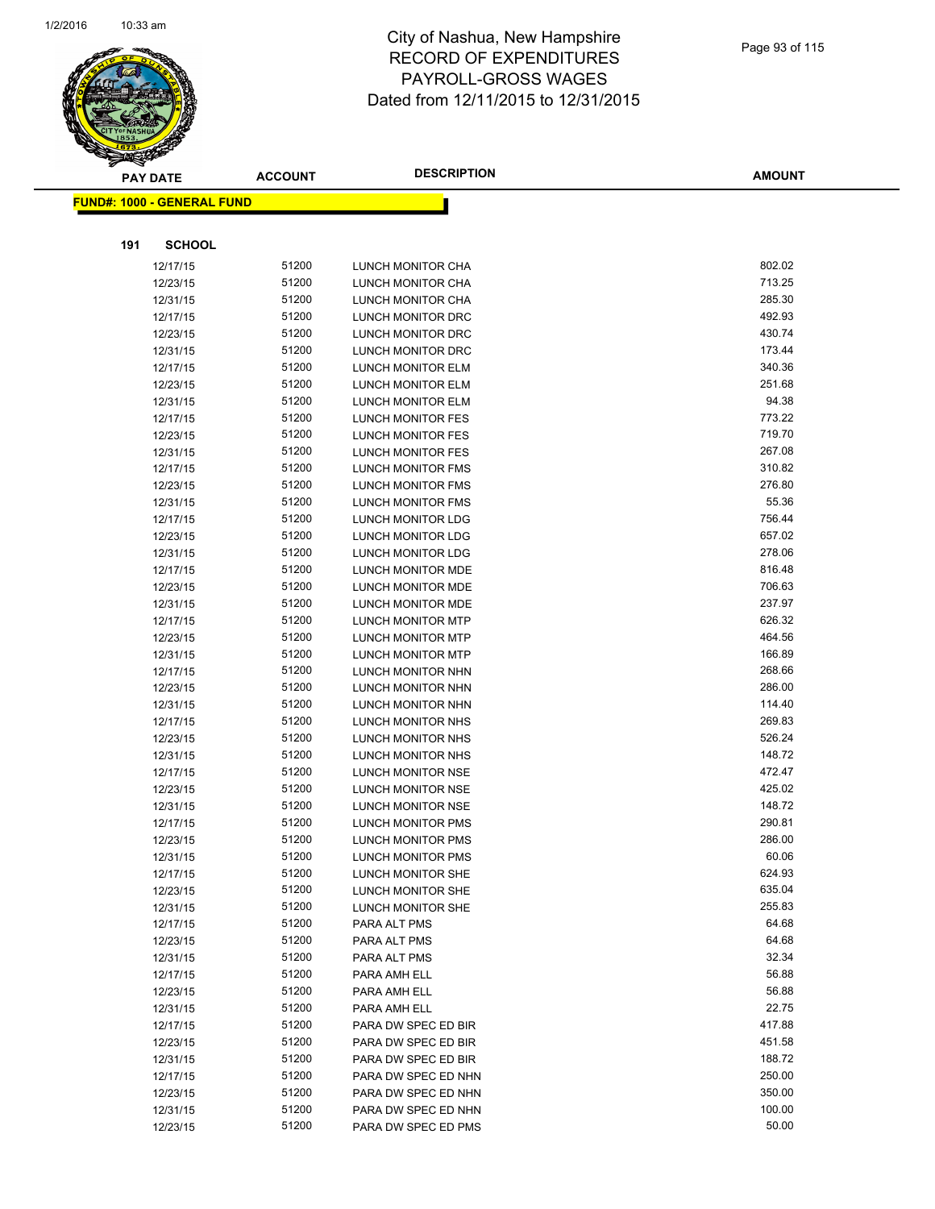

|     | <b>PAY DATE</b>                    | <b>ACCOUNT</b> | <b>DESCRIPTION</b>                            | <b>AMOUNT</b>    |
|-----|------------------------------------|----------------|-----------------------------------------------|------------------|
|     | <u> FUND#: 1000 - GENERAL FUND</u> |                |                                               |                  |
|     |                                    |                |                                               |                  |
|     |                                    |                |                                               |                  |
| 191 | <b>SCHOOL</b>                      |                |                                               |                  |
|     | 12/17/15                           | 51200          | LUNCH MONITOR CHA                             | 802.02           |
|     | 12/23/15                           | 51200          | LUNCH MONITOR CHA                             | 713.25           |
|     | 12/31/15                           | 51200          | LUNCH MONITOR CHA                             | 285.30           |
|     | 12/17/15                           | 51200          | LUNCH MONITOR DRC                             | 492.93           |
|     | 12/23/15                           | 51200          | LUNCH MONITOR DRC                             | 430.74           |
|     | 12/31/15                           | 51200          | LUNCH MONITOR DRC                             | 173.44           |
|     | 12/17/15                           | 51200          | LUNCH MONITOR ELM                             | 340.36           |
|     | 12/23/15                           | 51200          | <b>LUNCH MONITOR ELM</b>                      | 251.68           |
|     | 12/31/15                           | 51200          | LUNCH MONITOR ELM                             | 94.38            |
|     | 12/17/15                           | 51200          | LUNCH MONITOR FES                             | 773.22           |
|     | 12/23/15                           | 51200          | LUNCH MONITOR FES                             | 719.70           |
|     | 12/31/15                           | 51200          | LUNCH MONITOR FES                             | 267.08           |
|     | 12/17/15                           | 51200          | LUNCH MONITOR FMS                             | 310.82           |
|     | 12/23/15                           | 51200          | <b>LUNCH MONITOR FMS</b>                      | 276.80           |
|     | 12/31/15                           | 51200          | <b>LUNCH MONITOR FMS</b>                      | 55.36            |
|     | 12/17/15                           | 51200          | LUNCH MONITOR LDG                             | 756.44           |
|     | 12/23/15                           | 51200          | LUNCH MONITOR LDG                             | 657.02           |
|     | 12/31/15                           | 51200          | LUNCH MONITOR LDG                             | 278.06           |
|     | 12/17/15                           | 51200          | LUNCH MONITOR MDE                             | 816.48           |
|     | 12/23/15                           | 51200          | LUNCH MONITOR MDE                             | 706.63<br>237.97 |
|     | 12/31/15                           | 51200<br>51200 | LUNCH MONITOR MDE                             | 626.32           |
|     | 12/17/15                           | 51200          | <b>LUNCH MONITOR MTP</b>                      | 464.56           |
|     | 12/23/15                           | 51200          | LUNCH MONITOR MTP                             | 166.89           |
|     | 12/31/15<br>12/17/15               | 51200          | <b>LUNCH MONITOR MTP</b><br>LUNCH MONITOR NHN | 268.66           |
|     | 12/23/15                           | 51200          | LUNCH MONITOR NHN                             | 286.00           |
|     | 12/31/15                           | 51200          | LUNCH MONITOR NHN                             | 114.40           |
|     | 12/17/15                           | 51200          | LUNCH MONITOR NHS                             | 269.83           |
|     | 12/23/15                           | 51200          | LUNCH MONITOR NHS                             | 526.24           |
|     | 12/31/15                           | 51200          | LUNCH MONITOR NHS                             | 148.72           |
|     | 12/17/15                           | 51200          | LUNCH MONITOR NSE                             | 472.47           |
|     | 12/23/15                           | 51200          | LUNCH MONITOR NSE                             | 425.02           |
|     | 12/31/15                           | 51200          | LUNCH MONITOR NSE                             | 148.72           |
|     | 12/17/15                           | 51200          | LUNCH MONITOR PMS                             | 290.81           |
|     | 12/23/15                           | 51200          | <b>LUNCH MONITOR PMS</b>                      | 286.00           |
|     | 12/31/15                           | 51200          | <b>LUNCH MONITOR PMS</b>                      | 60.06            |
|     | 12/17/15                           | 51200          | LUNCH MONITOR SHE                             | 624.93           |
|     | 12/23/15                           | 51200          | LUNCH MONITOR SHE                             | 635.04           |
|     | 12/31/15                           | 51200          | LUNCH MONITOR SHE                             | 255.83           |
|     | 12/17/15                           | 51200          | PARA ALT PMS                                  | 64.68            |
|     | 12/23/15                           | 51200          | PARA ALT PMS                                  | 64.68            |
|     | 12/31/15                           | 51200          | PARA ALT PMS                                  | 32.34            |
|     | 12/17/15                           | 51200          | PARA AMH ELL                                  | 56.88            |
|     | 12/23/15                           | 51200          | PARA AMH ELL                                  | 56.88            |
|     | 12/31/15                           | 51200          | PARA AMH ELL                                  | 22.75            |
|     | 12/17/15                           | 51200          | PARA DW SPEC ED BIR                           | 417.88           |
|     | 12/23/15                           | 51200          | PARA DW SPEC ED BIR                           | 451.58           |
|     | 12/31/15                           | 51200          | PARA DW SPEC ED BIR                           | 188.72           |
|     | 12/17/15                           | 51200          | PARA DW SPEC ED NHN                           | 250.00           |
|     | 12/23/15                           | 51200          | PARA DW SPEC ED NHN                           | 350.00           |
|     | 12/31/15                           | 51200          | PARA DW SPEC ED NHN                           | 100.00           |
|     | 12/23/15                           | 51200          | PARA DW SPEC ED PMS                           | 50.00            |
|     |                                    |                |                                               |                  |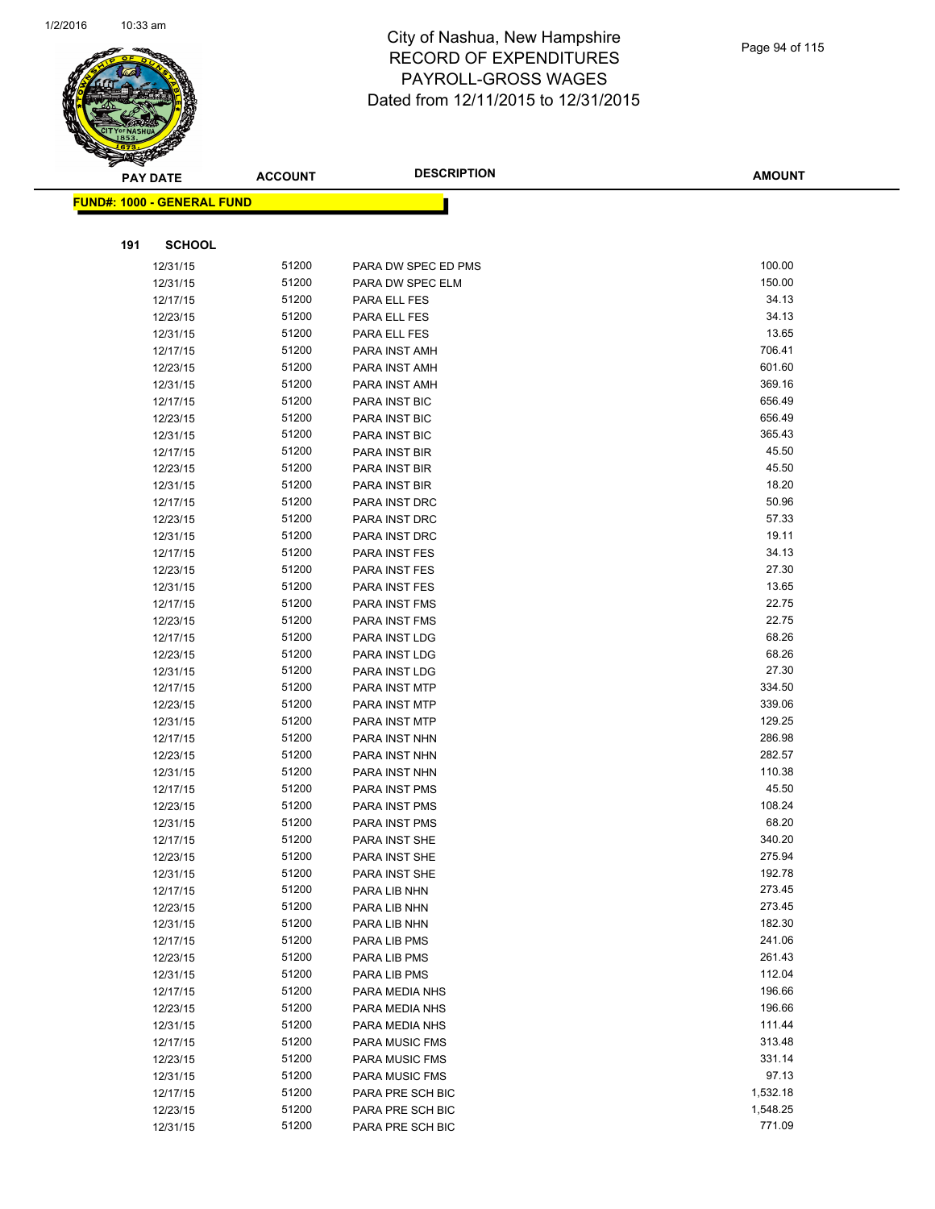

| ॼ   | <b>PAY DATE</b>                   | <b>ACCOUNT</b> | <b>DESCRIPTION</b>           | <b>AMOUNT</b> |
|-----|-----------------------------------|----------------|------------------------------|---------------|
|     | <b>FUND#: 1000 - GENERAL FUND</b> |                |                              |               |
|     |                                   |                |                              |               |
| 191 | <b>SCHOOL</b>                     |                |                              |               |
|     |                                   |                |                              | 100.00        |
|     | 12/31/15                          | 51200          | PARA DW SPEC ED PMS          | 150.00        |
|     | 12/31/15                          | 51200<br>51200 | PARA DW SPEC ELM             | 34.13         |
|     | 12/17/15<br>12/23/15              | 51200          | PARA ELL FES<br>PARA ELL FES | 34.13         |
|     | 12/31/15                          | 51200          | PARA ELL FES                 | 13.65         |
|     | 12/17/15                          | 51200          | PARA INST AMH                | 706.41        |
|     | 12/23/15                          | 51200          | PARA INST AMH                | 601.60        |
|     | 12/31/15                          | 51200          | PARA INST AMH                | 369.16        |
|     | 12/17/15                          | 51200          | <b>PARA INST BIC</b>         | 656.49        |
|     | 12/23/15                          | 51200          | <b>PARA INST BIC</b>         | 656.49        |
|     | 12/31/15                          | 51200          | <b>PARA INST BIC</b>         | 365.43        |
|     | 12/17/15                          | 51200          | PARA INST BIR                | 45.50         |
|     | 12/23/15                          | 51200          | PARA INST BIR                | 45.50         |
|     | 12/31/15                          | 51200          | PARA INST BIR                | 18.20         |
|     | 12/17/15                          | 51200          | PARA INST DRC                | 50.96         |
|     | 12/23/15                          | 51200          | PARA INST DRC                | 57.33         |
|     | 12/31/15                          | 51200          | PARA INST DRC                | 19.11         |
|     | 12/17/15                          | 51200          | PARA INST FES                | 34.13         |
|     | 12/23/15                          | 51200          | PARA INST FES                | 27.30         |
|     | 12/31/15                          | 51200          | PARA INST FES                | 13.65         |
|     | 12/17/15                          | 51200          | PARA INST FMS                | 22.75         |
|     | 12/23/15                          | 51200          | PARA INST FMS                | 22.75         |
|     | 12/17/15                          | 51200          | PARA INST LDG                | 68.26         |
|     | 12/23/15                          | 51200          | PARA INST LDG                | 68.26         |
|     | 12/31/15                          | 51200          | PARA INST LDG                | 27.30         |
|     | 12/17/15                          | 51200          | PARA INST MTP                | 334.50        |
|     | 12/23/15                          | 51200          | PARA INST MTP                | 339.06        |
|     | 12/31/15                          | 51200          | PARA INST MTP                | 129.25        |
|     | 12/17/15                          | 51200          | PARA INST NHN                | 286.98        |
|     | 12/23/15                          | 51200          | PARA INST NHN                | 282.57        |
|     | 12/31/15                          | 51200          | PARA INST NHN                | 110.38        |
|     | 12/17/15                          | 51200          | PARA INST PMS                | 45.50         |
|     | 12/23/15                          | 51200          | PARA INST PMS                | 108.24        |
|     | 12/31/15                          | 51200          | PARA INST PMS                | 68.20         |
|     | 12/17/15                          | 51200          | PARA INST SHE                | 340.20        |
|     | 12/23/15                          | 51200          | PARA INST SHE                | 275.94        |
|     | 12/31/15                          | 51200          | PARA INST SHE                | 192.78        |
|     | 12/17/15                          | 51200          | PARA LIB NHN                 | 273.45        |
|     | 12/23/15                          | 51200          | PARA LIB NHN                 | 273.45        |
|     | 12/31/15                          | 51200          | PARA LIB NHN                 | 182.30        |
|     | 12/17/15                          | 51200          | PARA LIB PMS                 | 241.06        |
|     | 12/23/15                          | 51200          | PARA LIB PMS                 | 261.43        |
|     | 12/31/15                          | 51200          | PARA LIB PMS                 | 112.04        |
|     | 12/17/15                          | 51200          | PARA MEDIA NHS               | 196.66        |
|     | 12/23/15                          | 51200          | PARA MEDIA NHS               | 196.66        |
|     | 12/31/15                          | 51200          | PARA MEDIA NHS               | 111.44        |
|     | 12/17/15                          | 51200          | PARA MUSIC FMS               | 313.48        |
|     | 12/23/15                          | 51200          | PARA MUSIC FMS               | 331.14        |
|     | 12/31/15                          | 51200          | <b>PARA MUSIC FMS</b>        | 97.13         |
|     | 12/17/15                          | 51200          | PARA PRE SCH BIC             | 1,532.18      |
|     | 12/23/15                          | 51200          | PARA PRE SCH BIC             | 1,548.25      |
|     | 12/31/15                          | 51200          | PARA PRE SCH BIC             | 771.09        |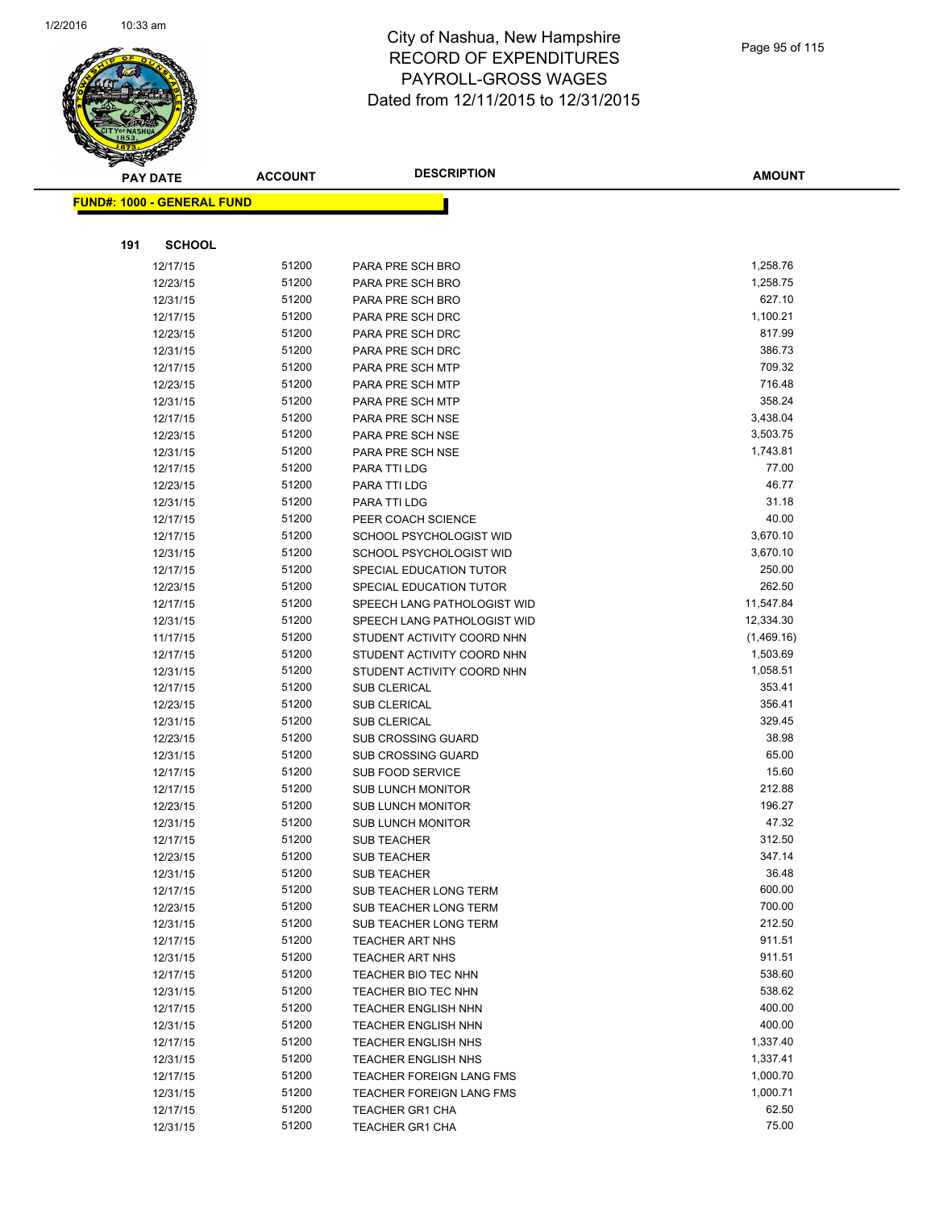

**AMOUNT**

|     | <u> FUND#: 1000 - GENERAL FUND</u> |                |                                                       |                  |
|-----|------------------------------------|----------------|-------------------------------------------------------|------------------|
|     |                                    |                |                                                       |                  |
| 191 | <b>SCHOOL</b>                      |                |                                                       |                  |
|     | 12/17/15                           | 51200          | PARA PRE SCH BRO                                      | 1,258.76         |
|     | 12/23/15                           | 51200          | PARA PRE SCH BRO                                      | 1,258.75         |
|     | 12/31/15                           | 51200          | PARA PRE SCH BRO                                      | 627.10           |
|     | 12/17/15                           | 51200          | PARA PRE SCH DRC                                      | 1,100.21         |
|     | 12/23/15                           | 51200          | PARA PRE SCH DRC                                      | 817.99           |
|     | 12/31/15                           | 51200          | PARA PRE SCH DRC                                      | 386.73           |
|     | 12/17/15                           | 51200          | PARA PRE SCH MTP                                      | 709.32           |
|     | 12/23/15                           | 51200          | PARA PRE SCH MTP                                      | 716.48           |
|     | 12/31/15                           | 51200          | PARA PRE SCH MTP                                      | 358.24           |
|     | 12/17/15                           | 51200          | PARA PRE SCH NSE                                      | 3,438.04         |
|     | 12/23/15                           | 51200          | PARA PRE SCH NSE                                      | 3,503.75         |
|     | 12/31/15                           | 51200          | PARA PRE SCH NSE                                      | 1,743.81         |
|     | 12/17/15                           | 51200          | PARA TTI LDG                                          | 77.00            |
|     | 12/23/15                           | 51200          | PARA TTI LDG                                          | 46.77            |
|     | 12/31/15                           | 51200          | PARA TTI LDG                                          | 31.18            |
|     | 12/17/15                           | 51200          | PEER COACH SCIENCE                                    | 40.00            |
|     | 12/17/15                           | 51200          | SCHOOL PSYCHOLOGIST WID                               | 3,670.10         |
|     | 12/31/15                           | 51200          | SCHOOL PSYCHOLOGIST WID                               | 3,670.10         |
|     | 12/17/15                           | 51200          | SPECIAL EDUCATION TUTOR                               | 250.00           |
|     | 12/23/15                           | 51200          | SPECIAL EDUCATION TUTOR                               | 262.50           |
|     | 12/17/15                           | 51200          | SPEECH LANG PATHOLOGIST WID                           | 11,547.84        |
|     | 12/31/15                           | 51200          | SPEECH LANG PATHOLOGIST WID                           | 12,334.30        |
|     | 11/17/15                           | 51200          | STUDENT ACTIVITY COORD NHN                            | (1,469.16)       |
|     | 12/17/15                           | 51200          | STUDENT ACTIVITY COORD NHN                            | 1,503.69         |
|     | 12/31/15                           | 51200          | STUDENT ACTIVITY COORD NHN                            | 1,058.51         |
|     | 12/17/15                           | 51200          | <b>SUB CLERICAL</b>                                   | 353.41           |
|     | 12/23/15                           | 51200          | <b>SUB CLERICAL</b>                                   | 356.41           |
|     | 12/31/15                           | 51200          | <b>SUB CLERICAL</b>                                   | 329.45           |
|     | 12/23/15                           | 51200          | SUB CROSSING GUARD                                    | 38.98            |
|     | 12/31/15                           | 51200          | <b>SUB CROSSING GUARD</b>                             | 65.00            |
|     | 12/17/15                           | 51200          | <b>SUB FOOD SERVICE</b>                               | 15.60            |
|     | 12/17/15                           | 51200          | <b>SUB LUNCH MONITOR</b>                              | 212.88           |
|     | 12/23/15                           | 51200          | <b>SUB LUNCH MONITOR</b>                              | 196.27           |
|     | 12/31/15                           | 51200          | <b>SUB LUNCH MONITOR</b>                              | 47.32            |
|     | 12/17/15                           | 51200          | <b>SUB TEACHER</b>                                    | 312.50           |
|     | 12/23/15                           | 51200          | <b>SUB TEACHER</b>                                    | 347.14           |
|     | 12/31/15                           | 51200          | SUB TEACHER                                           | 36.48            |
|     | 12/17/15                           | 51200          | SUB TEACHER LONG TERM<br><b>SUB TEACHER LONG TERM</b> | 600.00<br>700.00 |
|     | 12/23/15                           | 51200<br>51200 |                                                       | 212.50           |
|     | 12/31/15<br>12/17/15               | 51200          | SUB TEACHER LONG TERM<br><b>TEACHER ART NHS</b>       | 911.51           |
|     | 12/31/15                           | 51200          | <b>TEACHER ART NHS</b>                                | 911.51           |
|     | 12/17/15                           | 51200          | TEACHER BIO TEC NHN                                   | 538.60           |
|     | 12/31/15                           | 51200          | TEACHER BIO TEC NHN                                   | 538.62           |
|     | 12/17/15                           | 51200          | <b>TEACHER ENGLISH NHN</b>                            | 400.00           |
|     | 12/31/15                           | 51200          | <b>TEACHER ENGLISH NHN</b>                            | 400.00           |
|     | 12/17/15                           | 51200          | <b>TEACHER ENGLISH NHS</b>                            | 1,337.40         |
|     | 12/31/15                           | 51200          | <b>TEACHER ENGLISH NHS</b>                            | 1,337.41         |
|     | 12/17/15                           | 51200          | TEACHER FOREIGN LANG FMS                              | 1,000.70         |
|     | 12/31/15                           | 51200          | <b>TEACHER FOREIGN LANG FMS</b>                       | 1,000.71         |
|     | 12/17/15                           | 51200          | <b>TEACHER GR1 CHA</b>                                | 62.50            |
|     | 12/31/15                           | 51200          | <b>TEACHER GR1 CHA</b>                                | 75.00            |
|     |                                    |                |                                                       |                  |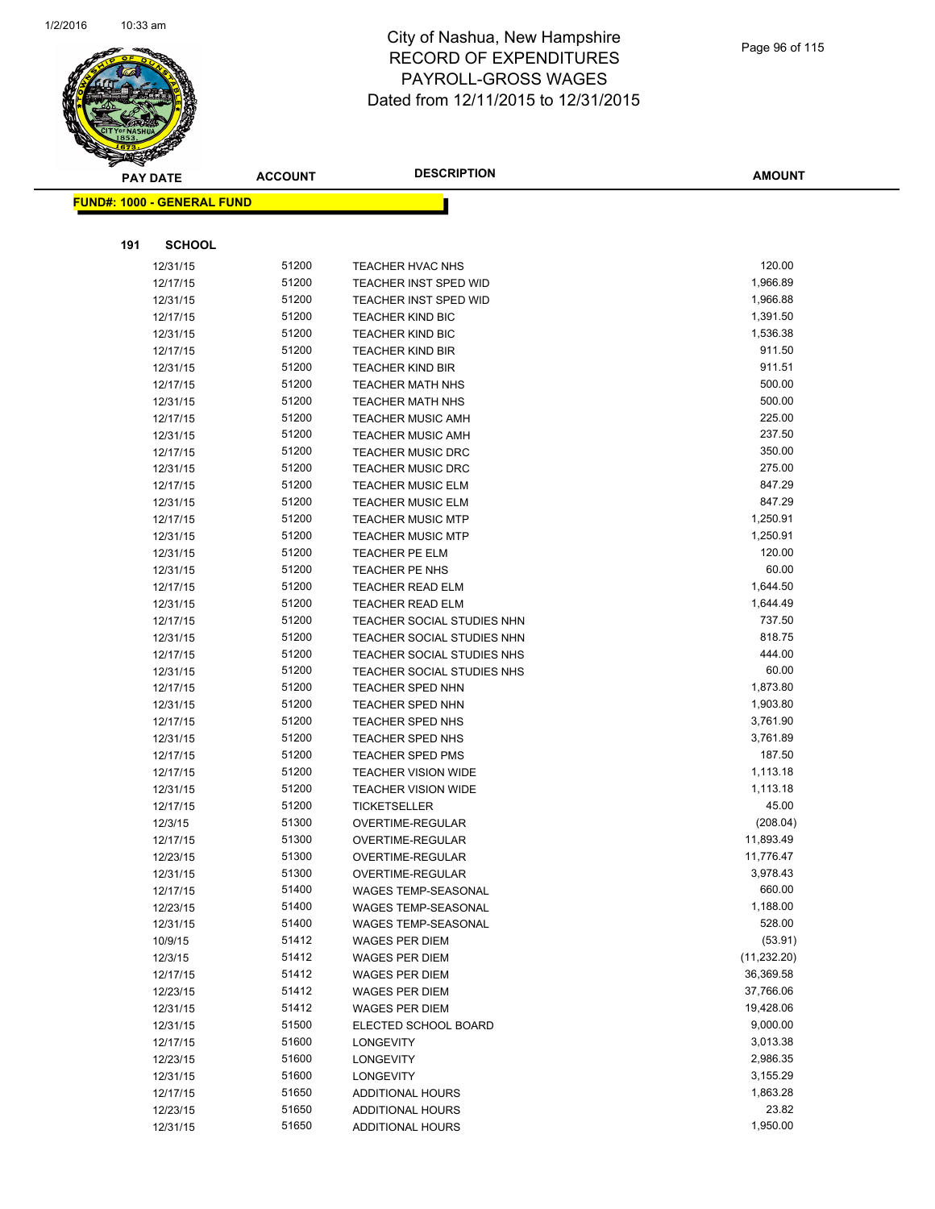

|     | <b>PAY DATE</b>                    | <b>ACCOUNT</b> | <b>DESCRIPTION</b>                                   | <b>AMOUNT</b>    |
|-----|------------------------------------|----------------|------------------------------------------------------|------------------|
|     | <u> FUND#: 1000 - GENERAL FUND</u> |                |                                                      |                  |
|     |                                    |                |                                                      |                  |
|     |                                    |                |                                                      |                  |
| 191 | <b>SCHOOL</b>                      |                |                                                      |                  |
|     | 12/31/15                           | 51200          | <b>TEACHER HVAC NHS</b>                              | 120.00           |
|     | 12/17/15                           | 51200          | TEACHER INST SPED WID                                | 1,966.89         |
|     | 12/31/15                           | 51200          | <b>TEACHER INST SPED WID</b>                         | 1,966.88         |
|     | 12/17/15                           | 51200          | <b>TEACHER KIND BIC</b>                              | 1,391.50         |
|     | 12/31/15                           | 51200          | <b>TEACHER KIND BIC</b>                              | 1,536.38         |
|     | 12/17/15                           | 51200          | <b>TEACHER KIND BIR</b>                              | 911.50           |
|     | 12/31/15                           | 51200          | <b>TEACHER KIND BIR</b>                              | 911.51           |
|     | 12/17/15                           | 51200          | <b>TEACHER MATH NHS</b>                              | 500.00           |
|     | 12/31/15                           | 51200          | <b>TEACHER MATH NHS</b>                              | 500.00           |
|     | 12/17/15                           | 51200          | <b>TEACHER MUSIC AMH</b>                             | 225.00           |
|     | 12/31/15                           | 51200          | <b>TEACHER MUSIC AMH</b>                             | 237.50           |
|     | 12/17/15                           | 51200          | <b>TEACHER MUSIC DRC</b>                             | 350.00           |
|     | 12/31/15                           | 51200          | <b>TEACHER MUSIC DRC</b>                             | 275.00<br>847.29 |
|     | 12/17/15<br>12/31/15               | 51200<br>51200 | <b>TEACHER MUSIC ELM</b><br><b>TEACHER MUSIC ELM</b> | 847.29           |
|     |                                    | 51200          | <b>TEACHER MUSIC MTP</b>                             | 1,250.91         |
|     | 12/17/15<br>12/31/15               | 51200          | <b>TEACHER MUSIC MTP</b>                             | 1,250.91         |
|     | 12/31/15                           | 51200          | TEACHER PE ELM                                       | 120.00           |
|     | 12/31/15                           | 51200          | TEACHER PE NHS                                       | 60.00            |
|     | 12/17/15                           | 51200          | <b>TEACHER READ ELM</b>                              | 1,644.50         |
|     | 12/31/15                           | 51200          | <b>TEACHER READ ELM</b>                              | 1,644.49         |
|     | 12/17/15                           | 51200          | TEACHER SOCIAL STUDIES NHN                           | 737.50           |
|     | 12/31/15                           | 51200          | TEACHER SOCIAL STUDIES NHN                           | 818.75           |
|     | 12/17/15                           | 51200          | TEACHER SOCIAL STUDIES NHS                           | 444.00           |
|     | 12/31/15                           | 51200          | TEACHER SOCIAL STUDIES NHS                           | 60.00            |
|     | 12/17/15                           | 51200          | <b>TEACHER SPED NHN</b>                              | 1,873.80         |
|     | 12/31/15                           | 51200          | <b>TEACHER SPED NHN</b>                              | 1,903.80         |
|     | 12/17/15                           | 51200          | TEACHER SPED NHS                                     | 3,761.90         |
|     | 12/31/15                           | 51200          | TEACHER SPED NHS                                     | 3,761.89         |
|     | 12/17/15                           | 51200          | <b>TEACHER SPED PMS</b>                              | 187.50           |
|     | 12/17/15                           | 51200          | <b>TEACHER VISION WIDE</b>                           | 1,113.18         |
|     | 12/31/15                           | 51200          | <b>TEACHER VISION WIDE</b>                           | 1,113.18         |
|     | 12/17/15                           | 51200          | <b>TICKETSELLER</b>                                  | 45.00            |
|     | 12/3/15                            | 51300          | OVERTIME-REGULAR                                     | (208.04)         |
|     | 12/17/15                           | 51300          | OVERTIME-REGULAR                                     | 11,893.49        |
|     | 12/23/15                           | 51300          | OVERTIME-REGULAR                                     | 11,776.47        |
|     | 12/31/15                           | 51300          | OVERTIME-REGULAR                                     | 3,978.43         |
|     | 12/17/15                           | 51400          | WAGES TEMP-SEASONAL                                  | 660.00           |
|     | 12/23/15                           | 51400          | <b>WAGES TEMP-SEASONAL</b>                           | 1,188.00         |
|     | 12/31/15                           | 51400          | WAGES TEMP-SEASONAL                                  | 528.00           |
|     | 10/9/15                            | 51412          | <b>WAGES PER DIEM</b>                                | (53.91)          |
|     | 12/3/15                            | 51412          | <b>WAGES PER DIEM</b>                                | (11, 232.20)     |
|     | 12/17/15                           | 51412          | <b>WAGES PER DIEM</b>                                | 36,369.58        |
|     | 12/23/15                           | 51412          | WAGES PER DIEM                                       | 37,766.06        |
|     | 12/31/15                           | 51412          | <b>WAGES PER DIEM</b>                                | 19,428.06        |
|     | 12/31/15                           | 51500          | ELECTED SCHOOL BOARD                                 | 9,000.00         |
|     | 12/17/15                           | 51600          | <b>LONGEVITY</b>                                     | 3,013.38         |
|     | 12/23/15                           | 51600          | <b>LONGEVITY</b>                                     | 2,986.35         |
|     | 12/31/15                           | 51600          | <b>LONGEVITY</b>                                     | 3,155.29         |
|     | 12/17/15                           | 51650          | <b>ADDITIONAL HOURS</b>                              | 1,863.28         |
|     | 12/23/15                           | 51650          | ADDITIONAL HOURS                                     | 23.82            |
|     | 12/31/15                           | 51650          | <b>ADDITIONAL HOURS</b>                              | 1,950.00         |
|     |                                    |                |                                                      |                  |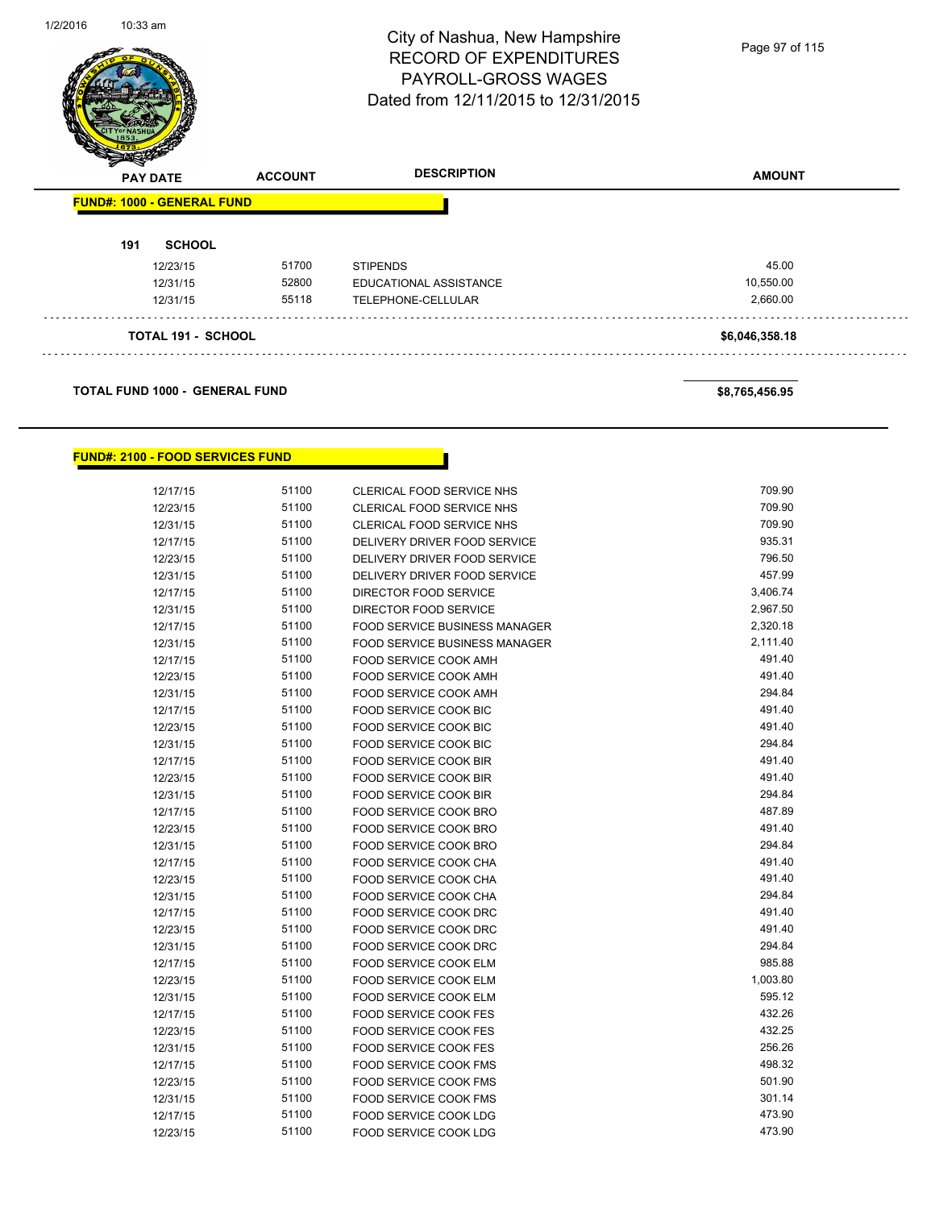

#### **FUND#: 2100 - FOOD SERVICES FUND**

| 12/17/15             | 51100 | CLERICAL FOOD SERVICE NHS                      | 709.90   |
|----------------------|-------|------------------------------------------------|----------|
| 12/23/15             | 51100 | <b>CLERICAL FOOD SERVICE NHS</b>               | 709.90   |
| 12/31/15             | 51100 | <b>CLERICAL FOOD SERVICE NHS</b>               | 709.90   |
| 12/17/15             | 51100 | DELIVERY DRIVER FOOD SERVICE                   | 935.31   |
| 12/23/15             | 51100 | DELIVERY DRIVER FOOD SERVICE                   | 796.50   |
| 12/31/15             | 51100 | DELIVERY DRIVER FOOD SERVICE                   | 457.99   |
| 12/17/15             | 51100 | DIRECTOR FOOD SERVICE                          | 3,406.74 |
| 12/31/15             | 51100 | DIRECTOR FOOD SERVICE                          | 2,967.50 |
| 12/17/15             | 51100 | <b>FOOD SERVICE BUSINESS MANAGER</b>           | 2,320.18 |
|                      | 51100 | <b>FOOD SERVICE BUSINESS MANAGER</b>           | 2,111.40 |
| 12/31/15             | 51100 | FOOD SERVICE COOK AMH                          | 491.40   |
| 12/17/15             | 51100 | FOOD SERVICE COOK AMH                          | 491.40   |
| 12/23/15             | 51100 | FOOD SERVICE COOK AMH                          | 294.84   |
| 12/31/15             | 51100 |                                                | 491.40   |
| 12/17/15<br>12/23/15 | 51100 | FOOD SERVICE COOK BIC<br>FOOD SERVICE COOK BIC | 491.40   |
|                      | 51100 |                                                | 294.84   |
| 12/31/15             | 51100 | FOOD SERVICE COOK BIC                          | 491.40   |
| 12/17/15             | 51100 | FOOD SERVICE COOK BIR                          | 491.40   |
| 12/23/15             | 51100 | FOOD SERVICE COOK BIR                          | 294.84   |
| 12/31/15             | 51100 | <b>FOOD SERVICE COOK BIR</b>                   | 487.89   |
| 12/17/15             | 51100 | FOOD SERVICE COOK BRO                          | 491.40   |
| 12/23/15             |       | FOOD SERVICE COOK BRO                          |          |
| 12/31/15             | 51100 | FOOD SERVICE COOK BRO                          | 294.84   |
| 12/17/15             | 51100 | FOOD SERVICE COOK CHA                          | 491.40   |
| 12/23/15             | 51100 | FOOD SERVICE COOK CHA                          | 491.40   |
| 12/31/15             | 51100 | FOOD SERVICE COOK CHA                          | 294.84   |
| 12/17/15             | 51100 | FOOD SERVICE COOK DRC                          | 491.40   |
| 12/23/15             | 51100 | <b>FOOD SERVICE COOK DRC</b>                   | 491.40   |
| 12/31/15             | 51100 | <b>FOOD SERVICE COOK DRC</b>                   | 294.84   |
| 12/17/15             | 51100 | FOOD SERVICE COOK ELM                          | 985.88   |
| 12/23/15             | 51100 | FOOD SERVICE COOK ELM                          | 1,003.80 |
| 12/31/15             | 51100 | <b>FOOD SERVICE COOK ELM</b>                   | 595.12   |
| 12/17/15             | 51100 | <b>FOOD SERVICE COOK FES</b>                   | 432.26   |
| 12/23/15             | 51100 | <b>FOOD SERVICE COOK FES</b>                   | 432.25   |
| 12/31/15             | 51100 | <b>FOOD SERVICE COOK FES</b>                   | 256.26   |
| 12/17/15             | 51100 | <b>FOOD SERVICE COOK FMS</b>                   | 498.32   |
| 12/23/15             | 51100 | <b>FOOD SERVICE COOK FMS</b>                   | 501.90   |
| 12/31/15             | 51100 | FOOD SERVICE COOK FMS                          | 301.14   |
| 12/17/15             | 51100 | FOOD SERVICE COOK LDG                          | 473.90   |
| 12/23/15             | 51100 | FOOD SERVICE COOK LDG                          | 473.90   |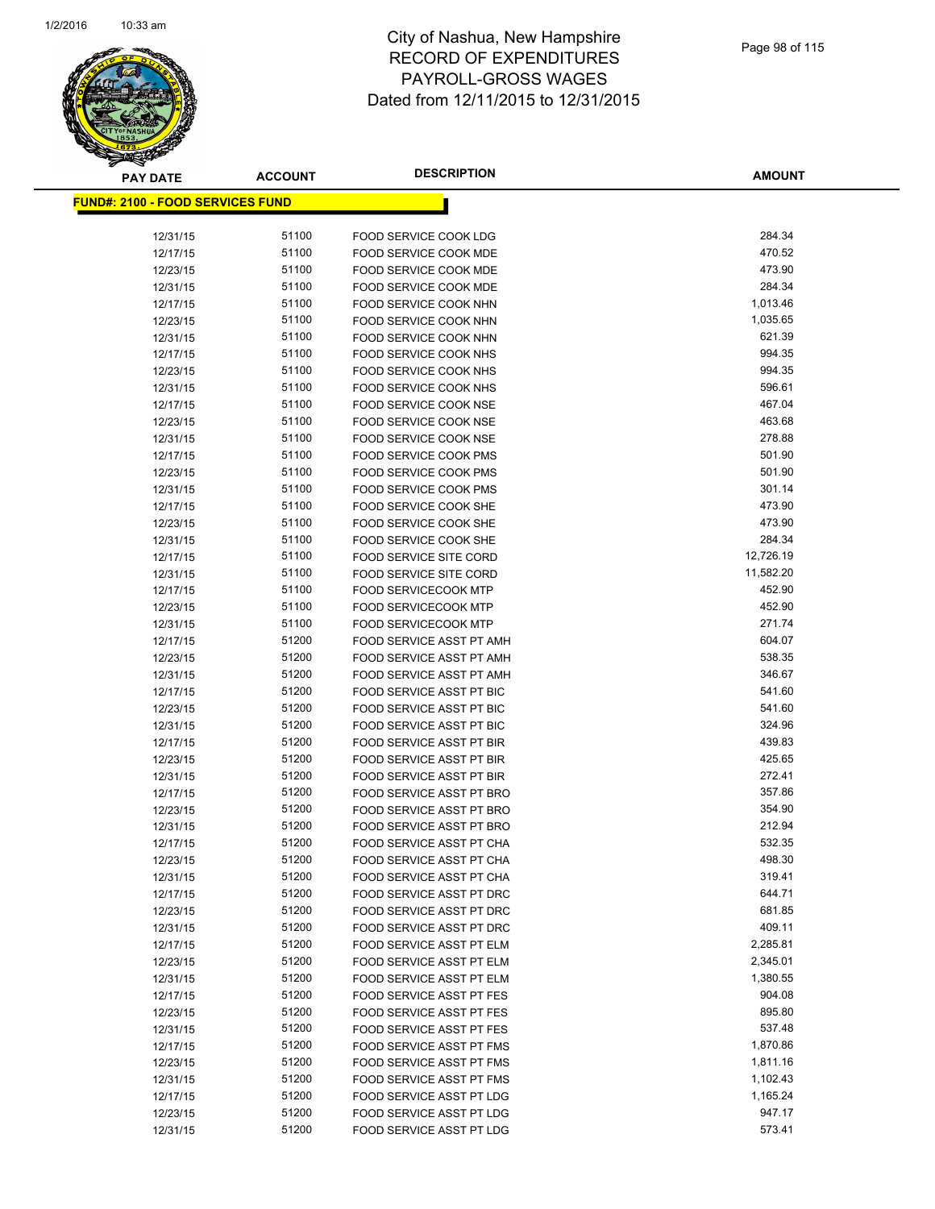

| <b>PAY DATE</b>                          | <b>ACCOUNT</b> | <b>DESCRIPTION</b>                                   | <b>AMOUNT</b>    |
|------------------------------------------|----------------|------------------------------------------------------|------------------|
| <u> FUND#: 2100 - FOOD SERVICES FUND</u> |                |                                                      |                  |
|                                          |                |                                                      |                  |
| 12/31/15                                 | 51100          | FOOD SERVICE COOK LDG                                | 284.34           |
| 12/17/15                                 | 51100          | <b>FOOD SERVICE COOK MDE</b>                         | 470.52           |
| 12/23/15                                 | 51100          | <b>FOOD SERVICE COOK MDE</b>                         | 473.90           |
| 12/31/15                                 | 51100          | FOOD SERVICE COOK MDE                                | 284.34           |
| 12/17/15                                 | 51100          | FOOD SERVICE COOK NHN                                | 1,013.46         |
| 12/23/15                                 | 51100          | FOOD SERVICE COOK NHN                                | 1,035.65         |
| 12/31/15                                 | 51100          | FOOD SERVICE COOK NHN                                | 621.39           |
| 12/17/15                                 | 51100          | FOOD SERVICE COOK NHS                                | 994.35           |
| 12/23/15                                 | 51100          | FOOD SERVICE COOK NHS                                | 994.35           |
| 12/31/15                                 | 51100          | FOOD SERVICE COOK NHS                                | 596.61           |
| 12/17/15                                 | 51100          | FOOD SERVICE COOK NSE                                | 467.04           |
| 12/23/15                                 | 51100          | FOOD SERVICE COOK NSE                                | 463.68           |
| 12/31/15                                 | 51100          | FOOD SERVICE COOK NSE                                | 278.88           |
| 12/17/15                                 | 51100          | FOOD SERVICE COOK PMS                                | 501.90           |
| 12/23/15                                 | 51100          | <b>FOOD SERVICE COOK PMS</b>                         | 501.90           |
| 12/31/15                                 | 51100          | <b>FOOD SERVICE COOK PMS</b>                         | 301.14           |
| 12/17/15                                 | 51100          | FOOD SERVICE COOK SHE                                | 473.90           |
| 12/23/15                                 | 51100          | <b>FOOD SERVICE COOK SHE</b>                         | 473.90           |
| 12/31/15                                 | 51100          | FOOD SERVICE COOK SHE                                | 284.34           |
| 12/17/15                                 | 51100          | <b>FOOD SERVICE SITE CORD</b>                        | 12,726.19        |
| 12/31/15                                 | 51100          | <b>FOOD SERVICE SITE CORD</b>                        | 11,582.20        |
| 12/17/15                                 | 51100          | <b>FOOD SERVICECOOK MTP</b>                          | 452.90<br>452.90 |
| 12/23/15                                 | 51100          | FOOD SERVICECOOK MTP                                 | 271.74           |
| 12/31/15                                 | 51100<br>51200 | <b>FOOD SERVICECOOK MTP</b>                          | 604.07           |
| 12/17/15                                 | 51200          | FOOD SERVICE ASST PT AMH<br>FOOD SERVICE ASST PT AMH | 538.35           |
| 12/23/15<br>12/31/15                     | 51200          | FOOD SERVICE ASST PT AMH                             | 346.67           |
| 12/17/15                                 | 51200          | FOOD SERVICE ASST PT BIC                             | 541.60           |
| 12/23/15                                 | 51200          | <b>FOOD SERVICE ASST PT BIC</b>                      | 541.60           |
| 12/31/15                                 | 51200          | FOOD SERVICE ASST PT BIC                             | 324.96           |
| 12/17/15                                 | 51200          | FOOD SERVICE ASST PT BIR                             | 439.83           |
| 12/23/15                                 | 51200          | <b>FOOD SERVICE ASST PT BIR</b>                      | 425.65           |
| 12/31/15                                 | 51200          | FOOD SERVICE ASST PT BIR                             | 272.41           |
| 12/17/15                                 | 51200          | FOOD SERVICE ASST PT BRO                             | 357.86           |
| 12/23/15                                 | 51200          | FOOD SERVICE ASST PT BRO                             | 354.90           |
| 12/31/15                                 | 51200          | FOOD SERVICE ASST PT BRO                             | 212.94           |
| 12/17/15                                 | 51200          | FOOD SERVICE ASST PT CHA                             | 532.35           |
| 12/23/15                                 | 51200          | FOOD SERVICE ASST PT CHA                             | 498.30           |
| 12/31/15                                 | 51200          | FOOD SERVICE ASST PT CHA                             | 319.41           |
| 12/17/15                                 | 51200          | FOOD SERVICE ASST PT DRC                             | 644.71           |
| 12/23/15                                 | 51200          | FOOD SERVICE ASST PT DRC                             | 681.85           |
| 12/31/15                                 | 51200          | FOOD SERVICE ASST PT DRC                             | 409.11           |
| 12/17/15                                 | 51200          | FOOD SERVICE ASST PT ELM                             | 2,285.81         |
| 12/23/15                                 | 51200          | FOOD SERVICE ASST PT ELM                             | 2,345.01         |
| 12/31/15                                 | 51200          | FOOD SERVICE ASST PT ELM                             | 1,380.55         |
| 12/17/15                                 | 51200          | FOOD SERVICE ASST PT FES                             | 904.08           |
| 12/23/15                                 | 51200          | FOOD SERVICE ASST PT FES                             | 895.80           |
| 12/31/15                                 | 51200          | <b>FOOD SERVICE ASST PT FES</b>                      | 537.48           |
| 12/17/15                                 | 51200          | <b>FOOD SERVICE ASST PT FMS</b>                      | 1,870.86         |
| 12/23/15                                 | 51200          | FOOD SERVICE ASST PT FMS                             | 1,811.16         |
| 12/31/15                                 | 51200          | FOOD SERVICE ASST PT FMS                             | 1,102.43         |
| 12/17/15                                 | 51200          | FOOD SERVICE ASST PT LDG                             | 1,165.24         |
| 12/23/15                                 | 51200          | FOOD SERVICE ASST PT LDG                             | 947.17           |
| 12/31/15                                 | 51200          | FOOD SERVICE ASST PT LDG                             | 573.41           |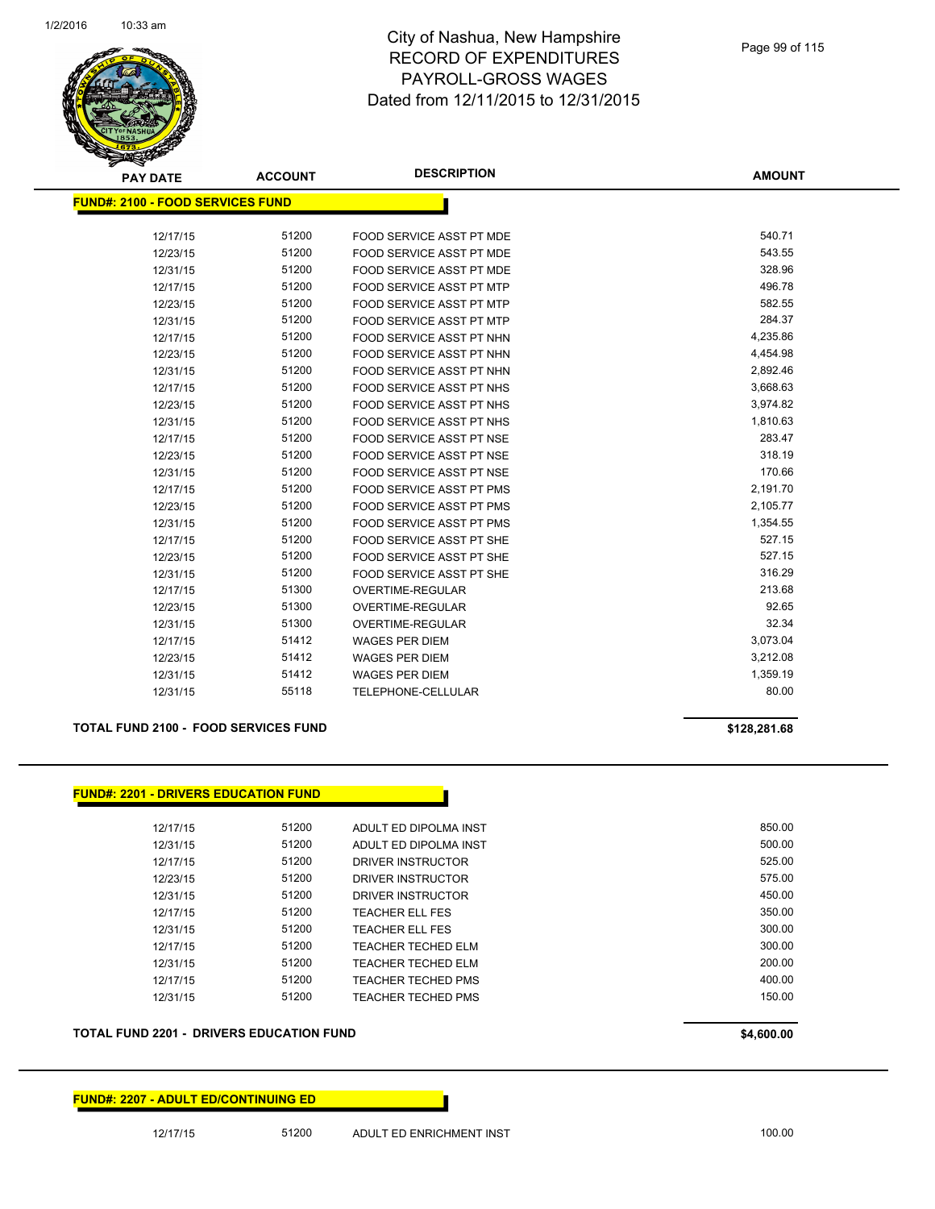

| <b>PAY DATE</b>                         | <b>ACCOUNT</b> | <b>DESCRIPTION</b>              | <b>AMOUNT</b> |
|-----------------------------------------|----------------|---------------------------------|---------------|
| <b>FUND#: 2100 - FOOD SERVICES FUND</b> |                |                                 |               |
|                                         |                |                                 |               |
| 12/17/15                                | 51200          | FOOD SERVICE ASST PT MDE        | 540.71        |
| 12/23/15                                | 51200          | <b>FOOD SERVICE ASST PT MDE</b> | 543.55        |
| 12/31/15                                | 51200          | <b>FOOD SERVICE ASST PT MDE</b> | 328.96        |
| 12/17/15                                | 51200          | <b>FOOD SERVICE ASST PT MTP</b> | 496.78        |
| 12/23/15                                | 51200          | <b>FOOD SERVICE ASST PT MTP</b> | 582.55        |
| 12/31/15                                | 51200          | <b>FOOD SERVICE ASST PT MTP</b> | 284.37        |
| 12/17/15                                | 51200          | FOOD SERVICE ASST PT NHN        | 4,235.86      |
| 12/23/15                                | 51200          | FOOD SERVICE ASST PT NHN        | 4,454.98      |
| 12/31/15                                | 51200          | FOOD SERVICE ASST PT NHN        | 2,892.46      |
| 12/17/15                                | 51200          | <b>FOOD SERVICE ASST PT NHS</b> | 3,668.63      |
| 12/23/15                                | 51200          | <b>FOOD SERVICE ASST PT NHS</b> | 3,974.82      |
| 12/31/15                                | 51200          | FOOD SERVICE ASST PT NHS        | 1,810.63      |
| 12/17/15                                | 51200          | <b>FOOD SERVICE ASST PT NSE</b> | 283.47        |
| 12/23/15                                | 51200          | FOOD SERVICE ASST PT NSE        | 318.19        |
| 12/31/15                                | 51200          | <b>FOOD SERVICE ASST PT NSE</b> | 170.66        |
| 12/17/15                                | 51200          | <b>FOOD SERVICE ASST PT PMS</b> | 2,191.70      |
| 12/23/15                                | 51200          | <b>FOOD SERVICE ASST PT PMS</b> | 2,105.77      |
| 12/31/15                                | 51200          | <b>FOOD SERVICE ASST PT PMS</b> | 1,354.55      |
| 12/17/15                                | 51200          | <b>FOOD SERVICE ASST PT SHE</b> | 527.15        |
| 12/23/15                                | 51200          | FOOD SERVICE ASST PT SHE        | 527.15        |
| 12/31/15                                | 51200          | FOOD SERVICE ASST PT SHE        | 316.29        |
| 12/17/15                                | 51300          | OVERTIME-REGULAR                | 213.68        |
| 12/23/15                                | 51300          | <b>OVERTIME-REGULAR</b>         | 92.65         |
| 12/31/15                                | 51300          | OVERTIME-REGULAR                | 32.34         |
| 12/17/15                                | 51412          | <b>WAGES PER DIEM</b>           | 3,073.04      |
| 12/23/15                                | 51412          | <b>WAGES PER DIEM</b>           | 3,212.08      |
| 12/31/15                                | 51412          | <b>WAGES PER DIEM</b>           | 1,359.19      |
| 12/31/15                                | 55118          | TELEPHONE-CELLULAR              | 80.00         |

#### **TOTAL FUND 2100 - FOOD SERVICES FUND \$128,281.68**

| 12/17/15 | 51200 | ADULT ED DIPOLMA INST     | 850.00 |
|----------|-------|---------------------------|--------|
| 12/31/15 | 51200 | ADULT ED DIPOLMA INST     | 500.00 |
| 12/17/15 | 51200 | DRIVER INSTRUCTOR         | 525.00 |
| 12/23/15 | 51200 | DRIVER INSTRUCTOR         | 575.00 |
| 12/31/15 | 51200 | DRIVER INSTRUCTOR         | 450.00 |
| 12/17/15 | 51200 | TEACHER ELL FES           | 350.00 |
| 12/31/15 | 51200 | TEACHER ELL FES           | 300.00 |
| 12/17/15 | 51200 | <b>TEACHER TECHED ELM</b> | 300.00 |
| 12/31/15 | 51200 | TEACHER TECHED ELM        | 200.00 |
| 12/17/15 | 51200 | <b>TEACHER TECHED PMS</b> | 400.00 |
| 12/31/15 | 51200 | TEACHER TECHED PMS        | 150.00 |

#### **FUND#: 2207 - ADULT ED/CONTINUING ED**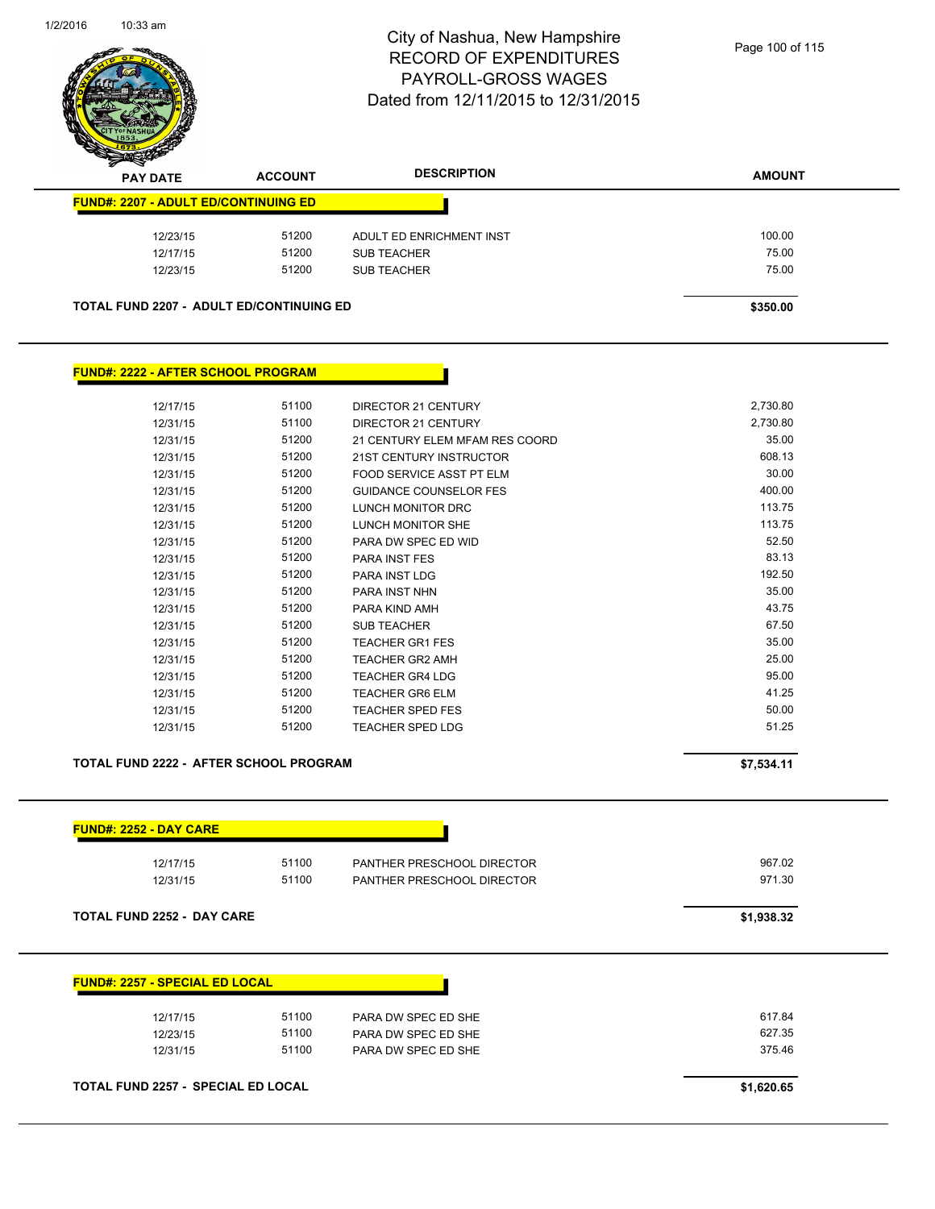

| z<br>◅<br><b>PAY DATE</b> |                                             | <b>ACCOUNT</b>                           | <b>DESCRIPTION</b>       | <b>AMOUNT</b> |
|---------------------------|---------------------------------------------|------------------------------------------|--------------------------|---------------|
|                           | <b>FUND#: 2207 - ADULT ED/CONTINUING ED</b> |                                          |                          |               |
|                           | 12/23/15                                    | 51200                                    | ADULT ED ENRICHMENT INST | 100.00        |
|                           | 12/17/15                                    | 51200                                    | <b>SUB TEACHER</b>       | 75.00         |
|                           | 12/23/15                                    | 51200                                    | <b>SUB TEACHER</b>       | 75.00         |
|                           |                                             | TOTAL FUND 2207 - ADULT ED/CONTINUING ED |                          | \$350.00      |

### **FUND#: 2222 - AFTER SCHOOL PROGRAM**

| 12/17/15 | 51100 | DIRECTOR 21 CENTURY            | 2,730.80 |
|----------|-------|--------------------------------|----------|
| 12/31/15 | 51100 | DIRECTOR 21 CENTURY            | 2,730.80 |
| 12/31/15 | 51200 | 21 CENTURY ELEM MFAM RES COORD | 35.00    |
| 12/31/15 | 51200 | <b>21ST CENTURY INSTRUCTOR</b> | 608.13   |
| 12/31/15 | 51200 | FOOD SERVICE ASST PT ELM       | 30.00    |
| 12/31/15 | 51200 | <b>GUIDANCE COUNSELOR FES</b>  | 400.00   |
| 12/31/15 | 51200 | <b>LUNCH MONITOR DRC</b>       | 113.75   |
| 12/31/15 | 51200 | LUNCH MONITOR SHE              | 113.75   |
| 12/31/15 | 51200 | PARA DW SPEC ED WID            | 52.50    |
| 12/31/15 | 51200 | <b>PARA INST FES</b>           | 83.13    |
| 12/31/15 | 51200 | <b>PARA INST LDG</b>           | 192.50   |
| 12/31/15 | 51200 | <b>PARA INST NHN</b>           | 35.00    |
| 12/31/15 | 51200 | PARA KIND AMH                  | 43.75    |
| 12/31/15 | 51200 | <b>SUB TEACHER</b>             | 67.50    |
| 12/31/15 | 51200 | <b>TEACHER GR1 FES</b>         | 35.00    |
| 12/31/15 | 51200 | <b>TEACHER GR2 AMH</b>         | 25.00    |
| 12/31/15 | 51200 | TEACHER GR4 LDG                | 95.00    |
| 12/31/15 | 51200 | <b>TEACHER GR6 ELM</b>         | 41.25    |
| 12/31/15 | 51200 | <b>TEACHER SPED FES</b>        | 50.00    |
| 12/31/15 | 51200 | TEACHER SPED LDG               | 51.25    |

## **TOTAL FUND 2222 - AFTER SCHOOL PROGRAM 57,534.11**

| 12/17/15                              | 51100 | PANTHER PRESCHOOL DIRECTOR | 967.02     |
|---------------------------------------|-------|----------------------------|------------|
| 12/31/15                              | 51100 | PANTHER PRESCHOOL DIRECTOR | 971.30     |
| <b>TOTAL FUND 2252 - DAY CARE</b>     |       |                            | \$1,938.32 |
|                                       |       |                            |            |
|                                       |       |                            |            |
| <b>FUND#: 2257 - SPECIAL ED LOCAL</b> |       |                            |            |
| 12/17/15                              | 51100 | PARA DW SPEC ED SHE        | 617.84     |
| 12/23/15                              | 51100 | PARA DW SPEC ED SHE        | 627.35     |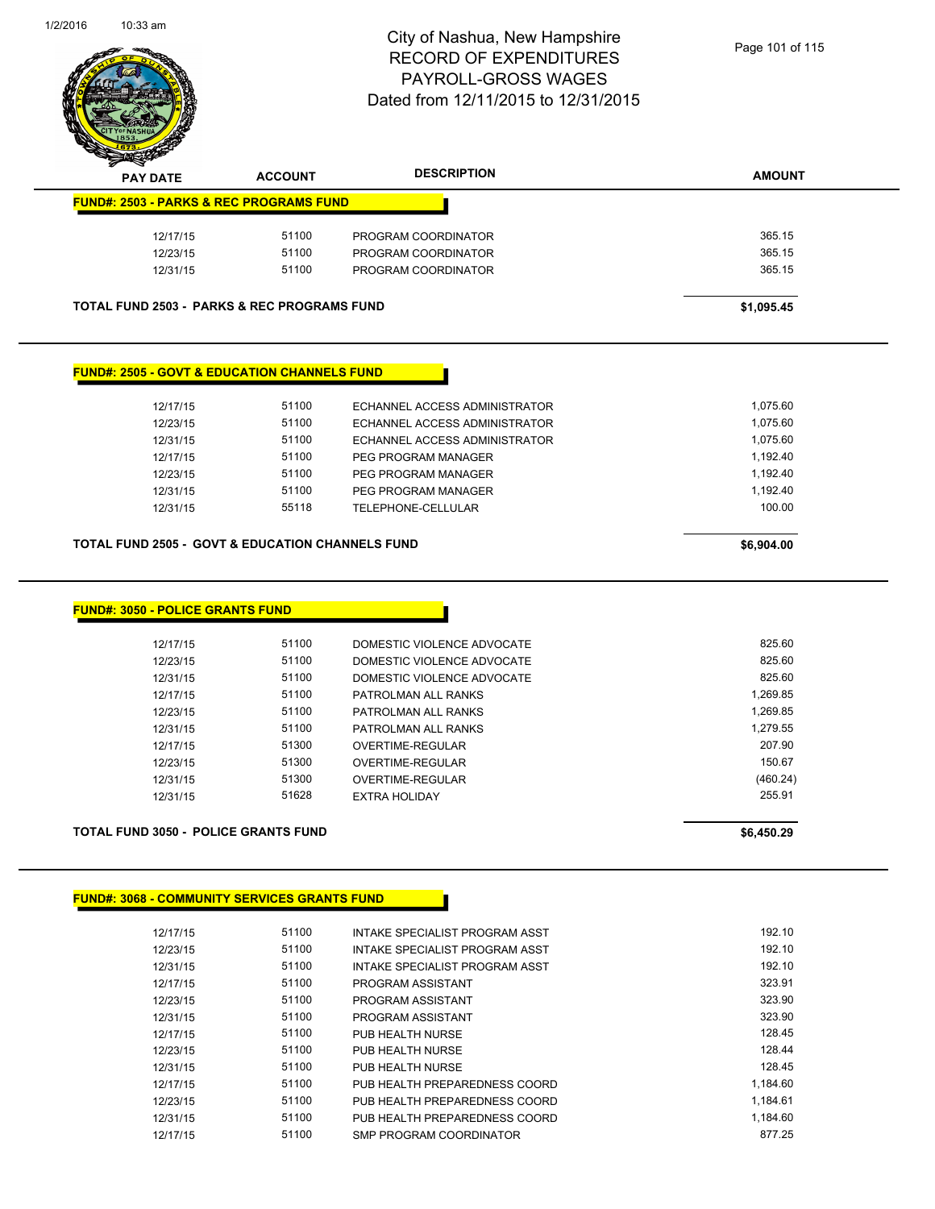

**TOTAL FUND 2503 - PARKS & REC PROGRAMS FUND \$1,095.45** 

### **FUND#: 2505 - GOVT & EDUCATION CHANNELS FUND**

| 12/17/15<br>12/23/15<br>12/31/15<br>12/17/15<br>12/23/15<br>12/31/15 | 51100<br>51100<br>51100<br>51100<br>51100<br>51100 | ECHANNEL ACCESS ADMINISTRATOR<br>ECHANNEL ACCESS ADMINISTRATOR<br>ECHANNEL ACCESS ADMINISTRATOR<br>PEG PROGRAM MANAGER<br>PEG PROGRAM MANAGER<br>PEG PROGRAM MANAGER | 1.075.60<br>1.075.60<br>1.075.60<br>1.192.40<br>1.192.40<br>1.192.40 |
|----------------------------------------------------------------------|----------------------------------------------------|----------------------------------------------------------------------------------------------------------------------------------------------------------------------|----------------------------------------------------------------------|
|                                                                      |                                                    |                                                                                                                                                                      |                                                                      |
| 12/31/15                                                             | 55118                                              | TELEPHONE-CELLULAR                                                                                                                                                   | 100.00                                                               |

#### **TOTAL FUND 2505 - GOVT & EDUCATION CHANNELS FUND \$6,904.00**

| 12/17/15 | 51100 | DOMESTIC VIOLENCE ADVOCATE | 825.60   |
|----------|-------|----------------------------|----------|
| 12/23/15 | 51100 | DOMESTIC VIOLENCE ADVOCATE | 825.60   |
| 12/31/15 | 51100 | DOMESTIC VIOLENCE ADVOCATE | 825.60   |
| 12/17/15 | 51100 | PATROLMAN ALL RANKS        | 1.269.85 |
| 12/23/15 | 51100 | PATROLMAN ALL RANKS        | 1.269.85 |
| 12/31/15 | 51100 | PATROLMAN ALL RANKS        | 1.279.55 |
| 12/17/15 | 51300 | OVERTIME-REGULAR           | 207.90   |
| 12/23/15 | 51300 | OVERTIME-REGULAR           | 150.67   |
| 12/31/15 | 51300 | OVERTIME-REGULAR           | (460.24) |
| 12/31/15 | 51628 | EXTRA HOLIDAY              | 255.91   |
|          |       |                            |          |

#### **TOTAL FUND 3050 - POLICE GRANTS FUND \$6,450.29**

|  |  |  | <b>FUND#: 3068 - COMMUNITY SERVICES GRANTS FUND</b> |
|--|--|--|-----------------------------------------------------|
|--|--|--|-----------------------------------------------------|

| 12/17/15 | 51100 | INTAKE SPECIALIST PROGRAM ASST | 192.10   |
|----------|-------|--------------------------------|----------|
| 12/23/15 | 51100 | INTAKE SPECIALIST PROGRAM ASST | 192.10   |
| 12/31/15 | 51100 | INTAKE SPECIALIST PROGRAM ASST | 192.10   |
| 12/17/15 | 51100 | PROGRAM ASSISTANT              | 323.91   |
| 12/23/15 | 51100 | PROGRAM ASSISTANT              | 323.90   |
| 12/31/15 | 51100 | PROGRAM ASSISTANT              | 323.90   |
| 12/17/15 | 51100 | PUB HEALTH NURSE               | 128.45   |
| 12/23/15 | 51100 | PUB HEALTH NURSE               | 128.44   |
| 12/31/15 | 51100 | PUB HEALTH NURSE               | 128.45   |
| 12/17/15 | 51100 | PUB HEALTH PREPAREDNESS COORD  | 1.184.60 |
| 12/23/15 | 51100 | PUB HEALTH PREPAREDNESS COORD  | 1.184.61 |
| 12/31/15 | 51100 | PUB HEALTH PREPAREDNESS COORD  | 1,184.60 |
| 12/17/15 | 51100 | SMP PROGRAM COORDINATOR        | 877.25   |
|          |       |                                |          |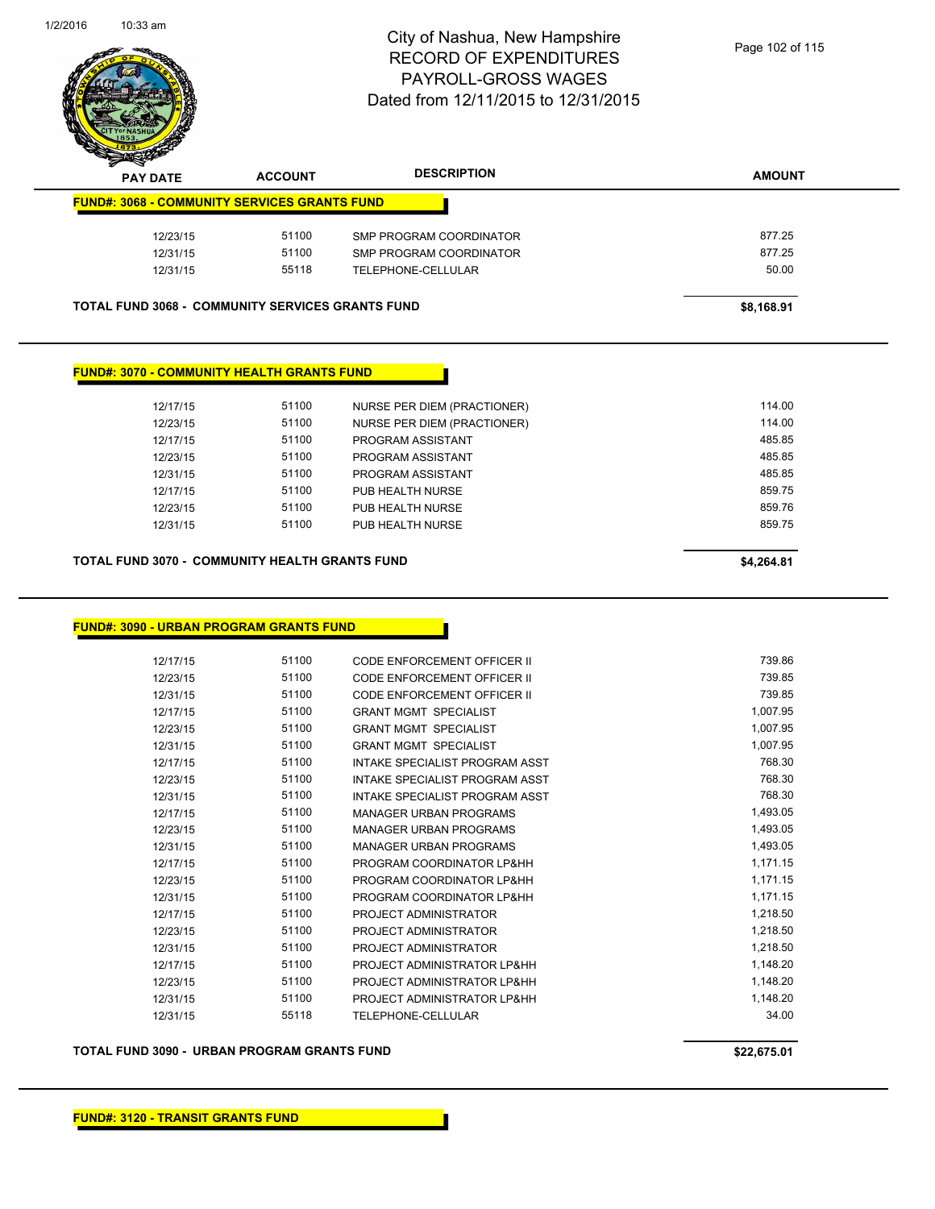

| $\boldsymbol{z}$<br>-<br><b>PAY DATE</b>                | <b>ACCOUNT</b> | <b>DESCRIPTION</b>      | <b>AMOUNT</b> |
|---------------------------------------------------------|----------------|-------------------------|---------------|
| <b>FUND#: 3068 - COMMUNITY SERVICES GRANTS FUND</b>     |                |                         |               |
| 12/23/15                                                | 51100          | SMP PROGRAM COORDINATOR | 877.25        |
| 12/31/15                                                | 51100          | SMP PROGRAM COORDINATOR | 877.25        |
| 12/31/15                                                | 55118          | TELEPHONE-CELLULAR      | 50.00         |
| <b>TOTAL FUND 3068 - COMMUNITY SERVICES GRANTS FUND</b> |                |                         | \$8,168.91    |
|                                                         |                |                         |               |

## **FUND#: 3070 - COMMUNITY HEALTH GRANTS FUND**

| 12/17/15 | 51100 | NURSE PER DIEM (PRACTIONER) | 114.00 |
|----------|-------|-----------------------------|--------|
| 12/23/15 | 51100 | NURSE PER DIEM (PRACTIONER) | 114.00 |
| 12/17/15 | 51100 | PROGRAM ASSISTANT           | 485.85 |
| 12/23/15 | 51100 | PROGRAM ASSISTANT           | 485.85 |
| 12/31/15 | 51100 | PROGRAM ASSISTANT           | 485.85 |
| 12/17/15 | 51100 | PUB HEALTH NURSE            | 859.75 |
| 12/23/15 | 51100 | PUB HEALTH NURSE            | 859.76 |
| 12/31/15 | 51100 | PUB HEALTH NURSE            | 859.75 |
|          |       |                             |        |
|          |       |                             |        |

## **TOTAL FUND 3070 - COMMUNITY HEALTH GRANTS FUND \$4,264.81**

#### **FUND#: 3090 - URBAN PROGRAM GRANTS FUND**

| 12/17/15 | 51100 | CODE ENFORCEMENT OFFICER II    | 739.86   |
|----------|-------|--------------------------------|----------|
| 12/23/15 | 51100 | CODE ENFORCEMENT OFFICER II    | 739.85   |
| 12/31/15 | 51100 | CODE ENFORCEMENT OFFICER II    | 739.85   |
| 12/17/15 | 51100 | <b>GRANT MGMT SPECIALIST</b>   | 1,007.95 |
| 12/23/15 | 51100 | <b>GRANT MGMT SPECIALIST</b>   | 1,007.95 |
| 12/31/15 | 51100 | <b>GRANT MGMT SPECIALIST</b>   | 1,007.95 |
| 12/17/15 | 51100 | INTAKE SPECIALIST PROGRAM ASST | 768.30   |
| 12/23/15 | 51100 | INTAKE SPECIALIST PROGRAM ASST | 768.30   |
| 12/31/15 | 51100 | INTAKE SPECIALIST PROGRAM ASST | 768.30   |
| 12/17/15 | 51100 | MANAGER URBAN PROGRAMS         | 1,493.05 |
| 12/23/15 | 51100 | <b>MANAGER URBAN PROGRAMS</b>  | 1,493.05 |
| 12/31/15 | 51100 | <b>MANAGER URBAN PROGRAMS</b>  | 1,493.05 |
| 12/17/15 | 51100 | PROGRAM COORDINATOR LP&HH      | 1,171.15 |
| 12/23/15 | 51100 | PROGRAM COORDINATOR LP&HH      | 1,171.15 |
| 12/31/15 | 51100 | PROGRAM COORDINATOR LP&HH      | 1,171.15 |
| 12/17/15 | 51100 | PROJECT ADMINISTRATOR          | 1,218.50 |
| 12/23/15 | 51100 | PROJECT ADMINISTRATOR          | 1,218.50 |
| 12/31/15 | 51100 | PROJECT ADMINISTRATOR          | 1,218.50 |
| 12/17/15 | 51100 | PROJECT ADMINISTRATOR LP&HH    | 1,148.20 |
| 12/23/15 | 51100 | PROJECT ADMINISTRATOR LP&HH    | 1,148.20 |
| 12/31/15 | 51100 | PROJECT ADMINISTRATOR LP&HH    | 1,148.20 |
| 12/31/15 | 55118 | <b>TELEPHONE-CELLULAR</b>      | 34.00    |
|          |       |                                |          |

#### **TOTAL FUND 3090 - URBAN PROGRAM GRANTS FUND \$22,675.01**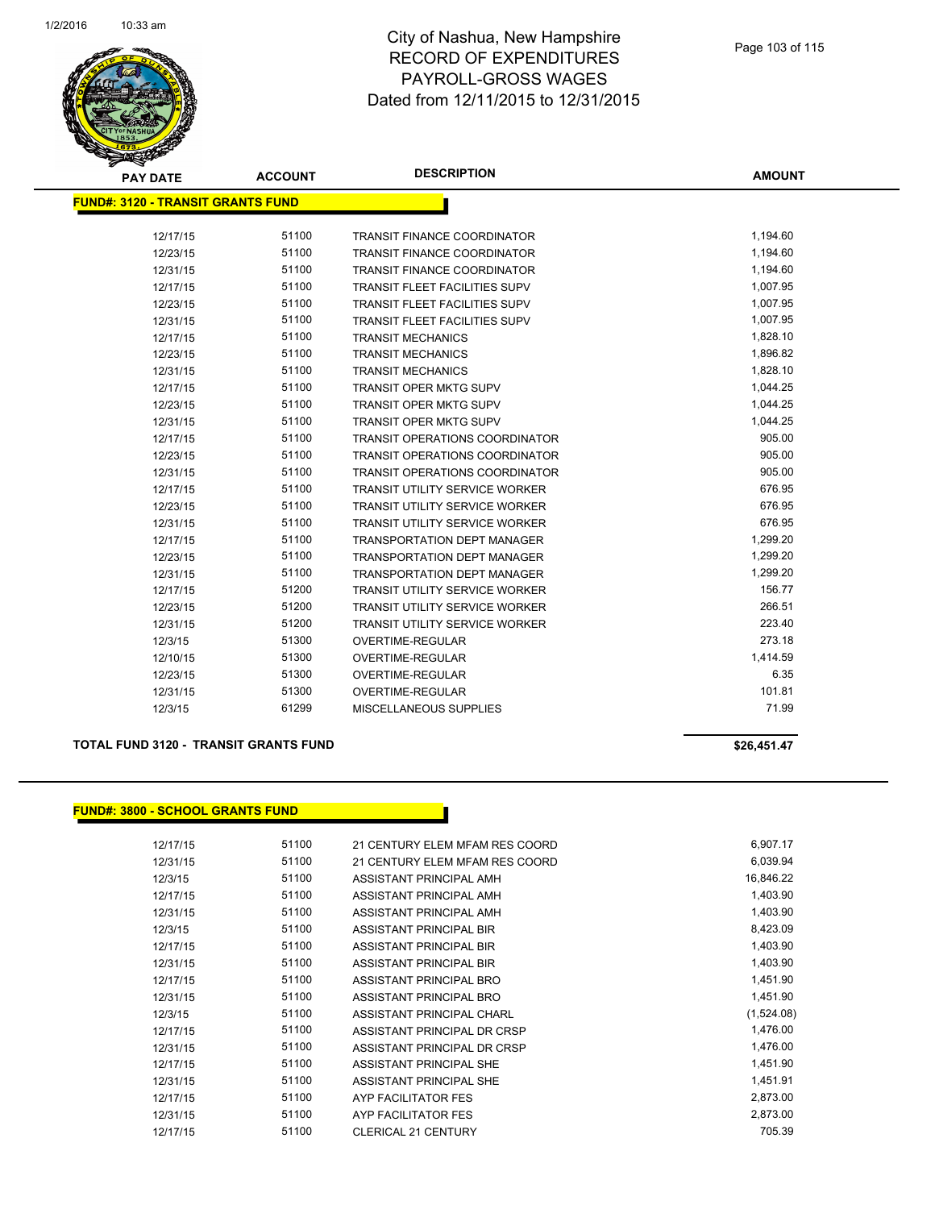

| <b>PAY DATE</b>                           | <b>ACCOUNT</b> | <b>DESCRIPTION</b>                    | <b>AMOUNT</b> |
|-------------------------------------------|----------------|---------------------------------------|---------------|
| <u> FUND#: 3120 - TRANSIT GRANTS FUND</u> |                |                                       |               |
|                                           |                |                                       |               |
| 12/17/15                                  | 51100          | <b>TRANSIT FINANCE COORDINATOR</b>    | 1,194.60      |
| 12/23/15                                  | 51100          | <b>TRANSIT FINANCE COORDINATOR</b>    | 1,194.60      |
| 12/31/15                                  | 51100          | TRANSIT FINANCE COORDINATOR           | 1,194.60      |
| 12/17/15                                  | 51100          | <b>TRANSIT FLEET FACILITIES SUPV</b>  | 1,007.95      |
| 12/23/15                                  | 51100          | <b>TRANSIT FLEET FACILITIES SUPV</b>  | 1,007.95      |
| 12/31/15                                  | 51100          | <b>TRANSIT FLEET FACILITIES SUPV</b>  | 1,007.95      |
| 12/17/15                                  | 51100          | <b>TRANSIT MECHANICS</b>              | 1,828.10      |
| 12/23/15                                  | 51100          | <b>TRANSIT MECHANICS</b>              | 1,896.82      |
| 12/31/15                                  | 51100          | <b>TRANSIT MECHANICS</b>              | 1,828.10      |
| 12/17/15                                  | 51100          | <b>TRANSIT OPER MKTG SUPV</b>         | 1,044.25      |
| 12/23/15                                  | 51100          | <b>TRANSIT OPER MKTG SUPV</b>         | 1,044.25      |
| 12/31/15                                  | 51100          | <b>TRANSIT OPER MKTG SUPV</b>         | 1,044.25      |
| 12/17/15                                  | 51100          | <b>TRANSIT OPERATIONS COORDINATOR</b> | 905.00        |
| 12/23/15                                  | 51100          | <b>TRANSIT OPERATIONS COORDINATOR</b> | 905.00        |
| 12/31/15                                  | 51100          | <b>TRANSIT OPERATIONS COORDINATOR</b> | 905.00        |
| 12/17/15                                  | 51100          | <b>TRANSIT UTILITY SERVICE WORKER</b> | 676.95        |
| 12/23/15                                  | 51100          | <b>TRANSIT UTILITY SERVICE WORKER</b> | 676.95        |
| 12/31/15                                  | 51100          | TRANSIT UTILITY SERVICE WORKER        | 676.95        |
| 12/17/15                                  | 51100          | <b>TRANSPORTATION DEPT MANAGER</b>    | 1,299.20      |
| 12/23/15                                  | 51100          | <b>TRANSPORTATION DEPT MANAGER</b>    | 1,299.20      |
| 12/31/15                                  | 51100          | <b>TRANSPORTATION DEPT MANAGER</b>    | 1,299.20      |
| 12/17/15                                  | 51200          | <b>TRANSIT UTILITY SERVICE WORKER</b> | 156.77        |
| 12/23/15                                  | 51200          | <b>TRANSIT UTILITY SERVICE WORKER</b> | 266.51        |
| 12/31/15                                  | 51200          | <b>TRANSIT UTILITY SERVICE WORKER</b> | 223.40        |
| 12/3/15                                   | 51300          | <b>OVERTIME-REGULAR</b>               | 273.18        |
| 12/10/15                                  | 51300          | <b>OVERTIME-REGULAR</b>               | 1,414.59      |
| 12/23/15                                  | 51300          | <b>OVERTIME-REGULAR</b>               | 6.35          |
| 12/31/15                                  | 51300          | <b>OVERTIME-REGULAR</b>               | 101.81        |
| 12/3/15                                   | 61299          | <b>MISCELLANEOUS SUPPLIES</b>         | 71.99         |
|                                           |                |                                       |               |

#### **TOTAL FUND 3120 - TRANSIT GRANTS FUND \$26,451.47**

#### **FUND#: 3800 - SCHOOL GRANTS FUND**

| 12/17/15 | 51100 | 21 CENTURY ELEM MFAM RES COORD | 6,907.17   |
|----------|-------|--------------------------------|------------|
| 12/31/15 | 51100 | 21 CENTURY ELEM MFAM RES COORD | 6,039.94   |
| 12/3/15  | 51100 | ASSISTANT PRINCIPAL AMH        | 16,846.22  |
| 12/17/15 | 51100 | ASSISTANT PRINCIPAL AMH        | 1,403.90   |
| 12/31/15 | 51100 | ASSISTANT PRINCIPAL AMH        | 1,403.90   |
| 12/3/15  | 51100 | ASSISTANT PRINCIPAL BIR        | 8,423.09   |
| 12/17/15 | 51100 | ASSISTANT PRINCIPAL BIR        | 1,403.90   |
| 12/31/15 | 51100 | ASSISTANT PRINCIPAL BIR        | 1,403.90   |
| 12/17/15 | 51100 | ASSISTANT PRINCIPAL BRO        | 1,451.90   |
| 12/31/15 | 51100 | ASSISTANT PRINCIPAL BRO        | 1,451.90   |
| 12/3/15  | 51100 | ASSISTANT PRINCIPAL CHARL      | (1,524.08) |
| 12/17/15 | 51100 | ASSISTANT PRINCIPAL DR CRSP    | 1,476.00   |
| 12/31/15 | 51100 | ASSISTANT PRINCIPAL DR CRSP    | 1,476.00   |
| 12/17/15 | 51100 | ASSISTANT PRINCIPAL SHE        | 1,451.90   |
| 12/31/15 | 51100 | ASSISTANT PRINCIPAL SHE        | 1,451.91   |
| 12/17/15 | 51100 | AYP FACILITATOR FES            | 2,873.00   |
| 12/31/15 | 51100 | AYP FACILITATOR FES            | 2,873.00   |
| 12/17/15 | 51100 | <b>CLERICAL 21 CENTURY</b>     | 705.39     |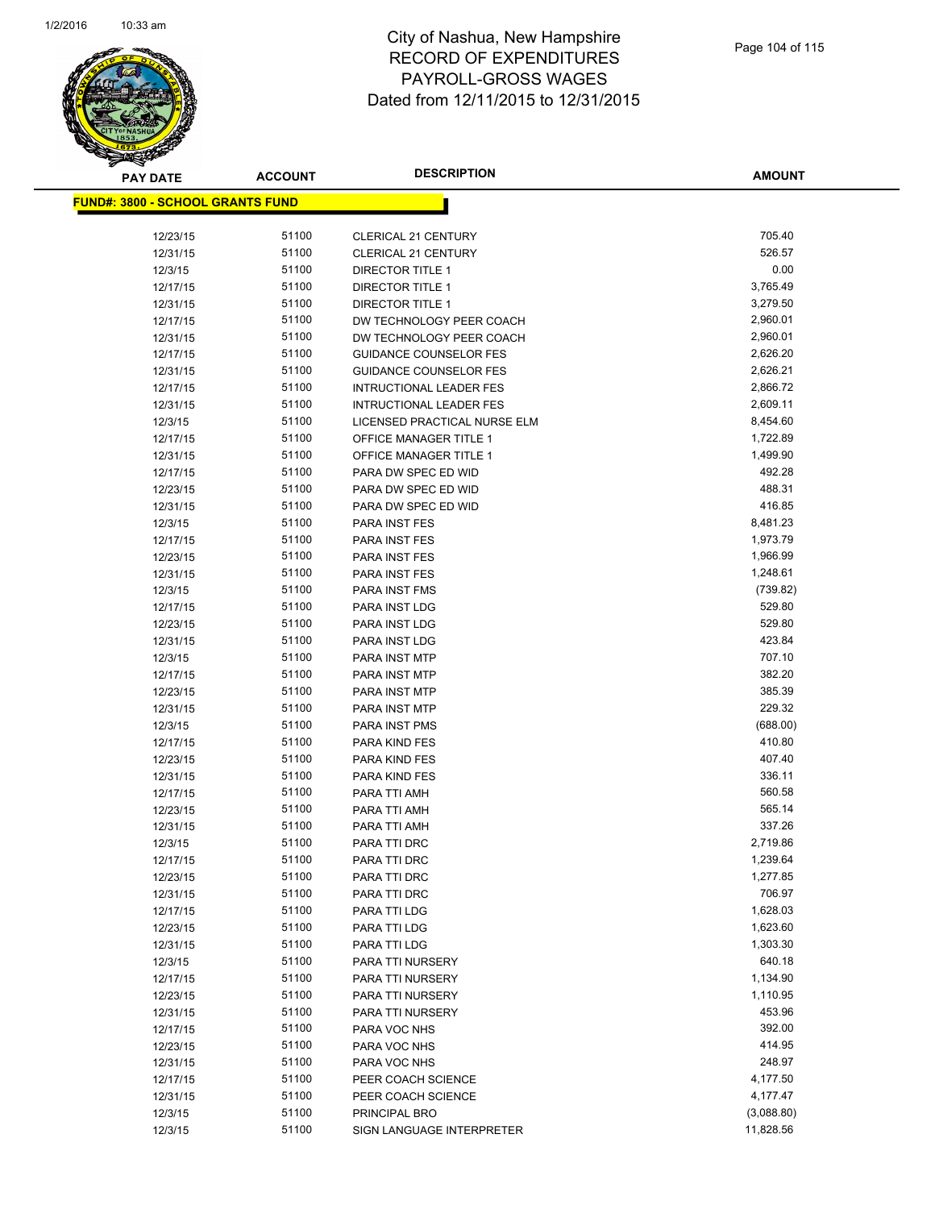

**AMOUNT**

| <u> FUND#: 3800 - SCHOOL GRANTS FUND</u> |                |                                          |                  |
|------------------------------------------|----------------|------------------------------------------|------------------|
| 12/23/15                                 | 51100          | <b>CLERICAL 21 CENTURY</b>               | 705.40           |
| 12/31/15                                 | 51100          | <b>CLERICAL 21 CENTURY</b>               | 526.57           |
| 12/3/15                                  | 51100          | <b>DIRECTOR TITLE 1</b>                  | 0.00             |
| 12/17/15                                 | 51100          | <b>DIRECTOR TITLE 1</b>                  | 3,765.49         |
| 12/31/15                                 | 51100          | <b>DIRECTOR TITLE 1</b>                  | 3,279.50         |
| 12/17/15                                 | 51100          | DW TECHNOLOGY PEER COACH                 | 2,960.01         |
| 12/31/15                                 | 51100          | DW TECHNOLOGY PEER COACH                 | 2,960.01         |
| 12/17/15                                 | 51100          | <b>GUIDANCE COUNSELOR FES</b>            | 2,626.20         |
| 12/31/15                                 | 51100          | <b>GUIDANCE COUNSELOR FES</b>            | 2,626.21         |
| 12/17/15                                 | 51100          | <b>INTRUCTIONAL LEADER FES</b>           | 2,866.72         |
| 12/31/15                                 | 51100          | <b>INTRUCTIONAL LEADER FES</b>           | 2,609.11         |
| 12/3/15                                  | 51100          | LICENSED PRACTICAL NURSE ELM             | 8,454.60         |
| 12/17/15                                 | 51100          | OFFICE MANAGER TITLE 1                   | 1,722.89         |
| 12/31/15                                 | 51100          | OFFICE MANAGER TITLE 1                   | 1,499.90         |
| 12/17/15                                 | 51100          | PARA DW SPEC ED WID                      | 492.28           |
| 12/23/15                                 | 51100          | PARA DW SPEC ED WID                      | 488.31           |
| 12/31/15                                 | 51100          | PARA DW SPEC ED WID                      | 416.85           |
| 12/3/15                                  | 51100          | PARA INST FES                            | 8,481.23         |
| 12/17/15                                 | 51100          | <b>PARA INST FES</b>                     | 1,973.79         |
| 12/23/15                                 | 51100          | PARA INST FES                            | 1,966.99         |
| 12/31/15                                 | 51100          | <b>PARA INST FES</b>                     | 1,248.61         |
| 12/3/15                                  | 51100          | PARA INST FMS                            | (739.82)         |
| 12/17/15                                 | 51100          | PARA INST LDG                            | 529.80           |
| 12/23/15                                 | 51100          | PARA INST LDG                            | 529.80           |
| 12/31/15                                 | 51100          | PARA INST LDG                            | 423.84           |
| 12/3/15                                  | 51100          | PARA INST MTP                            | 707.10           |
| 12/17/15                                 | 51100          | PARA INST MTP                            | 382.20           |
| 12/23/15                                 | 51100          | PARA INST MTP                            | 385.39           |
| 12/31/15                                 | 51100          | PARA INST MTP                            | 229.32           |
| 12/3/15                                  | 51100          | PARA INST PMS                            | (688.00)         |
| 12/17/15                                 | 51100          | PARA KIND FES                            | 410.80           |
| 12/23/15                                 | 51100          | <b>PARA KIND FES</b>                     | 407.40           |
| 12/31/15                                 | 51100          | PARA KIND FES                            | 336.11           |
| 12/17/15                                 | 51100          | PARA TTI AMH                             | 560.58           |
| 12/23/15                                 | 51100          | PARA TTI AMH                             | 565.14           |
| 12/31/15                                 | 51100          | PARA TTI AMH                             | 337.26           |
| 12/3/15                                  | 51100          | PARA TTI DRC                             | 2,719.86         |
| 12/17/15                                 | 51100          | PARA TTI DRC                             | 1,239.64         |
| 12/23/15                                 | 51100          | PARA TTI DRC                             | 1,277.85         |
| 12/31/15                                 | 51100          | PARA TTI DRC                             | 706.97           |
| 12/17/15                                 | 51100          | PARA TTI LDG                             | 1,628.03         |
| 12/23/15                                 | 51100          | PARA TTI LDG                             | 1,623.60         |
| 12/31/15                                 | 51100          | PARA TTI LDG                             | 1,303.30         |
| 12/3/15                                  | 51100          | PARA TTI NURSERY                         | 640.18           |
| 12/17/15                                 | 51100          | PARA TTI NURSERY                         | 1,134.90         |
| 12/23/15                                 | 51100          | PARA TTI NURSERY                         | 1,110.95         |
| 12/31/15                                 | 51100          | PARA TTI NURSERY                         | 453.96           |
| 12/17/15                                 | 51100          | PARA VOC NHS                             | 392.00           |
| 12/23/15<br>12/31/15                     | 51100<br>51100 | PARA VOC NHS<br>PARA VOC NHS             | 414.95<br>248.97 |
|                                          | 51100          |                                          | 4,177.50         |
| 12/17/15<br>12/31/15                     | 51100          | PEER COACH SCIENCE<br>PEER COACH SCIENCE | 4,177.47         |
| 12/3/15                                  | 51100          | PRINCIPAL BRO                            | (3,088.80)       |
| 12/3/15                                  | 51100          | SIGN LANGUAGE INTERPRETER                | 11,828.56        |
|                                          |                |                                          |                  |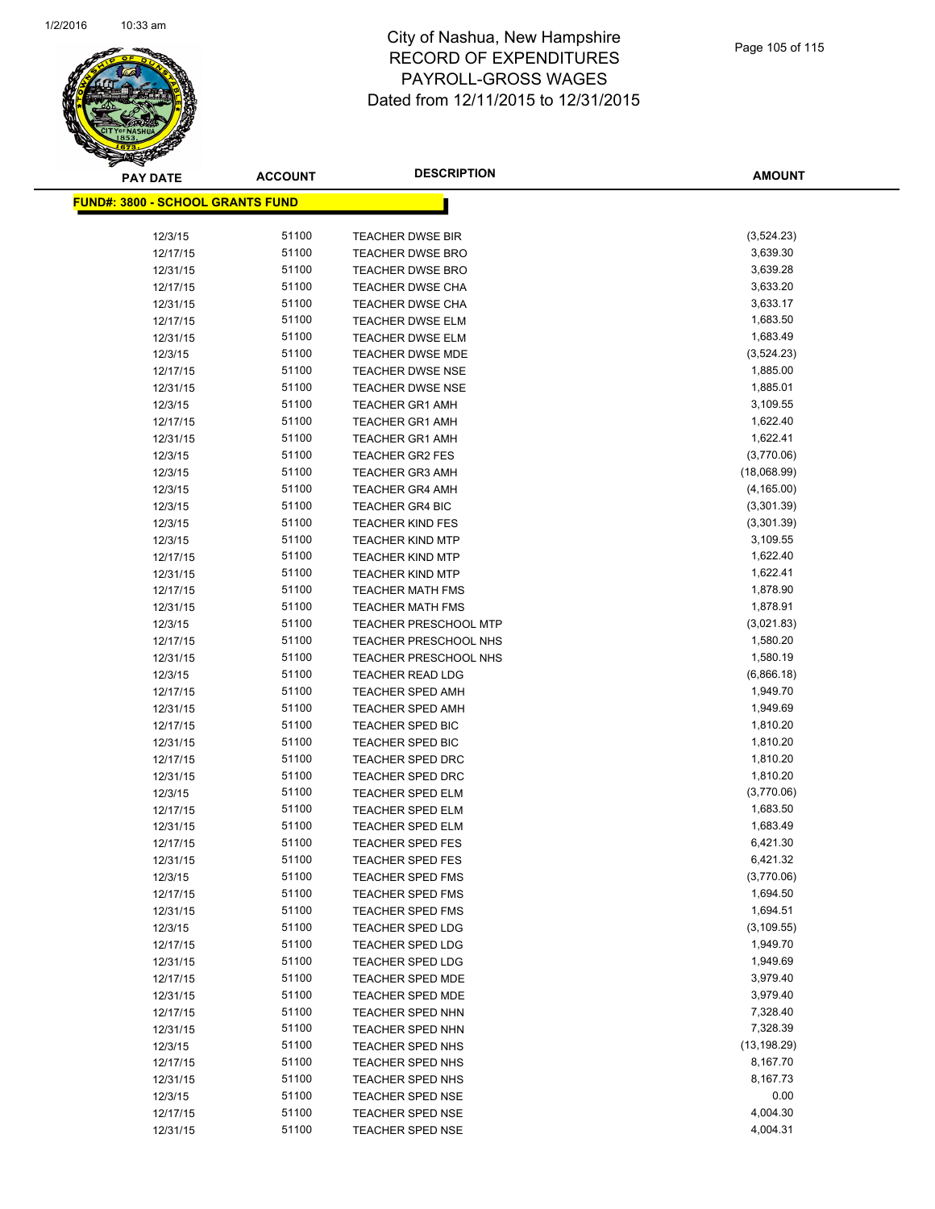

| <b>PAY DATE</b>                          | <b>ACCOUNT</b> | <b>DESCRIPTION</b>           | <b>AMOUNT</b> |
|------------------------------------------|----------------|------------------------------|---------------|
| <u> FUND#: 3800 - SCHOOL GRANTS FUND</u> |                |                              |               |
|                                          |                |                              |               |
| 12/3/15                                  | 51100          | <b>TEACHER DWSE BIR</b>      | (3,524.23)    |
| 12/17/15                                 | 51100          | <b>TEACHER DWSE BRO</b>      | 3,639.30      |
| 12/31/15                                 | 51100          | <b>TEACHER DWSE BRO</b>      | 3,639.28      |
| 12/17/15                                 | 51100          | <b>TEACHER DWSE CHA</b>      | 3,633.20      |
| 12/31/15                                 | 51100          | <b>TEACHER DWSE CHA</b>      | 3,633.17      |
| 12/17/15                                 | 51100          | <b>TEACHER DWSE ELM</b>      | 1,683.50      |
| 12/31/15                                 | 51100          | <b>TEACHER DWSE ELM</b>      | 1,683.49      |
| 12/3/15                                  | 51100          | TEACHER DWSE MDE             | (3,524.23)    |
| 12/17/15                                 | 51100          | <b>TEACHER DWSE NSE</b>      | 1,885.00      |
| 12/31/15                                 | 51100          | <b>TEACHER DWSE NSE</b>      | 1,885.01      |
| 12/3/15                                  | 51100          | <b>TEACHER GR1 AMH</b>       | 3,109.55      |
| 12/17/15                                 | 51100          | <b>TEACHER GR1 AMH</b>       | 1,622.40      |
| 12/31/15                                 | 51100          | <b>TEACHER GR1 AMH</b>       | 1,622.41      |
| 12/3/15                                  | 51100          | <b>TEACHER GR2 FES</b>       | (3,770.06)    |
| 12/3/15                                  | 51100          | <b>TEACHER GR3 AMH</b>       | (18,068.99)   |
| 12/3/15                                  | 51100          | <b>TEACHER GR4 AMH</b>       | (4, 165.00)   |
| 12/3/15                                  | 51100          | <b>TEACHER GR4 BIC</b>       | (3,301.39)    |
| 12/3/15                                  | 51100          | <b>TEACHER KIND FES</b>      | (3,301.39)    |
| 12/3/15                                  | 51100          | <b>TEACHER KIND MTP</b>      | 3,109.55      |
| 12/17/15                                 | 51100          | <b>TEACHER KIND MTP</b>      | 1,622.40      |
| 12/31/15                                 | 51100          | <b>TEACHER KIND MTP</b>      | 1,622.41      |
| 12/17/15                                 | 51100          | <b>TEACHER MATH FMS</b>      | 1,878.90      |
| 12/31/15                                 | 51100          | <b>TEACHER MATH FMS</b>      | 1,878.91      |
| 12/3/15                                  | 51100          | <b>TEACHER PRESCHOOL MTP</b> | (3,021.83)    |
| 12/17/15                                 | 51100          | <b>TEACHER PRESCHOOL NHS</b> | 1,580.20      |
| 12/31/15                                 | 51100          | <b>TEACHER PRESCHOOL NHS</b> | 1,580.19      |
| 12/3/15                                  | 51100          | <b>TEACHER READ LDG</b>      | (6,866.18)    |
| 12/17/15                                 | 51100          | <b>TEACHER SPED AMH</b>      | 1,949.70      |
| 12/31/15                                 | 51100          | <b>TEACHER SPED AMH</b>      | 1,949.69      |
| 12/17/15                                 | 51100          | TEACHER SPED BIC             | 1,810.20      |
| 12/31/15                                 | 51100          | TEACHER SPED BIC             | 1,810.20      |
| 12/17/15                                 | 51100          | <b>TEACHER SPED DRC</b>      | 1,810.20      |
| 12/31/15                                 | 51100          | <b>TEACHER SPED DRC</b>      | 1,810.20      |
| 12/3/15                                  | 51100          | TEACHER SPED ELM             | (3,770.06)    |
| 12/17/15                                 | 51100          | TEACHER SPED ELM             | 1,683.50      |
| 12/31/15                                 | 51100          | <b>TEACHER SPED ELM</b>      | 1,683.49      |
| 12/17/15                                 | 51100          | <b>TEACHER SPED FES</b>      | 6,421.30      |
| 12/31/15                                 | 51100          | <b>TEACHER SPED FES</b>      | 6,421.32      |
| 12/3/15                                  | 51100          | TEACHER SPED FMS             | (3,770.06)    |
| 12/17/15                                 | 51100          | <b>TEACHER SPED FMS</b>      | 1,694.50      |
| 12/31/15                                 | 51100          | TEACHER SPED FMS             | 1,694.51      |
| 12/3/15                                  | 51100          | TEACHER SPED LDG             | (3, 109.55)   |
| 12/17/15                                 | 51100          | TEACHER SPED LDG             | 1,949.70      |
| 12/31/15                                 | 51100          | TEACHER SPED LDG             | 1,949.69      |
| 12/17/15                                 | 51100          | TEACHER SPED MDE             | 3,979.40      |
| 12/31/15                                 | 51100          | TEACHER SPED MDE             | 3,979.40      |
| 12/17/15                                 | 51100          | <b>TEACHER SPED NHN</b>      | 7,328.40      |
| 12/31/15                                 | 51100          | TEACHER SPED NHN             | 7,328.39      |
| 12/3/15                                  | 51100          | TEACHER SPED NHS             | (13, 198.29)  |
| 12/17/15                                 | 51100          | TEACHER SPED NHS             | 8,167.70      |
| 12/31/15                                 | 51100          | TEACHER SPED NHS             | 8,167.73      |
| 12/3/15                                  | 51100          | <b>TEACHER SPED NSE</b>      | 0.00          |
| 12/17/15                                 | 51100          | TEACHER SPED NSE             | 4,004.30      |
| 12/31/15                                 | 51100          | TEACHER SPED NSE             | 4,004.31      |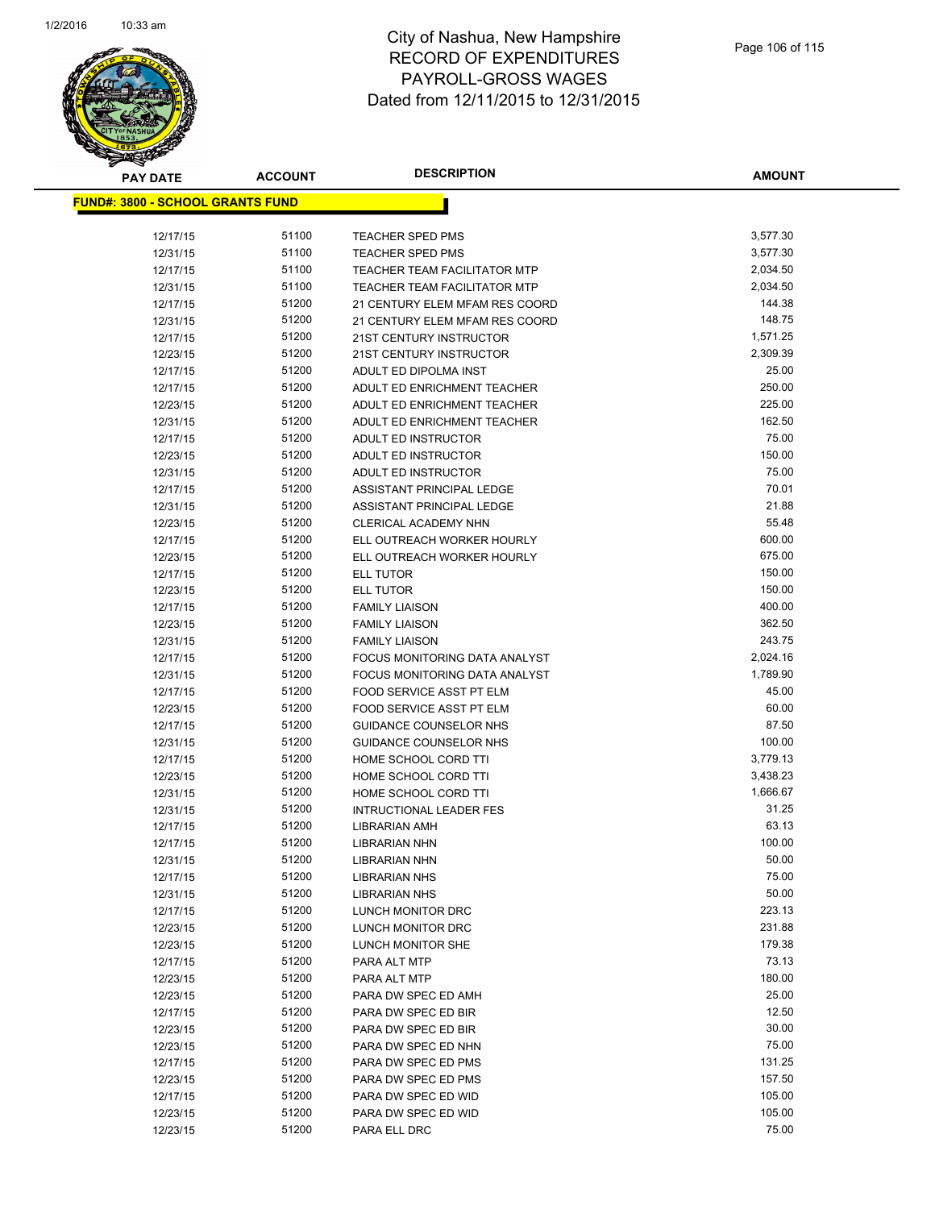

| <b>PAY DATE</b>                          | <b>ACCOUNT</b> | <b>DESCRIPTION</b>                  | <b>AMOUNT</b>   |
|------------------------------------------|----------------|-------------------------------------|-----------------|
| <u> FUND#: 3800 - SCHOOL GRANTS FUND</u> |                |                                     |                 |
|                                          |                |                                     |                 |
| 12/17/15                                 | 51100          | <b>TEACHER SPED PMS</b>             | 3,577.30        |
| 12/31/15                                 | 51100          | <b>TEACHER SPED PMS</b>             | 3,577.30        |
| 12/17/15                                 | 51100          | <b>TEACHER TEAM FACILITATOR MTP</b> | 2,034.50        |
| 12/31/15                                 | 51100          | <b>TEACHER TEAM FACILITATOR MTP</b> | 2,034.50        |
| 12/17/15                                 | 51200          | 21 CENTURY ELEM MFAM RES COORD      | 144.38          |
| 12/31/15                                 | 51200          | 21 CENTURY ELEM MFAM RES COORD      | 148.75          |
| 12/17/15                                 | 51200          | 21ST CENTURY INSTRUCTOR             | 1,571.25        |
| 12/23/15                                 | 51200          | 21ST CENTURY INSTRUCTOR             | 2,309.39        |
| 12/17/15                                 | 51200          | ADULT ED DIPOLMA INST               | 25.00           |
| 12/17/15                                 | 51200          | ADULT ED ENRICHMENT TEACHER         | 250.00          |
| 12/23/15                                 | 51200          | ADULT ED ENRICHMENT TEACHER         | 225.00          |
| 12/31/15                                 | 51200          | ADULT ED ENRICHMENT TEACHER         | 162.50          |
| 12/17/15                                 | 51200          | ADULT ED INSTRUCTOR                 | 75.00           |
| 12/23/15                                 | 51200          | ADULT ED INSTRUCTOR                 | 150.00          |
| 12/31/15                                 | 51200          | ADULT ED INSTRUCTOR                 | 75.00           |
| 12/17/15                                 | 51200          | ASSISTANT PRINCIPAL LEDGE           | 70.01           |
| 12/31/15                                 | 51200          | ASSISTANT PRINCIPAL LEDGE           | 21.88           |
| 12/23/15                                 | 51200          | <b>CLERICAL ACADEMY NHN</b>         | 55.48           |
| 12/17/15                                 | 51200          | ELL OUTREACH WORKER HOURLY          | 600.00          |
| 12/23/15                                 | 51200          | ELL OUTREACH WORKER HOURLY          | 675.00          |
| 12/17/15                                 | 51200          | <b>ELL TUTOR</b>                    | 150.00          |
| 12/23/15                                 | 51200          | <b>ELL TUTOR</b>                    | 150.00          |
| 12/17/15                                 | 51200          | <b>FAMILY LIAISON</b>               | 400.00          |
| 12/23/15                                 | 51200          | <b>FAMILY LIAISON</b>               | 362.50          |
| 12/31/15                                 | 51200          | <b>FAMILY LIAISON</b>               | 243.75          |
| 12/17/15                                 | 51200          | FOCUS MONITORING DATA ANALYST       | 2,024.16        |
| 12/31/15                                 | 51200          | FOCUS MONITORING DATA ANALYST       | 1,789.90        |
| 12/17/15                                 | 51200          | FOOD SERVICE ASST PT ELM            | 45.00           |
| 12/23/15                                 | 51200          | FOOD SERVICE ASST PT ELM            | 60.00           |
| 12/17/15                                 | 51200          | <b>GUIDANCE COUNSELOR NHS</b>       | 87.50           |
| 12/31/15                                 | 51200          | <b>GUIDANCE COUNSELOR NHS</b>       | 100.00          |
| 12/17/15                                 | 51200          | HOME SCHOOL CORD TTI                | 3,779.13        |
| 12/23/15                                 | 51200          | HOME SCHOOL CORD TTI                | 3,438.23        |
| 12/31/15                                 | 51200          | HOME SCHOOL CORD TTI                | 1,666.67        |
| 12/31/15                                 | 51200          | <b>INTRUCTIONAL LEADER FES</b>      | 31.25           |
| 12/17/15                                 | 51200          | <b>LIBRARIAN AMH</b>                | 63.13           |
| 12/17/15                                 | 51200          | <b>LIBRARIAN NHN</b>                | 100.00          |
| 12/31/15                                 | 51200          | LIBRARIAN NHN                       | 50.00           |
| 12/17/15                                 | 51200          | <b>LIBRARIAN NHS</b>                | 75.00           |
| 12/31/15                                 | 51200          | <b>LIBRARIAN NHS</b>                | 50.00           |
| 12/17/15                                 | 51200          | LUNCH MONITOR DRC                   | 223.13          |
| 12/23/15                                 | 51200          | LUNCH MONITOR DRC                   | 231.88          |
| 12/23/15                                 | 51200          | LUNCH MONITOR SHE                   | 179.38          |
| 12/17/15                                 | 51200          | PARA ALT MTP                        | 73.13<br>180.00 |
| 12/23/15                                 | 51200          | PARA ALT MTP                        |                 |
| 12/23/15                                 | 51200          | PARA DW SPEC ED AMH                 | 25.00<br>12.50  |
| 12/17/15                                 | 51200          | PARA DW SPEC ED BIR                 | 30.00           |
| 12/23/15                                 | 51200<br>51200 | PARA DW SPEC ED BIR                 | 75.00           |
| 12/23/15                                 |                | PARA DW SPEC ED NHN                 | 131.25          |
| 12/17/15                                 | 51200<br>51200 | PARA DW SPEC ED PMS                 | 157.50          |
| 12/23/15                                 | 51200          | PARA DW SPEC ED PMS                 | 105.00          |
| 12/17/15                                 | 51200          | PARA DW SPEC ED WID                 | 105.00          |
| 12/23/15                                 | 51200          | PARA DW SPEC ED WID                 | 75.00           |
| 12/23/15                                 |                | PARA ELL DRC                        |                 |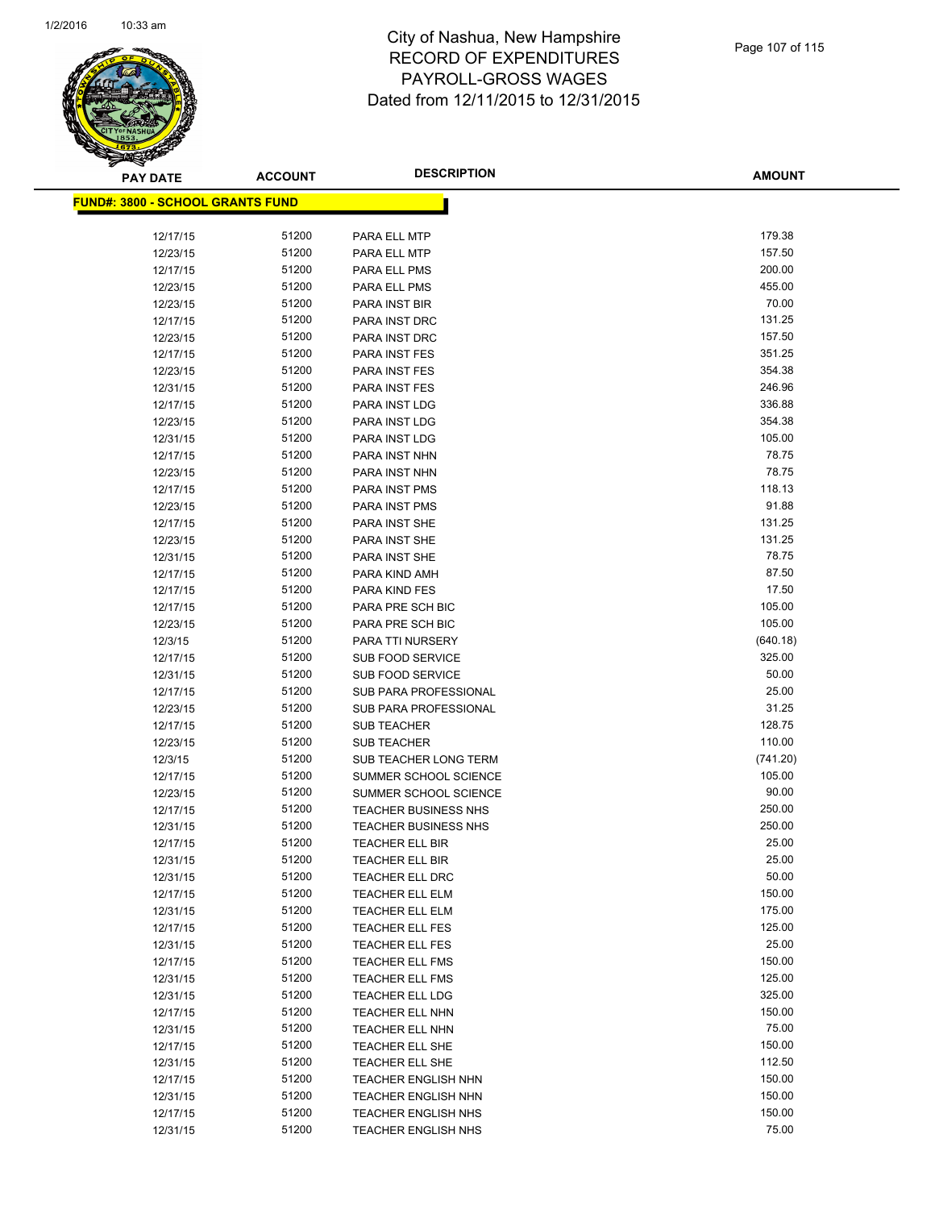

| <b>PAY DATE</b>                          | <b>ACCOUNT</b> | <b>DESCRIPTION</b>                               | <b>AMOUNT</b>   |
|------------------------------------------|----------------|--------------------------------------------------|-----------------|
| <u> FUND#: 3800 - SCHOOL GRANTS FUND</u> |                |                                                  |                 |
|                                          |                |                                                  |                 |
| 12/17/15                                 | 51200          | PARA ELL MTP                                     | 179.38          |
| 12/23/15                                 | 51200          | PARA ELL MTP                                     | 157.50          |
| 12/17/15                                 | 51200          | PARA ELL PMS                                     | 200.00          |
| 12/23/15                                 | 51200          | PARA ELL PMS                                     | 455.00          |
| 12/23/15                                 | 51200          | PARA INST BIR                                    | 70.00           |
| 12/17/15                                 | 51200          | PARA INST DRC                                    | 131.25          |
| 12/23/15                                 | 51200          | PARA INST DRC                                    | 157.50          |
| 12/17/15                                 | 51200          | PARA INST FES                                    | 351.25          |
| 12/23/15                                 | 51200          | PARA INST FES                                    | 354.38          |
| 12/31/15                                 | 51200          | PARA INST FES                                    | 246.96          |
| 12/17/15                                 | 51200          | PARA INST LDG                                    | 336.88          |
| 12/23/15                                 | 51200          | PARA INST LDG                                    | 354.38          |
| 12/31/15                                 | 51200          | PARA INST LDG                                    | 105.00          |
| 12/17/15                                 | 51200          | PARA INST NHN                                    | 78.75           |
| 12/23/15                                 | 51200          | PARA INST NHN                                    | 78.75           |
| 12/17/15                                 | 51200          | PARA INST PMS                                    | 118.13          |
| 12/23/15                                 | 51200          | PARA INST PMS                                    | 91.88           |
| 12/17/15                                 | 51200          | PARA INST SHE                                    | 131.25          |
| 12/23/15                                 | 51200          | PARA INST SHE                                    | 131.25          |
| 12/31/15                                 | 51200          | PARA INST SHE                                    | 78.75           |
| 12/17/15                                 | 51200          | PARA KIND AMH                                    | 87.50           |
| 12/17/15                                 | 51200          | PARA KIND FES                                    | 17.50           |
| 12/17/15                                 | 51200          | PARA PRE SCH BIC                                 | 105.00          |
| 12/23/15                                 | 51200          | PARA PRE SCH BIC                                 | 105.00          |
| 12/3/15                                  | 51200          | PARA TTI NURSERY                                 | (640.18)        |
| 12/17/15                                 | 51200          | <b>SUB FOOD SERVICE</b>                          | 325.00          |
| 12/31/15                                 | 51200          | <b>SUB FOOD SERVICE</b>                          | 50.00           |
| 12/17/15                                 | 51200          | <b>SUB PARA PROFESSIONAL</b>                     | 25.00           |
| 12/23/15                                 | 51200          | <b>SUB PARA PROFESSIONAL</b>                     | 31.25           |
| 12/17/15                                 | 51200          | <b>SUB TEACHER</b>                               | 128.75          |
| 12/23/15                                 | 51200          | <b>SUB TEACHER</b>                               | 110.00          |
| 12/3/15                                  | 51200          | SUB TEACHER LONG TERM                            | (741.20)        |
| 12/17/15                                 | 51200          | SUMMER SCHOOL SCIENCE                            | 105.00          |
| 12/23/15                                 | 51200          | SUMMER SCHOOL SCIENCE                            | 90.00           |
| 12/17/15                                 | 51200          | <b>TEACHER BUSINESS NHS</b>                      | 250.00          |
| 12/31/15                                 | 51200<br>51200 | TEACHER BUSINESS NHS                             | 250.00<br>25.00 |
| 12/17/15                                 |                | <b>TEACHER ELL BIR</b>                           | 25.00           |
| 12/31/15                                 | 51200<br>51200 | TEACHER ELL BIR                                  | 50.00           |
| 12/31/15                                 | 51200          | TEACHER ELL DRC<br><b>TEACHER ELL ELM</b>        | 150.00          |
| 12/17/15                                 | 51200          |                                                  | 175.00          |
| 12/31/15<br>12/17/15                     | 51200          | <b>TEACHER ELL ELM</b><br><b>TEACHER ELL FES</b> | 125.00          |
|                                          | 51200          | <b>TEACHER ELL FES</b>                           | 25.00           |
| 12/31/15<br>12/17/15                     | 51200          | <b>TEACHER ELL FMS</b>                           | 150.00          |
| 12/31/15                                 | 51200          | <b>TEACHER ELL FMS</b>                           | 125.00          |
| 12/31/15                                 | 51200          | <b>TEACHER ELL LDG</b>                           | 325.00          |
| 12/17/15                                 | 51200          | <b>TEACHER ELL NHN</b>                           | 150.00          |
| 12/31/15                                 | 51200          | <b>TEACHER ELL NHN</b>                           | 75.00           |
| 12/17/15                                 | 51200          | <b>TEACHER ELL SHE</b>                           | 150.00          |
| 12/31/15                                 | 51200          | TEACHER ELL SHE                                  | 112.50          |
| 12/17/15                                 | 51200          | <b>TEACHER ENGLISH NHN</b>                       | 150.00          |
| 12/31/15                                 | 51200          | <b>TEACHER ENGLISH NHN</b>                       | 150.00          |
| 12/17/15                                 | 51200          | <b>TEACHER ENGLISH NHS</b>                       | 150.00          |
| 12/31/15                                 | 51200          | <b>TEACHER ENGLISH NHS</b>                       | 75.00           |
|                                          |                |                                                  |                 |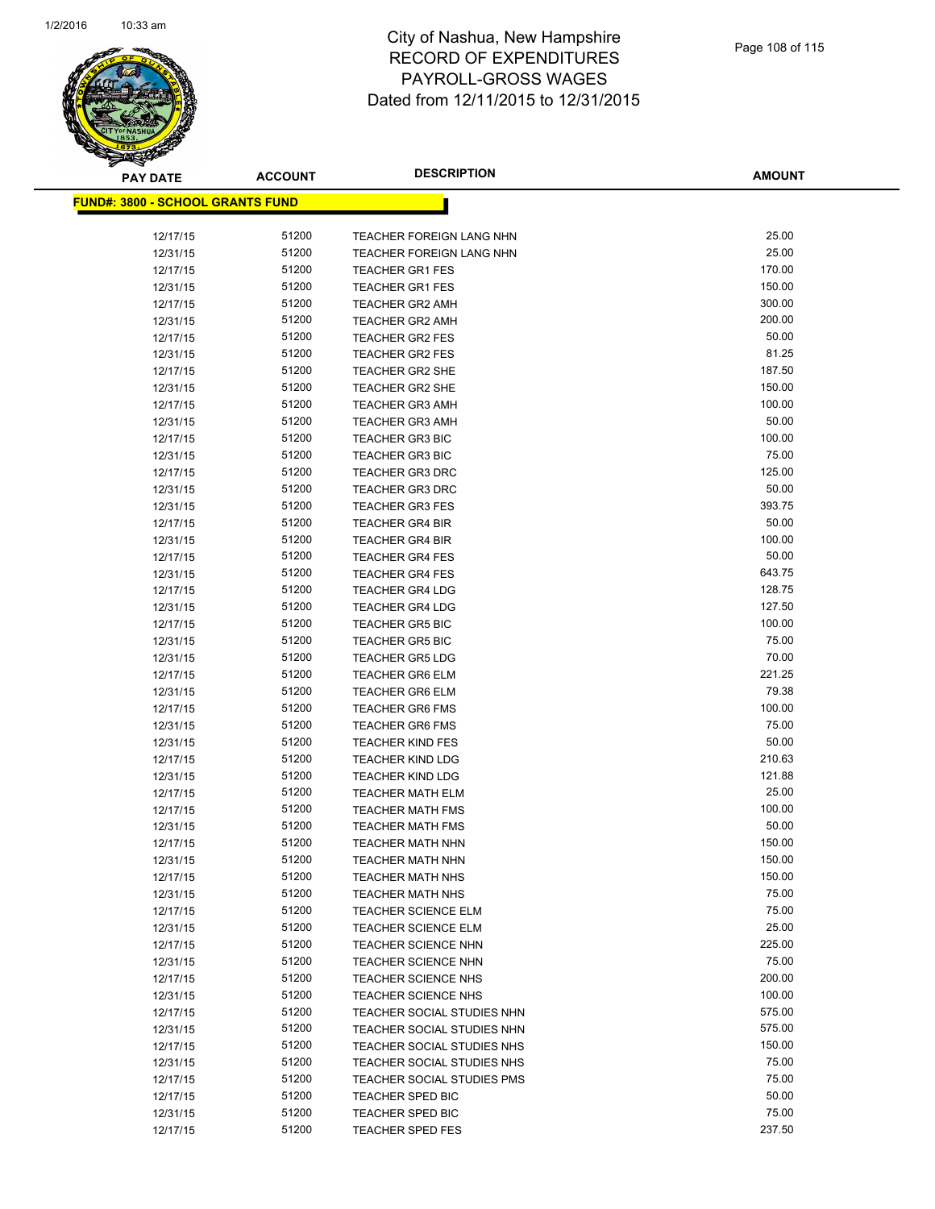

**AMOUNT**

| <u> FUND#: 3800 - SCHOOL GRANTS FUND</u> |       |                                 |        |
|------------------------------------------|-------|---------------------------------|--------|
| 12/17/15                                 | 51200 | <b>TEACHER FOREIGN LANG NHN</b> | 25.00  |
| 12/31/15                                 | 51200 | <b>TEACHER FOREIGN LANG NHN</b> | 25.00  |
| 12/17/15                                 | 51200 | <b>TEACHER GR1 FES</b>          | 170.00 |
| 12/31/15                                 | 51200 | <b>TEACHER GR1 FES</b>          | 150.00 |
| 12/17/15                                 | 51200 | <b>TEACHER GR2 AMH</b>          | 300.00 |
| 12/31/15                                 | 51200 | <b>TEACHER GR2 AMH</b>          | 200.00 |
| 12/17/15                                 | 51200 | <b>TEACHER GR2 FES</b>          | 50.00  |
| 12/31/15                                 | 51200 | <b>TEACHER GR2 FES</b>          | 81.25  |
| 12/17/15                                 | 51200 | <b>TEACHER GR2 SHE</b>          | 187.50 |
| 12/31/15                                 | 51200 | <b>TEACHER GR2 SHE</b>          | 150.00 |
| 12/17/15                                 | 51200 | <b>TEACHER GR3 AMH</b>          | 100.00 |
| 12/31/15                                 | 51200 | <b>TEACHER GR3 AMH</b>          | 50.00  |
| 12/17/15                                 | 51200 | <b>TEACHER GR3 BIC</b>          | 100.00 |
| 12/31/15                                 | 51200 | <b>TEACHER GR3 BIC</b>          | 75.00  |
| 12/17/15                                 | 51200 | <b>TEACHER GR3 DRC</b>          | 125.00 |
| 12/31/15                                 | 51200 | <b>TEACHER GR3 DRC</b>          | 50.00  |
| 12/31/15                                 | 51200 | <b>TEACHER GR3 FES</b>          | 393.75 |
| 12/17/15                                 | 51200 | <b>TEACHER GR4 BIR</b>          | 50.00  |
| 12/31/15                                 | 51200 | <b>TEACHER GR4 BIR</b>          | 100.00 |
| 12/17/15                                 | 51200 | <b>TEACHER GR4 FES</b>          | 50.00  |
| 12/31/15                                 | 51200 | <b>TEACHER GR4 FES</b>          | 643.75 |
| 12/17/15                                 | 51200 | <b>TEACHER GR4 LDG</b>          | 128.75 |
| 12/31/15                                 | 51200 | <b>TEACHER GR4 LDG</b>          | 127.50 |
| 12/17/15                                 | 51200 | <b>TEACHER GR5 BIC</b>          | 100.00 |
| 12/31/15                                 | 51200 | <b>TEACHER GR5 BIC</b>          | 75.00  |
| 12/31/15                                 | 51200 | <b>TEACHER GR5 LDG</b>          | 70.00  |
| 12/17/15                                 | 51200 | <b>TEACHER GR6 ELM</b>          | 221.25 |
| 12/31/15                                 | 51200 | <b>TEACHER GR6 ELM</b>          | 79.38  |
| 12/17/15                                 | 51200 | <b>TEACHER GR6 FMS</b>          | 100.00 |
| 12/31/15                                 | 51200 | <b>TEACHER GR6 FMS</b>          | 75.00  |
| 12/31/15                                 | 51200 | <b>TEACHER KIND FES</b>         | 50.00  |
| 12/17/15                                 | 51200 | <b>TEACHER KIND LDG</b>         | 210.63 |
| 12/31/15                                 | 51200 | <b>TEACHER KIND LDG</b>         | 121.88 |
| 12/17/15                                 | 51200 | <b>TEACHER MATH ELM</b>         | 25.00  |
| 12/17/15                                 | 51200 | <b>TEACHER MATH FMS</b>         | 100.00 |
| 12/31/15                                 | 51200 | <b>TEACHER MATH FMS</b>         | 50.00  |
| 12/17/15                                 | 51200 | <b>TEACHER MATH NHN</b>         | 150.00 |
| 12/31/15                                 | 51200 | <b>TEACHER MATH NHN</b>         | 150.00 |
| 12/17/15                                 | 51200 | <b>TEACHER MATH NHS</b>         | 150.00 |
| 12/31/15                                 | 51200 | <b>TEACHER MATH NHS</b>         | 75.00  |
| 12/17/15                                 | 51200 | <b>TEACHER SCIENCE ELM</b>      | 75.00  |
| 12/31/15                                 | 51200 | TEACHER SCIENCE ELM             | 25.00  |
| 12/17/15                                 | 51200 | <b>TEACHER SCIENCE NHN</b>      | 225.00 |
| 12/31/15                                 | 51200 | <b>TEACHER SCIENCE NHN</b>      | 75.00  |
| 12/17/15                                 | 51200 | <b>TEACHER SCIENCE NHS</b>      | 200.00 |
| 12/31/15                                 | 51200 | <b>TEACHER SCIENCE NHS</b>      | 100.00 |
| 12/17/15                                 | 51200 | TEACHER SOCIAL STUDIES NHN      | 575.00 |
| 12/31/15                                 | 51200 | TEACHER SOCIAL STUDIES NHN      | 575.00 |
| 12/17/15                                 | 51200 | TEACHER SOCIAL STUDIES NHS      | 150.00 |
| 12/31/15                                 | 51200 | TEACHER SOCIAL STUDIES NHS      | 75.00  |
| 12/17/15                                 | 51200 | TEACHER SOCIAL STUDIES PMS      | 75.00  |
| 12/17/15                                 | 51200 | <b>TEACHER SPED BIC</b>         | 50.00  |
| 12/31/15                                 | 51200 | TEACHER SPED BIC                | 75.00  |
| 12/17/15                                 | 51200 | <b>TEACHER SPED FES</b>         | 237.50 |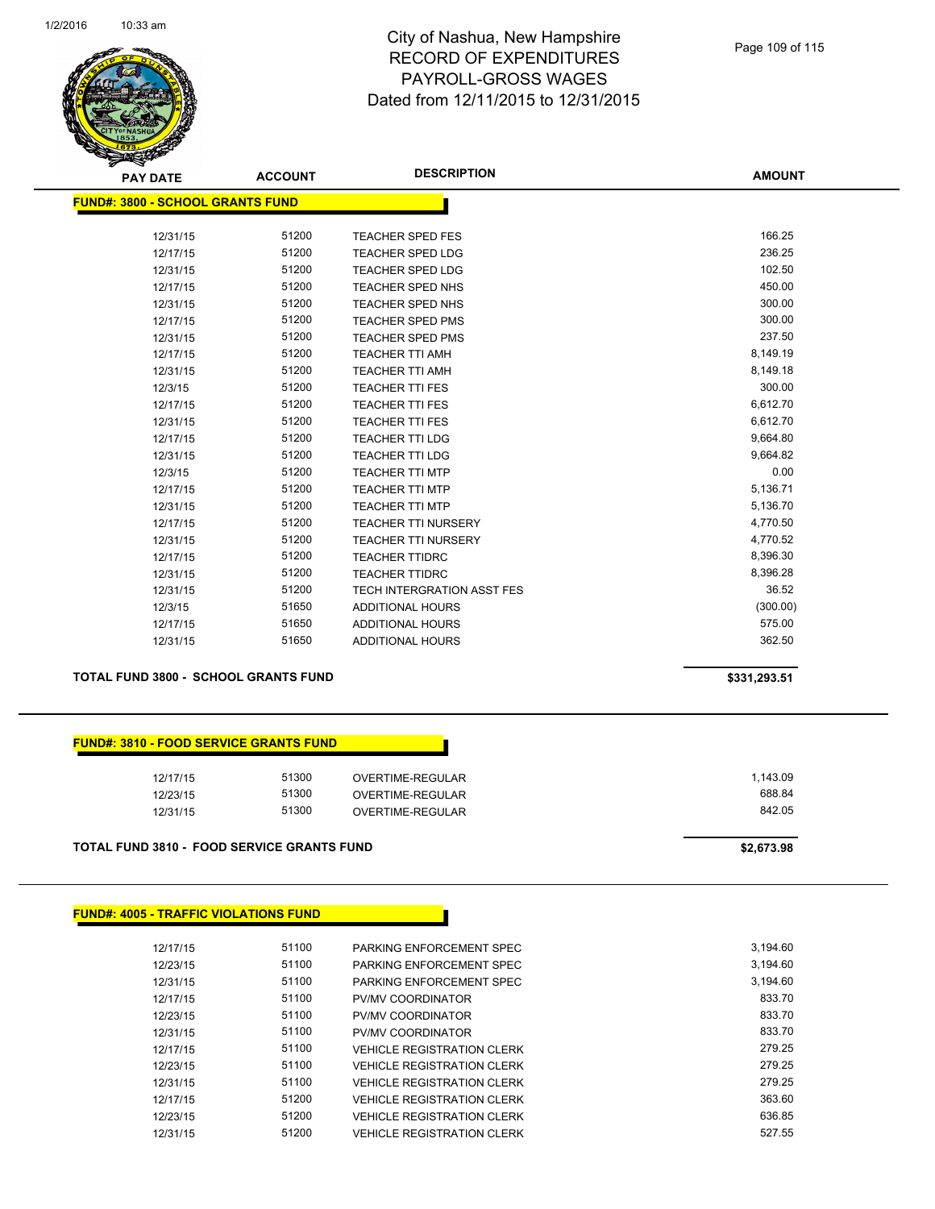

| <b>PAY DATE</b>                         | <b>ACCOUNT</b> | <b>DESCRIPTION</b>         | <b>AMOUNT</b> |
|-----------------------------------------|----------------|----------------------------|---------------|
| <b>FUND#: 3800 - SCHOOL GRANTS FUND</b> |                |                            |               |
|                                         |                |                            |               |
| 12/31/15                                | 51200          | <b>TEACHER SPED FES</b>    | 166.25        |
| 12/17/15                                | 51200          | <b>TEACHER SPED LDG</b>    | 236.25        |
| 12/31/15                                | 51200          | <b>TEACHER SPED LDG</b>    | 102.50        |
| 12/17/15                                | 51200          | TEACHER SPED NHS           | 450.00        |
| 12/31/15                                | 51200          | <b>TEACHER SPED NHS</b>    | 300.00        |
| 12/17/15                                | 51200          | <b>TEACHER SPED PMS</b>    | 300.00        |
| 12/31/15                                | 51200          | <b>TEACHER SPED PMS</b>    | 237.50        |
| 12/17/15                                | 51200          | <b>TEACHER TTI AMH</b>     | 8,149.19      |
| 12/31/15                                | 51200          | <b>TEACHER TTI AMH</b>     | 8,149.18      |
| 12/3/15                                 | 51200          | <b>TEACHER TTI FES</b>     | 300.00        |
| 12/17/15                                | 51200          | <b>TEACHER TTI FES</b>     | 6,612.70      |
| 12/31/15                                | 51200          | <b>TEACHER TTI FES</b>     | 6,612.70      |
| 12/17/15                                | 51200          | <b>TEACHER TTI LDG</b>     | 9,664.80      |
| 12/31/15                                | 51200          | <b>TEACHER TTI LDG</b>     | 9,664.82      |
| 12/3/15                                 | 51200          | <b>TEACHER TTI MTP</b>     | 0.00          |
| 12/17/15                                | 51200          | <b>TEACHER TTI MTP</b>     | 5,136.71      |
| 12/31/15                                | 51200          | <b>TEACHER TTI MTP</b>     | 5,136.70      |
| 12/17/15                                | 51200          | <b>TEACHER TTI NURSERY</b> | 4,770.50      |
| 12/31/15                                | 51200          | <b>TEACHER TTI NURSERY</b> | 4,770.52      |
| 12/17/15                                | 51200          | <b>TEACHER TTIDRC</b>      | 8,396.30      |
| 12/31/15                                | 51200          | <b>TEACHER TTIDRC</b>      | 8,396.28      |
| 12/31/15                                | 51200          | TECH INTERGRATION ASST FES | 36.52         |
| 12/3/15                                 | 51650          | <b>ADDITIONAL HOURS</b>    | (300.00)      |
| 12/17/15                                | 51650          | <b>ADDITIONAL HOURS</b>    | 575.00        |
| 12/31/15                                | 51650          | <b>ADDITIONAL HOURS</b>    | 362.50        |
|                                         |                |                            |               |

#### **TOTAL FUND 3800 - SCHOOL GRANTS FUND \$331,293.51**

| <b>FUND#: 3810 - FOOD SERVICE GRANTS FUND</b> |  |
|-----------------------------------------------|--|
|-----------------------------------------------|--|

| 12/17/15 | 51300 | OVERTIME-REGULAR | 1,143.09 |
|----------|-------|------------------|----------|
| 12/23/15 | 51300 | OVERTIME-REGULAR | 688.84   |
| 12/31/15 | 51300 | OVERTIME-REGULAR | 842.05   |
|          |       |                  |          |

**TOTAL FUND 3810 - FOOD SERVICE GRANTS FUND \$2,673.98** 

#### **FUND#: 4005 - TRAFFIC VIOLATIONS FUND**

| 12/17/15 | 51100 | PARKING ENFORCEMENT SPEC          | 3,194.60 |
|----------|-------|-----------------------------------|----------|
| 12/23/15 | 51100 | PARKING ENFORCEMENT SPEC          | 3.194.60 |
| 12/31/15 | 51100 | PARKING ENFORCEMENT SPEC          | 3.194.60 |
| 12/17/15 | 51100 | PV/MV COORDINATOR                 | 833.70   |
| 12/23/15 | 51100 | PV/MV COORDINATOR                 | 833.70   |
| 12/31/15 | 51100 | PV/MV COORDINATOR                 | 833.70   |
| 12/17/15 | 51100 | <b>VEHICLE REGISTRATION CLERK</b> | 279.25   |
| 12/23/15 | 51100 | <b>VEHICLE REGISTRATION CLERK</b> | 279.25   |
| 12/31/15 | 51100 | <b>VEHICLE REGISTRATION CLERK</b> | 279.25   |
| 12/17/15 | 51200 | VEHICLE REGISTRATION CLERK        | 363.60   |
| 12/23/15 | 51200 | <b>VEHICLE REGISTRATION CLERK</b> | 636.85   |
| 12/31/15 | 51200 | VEHICLE REGISTRATION CLERK        | 527.55   |
|          |       |                                   |          |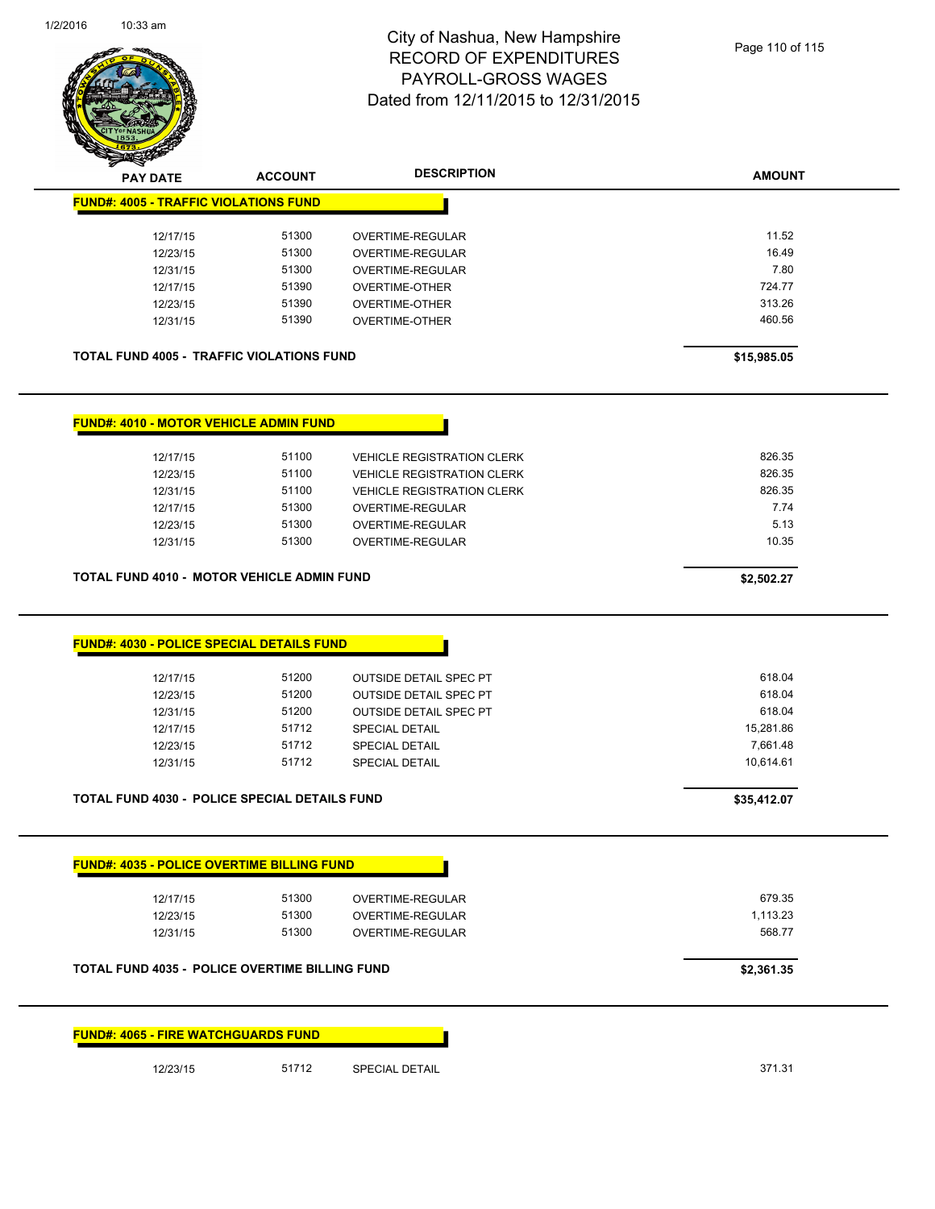

| <b>PAY DATE</b>                                      | <b>ACCOUNT</b> | <b>DESCRIPTION</b>                | <b>AMOUNT</b> |
|------------------------------------------------------|----------------|-----------------------------------|---------------|
| <b>FUND#: 4005 - TRAFFIC VIOLATIONS FUND</b>         |                |                                   |               |
|                                                      |                |                                   |               |
| 12/17/15                                             | 51300          | OVERTIME-REGULAR                  | 11.52         |
| 12/23/15                                             | 51300          | OVERTIME-REGULAR                  | 16.49         |
| 12/31/15                                             | 51300          | OVERTIME-REGULAR                  | 7.80          |
| 12/17/15                                             | 51390          | OVERTIME-OTHER                    | 724.77        |
| 12/23/15                                             | 51390          | OVERTIME-OTHER                    | 313.26        |
| 12/31/15                                             | 51390          | OVERTIME-OTHER                    | 460.56        |
| <b>TOTAL FUND 4005 - TRAFFIC VIOLATIONS FUND</b>     |                |                                   | \$15,985.05   |
| <b>FUND#: 4010 - MOTOR VEHICLE ADMIN FUND</b>        |                |                                   |               |
| 12/17/15                                             | 51100          | <b>VEHICLE REGISTRATION CLERK</b> | 826.35        |
| 12/23/15                                             | 51100          | <b>VEHICLE REGISTRATION CLERK</b> | 826.35        |
| 12/31/15                                             | 51100          | <b>VEHICLE REGISTRATION CLERK</b> | 826.35        |
| 12/17/15                                             | 51300          | <b>OVERTIME-REGULAR</b>           | 7.74          |
| 12/23/15                                             | 51300          | OVERTIME-REGULAR                  | 5.13          |
| 12/31/15                                             | 51300          | OVERTIME-REGULAR                  | 10.35         |
|                                                      |                |                                   |               |
| <b>TOTAL FUND 4010 - MOTOR VEHICLE ADMIN FUND</b>    |                |                                   | \$2,502.27    |
| <b>FUND#: 4030 - POLICE SPECIAL DETAILS FUND</b>     |                |                                   |               |
| 12/17/15                                             | 51200          | <b>OUTSIDE DETAIL SPEC PT</b>     | 618.04        |
| 12/23/15                                             | 51200          | <b>OUTSIDE DETAIL SPEC PT</b>     | 618.04        |
| 12/31/15                                             | 51200          | <b>OUTSIDE DETAIL SPEC PT</b>     | 618.04        |
| 12/17/15                                             | 51712          | SPECIAL DETAIL                    | 15,281.86     |
| 12/23/15                                             | 51712          | SPECIAL DETAIL                    | 7,661.48      |
| 12/31/15                                             | 51712          | <b>SPECIAL DETAIL</b>             | 10,614.61     |
| <b>TOTAL FUND 4030 - POLICE SPECIAL DETAILS FUND</b> |                |                                   | \$35,412.07   |
| <b>FUND#: 4035 - POLICE OVERTIME BILLING FUND</b>    |                |                                   |               |
| 12/17/15                                             | 51300          | OVERTIME-REGULAR                  | 679.35        |
| 12/23/15                                             | 51300          | OVERTIME-REGULAR                  | 1,113.23      |
| 12/31/15                                             | 51300          | OVERTIME-REGULAR                  | 568.77        |
|                                                      |                |                                   |               |
| TOTAL FUND 4035 - POLICE OVERTIME BILLING FUND       |                |                                   | \$2,361.35    |
| <b>FUND#: 4065 - FIRE WATCHGUARDS FUND</b>           |                |                                   |               |
| 12/23/15                                             | 51712          | SPECIAL DETAIL                    | 371.31        |
|                                                      |                |                                   |               |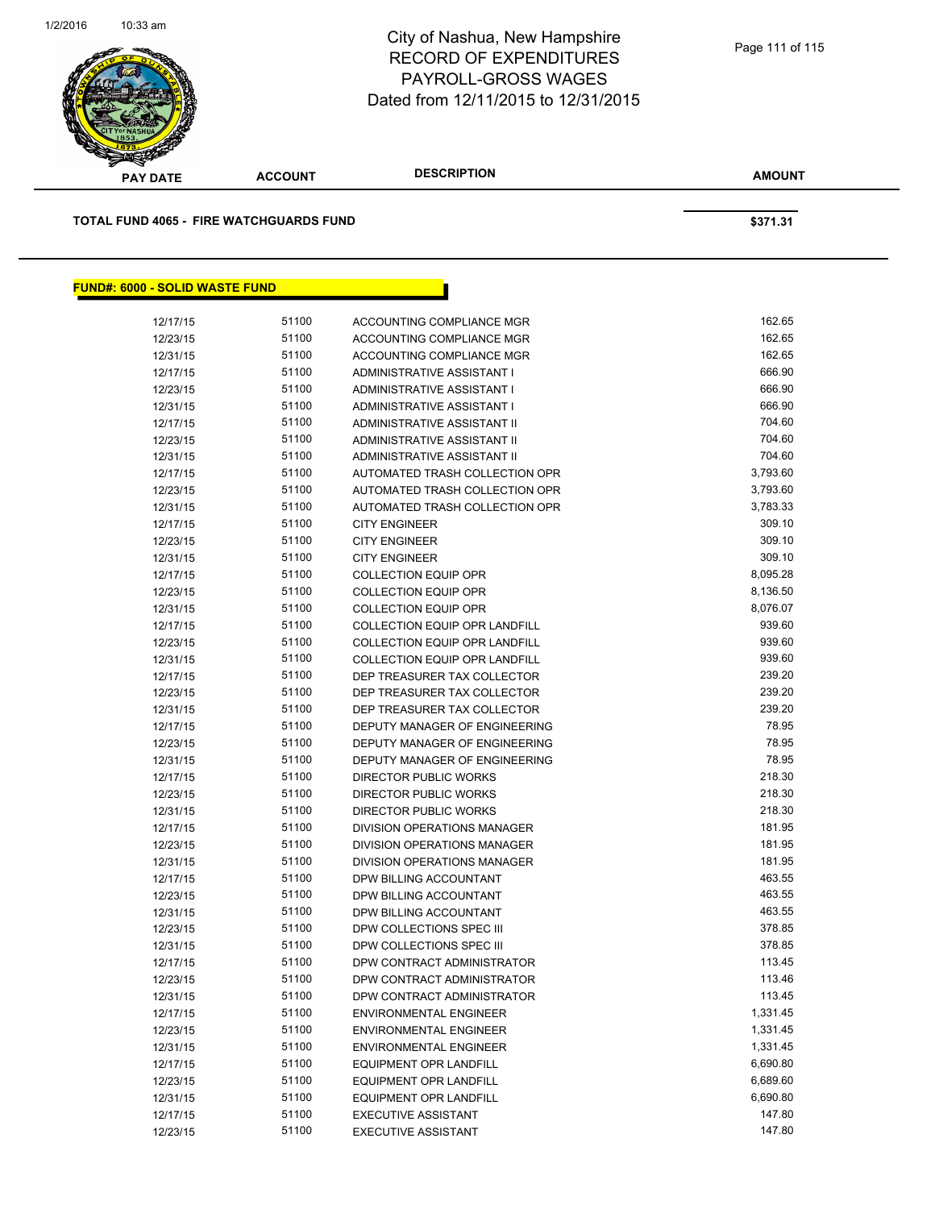

| <b>PAY DATE</b>                                | <b>ACCOUNT</b> | <b>DESCRIPTION</b>                   | <b>AMOUNT</b> |
|------------------------------------------------|----------------|--------------------------------------|---------------|
| <b>TOTAL FUND 4065 - FIRE WATCHGUARDS FUND</b> |                |                                      | \$371.31      |
| <b>FUND#: 6000 - SOLID WASTE FUND</b>          |                |                                      |               |
|                                                |                |                                      |               |
| 12/17/15                                       | 51100          | ACCOUNTING COMPLIANCE MGR            | 162.65        |
| 12/23/15                                       | 51100          | ACCOUNTING COMPLIANCE MGR            | 162.65        |
| 12/31/15                                       | 51100          | ACCOUNTING COMPLIANCE MGR            | 162.65        |
| 12/17/15                                       | 51100          | ADMINISTRATIVE ASSISTANT I           | 666.90        |
| 12/23/15                                       | 51100          | ADMINISTRATIVE ASSISTANT I           | 666.90        |
| 12/31/15                                       | 51100          | ADMINISTRATIVE ASSISTANT I           | 666.90        |
| 12/17/15                                       | 51100          | ADMINISTRATIVE ASSISTANT II          | 704.60        |
| 12/23/15                                       | 51100          | ADMINISTRATIVE ASSISTANT II          | 704.60        |
| 12/31/15                                       | 51100          | ADMINISTRATIVE ASSISTANT II          | 704.60        |
| 12/17/15                                       | 51100          | AUTOMATED TRASH COLLECTION OPR       | 3,793.60      |
| 12/23/15                                       | 51100          | AUTOMATED TRASH COLLECTION OPR       | 3,793.60      |
| 12/31/15                                       | 51100          | AUTOMATED TRASH COLLECTION OPR       | 3,783.33      |
| 12/17/15                                       | 51100          | <b>CITY ENGINEER</b>                 | 309.10        |
| 12/23/15                                       | 51100          | <b>CITY ENGINEER</b>                 | 309.10        |
| 12/31/15                                       | 51100          | <b>CITY ENGINEER</b>                 | 309.10        |
| 12/17/15                                       | 51100          | <b>COLLECTION EQUIP OPR</b>          | 8,095.28      |
| 12/23/15                                       | 51100          | <b>COLLECTION EQUIP OPR</b>          | 8,136.50      |
| 12/31/15                                       | 51100          | <b>COLLECTION EQUIP OPR</b>          | 8,076.07      |
| 12/17/15                                       | 51100          | <b>COLLECTION EQUIP OPR LANDFILL</b> | 939.60        |
| 12/23/15                                       | 51100          | COLLECTION EQUIP OPR LANDFILL        | 939.60        |
| 12/31/15                                       | 51100          | <b>COLLECTION EQUIP OPR LANDFILL</b> | 939.60        |
| 12/17/15                                       | 51100          | DEP TREASURER TAX COLLECTOR          | 239.20        |
| 12/23/15                                       | 51100          | DEP TREASURER TAX COLLECTOR          | 239.20        |
| 12/31/15                                       | 51100          | DEP TREASURER TAX COLLECTOR          | 239.20        |
| 12/17/15                                       | 51100          | DEPUTY MANAGER OF ENGINEERING        | 78.95         |
| 12/23/15                                       | 51100          | DEPUTY MANAGER OF ENGINEERING        | 78.95         |
| 12/31/15                                       | 51100          | DEPUTY MANAGER OF ENGINEERING        | 78.95         |
| 12/17/15                                       | 51100          | <b>DIRECTOR PUBLIC WORKS</b>         | 218.30        |
| 12/23/15                                       | 51100          | DIRECTOR PUBLIC WORKS                | 218.30        |
| 12/31/15                                       | 51100          | DIRECTOR PUBLIC WORKS                | 218.30        |
| 12/17/15                                       | 51100          | <b>DIVISION OPERATIONS MANAGER</b>   | 181.95        |
| 12/23/15                                       | 51100          | DIVISION OPERATIONS MANAGER          | 181.95        |
| 12/31/15                                       | 51100          | DIVISION OPERATIONS MANAGER          | 181.95        |
| 12/17/15                                       | 51100          | DPW BILLING ACCOUNTANT               | 463.55        |
| 12/23/15                                       | 51100          | DPW BILLING ACCOUNTANT               | 463.55        |
| 12/31/15                                       | 51100          | DPW BILLING ACCOUNTANT               | 463.55        |
| 12/23/15                                       | 51100          | DPW COLLECTIONS SPEC III             | 378.85        |
| 12/31/15                                       | 51100          | DPW COLLECTIONS SPEC III             | 378.85        |
| 12/17/15                                       | 51100          | DPW CONTRACT ADMINISTRATOR           | 113.45        |
| 12/23/15                                       | 51100          | DPW CONTRACT ADMINISTRATOR           | 113.46        |

12/31/15 51100 DPW CONTRACT ADMINISTRATOR 113.45 12/17/15 51100 ENVIRONMENTAL ENGINEER 1,331.45 12/23/15 51100 ENVIRONMENTAL ENGINEER 1,331.45 12/31/15 51100 ENVIRONMENTAL ENGINEER 51100 51100 12/17/15 51100 EQUIPMENT OPR LANDFILL 5 6,690.80 6,690.80 12/23/15 51100 EQUIPMENT OPR LANDFILL 6,689.60 6,689.60 12/31/15 51100 EQUIPMENT OPR LANDFILL 551 6,690.80 12/17/15 51100 EXECUTIVE ASSISTANT 12/17/15 147.80 12/23/15 51100 EXECUTIVE ASSISTANT 147.80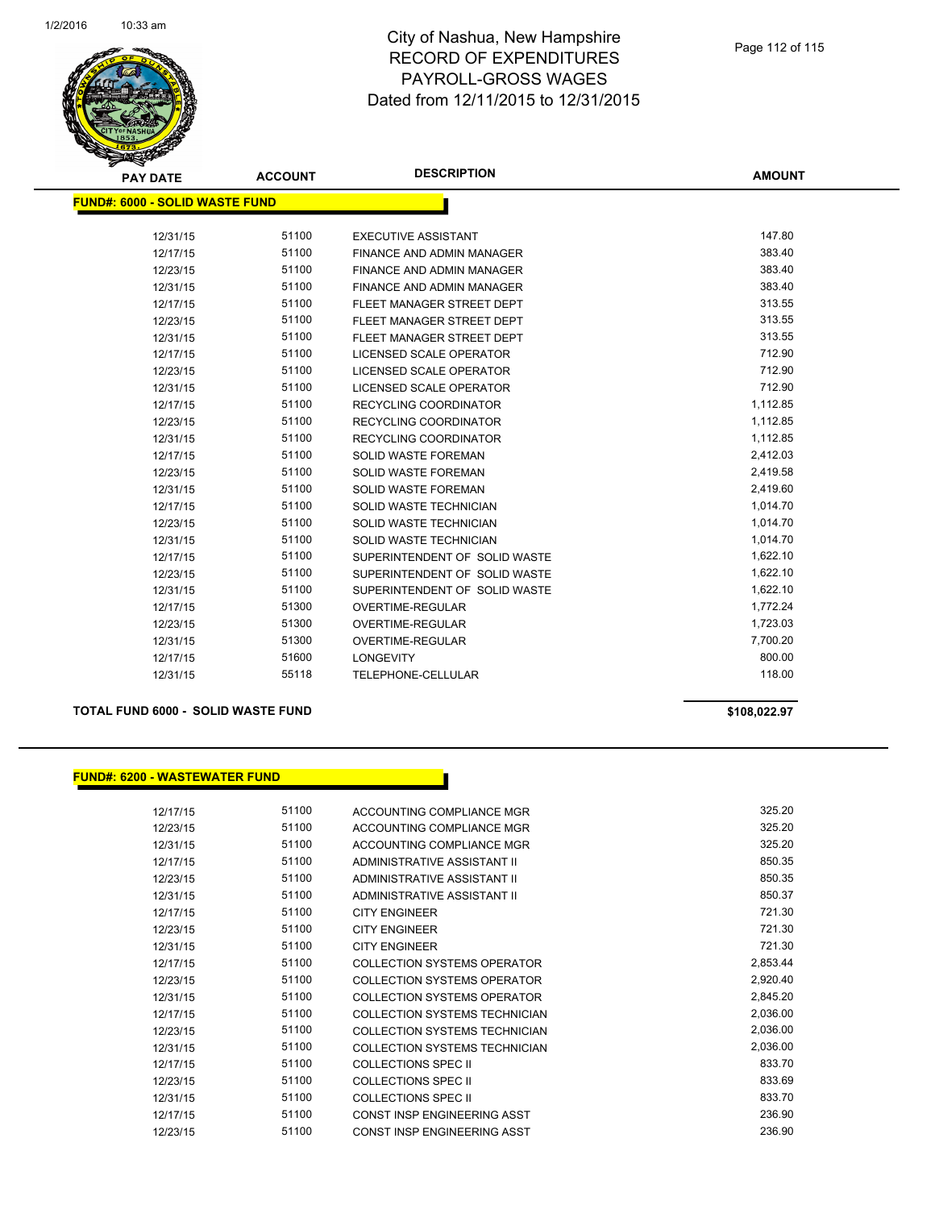

| <b>PAY DATE</b>                | <b>ACCOUNT</b> | <b>DESCRIPTION</b>               | <b>AMOUNT</b> |
|--------------------------------|----------------|----------------------------------|---------------|
| FUND#: 6000 - SOLID WASTE FUND |                |                                  |               |
|                                |                |                                  |               |
| 12/31/15                       | 51100          | <b>EXECUTIVE ASSISTANT</b>       | 147.80        |
| 12/17/15                       | 51100          | FINANCE AND ADMIN MANAGER        | 383.40        |
| 12/23/15                       | 51100          | <b>FINANCE AND ADMIN MANAGER</b> | 383.40        |
| 12/31/15                       | 51100          | <b>FINANCE AND ADMIN MANAGER</b> | 383.40        |
| 12/17/15                       | 51100          | FLEET MANAGER STREET DEPT        | 313.55        |
| 12/23/15                       | 51100          | FLEET MANAGER STREET DEPT        | 313.55        |
| 12/31/15                       | 51100          | FLEET MANAGER STREET DEPT        | 313.55        |
| 12/17/15                       | 51100          | LICENSED SCALE OPERATOR          | 712.90        |
| 12/23/15                       | 51100          | LICENSED SCALE OPERATOR          | 712.90        |
| 12/31/15                       | 51100          | LICENSED SCALE OPERATOR          | 712.90        |
| 12/17/15                       | 51100          | <b>RECYCLING COORDINATOR</b>     | 1,112.85      |
| 12/23/15                       | 51100          | <b>RECYCLING COORDINATOR</b>     | 1,112.85      |
| 12/31/15                       | 51100          | <b>RECYCLING COORDINATOR</b>     | 1,112.85      |
| 12/17/15                       | 51100          | <b>SOLID WASTE FOREMAN</b>       | 2,412.03      |
| 12/23/15                       | 51100          | <b>SOLID WASTE FOREMAN</b>       | 2,419.58      |
| 12/31/15                       | 51100          | SOLID WASTE FOREMAN              | 2,419.60      |
| 12/17/15                       | 51100          | SOLID WASTE TECHNICIAN           | 1,014.70      |
| 12/23/15                       | 51100          | SOLID WASTE TECHNICIAN           | 1,014.70      |
| 12/31/15                       | 51100          | <b>SOLID WASTE TECHNICIAN</b>    | 1,014.70      |
| 12/17/15                       | 51100          | SUPERINTENDENT OF SOLID WASTE    | 1,622.10      |
| 12/23/15                       | 51100          | SUPERINTENDENT OF SOLID WASTE    | 1,622.10      |
| 12/31/15                       | 51100          | SUPERINTENDENT OF SOLID WASTE    | 1,622.10      |
| 12/17/15                       | 51300          | OVERTIME-REGULAR                 | 1,772.24      |
| 12/23/15                       | 51300          | <b>OVERTIME-REGULAR</b>          | 1,723.03      |
| 12/31/15                       | 51300          | <b>OVERTIME-REGULAR</b>          | 7,700.20      |
| 12/17/15                       | 51600          | <b>LONGEVITY</b>                 | 800.00        |
| 12/31/15                       | 55118          | TELEPHONE-CELLULAR               | 118.00        |

**TOTAL FUND 6000 - SOLID WASTE FUND \$108,022.97** 

#### **FUND#: 6200 - WASTEWATER FUND**

| 12/17/15 | 51100 | ACCOUNTING COMPLIANCE MGR            | 325.20   |
|----------|-------|--------------------------------------|----------|
| 12/23/15 | 51100 | <b>ACCOUNTING COMPLIANCE MGR</b>     | 325.20   |
| 12/31/15 | 51100 | ACCOUNTING COMPLIANCE MGR            | 325.20   |
| 12/17/15 | 51100 | ADMINISTRATIVE ASSISTANT II          | 850.35   |
| 12/23/15 | 51100 | ADMINISTRATIVE ASSISTANT II          | 850.35   |
| 12/31/15 | 51100 | <b>ADMINISTRATIVE ASSISTANT II</b>   | 850.37   |
| 12/17/15 | 51100 | <b>CITY ENGINEER</b>                 | 721.30   |
| 12/23/15 | 51100 | <b>CITY ENGINEER</b>                 | 721.30   |
| 12/31/15 | 51100 | <b>CITY ENGINEER</b>                 | 721.30   |
| 12/17/15 | 51100 | COLLECTION SYSTEMS OPERATOR          | 2,853.44 |
| 12/23/15 | 51100 | COLLECTION SYSTEMS OPERATOR          | 2,920.40 |
| 12/31/15 | 51100 | <b>COLLECTION SYSTEMS OPERATOR</b>   | 2,845.20 |
| 12/17/15 | 51100 | COLLECTION SYSTEMS TECHNICIAN        | 2,036.00 |
| 12/23/15 | 51100 | COLLECTION SYSTEMS TECHNICIAN        | 2,036.00 |
| 12/31/15 | 51100 | <b>COLLECTION SYSTEMS TECHNICIAN</b> | 2,036.00 |
| 12/17/15 | 51100 | COLLECTIONS SPEC II                  | 833.70   |
| 12/23/15 | 51100 | COLLECTIONS SPEC II                  | 833.69   |
| 12/31/15 | 51100 | COLLECTIONS SPEC II                  | 833.70   |
| 12/17/15 | 51100 | <b>CONST INSP ENGINEERING ASST</b>   | 236.90   |
| 12/23/15 | 51100 | CONST INSP ENGINEERING ASST          | 236.90   |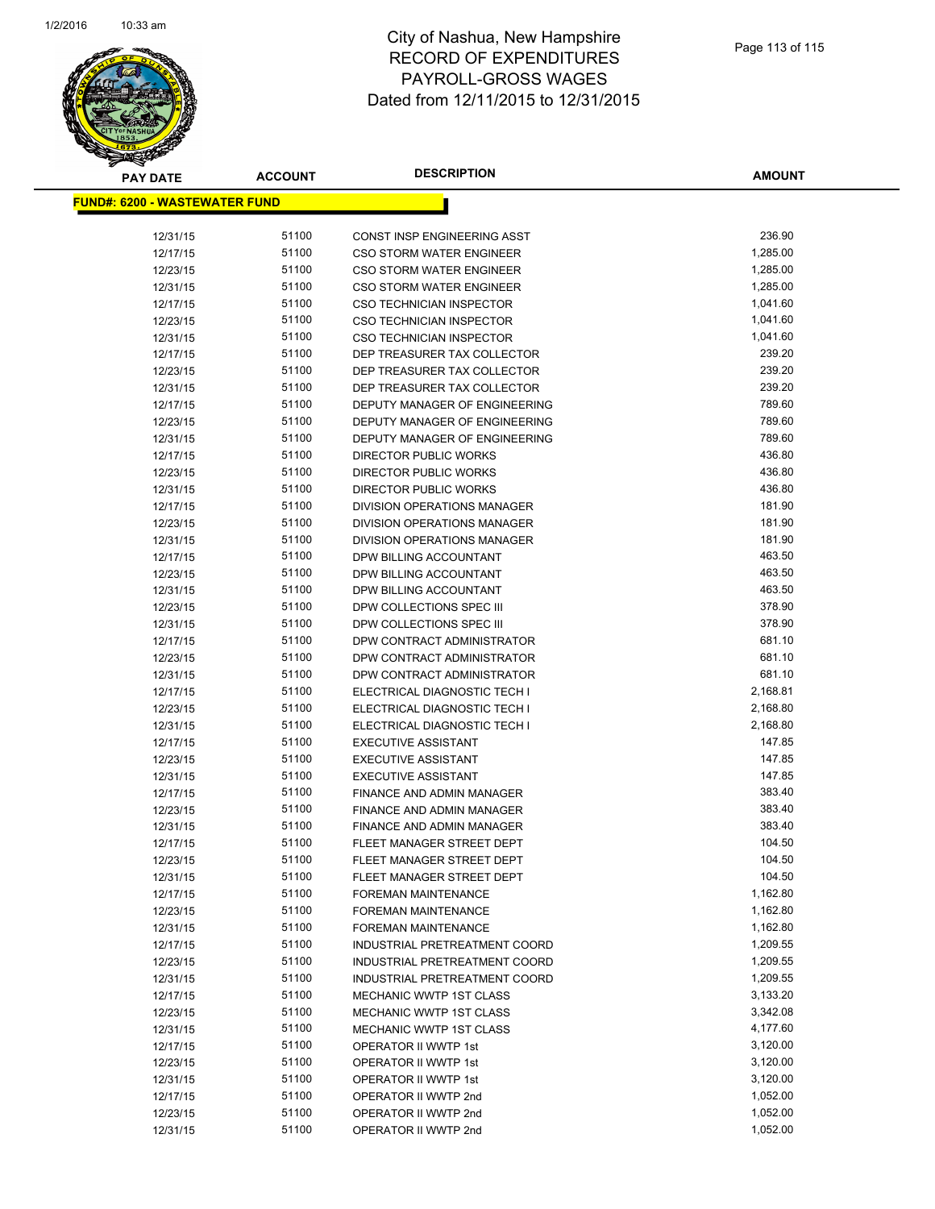

| <u> FUND#: 6200 - WASTEWATER FUND</u><br>51100<br>236.90<br>12/31/15<br>CONST INSP ENGINEERING ASST<br>51100<br>1,285.00<br>12/17/15<br><b>CSO STORM WATER ENGINEER</b><br>51100<br>1,285.00<br>12/23/15<br><b>CSO STORM WATER ENGINEER</b><br>51100<br>1,285.00<br>12/31/15<br><b>CSO STORM WATER ENGINEER</b><br>51100<br>1,041.60<br>12/17/15<br><b>CSO TECHNICIAN INSPECTOR</b><br>51100<br>1,041.60<br>12/23/15<br><b>CSO TECHNICIAN INSPECTOR</b><br>51100<br>1,041.60<br>12/31/15<br><b>CSO TECHNICIAN INSPECTOR</b><br>239.20<br>51100<br>DEP TREASURER TAX COLLECTOR<br>12/17/15<br>239.20<br>51100<br>12/23/15<br>DEP TREASURER TAX COLLECTOR<br>239.20<br>51100<br>DEP TREASURER TAX COLLECTOR<br>12/31/15<br>789.60<br>51100<br>12/17/15<br>DEPUTY MANAGER OF ENGINEERING<br>789.60<br>51100<br>12/23/15<br>DEPUTY MANAGER OF ENGINEERING<br>51100<br>789.60<br>12/31/15<br>DEPUTY MANAGER OF ENGINEERING<br>436.80<br>51100<br>12/17/15<br>DIRECTOR PUBLIC WORKS<br>436.80<br>51100<br>12/23/15<br><b>DIRECTOR PUBLIC WORKS</b><br>436.80<br>51100<br><b>DIRECTOR PUBLIC WORKS</b><br>12/31/15<br>181.90<br>51100<br>12/17/15<br><b>DIVISION OPERATIONS MANAGER</b><br>51100<br>181.90<br>12/23/15<br>DIVISION OPERATIONS MANAGER<br>181.90<br>51100<br>12/31/15<br>DIVISION OPERATIONS MANAGER<br>51100<br>463.50<br>12/17/15<br>DPW BILLING ACCOUNTANT<br>463.50<br>51100<br>12/23/15<br>DPW BILLING ACCOUNTANT<br>463.50<br>51100<br>12/31/15<br>DPW BILLING ACCOUNTANT<br>378.90<br>51100<br>DPW COLLECTIONS SPEC III<br>12/23/15<br>51100<br>378.90<br>12/31/15<br>DPW COLLECTIONS SPEC III<br>681.10<br>51100<br>12/17/15<br>DPW CONTRACT ADMINISTRATOR<br>681.10<br>51100<br>12/23/15<br>DPW CONTRACT ADMINISTRATOR<br>51100<br>681.10<br>12/31/15<br>DPW CONTRACT ADMINISTRATOR<br>51100<br>2,168.81<br>12/17/15<br>ELECTRICAL DIAGNOSTIC TECH I<br>51100<br>2,168.80<br>12/23/15<br>ELECTRICAL DIAGNOSTIC TECH I<br>51100<br>2,168.80<br>12/31/15<br>ELECTRICAL DIAGNOSTIC TECH I<br>51100<br>147.85<br>12/17/15<br><b>EXECUTIVE ASSISTANT</b><br>51100<br>147.85<br>12/23/15<br><b>EXECUTIVE ASSISTANT</b><br>147.85<br>51100<br>12/31/15<br><b>EXECUTIVE ASSISTANT</b><br>383.40<br>51100<br>FINANCE AND ADMIN MANAGER<br>12/17/15<br>51100<br>383.40<br>12/23/15<br>FINANCE AND ADMIN MANAGER<br>383.40<br>51100<br>12/31/15<br>FINANCE AND ADMIN MANAGER<br>104.50<br>51100<br>12/17/15<br><b>FLEET MANAGER STREET DEPT</b><br>104.50<br>51100<br>12/23/15<br>FLEET MANAGER STREET DEPT<br>51100<br>104.50<br>12/31/15<br>FLEET MANAGER STREET DEPT<br>51100<br>1,162.80<br>12/17/15<br><b>FOREMAN MAINTENANCE</b><br>51100<br>1,162.80<br>12/23/15<br><b>FOREMAN MAINTENANCE</b><br>51100<br>1,162.80<br>12/31/15<br><b>FOREMAN MAINTENANCE</b><br>51100<br>1,209.55<br>12/17/15<br>INDUSTRIAL PRETREATMENT COORD<br>51100<br>1,209.55<br>12/23/15<br>INDUSTRIAL PRETREATMENT COORD<br>51100<br>1,209.55<br>12/31/15<br>INDUSTRIAL PRETREATMENT COORD<br>12/17/15<br>51100<br>MECHANIC WWTP 1ST CLASS<br>3,133.20<br>51100<br>3,342.08<br><b>MECHANIC WWTP 1ST CLASS</b><br>12/23/15<br>51100<br><b>MECHANIC WWTP 1ST CLASS</b><br>4,177.60<br>12/31/15<br>51100<br>3,120.00<br>OPERATOR II WWTP 1st<br>12/17/15<br>51100<br>3,120.00<br>12/23/15<br>OPERATOR II WWTP 1st<br>51100<br>3,120.00<br>OPERATOR II WWTP 1st<br>12/31/15<br>51100<br>1,052.00<br>12/17/15<br>OPERATOR II WWTP 2nd<br>51100<br>1,052.00<br>OPERATOR II WWTP 2nd<br>12/23/15<br>51100<br>1,052.00<br>12/31/15<br>OPERATOR II WWTP 2nd | <b>PAY DATE</b> | <b>ACCOUNT</b> | <b>DESCRIPTION</b> | <b>AMOUNT</b> |
|------------------------------------------------------------------------------------------------------------------------------------------------------------------------------------------------------------------------------------------------------------------------------------------------------------------------------------------------------------------------------------------------------------------------------------------------------------------------------------------------------------------------------------------------------------------------------------------------------------------------------------------------------------------------------------------------------------------------------------------------------------------------------------------------------------------------------------------------------------------------------------------------------------------------------------------------------------------------------------------------------------------------------------------------------------------------------------------------------------------------------------------------------------------------------------------------------------------------------------------------------------------------------------------------------------------------------------------------------------------------------------------------------------------------------------------------------------------------------------------------------------------------------------------------------------------------------------------------------------------------------------------------------------------------------------------------------------------------------------------------------------------------------------------------------------------------------------------------------------------------------------------------------------------------------------------------------------------------------------------------------------------------------------------------------------------------------------------------------------------------------------------------------------------------------------------------------------------------------------------------------------------------------------------------------------------------------------------------------------------------------------------------------------------------------------------------------------------------------------------------------------------------------------------------------------------------------------------------------------------------------------------------------------------------------------------------------------------------------------------------------------------------------------------------------------------------------------------------------------------------------------------------------------------------------------------------------------------------------------------------------------------------------------------------------------------------------------------------------------------------------------------------------------------------------------------------------------------------------------------------------------------------------------------------------------------------------------------------------------------------------------------------------------------------------------------------------------------------------------------------------------------------------------------|-----------------|----------------|--------------------|---------------|
|                                                                                                                                                                                                                                                                                                                                                                                                                                                                                                                                                                                                                                                                                                                                                                                                                                                                                                                                                                                                                                                                                                                                                                                                                                                                                                                                                                                                                                                                                                                                                                                                                                                                                                                                                                                                                                                                                                                                                                                                                                                                                                                                                                                                                                                                                                                                                                                                                                                                                                                                                                                                                                                                                                                                                                                                                                                                                                                                                                                                                                                                                                                                                                                                                                                                                                                                                                                                                                                                                                                                          |                 |                |                    |               |
|                                                                                                                                                                                                                                                                                                                                                                                                                                                                                                                                                                                                                                                                                                                                                                                                                                                                                                                                                                                                                                                                                                                                                                                                                                                                                                                                                                                                                                                                                                                                                                                                                                                                                                                                                                                                                                                                                                                                                                                                                                                                                                                                                                                                                                                                                                                                                                                                                                                                                                                                                                                                                                                                                                                                                                                                                                                                                                                                                                                                                                                                                                                                                                                                                                                                                                                                                                                                                                                                                                                                          |                 |                |                    |               |
|                                                                                                                                                                                                                                                                                                                                                                                                                                                                                                                                                                                                                                                                                                                                                                                                                                                                                                                                                                                                                                                                                                                                                                                                                                                                                                                                                                                                                                                                                                                                                                                                                                                                                                                                                                                                                                                                                                                                                                                                                                                                                                                                                                                                                                                                                                                                                                                                                                                                                                                                                                                                                                                                                                                                                                                                                                                                                                                                                                                                                                                                                                                                                                                                                                                                                                                                                                                                                                                                                                                                          |                 |                |                    |               |
|                                                                                                                                                                                                                                                                                                                                                                                                                                                                                                                                                                                                                                                                                                                                                                                                                                                                                                                                                                                                                                                                                                                                                                                                                                                                                                                                                                                                                                                                                                                                                                                                                                                                                                                                                                                                                                                                                                                                                                                                                                                                                                                                                                                                                                                                                                                                                                                                                                                                                                                                                                                                                                                                                                                                                                                                                                                                                                                                                                                                                                                                                                                                                                                                                                                                                                                                                                                                                                                                                                                                          |                 |                |                    |               |
|                                                                                                                                                                                                                                                                                                                                                                                                                                                                                                                                                                                                                                                                                                                                                                                                                                                                                                                                                                                                                                                                                                                                                                                                                                                                                                                                                                                                                                                                                                                                                                                                                                                                                                                                                                                                                                                                                                                                                                                                                                                                                                                                                                                                                                                                                                                                                                                                                                                                                                                                                                                                                                                                                                                                                                                                                                                                                                                                                                                                                                                                                                                                                                                                                                                                                                                                                                                                                                                                                                                                          |                 |                |                    |               |
|                                                                                                                                                                                                                                                                                                                                                                                                                                                                                                                                                                                                                                                                                                                                                                                                                                                                                                                                                                                                                                                                                                                                                                                                                                                                                                                                                                                                                                                                                                                                                                                                                                                                                                                                                                                                                                                                                                                                                                                                                                                                                                                                                                                                                                                                                                                                                                                                                                                                                                                                                                                                                                                                                                                                                                                                                                                                                                                                                                                                                                                                                                                                                                                                                                                                                                                                                                                                                                                                                                                                          |                 |                |                    |               |
|                                                                                                                                                                                                                                                                                                                                                                                                                                                                                                                                                                                                                                                                                                                                                                                                                                                                                                                                                                                                                                                                                                                                                                                                                                                                                                                                                                                                                                                                                                                                                                                                                                                                                                                                                                                                                                                                                                                                                                                                                                                                                                                                                                                                                                                                                                                                                                                                                                                                                                                                                                                                                                                                                                                                                                                                                                                                                                                                                                                                                                                                                                                                                                                                                                                                                                                                                                                                                                                                                                                                          |                 |                |                    |               |
|                                                                                                                                                                                                                                                                                                                                                                                                                                                                                                                                                                                                                                                                                                                                                                                                                                                                                                                                                                                                                                                                                                                                                                                                                                                                                                                                                                                                                                                                                                                                                                                                                                                                                                                                                                                                                                                                                                                                                                                                                                                                                                                                                                                                                                                                                                                                                                                                                                                                                                                                                                                                                                                                                                                                                                                                                                                                                                                                                                                                                                                                                                                                                                                                                                                                                                                                                                                                                                                                                                                                          |                 |                |                    |               |
|                                                                                                                                                                                                                                                                                                                                                                                                                                                                                                                                                                                                                                                                                                                                                                                                                                                                                                                                                                                                                                                                                                                                                                                                                                                                                                                                                                                                                                                                                                                                                                                                                                                                                                                                                                                                                                                                                                                                                                                                                                                                                                                                                                                                                                                                                                                                                                                                                                                                                                                                                                                                                                                                                                                                                                                                                                                                                                                                                                                                                                                                                                                                                                                                                                                                                                                                                                                                                                                                                                                                          |                 |                |                    |               |
|                                                                                                                                                                                                                                                                                                                                                                                                                                                                                                                                                                                                                                                                                                                                                                                                                                                                                                                                                                                                                                                                                                                                                                                                                                                                                                                                                                                                                                                                                                                                                                                                                                                                                                                                                                                                                                                                                                                                                                                                                                                                                                                                                                                                                                                                                                                                                                                                                                                                                                                                                                                                                                                                                                                                                                                                                                                                                                                                                                                                                                                                                                                                                                                                                                                                                                                                                                                                                                                                                                                                          |                 |                |                    |               |
|                                                                                                                                                                                                                                                                                                                                                                                                                                                                                                                                                                                                                                                                                                                                                                                                                                                                                                                                                                                                                                                                                                                                                                                                                                                                                                                                                                                                                                                                                                                                                                                                                                                                                                                                                                                                                                                                                                                                                                                                                                                                                                                                                                                                                                                                                                                                                                                                                                                                                                                                                                                                                                                                                                                                                                                                                                                                                                                                                                                                                                                                                                                                                                                                                                                                                                                                                                                                                                                                                                                                          |                 |                |                    |               |
|                                                                                                                                                                                                                                                                                                                                                                                                                                                                                                                                                                                                                                                                                                                                                                                                                                                                                                                                                                                                                                                                                                                                                                                                                                                                                                                                                                                                                                                                                                                                                                                                                                                                                                                                                                                                                                                                                                                                                                                                                                                                                                                                                                                                                                                                                                                                                                                                                                                                                                                                                                                                                                                                                                                                                                                                                                                                                                                                                                                                                                                                                                                                                                                                                                                                                                                                                                                                                                                                                                                                          |                 |                |                    |               |
|                                                                                                                                                                                                                                                                                                                                                                                                                                                                                                                                                                                                                                                                                                                                                                                                                                                                                                                                                                                                                                                                                                                                                                                                                                                                                                                                                                                                                                                                                                                                                                                                                                                                                                                                                                                                                                                                                                                                                                                                                                                                                                                                                                                                                                                                                                                                                                                                                                                                                                                                                                                                                                                                                                                                                                                                                                                                                                                                                                                                                                                                                                                                                                                                                                                                                                                                                                                                                                                                                                                                          |                 |                |                    |               |
|                                                                                                                                                                                                                                                                                                                                                                                                                                                                                                                                                                                                                                                                                                                                                                                                                                                                                                                                                                                                                                                                                                                                                                                                                                                                                                                                                                                                                                                                                                                                                                                                                                                                                                                                                                                                                                                                                                                                                                                                                                                                                                                                                                                                                                                                                                                                                                                                                                                                                                                                                                                                                                                                                                                                                                                                                                                                                                                                                                                                                                                                                                                                                                                                                                                                                                                                                                                                                                                                                                                                          |                 |                |                    |               |
|                                                                                                                                                                                                                                                                                                                                                                                                                                                                                                                                                                                                                                                                                                                                                                                                                                                                                                                                                                                                                                                                                                                                                                                                                                                                                                                                                                                                                                                                                                                                                                                                                                                                                                                                                                                                                                                                                                                                                                                                                                                                                                                                                                                                                                                                                                                                                                                                                                                                                                                                                                                                                                                                                                                                                                                                                                                                                                                                                                                                                                                                                                                                                                                                                                                                                                                                                                                                                                                                                                                                          |                 |                |                    |               |
|                                                                                                                                                                                                                                                                                                                                                                                                                                                                                                                                                                                                                                                                                                                                                                                                                                                                                                                                                                                                                                                                                                                                                                                                                                                                                                                                                                                                                                                                                                                                                                                                                                                                                                                                                                                                                                                                                                                                                                                                                                                                                                                                                                                                                                                                                                                                                                                                                                                                                                                                                                                                                                                                                                                                                                                                                                                                                                                                                                                                                                                                                                                                                                                                                                                                                                                                                                                                                                                                                                                                          |                 |                |                    |               |
|                                                                                                                                                                                                                                                                                                                                                                                                                                                                                                                                                                                                                                                                                                                                                                                                                                                                                                                                                                                                                                                                                                                                                                                                                                                                                                                                                                                                                                                                                                                                                                                                                                                                                                                                                                                                                                                                                                                                                                                                                                                                                                                                                                                                                                                                                                                                                                                                                                                                                                                                                                                                                                                                                                                                                                                                                                                                                                                                                                                                                                                                                                                                                                                                                                                                                                                                                                                                                                                                                                                                          |                 |                |                    |               |
|                                                                                                                                                                                                                                                                                                                                                                                                                                                                                                                                                                                                                                                                                                                                                                                                                                                                                                                                                                                                                                                                                                                                                                                                                                                                                                                                                                                                                                                                                                                                                                                                                                                                                                                                                                                                                                                                                                                                                                                                                                                                                                                                                                                                                                                                                                                                                                                                                                                                                                                                                                                                                                                                                                                                                                                                                                                                                                                                                                                                                                                                                                                                                                                                                                                                                                                                                                                                                                                                                                                                          |                 |                |                    |               |
|                                                                                                                                                                                                                                                                                                                                                                                                                                                                                                                                                                                                                                                                                                                                                                                                                                                                                                                                                                                                                                                                                                                                                                                                                                                                                                                                                                                                                                                                                                                                                                                                                                                                                                                                                                                                                                                                                                                                                                                                                                                                                                                                                                                                                                                                                                                                                                                                                                                                                                                                                                                                                                                                                                                                                                                                                                                                                                                                                                                                                                                                                                                                                                                                                                                                                                                                                                                                                                                                                                                                          |                 |                |                    |               |
|                                                                                                                                                                                                                                                                                                                                                                                                                                                                                                                                                                                                                                                                                                                                                                                                                                                                                                                                                                                                                                                                                                                                                                                                                                                                                                                                                                                                                                                                                                                                                                                                                                                                                                                                                                                                                                                                                                                                                                                                                                                                                                                                                                                                                                                                                                                                                                                                                                                                                                                                                                                                                                                                                                                                                                                                                                                                                                                                                                                                                                                                                                                                                                                                                                                                                                                                                                                                                                                                                                                                          |                 |                |                    |               |
|                                                                                                                                                                                                                                                                                                                                                                                                                                                                                                                                                                                                                                                                                                                                                                                                                                                                                                                                                                                                                                                                                                                                                                                                                                                                                                                                                                                                                                                                                                                                                                                                                                                                                                                                                                                                                                                                                                                                                                                                                                                                                                                                                                                                                                                                                                                                                                                                                                                                                                                                                                                                                                                                                                                                                                                                                                                                                                                                                                                                                                                                                                                                                                                                                                                                                                                                                                                                                                                                                                                                          |                 |                |                    |               |
|                                                                                                                                                                                                                                                                                                                                                                                                                                                                                                                                                                                                                                                                                                                                                                                                                                                                                                                                                                                                                                                                                                                                                                                                                                                                                                                                                                                                                                                                                                                                                                                                                                                                                                                                                                                                                                                                                                                                                                                                                                                                                                                                                                                                                                                                                                                                                                                                                                                                                                                                                                                                                                                                                                                                                                                                                                                                                                                                                                                                                                                                                                                                                                                                                                                                                                                                                                                                                                                                                                                                          |                 |                |                    |               |
|                                                                                                                                                                                                                                                                                                                                                                                                                                                                                                                                                                                                                                                                                                                                                                                                                                                                                                                                                                                                                                                                                                                                                                                                                                                                                                                                                                                                                                                                                                                                                                                                                                                                                                                                                                                                                                                                                                                                                                                                                                                                                                                                                                                                                                                                                                                                                                                                                                                                                                                                                                                                                                                                                                                                                                                                                                                                                                                                                                                                                                                                                                                                                                                                                                                                                                                                                                                                                                                                                                                                          |                 |                |                    |               |
|                                                                                                                                                                                                                                                                                                                                                                                                                                                                                                                                                                                                                                                                                                                                                                                                                                                                                                                                                                                                                                                                                                                                                                                                                                                                                                                                                                                                                                                                                                                                                                                                                                                                                                                                                                                                                                                                                                                                                                                                                                                                                                                                                                                                                                                                                                                                                                                                                                                                                                                                                                                                                                                                                                                                                                                                                                                                                                                                                                                                                                                                                                                                                                                                                                                                                                                                                                                                                                                                                                                                          |                 |                |                    |               |
|                                                                                                                                                                                                                                                                                                                                                                                                                                                                                                                                                                                                                                                                                                                                                                                                                                                                                                                                                                                                                                                                                                                                                                                                                                                                                                                                                                                                                                                                                                                                                                                                                                                                                                                                                                                                                                                                                                                                                                                                                                                                                                                                                                                                                                                                                                                                                                                                                                                                                                                                                                                                                                                                                                                                                                                                                                                                                                                                                                                                                                                                                                                                                                                                                                                                                                                                                                                                                                                                                                                                          |                 |                |                    |               |
|                                                                                                                                                                                                                                                                                                                                                                                                                                                                                                                                                                                                                                                                                                                                                                                                                                                                                                                                                                                                                                                                                                                                                                                                                                                                                                                                                                                                                                                                                                                                                                                                                                                                                                                                                                                                                                                                                                                                                                                                                                                                                                                                                                                                                                                                                                                                                                                                                                                                                                                                                                                                                                                                                                                                                                                                                                                                                                                                                                                                                                                                                                                                                                                                                                                                                                                                                                                                                                                                                                                                          |                 |                |                    |               |
|                                                                                                                                                                                                                                                                                                                                                                                                                                                                                                                                                                                                                                                                                                                                                                                                                                                                                                                                                                                                                                                                                                                                                                                                                                                                                                                                                                                                                                                                                                                                                                                                                                                                                                                                                                                                                                                                                                                                                                                                                                                                                                                                                                                                                                                                                                                                                                                                                                                                                                                                                                                                                                                                                                                                                                                                                                                                                                                                                                                                                                                                                                                                                                                                                                                                                                                                                                                                                                                                                                                                          |                 |                |                    |               |
|                                                                                                                                                                                                                                                                                                                                                                                                                                                                                                                                                                                                                                                                                                                                                                                                                                                                                                                                                                                                                                                                                                                                                                                                                                                                                                                                                                                                                                                                                                                                                                                                                                                                                                                                                                                                                                                                                                                                                                                                                                                                                                                                                                                                                                                                                                                                                                                                                                                                                                                                                                                                                                                                                                                                                                                                                                                                                                                                                                                                                                                                                                                                                                                                                                                                                                                                                                                                                                                                                                                                          |                 |                |                    |               |
|                                                                                                                                                                                                                                                                                                                                                                                                                                                                                                                                                                                                                                                                                                                                                                                                                                                                                                                                                                                                                                                                                                                                                                                                                                                                                                                                                                                                                                                                                                                                                                                                                                                                                                                                                                                                                                                                                                                                                                                                                                                                                                                                                                                                                                                                                                                                                                                                                                                                                                                                                                                                                                                                                                                                                                                                                                                                                                                                                                                                                                                                                                                                                                                                                                                                                                                                                                                                                                                                                                                                          |                 |                |                    |               |
|                                                                                                                                                                                                                                                                                                                                                                                                                                                                                                                                                                                                                                                                                                                                                                                                                                                                                                                                                                                                                                                                                                                                                                                                                                                                                                                                                                                                                                                                                                                                                                                                                                                                                                                                                                                                                                                                                                                                                                                                                                                                                                                                                                                                                                                                                                                                                                                                                                                                                                                                                                                                                                                                                                                                                                                                                                                                                                                                                                                                                                                                                                                                                                                                                                                                                                                                                                                                                                                                                                                                          |                 |                |                    |               |
|                                                                                                                                                                                                                                                                                                                                                                                                                                                                                                                                                                                                                                                                                                                                                                                                                                                                                                                                                                                                                                                                                                                                                                                                                                                                                                                                                                                                                                                                                                                                                                                                                                                                                                                                                                                                                                                                                                                                                                                                                                                                                                                                                                                                                                                                                                                                                                                                                                                                                                                                                                                                                                                                                                                                                                                                                                                                                                                                                                                                                                                                                                                                                                                                                                                                                                                                                                                                                                                                                                                                          |                 |                |                    |               |
|                                                                                                                                                                                                                                                                                                                                                                                                                                                                                                                                                                                                                                                                                                                                                                                                                                                                                                                                                                                                                                                                                                                                                                                                                                                                                                                                                                                                                                                                                                                                                                                                                                                                                                                                                                                                                                                                                                                                                                                                                                                                                                                                                                                                                                                                                                                                                                                                                                                                                                                                                                                                                                                                                                                                                                                                                                                                                                                                                                                                                                                                                                                                                                                                                                                                                                                                                                                                                                                                                                                                          |                 |                |                    |               |
|                                                                                                                                                                                                                                                                                                                                                                                                                                                                                                                                                                                                                                                                                                                                                                                                                                                                                                                                                                                                                                                                                                                                                                                                                                                                                                                                                                                                                                                                                                                                                                                                                                                                                                                                                                                                                                                                                                                                                                                                                                                                                                                                                                                                                                                                                                                                                                                                                                                                                                                                                                                                                                                                                                                                                                                                                                                                                                                                                                                                                                                                                                                                                                                                                                                                                                                                                                                                                                                                                                                                          |                 |                |                    |               |
|                                                                                                                                                                                                                                                                                                                                                                                                                                                                                                                                                                                                                                                                                                                                                                                                                                                                                                                                                                                                                                                                                                                                                                                                                                                                                                                                                                                                                                                                                                                                                                                                                                                                                                                                                                                                                                                                                                                                                                                                                                                                                                                                                                                                                                                                                                                                                                                                                                                                                                                                                                                                                                                                                                                                                                                                                                                                                                                                                                                                                                                                                                                                                                                                                                                                                                                                                                                                                                                                                                                                          |                 |                |                    |               |
|                                                                                                                                                                                                                                                                                                                                                                                                                                                                                                                                                                                                                                                                                                                                                                                                                                                                                                                                                                                                                                                                                                                                                                                                                                                                                                                                                                                                                                                                                                                                                                                                                                                                                                                                                                                                                                                                                                                                                                                                                                                                                                                                                                                                                                                                                                                                                                                                                                                                                                                                                                                                                                                                                                                                                                                                                                                                                                                                                                                                                                                                                                                                                                                                                                                                                                                                                                                                                                                                                                                                          |                 |                |                    |               |
|                                                                                                                                                                                                                                                                                                                                                                                                                                                                                                                                                                                                                                                                                                                                                                                                                                                                                                                                                                                                                                                                                                                                                                                                                                                                                                                                                                                                                                                                                                                                                                                                                                                                                                                                                                                                                                                                                                                                                                                                                                                                                                                                                                                                                                                                                                                                                                                                                                                                                                                                                                                                                                                                                                                                                                                                                                                                                                                                                                                                                                                                                                                                                                                                                                                                                                                                                                                                                                                                                                                                          |                 |                |                    |               |
|                                                                                                                                                                                                                                                                                                                                                                                                                                                                                                                                                                                                                                                                                                                                                                                                                                                                                                                                                                                                                                                                                                                                                                                                                                                                                                                                                                                                                                                                                                                                                                                                                                                                                                                                                                                                                                                                                                                                                                                                                                                                                                                                                                                                                                                                                                                                                                                                                                                                                                                                                                                                                                                                                                                                                                                                                                                                                                                                                                                                                                                                                                                                                                                                                                                                                                                                                                                                                                                                                                                                          |                 |                |                    |               |
|                                                                                                                                                                                                                                                                                                                                                                                                                                                                                                                                                                                                                                                                                                                                                                                                                                                                                                                                                                                                                                                                                                                                                                                                                                                                                                                                                                                                                                                                                                                                                                                                                                                                                                                                                                                                                                                                                                                                                                                                                                                                                                                                                                                                                                                                                                                                                                                                                                                                                                                                                                                                                                                                                                                                                                                                                                                                                                                                                                                                                                                                                                                                                                                                                                                                                                                                                                                                                                                                                                                                          |                 |                |                    |               |
|                                                                                                                                                                                                                                                                                                                                                                                                                                                                                                                                                                                                                                                                                                                                                                                                                                                                                                                                                                                                                                                                                                                                                                                                                                                                                                                                                                                                                                                                                                                                                                                                                                                                                                                                                                                                                                                                                                                                                                                                                                                                                                                                                                                                                                                                                                                                                                                                                                                                                                                                                                                                                                                                                                                                                                                                                                                                                                                                                                                                                                                                                                                                                                                                                                                                                                                                                                                                                                                                                                                                          |                 |                |                    |               |
|                                                                                                                                                                                                                                                                                                                                                                                                                                                                                                                                                                                                                                                                                                                                                                                                                                                                                                                                                                                                                                                                                                                                                                                                                                                                                                                                                                                                                                                                                                                                                                                                                                                                                                                                                                                                                                                                                                                                                                                                                                                                                                                                                                                                                                                                                                                                                                                                                                                                                                                                                                                                                                                                                                                                                                                                                                                                                                                                                                                                                                                                                                                                                                                                                                                                                                                                                                                                                                                                                                                                          |                 |                |                    |               |
|                                                                                                                                                                                                                                                                                                                                                                                                                                                                                                                                                                                                                                                                                                                                                                                                                                                                                                                                                                                                                                                                                                                                                                                                                                                                                                                                                                                                                                                                                                                                                                                                                                                                                                                                                                                                                                                                                                                                                                                                                                                                                                                                                                                                                                                                                                                                                                                                                                                                                                                                                                                                                                                                                                                                                                                                                                                                                                                                                                                                                                                                                                                                                                                                                                                                                                                                                                                                                                                                                                                                          |                 |                |                    |               |
|                                                                                                                                                                                                                                                                                                                                                                                                                                                                                                                                                                                                                                                                                                                                                                                                                                                                                                                                                                                                                                                                                                                                                                                                                                                                                                                                                                                                                                                                                                                                                                                                                                                                                                                                                                                                                                                                                                                                                                                                                                                                                                                                                                                                                                                                                                                                                                                                                                                                                                                                                                                                                                                                                                                                                                                                                                                                                                                                                                                                                                                                                                                                                                                                                                                                                                                                                                                                                                                                                                                                          |                 |                |                    |               |
|                                                                                                                                                                                                                                                                                                                                                                                                                                                                                                                                                                                                                                                                                                                                                                                                                                                                                                                                                                                                                                                                                                                                                                                                                                                                                                                                                                                                                                                                                                                                                                                                                                                                                                                                                                                                                                                                                                                                                                                                                                                                                                                                                                                                                                                                                                                                                                                                                                                                                                                                                                                                                                                                                                                                                                                                                                                                                                                                                                                                                                                                                                                                                                                                                                                                                                                                                                                                                                                                                                                                          |                 |                |                    |               |
|                                                                                                                                                                                                                                                                                                                                                                                                                                                                                                                                                                                                                                                                                                                                                                                                                                                                                                                                                                                                                                                                                                                                                                                                                                                                                                                                                                                                                                                                                                                                                                                                                                                                                                                                                                                                                                                                                                                                                                                                                                                                                                                                                                                                                                                                                                                                                                                                                                                                                                                                                                                                                                                                                                                                                                                                                                                                                                                                                                                                                                                                                                                                                                                                                                                                                                                                                                                                                                                                                                                                          |                 |                |                    |               |
|                                                                                                                                                                                                                                                                                                                                                                                                                                                                                                                                                                                                                                                                                                                                                                                                                                                                                                                                                                                                                                                                                                                                                                                                                                                                                                                                                                                                                                                                                                                                                                                                                                                                                                                                                                                                                                                                                                                                                                                                                                                                                                                                                                                                                                                                                                                                                                                                                                                                                                                                                                                                                                                                                                                                                                                                                                                                                                                                                                                                                                                                                                                                                                                                                                                                                                                                                                                                                                                                                                                                          |                 |                |                    |               |
|                                                                                                                                                                                                                                                                                                                                                                                                                                                                                                                                                                                                                                                                                                                                                                                                                                                                                                                                                                                                                                                                                                                                                                                                                                                                                                                                                                                                                                                                                                                                                                                                                                                                                                                                                                                                                                                                                                                                                                                                                                                                                                                                                                                                                                                                                                                                                                                                                                                                                                                                                                                                                                                                                                                                                                                                                                                                                                                                                                                                                                                                                                                                                                                                                                                                                                                                                                                                                                                                                                                                          |                 |                |                    |               |
|                                                                                                                                                                                                                                                                                                                                                                                                                                                                                                                                                                                                                                                                                                                                                                                                                                                                                                                                                                                                                                                                                                                                                                                                                                                                                                                                                                                                                                                                                                                                                                                                                                                                                                                                                                                                                                                                                                                                                                                                                                                                                                                                                                                                                                                                                                                                                                                                                                                                                                                                                                                                                                                                                                                                                                                                                                                                                                                                                                                                                                                                                                                                                                                                                                                                                                                                                                                                                                                                                                                                          |                 |                |                    |               |
|                                                                                                                                                                                                                                                                                                                                                                                                                                                                                                                                                                                                                                                                                                                                                                                                                                                                                                                                                                                                                                                                                                                                                                                                                                                                                                                                                                                                                                                                                                                                                                                                                                                                                                                                                                                                                                                                                                                                                                                                                                                                                                                                                                                                                                                                                                                                                                                                                                                                                                                                                                                                                                                                                                                                                                                                                                                                                                                                                                                                                                                                                                                                                                                                                                                                                                                                                                                                                                                                                                                                          |                 |                |                    |               |
|                                                                                                                                                                                                                                                                                                                                                                                                                                                                                                                                                                                                                                                                                                                                                                                                                                                                                                                                                                                                                                                                                                                                                                                                                                                                                                                                                                                                                                                                                                                                                                                                                                                                                                                                                                                                                                                                                                                                                                                                                                                                                                                                                                                                                                                                                                                                                                                                                                                                                                                                                                                                                                                                                                                                                                                                                                                                                                                                                                                                                                                                                                                                                                                                                                                                                                                                                                                                                                                                                                                                          |                 |                |                    |               |
|                                                                                                                                                                                                                                                                                                                                                                                                                                                                                                                                                                                                                                                                                                                                                                                                                                                                                                                                                                                                                                                                                                                                                                                                                                                                                                                                                                                                                                                                                                                                                                                                                                                                                                                                                                                                                                                                                                                                                                                                                                                                                                                                                                                                                                                                                                                                                                                                                                                                                                                                                                                                                                                                                                                                                                                                                                                                                                                                                                                                                                                                                                                                                                                                                                                                                                                                                                                                                                                                                                                                          |                 |                |                    |               |
|                                                                                                                                                                                                                                                                                                                                                                                                                                                                                                                                                                                                                                                                                                                                                                                                                                                                                                                                                                                                                                                                                                                                                                                                                                                                                                                                                                                                                                                                                                                                                                                                                                                                                                                                                                                                                                                                                                                                                                                                                                                                                                                                                                                                                                                                                                                                                                                                                                                                                                                                                                                                                                                                                                                                                                                                                                                                                                                                                                                                                                                                                                                                                                                                                                                                                                                                                                                                                                                                                                                                          |                 |                |                    |               |
|                                                                                                                                                                                                                                                                                                                                                                                                                                                                                                                                                                                                                                                                                                                                                                                                                                                                                                                                                                                                                                                                                                                                                                                                                                                                                                                                                                                                                                                                                                                                                                                                                                                                                                                                                                                                                                                                                                                                                                                                                                                                                                                                                                                                                                                                                                                                                                                                                                                                                                                                                                                                                                                                                                                                                                                                                                                                                                                                                                                                                                                                                                                                                                                                                                                                                                                                                                                                                                                                                                                                          |                 |                |                    |               |
|                                                                                                                                                                                                                                                                                                                                                                                                                                                                                                                                                                                                                                                                                                                                                                                                                                                                                                                                                                                                                                                                                                                                                                                                                                                                                                                                                                                                                                                                                                                                                                                                                                                                                                                                                                                                                                                                                                                                                                                                                                                                                                                                                                                                                                                                                                                                                                                                                                                                                                                                                                                                                                                                                                                                                                                                                                                                                                                                                                                                                                                                                                                                                                                                                                                                                                                                                                                                                                                                                                                                          |                 |                |                    |               |
|                                                                                                                                                                                                                                                                                                                                                                                                                                                                                                                                                                                                                                                                                                                                                                                                                                                                                                                                                                                                                                                                                                                                                                                                                                                                                                                                                                                                                                                                                                                                                                                                                                                                                                                                                                                                                                                                                                                                                                                                                                                                                                                                                                                                                                                                                                                                                                                                                                                                                                                                                                                                                                                                                                                                                                                                                                                                                                                                                                                                                                                                                                                                                                                                                                                                                                                                                                                                                                                                                                                                          |                 |                |                    |               |
|                                                                                                                                                                                                                                                                                                                                                                                                                                                                                                                                                                                                                                                                                                                                                                                                                                                                                                                                                                                                                                                                                                                                                                                                                                                                                                                                                                                                                                                                                                                                                                                                                                                                                                                                                                                                                                                                                                                                                                                                                                                                                                                                                                                                                                                                                                                                                                                                                                                                                                                                                                                                                                                                                                                                                                                                                                                                                                                                                                                                                                                                                                                                                                                                                                                                                                                                                                                                                                                                                                                                          |                 |                |                    |               |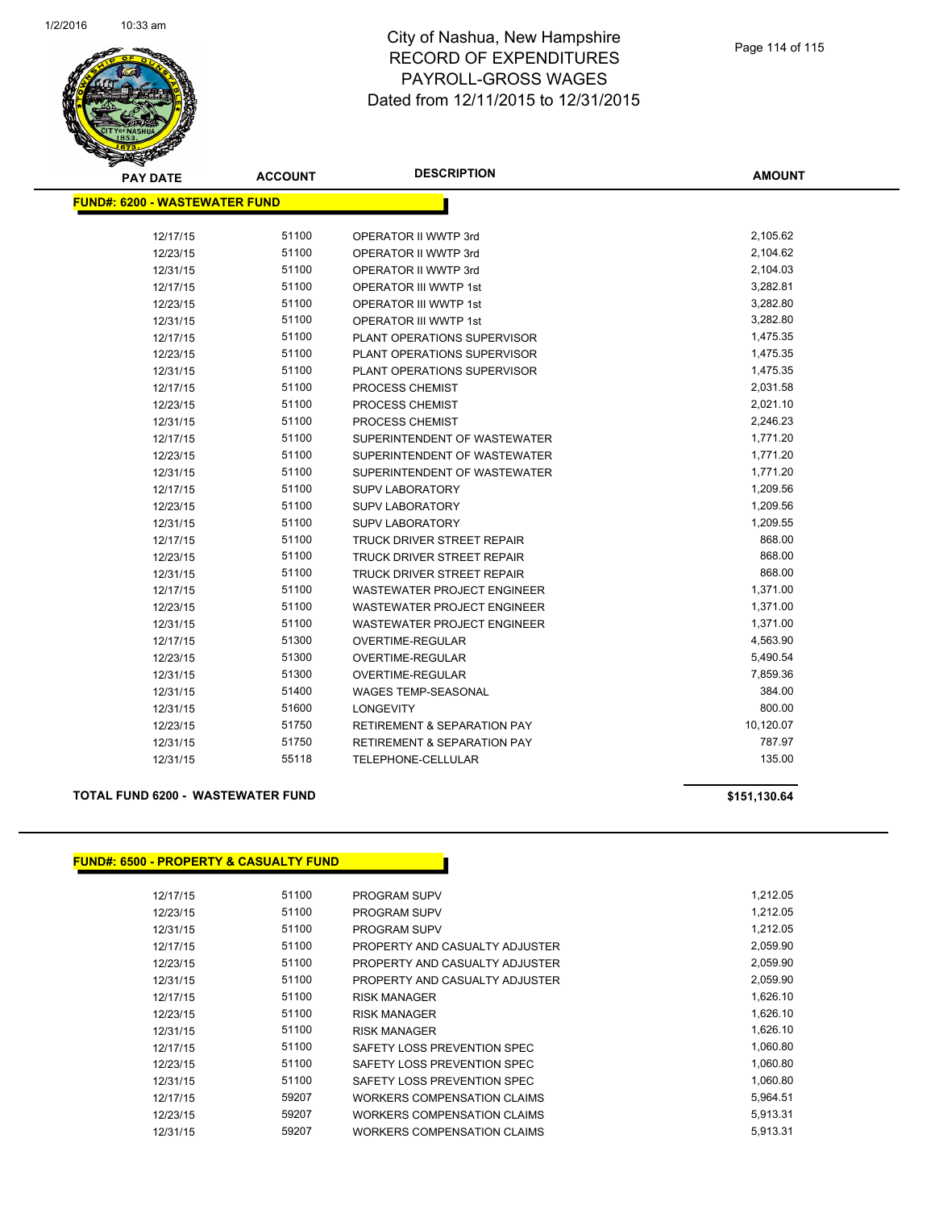

| <b>PAY DATE</b>                      | <b>ACCOUNT</b> | <b>DESCRIPTION</b>                     | <b>AMOUNT</b> |
|--------------------------------------|----------------|----------------------------------------|---------------|
| <b>FUND#: 6200 - WASTEWATER FUND</b> |                |                                        |               |
| 12/17/15                             | 51100          | OPERATOR II WWTP 3rd                   | 2,105.62      |
| 12/23/15                             | 51100          | OPERATOR II WWTP 3rd                   | 2,104.62      |
| 12/31/15                             | 51100          | OPERATOR II WWTP 3rd                   | 2,104.03      |
| 12/17/15                             | 51100          | <b>OPERATOR III WWTP 1st</b>           | 3,282.81      |
| 12/23/15                             | 51100          | <b>OPERATOR III WWTP 1st</b>           | 3,282.80      |
| 12/31/15                             | 51100          | <b>OPERATOR III WWTP 1st</b>           | 3,282.80      |
| 12/17/15                             | 51100          | PLANT OPERATIONS SUPERVISOR            | 1,475.35      |
| 12/23/15                             | 51100          | PLANT OPERATIONS SUPERVISOR            | 1,475.35      |
| 12/31/15                             | 51100          | PLANT OPERATIONS SUPERVISOR            | 1,475.35      |
| 12/17/15                             | 51100          | PROCESS CHEMIST                        | 2,031.58      |
| 12/23/15                             | 51100          | PROCESS CHEMIST                        | 2,021.10      |
| 12/31/15                             | 51100          | PROCESS CHEMIST                        | 2,246.23      |
| 12/17/15                             | 51100          | SUPERINTENDENT OF WASTEWATER           | 1,771.20      |
| 12/23/15                             | 51100          | SUPERINTENDENT OF WASTEWATER           | 1,771.20      |
| 12/31/15                             | 51100          | SUPERINTENDENT OF WASTEWATER           | 1,771.20      |
| 12/17/15                             | 51100          | <b>SUPV LABORATORY</b>                 | 1,209.56      |
| 12/23/15                             | 51100          | <b>SUPV LABORATORY</b>                 | 1,209.56      |
| 12/31/15                             | 51100          | <b>SUPV LABORATORY</b>                 | 1,209.55      |
| 12/17/15                             | 51100          | TRUCK DRIVER STREET REPAIR             | 868.00        |
| 12/23/15                             | 51100          | TRUCK DRIVER STREET REPAIR             | 868.00        |
| 12/31/15                             | 51100          | <b>TRUCK DRIVER STREET REPAIR</b>      | 868.00        |
| 12/17/15                             | 51100          | WASTEWATER PROJECT ENGINEER            | 1,371.00      |
| 12/23/15                             | 51100          | WASTEWATER PROJECT ENGINEER            | 1,371.00      |
| 12/31/15                             | 51100          | <b>WASTEWATER PROJECT ENGINEER</b>     | 1,371.00      |
| 12/17/15                             | 51300          | <b>OVERTIME-REGULAR</b>                | 4,563.90      |
| 12/23/15                             | 51300          | <b>OVERTIME-REGULAR</b>                | 5,490.54      |
| 12/31/15                             | 51300          | OVERTIME-REGULAR                       | 7,859.36      |
| 12/31/15                             | 51400          | <b>WAGES TEMP-SEASONAL</b>             | 384.00        |
| 12/31/15                             | 51600          | <b>LONGEVITY</b>                       | 800.00        |
| 12/23/15                             | 51750          | <b>RETIREMENT &amp; SEPARATION PAY</b> | 10,120.07     |
| 12/31/15                             | 51750          | <b>RETIREMENT &amp; SEPARATION PAY</b> | 787.97        |
| 12/31/15                             | 55118          | TELEPHONE-CELLULAR                     | 135.00        |

#### **TOTAL FUND 6200 - WASTEWATER FUND \$151,130.64**

#### **FUND#: 6500 - PROPERTY & CASUALTY FUND**

| 12/17/15 | 51100 | <b>PROGRAM SUPV</b>            | 1.212.05 |
|----------|-------|--------------------------------|----------|
| 12/23/15 | 51100 | <b>PROGRAM SUPV</b>            | 1,212.05 |
| 12/31/15 | 51100 | <b>PROGRAM SUPV</b>            | 1,212.05 |
| 12/17/15 | 51100 | PROPERTY AND CASUALTY ADJUSTER | 2,059.90 |
| 12/23/15 | 51100 | PROPERTY AND CASUALTY ADJUSTER | 2,059.90 |
| 12/31/15 | 51100 | PROPERTY AND CASUALTY ADJUSTER | 2,059.90 |
| 12/17/15 | 51100 | <b>RISK MANAGER</b>            | 1,626.10 |
| 12/23/15 | 51100 | <b>RISK MANAGER</b>            | 1,626.10 |
| 12/31/15 | 51100 | <b>RISK MANAGER</b>            | 1,626.10 |
| 12/17/15 | 51100 | SAFETY LOSS PREVENTION SPEC    | 1,060.80 |
| 12/23/15 | 51100 | SAFETY LOSS PREVENTION SPEC    | 1,060.80 |
| 12/31/15 | 51100 | SAFETY LOSS PREVENTION SPEC    | 1,060.80 |
| 12/17/15 | 59207 | WORKERS COMPENSATION CLAIMS    | 5,964.51 |
| 12/23/15 | 59207 | WORKERS COMPENSATION CLAIMS    | 5,913.31 |
| 12/31/15 | 59207 | WORKERS COMPENSATION CLAIMS    | 5.913.31 |